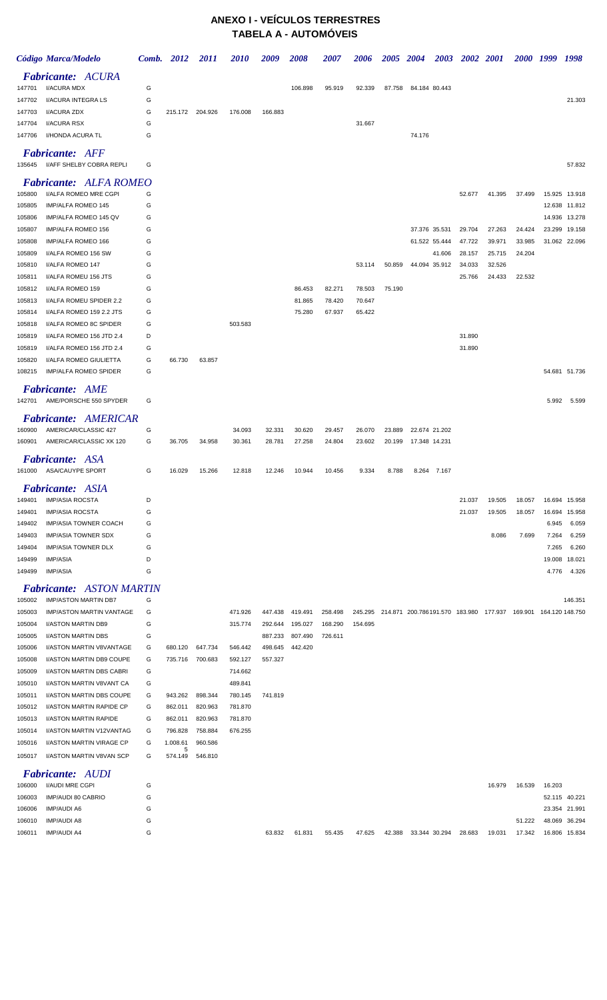## **ANEXO I - VEÍCULOS TERRESTRES TABELA A - AUTOMÓVEIS**

|                  | Código Marca/Modelo                                         | Comb. 2012 |                     | <i>2011</i>        | <i>2010</i>        | 2009               | 2008               | <i><b>2007</b></i> | <i><b>2006</b></i> | <b>2005</b>      | <b>2004</b> | <b>2003</b>                    | <b>2002</b> 2001 |        | 2000 1999                                                              |        | 1998                    |
|------------------|-------------------------------------------------------------|------------|---------------------|--------------------|--------------------|--------------------|--------------------|--------------------|--------------------|------------------|-------------|--------------------------------|------------------|--------|------------------------------------------------------------------------|--------|-------------------------|
|                  | <b>Fabricante: ACURA</b>                                    |            |                     |                    |                    |                    |                    |                    |                    |                  |             |                                |                  |        |                                                                        |        |                         |
| 147701           | I/ACURA MDX                                                 | G          |                     |                    |                    |                    | 106.898            | 95.919             | 92.339             | 87.758           |             | 84.184 80.443                  |                  |        |                                                                        |        |                         |
| 147702           | I/ACURA INTEGRA LS                                          | G          |                     |                    |                    |                    |                    |                    |                    |                  |             |                                |                  |        |                                                                        |        | 21.303                  |
| 147703           | I/ACURA ZDX                                                 | G<br>G     | 215.172             | 204.926            | 176.008            | 166.883            |                    |                    |                    |                  |             |                                |                  |        |                                                                        |        |                         |
| 147704<br>147706 | <b>I/ACURA RSX</b><br>I/HONDA ACURA TL                      | G          |                     |                    |                    |                    |                    |                    | 31.667             |                  | 74.176      |                                |                  |        |                                                                        |        |                         |
|                  |                                                             |            |                     |                    |                    |                    |                    |                    |                    |                  |             |                                |                  |        |                                                                        |        |                         |
| 135645           | <b>Fabricante: AFF</b><br>I/AFF SHELBY COBRA REPLI          | G          |                     |                    |                    |                    |                    |                    |                    |                  |             |                                |                  |        |                                                                        |        | 57.832                  |
|                  | <b>Fabricante: ALFA ROMEO</b>                               |            |                     |                    |                    |                    |                    |                    |                    |                  |             |                                |                  |        |                                                                        |        |                         |
| 105800           | I/ALFA ROMEO MRE CGPI                                       | G          |                     |                    |                    |                    |                    |                    |                    |                  |             |                                | 52.677           | 41.395 | 37.499                                                                 |        | 15.925 13.918           |
| 105805           | IMP/ALFA ROMEO 145                                          | G          |                     |                    |                    |                    |                    |                    |                    |                  |             |                                |                  |        |                                                                        |        | 12.638 11.812           |
| 105806<br>105807 | IMP/ALFA ROMEO 145 QV<br>IMP/ALFA ROMEO 156                 | G<br>G     |                     |                    |                    |                    |                    |                    |                    |                  |             | 37.376 35.531                  | 29.704           | 27.263 | 24.424                                                                 | 23.299 | 14.936 13.278<br>19.158 |
| 105808           | IMP/ALFA ROMEO 166                                          | G          |                     |                    |                    |                    |                    |                    |                    |                  |             | 61.522 55.444                  | 47.722           | 39.971 | 33.985                                                                 |        | 31.062 22.096           |
| 105809           | I/ALFA ROMEO 156 SW                                         | G          |                     |                    |                    |                    |                    |                    |                    |                  |             | 41.606                         | 28.157           | 25.715 | 24.204                                                                 |        |                         |
| 105810           | I/ALFA ROMEO 147                                            | G          |                     |                    |                    |                    |                    |                    | 53.114             | 50.859           |             | 44.094 35.912                  | 34.033           | 32.526 |                                                                        |        |                         |
| 105811           | I/ALFA ROMEU 156 JTS                                        | G          |                     |                    |                    |                    |                    |                    |                    |                  |             |                                | 25.766           | 24.433 | 22.532                                                                 |        |                         |
| 105812           | I/ALFA ROMEO 159                                            | G          |                     |                    |                    |                    | 86.453             | 82.271             | 78.503             | 75.190           |             |                                |                  |        |                                                                        |        |                         |
| 105813           | I/ALFA ROMEU SPIDER 2.2                                     | G          |                     |                    |                    |                    | 81.865             | 78.420             | 70.647             |                  |             |                                |                  |        |                                                                        |        |                         |
| 105814           | I/ALFA ROMEO 159 2.2 JTS                                    | G          |                     |                    |                    |                    | 75.280             | 67.937             | 65.422             |                  |             |                                |                  |        |                                                                        |        |                         |
| 105818           | I/ALFA ROMEO 8C SPIDER                                      | G          |                     |                    | 503.583            |                    |                    |                    |                    |                  |             |                                |                  |        |                                                                        |        |                         |
| 105819           | I/ALFA ROMEO 156 JTD 2.4                                    | D          |                     |                    |                    |                    |                    |                    |                    |                  |             |                                | 31.890           |        |                                                                        |        |                         |
| 105819<br>105820 | I/ALFA ROMEO 156 JTD 2.4<br>I/ALFA ROMEO GIULIETTA          | G<br>G     | 66.730              | 63.857             |                    |                    |                    |                    |                    |                  |             |                                | 31.890           |        |                                                                        |        |                         |
| 108215           | IMP/ALFA ROMEO SPIDER                                       | G          |                     |                    |                    |                    |                    |                    |                    |                  |             |                                |                  |        |                                                                        |        | 54.681 51.736           |
|                  | <b>Fabricante: AME</b>                                      |            |                     |                    |                    |                    |                    |                    |                    |                  |             |                                |                  |        |                                                                        |        |                         |
| 142701           | AME/PORSCHE 550 SPYDER                                      | G          |                     |                    |                    |                    |                    |                    |                    |                  |             |                                |                  |        |                                                                        | 5.992  | 5.599                   |
|                  | <b>Fabricante: AMERICAR</b>                                 |            |                     |                    |                    |                    |                    |                    |                    |                  |             |                                |                  |        |                                                                        |        |                         |
| 160900<br>160901 | AMERICAR/CLASSIC 427<br>AMERICAR/CLASSIC XK 120             | G<br>G     | 36.705              | 34.958             | 34.093<br>30.361   | 32.331<br>28.781   | 30.620<br>27.258   | 29.457<br>24.804   | 26.070<br>23.602   | 23.889<br>20.199 |             | 22.674 21.202<br>17.348 14.231 |                  |        |                                                                        |        |                         |
|                  |                                                             |            |                     |                    |                    |                    |                    |                    |                    |                  |             |                                |                  |        |                                                                        |        |                         |
| 161000           | <b>Fabricante: ASA</b><br>ASA/CAUYPE SPORT                  | G          | 16.029              | 15.266             | 12.818             | 12.246             | 10.944             | 10.456             | 9.334              | 8.788            |             | 8.264 7.167                    |                  |        |                                                                        |        |                         |
|                  |                                                             |            |                     |                    |                    |                    |                    |                    |                    |                  |             |                                |                  |        |                                                                        |        |                         |
| 149401           | <b>Fabricante: ASIA</b><br><b>IMP/ASIA ROCSTA</b>           | D          |                     |                    |                    |                    |                    |                    |                    |                  |             |                                | 21.037           | 19.505 | 18.057                                                                 |        | 16.694 15.958           |
| 149401           | <b>IMP/ASIA ROCSTA</b>                                      | G          |                     |                    |                    |                    |                    |                    |                    |                  |             |                                | 21.037           | 19.505 | 18.057                                                                 | 16.694 | 15.958                  |
| 149402           | <b>IMP/ASIA TOWNER COACH</b>                                | G          |                     |                    |                    |                    |                    |                    |                    |                  |             |                                |                  |        |                                                                        | 6.945  | 6.059                   |
| 149403           | <b>IMP/ASIA TOWNER SDX</b>                                  | G          |                     |                    |                    |                    |                    |                    |                    |                  |             |                                |                  | 8.086  | 7.699                                                                  | 7.264  | 6.259                   |
| 149404           | <b>IMP/ASIA TOWNER DLX</b>                                  | G          |                     |                    |                    |                    |                    |                    |                    |                  |             |                                |                  |        |                                                                        | 7.265  | 6.260                   |
| 149499           | <b>IMP/ASIA</b>                                             | D          |                     |                    |                    |                    |                    |                    |                    |                  |             |                                |                  |        |                                                                        | 19.008 | 18.021                  |
| 149499           | <b>IMP/ASIA</b>                                             | G          |                     |                    |                    |                    |                    |                    |                    |                  |             |                                |                  |        |                                                                        | 4.776  | 4.326                   |
|                  | <b>Fabricante: ASTON MARTIN</b>                             |            |                     |                    |                    |                    |                    |                    |                    |                  |             |                                |                  |        |                                                                        |        |                         |
| 105002           | <b>IMP/ASTON MARTIN DB7</b>                                 | G          |                     |                    |                    |                    |                    |                    |                    |                  |             |                                |                  |        |                                                                        |        | 146.351                 |
| 105003<br>105004 | <b>IMP/ASTON MARTIN VANTAGE</b><br>I/ASTON MARTIN DB9       | G<br>G     |                     |                    | 471.926<br>315.774 | 447.438<br>292.644 | 419.491<br>195.027 | 258.498<br>168.290 | 154.695            |                  |             |                                |                  |        | 245.295 214.871 200.786191.570 183.980 177.937 169.901 164.120 148.750 |        |                         |
| 105005           | I/ASTON MARTIN DBS                                          | G          |                     |                    |                    | 887.233            | 807.490            | 726.611            |                    |                  |             |                                |                  |        |                                                                        |        |                         |
| 105006           | I/ASTON MARTIN V8VANTAGE                                    | G          | 680.120             | 647.734            | 546.442            | 498.645            | 442.420            |                    |                    |                  |             |                                |                  |        |                                                                        |        |                         |
| 105008           | I/ASTON MARTIN DB9 COUPE                                    | G          | 735.716             | 700.683            | 592.127            | 557.327            |                    |                    |                    |                  |             |                                |                  |        |                                                                        |        |                         |
| 105009           | I/ASTON MARTIN DBS CABRI                                    | G          |                     |                    | 714.662            |                    |                    |                    |                    |                  |             |                                |                  |        |                                                                        |        |                         |
| 105010           | I/ASTON MARTIN V8VANT CA                                    | G          |                     |                    | 489.841            |                    |                    |                    |                    |                  |             |                                |                  |        |                                                                        |        |                         |
| 105011           | I/ASTON MARTIN DBS COUPE                                    | G          | 943.262             | 898.344            | 780.145            | 741.819            |                    |                    |                    |                  |             |                                |                  |        |                                                                        |        |                         |
| 105012           | I/ASTON MARTIN RAPIDE CP                                    | G          | 862.011             | 820.963            | 781.870            |                    |                    |                    |                    |                  |             |                                |                  |        |                                                                        |        |                         |
| 105013           | I/ASTON MARTIN RAPIDE                                       | G          | 862.011             | 820.963            | 781.870            |                    |                    |                    |                    |                  |             |                                |                  |        |                                                                        |        |                         |
| 105014<br>105016 | I/ASTON MARTIN V12VANTAG<br><b>I/ASTON MARTIN VIRAGE CP</b> | G<br>G     | 796.828<br>1.008.61 | 758.884<br>960.586 | 676.255            |                    |                    |                    |                    |                  |             |                                |                  |        |                                                                        |        |                         |
| 105017           | I/ASTON MARTIN V8VAN SCP                                    | G          | 5<br>574.149        | 546.810            |                    |                    |                    |                    |                    |                  |             |                                |                  |        |                                                                        |        |                         |
|                  | <b>Fabricante: AUDI</b>                                     |            |                     |                    |                    |                    |                    |                    |                    |                  |             |                                |                  |        |                                                                        |        |                         |
| 106000           | I/AUDI MRE CGPI                                             | G          |                     |                    |                    |                    |                    |                    |                    |                  |             |                                |                  | 16.979 | 16.539                                                                 | 16.203 |                         |
| 106003           | IMP/AUDI 80 CABRIO                                          | G          |                     |                    |                    |                    |                    |                    |                    |                  |             |                                |                  |        |                                                                        |        | 52.115 40.221           |
| 106006           | <b>IMP/AUDI A6</b>                                          | G          |                     |                    |                    |                    |                    |                    |                    |                  |             |                                |                  |        |                                                                        |        | 23.354 21.991           |
| 106010           | <b>IMP/AUDI A8</b>                                          | G          |                     |                    |                    |                    |                    |                    |                    |                  |             |                                |                  |        | 51.222                                                                 | 48.069 | 36.294                  |
| 106011           | <b>IMP/AUDI A4</b>                                          | G          |                     |                    |                    | 63.832             | 61.831             | 55.435             | 47.625             | 42.388           |             | 33.344 30.294                  | 28.683           | 19.031 | 17.342                                                                 |        | 16.806 15.834           |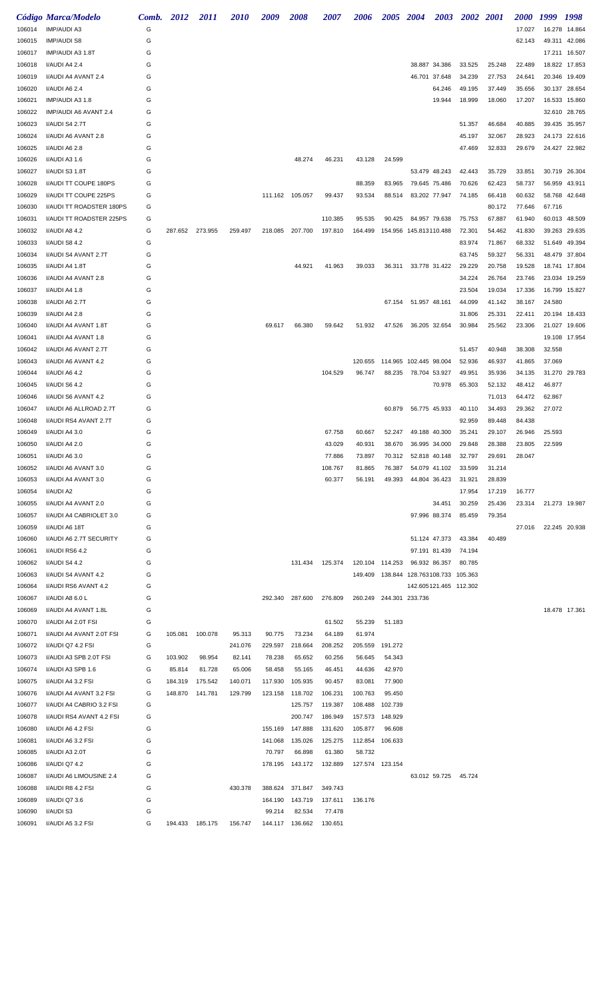|        | <b>Código Marca/Modelo</b>      | Comb. | 2012    | 2011            | <i><b>2010</b></i> | 2009    | <i><b>2008</b></i> | 2007    | 2006    | <i><b>2005</b></i>      | 2004                                      | <b>2003</b>   | 2002 2001              |        | <i><b>2000</b></i> | 1999          | 1998   |
|--------|---------------------------------|-------|---------|-----------------|--------------------|---------|--------------------|---------|---------|-------------------------|-------------------------------------------|---------------|------------------------|--------|--------------------|---------------|--------|
| 106014 | <b>IMP/AUDI A3</b>              | G     |         |                 |                    |         |                    |         |         |                         |                                           |               |                        |        | 17.027             | 16.278        | 14.864 |
| 106015 | <b>IMP/AUDI S8</b>              | G     |         |                 |                    |         |                    |         |         |                         |                                           |               |                        |        | 62.143             | 49.311 42.086 |        |
| 106017 | IMP/AUDI A3 1.8T                | G     |         |                 |                    |         |                    |         |         |                         |                                           |               |                        |        |                    | 17.211 16.507 |        |
| 106018 | I/AUDI A4 2.4                   | G     |         |                 |                    |         |                    |         |         |                         |                                           | 38.887 34.386 | 33.525                 | 25.248 | 22.489             | 18.822 17.853 |        |
| 106019 | I/AUDI A4 AVANT 2.4             | G     |         |                 |                    |         |                    |         |         |                         |                                           | 46.701 37.648 | 34.239                 | 27.753 | 24.641             | 20.346 19.409 |        |
| 106020 | I/AUDI A6 2.4                   | G     |         |                 |                    |         |                    |         |         |                         |                                           | 64.246        | 49.195                 | 37.449 | 35.656             | 30.137 28.654 |        |
|        |                                 |       |         |                 |                    |         |                    |         |         |                         |                                           |               |                        |        |                    |               |        |
| 106021 | IMP/AUDI A3 1.8                 | G     |         |                 |                    |         |                    |         |         |                         |                                           | 19.944        | 18.999                 | 18.060 | 17.207             | 16.533 15.860 |        |
| 106022 | IMP/AUDI A6 AVANT 2.4           | G     |         |                 |                    |         |                    |         |         |                         |                                           |               |                        |        |                    | 32.610 28.765 |        |
| 106023 | I/AUDI S4 2.7T                  | G     |         |                 |                    |         |                    |         |         |                         |                                           |               | 51.357                 | 46.684 | 40.885             | 39.435 35.957 |        |
| 106024 | I/AUDI A6 AVANT 2.8             | G     |         |                 |                    |         |                    |         |         |                         |                                           |               | 45.197                 | 32.067 | 28.923             | 24.173 22.616 |        |
| 106025 | I/AUDI A6 2.8                   | G     |         |                 |                    |         |                    |         |         |                         |                                           |               | 47.469                 | 32.833 | 29.679             | 24.427 22.982 |        |
| 106026 | I/AUDI A3 1.6                   | G     |         |                 |                    |         | 48.274             | 46.231  | 43.128  | 24.599                  |                                           |               |                        |        |                    |               |        |
| 106027 | I/AUDI S3 1.8T                  | G     |         |                 |                    |         |                    |         |         |                         |                                           | 53.479 48.243 | 42.443                 | 35.729 | 33.851             | 30.719 26.304 |        |
| 106028 | I/AUDI TT COUPE 180PS           | G     |         |                 |                    |         |                    |         | 88.359  | 83.965                  | 79.645 75.486                             |               | 70.626                 | 62.423 | 58.737             | 56.959 43.911 |        |
| 106029 | I/AUDI TT COUPE 225PS           | G     |         |                 |                    |         | 111.162 105.057    | 99.437  | 93.534  | 88.514                  |                                           | 83.202 77.947 | 74.185                 | 66.418 | 60.632             | 58.768 42.648 |        |
| 106030 | I/AUDI TT ROADSTER 180PS        | G     |         |                 |                    |         |                    |         |         |                         |                                           |               |                        | 80.172 | 77.646             | 67.716        |        |
| 106031 | <b>I/AUDI TT ROADSTER 225PS</b> | G     |         |                 |                    |         |                    | 110.385 | 95.535  | 90.425                  | 84.957 79.638                             |               | 75.753                 | 67.887 | 61.940             | 60.013 48.509 |        |
| 106032 | I/AUDI A8 4.2                   | G     | 287.652 | 273.955         | 259.497            | 218.085 | 207.700            | 197.810 | 164.499 |                         | 154.956 145.813110.488                    |               | 72.301                 | 54.462 | 41.830             | 39.263 29.635 |        |
|        | I/AUDI S8 4.2                   | G     |         |                 |                    |         |                    |         |         |                         |                                           |               | 83.974                 | 71.867 | 68.332             | 51.649 49.394 |        |
| 106033 |                                 |       |         |                 |                    |         |                    |         |         |                         |                                           |               |                        |        |                    |               |        |
| 106034 | I/AUDI S4 AVANT 2.7T            | G     |         |                 |                    |         |                    |         |         |                         |                                           |               | 63.745                 | 59.327 | 56.331             | 48.479 37.804 |        |
| 106035 | I/AUDI A4 1.8T                  | G     |         |                 |                    |         | 44.921             | 41.963  | 39.033  | 36.311                  |                                           | 33.778 31.422 | 29.229                 | 20.758 | 19.528             | 18.741 17.804 |        |
| 106036 | I/AUDI A4 AVANT 2.8             | G     |         |                 |                    |         |                    |         |         |                         |                                           |               | 34.224                 | 26.764 | 23.746             | 23.034 19.259 |        |
| 106037 | I/AUDI A4 1.8                   | G     |         |                 |                    |         |                    |         |         |                         |                                           |               | 23.504                 | 19.034 | 17.336             | 16.799 15.827 |        |
| 106038 | I/AUDI A6 2.7T                  | G     |         |                 |                    |         |                    |         |         | 67.154                  | 51.957 48.161                             |               | 44.099                 | 41.142 | 38.167             | 24.580        |        |
| 106039 | I/AUDI A4 2.8                   | G     |         |                 |                    |         |                    |         |         |                         |                                           |               | 31.806                 | 25.331 | 22.411             | 20.194 18.433 |        |
| 106040 | I/AUDI A4 AVANT 1.8T            | G     |         |                 |                    | 69.617  | 66.380             | 59.642  | 51.932  | 47.526                  | 36.205 32.654                             |               | 30.984                 | 25.562 | 23.306             | 21.027 19.606 |        |
| 106041 | I/AUDI A4 AVANT 1.8             | G     |         |                 |                    |         |                    |         |         |                         |                                           |               |                        |        |                    | 19.108 17.954 |        |
| 106042 | I/AUDI A6 AVANT 2.7T            | G     |         |                 |                    |         |                    |         |         |                         |                                           |               | 51.457                 | 40.948 | 38.308             | 32.558        |        |
| 106043 | I/AUDI A6 AVANT 4.2             | G     |         |                 |                    |         |                    |         | 120.655 |                         | 114.965 102.445 98.004                    |               | 52.936                 | 46.937 | 41.865             | 37.069        |        |
| 106044 | I/AUDI A6 4.2                   | G     |         |                 |                    |         |                    | 104.529 | 96.747  | 88.235                  | 78.704 53.927                             |               | 49.951                 | 35.936 | 34.135             | 31.270 29.783 |        |
|        |                                 | G     |         |                 |                    |         |                    |         |         |                         |                                           |               |                        |        |                    |               |        |
| 106045 | <b>I/AUDI S6 4.2</b>            |       |         |                 |                    |         |                    |         |         |                         |                                           | 70.978        | 65.303                 | 52.132 | 48.412             | 46.877        |        |
| 106046 | I/AUDI S6 AVANT 4.2             | G     |         |                 |                    |         |                    |         |         |                         |                                           |               |                        | 71.013 | 64.472             | 62.867        |        |
| 106047 | I/AUDI A6 ALLROAD 2.7T          | G     |         |                 |                    |         |                    |         |         | 60.879                  | 56.775 45.933                             |               | 40.110                 | 34.493 | 29.362             | 27.072        |        |
| 106048 | I/AUDI RS4 AVANT 2.7T           | G     |         |                 |                    |         |                    |         |         |                         |                                           |               | 92.959                 | 89.448 | 84.438             |               |        |
| 106049 | I/AUDI A4 3.0                   | G     |         |                 |                    |         |                    | 67.758  | 60.667  | 52.247                  | 49.188 40.300                             |               | 35.241                 | 29.107 | 26.946             | 25.593        |        |
| 106050 | I/AUDI A4 2.0                   | G     |         |                 |                    |         |                    | 43.029  | 40.931  | 38.670                  | 36.995 34.000                             |               | 29.848                 | 28.388 | 23.805             | 22.599        |        |
| 106051 | I/AUDI A6 3.0                   | G     |         |                 |                    |         |                    | 77.886  | 73.897  |                         | 70.312 52.818 40.148                      |               | 32.797                 | 29.691 | 28.047             |               |        |
| 106052 | I/AUDI A6 AVANT 3.0             | G     |         |                 |                    |         |                    | 108.767 | 81.865  | 76.387                  |                                           | 54.079 41.102 | 33.599                 | 31.214 |                    |               |        |
| 106053 | I/AUDI A4 AVANT 3.0             | G     |         |                 |                    |         |                    | 60.377  | 56.191  | 49.393                  |                                           | 44.804 36.423 | 31.921                 | 28.839 |                    |               |        |
| 106054 | I/AUDI A2                       | G     |         |                 |                    |         |                    |         |         |                         |                                           |               | 17.954                 | 17.219 | 16.777             |               |        |
| 106055 | I/AUDI A4 AVANT 2.0             | G     |         |                 |                    |         |                    |         |         |                         |                                           | 34.451        | 30.259                 | 25.436 | 23.314             | 21.273 19.987 |        |
| 106057 | I/AUDI A4 CABRIOLET 3.0         | G     |         |                 |                    |         |                    |         |         |                         |                                           | 97.996 88.374 | 85.459                 | 79.354 |                    |               |        |
|        |                                 |       |         |                 |                    |         |                    |         |         |                         |                                           |               |                        |        |                    |               |        |
| 106059 | I/AUDI A6 18T                   | G     |         |                 |                    |         |                    |         |         |                         |                                           |               |                        |        | 27.016             | 22.245 20.938 |        |
| 106060 | I/AUDI A6 2.7T SECURITY         | G     |         |                 |                    |         |                    |         |         |                         |                                           | 51.124 47.373 | 43.384                 | 40.489 |                    |               |        |
| 106061 | I/AUDI RS6 4.2                  | G     |         |                 |                    |         |                    |         |         |                         |                                           | 97.191 81.439 | 74.194                 |        |                    |               |        |
| 106062 | I/AUDI S4 4.2                   | G     |         |                 |                    |         | 131.434            | 125.374 |         | 120.104 114.253         |                                           | 96.932 86.357 | 80.785                 |        |                    |               |        |
| 106063 | I/AUDI S4 AVANT 4.2             | G     |         |                 |                    |         |                    |         |         |                         | 149.409  138.844  128.763108.733  105.363 |               |                        |        |                    |               |        |
| 106064 | I/AUDI RS6 AVANT 4.2            | G     |         |                 |                    |         |                    |         |         |                         |                                           |               | 142.605121.465 112.302 |        |                    |               |        |
| 106067 | I/AUDI A8 6.0 L                 | G     |         |                 |                    |         | 292.340 287.600    | 276.809 |         | 260.249 244.301 233.736 |                                           |               |                        |        |                    |               |        |
| 106069 | I/AUDI A4 AVANT 1.8L            | G     |         |                 |                    |         |                    |         |         |                         |                                           |               |                        |        |                    | 18.478 17.361 |        |
| 106070 | I/AUDI A4 2.0T FSI              | G     |         |                 |                    |         |                    | 61.502  | 55.239  | 51.183                  |                                           |               |                        |        |                    |               |        |
| 106071 | I/AUDI A4 AVANT 2.0T FSI        | G     | 105.081 | 100.078         | 95.313             | 90.775  | 73.234             | 64.189  | 61.974  |                         |                                           |               |                        |        |                    |               |        |
| 106072 | I/AUDI Q7 4.2 FSI               | G     |         |                 | 241.076            | 229.597 | 218.664            | 208.252 | 205.559 | 191.272                 |                                           |               |                        |        |                    |               |        |
| 106073 | I/AUDI A3 SPB 2.0T FSI          | G     | 103.902 | 98.954          | 82.141             | 78.238  | 65.652             | 60.256  | 56.645  | 54.343                  |                                           |               |                        |        |                    |               |        |
|        | I/AUDI A3 SPB 1.6               | G     | 85.814  |                 |                    |         |                    | 46.451  |         | 42.970                  |                                           |               |                        |        |                    |               |        |
| 106074 |                                 |       |         | 81.728          | 65.006             | 58.458  | 55.165             |         | 44.636  |                         |                                           |               |                        |        |                    |               |        |
| 106075 | I/AUDI A4 3.2 FSI               | G     | 184.319 | 175.542         | 140.071            | 117.930 | 105.935            | 90.457  | 83.081  | 77.900                  |                                           |               |                        |        |                    |               |        |
| 106076 | I/AUDI A4 AVANT 3.2 FSI         | G     | 148.870 | 141.781         | 129.799            | 123.158 | 118.702            | 106.231 | 100.763 | 95.450                  |                                           |               |                        |        |                    |               |        |
| 106077 | I/AUDI A4 CABRIO 3.2 FSI        | G     |         |                 |                    |         | 125.757            | 119.387 | 108.488 | 102.739                 |                                           |               |                        |        |                    |               |        |
| 106078 | I/AUDI RS4 AVANT 4.2 FSI        | G     |         |                 |                    |         | 200.747            | 186.949 | 157.573 | 148.929                 |                                           |               |                        |        |                    |               |        |
| 106080 | I/AUDI A6 4.2 FSI               | G     |         |                 |                    | 155.169 | 147.888            | 131.620 | 105.877 | 96.608                  |                                           |               |                        |        |                    |               |        |
| 106081 | I/AUDI A6 3.2 FSI               | G     |         |                 |                    | 141.068 | 135.026            | 125.275 | 112.854 | 106.633                 |                                           |               |                        |        |                    |               |        |
| 106085 | I/AUDI A3 2.0T                  | G     |         |                 |                    | 70.797  | 66.898             | 61.380  | 58.732  |                         |                                           |               |                        |        |                    |               |        |
| 106086 | <b>I/AUDI Q7 4.2</b>            | G     |         |                 |                    | 178.195 | 143.172            | 132.889 |         | 127.574 123.154         |                                           |               |                        |        |                    |               |        |
| 106087 | I/AUDI A6 LIMOUSINE 2.4         | G     |         |                 |                    |         |                    |         |         |                         |                                           |               | 63.012 59.725 45.724   |        |                    |               |        |
| 106088 | I/AUDI R8 4.2 FSI               | G     |         |                 | 430.378            |         | 388.624 371.847    | 349.743 |         |                         |                                           |               |                        |        |                    |               |        |
| 106089 | <b>I/AUDI Q7 3.6</b>            | G     |         |                 |                    | 164.190 | 143.719            | 137.611 | 136.176 |                         |                                           |               |                        |        |                    |               |        |
| 106090 | I/AUDI S3                       | G     |         |                 |                    | 99.214  | 82.534             | 77.478  |         |                         |                                           |               |                        |        |                    |               |        |
|        |                                 |       |         |                 |                    |         |                    |         |         |                         |                                           |               |                        |        |                    |               |        |
| 106091 | I/AUDI A5 3.2 FSI               | G     |         | 194.433 185.175 | 156.747            |         | 144.117 136.662    | 130.651 |         |                         |                                           |               |                        |        |                    |               |        |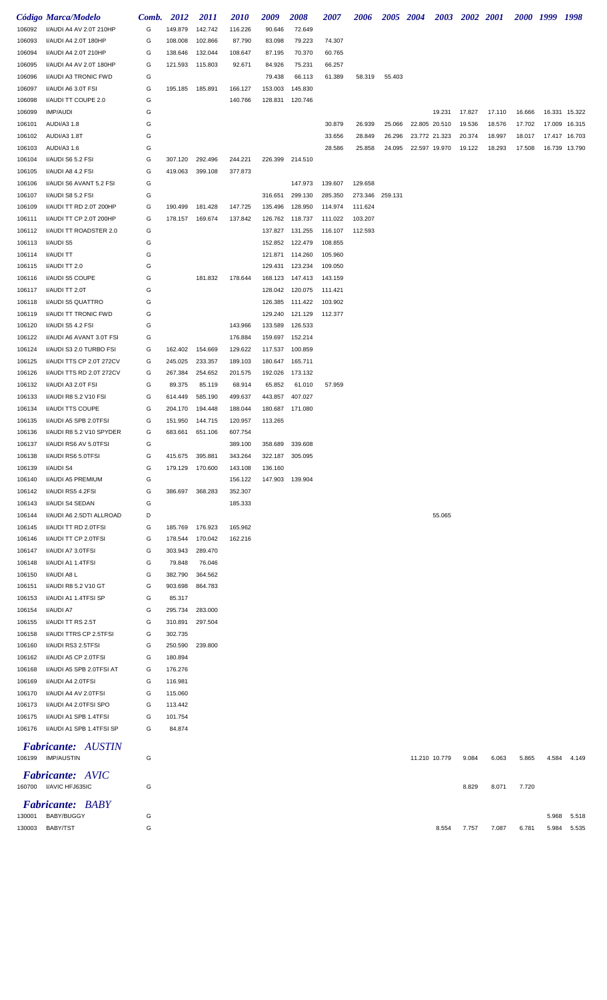|                  | Código Marca/Modelo                                  | Comb.  | <b>2012</b>       | <i>2011</i>       | <i>2010</i>       | 2009              | 2008              | <i><b>2007</b></i> | 2006             |                  | 2005 2004 2003 2002 2001 |                                |                  |                  |                  | 2000 1999 1998 |                                |
|------------------|------------------------------------------------------|--------|-------------------|-------------------|-------------------|-------------------|-------------------|--------------------|------------------|------------------|--------------------------|--------------------------------|------------------|------------------|------------------|----------------|--------------------------------|
| 106092           | I/AUDI A4 AV 2.0T 210HP                              | G      | 149.879           | 142.742           | 116.226           | 90.646            | 72.649            |                    |                  |                  |                          |                                |                  |                  |                  |                |                                |
| 106093           | I/AUDI A4 2.0T 180HP                                 | G      | 108.008           | 102.866           | 87.790            | 83.098            | 79.223            | 74.307             |                  |                  |                          |                                |                  |                  |                  |                |                                |
| 106094           | I/AUDI A4 2.0T 210HP                                 | G      | 138.646           | 132.044           | 108.647           | 87.195            | 70.370            | 60.765             |                  |                  |                          |                                |                  |                  |                  |                |                                |
| 106095           | I/AUDI A4 AV 2.0T 180HP                              | G      | 121.593           | 115.803           | 92.671            | 84.926            | 75.231            | 66.257             |                  |                  |                          |                                |                  |                  |                  |                |                                |
| 106096           | I/AUDI A3 TRONIC FWD                                 | G      |                   |                   |                   | 79.438            | 66.113            | 61.389             | 58.319           | 55.403           |                          |                                |                  |                  |                  |                |                                |
| 106097           | I/AUDI A6 3.0T FSI                                   | G      | 195.185           | 185.891           | 166.127           | 153.003           | 145.830           |                    |                  |                  |                          |                                |                  |                  |                  |                |                                |
| 106098           | I/AUDI TT COUPE 2.0                                  | G      |                   |                   | 140.766           |                   | 128.831 120.746   |                    |                  |                  |                          |                                |                  |                  |                  |                |                                |
| 106099           | <b>IMP/AUDI</b>                                      | G      |                   |                   |                   |                   |                   |                    |                  |                  |                          | 19.231                         | 17.827           | 17.110           | 16.666           |                | 16.331 15.322                  |
| 106101           | AUDI/A3 1.8                                          | G      |                   |                   |                   |                   |                   | 30.879             | 26.939           | 25.066           |                          | 22.805 20.510                  | 19.536           | 18.576           | 17.702           |                | 17.009 16.315                  |
| 106102<br>106103 | AUDI/A3 1.8T<br>AUDI/A3 1.6                          | G<br>G |                   |                   |                   |                   |                   | 33.656<br>28.586   | 28.849<br>25.858 | 26.296<br>24.095 |                          | 23.772 21.323<br>22.597 19.970 | 20.374<br>19.122 | 18.997<br>18.293 | 18.017<br>17.508 |                | 17.417 16.703<br>16.739 13.790 |
| 106104           | I/AUDI S6 5.2 FSI                                    | G      | 307.120           | 292.496           | 244.221           |                   | 226.399 214.510   |                    |                  |                  |                          |                                |                  |                  |                  |                |                                |
| 106105           | I/AUDI A8 4.2 FSI                                    | G      | 419.063           | 399.108           | 377.873           |                   |                   |                    |                  |                  |                          |                                |                  |                  |                  |                |                                |
| 106106           | I/AUDI S6 AVANT 5.2 FSI                              | G      |                   |                   |                   |                   | 147.973           | 139.607            | 129.658          |                  |                          |                                |                  |                  |                  |                |                                |
| 106107           | I/AUDI S8 5.2 FSI                                    | G      |                   |                   |                   | 316.651           | 299.130           | 285.350            | 273.346 259.131  |                  |                          |                                |                  |                  |                  |                |                                |
| 106109           | I/AUDI TT RD 2.0T 200HP                              | G      | 190.499           | 181.428           | 147.725           | 135.496           | 128.950           | 114.974            | 111.624          |                  |                          |                                |                  |                  |                  |                |                                |
| 106111           | I/AUDI TT CP 2.0T 200HP                              | G      |                   | 178.157 169.674   | 137.842           |                   | 126.762 118.737   | 111.022            | 103.207          |                  |                          |                                |                  |                  |                  |                |                                |
| 106112           | I/AUDI TT ROADSTER 2.0                               | G      |                   |                   |                   |                   | 137.827 131.255   | 116.107            | 112.593          |                  |                          |                                |                  |                  |                  |                |                                |
| 106113           | I/AUDI S5                                            | G      |                   |                   |                   |                   | 152.852 122.479   | 108.855            |                  |                  |                          |                                |                  |                  |                  |                |                                |
| 106114           | <b>I/AUDITT</b>                                      | G      |                   |                   |                   | 121.871           | 114.260           | 105.960            |                  |                  |                          |                                |                  |                  |                  |                |                                |
| 106115           | I/AUDI TT 2.0                                        | G      |                   |                   |                   | 129.431           | 123.234           | 109.050            |                  |                  |                          |                                |                  |                  |                  |                |                                |
| 106116           | I/AUDI S5 COUPE                                      | G      |                   | 181.832           | 178.644           | 168.123           | 147.413           | 143.159            |                  |                  |                          |                                |                  |                  |                  |                |                                |
| 106117           | I/AUDI TT 2.0T                                       | G      |                   |                   |                   |                   | 128.042 120.075   | 111.421            |                  |                  |                          |                                |                  |                  |                  |                |                                |
| 106118           | I/AUDI S5 QUATTRO                                    | G      |                   |                   |                   | 126.385           | 111.422           | 103.902            |                  |                  |                          |                                |                  |                  |                  |                |                                |
| 106119           | I/AUDI TT TRONIC FWD                                 | G      |                   |                   |                   | 129.240           | 121.129           | 112.377            |                  |                  |                          |                                |                  |                  |                  |                |                                |
| 106120           | I/AUDI S5 4.2 FSI                                    | G      |                   |                   | 143.966           | 133.589           | 126.533           |                    |                  |                  |                          |                                |                  |                  |                  |                |                                |
| 106122           | I/AUDI A6 AVANT 3.0T FSI                             | G      |                   |                   | 176.884           | 159.697           | 152.214           |                    |                  |                  |                          |                                |                  |                  |                  |                |                                |
| 106124           | I/AUDI S3 2.0 TURBO FSI                              | G      | 162.402           | 154.669           | 129.622           | 117.537           | 100.859           |                    |                  |                  |                          |                                |                  |                  |                  |                |                                |
| 106125           | I/AUDI TTS CP 2.0T 272CV<br>I/AUDI TTS RD 2.0T 272CV | G      | 245.025           | 233.357           | 189.103           | 180.647           | 165.711           |                    |                  |                  |                          |                                |                  |                  |                  |                |                                |
| 106126<br>106132 | I/AUDI A3 2.0T FSI                                   | G<br>G | 267.384<br>89.375 | 254.652<br>85.119 | 201.575<br>68.914 | 192.026<br>65.852 | 173.132<br>61.010 | 57.959             |                  |                  |                          |                                |                  |                  |                  |                |                                |
| 106133           | I/AUDI R8 5.2 V10 FSI                                | G      | 614.449           | 585.190           | 499.637           | 443.857           | 407.027           |                    |                  |                  |                          |                                |                  |                  |                  |                |                                |
| 106134           | I/AUDI TTS COUPE                                     | G      | 204.170           | 194.448           | 188.044           |                   | 180.687 171.080   |                    |                  |                  |                          |                                |                  |                  |                  |                |                                |
| 106135           | I/AUDI A5 SPB 2.0TFSI                                | G      | 151.950           | 144.715           | 120.957           | 113.265           |                   |                    |                  |                  |                          |                                |                  |                  |                  |                |                                |
| 106136           | I/AUDI R8 5.2 V10 SPYDER                             | G      | 683.661           | 651.106           | 607.754           |                   |                   |                    |                  |                  |                          |                                |                  |                  |                  |                |                                |
| 106137           | I/AUDI RS6 AV 5.0TFSI                                | G      |                   |                   | 389.100           |                   | 358.689 339.608   |                    |                  |                  |                          |                                |                  |                  |                  |                |                                |
| 106138           | I/AUDI RS6 5.0TFSI                                   | G      | 415.675           | 395.881           | 343.264           | 322.187           | 305.095           |                    |                  |                  |                          |                                |                  |                  |                  |                |                                |
| 106139           | I/AUDI S4                                            | G      |                   | 179.129 170.600   | 143.108           | 136.160           |                   |                    |                  |                  |                          |                                |                  |                  |                  |                |                                |
| 106140           | I/AUDI A5 PREMIUM                                    | G      |                   |                   | 156.122           |                   | 147.903 139.904   |                    |                  |                  |                          |                                |                  |                  |                  |                |                                |
| 106142           | I/AUDI RS5 4.2FSI                                    | G      | 386.697           | 368.283           | 352.307           |                   |                   |                    |                  |                  |                          |                                |                  |                  |                  |                |                                |
| 106143           | I/AUDI S4 SEDAN                                      | G      |                   |                   | 185.333           |                   |                   |                    |                  |                  |                          |                                |                  |                  |                  |                |                                |
| 106144           | I/AUDI A6 2.5DTI ALLROAD                             | D      |                   |                   |                   |                   |                   |                    |                  |                  |                          | 55.065                         |                  |                  |                  |                |                                |
| 106145           | I/AUDI TT RD 2.0TFSI                                 | G      | 185.769           | 176.923           | 165.962           |                   |                   |                    |                  |                  |                          |                                |                  |                  |                  |                |                                |
| 106146           | I/AUDI TT CP 2.0TFSI                                 | G      | 178.544           | 170.042           | 162.216           |                   |                   |                    |                  |                  |                          |                                |                  |                  |                  |                |                                |
| 106147           | I/AUDI A7 3.0TFSI                                    | G      | 303.943           | 289.470           |                   |                   |                   |                    |                  |                  |                          |                                |                  |                  |                  |                |                                |
| 106148<br>106150 | I/AUDI A1 1.4TFSI<br>I/AUDI A8 L                     | G<br>G | 79.848<br>382.790 | 76.046<br>364.562 |                   |                   |                   |                    |                  |                  |                          |                                |                  |                  |                  |                |                                |
| 106151           | I/AUDI R8 5.2 V10 GT                                 | G      | 903.698           | 864.783           |                   |                   |                   |                    |                  |                  |                          |                                |                  |                  |                  |                |                                |
| 106153           | I/AUDI A1 1.4TFSI SP                                 | G      | 85.317            |                   |                   |                   |                   |                    |                  |                  |                          |                                |                  |                  |                  |                |                                |
| 106154           | I/AUDI A7                                            | G      | 295.734           | 283.000           |                   |                   |                   |                    |                  |                  |                          |                                |                  |                  |                  |                |                                |
| 106155           | I/AUDI TT RS 2.5T                                    | G      | 310.891           | 297.504           |                   |                   |                   |                    |                  |                  |                          |                                |                  |                  |                  |                |                                |
| 106158           | I/AUDI TTRS CP 2.5TFSI                               | G      | 302.735           |                   |                   |                   |                   |                    |                  |                  |                          |                                |                  |                  |                  |                |                                |
| 106160           | I/AUDI RS3 2.5TFSI                                   | G      | 250.590           | 239.800           |                   |                   |                   |                    |                  |                  |                          |                                |                  |                  |                  |                |                                |
| 106162           | I/AUDI A5 CP 2.0TFSI                                 | G      | 180.894           |                   |                   |                   |                   |                    |                  |                  |                          |                                |                  |                  |                  |                |                                |
| 106168           | I/AUDI A5 SPB 2.0TFSI AT                             | G      | 176.276           |                   |                   |                   |                   |                    |                  |                  |                          |                                |                  |                  |                  |                |                                |
| 106169           | I/AUDI A4 2.0TFSI                                    | G      | 116.981           |                   |                   |                   |                   |                    |                  |                  |                          |                                |                  |                  |                  |                |                                |
| 106170           | I/AUDI A4 AV 2.0TFSI                                 | G      | 115.060           |                   |                   |                   |                   |                    |                  |                  |                          |                                |                  |                  |                  |                |                                |
| 106173           | I/AUDI A4 2.0TFSI SPO                                | G      | 113.442           |                   |                   |                   |                   |                    |                  |                  |                          |                                |                  |                  |                  |                |                                |
| 106175           | I/AUDI A1 SPB 1.4TFSI                                | G      | 101.754           |                   |                   |                   |                   |                    |                  |                  |                          |                                |                  |                  |                  |                |                                |
| 106176           | I/AUDI A1 SPB 1.4TFSI SP                             | G      | 84.874            |                   |                   |                   |                   |                    |                  |                  |                          |                                |                  |                  |                  |                |                                |
|                  | <b>Fabricante: AUSTIN</b><br>106199 IMP/AUSTIN       | G      |                   |                   |                   |                   |                   |                    |                  |                  |                          | 11.210 10.779                  | 9.084            | 6.063            | 5.865            | 4.584          | 4.149                          |
|                  | <b>Fabricante: AVIC</b>                              |        |                   |                   |                   |                   |                   |                    |                  |                  |                          |                                |                  |                  |                  |                |                                |
|                  | 160700 I/AVIC HFJ635IC                               | G      |                   |                   |                   |                   |                   |                    |                  |                  |                          |                                | 8.829            | 8.071            | 7.720            |                |                                |
|                  |                                                      |        |                   |                   |                   |                   |                   |                    |                  |                  |                          |                                |                  |                  |                  |                |                                |
| 130001           | <b>Fabricante: BABY</b><br><b>BABY/BUGGY</b>         | G      |                   |                   |                   |                   |                   |                    |                  |                  |                          |                                |                  |                  |                  | 5.968          | 5.518                          |
| 130003           | BABY/TST                                             | G      |                   |                   |                   |                   |                   |                    |                  |                  |                          | 8.554                          | 7.757            | 7.087            | 6.781            |                | 5.984 5.535                    |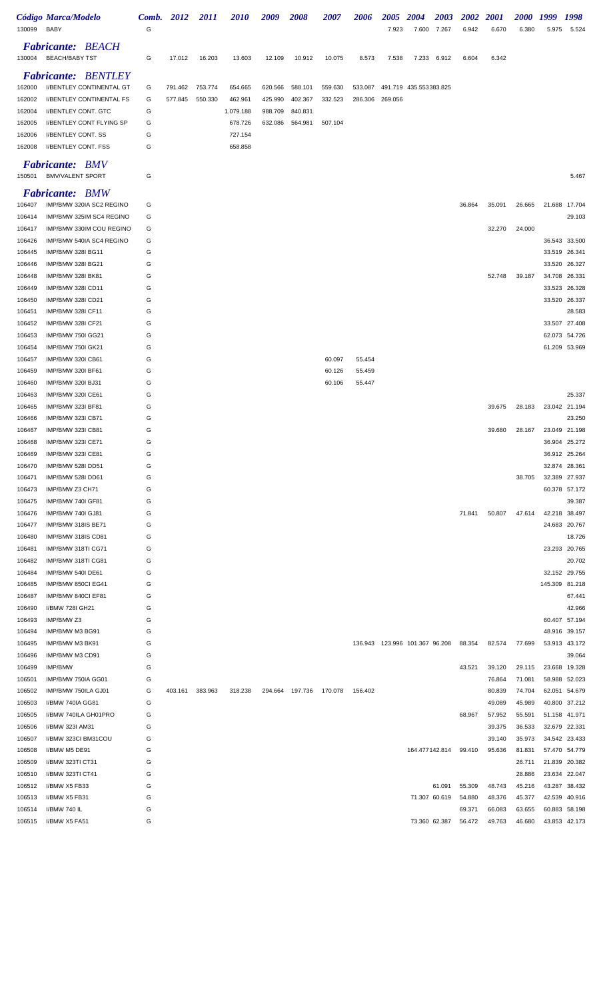| 130099           | <b>Código Marca/Modelo</b><br><b>BABY</b>              | Comb.<br>G | <b>2012</b> | <i>2011</i> | <i>2010</i> | 2009    | <i><b>2008</b></i> | <i><b>2007</b></i> | 2006            | <i><b>2005</b></i><br>7.923    | 2004<br>7.600          | 2003<br>7.267 | 2002<br>6.942 | <i>2001</i><br>6.670 | <i><b>2000</b></i><br>6.380 | 1999<br>5.975  | 1998<br>5.524                  |
|------------------|--------------------------------------------------------|------------|-------------|-------------|-------------|---------|--------------------|--------------------|-----------------|--------------------------------|------------------------|---------------|---------------|----------------------|-----------------------------|----------------|--------------------------------|
| 130004           | <b>Fabricante: BEACH</b><br><b>BEACH/BABY TST</b>      | G          | 17.012      | 16.203      | 13.603      | 12.109  | 10.912             | 10.075             | 8.573           | 7.538                          | 7.233                  | 6.912         | 6.604         | 6.342                |                             |                |                                |
|                  |                                                        |            |             |             |             |         |                    |                    |                 |                                |                        |               |               |                      |                             |                |                                |
| 162000           | <b>Fabricante: BENTLEY</b><br>I/BENTLEY CONTINENTAL GT | G          | 791.462     | 753.774     | 654.665     | 620.566 | 588.101            | 559.630            | 533.087         |                                | 491.719 435.553383.825 |               |               |                      |                             |                |                                |
| 162002           | I/BENTLEY CONTINENTAL FS                               | G          | 577.845     | 550.330     | 462.961     | 425.990 | 402.367            | 332.523            | 286.306 269.056 |                                |                        |               |               |                      |                             |                |                                |
| 162004           | I/BENTLEY CONT. GTC                                    | G          |             |             | 1.079.188   | 988.709 | 840.831            |                    |                 |                                |                        |               |               |                      |                             |                |                                |
| 162005           | I/BENTLEY CONT FLYING SP                               | G          |             |             | 678.726     | 632.086 | 564.981            | 507.104            |                 |                                |                        |               |               |                      |                             |                |                                |
| 162006           | <b>I/BENTLEY CONT. SS</b>                              | G          |             |             | 727.154     |         |                    |                    |                 |                                |                        |               |               |                      |                             |                |                                |
| 162008           | <b>I/BENTLEY CONT. FSS</b>                             | G          |             |             | 658.858     |         |                    |                    |                 |                                |                        |               |               |                      |                             |                |                                |
| 150501           | <b>Fabricante: BMV</b><br><b>BMV/VALENT SPORT</b>      | G          |             |             |             |         |                    |                    |                 |                                |                        |               |               |                      |                             |                | 5.467                          |
|                  | <b>Fabricante: BMW</b>                                 |            |             |             |             |         |                    |                    |                 |                                |                        |               |               |                      |                             |                |                                |
| 106407           | IMP/BMW 320IA SC2 REGINO                               | G          |             |             |             |         |                    |                    |                 |                                |                        |               | 36.864        | 35.091               | 26.665                      |                | 21.688 17.704                  |
| 106414           | IMP/BMW 325IM SC4 REGINO                               | G          |             |             |             |         |                    |                    |                 |                                |                        |               |               |                      |                             |                | 29.103                         |
| 106417           | IMP/BMW 330IM COU REGINO                               | G          |             |             |             |         |                    |                    |                 |                                |                        |               |               | 32.270               | 24.000                      |                |                                |
| 106426           | IMP/BMW 540IA SC4 REGINO                               | G          |             |             |             |         |                    |                    |                 |                                |                        |               |               |                      |                             |                | 36.543 33.500                  |
| 106445           | <b>IMP/BMW 328I BG11</b>                               | G          |             |             |             |         |                    |                    |                 |                                |                        |               |               |                      |                             |                | 33.519 26.341                  |
| 106446           | <b>IMP/BMW 328I BG21</b>                               | G          |             |             |             |         |                    |                    |                 |                                |                        |               |               |                      |                             | 33.520         | 26.327                         |
| 106448           | IMP/BMW 328I BK81                                      | G          |             |             |             |         |                    |                    |                 |                                |                        |               |               | 52.748               | 39.187                      | 34.708         | 26.331                         |
| 106449           | <b>IMP/BMW 328I CD11</b>                               | G          |             |             |             |         |                    |                    |                 |                                |                        |               |               |                      |                             | 33.523         | 26.328                         |
| 106450           | <b>IMP/BMW 328I CD21</b>                               | G          |             |             |             |         |                    |                    |                 |                                |                        |               |               |                      |                             |                | 33.520 26.337                  |
| 106451           | IMP/BMW 328I CF11                                      | G          |             |             |             |         |                    |                    |                 |                                |                        |               |               |                      |                             |                | 28.583                         |
| 106452<br>106453 | IMP/BMW 328I CF21<br><b>IMP/BMW 750I GG21</b>          | G<br>G     |             |             |             |         |                    |                    |                 |                                |                        |               |               |                      |                             |                | 33.507 27.408<br>62.073 54.726 |
| 106454           | IMP/BMW 750I GK21                                      | G          |             |             |             |         |                    |                    |                 |                                |                        |               |               |                      |                             |                | 61.209 53.969                  |
| 106457           | IMP/BMW 320I CB61                                      | G          |             |             |             |         |                    | 60.097             | 55.454          |                                |                        |               |               |                      |                             |                |                                |
| 106459           | IMP/BMW 320I BF61                                      | G          |             |             |             |         |                    | 60.126             | 55.459          |                                |                        |               |               |                      |                             |                |                                |
| 106460           | IMP/BMW 320I BJ31                                      | G          |             |             |             |         |                    | 60.106             | 55.447          |                                |                        |               |               |                      |                             |                |                                |
| 106463           | IMP/BMW 320I CE61                                      | G          |             |             |             |         |                    |                    |                 |                                |                        |               |               |                      |                             |                | 25.337                         |
| 106465           | IMP/BMW 323I BF81                                      | G          |             |             |             |         |                    |                    |                 |                                |                        |               |               | 39.675               | 28.183                      |                | 23.042 21.194                  |
| 106466           | IMP/BMW 323I CB71                                      | G          |             |             |             |         |                    |                    |                 |                                |                        |               |               |                      |                             |                | 23.250                         |
| 106467           | IMP/BMW 323I CB81                                      | G          |             |             |             |         |                    |                    |                 |                                |                        |               |               | 39.680               | 28.167                      |                | 23.049 21.198                  |
| 106468           | IMP/BMW 323I CE71                                      | G          |             |             |             |         |                    |                    |                 |                                |                        |               |               |                      |                             |                | 36.904 25.272                  |
| 106469           | IMP/BMW 323I CE81                                      | G          |             |             |             |         |                    |                    |                 |                                |                        |               |               |                      |                             |                | 36.912 25.264                  |
| 106470           | IMP/BMW 528I DD51                                      | G          |             |             |             |         |                    |                    |                 |                                |                        |               |               |                      |                             |                | 32.874 28.361                  |
| 106471           | IMP/BMW 528I DD61                                      | G          |             |             |             |         |                    |                    |                 |                                |                        |               |               |                      | 38.705                      |                | 32.389 27.937                  |
| 106473           | IMP/BMW Z3 CH71<br>IMP/BMW 740I GF81                   | G<br>G     |             |             |             |         |                    |                    |                 |                                |                        |               |               |                      |                             |                | 60.378 57.172<br>39.387        |
| 106475<br>106476 | IMP/BMW 740I GJ81                                      | G          |             |             |             |         |                    |                    |                 |                                |                        |               | 71.841        | 50.807               | 47.614                      |                | 42.218 38.497                  |
| 106477           | IMP/BMW 318IS BE71                                     | G          |             |             |             |         |                    |                    |                 |                                |                        |               |               |                      |                             |                | 24.683 20.767                  |
| 106480           | IMP/BMW 318IS CD81                                     | G          |             |             |             |         |                    |                    |                 |                                |                        |               |               |                      |                             |                | 18.726                         |
| 106481           | IMP/BMW 318TI CG71                                     | G          |             |             |             |         |                    |                    |                 |                                |                        |               |               |                      |                             |                | 23.293 20.765                  |
| 106482           | IMP/BMW 318TI CG81                                     | G          |             |             |             |         |                    |                    |                 |                                |                        |               |               |                      |                             |                | 20.702                         |
| 106484           | IMP/BMW 540I DE61                                      | G          |             |             |             |         |                    |                    |                 |                                |                        |               |               |                      |                             |                | 32.152 29.755                  |
| 106485           | IMP/BMW 850CI EG41                                     | G          |             |             |             |         |                    |                    |                 |                                |                        |               |               |                      |                             | 145.309 81.218 |                                |
| 106487           | IMP/BMW 840CI EF81                                     | G          |             |             |             |         |                    |                    |                 |                                |                        |               |               |                      |                             |                | 67.441                         |
| 106490           | I/BMW 728I GH21                                        | G          |             |             |             |         |                    |                    |                 |                                |                        |               |               |                      |                             |                | 42.966                         |
| 106493           | IMP/BMW Z3                                             | G          |             |             |             |         |                    |                    |                 |                                |                        |               |               |                      |                             |                | 60.407 57.194                  |
| 106494           | IMP/BMW M3 BG91                                        | G          |             |             |             |         |                    |                    |                 |                                |                        |               |               |                      |                             |                | 48.916 39.157                  |
| 106495           | IMP/BMW M3 BK91                                        | G          |             |             |             |         |                    |                    |                 | 136.943 123.996 101.367 96.208 |                        |               | 88.354        | 82.574               | 77.699                      |                | 53.913 43.172                  |
| 106496           | IMP/BMW M3 CD91                                        | G          |             |             |             |         |                    |                    |                 |                                |                        |               |               |                      |                             |                | 39.064                         |
| 106499           | IMP/BMW                                                | G          |             |             |             |         |                    |                    |                 |                                |                        |               | 43.521        | 39.120               | 29.115                      |                | 23.668 19.328                  |
| 106501           | IMP/BMW 750IA GG01                                     | G<br>G     | 403.161     | 383.963     |             |         | 294.664 197.736    | 170.078            | 156.402         |                                |                        |               |               | 76.864               | 71.081<br>74.704            |                | 58.988 52.023<br>62.051 54.679 |
| 106502<br>106503 | IMP/BMW 750ILA GJ01<br>I/BMW 740IA GG81                | G          |             |             | 318.238     |         |                    |                    |                 |                                |                        |               |               | 80.839<br>49.089     | 45.989                      |                | 40.800 37.212                  |
| 106505           | I/BMW 740ILA GH01PRO                                   | G          |             |             |             |         |                    |                    |                 |                                |                        |               | 68.967        | 57.952               | 55.591                      |                | 51.158 41.971                  |
| 106506           | I/BMW 323I AM31                                        | G          |             |             |             |         |                    |                    |                 |                                |                        |               |               | 39.375               | 36.533                      |                | 32.679 22.331                  |
| 106507           | I/BMW 323CI BM31COU                                    | G          |             |             |             |         |                    |                    |                 |                                |                        |               |               | 39.140               | 35.973                      |                | 34.542 23.433                  |
| 106508           | I/BMW M5 DE91                                          | G          |             |             |             |         |                    |                    |                 |                                | 164.477142.814         |               | 99.410        | 95.636               | 81.831                      |                | 57.470 54.779                  |
| 106509           | I/BMW 323TI CT31                                       | G          |             |             |             |         |                    |                    |                 |                                |                        |               |               |                      | 26.711                      |                | 21.839 20.382                  |
| 106510           | I/BMW 323TI CT41                                       | G          |             |             |             |         |                    |                    |                 |                                |                        |               |               |                      | 28.886                      |                | 23.634 22.047                  |
| 106512           | I/BMW X5 FB33                                          | G          |             |             |             |         |                    |                    |                 |                                |                        | 61.091        | 55.309        | 48.743               | 45.216                      |                | 43.287 38.432                  |
| 106513           | I/BMW X5 FB31                                          | G          |             |             |             |         |                    |                    |                 |                                | 71.307 60.619          |               | 54.880        | 48.376               | 45.377                      |                | 42.539 40.916                  |
| 106514           | I/BMW 740 IL                                           | G          |             |             |             |         |                    |                    |                 |                                |                        |               | 69.371        | 66.083               | 63.655                      |                | 60.883 58.198                  |
| 106515           | I/BMW X5 FA51                                          | G          |             |             |             |         |                    |                    |                 |                                |                        | 73.360 62.387 | 56.472        | 49.763               | 46.680                      |                | 43.853 42.173                  |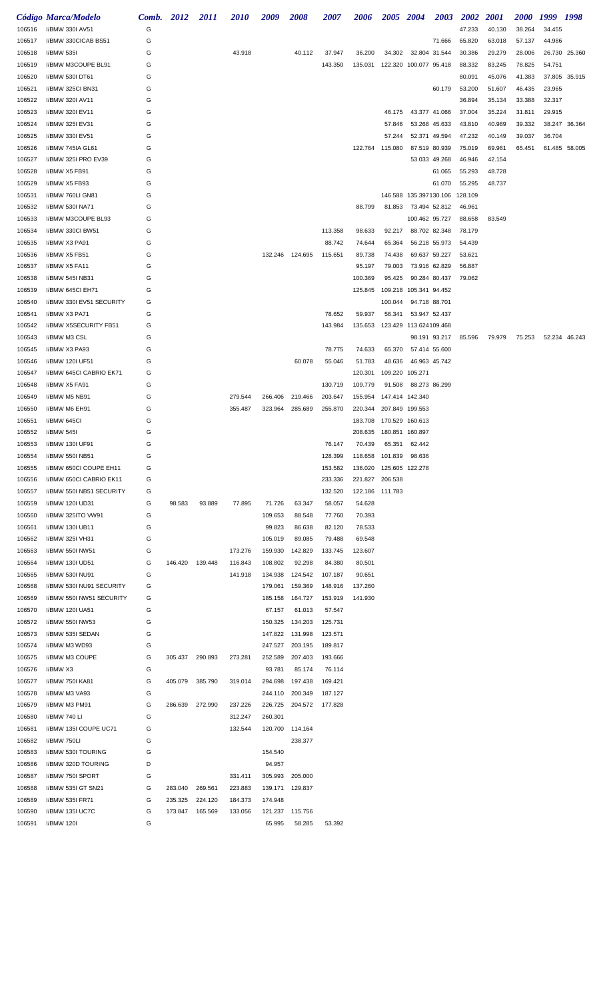|        | Código Marca/Modelo      | Comb. | 2012    | 2011    | <i>2010</i> | 2009            | 2008            | <i><b>2007</b></i> | 2006                              | 2005 2004              |                        | 2003          | 2002    | <i>2001</i> | <i><b>2000</b></i> | 1999   | 1998          |
|--------|--------------------------|-------|---------|---------|-------------|-----------------|-----------------|--------------------|-----------------------------------|------------------------|------------------------|---------------|---------|-------------|--------------------|--------|---------------|
| 106516 | I/BMW 330I AV51          | G     |         |         |             |                 |                 |                    |                                   |                        |                        |               | 47.233  | 40.130      | 38.264             | 34.455 |               |
| 106517 | I/BMW 330CICAB BS51      | G     |         |         |             |                 |                 |                    |                                   |                        |                        | 71.666        | 65.820  | 63.018      | 57.137             | 44.986 |               |
| 106518 | I/BMW 535I               | G     |         |         | 43.918      |                 | 40.112          | 37.947             | 36.200                            | 34.302                 | 32.804 31.544          |               | 30.386  | 29.279      | 28.006             |        | 26.730 25.360 |
| 106519 | I/BMW M3COUPE BL91       | G     |         |         |             |                 |                 | 143.350            | 135.031                           | 122.320 100.077 95.418 |                        |               | 88.332  | 83.245      | 78.825             | 54.751 |               |
| 106520 | I/BMW 530I DT61          | G     |         |         |             |                 |                 |                    |                                   |                        |                        |               | 80.091  | 45.076      | 41.383             |        | 37.805 35.915 |
| 106521 | I/BMW 325CI BN31         | G     |         |         |             |                 |                 |                    |                                   |                        |                        | 60.179        | 53.200  | 51.607      | 46.435             | 23.965 |               |
| 106522 | I/BMW 320I AV11          | G     |         |         |             |                 |                 |                    |                                   |                        |                        |               | 36.894  | 35.134      | 33.388             | 32.317 |               |
|        |                          | G     |         |         |             |                 |                 |                    |                                   |                        |                        |               |         |             |                    |        |               |
| 106523 | I/BMW 320I EV11          |       |         |         |             |                 |                 |                    |                                   | 46.175                 |                        | 43.377 41.066 | 37.004  | 35.224      | 31.811             | 29.915 |               |
| 106524 | I/BMW 325I EV31          | G     |         |         |             |                 |                 |                    |                                   | 57.846                 |                        | 53.268 45.633 | 43.810  | 40.989      | 39.332             |        | 38.247 36.364 |
| 106525 | I/BMW 330I EV51          | G     |         |         |             |                 |                 |                    |                                   | 57.244                 |                        | 52.371 49.594 | 47.232  | 40.149      | 39.037             | 36.704 |               |
| 106526 | I/BMW 745IA GL61         | G     |         |         |             |                 |                 |                    | 122.764 115.080                   |                        |                        | 87.519 80.939 | 75.019  | 69.961      | 65.451             |        | 61.485 58.005 |
| 106527 | I/BMW 325I PRO EV39      | G     |         |         |             |                 |                 |                    |                                   |                        |                        | 53.033 49.268 | 46.946  | 42.154      |                    |        |               |
| 106528 | I/BMW X5 FB91            | G     |         |         |             |                 |                 |                    |                                   |                        |                        | 61.065        | 55.293  | 48.728      |                    |        |               |
| 106529 | I/BMW X5 FB93            | G     |         |         |             |                 |                 |                    |                                   |                        |                        | 61.070        | 55.295  | 48.737      |                    |        |               |
| 106531 | I/BMW 760LI GN81         | G     |         |         |             |                 |                 |                    |                                   |                        | 146.588 135.397130.106 |               | 128.109 |             |                    |        |               |
| 106532 | I/BMW 530I NA71          | G     |         |         |             |                 |                 |                    | 88.799                            |                        | 81.853 73.494 52.812   |               | 46.961  |             |                    |        |               |
| 106533 | I/BMW M3COUPE BL93       | G     |         |         |             |                 |                 |                    |                                   |                        | 100.462 95.727         |               | 88.658  | 83.549      |                    |        |               |
| 106534 | I/BMW 330CI BW51         | G     |         |         |             |                 |                 | 113.358            | 98.633                            | 92.217                 |                        | 88.702 82.348 | 78.179  |             |                    |        |               |
| 106535 | I/BMW X3 PA91            | G     |         |         |             |                 |                 | 88.742             | 74.644                            | 65.364                 |                        | 56.218 55.973 | 54.439  |             |                    |        |               |
| 106536 | I/BMW X5 FB51            | G     |         |         |             |                 | 132.246 124.695 | 115.651            | 89.738                            | 74.438                 |                        | 69.637 59.227 | 53.621  |             |                    |        |               |
| 106537 | I/BMW X5 FA11            | G     |         |         |             |                 |                 |                    | 95.197                            | 79.003                 |                        | 73.916 62.829 | 56.887  |             |                    |        |               |
| 106538 | I/BMW 545I NB31          | G     |         |         |             |                 |                 |                    | 100.369                           | 95.425                 |                        | 90.284 80.437 | 79.062  |             |                    |        |               |
|        |                          |       |         |         |             |                 |                 |                    |                                   |                        |                        |               |         |             |                    |        |               |
| 106539 | I/BMW 645CI EH71         | G     |         |         |             |                 |                 |                    | 125.845                           | 109.218 105.341 94.452 |                        |               |         |             |                    |        |               |
| 106540 | I/BMW 330I EV51 SECURITY | G     |         |         |             |                 |                 |                    |                                   | 100.044                | 94.718 88.701          |               |         |             |                    |        |               |
| 106541 | I/BMW X3 PA71            | G     |         |         |             |                 |                 | 78.652             | 59.937                            | 56.341                 | 53.947 52.437          |               |         |             |                    |        |               |
| 106542 | I/BMW X5SECURITY FB51    | G     |         |         |             |                 |                 | 143.984            | 135.653                           |                        | 123.429 113.624109.468 |               |         |             |                    |        |               |
| 106543 | I/BMW M3 CSL             | G     |         |         |             |                 |                 |                    |                                   |                        |                        | 98.191 93.217 | 85.596  | 79.979      | 75.253             |        | 52.234 46.243 |
| 106545 | I/BMW X3 PA93            | G     |         |         |             |                 |                 | 78.775             | 74.633                            | 65.370                 |                        | 57.414 55.600 |         |             |                    |        |               |
| 106546 | I/BMW 120I UF51          | G     |         |         |             |                 | 60.078          | 55.046             | 51.783                            | 48.636                 |                        | 46.963 45.742 |         |             |                    |        |               |
| 106547 | I/BMW 645CI CABRIO EK71  | G     |         |         |             |                 |                 |                    | 120.301                           | 109.220 105.271        |                        |               |         |             |                    |        |               |
| 106548 | I/BMW X5 FA91            | G     |         |         |             |                 |                 | 130.719            | 109.779                           | 91.508                 | 88.273 86.299          |               |         |             |                    |        |               |
| 106549 | I/BMW M5 NB91            | G     |         |         | 279.544     | 266.406         | 219.466         | 203.647            | 155.954                           | 147.414 142.340        |                        |               |         |             |                    |        |               |
| 106550 | I/BMW M6 EH91            | G     |         |         | 355.487     | 323.964         | 285.689         | 255.870            | 220.344                           | 207.849 199.553        |                        |               |         |             |                    |        |               |
| 106551 | I/BMW 645CI              | G     |         |         |             |                 |                 |                    | 183.708                           | 170.529 160.613        |                        |               |         |             |                    |        |               |
| 106552 | I/BMW 5451               | G     |         |         |             |                 |                 |                    |                                   |                        |                        |               |         |             |                    |        |               |
|        |                          |       |         |         |             |                 |                 |                    | 208.635                           | 180.851 160.897        |                        |               |         |             |                    |        |               |
| 106553 | I/BMW 130I UF91          | G     |         |         |             |                 |                 | 76.147             | 70.439                            | 65.351                 | 62.442                 |               |         |             |                    |        |               |
| 106554 | I/BMW 550I NB51          | G     |         |         |             |                 |                 |                    | 128.399  118.658  101.839  98.636 |                        |                        |               |         |             |                    |        |               |
| 106555 | I/BMW 650CI COUPE EH11   | G     |         |         |             |                 |                 | 153.582            | 136.020 125.605 122.278           |                        |                        |               |         |             |                    |        |               |
| 106556 | I/BMW 650CI CABRIO EK11  | G     |         |         |             |                 |                 | 233.336            | 221.827 206.538                   |                        |                        |               |         |             |                    |        |               |
| 106557 | I/BMW 550I NB51 SECURITY | G     |         |         |             |                 |                 | 132.520            | 122.186 111.783                   |                        |                        |               |         |             |                    |        |               |
| 106559 | I/BMW 120I UD31          | G     | 98.583  | 93.889  | 77.895      | 71.726          | 63.347          | 58.057             | 54.628                            |                        |                        |               |         |             |                    |        |               |
| 106560 | I/BMW 325ITO VW91        | G     |         |         |             | 109.653         | 88.548          | 77.760             | 70.393                            |                        |                        |               |         |             |                    |        |               |
| 106561 | I/BMW 130I UB11          | G     |         |         |             | 99.823          | 86.638          | 82.120             | 78.533                            |                        |                        |               |         |             |                    |        |               |
| 106562 | I/BMW 325I VH31          | G     |         |         |             | 105.019         | 89.085          | 79.488             | 69.548                            |                        |                        |               |         |             |                    |        |               |
| 106563 | I/BMW 550I NW51          | G     |         |         | 173.276     | 159.930         | 142.829         | 133.745            | 123.607                           |                        |                        |               |         |             |                    |        |               |
| 106564 | I/BMW 130I UD51          | G     | 146.420 | 139.448 | 116.843     | 108.802         | 92.298          | 84.380             | 80.501                            |                        |                        |               |         |             |                    |        |               |
| 106565 | I/BMW 530I NU91          | G     |         |         | 141.918     | 134.938         | 124.542         | 107.187            | 90.651                            |                        |                        |               |         |             |                    |        |               |
| 106568 | I/BMW 530I NU91 SECURITY | G     |         |         |             | 179.061         | 159.369         | 148.916            | 137.260                           |                        |                        |               |         |             |                    |        |               |
| 106569 | I/BMW 550I NW51 SECURITY | G     |         |         |             | 185.158         | 164.727         | 153.919            | 141.930                           |                        |                        |               |         |             |                    |        |               |
|        |                          |       |         |         |             |                 |                 |                    |                                   |                        |                        |               |         |             |                    |        |               |
| 106570 | I/BMW 120I UA51          | G     |         |         |             | 67.157          | 61.013          | 57.547             |                                   |                        |                        |               |         |             |                    |        |               |
| 106572 | I/BMW 550I NW53          | G     |         |         |             | 150.325         | 134.203         | 125.731            |                                   |                        |                        |               |         |             |                    |        |               |
| 106573 | I/BMW 535I SEDAN         | G     |         |         |             | 147.822         | 131.998         | 123.571            |                                   |                        |                        |               |         |             |                    |        |               |
| 106574 | I/BMW M3 WD93            | G     |         |         |             | 247.527         | 203.195         | 189.817            |                                   |                        |                        |               |         |             |                    |        |               |
| 106575 | I/BMW M3 COUPE           | G     | 305.437 | 290.893 | 273.281     | 252.589         | 207.403         | 193.666            |                                   |                        |                        |               |         |             |                    |        |               |
| 106576 | I/BMW X3                 | G     |         |         |             | 93.781          | 85.174          | 76.114             |                                   |                        |                        |               |         |             |                    |        |               |
| 106577 | I/BMW 750I KA81          | G     | 405.079 | 385.790 | 319.014     | 294.698         | 197.438         | 169.421            |                                   |                        |                        |               |         |             |                    |        |               |
| 106578 | I/BMW M3 VA93            | G     |         |         |             | 244.110         | 200.349         | 187.127            |                                   |                        |                        |               |         |             |                    |        |               |
| 106579 | I/BMW M3 PM91            | G     | 286.639 | 272.990 | 237.226     | 226.725         | 204.572         | 177.828            |                                   |                        |                        |               |         |             |                    |        |               |
| 106580 | I/BMW 740 LI             | G     |         |         | 312.247     | 260.301         |                 |                    |                                   |                        |                        |               |         |             |                    |        |               |
| 106581 | I/BMW 135I COUPE UC71    | G     |         |         | 132.544     | 120.700 114.164 |                 |                    |                                   |                        |                        |               |         |             |                    |        |               |
| 106582 | I/BMW 750LI              | G     |         |         |             |                 | 238.377         |                    |                                   |                        |                        |               |         |             |                    |        |               |
| 106583 | I/BMW 530I TOURING       | G     |         |         |             | 154.540         |                 |                    |                                   |                        |                        |               |         |             |                    |        |               |
| 106586 | I/BMW 320D TOURING       | D     |         |         |             | 94.957          |                 |                    |                                   |                        |                        |               |         |             |                    |        |               |
| 106587 | I/BMW 750I SPORT         | G     |         |         | 331.411     | 305.993         | 205.000         |                    |                                   |                        |                        |               |         |             |                    |        |               |
|        |                          |       |         |         |             |                 |                 |                    |                                   |                        |                        |               |         |             |                    |        |               |
| 106588 | I/BMW 535I GT SN21       | G     | 283.040 | 269.561 | 223.883     | 139.171         | 129.837         |                    |                                   |                        |                        |               |         |             |                    |        |               |
| 106589 | I/BMW 535I FR71          | G     | 235.325 | 224.120 | 184.373     | 174.948         |                 |                    |                                   |                        |                        |               |         |             |                    |        |               |
| 106590 | I/BMW 135I UC7C          | G     | 173.847 | 165.569 | 133.056     | 121.237 115.756 |                 |                    |                                   |                        |                        |               |         |             |                    |        |               |
| 106591 | I/BMW 120I               | G     |         |         |             | 65.995          | 58.285          | 53.392             |                                   |                        |                        |               |         |             |                    |        |               |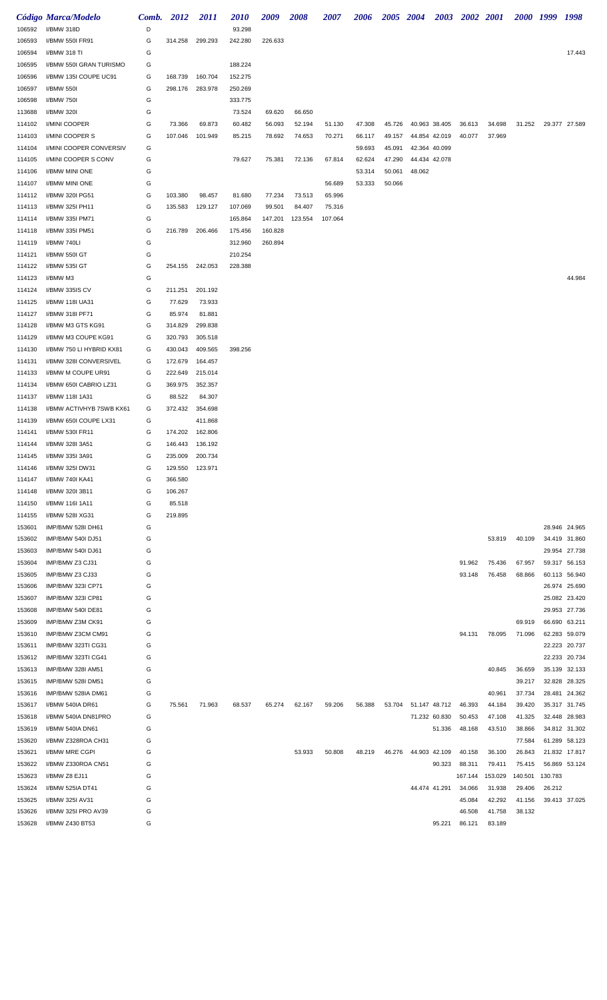|        | Código Marca/Modelo      | Comb. | 2012    | <i>2011</i> | <i>2010</i> | 2009    | 2008    | 2007    | 2006   | 2005 2004 |               |        | 2003 2002 2001 |         | 2000 1999 |         | 1998          |
|--------|--------------------------|-------|---------|-------------|-------------|---------|---------|---------|--------|-----------|---------------|--------|----------------|---------|-----------|---------|---------------|
| 106592 | I/BMW 318D               | D     |         |             | 93.298      |         |         |         |        |           |               |        |                |         |           |         |               |
| 106593 | I/BMW 550I FR91          | G     | 314.258 | 299.293     | 242.280     | 226.633 |         |         |        |           |               |        |                |         |           |         |               |
| 106594 | I/BMW 318 TI             | G     |         |             |             |         |         |         |        |           |               |        |                |         |           |         | 17.443        |
| 106595 | I/BMW 550I GRAN TURISMO  | G     |         |             | 188.224     |         |         |         |        |           |               |        |                |         |           |         |               |
| 106596 | I/BMW 135I COUPE UC91    | G     | 168.739 | 160.704     | 152.275     |         |         |         |        |           |               |        |                |         |           |         |               |
| 106597 | I/BMW 550I               | G     | 298.176 | 283.978     | 250.269     |         |         |         |        |           |               |        |                |         |           |         |               |
| 106598 | I/BMW 750I               | G     |         |             | 333.775     |         |         |         |        |           |               |        |                |         |           |         |               |
| 113688 | I/BMW 320I               | G     |         |             | 73.524      | 69.620  | 66.650  |         |        |           |               |        |                |         |           |         |               |
| 114102 | I/MINI COOPER            | G     | 73.366  | 69.873      | 60.482      | 56.093  | 52.194  | 51.130  | 47.308 | 45.726    | 40.963 38.405 |        | 36.613         | 34.698  | 31.252    |         | 29.377 27.589 |
| 114103 | I/MINI COOPER S          | G     | 107.046 | 101.949     | 85.215      | 78.692  | 74.653  | 70.271  | 66.117 | 49.157    | 44.854 42.019 |        | 40.077         | 37.969  |           |         |               |
| 114104 | I/MINI COOPER CONVERSIV  | G     |         |             |             |         |         |         | 59.693 | 45.091    | 42.364 40.099 |        |                |         |           |         |               |
| 114105 | I/MINI COOPER S CONV     | G     |         |             | 79.627      | 75.381  | 72.136  | 67.814  | 62.624 | 47.290    | 44.434 42.078 |        |                |         |           |         |               |
| 114106 | I/BMW MINI ONE           | G     |         |             |             |         |         |         | 53.314 | 50.061    | 48.062        |        |                |         |           |         |               |
| 114107 | I/BMW MINI ONE           | G     |         |             |             |         |         | 56.689  | 53.333 | 50.066    |               |        |                |         |           |         |               |
| 114112 | I/BMW 320I PG51          | G     | 103.380 | 98.457      | 81.680      | 77.234  | 73.513  | 65.996  |        |           |               |        |                |         |           |         |               |
| 114113 | I/BMW 325I PH11          | G     | 135.583 | 129.127     | 107.069     | 99.501  | 84.407  | 75.316  |        |           |               |        |                |         |           |         |               |
| 114114 | I/BMW 335I PM71          | G     |         |             | 165.864     | 147.201 | 123.554 | 107.064 |        |           |               |        |                |         |           |         |               |
| 114118 | I/BMW 335I PM51          | G     | 216.789 | 206.466     | 175.456     | 160.828 |         |         |        |           |               |        |                |         |           |         |               |
| 114119 | I/BMW 740LI              | G     |         |             | 312.960     | 260.894 |         |         |        |           |               |        |                |         |           |         |               |
| 114121 | I/BMW 550I GT            | G     |         |             | 210.254     |         |         |         |        |           |               |        |                |         |           |         |               |
| 114122 | I/BMW 535I GT            | G     | 254.155 | 242.053     | 228.388     |         |         |         |        |           |               |        |                |         |           |         |               |
| 114123 | I/BMW M3                 | G     |         |             |             |         |         |         |        |           |               |        |                |         |           |         | 44.984        |
| 114124 | I/BMW 335IS CV           | G     | 211.251 | 201.192     |             |         |         |         |        |           |               |        |                |         |           |         |               |
| 114125 | I/BMW 118I UA31          | G     | 77.629  | 73.933      |             |         |         |         |        |           |               |        |                |         |           |         |               |
| 114127 | I/BMW 318I PF71          | G     | 85.974  | 81.881      |             |         |         |         |        |           |               |        |                |         |           |         |               |
| 114128 | I/BMW M3 GTS KG91        | G     | 314.829 | 299.838     |             |         |         |         |        |           |               |        |                |         |           |         |               |
| 114129 | I/BMW M3 COUPE KG91      | G     | 320.793 | 305.518     |             |         |         |         |        |           |               |        |                |         |           |         |               |
| 114130 | I/BMW 750 LI HYBRID KX81 | G     | 430.043 | 409.565     | 398.256     |         |         |         |        |           |               |        |                |         |           |         |               |
| 114131 | I/BMW 328I CONVERSIVEL   | G     | 172.679 | 164.457     |             |         |         |         |        |           |               |        |                |         |           |         |               |
| 114133 | I/BMW M COUPE UR91       | G     | 222.649 | 215.014     |             |         |         |         |        |           |               |        |                |         |           |         |               |
| 114134 | I/BMW 650I CABRIO LZ31   | G     | 369.975 | 352.357     |             |         |         |         |        |           |               |        |                |         |           |         |               |
| 114137 | I/BMW 118I 1A31          | G     | 88.522  | 84.307      |             |         |         |         |        |           |               |        |                |         |           |         |               |
| 114138 | I/BMW ACTIVHYB 7SWB KX61 | G     | 372.432 | 354.698     |             |         |         |         |        |           |               |        |                |         |           |         |               |
| 114139 | I/BMW 650I COUPE LX31    | G     |         | 411.868     |             |         |         |         |        |           |               |        |                |         |           |         |               |
| 114141 | I/BMW 530I FR11          | G     | 174.202 | 162.806     |             |         |         |         |        |           |               |        |                |         |           |         |               |
| 114144 | I/BMW 328I 3A51          | G     | 146.443 | 136.192     |             |         |         |         |        |           |               |        |                |         |           |         |               |
| 114145 | I/BMW 335I 3A91          | G     | 235.009 | 200.734     |             |         |         |         |        |           |               |        |                |         |           |         |               |
| 114146 | I/BMW 325I DW31          | G     | 129.550 | 123.971     |             |         |         |         |        |           |               |        |                |         |           |         |               |
| 114147 | I/BMW 740I KA41          | G     | 366.580 |             |             |         |         |         |        |           |               |        |                |         |           |         |               |
| 114148 | I/BMW 320I 3B11          | G     | 106.267 |             |             |         |         |         |        |           |               |        |                |         |           |         |               |
| 114150 | I/BMW 116I 1A11          | G     | 85.518  |             |             |         |         |         |        |           |               |        |                |         |           |         |               |
| 114155 | I/BMW 528I XG31          | G     | 219.895 |             |             |         |         |         |        |           |               |        |                |         |           |         |               |
| 153601 | IMP/BMW 528I DH61        | G     |         |             |             |         |         |         |        |           |               |        |                |         |           |         | 28.946 24.965 |
| 153602 | IMP/BMW 540I DJ51        | G     |         |             |             |         |         |         |        |           |               |        |                | 53.819  | 40.109    |         | 34.419 31.860 |
| 153603 | IMP/BMW 540I DJ61        | G     |         |             |             |         |         |         |        |           |               |        |                |         |           |         | 29.954 27.738 |
| 153604 | IMP/BMW Z3 CJ31          | G     |         |             |             |         |         |         |        |           |               |        | 91.962         | 75.436  | 67.957    |         | 59.317 56.153 |
| 153605 | IMP/BMW Z3 CJ33          | G     |         |             |             |         |         |         |        |           |               |        | 93.148         | 76.458  | 68.866    |         | 60.113 56.940 |
| 153606 | IMP/BMW 323I CP71        | G     |         |             |             |         |         |         |        |           |               |        |                |         |           |         | 26.974 25.690 |
| 153607 | IMP/BMW 323I CP81        | G     |         |             |             |         |         |         |        |           |               |        |                |         |           |         | 25.082 23.420 |
| 153608 | IMP/BMW 540I DE81        | G     |         |             |             |         |         |         |        |           |               |        |                |         |           |         | 29.953 27.736 |
| 153609 | IMP/BMW Z3M CK91         | G     |         |             |             |         |         |         |        |           |               |        |                |         | 69.919    |         | 66.690 63.211 |
| 153610 | IMP/BMW Z3CM CM91        | G     |         |             |             |         |         |         |        |           |               |        | 94.131         | 78.095  | 71.096    |         | 62.283 59.079 |
| 153611 | IMP/BMW 323TI CG31       | G     |         |             |             |         |         |         |        |           |               |        |                |         |           |         | 22.223 20.737 |
| 153612 | IMP/BMW 323TI CG41       | G     |         |             |             |         |         |         |        |           |               |        |                |         |           |         | 22.233 20.734 |
| 153613 | IMP/BMW 328I AM51        | G     |         |             |             |         |         |         |        |           |               |        |                | 40.845  | 36.659    |         | 35.139 32.133 |
| 153615 | IMP/BMW 528I DM51        | G     |         |             |             |         |         |         |        |           |               |        |                |         | 39.217    |         | 32.828 28.325 |
| 153616 | IMP/BMW 528IA DM61       | G     |         |             |             |         |         |         |        |           |               |        |                | 40.961  | 37.734    |         | 28.481 24.362 |
| 153617 | I/BMW 540IA DR61         | G     | 75.561  | 71.963      | 68.537      | 65.274  | 62.167  | 59.206  | 56.388 | 53.704    | 51.147 48.712 |        | 46.393         | 44.184  | 39.420    |         | 35.317 31.745 |
| 153618 | I/BMW 540IA DN81PRO      | G     |         |             |             |         |         |         |        |           | 71.232 60.830 |        | 50.453         | 47.108  | 41.325    |         | 32.448 28.983 |
| 153619 | I/BMW 540IA DN61         | G     |         |             |             |         |         |         |        |           |               | 51.336 | 48.168         | 43.510  | 38.866    |         | 34.812 31.302 |
| 153620 | I/BMW Z328ROA CH31       | G     |         |             |             |         |         |         |        |           |               |        |                |         | 77.584    |         | 61.289 58.123 |
| 153621 | I/BMW MRE CGPI           | G     |         |             |             |         | 53.933  | 50.808  | 48.219 | 46.276    | 44.903 42.109 |        | 40.158         | 36.100  | 26.843    |         | 21.832 17.817 |
| 153622 | I/BMW Z330ROA CN51       | G     |         |             |             |         |         |         |        |           |               | 90.323 | 88.311         | 79.411  | 75.415    |         | 56.869 53.124 |
| 153623 | I/BMW Z8 EJ11            | G     |         |             |             |         |         |         |        |           |               |        | 167.144        | 153.029 | 140.501   | 130.783 |               |
| 153624 | I/BMW 525IA DT41         | G     |         |             |             |         |         |         |        |           | 44.474 41.291 |        | 34.066         | 31.938  | 29.406    | 26.212  |               |
| 153625 | I/BMW 325I AV31          | G     |         |             |             |         |         |         |        |           |               |        | 45.084         | 42.292  | 41.156    |         | 39.413 37.025 |
| 153626 | I/BMW 325I PRO AV39      | G     |         |             |             |         |         |         |        |           |               |        | 46.508         | 41.758  | 38.132    |         |               |
| 153628 | I/BMW Z430 BT53          | G     |         |             |             |         |         |         |        |           |               | 95.221 | 86.121         | 83.189  |           |         |               |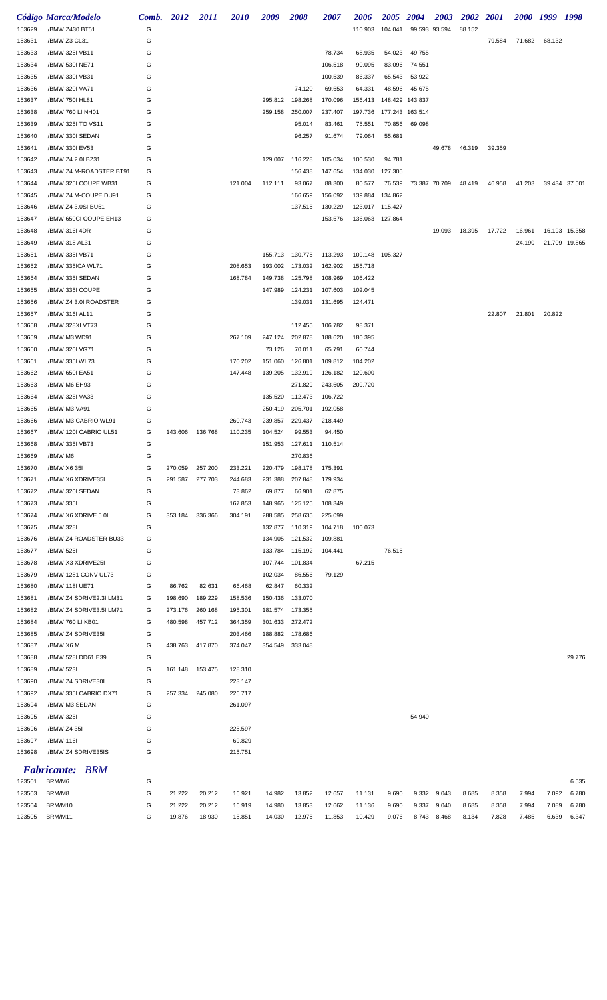|        | Código Marca/Modelo      | Comb. 2012 |         | <b>2011</b> | 2010    | 2009    | 2008            | 2007    | 2006            | 2005            | 2004          | 2003        | <b>2002</b> | <b>2001</b> |        | 2000 1999 1998 |               |
|--------|--------------------------|------------|---------|-------------|---------|---------|-----------------|---------|-----------------|-----------------|---------------|-------------|-------------|-------------|--------|----------------|---------------|
| 153629 | I/BMW Z430 BT51          | G          |         |             |         |         |                 |         | 110.903         | 104.041         | 99.593 93.594 |             | 88.152      |             |        |                |               |
| 153631 | I/BMW Z3 CL31            | G          |         |             |         |         |                 |         |                 |                 |               |             |             | 79.584      | 71.682 | 68.132         |               |
| 153633 | I/BMW 325I VB11          | G          |         |             |         |         |                 | 78.734  | 68.935          | 54.023          | 49.755        |             |             |             |        |                |               |
| 153634 | I/BMW 530I NE71          | G          |         |             |         |         |                 | 106.518 | 90.095          | 83.096          | 74.551        |             |             |             |        |                |               |
| 153635 | I/BMW 330I VB31          | G          |         |             |         |         |                 | 100.539 | 86.337          | 65.543          | 53.922        |             |             |             |        |                |               |
| 153636 | I/BMW 320I VA71          | G          |         |             |         |         | 74.120          | 69.653  | 64.331          | 48.596          | 45.675        |             |             |             |        |                |               |
| 153637 | I/BMW 750I HL81          | G          |         |             |         | 295.812 | 198.268         | 170.096 | 156.413         | 148.429 143.837 |               |             |             |             |        |                |               |
| 153638 | I/BMW 760 LI NH01        | G          |         |             |         | 259.158 | 250.007         | 237.407 | 197.736         | 177.243 163.514 |               |             |             |             |        |                |               |
| 153639 | I/BMW 325I TO VS11       | G          |         |             |         |         | 95.014          | 83.461  | 75.551          | 70.856          | 69.098        |             |             |             |        |                |               |
| 153640 | I/BMW 330I SEDAN         | G          |         |             |         |         | 96.257          | 91.674  | 79.064          | 55.681          |               |             |             |             |        |                |               |
| 153641 | I/BMW 330I EV53          | G          |         |             |         |         |                 |         |                 |                 |               | 49.678      | 46.319      | 39.359      |        |                |               |
| 153642 | I/BMW Z4 2.0I BZ31       | G          |         |             |         | 129.007 | 116.228         | 105.034 | 100.530         | 94.781          |               |             |             |             |        |                |               |
| 153643 | I/BMW Z4 M-ROADSTER BT91 | G          |         |             |         |         | 156.438         | 147.654 | 134.030         | 127.305         |               |             |             |             |        |                |               |
| 153644 | I/BMW 325I COUPE WB31    | G          |         |             | 121.004 | 112.111 | 93.067          | 88.300  | 80.577          | 76.539          | 73.387 70.709 |             | 48.419      | 46.958      | 41.203 |                | 39.434 37.501 |
| 153645 | I/BMW Z4 M-COUPE DU91    | G          |         |             |         |         | 166.659         | 156.092 | 139.884         | 134.862         |               |             |             |             |        |                |               |
| 153646 | I/BMW Z4 3.0SI BU51      | G          |         |             |         |         | 137.515         | 130.229 | 123.017 115.427 |                 |               |             |             |             |        |                |               |
| 153647 | I/BMW 650CI COUPE EH13   | G          |         |             |         |         |                 | 153.676 | 136.063 127.864 |                 |               |             |             |             |        |                |               |
| 153648 | I/BMW 316I 4DR           | G          |         |             |         |         |                 |         |                 |                 |               | 19.093      | 18.395      | 17.722      | 16.961 |                | 16.193 15.358 |
| 153649 | I/BMW 318 AL31           | G          |         |             |         |         |                 |         |                 |                 |               |             |             |             | 24.190 |                | 21.709 19.865 |
| 153651 | I/BMW 335I VB71          | G          |         |             |         |         | 155.713 130.775 | 113.293 | 109.148         | 105.327         |               |             |             |             |        |                |               |
| 153652 | I/BMW 335ICA WL71        | G          |         |             | 208.653 | 193.002 | 173.032         | 162.902 | 155.718         |                 |               |             |             |             |        |                |               |
| 153654 | I/BMW 335I SEDAN         | G          |         |             | 168.784 | 149.738 | 125.798         | 108.969 | 105.422         |                 |               |             |             |             |        |                |               |
| 153655 | I/BMW 335I COUPE         | G          |         |             |         | 147.989 | 124.231         | 107.603 | 102.045         |                 |               |             |             |             |        |                |               |
| 153656 | I/BMW Z4 3.0I ROADSTER   | G          |         |             |         |         | 139.031         | 131.695 | 124.471         |                 |               |             |             |             |        |                |               |
| 153657 | I/BMW 316I AL11          | G          |         |             |         |         |                 |         |                 |                 |               |             |             | 22.807      | 21.801 | 20.822         |               |
| 153658 | I/BMW 328XI VT73         | G          |         |             |         |         | 112.455         | 106.782 | 98.371          |                 |               |             |             |             |        |                |               |
| 153659 | I/BMW M3 WD91            | G          |         |             | 267.109 | 247.124 | 202.878         | 188.620 | 180.395         |                 |               |             |             |             |        |                |               |
| 153660 | I/BMW 320I VG71          | G          |         |             |         | 73.126  | 70.011          | 65.791  | 60.744          |                 |               |             |             |             |        |                |               |
| 153661 | I/BMW 335I WL73          | G          |         |             | 170.202 | 151.060 | 126.801         | 109.812 | 104.202         |                 |               |             |             |             |        |                |               |
| 153662 | I/BMW 650I EA51          | G          |         |             | 147.448 | 139.205 | 132.919         | 126.182 | 120.600         |                 |               |             |             |             |        |                |               |
| 153663 | I/BMW M6 EH93            | G          |         |             |         |         | 271.829         | 243.605 | 209.720         |                 |               |             |             |             |        |                |               |
| 153664 | I/BMW 328I VA33          | G          |         |             |         | 135.520 | 112.473         | 106.722 |                 |                 |               |             |             |             |        |                |               |
| 153665 | I/BMW M3 VA91            | G          |         |             |         | 250.419 | 205.701         | 192.058 |                 |                 |               |             |             |             |        |                |               |
| 153666 | I/BMW M3 CABRIO WL91     | G          |         |             | 260.743 | 239.857 | 229.437         | 218.449 |                 |                 |               |             |             |             |        |                |               |
| 153667 | I/BMW 120I CABRIO UL51   | G          | 143.606 | 136.768     | 110.235 | 104.524 | 99.553          | 94.450  |                 |                 |               |             |             |             |        |                |               |
| 153668 | I/BMW 335I VB73          | G          |         |             |         |         | 151.953 127.611 | 110.514 |                 |                 |               |             |             |             |        |                |               |
| 153669 | I/BMW M6                 | G          |         |             |         |         | 270.836         |         |                 |                 |               |             |             |             |        |                |               |
| 153670 | I/BMW X6 35I             | G          | 270.059 | 257.200     | 233.221 | 220.479 | 198.178         | 175.391 |                 |                 |               |             |             |             |        |                |               |
| 153671 | I/BMW X6 XDRIVE35I       | G          | 291.587 | 277.703     | 244.683 | 231.388 | 207.848         | 179.934 |                 |                 |               |             |             |             |        |                |               |
| 153672 | I/BMW 320I SEDAN         | G          |         |             | 73.862  | 69.877  | 66.901          | 62.875  |                 |                 |               |             |             |             |        |                |               |
| 153673 | I/BMW 335I               | G          |         |             | 167.853 | 148.965 | 125.125         | 108.349 |                 |                 |               |             |             |             |        |                |               |
| 153674 | I/BMW X6 XDRIVE 5.0I     | G          | 353.184 | 336.366     | 304.191 | 288.585 | 258.635         | 225.099 |                 |                 |               |             |             |             |        |                |               |
| 153675 | I/BMW 328I               | G          |         |             |         | 132.877 | 110.319         | 104.718 | 100.073         |                 |               |             |             |             |        |                |               |
| 153676 | I/BMW Z4 ROADSTER BU33   | G          |         |             |         | 134.905 | 121.532         | 109.881 |                 |                 |               |             |             |             |        |                |               |
| 153677 | I/BMW 525I               | G          |         |             |         | 133.784 | 115.192         | 104.441 |                 | 76.515          |               |             |             |             |        |                |               |
| 153678 | I/BMW X3 XDRIVE25I       | G          |         |             |         | 107.744 | 101.834         |         | 67.215          |                 |               |             |             |             |        |                |               |
| 153679 | I/BMW 1281 CONV UL73     | G          |         |             |         | 102.034 | 86.556          | 79.129  |                 |                 |               |             |             |             |        |                |               |
| 153680 | I/BMW 118I UE71          | G          | 86.762  | 82.631      | 66.468  | 62.847  | 60.332          |         |                 |                 |               |             |             |             |        |                |               |
| 153681 | I/BMW Z4 SDRIVE2.3I LM31 | G          | 198.690 | 189.229     | 158.536 | 150.436 | 133.070         |         |                 |                 |               |             |             |             |        |                |               |
| 153682 | I/BMW Z4 SDRIVE3.5I LM71 | G          | 273.176 | 260.168     | 195.301 | 181.574 | 173.355         |         |                 |                 |               |             |             |             |        |                |               |
| 153684 | I/BMW 760 LI KB01        | G          | 480.598 | 457.712     | 364.359 | 301.633 | 272.472         |         |                 |                 |               |             |             |             |        |                |               |
| 153685 | I/BMW Z4 SDRIVE35I       | G          |         |             | 203.466 | 188.882 | 178.686         |         |                 |                 |               |             |             |             |        |                |               |
| 153687 | I/BMW X6 M               | G          | 438.763 | 417.870     | 374.047 | 354.549 | 333.048         |         |                 |                 |               |             |             |             |        |                |               |
| 153688 | I/BMW 528I DD61 E39      | G          |         |             |         |         |                 |         |                 |                 |               |             |             |             |        |                | 29.776        |
| 153689 | I/BMW 523I               | G          | 161.148 | 153.475     | 128.310 |         |                 |         |                 |                 |               |             |             |             |        |                |               |
| 153690 | I/BMW Z4 SDRIVE30I       | G          |         |             | 223.147 |         |                 |         |                 |                 |               |             |             |             |        |                |               |
| 153692 | I/BMW 335I CABRIO DX71   | G          | 257.334 | 245.080     | 226.717 |         |                 |         |                 |                 |               |             |             |             |        |                |               |
| 153694 | I/BMW M3 SEDAN           | G          |         |             | 261.097 |         |                 |         |                 |                 |               |             |             |             |        |                |               |
| 153695 | I/BMW 325I               | G          |         |             |         |         |                 |         |                 |                 | 54.940        |             |             |             |        |                |               |
| 153696 | I/BMW Z4 35I             | G          |         |             | 225.597 |         |                 |         |                 |                 |               |             |             |             |        |                |               |
| 153697 | I/BMW 116I               | G          |         |             | 69.829  |         |                 |         |                 |                 |               |             |             |             |        |                |               |
| 153698 | I/BMW Z4 SDRIVE35IS      | G          |         |             | 215.751 |         |                 |         |                 |                 |               |             |             |             |        |                |               |
|        |                          |            |         |             |         |         |                 |         |                 |                 |               |             |             |             |        |                |               |
|        | <b>Fabricante: BRM</b>   |            |         |             |         |         |                 |         |                 |                 |               |             |             |             |        |                |               |
| 123501 | BRM/M6                   | G          |         |             |         |         |                 |         |                 |                 |               |             |             |             |        |                | 6.535         |
| 123503 | BRM/M8                   | G          | 21.222  | 20.212      | 16.921  | 14.982  | 13.852          | 12.657  | 11.131          | 9.690           | 9.332         | 9.043       | 8.685       | 8.358       | 7.994  | 7.092          | 6.780         |
| 123504 | BRM/M10                  | G          | 21.222  | 20.212      | 16.919  | 14.980  | 13.853          | 12.662  | 11.136          | 9.690           | 9.337         | 9.040       | 8.685       | 8.358       | 7.994  | 7.089          | 6.780         |
| 123505 | BRM/M11                  | G          | 19.876  | 18.930      | 15.851  | 14.030  | 12.975          | 11.853  | 10.429          | 9.076           |               | 8.743 8.468 | 8.134       | 7.828       | 7.485  | 6.639          | 6.347         |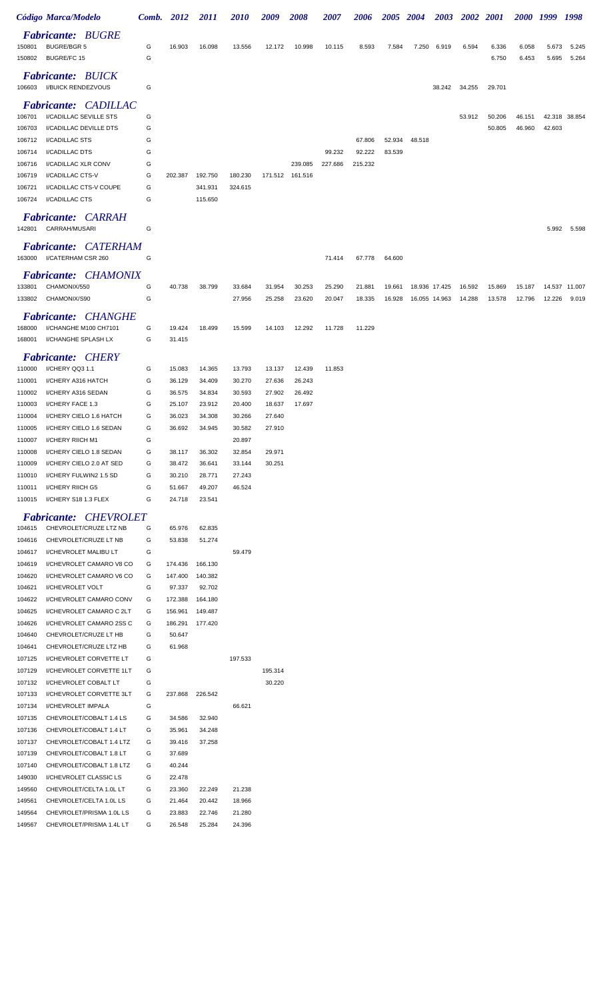|                  | Código Marca/Modelo                                  | Comb.  | 2012               | 2011               | <i>2010</i>      | 2009             | 2008             | 2007             | 2006             | 2005 2004        |        | <b>2003</b>                    | <b>2002</b>      | <b>2001</b>      |                  | 2000 1999        | 1998            |
|------------------|------------------------------------------------------|--------|--------------------|--------------------|------------------|------------------|------------------|------------------|------------------|------------------|--------|--------------------------------|------------------|------------------|------------------|------------------|-----------------|
|                  | <b>Fabricante: BUGRE</b>                             |        |                    |                    |                  |                  |                  |                  |                  |                  |        |                                |                  |                  |                  |                  |                 |
| 150801           | <b>BUGRE/BGR 5</b>                                   | G      | 16.903             | 16.098             | 13.556           | 12.172           | 10.998           | 10.115           | 8.593            | 7.584            | 7.250  | 6.919                          | 6.594            | 6.336            | 6.058            | 5.673            | 5.245           |
| 150802           | <b>BUGRE/FC 15</b>                                   | G      |                    |                    |                  |                  |                  |                  |                  |                  |        |                                |                  | 6.750            | 6.453            | 5.695            | 5.264           |
| 106603           | <b>Fabricante: BUICK</b><br>I/BUICK RENDEZVOUS       | G      |                    |                    |                  |                  |                  |                  |                  |                  |        | 38.242                         | 34.255           | 29.701           |                  |                  |                 |
|                  | <b>Fabricante:</b> CADILLAC                          |        |                    |                    |                  |                  |                  |                  |                  |                  |        |                                |                  |                  |                  |                  |                 |
| 106701           | I/CADILLAC SEVILLE STS                               | G      |                    |                    |                  |                  |                  |                  |                  |                  |        |                                | 53.912           | 50.206           | 46.151           | 42.318 38.854    |                 |
| 106703<br>106712 | I/CADILLAC DEVILLE DTS<br>I/CADILLAC STS             | G<br>G |                    |                    |                  |                  |                  |                  | 67.806           | 52.934           | 48.518 |                                |                  | 50.805           | 46.960           | 42.603           |                 |
| 106714           | I/CADILLAC DTS                                       | G      |                    |                    |                  |                  |                  | 99.232           | 92.222           | 83.539           |        |                                |                  |                  |                  |                  |                 |
| 106716           | I/CADILLAC XLR CONV                                  | G      |                    |                    |                  |                  | 239.085          | 227.686          | 215.232          |                  |        |                                |                  |                  |                  |                  |                 |
| 106719           | I/CADILLAC CTS-V                                     | G      | 202.387            | 192.750            | 180.230          |                  | 171.512 161.516  |                  |                  |                  |        |                                |                  |                  |                  |                  |                 |
| 106721           | I/CADILLAC CTS-V COUPE                               | G      |                    | 341.931            | 324.615          |                  |                  |                  |                  |                  |        |                                |                  |                  |                  |                  |                 |
| 106724           | I/CADILLAC CTS                                       | G      |                    | 115.650            |                  |                  |                  |                  |                  |                  |        |                                |                  |                  |                  |                  |                 |
| 142801           | <b>Fabricante: CARRAH</b><br>CARRAH/MUSARI           | G      |                    |                    |                  |                  |                  |                  |                  |                  |        |                                |                  |                  |                  | 5.992            | 5.598           |
|                  | <b>Fabricante: CATERHAM</b>                          |        |                    |                    |                  |                  |                  |                  |                  |                  |        |                                |                  |                  |                  |                  |                 |
| 163000           | I/CATERHAM CSR 260                                   | G      |                    |                    |                  |                  |                  | 71.414           | 67.778           | 64.600           |        |                                |                  |                  |                  |                  |                 |
|                  | Fabricante: CHAMONIX<br>CHAMONIX/550                 | G      |                    |                    |                  |                  |                  |                  |                  |                  |        |                                |                  |                  |                  |                  |                 |
| 133801<br>133802 | CHAMONIX/S90                                         | G      | 40.738             | 38.799             | 33.684<br>27.956 | 31.954<br>25.258 | 30.253<br>23.620 | 25.290<br>20.047 | 21.881<br>18.335 | 19.661<br>16.928 |        | 18.936 17.425<br>16.055 14.963 | 16.592<br>14.288 | 15.869<br>13.578 | 15.187<br>12.796 | 14.537<br>12.226 | 11.007<br>9.019 |
|                  |                                                      |        |                    |                    |                  |                  |                  |                  |                  |                  |        |                                |                  |                  |                  |                  |                 |
|                  | <b>Fabricante: CHANGHE</b>                           |        |                    |                    |                  |                  |                  |                  |                  |                  |        |                                |                  |                  |                  |                  |                 |
| 168000<br>168001 | I/CHANGHE M100 CH7101<br>I/CHANGHE SPLASH LX         | G<br>G | 19.424<br>31.415   | 18.499             | 15.599           | 14.103           | 12.292           | 11.728           | 11.229           |                  |        |                                |                  |                  |                  |                  |                 |
|                  |                                                      |        |                    |                    |                  |                  |                  |                  |                  |                  |        |                                |                  |                  |                  |                  |                 |
|                  | <b>Fabricante: CHERY</b>                             |        |                    |                    |                  |                  |                  |                  |                  |                  |        |                                |                  |                  |                  |                  |                 |
| 110000<br>110001 | I/CHERY QQ3 1.1<br>I/CHERY A316 HATCH                | G<br>G | 15.083<br>36.129   | 14.365<br>34.409   | 13.793<br>30.270 | 13.137<br>27.636 | 12.439<br>26.243 | 11.853           |                  |                  |        |                                |                  |                  |                  |                  |                 |
| 110002           | I/CHERY A316 SEDAN                                   | G      | 36.575             | 34.834             | 30.593           | 27.902           | 26.492           |                  |                  |                  |        |                                |                  |                  |                  |                  |                 |
| 110003           | I/CHERY FACE 1.3                                     | G      | 25.107             | 23.912             | 20.400           | 18.637           | 17.697           |                  |                  |                  |        |                                |                  |                  |                  |                  |                 |
| 110004           | I/CHERY CIELO 1.6 HATCH                              | G      | 36.023             | 34.308             | 30.266           | 27.640           |                  |                  |                  |                  |        |                                |                  |                  |                  |                  |                 |
| 110005           | I/CHERY CIELO 1.6 SEDAN                              | G      | 36.692             | 34.945             | 30.582           | 27.910           |                  |                  |                  |                  |        |                                |                  |                  |                  |                  |                 |
| 110007           | I/CHERY RIICH M1                                     | G      |                    |                    | 20.897           |                  |                  |                  |                  |                  |        |                                |                  |                  |                  |                  |                 |
| 110008           | I/CHERY CIELO 1.8 SEDAN                              | G      | 38.117             | 36.302             | 32.854           | 29.971           |                  |                  |                  |                  |        |                                |                  |                  |                  |                  |                 |
| 110009<br>110010 | I/CHERY CIELO 2.0 AT SED<br>I/CHERY FULWIN2 1.5 SD   | G<br>G | 38.472<br>30.210   | 36.641<br>28.771   | 33.144<br>27.243 | 30.251           |                  |                  |                  |                  |        |                                |                  |                  |                  |                  |                 |
| 110011           | I/CHERY RIICH G5                                     | G      | 51.667             | 49.207             | 46.524           |                  |                  |                  |                  |                  |        |                                |                  |                  |                  |                  |                 |
| 110015           | I/CHERY S18 1.3 FLEX                                 | G      | 24.718             | 23.541             |                  |                  |                  |                  |                  |                  |        |                                |                  |                  |                  |                  |                 |
|                  | <b>Fabricante: CHEVROLET</b>                         |        |                    |                    |                  |                  |                  |                  |                  |                  |        |                                |                  |                  |                  |                  |                 |
| 104615           | CHEVROLET/CRUZE LTZ NB                               | G      | 65.976             | 62.835             |                  |                  |                  |                  |                  |                  |        |                                |                  |                  |                  |                  |                 |
| 104616           | CHEVROLET/CRUZE LT NB                                | G      | 53.838             | 51.274             |                  |                  |                  |                  |                  |                  |        |                                |                  |                  |                  |                  |                 |
| 104617           | I/CHEVROLET MALIBU LT                                | G      |                    |                    | 59.479           |                  |                  |                  |                  |                  |        |                                |                  |                  |                  |                  |                 |
| 104619           | I/CHEVROLET CAMARO V8 CO                             | G      | 174.436            | 166.130            |                  |                  |                  |                  |                  |                  |        |                                |                  |                  |                  |                  |                 |
| 104620           | I/CHEVROLET CAMARO V6 CO                             | G      | 147.400            | 140.382            |                  |                  |                  |                  |                  |                  |        |                                |                  |                  |                  |                  |                 |
| 104621           | I/CHEVROLET VOLT                                     | G      | 97.337             | 92.702             |                  |                  |                  |                  |                  |                  |        |                                |                  |                  |                  |                  |                 |
| 104622           | I/CHEVROLET CAMARO CONV<br>I/CHEVROLET CAMARO C 2LT  | G<br>G | 172.388<br>156.961 | 164.180<br>149.487 |                  |                  |                  |                  |                  |                  |        |                                |                  |                  |                  |                  |                 |
| 104625<br>104626 | I/CHEVROLET CAMARO 2SS C                             | G      | 186.291            | 177.420            |                  |                  |                  |                  |                  |                  |        |                                |                  |                  |                  |                  |                 |
| 104640           | CHEVROLET/CRUZE LT HB                                | G      | 50.647             |                    |                  |                  |                  |                  |                  |                  |        |                                |                  |                  |                  |                  |                 |
| 104641           | CHEVROLET/CRUZE LTZ HB                               | G      | 61.968             |                    |                  |                  |                  |                  |                  |                  |        |                                |                  |                  |                  |                  |                 |
| 107125           | I/CHEVROLET CORVETTE LT                              | G      |                    |                    | 197.533          |                  |                  |                  |                  |                  |        |                                |                  |                  |                  |                  |                 |
| 107129           | I/CHEVROLET CORVETTE 1LT                             | G      |                    |                    |                  | 195.314          |                  |                  |                  |                  |        |                                |                  |                  |                  |                  |                 |
| 107132           | I/CHEVROLET COBALT LT                                | G      |                    |                    |                  | 30.220           |                  |                  |                  |                  |        |                                |                  |                  |                  |                  |                 |
| 107133           | I/CHEVROLET CORVETTE 3LT                             | G      | 237.868            | 226.542            |                  |                  |                  |                  |                  |                  |        |                                |                  |                  |                  |                  |                 |
| 107134<br>107135 | I/CHEVROLET IMPALA<br>CHEVROLET/COBALT 1.4 LS        | G<br>G | 34.586             | 32.940             | 66.621           |                  |                  |                  |                  |                  |        |                                |                  |                  |                  |                  |                 |
| 107136           | CHEVROLET/COBALT 1.4 LT                              | G      | 35.961             | 34.248             |                  |                  |                  |                  |                  |                  |        |                                |                  |                  |                  |                  |                 |
| 107137           | CHEVROLET/COBALT 1.4 LTZ                             | G      | 39.416             | 37.258             |                  |                  |                  |                  |                  |                  |        |                                |                  |                  |                  |                  |                 |
| 107139           | CHEVROLET/COBALT 1.8 LT                              | G      | 37.689             |                    |                  |                  |                  |                  |                  |                  |        |                                |                  |                  |                  |                  |                 |
| 107140           | CHEVROLET/COBALT 1.8 LTZ                             | G      | 40.244             |                    |                  |                  |                  |                  |                  |                  |        |                                |                  |                  |                  |                  |                 |
| 149030           | I/CHEVROLET CLASSIC LS                               | G      | 22.478             |                    |                  |                  |                  |                  |                  |                  |        |                                |                  |                  |                  |                  |                 |
| 149560           | CHEVROLET/CELTA 1.0L LT                              | G      | 23.360             | 22.249             | 21.238           |                  |                  |                  |                  |                  |        |                                |                  |                  |                  |                  |                 |
| 149561           | CHEVROLET/CELTA 1.0L LS                              | G      | 21.464             | 20.442             | 18.966           |                  |                  |                  |                  |                  |        |                                |                  |                  |                  |                  |                 |
| 149564<br>149567 | CHEVROLET/PRISMA 1.0L LS<br>CHEVROLET/PRISMA 1.4L LT | G<br>G | 23.883<br>26.548   | 22.746<br>25.284   | 21.280<br>24.396 |                  |                  |                  |                  |                  |        |                                |                  |                  |                  |                  |                 |
|                  |                                                      |        |                    |                    |                  |                  |                  |                  |                  |                  |        |                                |                  |                  |                  |                  |                 |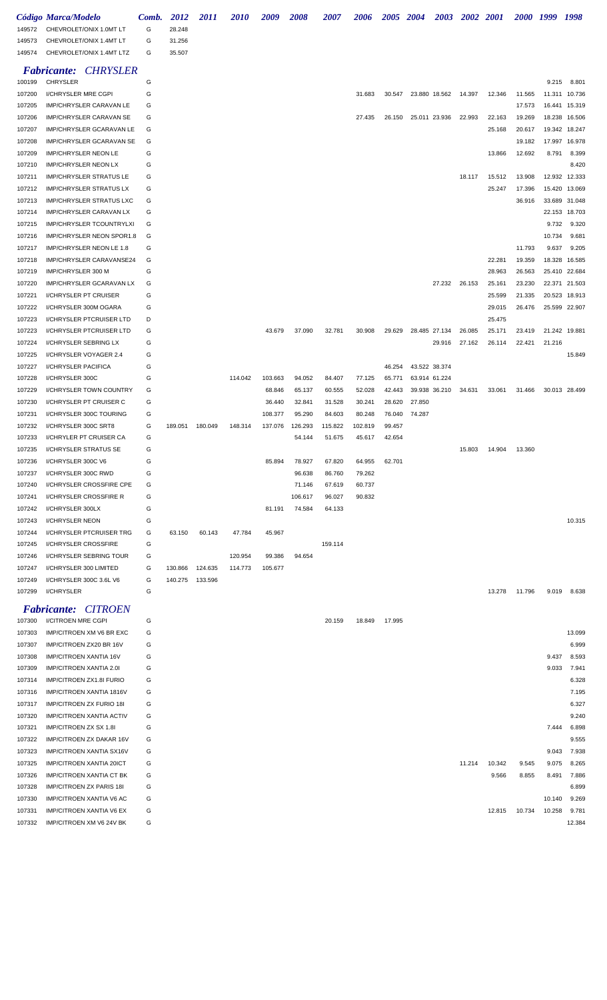|        | Código Marca/Modelo                                      | Comb. | 2012    | <i>2011</i>     | <i>2010</i> | 2009    | 2008    | <i><b>2007</b></i> | <i><b>2006</b></i> | <i><b>2005</b></i> | 2004   | <b>2003</b>   | 2002 2001 |        | 2000 1999 |        | 1998          |
|--------|----------------------------------------------------------|-------|---------|-----------------|-------------|---------|---------|--------------------|--------------------|--------------------|--------|---------------|-----------|--------|-----------|--------|---------------|
| 149572 | CHEVROLET/ONIX 1.0MT LT                                  | G     | 28.248  |                 |             |         |         |                    |                    |                    |        |               |           |        |           |        |               |
| 149573 | CHEVROLET/ONIX 1.4MT LT                                  | G     | 31.256  |                 |             |         |         |                    |                    |                    |        |               |           |        |           |        |               |
| 149574 | CHEVROLET/ONIX 1.4MT LTZ                                 | G     | 35.507  |                 |             |         |         |                    |                    |                    |        |               |           |        |           |        |               |
|        |                                                          |       |         |                 |             |         |         |                    |                    |                    |        |               |           |        |           |        |               |
| 100199 | <b>CHRYSLER</b><br><b>Fabricante:</b><br><b>CHRYSLER</b> | G     |         |                 |             |         |         |                    |                    |                    |        |               |           |        |           | 9.215  | 8.801         |
| 107200 | I/CHRYSLER MRE CGPI                                      | G     |         |                 |             |         |         |                    | 31.683             | 30.547             |        | 23.880 18.562 | 14.397    | 12.346 | 11.565    | 11.311 | 10.736        |
| 107205 | <b>IMP/CHRYSLER CARAVAN LE</b>                           | G     |         |                 |             |         |         |                    |                    |                    |        |               |           |        | 17.573    | 16.441 | 15.319        |
| 107206 | <b>IMP/CHRYSLER CARAVAN SE</b>                           | G     |         |                 |             |         |         |                    | 27.435             | 26.150             |        | 25.011 23.936 | 22.993    | 22.163 | 19.269    | 18.238 | 16.506        |
| 107207 | IMP/CHRYSLER GCARAVAN LE                                 | G     |         |                 |             |         |         |                    |                    |                    |        |               |           | 25.168 | 20.617    | 19.342 | 18.247        |
| 107208 | IMP/CHRYSLER GCARAVAN SE                                 | G     |         |                 |             |         |         |                    |                    |                    |        |               |           |        | 19.182    | 17.997 | 16.978        |
| 107209 | <b>IMP/CHRYSLER NEON LE</b>                              | G     |         |                 |             |         |         |                    |                    |                    |        |               |           | 13.866 | 12.692    | 8.791  | 8.399         |
| 107210 | <b>IMP/CHRYSLER NEON LX</b>                              | G     |         |                 |             |         |         |                    |                    |                    |        |               |           |        |           |        | 8.420         |
| 107211 | <b>IMP/CHRYSLER STRATUS LE</b>                           | G     |         |                 |             |         |         |                    |                    |                    |        |               | 18.117    | 15.512 | 13.908    | 12.932 | 12.333        |
| 107212 | <b>IMP/CHRYSLER STRATUS LX</b>                           | G     |         |                 |             |         |         |                    |                    |                    |        |               |           | 25.247 | 17.396    | 15.420 | 13.069        |
| 107213 | <b>IMP/CHRYSLER STRATUS LXC</b>                          | G     |         |                 |             |         |         |                    |                    |                    |        |               |           |        | 36.916    | 33.689 | 31.048        |
| 107214 | IMP/CHRYSLER CARAVAN LX                                  | G     |         |                 |             |         |         |                    |                    |                    |        |               |           |        |           | 22.153 | 18.703        |
| 107215 | IMP/CHRYSLER TCOUNTRYLXI                                 | G     |         |                 |             |         |         |                    |                    |                    |        |               |           |        |           | 9.732  | 9.320         |
| 107216 | IMP/CHRYSLER NEON SPOR1.8                                | G     |         |                 |             |         |         |                    |                    |                    |        |               |           |        |           | 10.734 | 9.681         |
| 107217 | IMP/CHRYSLER NEON LE 1.8                                 | G     |         |                 |             |         |         |                    |                    |                    |        |               |           |        | 11.793    | 9.637  | 9.205         |
| 107218 | IMP/CHRYSLER CARAVANSE24                                 | G     |         |                 |             |         |         |                    |                    |                    |        |               |           | 22.281 | 19.359    | 18.328 | 16.585        |
| 107219 | IMP/CHRYSLER 300 M                                       | G     |         |                 |             |         |         |                    |                    |                    |        |               |           | 28.963 | 26.563    | 25.410 | 22.684        |
| 107220 | IMP/CHRYSLER GCARAVAN LX                                 | G     |         |                 |             |         |         |                    |                    |                    |        | 27.232        | 26.153    | 25.161 | 23.230    | 22.371 | 21.503        |
| 107221 | I/CHRYSLER PT CRUISER                                    | G     |         |                 |             |         |         |                    |                    |                    |        |               |           | 25.599 | 21.335    | 20.523 | 18.913        |
| 107222 | I/CHRYSLER 300M OGARA                                    | G     |         |                 |             |         |         |                    |                    |                    |        |               |           | 29.015 | 26.476    | 25.599 | 22.907        |
| 107223 | I/CHRYSLER PTCRUISER LTD                                 | D     |         |                 |             |         |         |                    |                    |                    |        |               |           | 25.475 |           |        |               |
| 107223 | I/CHRYSLER PTCRUISER LTD                                 | G     |         |                 |             | 43.679  | 37.090  | 32.781             | 30.908             | 29.629             |        | 28.485 27.134 | 26.085    | 25.171 | 23.419    | 21.242 | 19.881        |
| 107224 | I/CHRYSLER SEBRING LX                                    | G     |         |                 |             |         |         |                    |                    |                    |        | 29.916        | 27.162    | 26.114 | 22.421    | 21.216 |               |
| 107225 | I/CHRYSLER VOYAGER 2.4                                   | G     |         |                 |             |         |         |                    |                    |                    |        |               |           |        |           |        | 15.849        |
| 107227 | I/CHRYSLER PACIFICA                                      | G     |         |                 |             |         |         |                    |                    | 46.254             |        | 43.522 38.374 |           |        |           |        |               |
| 107228 | I/CHRYSLER 300C                                          | G     |         |                 | 114.042     | 103.663 | 94.052  | 84.407             | 77.125             | 65.771             |        | 63.914 61.224 |           |        |           |        |               |
| 107229 | I/CHRYSLER TOWN COUNTRY                                  | G     |         |                 |             | 68.846  | 65.137  | 60.555             | 52.028             | 42.443             |        | 39.938 36.210 | 34.631    | 33.061 | 31.466    |        | 30.013 28.499 |
| 107230 | I/CHRYSLER PT CRUISER C                                  | G     |         |                 |             | 36.440  | 32.841  | 31.528             | 30.241             | 28.620             | 27.850 |               |           |        |           |        |               |
| 107231 | I/CHRYSLER 300C TOURING                                  | G     |         |                 |             | 108.377 | 95.290  | 84.603             | 80.248             | 76.040             | 74.287 |               |           |        |           |        |               |
| 107232 | I/CHRYSLER 300C SRT8                                     | G     | 189.051 | 180.049         | 148.314     | 137.076 | 126.293 | 115.822            | 102.819            | 99.457             |        |               |           |        |           |        |               |
| 107233 | I/CHRYLER PT CRUISER CA                                  | G     |         |                 |             |         | 54.144  | 51.675             | 45.617             | 42.654             |        |               |           |        |           |        |               |
| 107235 | I/CHRYSLER STRATUS SE                                    | G     |         |                 |             |         |         |                    |                    |                    |        |               | 15.803    | 14.904 | 13.360    |        |               |
| 107236 | I/CHRYSLER 300C V6                                       | G     |         |                 |             | 85.894  | 78.927  | 67.820             | 64.955             | 62.701             |        |               |           |        |           |        |               |
| 107237 | I/CHRYSLER 300C RWD                                      | G     |         |                 |             |         | 96.638  | 86.760             | 79.262             |                    |        |               |           |        |           |        |               |
| 107240 | I/CHRYSLER CROSSFIRE CPE                                 | G     |         |                 |             |         | 71.146  | 67.619             | 60.737             |                    |        |               |           |        |           |        |               |
| 107241 | I/CHRYSLER CROSSFIRE R                                   | G     |         |                 |             |         | 106.617 | 96.027             | 90.832             |                    |        |               |           |        |           |        |               |
| 107242 | I/CHRYSLER 300LX                                         | G     |         |                 |             | 81.191  | 74.584  | 64.133             |                    |                    |        |               |           |        |           |        |               |
| 107243 | I/CHRYSLER NEON                                          | G     |         |                 |             |         |         |                    |                    |                    |        |               |           |        |           |        | 10.315        |
| 107244 | I/CHRYSLER PTCRUISER TRG                                 | G     | 63.150  | 60.143          | 47.784      | 45.967  |         |                    |                    |                    |        |               |           |        |           |        |               |
| 107245 | I/CHRYSLER CROSSFIRE                                     | G     |         |                 |             |         |         | 159.114            |                    |                    |        |               |           |        |           |        |               |
| 107246 | I/CHRYSLER SEBRING TOUR                                  | G     |         |                 | 120.954     | 99.386  | 94.654  |                    |                    |                    |        |               |           |        |           |        |               |
| 107247 | I/CHRYSLER 300 LIMITED                                   | G     | 130.866 | 124.635         | 114.773     | 105.677 |         |                    |                    |                    |        |               |           |        |           |        |               |
| 107249 | I/CHRYSLER 300C 3.6L V6                                  | G     |         | 140.275 133.596 |             |         |         |                    |                    |                    |        |               |           |        |           |        |               |
| 107299 | I/CHRYSLER                                               | G     |         |                 |             |         |         |                    |                    |                    |        |               |           | 13.278 | 11.796    | 9.019  | 8.638         |
|        | <b>Fabricante: CITROEN</b>                               |       |         |                 |             |         |         |                    |                    |                    |        |               |           |        |           |        |               |
| 107300 | I/CITROEN MRE CGPI                                       | G     |         |                 |             |         |         | 20.159             | 18.849             | 17.995             |        |               |           |        |           |        |               |
| 107303 | <b>IMP/CITROEN XM V6 BR EXC</b>                          | G     |         |                 |             |         |         |                    |                    |                    |        |               |           |        |           |        | 13.099        |
| 107307 | IMP/CITROEN ZX20 BR 16V                                  | G     |         |                 |             |         |         |                    |                    |                    |        |               |           |        |           |        | 6.999         |
| 107308 | <b>IMP/CITROEN XANTIA 16V</b>                            | G     |         |                 |             |         |         |                    |                    |                    |        |               |           |        |           | 9.437  | 8.593         |
| 107309 | IMP/CITROEN XANTIA 2.0I                                  | G     |         |                 |             |         |         |                    |                    |                    |        |               |           |        |           | 9.033  | 7.941         |
| 107314 | <b>IMP/CITROEN ZX1.8I FURIO</b>                          | G     |         |                 |             |         |         |                    |                    |                    |        |               |           |        |           |        | 6.328         |
| 107316 | <b>IMP/CITROEN XANTIA 1816V</b>                          | G     |         |                 |             |         |         |                    |                    |                    |        |               |           |        |           |        | 7.195         |
| 107317 | <b>IMP/CITROEN ZX FURIO 18I</b>                          | G     |         |                 |             |         |         |                    |                    |                    |        |               |           |        |           |        | 6.327         |
| 107320 | <b>IMP/CITROEN XANTIA ACTIV</b>                          | G     |         |                 |             |         |         |                    |                    |                    |        |               |           |        |           |        | 9.240         |
| 107321 | IMP/CITROEN ZX SX 1.8I                                   | G     |         |                 |             |         |         |                    |                    |                    |        |               |           |        |           | 7.444  | 6.898         |
| 107322 | <b>IMP/CITROEN ZX DAKAR 16V</b>                          | G     |         |                 |             |         |         |                    |                    |                    |        |               |           |        |           |        | 9.555         |
| 107323 | <b>IMP/CITROEN XANTIA SX16V</b>                          | G     |         |                 |             |         |         |                    |                    |                    |        |               |           |        |           |        | 9.043 7.938   |

 IMP/CITROEN XANTIA 20ICT G 11.214 10.342 9.545 9.075 8.265 IMP/CITROEN XANTIA CT BK G 9.566 8.855 8.491 7.886 10.19328 IMP/CITROEN ZX PARIS 18I G<br>10.140 9.269 10.140 17330 IMP/CITROEN XANTIA V6 AC G 6 10.140 17330 IMP/CITROEN XANTIA V6 AC G 10.140 1744 107330 IMP/CITROEN XANTIA V6 AC G 10.140 9.269 IMP/CITROEN XANTIA V6 EX G 12.815 10.734 10.258 9.781 107332 IMP/CITROEN XM V6 24V BK G 12.384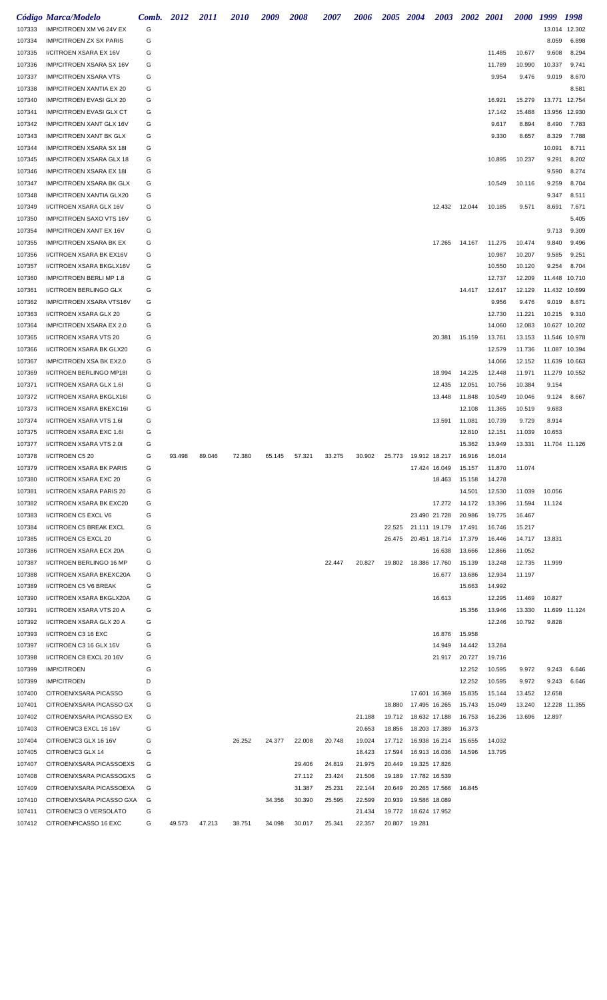|                  | Código Marca/Modelo                              | Comb.  | 2012   | <i>2011</i> | <i>2010</i> | 2009   | 2008   | 2007   | 2006                               | 2005 2004 |                        | 2003                    | <b>2002</b>      | <b>2001</b>      | <i>2000</i>      | 1999          | 1998          |
|------------------|--------------------------------------------------|--------|--------|-------------|-------------|--------|--------|--------|------------------------------------|-----------|------------------------|-------------------------|------------------|------------------|------------------|---------------|---------------|
| 107333           | IMP/CITROEN XM V6 24V EX                         | G      |        |             |             |        |        |        |                                    |           |                        |                         |                  |                  |                  |               | 13.014 12.302 |
| 107334           | <b>IMP/CITROEN ZX SX PARIS</b>                   | G      |        |             |             |        |        |        |                                    |           |                        |                         |                  |                  |                  | 8.059         | 6.898         |
| 107335           | I/CITROEN XSARA EX 16V                           | G      |        |             |             |        |        |        |                                    |           |                        |                         |                  | 11.485           | 10.677           | 9.608         | 8.294         |
| 107336           | IMP/CITROEN XSARA SX 16V                         | G      |        |             |             |        |        |        |                                    |           |                        |                         |                  | 11.789           | 10.990           | 10.337        | 9.741         |
| 107337           | <b>IMP/CITROEN XSARA VTS</b>                     | G      |        |             |             |        |        |        |                                    |           |                        |                         |                  | 9.954            | 9.476            | 9.019         | 8.670         |
| 107338           | <b>IMP/CITROEN XANTIA EX 20</b>                  | G      |        |             |             |        |        |        |                                    |           |                        |                         |                  |                  |                  |               | 8.581         |
| 107340           | <b>IMP/CITROEN EVASI GLX 20</b>                  | G      |        |             |             |        |        |        |                                    |           |                        |                         |                  | 16.921           | 15.279           | 13.771        | 12.754        |
| 107341           | <b>IMP/CITROEN EVASI GLX CT</b>                  | G      |        |             |             |        |        |        |                                    |           |                        |                         |                  | 17.142           | 15.488           | 13.956        | 12.930        |
| 107342           | <b>IMP/CITROEN XANT GLX 16V</b>                  | G      |        |             |             |        |        |        |                                    |           |                        |                         |                  | 9.617            | 8.894            | 8.490         | 7.783         |
| 107343           | <b>IMP/CITROEN XANT BK GLX</b>                   | G      |        |             |             |        |        |        |                                    |           |                        |                         |                  | 9.330            | 8.657            | 8.329         | 7.788         |
| 107344           | <b>IMP/CITROEN XSARA SX 18I</b>                  | G      |        |             |             |        |        |        |                                    |           |                        |                         |                  |                  |                  | 10.091        | 8.711         |
| 107345           | IMP/CITROEN XSARA GLX 18                         | G      |        |             |             |        |        |        |                                    |           |                        |                         |                  | 10.895           | 10.237           | 9.291         | 8.202         |
| 107346           | <b>IMP/CITROEN XSARA EX 18I</b>                  | G      |        |             |             |        |        |        |                                    |           |                        |                         |                  |                  |                  | 9.590         | 8.274         |
| 107347           | <b>IMP/CITROEN XSARA BK GLX</b>                  | G      |        |             |             |        |        |        |                                    |           |                        |                         |                  | 10.549           | 10.116           | 9.259         | 8.704         |
| 107348           | <b>IMP/CITROEN XANTIA GLX20</b>                  | G      |        |             |             |        |        |        |                                    |           |                        |                         |                  |                  |                  | 9.347         | 8.511         |
| 107349           | I/CITROEN XSARA GLX 16V                          | G      |        |             |             |        |        |        |                                    |           |                        | 12.432                  | 12.044           | 10.185           | 9.571            | 8.691         | 7.671         |
| 107350           | <b>IMP/CITROEN SAXO VTS 16V</b>                  | G      |        |             |             |        |        |        |                                    |           |                        |                         |                  |                  |                  |               | 5.405         |
| 107354           | <b>IMP/CITROEN XANT EX 16V</b>                   | G      |        |             |             |        |        |        |                                    |           |                        |                         |                  |                  |                  | 9.713         | 9.309         |
| 107355           | <b>IMP/CITROEN XSARA BK EX</b>                   | G      |        |             |             |        |        |        |                                    |           |                        | 17.265                  | 14.167           | 11.275           | 10.474           | 9.840         | 9.496         |
| 107356           | I/CITROEN XSARA BK EX16V                         | G      |        |             |             |        |        |        |                                    |           |                        |                         |                  | 10.987           | 10.207           | 9.585         | 9.251         |
| 107357           | I/CITROEN XSARA BKGLX16V                         | G      |        |             |             |        |        |        |                                    |           |                        |                         |                  | 10.550           | 10.120           | 9.254         | 8.704         |
| 107360           | <b>IMP/CITROEN BERLI MP 1.8</b>                  | G      |        |             |             |        |        |        |                                    |           |                        |                         |                  | 12.737           | 12.209           | 11.448        | 10.710        |
| 107361           | I/CITROEN BERLINGO GLX                           | G      |        |             |             |        |        |        |                                    |           |                        |                         | 14.417           | 12.617           | 12.129           | 11.432        | 10.699        |
| 107362           | <b>IMP/CITROEN XSARA VTS16V</b>                  | G      |        |             |             |        |        |        |                                    |           |                        |                         |                  | 9.956            | 9.476            | 9.019         | 8.671         |
| 107363           | I/CITROEN XSARA GLX 20                           | G      |        |             |             |        |        |        |                                    |           |                        |                         |                  | 12.730           | 11.221           | 10.215        | 9.310         |
| 107364           | IMP/CITROEN XSARA EX 2.0                         | G      |        |             |             |        |        |        |                                    |           |                        |                         |                  | 14.060           | 12.083           | 10.627        | 10.202        |
| 107365           | I/CITROEN XSARA VTS 20                           | G      |        |             |             |        |        |        |                                    |           |                        | 20.381                  | 15.159           | 13.761           | 13.153           | 11.546        | 10.978        |
| 107366           | I/CITROEN XSARA BK GLX20                         | G      |        |             |             |        |        |        |                                    |           |                        |                         |                  | 12.579           | 11.736           | 11.087 10.394 |               |
| 107367           | IMP/CITROEN XSA BK EX2.0                         | G      |        |             |             |        |        |        |                                    |           |                        |                         |                  | 14.066           | 12.152           | 11.639        | 10.663        |
| 107369           | I/CITROEN BERLINGO MP18I                         | G      |        |             |             |        |        |        |                                    |           |                        | 18.994                  | 14.225           | 12.448           | 11.971           |               | 11.279 10.552 |
| 107371           | I/CITROEN XSARA GLX 1.6I                         | G      |        |             |             |        |        |        |                                    |           |                        | 12.435                  | 12.051           | 10.756           | 10.384           | 9.154         |               |
| 107372           | I/CITROEN XSARA BKGLX16I                         | G      |        |             |             |        |        |        |                                    |           |                        | 13.448                  | 11.848           | 10.549           | 10.046           | 9.124         | 8.667         |
| 107373           | I/CITROEN XSARA BKEXC16I                         | G      |        |             |             |        |        |        |                                    |           |                        |                         | 12.108           | 11.365           | 10.519           | 9.683         |               |
| 107374           | I/CITROEN XSARA VTS 1.6I                         | G      |        |             |             |        |        |        |                                    |           |                        | 13.591                  | 11.081           | 10.739           | 9.729            | 8.914         |               |
| 107375           | I/CITROEN XSARA EXC 1.6I                         | G      |        |             |             |        |        |        |                                    |           |                        |                         | 12.810           | 12.151           | 11.039           | 10.653        |               |
| 107377           | I/CITROEN XSARA VTS 2.0I                         | G      |        |             |             |        |        |        |                                    |           |                        |                         | 15.362           | 13.949           | 13.331           | 11.704 11.126 |               |
| 107378           | I/CITROEN C5 20                                  | G      | 93.498 | 89.046      | 72.380      | 65.145 | 57.321 |        | 33.275 30.902 25.773 19.912 18.217 |           |                        |                         | 16.916           | 16.014           |                  |               |               |
| 107379           | I/CITROEN XSARA BK PARIS                         | G      |        |             |             |        |        |        |                                    |           |                        | 17.424 16.049           | 15.157           | 11.870           | 11.074           |               |               |
| 107380           | I/CITROEN XSARA EXC 20                           | G      |        |             |             |        |        |        |                                    |           |                        | 18.463                  | 15.158           | 14.278           |                  |               |               |
| 107381           | I/CITROEN XSARA PARIS 20                         | G      |        |             |             |        |        |        |                                    |           |                        |                         | 14.501           | 12.530           | 11.039           | 10.056        |               |
| 107382           | I/CITROEN XSARA BK EXC20<br>I/CITROEN C5 EXCL V6 | G<br>G |        |             |             |        |        |        |                                    |           |                        | 17.272<br>23.490 21.728 | 14.172<br>20.986 | 13.396<br>19.775 | 11.594<br>16.467 | 11.124        |               |
| 107383           | I/CITROEN C5 BREAK EXCL                          | G      |        |             |             |        |        |        |                                    | 22.525    | 21.111 19.179          |                         | 17.491           | 16.746           | 15.217           |               |               |
| 107384<br>107385 | I/CITROEN C5 EXCL 20                             | G      |        |             |             |        |        |        |                                    | 26.475    | 20.451 18.714          |                         | 17.379           | 16.446           | 14.717           | 13.831        |               |
| 107386           | I/CITROEN XSARA ECX 20A                          | G      |        |             |             |        |        |        |                                    |           |                        | 16.638                  | 13.666           | 12.866           | 11.052           |               |               |
| 107387           | I/CITROEN BERLINGO 16 MP                         | G      |        |             |             |        |        | 22.447 | 20.827                             |           | 19.802  18.386  17.760 |                         | 15.139           | 13.248           | 12.735           | 11.999        |               |
| 107388           | I/CITROEN XSARA BKEXC20A                         | G      |        |             |             |        |        |        |                                    |           |                        | 16.677                  | 13.686           | 12.934           | 11.197           |               |               |
| 107389           | I/CITROEN C5 V6 BREAK                            | G      |        |             |             |        |        |        |                                    |           |                        |                         | 15.663           | 14.992           |                  |               |               |
| 107390           | I/CITROEN XSARA BKGLX20A                         | G      |        |             |             |        |        |        |                                    |           |                        | 16.613                  |                  | 12.295           | 11.469           | 10.827        |               |
| 107391           | I/CITROEN XSARA VTS 20 A                         | G      |        |             |             |        |        |        |                                    |           |                        |                         | 15.356           | 13.946           | 13.330           |               | 11.699 11.124 |
| 107392           | I/CITROEN XSARA GLX 20 A                         | G      |        |             |             |        |        |        |                                    |           |                        |                         |                  | 12.246           | 10.792           | 9.828         |               |
| 107393           | I/CITROEN C3 16 EXC                              | G      |        |             |             |        |        |        |                                    |           |                        | 16.876                  | 15.958           |                  |                  |               |               |
| 107397           | I/CITROEN C3 16 GLX 16V                          | G      |        |             |             |        |        |        |                                    |           |                        | 14.949                  | 14.442           | 13.284           |                  |               |               |
| 107398           | I/CITROEN C8 EXCL 20 16V                         | G      |        |             |             |        |        |        |                                    |           |                        | 21.917                  | 20.727           | 19.716           |                  |               |               |
| 107399           | <b>IMP/CITROEN</b>                               | G      |        |             |             |        |        |        |                                    |           |                        |                         | 12.252           | 10.595           | 9.972            | 9.243         | 6.646         |
| 107399           | <b>IMP/CITROEN</b>                               | D      |        |             |             |        |        |        |                                    |           |                        |                         | 12.252           | 10.595           | 9.972            | 9.243         | 6.646         |
| 107400           | CITROEN/XSARA PICASSO                            | G      |        |             |             |        |        |        |                                    |           |                        | 17.601 16.369           | 15.835           | 15.144           | 13.452           | 12.658        |               |
| 107401           | CITROEN/XSARA PICASSO GX                         | G      |        |             |             |        |        |        |                                    | 18.880    | 17.495 16.265          |                         | 15.743           | 15.049           | 13.240           |               | 12.228 11.355 |
| 107402           | CITROEN/XSARA PICASSO EX                         | G      |        |             |             |        |        |        | 21.188                             | 19.712    | 18.632 17.188          |                         | 16.753           | 16.236           | 13.696           | 12.897        |               |
| 107403           | CITROEN/C3 EXCL 16 16V                           | G      |        |             |             |        |        |        | 20.653                             | 18.856    |                        | 18.203 17.389           | 16.373           |                  |                  |               |               |
| 107404           | CITROEN/C3 GLX 16 16V                            | G      |        |             | 26.252      | 24.377 | 22.008 | 20.748 | 19.024                             | 17.712    |                        | 16.938 16.214           | 15.655           | 14.032           |                  |               |               |
| 107405           | CITROEN/C3 GLX 14                                | G      |        |             |             |        |        |        | 18.423                             | 17.594    |                        | 16.913 16.036           | 14.596           | 13.795           |                  |               |               |
| 107407           | CITROEN/XSARA PICASSOEXS                         | G      |        |             |             |        | 29.406 | 24.819 | 21.975                             | 20.449    |                        | 19.325 17.826           |                  |                  |                  |               |               |
| 107408           | CITROEN/XSARA PICASSOGXS                         | G      |        |             |             |        | 27.112 | 23.424 | 21.506                             | 19.189    | 17.782 16.539          |                         |                  |                  |                  |               |               |
| 107409           | CITROEN/XSARA PICASSOEXA                         | G      |        |             |             |        | 31.387 | 25.231 | 22.144                             | 20.649    | 20.265 17.566          |                         | 16.845           |                  |                  |               |               |
| 107410           | CITROEN/XSARA PICASSO GXA                        | G      |        |             |             | 34.356 | 30.390 | 25.595 | 22.599                             | 20.939    | 19.586 18.089          |                         |                  |                  |                  |               |               |
| 107411           | CITROEN/C3 O VERSOLATO                           | G      |        |             |             |        |        |        | 21.434                             | 19.772    |                        | 18.624 17.952           |                  |                  |                  |               |               |
| 107412           | CITROENPICASSO 16 EXC                            | G      | 49.573 | 47.213      | 38.751      | 34.098 | 30.017 | 25.341 | 22.357                             | 20.807    | 19.281                 |                         |                  |                  |                  |               |               |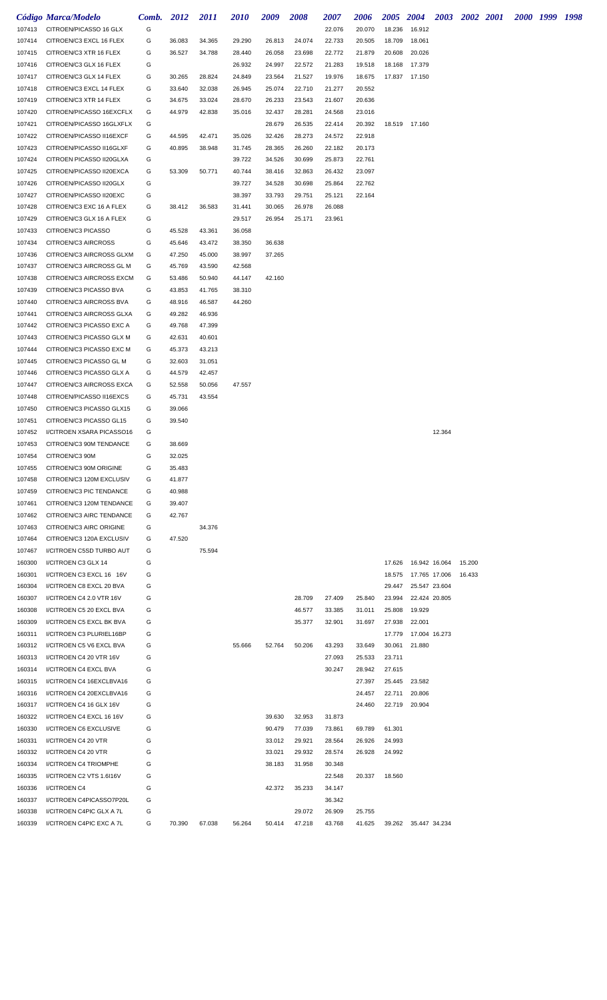|                  | Código Marca/Modelo                                  |        | Comb. 2012       | 2011             | <b>2010</b>      | 2009             | 2008             | <i><b>2007</b></i> | 2006             |        | 2005 2004 2003 2002 2001       |        |        | 2000 1999 1998 |  |
|------------------|------------------------------------------------------|--------|------------------|------------------|------------------|------------------|------------------|--------------------|------------------|--------|--------------------------------|--------|--------|----------------|--|
| 107413           | CITROEN/PICASSO 16 GLX                               | G      |                  |                  |                  |                  |                  | 22.076             | 20.070           |        | 18.236 16.912                  |        |        |                |  |
| 107414           | CITROEN/C3 EXCL 16 FLEX                              | G      | 36.083           | 34.365           | 29.290           | 26.813           | 24.074           | 22.733             | 20.505           |        | 18.709 18.061                  |        |        |                |  |
| 107415           | CITROEN/C3 XTR 16 FLEX                               | G      | 36.527           | 34.788           | 28.440           | 26.058           | 23.698           | 22.772             | 21.879           |        | 20.608 20.026                  |        |        |                |  |
| 107416           | CITROEN/C3 GLX 16 FLEX                               | G      |                  |                  | 26.932           | 24.997           | 22.572           | 21.283             | 19.518           |        | 18.168 17.379                  |        |        |                |  |
| 107417           | CITROEN/C3 GLX 14 FLEX                               | G      | 30.265           | 28.824           | 24.849           | 23.564           | 21.527           | 19.976             | 18.675           |        | 17.837 17.150                  |        |        |                |  |
| 107418           | CITROEN/C3 EXCL 14 FLEX                              | G      | 33.640           | 32.038           | 26.945           | 25.074           | 22.710           | 21.277             | 20.552           |        |                                |        |        |                |  |
| 107419           | CITROEN/C3 XTR 14 FLEX                               | G      | 34.675           | 33.024           | 28.670           | 26.233           | 23.543           | 21.607             | 20.636           |        |                                |        |        |                |  |
| 107420           | CITROEN/PICASSO 16EXCFLX                             | G      | 44.979           | 42.838           | 35.016           | 32.437           | 28.281           | 24.568             | 23.016           |        |                                |        |        |                |  |
| 107421<br>107422 | CITROEN/PICASSO 16GLXFLX<br>CITROEN/PICASSO II16EXCF | G<br>G | 44.595           | 42.471           | 35.026           | 28.679<br>32.426 | 26.535<br>28.273 | 22.414<br>24.572   | 20.392<br>22.918 |        | 18.519 17.160                  |        |        |                |  |
| 107423           | CITROEN/PICASSO II16GLXF                             | G      | 40.895           | 38.948           | 31.745           | 28.365           | 26.260           | 22.182             | 20.173           |        |                                |        |        |                |  |
| 107424           | CITROEN PICASSO II20GLXA                             | G      |                  |                  | 39.722           | 34.526           | 30.699           | 25.873             | 22.761           |        |                                |        |        |                |  |
| 107425           | CITROEN/PICASSO II20EXCA                             | G      | 53.309           | 50.771           | 40.744           | 38.416           | 32.863           | 26.432             | 23.097           |        |                                |        |        |                |  |
| 107426           | CITROEN/PICASSO II20GLX                              | G      |                  |                  | 39.727           | 34.528           | 30.698           | 25.864             | 22.762           |        |                                |        |        |                |  |
| 107427           | CITROEN/PICASSO II20EXC                              | G      |                  |                  | 38.397           | 33.793           | 29.751           | 25.121             | 22.164           |        |                                |        |        |                |  |
| 107428           | CITROEN/C3 EXC 16 A FLEX                             | G      | 38.412           | 36.583           | 31.441           | 30.065           | 26.978           | 26.088             |                  |        |                                |        |        |                |  |
| 107429           | CITROEN/C3 GLX 16 A FLEX                             | G      |                  |                  | 29.517           | 26.954           | 25.171           | 23.961             |                  |        |                                |        |        |                |  |
| 107433           | CITROEN/C3 PICASSO                                   | G      | 45.528           | 43.361           | 36.058           |                  |                  |                    |                  |        |                                |        |        |                |  |
| 107434           | CITROEN/C3 AIRCROSS                                  | G      | 45.646           | 43.472           | 38.350           | 36.638           |                  |                    |                  |        |                                |        |        |                |  |
| 107436           | CITROEN/C3 AIRCROSS GLXM                             | G      | 47.250           | 45.000           | 38.997           | 37.265           |                  |                    |                  |        |                                |        |        |                |  |
| 107437           | CITROEN/C3 AIRCROSS GL M                             | G      | 45.769           | 43.590           | 42.568           |                  |                  |                    |                  |        |                                |        |        |                |  |
| 107438           | CITROEN/C3 AIRCROSS EXCM                             | G      | 53.486           | 50.940           | 44.147           | 42.160           |                  |                    |                  |        |                                |        |        |                |  |
| 107439<br>107440 | CITROEN/C3 PICASSO BVA<br>CITROEN/C3 AIRCROSS BVA    | G<br>G | 43.853<br>48.916 | 41.765<br>46.587 | 38.310<br>44.260 |                  |                  |                    |                  |        |                                |        |        |                |  |
| 107441           | CITROEN/C3 AIRCROSS GLXA                             | G      | 49.282           | 46.936           |                  |                  |                  |                    |                  |        |                                |        |        |                |  |
| 107442           | CITROEN/C3 PICASSO EXC A                             | G      | 49.768           | 47.399           |                  |                  |                  |                    |                  |        |                                |        |        |                |  |
| 107443           | CITROEN/C3 PICASSO GLX M                             | G      | 42.631           | 40.601           |                  |                  |                  |                    |                  |        |                                |        |        |                |  |
| 107444           | CITROEN/C3 PICASSO EXC M                             | G      | 45.373           | 43.213           |                  |                  |                  |                    |                  |        |                                |        |        |                |  |
| 107445           | CITROEN/C3 PICASSO GL M                              | G      | 32.603           | 31.051           |                  |                  |                  |                    |                  |        |                                |        |        |                |  |
| 107446           | CITROEN/C3 PICASSO GLX A                             | G      | 44.579           | 42.457           |                  |                  |                  |                    |                  |        |                                |        |        |                |  |
| 107447           | CITROEN/C3 AIRCROSS EXCA                             | G      | 52.558           | 50.056           | 47.557           |                  |                  |                    |                  |        |                                |        |        |                |  |
| 107448           | CITROEN/PICASSO II16EXCS                             | G      | 45.731           | 43.554           |                  |                  |                  |                    |                  |        |                                |        |        |                |  |
| 107450           | CITROEN/C3 PICASSO GLX15                             | G      | 39.066           |                  |                  |                  |                  |                    |                  |        |                                |        |        |                |  |
| 107451           | CITROEN/C3 PICASSO GL15                              | G      | 39.540           |                  |                  |                  |                  |                    |                  |        |                                |        |        |                |  |
| 107452           | I/CITROEN XSARA PICASSO16                            | G      |                  |                  |                  |                  |                  |                    |                  |        |                                | 12.364 |        |                |  |
| 107453           | CITROEN/C3 90M TENDANCE                              | G      | 38.669           |                  |                  |                  |                  |                    |                  |        |                                |        |        |                |  |
| 107454<br>107455 | CITROEN/C3 90M<br>CITROEN/C3 90M ORIGINE             | G<br>G | 32.025<br>35.483 |                  |                  |                  |                  |                    |                  |        |                                |        |        |                |  |
| 107458           | CITROEN/C3 120M EXCLUSIV                             | G      | 41.877           |                  |                  |                  |                  |                    |                  |        |                                |        |        |                |  |
| 107459           | CITROEN/C3 PIC TENDANCE                              | G      | 40.988           |                  |                  |                  |                  |                    |                  |        |                                |        |        |                |  |
| 107461           | CITROEN/C3 120M TENDANCE                             | G      | 39.407           |                  |                  |                  |                  |                    |                  |        |                                |        |        |                |  |
| 107462           | CITROEN/C3 AIRC TENDANCE                             | G      | 42.767           |                  |                  |                  |                  |                    |                  |        |                                |        |        |                |  |
| 107463           | CITROEN/C3 AIRC ORIGINE                              | G      |                  | 34.376           |                  |                  |                  |                    |                  |        |                                |        |        |                |  |
| 107464           | CITROEN/C3 120A EXCLUSIV                             | G      | 47.520           |                  |                  |                  |                  |                    |                  |        |                                |        |        |                |  |
| 107467           | I/CITROEN C5SD TURBO AUT                             | G      |                  | 75.594           |                  |                  |                  |                    |                  |        |                                |        |        |                |  |
| 160300           | I/CITROEN C3 GLX 14                                  | G      |                  |                  |                  |                  |                  |                    |                  |        | 17.626  16.942  16.064         |        | 15.200 |                |  |
| 160301           | I/CITROEN C3 EXCL 16 16V                             | G      |                  |                  |                  |                  |                  |                    |                  |        | 18.575 17.765 17.006           |        | 16.433 |                |  |
| 160304           | I/CITROEN C8 EXCL 20 BVA                             | G      |                  |                  |                  |                  |                  |                    |                  |        | 29.447 25.547 23.604           |        |        |                |  |
| 160307<br>160308 | I/CITROEN C4 2.0 VTR 16V<br>I/CITROEN C5 20 EXCL BVA | G<br>G |                  |                  |                  |                  | 28.709<br>46.577 | 27.409<br>33.385   | 25.840<br>31.011 | 25.808 | 23.994 22.424 20.805<br>19.929 |        |        |                |  |
| 160309           | I/CITROEN C5 EXCL BK BVA                             | G      |                  |                  |                  |                  | 35.377           | 32.901             | 31.697           | 27.938 | 22.001                         |        |        |                |  |
| 160311           | I/CITROEN C3 PLURIEL16BP                             | G      |                  |                  |                  |                  |                  |                    |                  |        | 17.779 17.004 16.273           |        |        |                |  |
| 160312           | I/CITROEN C5 V6 EXCL BVA                             | G      |                  |                  | 55.666           | 52.764           | 50.206           | 43.293             | 33.649           | 30.061 | 21.880                         |        |        |                |  |
| 160313           | I/CITROEN C4 20 VTR 16V                              | G      |                  |                  |                  |                  |                  | 27.093             | 25.533           | 23.711 |                                |        |        |                |  |
| 160314           | I/CITROEN C4 EXCL BVA                                | G      |                  |                  |                  |                  |                  | 30.247             | 28.942           | 27.615 |                                |        |        |                |  |
| 160315           | I/CITROEN C4 16EXCLBVA16                             | G      |                  |                  |                  |                  |                  |                    | 27.397           |        | 25.445 23.582                  |        |        |                |  |
| 160316           | I/CITROEN C4 20EXCLBVA16                             | G      |                  |                  |                  |                  |                  |                    | 24.457           | 22.711 | 20.806                         |        |        |                |  |
| 160317           | I/CITROEN C4 16 GLX 16V                              | G      |                  |                  |                  |                  |                  |                    | 24.460           | 22.719 | 20.904                         |        |        |                |  |
| 160322           | I/CITROEN C4 EXCL 16 16V                             | G      |                  |                  |                  | 39.630           | 32.953           | 31.873             |                  |        |                                |        |        |                |  |
| 160330           | I/CITROEN C6 EXCLUSIVE                               | G      |                  |                  |                  | 90.479           | 77.039           | 73.861             | 69.789           | 61.301 |                                |        |        |                |  |
| 160331           | I/CITROEN C4 20 VTR                                  | G      |                  |                  |                  | 33.012           | 29.921           | 28.564             | 26.926           | 24.993 |                                |        |        |                |  |
| 160332           | I/CITROEN C4 20 VTR<br>I/CITROEN C4 TRIOMPHE         | G<br>G |                  |                  |                  | 33.021<br>38.183 | 29.932           | 28.574<br>30.348   | 26.928           | 24.992 |                                |        |        |                |  |
| 160334<br>160335 | I/CITROEN C2 VTS 1.6I16V                             | G      |                  |                  |                  |                  | 31.958           | 22.548             | 20.337           | 18.560 |                                |        |        |                |  |
| 160336           | I/CITROEN C4                                         | G      |                  |                  |                  | 42.372           | 35.233           | 34.147             |                  |        |                                |        |        |                |  |
| 160337           | I/CITROEN C4PICASSO7P20L                             | G      |                  |                  |                  |                  |                  | 36.342             |                  |        |                                |        |        |                |  |
| 160338           | I/CITROEN C4PIC GLX A 7L                             | G      |                  |                  |                  |                  | 29.072           | 26.909             | 25.755           |        |                                |        |        |                |  |
| 160339           | I/CITROEN C4PIC EXC A 7L                             | G      | 70.390           | 67.038           | 56.264           | 50.414           | 47.218           | 43.768             | 41.625           |        | 39.262 35.447 34.234           |        |        |                |  |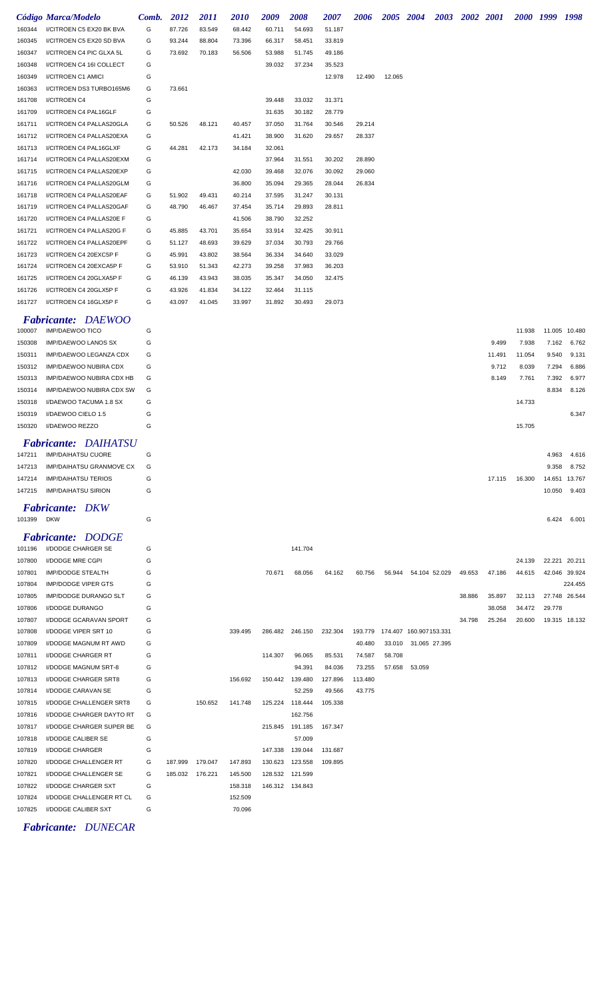|        | Código Marca/Modelo             | Comb. | 2012   | <i>2011</i> | <i>2010</i> | 2009   | 2008   | 2007   | 2006   | 2005   | <b>2004</b> | 2003 | 2002 | <b>2001</b> | 2000 1999 | 1998 |
|--------|---------------------------------|-------|--------|-------------|-------------|--------|--------|--------|--------|--------|-------------|------|------|-------------|-----------|------|
| 160344 | I/CITROEN C5 EX20 BK BVA        | G     | 87.726 | 83.549      | 68.442      | 60.711 | 54.693 | 51.187 |        |        |             |      |      |             |           |      |
| 160345 | I/CITROEN C5 EX20 SD BVA        | G     | 93.244 | 88.804      | 73.396      | 66.317 | 58.451 | 33.819 |        |        |             |      |      |             |           |      |
| 160347 | I/CITROEN C4 PIC GLXA 5L        | G     | 73.692 | 70.183      | 56.506      | 53.988 | 51.745 | 49.186 |        |        |             |      |      |             |           |      |
| 160348 | I/CITROEN C4 16I COLLECT        | G     |        |             |             | 39.032 | 37.234 | 35.523 |        |        |             |      |      |             |           |      |
| 160349 | I/CITROEN C1 AMICI              | G     |        |             |             |        |        | 12.978 | 12.490 | 12.065 |             |      |      |             |           |      |
| 160363 | I/CITROEN DS3 TURBO165M6        | G     | 73.661 |             |             |        |        |        |        |        |             |      |      |             |           |      |
| 161708 | I/CITROEN C4                    | G     |        |             |             | 39.448 | 33.032 | 31.371 |        |        |             |      |      |             |           |      |
| 161709 | I/CITROEN C4 PAL16GLF           | G     |        |             |             | 31.635 | 30.182 | 28.779 |        |        |             |      |      |             |           |      |
| 161711 | I/CITROEN C4 PALLAS20GLA        | G     | 50.526 | 48.121      | 40.457      | 37.050 | 31.764 | 30.546 | 29.214 |        |             |      |      |             |           |      |
| 161712 | I/CITROEN C4 PALLAS20EXA        | G     |        |             | 41.421      | 38.900 | 31.620 | 29.657 | 28.337 |        |             |      |      |             |           |      |
| 161713 | I/CITROEN C4 PAL16GLXF          | G     | 44.281 | 42.173      | 34.184      | 32.061 |        |        |        |        |             |      |      |             |           |      |
| 161714 | I/CITROEN C4 PALLAS20EXM        | G     |        |             |             | 37.964 | 31.551 | 30.202 | 28.890 |        |             |      |      |             |           |      |
| 161715 | I/CITROEN C4 PALLAS20EXP        | G     |        |             | 42.030      | 39.468 | 32.076 | 30.092 | 29.060 |        |             |      |      |             |           |      |
| 161716 | I/CITROEN C4 PALLAS20GLM        | G     |        |             | 36.800      | 35.094 | 29.365 | 28.044 | 26.834 |        |             |      |      |             |           |      |
| 161718 | I/CITROEN C4 PALLAS20EAF        | G     | 51.902 | 49.431      | 40.214      | 37.595 | 31.247 | 30.131 |        |        |             |      |      |             |           |      |
| 161719 | I/CITROEN C4 PALLAS20GAF        | G     | 48.790 | 46.467      | 37.454      | 35.714 | 29.893 | 28.811 |        |        |             |      |      |             |           |      |
| 161720 | <b>I/CITROEN C4 PALLAS20E F</b> | G     |        |             | 41.506      | 38.790 | 32.252 |        |        |        |             |      |      |             |           |      |
| 161721 | I/CITROEN C4 PALLAS20G F        | G     | 45.885 | 43.701      | 35.654      | 33.914 | 32.425 | 30.911 |        |        |             |      |      |             |           |      |
| 161722 | I/CITROEN C4 PALLAS20EPF        | G     | 51.127 | 48.693      | 39.629      | 37.034 | 30.793 | 29.766 |        |        |             |      |      |             |           |      |
| 161723 | I/CITROEN C4 20EXC5P F          | G     | 45.991 | 43.802      | 38.564      | 36.334 | 34.640 | 33.029 |        |        |             |      |      |             |           |      |
| 161724 | I/CITROEN C4 20EXCA5P F         | G     | 53.910 | 51.343      | 42.273      | 39.258 | 37.983 | 36.203 |        |        |             |      |      |             |           |      |
| 161725 | I/CITROEN C4 20GLXA5P F         | G     | 46.139 | 43.943      | 38.035      | 35.347 | 34.050 | 32.475 |        |        |             |      |      |             |           |      |
| 161726 | I/CITROEN C4 20GLX5P F          | G     | 43.926 | 41.834      | 34.122      | 32.464 | 31.115 |        |        |        |             |      |      |             |           |      |
| 161727 | I/CITROEN C4 16GLX5P F          | G     | 43.097 | 41.045      | 33.997      | 31.892 | 30.493 | 29.073 |        |        |             |      |      |             |           |      |

## *Fabricante: DAEWOO*

| 100007 | <b>IMP/DAEWOO TICO</b>          | G |        |         |        |        |        |               |        |        | 11.938 | 11.005 | 10.480  |
|--------|---------------------------------|---|--------|---------|--------|--------|--------|---------------|--------|--------|--------|--------|---------|
| 150308 | <b>IMP/DAEWOO LANOS SX</b>      | G |        |         |        |        |        |               |        | 9.499  | 7.938  | 7.162  | 6.762   |
| 150311 | IMP/DAEWOO LEGANZA CDX          | G |        |         |        |        |        |               |        | 11.491 | 11.054 | 9.540  | 9.131   |
| 150312 | <b>IMP/DAEWOO NUBIRA CDX</b>    | G |        |         |        |        |        |               |        | 9.712  | 8.039  | 7.294  | 6.886   |
| 150313 | IMP/DAEWOO NUBIRA CDX HB        | G |        |         |        |        |        |               |        | 8.149  | 7.761  | 7.392  | 6.977   |
| 150314 | IMP/DAEWOO NUBIRA CDX SW        | G |        |         |        |        |        |               |        |        |        | 8.834  | 8.126   |
| 150318 | I/DAEWOO TACUMA 1.8 SX          | G |        |         |        |        |        |               |        |        | 14.733 |        |         |
| 150319 | I/DAEWOO CIELO 1.5              | G |        |         |        |        |        |               |        |        |        |        | 6.347   |
| 150320 | I/DAEWOO REZZO                  | G |        |         |        |        |        |               |        |        | 15.705 |        |         |
|        | <b>Fabricante: DAIHATSU</b>     |   |        |         |        |        |        |               |        |        |        |        |         |
| 147211 | <b>IMP/DAIHATSU CUORE</b>       | G |        |         |        |        |        |               |        |        |        | 4.963  | 4.616   |
| 147213 | <b>IMP/DAIHATSU GRANMOVE CX</b> | G |        |         |        |        |        |               |        |        |        | 9.358  | 8.752   |
| 147214 | <b>IMP/DAIHATSU TERIOS</b>      | G |        |         |        |        |        |               |        | 17.115 | 16.300 | 14.651 | 13.767  |
| 147215 | <b>IMP/DAIHATSU SIRION</b>      | G |        |         |        |        |        |               |        |        |        | 10.050 | 9.403   |
|        | <b>Fabricante: DKW</b>          |   |        |         |        |        |        |               |        |        |        |        |         |
| 101399 | <b>DKW</b>                      | G |        |         |        |        |        |               |        |        |        | 6.424  | 6.001   |
|        | <b>Fabricante: DODGE</b>        |   |        |         |        |        |        |               |        |        |        |        |         |
| 101196 | I/DODGE CHARGER SE              | G |        | 141.704 |        |        |        |               |        |        |        |        |         |
| 107800 | I/DODGE MRE CGPI                | G |        |         |        |        |        |               |        |        | 24.139 | 22.221 | 20.211  |
| 107801 | <b>IMP/DODGE STEALTH</b>        | G | 70.671 | 68.056  | 64.162 | 60.756 | 56.944 | 54.104 52.029 | 49.653 | 47.186 | 44.615 | 42.046 | 39.924  |
| 107804 | <b>IMP/DODGE VIPER GTS</b>      | G |        |         |        |        |        |               |        |        |        |        | 224.455 |

| 107804 | IMP/DODGE VIPER GTS             | G |         |         |         |                 |         |         |         |        |                        |        |        |        |               | 224.455 |
|--------|---------------------------------|---|---------|---------|---------|-----------------|---------|---------|---------|--------|------------------------|--------|--------|--------|---------------|---------|
| 107805 | <b>IMP/DODGE DURANGO SLT</b>    | G |         |         |         |                 |         |         |         |        |                        | 38.886 | 35.897 | 32.113 | 27.748 26.544 |         |
| 107806 | <b>I/DODGE DURANGO</b>          | G |         |         |         |                 |         |         |         |        |                        |        | 38.058 | 34.472 | 29.778        |         |
| 107807 | <b>I/DODGE GCARAVAN SPORT</b>   | G |         |         |         |                 |         |         |         |        |                        | 34.798 | 25.264 | 20.600 | 19.315 18.132 |         |
| 107808 | <b>I/DODGE VIPER SRT 10</b>     | G |         |         | 339.495 | 286.482         | 246.150 | 232.304 | 193.779 |        | 174.407 160.907153.331 |        |        |        |               |         |
| 107809 | <b>I/DODGE MAGNUM RT AWD</b>    | G |         |         |         |                 |         |         | 40.480  | 33.010 | 31.065 27.395          |        |        |        |               |         |
| 107811 | <b>I/DODGE CHARGER RT</b>       | G |         |         |         | 114.307         | 96.065  | 85.531  | 74.587  | 58.708 |                        |        |        |        |               |         |
| 107812 | I/DODGE MAGNUM SRT-8            | G |         |         |         |                 | 94.391  | 84.036  | 73.255  |        | 57.658 53.059          |        |        |        |               |         |
| 107813 | <b>I/DODGE CHARGER SRT8</b>     | G |         |         | 156.692 | 150.442         | 139.480 | 127.896 | 113.480 |        |                        |        |        |        |               |         |
| 107814 | I/DODGE CARAVAN SE              | G |         |         |         |                 | 52.259  | 49.566  | 43.775  |        |                        |        |        |        |               |         |
| 107815 | <b>I/DODGE CHALLENGER SRT8</b>  | G |         | 150.652 | 141.748 | 125.224         | 118,444 | 105.338 |         |        |                        |        |        |        |               |         |
| 107816 | <b>I/DODGE CHARGER DAYTO RT</b> | G |         |         |         |                 | 162.756 |         |         |        |                        |        |        |        |               |         |
| 107817 | <b>I/DODGE CHARGER SUPER BE</b> | G |         |         |         | 215.845         | 191.185 | 167.347 |         |        |                        |        |        |        |               |         |
| 107818 | <b>I/DODGE CALIBER SE</b>       | G |         |         |         |                 | 57.009  |         |         |        |                        |        |        |        |               |         |
| 107819 | <b>I/DODGE CHARGER</b>          | G |         |         |         | 147.338         | 139.044 | 131.687 |         |        |                        |        |        |        |               |         |
| 107820 | <b>I/DODGE CHALLENGER RT</b>    | G | 187.999 | 179.047 | 147.893 | 130.623         | 123.558 | 109.895 |         |        |                        |        |        |        |               |         |
| 107821 | <b>I/DODGE CHALLENGER SE</b>    | G | 185.032 | 176.221 | 145.500 | 128.532         | 121.599 |         |         |        |                        |        |        |        |               |         |
| 107822 | <b>I/DODGE CHARGER SXT</b>      | G |         |         | 158.318 | 146.312 134.843 |         |         |         |        |                        |        |        |        |               |         |
| 107824 | <b>I/DODGE CHALLENGER RT CL</b> | G |         |         | 152.509 |                 |         |         |         |        |                        |        |        |        |               |         |
| 107825 | <b>I/DODGE CALIBER SXT</b>      | G |         |         | 70.096  |                 |         |         |         |        |                        |        |        |        |               |         |

*Fabricante: DUNECAR*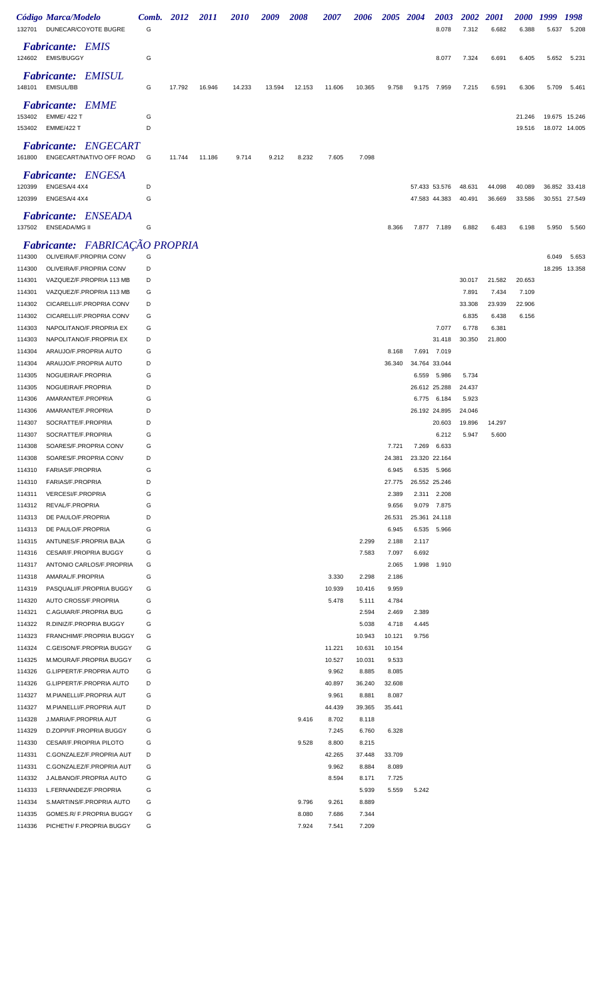|                  | Código Marca/Modelo                                     | Comb.  | <b>2012</b> | <i>2011</i> | <i>2010</i> | 2009   | 2008   | 2007            | 2006            | 2005 2004       |       | <b>2003</b>                  | <b>2002</b>     | <b>2001</b>     | <i>2000</i>     | 1999  | 1998          |
|------------------|---------------------------------------------------------|--------|-------------|-------------|-------------|--------|--------|-----------------|-----------------|-----------------|-------|------------------------------|-----------------|-----------------|-----------------|-------|---------------|
| 132701           | <b>DUNECAR/COYOTE BUGRE</b>                             | G      |             |             |             |        |        |                 |                 |                 |       | 8.078                        | 7.312           | 6.682           | 6.388           | 5.637 | 5.208         |
|                  | <b>Fabricante: EMIS</b><br>124602 EMIS/BUGGY            | G      |             |             |             |        |        |                 |                 |                 |       | 8.077                        | 7.324           | 6.691           | 6.405           | 5.652 | 5.231         |
|                  | <b>Fabricante: EMISUL</b><br>148101 EMISUL/BB           | G      | 17.792      | 16.946      | 14.233      | 13.594 | 12.153 | 11.606          | 10.365          | 9.758           |       | 9.175 7.959                  | 7.215           | 6.591           | 6.306           | 5.709 | 5.461         |
| 153402           | <b>Fabricante: EMME</b><br><b>EMME/ 422 T</b>           | G      |             |             |             |        |        |                 |                 |                 |       |                              |                 |                 | 21.246          |       | 19.675 15.246 |
| 153402           | <b>EMME/422 T</b>                                       | D      |             |             |             |        |        |                 |                 |                 |       |                              |                 |                 | 19.516          |       | 18.072 14.005 |
|                  |                                                         |        |             |             |             |        |        |                 |                 |                 |       |                              |                 |                 |                 |       |               |
| 161800           | <b>Fabricante: ENGECART</b><br>ENGECART/NATIVO OFF ROAD | G      | 11.744      | 11.186      | 9.714       | 9.212  | 8.232  | 7.605           | 7.098           |                 |       |                              |                 |                 |                 |       |               |
|                  | <b>Fabricante: ENGESA</b>                               |        |             |             |             |        |        |                 |                 |                 |       |                              |                 |                 |                 |       |               |
| 120399           | ENGESA/4 4X4                                            | D      |             |             |             |        |        |                 |                 |                 |       | 57.433 53.576                | 48.631          | 44.098          | 40.089          |       | 36.852 33.418 |
| 120399           | ENGESA/4 4X4                                            | G      |             |             |             |        |        |                 |                 |                 |       | 47.583 44.383                | 40.491          | 36.669          | 33.586          |       | 30.551 27.549 |
| 137502           | <b>Fabricante: ENSEADA</b><br>ENSEADA/MG II             | G      |             |             |             |        |        |                 |                 | 8.366           |       | 7.877 7.189                  | 6.882           | 6.483           | 6.198           | 5.950 | 5.560         |
|                  | Fabricante: FABRICAÇÃO PROPRIA                          |        |             |             |             |        |        |                 |                 |                 |       |                              |                 |                 |                 |       |               |
| 114300           | OLIVEIRA/F.PROPRIA CONV                                 | G      |             |             |             |        |        |                 |                 |                 |       |                              |                 |                 |                 | 6.049 | 5.653         |
| 114300           | OLIVEIRA/F.PROPRIA CONV                                 | D      |             |             |             |        |        |                 |                 |                 |       |                              |                 |                 |                 |       | 18.295 13.358 |
| 114301<br>114301 | VAZQUEZ/F.PROPRIA 113 MB<br>VAZQUEZ/F.PROPRIA 113 MB    | D<br>G |             |             |             |        |        |                 |                 |                 |       |                              | 30.017<br>7.891 | 21.582<br>7.434 | 20.653<br>7.109 |       |               |
| 114302           | CICARELLI/F.PROPRIA CONV                                | D      |             |             |             |        |        |                 |                 |                 |       |                              | 33.308          | 23.939          | 22.906          |       |               |
| 114302           | CICARELLI/F.PROPRIA CONV                                | G      |             |             |             |        |        |                 |                 |                 |       |                              | 6.835           | 6.438           | 6.156           |       |               |
| 114303           | NAPOLITANO/F.PROPRIA EX                                 | G      |             |             |             |        |        |                 |                 |                 |       | 7.077                        | 6.778           | 6.381           |                 |       |               |
| 114303           | NAPOLITANO/F.PROPRIA EX                                 | D      |             |             |             |        |        |                 |                 |                 |       | 31.418                       | 30.350          | 21.800          |                 |       |               |
| 114304           | ARAUJO/F.PROPRIA AUTO                                   | G      |             |             |             |        |        |                 |                 | 8.168           |       | 7.691 7.019                  |                 |                 |                 |       |               |
| 114304<br>114305 | ARAUJO/F.PROPRIA AUTO<br>NOGUEIRA/F.PROPRIA             | D<br>G |             |             |             |        |        |                 |                 | 36.340          | 6.559 | 34.764 33.044<br>5.986       | 5.734           |                 |                 |       |               |
| 114305           | NOGUEIRA/F.PROPRIA                                      | D      |             |             |             |        |        |                 |                 |                 |       | 26.612 25.288                | 24.437          |                 |                 |       |               |
| 114306           | AMARANTE/F.PROPRIA                                      | G      |             |             |             |        |        |                 |                 |                 |       | 6.775 6.184                  | 5.923           |                 |                 |       |               |
| 114306           | AMARANTE/F.PROPRIA                                      | D      |             |             |             |        |        |                 |                 |                 |       | 26.192 24.895                | 24.046          |                 |                 |       |               |
| 114307           | SOCRATTE/F.PROPRIA                                      | D      |             |             |             |        |        |                 |                 |                 |       | 20.603                       | 19.896          | 14.297          |                 |       |               |
| 114307           | SOCRATTE/F.PROPRIA<br>SOARES/F.PROPRIA CONV             | G      |             |             |             |        |        |                 |                 |                 |       | 6.212                        | 5.947           | 5.600           |                 |       |               |
| 114308<br>114308 | SOARES/F.PROPRIA CONV                                   | G<br>D |             |             |             |        |        |                 |                 | 7.721<br>24.381 | 7.269 | 6.633<br>23.320 22.164       |                 |                 |                 |       |               |
| 114310           | <b>FARIAS/F.PROPRIA</b>                                 | G      |             |             |             |        |        |                 |                 | 6.945           |       | 6.535 5.966                  |                 |                 |                 |       |               |
| 114310           | FARIAS/F.PROPRIA                                        | D      |             |             |             |        |        |                 |                 | 27.775          |       | 26.552 25.246                |                 |                 |                 |       |               |
| 114311           | VERCESI/F.PROPRIA                                       | G      |             |             |             |        |        |                 |                 | 2.389           |       | 2.311 2.208                  |                 |                 |                 |       |               |
| 114312           | REVAL/F.PROPRIA                                         | G      |             |             |             |        |        |                 |                 | 9.656           |       | 9.079 7.875                  |                 |                 |                 |       |               |
| 114313<br>114313 | DE PAULO/F.PROPRIA<br>DE PAULO/F.PROPRIA                | D<br>G |             |             |             |        |        |                 |                 | 26.531<br>6.945 |       | 25.361 24.118<br>6.535 5.966 |                 |                 |                 |       |               |
| 114315           | ANTUNES/F.PROPRIA BAJA                                  | G      |             |             |             |        |        |                 | 2.299           | 2.188           | 2.117 |                              |                 |                 |                 |       |               |
| 114316           | <b>CESAR/F.PROPRIA BUGGY</b>                            | G      |             |             |             |        |        |                 | 7.583           | 7.097           | 6.692 |                              |                 |                 |                 |       |               |
| 114317           | ANTONIO CARLOS/F.PROPRIA                                | G      |             |             |             |        |        |                 |                 | 2.065           |       | 1.998 1.910                  |                 |                 |                 |       |               |
| 114318           | AMARAL/F.PROPRIA                                        | G      |             |             |             |        |        | 3.330           | 2.298           | 2.186           |       |                              |                 |                 |                 |       |               |
| 114319           | PASQUALI/F.PROPRIA BUGGY                                | G      |             |             |             |        |        | 10.939          | 10.416          | 9.959           |       |                              |                 |                 |                 |       |               |
| 114320<br>114321 | AUTO CROSS/F.PROPRIA<br>C.AGUIAR/F.PROPRIA BUG          | G<br>G |             |             |             |        |        | 5.478           | 5.111<br>2.594  | 4.784<br>2.469  | 2.389 |                              |                 |                 |                 |       |               |
| 114322           | R.DINIZ/F.PROPRIA BUGGY                                 | G      |             |             |             |        |        |                 | 5.038           | 4.718           | 4.445 |                              |                 |                 |                 |       |               |
| 114323           | <b>FRANCHIM/F.PROPRIA BUGGY</b>                         | G      |             |             |             |        |        |                 | 10.943          | 10.121          | 9.756 |                              |                 |                 |                 |       |               |
| 114324           | C.GEISON/F.PROPRIA BUGGY                                | G      |             |             |             |        |        | 11.221          | 10.631          | 10.154          |       |                              |                 |                 |                 |       |               |
| 114325           | M.MOURA/F.PROPRIA BUGGY                                 | G      |             |             |             |        |        | 10.527          | 10.031          | 9.533           |       |                              |                 |                 |                 |       |               |
| 114326           | G.LIPPERT/F.PROPRIA AUTO                                | G      |             |             |             |        |        | 9.962           | 8.885           | 8.085           |       |                              |                 |                 |                 |       |               |
| 114326<br>114327 | G.LIPPERT/F.PROPRIA AUTO<br>M.PIANELLI/F.PROPRIA AUT    | D<br>G |             |             |             |        |        | 40.897<br>9.961 | 36.240<br>8.881 | 32.608<br>8.087 |       |                              |                 |                 |                 |       |               |
| 114327           | M.PIANELLI/F.PROPRIA AUT                                | D      |             |             |             |        |        | 44.439          | 39.365          | 35.441          |       |                              |                 |                 |                 |       |               |
| 114328           | J.MARIA/F.PROPRIA AUT                                   | G      |             |             |             |        | 9.416  | 8.702           | 8.118           |                 |       |                              |                 |                 |                 |       |               |
| 114329           | D.ZOPPI/F.PROPRIA BUGGY                                 | G      |             |             |             |        |        | 7.245           | 6.760           | 6.328           |       |                              |                 |                 |                 |       |               |
| 114330           | CESAR/F.PROPRIA PILOTO                                  | G      |             |             |             |        | 9.528  | 8.800           | 8.215           |                 |       |                              |                 |                 |                 |       |               |
| 114331           | C.GONZALEZ/F.PROPRIA AUT                                | D      |             |             |             |        |        | 42.265          | 37.448          | 33.709          |       |                              |                 |                 |                 |       |               |
| 114331<br>114332 | C.GONZALEZ/F.PROPRIA AUT<br>J.ALBANO/F.PROPRIA AUTO     | G<br>G |             |             |             |        |        | 9.962<br>8.594  | 8.884<br>8.171  | 8.089<br>7.725  |       |                              |                 |                 |                 |       |               |
| 114333           | L.FERNANDEZ/F.PROPRIA                                   | G      |             |             |             |        |        |                 | 5.939           | 5.559           | 5.242 |                              |                 |                 |                 |       |               |
| 114334           | S.MARTINS/F.PROPRIA AUTO                                | G      |             |             |             |        | 9.796  | 9.261           | 8.889           |                 |       |                              |                 |                 |                 |       |               |
| 114335           | GOMES.R/ F.PROPRIA BUGGY                                | G      |             |             |             |        | 8.080  | 7.686           | 7.344           |                 |       |                              |                 |                 |                 |       |               |
| 114336           | PICHETH/ F.PROPRIA BUGGY                                | G      |             |             |             |        | 7.924  | 7.541           | 7.209           |                 |       |                              |                 |                 |                 |       |               |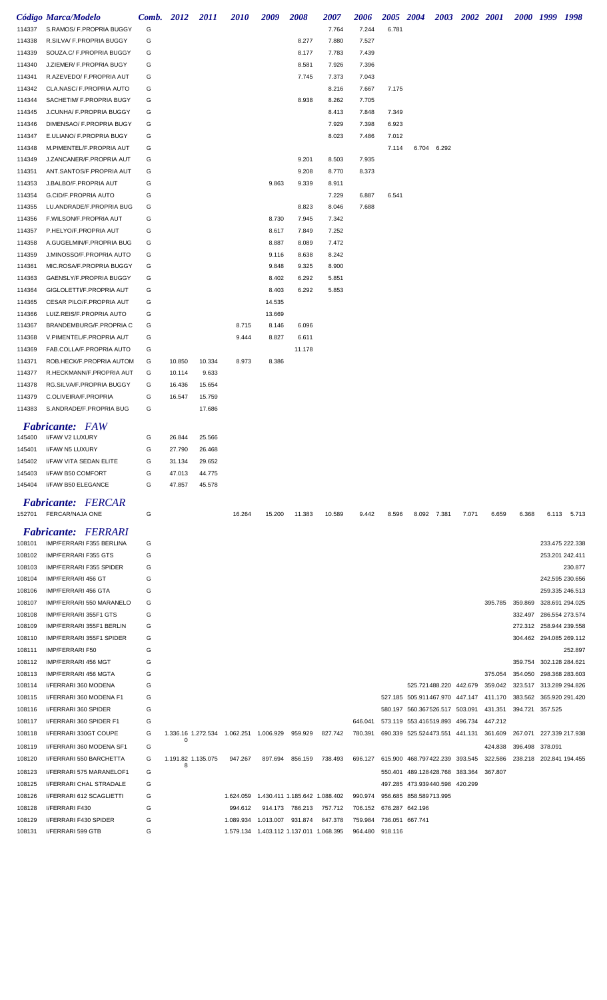|        | Código Marca/Modelo         |   | <b>Comb.</b> 2012  | 2011   | 2010    | 2009                                           | 2008            | 2007    | 2006            | 2005 2004       |                                                                | <b>2003</b> | 2002 2001 |                                 |                                 | 2000 1999 1998  |         |
|--------|-----------------------------|---|--------------------|--------|---------|------------------------------------------------|-----------------|---------|-----------------|-----------------|----------------------------------------------------------------|-------------|-----------|---------------------------------|---------------------------------|-----------------|---------|
| 114337 | S.RAMOS/ F.PROPRIA BUGGY    | G |                    |        |         |                                                |                 | 7.764   | 7.244           | 6.781           |                                                                |             |           |                                 |                                 |                 |         |
| 114338 | R.SILVA/ F.PROPRIA BUGGY    | G |                    |        |         |                                                | 8.277           | 7.880   | 7.527           |                 |                                                                |             |           |                                 |                                 |                 |         |
| 114339 | SOUZA.C/ F.PROPRIA BUGGY    | G |                    |        |         |                                                | 8.177           | 7.783   | 7.439           |                 |                                                                |             |           |                                 |                                 |                 |         |
| 114340 | J.ZIEMER/ F.PROPRIA BUGY    | G |                    |        |         |                                                | 8.581           | 7.926   | 7.396           |                 |                                                                |             |           |                                 |                                 |                 |         |
| 114341 | R.AZEVEDO/ F.PROPRIA AUT    | G |                    |        |         |                                                | 7.745           | 7.373   | 7.043           |                 |                                                                |             |           |                                 |                                 |                 |         |
| 114342 | CLA.NASC/ F.PROPRIA AUTO    | G |                    |        |         |                                                |                 | 8.216   | 7.667           | 7.175           |                                                                |             |           |                                 |                                 |                 |         |
| 114344 | SACHETIM/ F.PROPRIA BUGY    | G |                    |        |         |                                                | 8.938           | 8.262   | 7.705           |                 |                                                                |             |           |                                 |                                 |                 |         |
| 114345 | J.CUNHA/ F.PROPRIA BUGGY    | G |                    |        |         |                                                |                 | 8.413   | 7.848           | 7.349           |                                                                |             |           |                                 |                                 |                 |         |
| 114346 | DIMENSAO/ F.PROPRIA BUGY    | G |                    |        |         |                                                |                 | 7.929   | 7.398           | 6.923           |                                                                |             |           |                                 |                                 |                 |         |
| 114347 | E.ULIANO/ F.PROPRIA BUGY    | G |                    |        |         |                                                |                 | 8.023   | 7.486           | 7.012           |                                                                |             |           |                                 |                                 |                 |         |
| 114348 | M.PIMENTEL/F.PROPRIA AUT    | G |                    |        |         |                                                |                 |         |                 | 7.114           | 6.704 6.292                                                    |             |           |                                 |                                 |                 |         |
| 114349 | J.ZANCANER/F.PROPRIA AUT    | G |                    |        |         |                                                | 9.201           | 8.503   | 7.935           |                 |                                                                |             |           |                                 |                                 |                 |         |
| 114351 | ANT.SANTOS/F.PROPRIA AUT    | G |                    |        |         |                                                | 9.208           | 8.770   | 8.373           |                 |                                                                |             |           |                                 |                                 |                 |         |
| 114353 | J.BALBO/F.PROPRIA AUT       | G |                    |        |         | 9.863                                          | 9.339           | 8.911   |                 |                 |                                                                |             |           |                                 |                                 |                 |         |
| 114354 | G.CID/F.PROPRIA AUTO        | G |                    |        |         |                                                |                 | 7.229   | 6.887           | 6.541           |                                                                |             |           |                                 |                                 |                 |         |
| 114355 | LU.ANDRADE/F.PROPRIA BUG    | G |                    |        |         |                                                | 8.823           | 8.046   | 7.688           |                 |                                                                |             |           |                                 |                                 |                 |         |
| 114356 | F.WILSON/F.PROPRIA AUT      | G |                    |        |         | 8.730                                          | 7.945           | 7.342   |                 |                 |                                                                |             |           |                                 |                                 |                 |         |
| 114357 | P.HELYO/F.PROPRIA AUT       | G |                    |        |         | 8.617                                          | 7.849           | 7.252   |                 |                 |                                                                |             |           |                                 |                                 |                 |         |
| 114358 | A.GUGELMIN/F.PROPRIA BUG    | G |                    |        |         | 8.887                                          | 8.089           | 7.472   |                 |                 |                                                                |             |           |                                 |                                 |                 |         |
| 114359 | J.MINOSSO/F.PROPRIA AUTO    | G |                    |        |         | 9.116                                          | 8.638           | 8.242   |                 |                 |                                                                |             |           |                                 |                                 |                 |         |
| 114361 | MIC.ROSA/F.PROPRIA BUGGY    | G |                    |        |         | 9.848                                          | 9.325           | 8.900   |                 |                 |                                                                |             |           |                                 |                                 |                 |         |
| 114363 | GAENSLY/F.PROPRIA BUGGY     | G |                    |        |         | 8.402                                          | 6.292           | 5.851   |                 |                 |                                                                |             |           |                                 |                                 |                 |         |
| 114364 | GIGLOLETTI/F.PROPRIA AUT    | G |                    |        |         | 8.403                                          | 6.292           | 5.853   |                 |                 |                                                                |             |           |                                 |                                 |                 |         |
| 114365 | CESAR PILO/F.PROPRIA AUT    | G |                    |        |         | 14.535                                         |                 |         |                 |                 |                                                                |             |           |                                 |                                 |                 |         |
| 114366 | LUIZ.REIS/F.PROPRIA AUTO    | G |                    |        |         | 13.669                                         |                 |         |                 |                 |                                                                |             |           |                                 |                                 |                 |         |
| 114367 | BRANDEMBURG/F.PROPRIA C     | G |                    |        | 8.715   | 8.146                                          | 6.096           |         |                 |                 |                                                                |             |           |                                 |                                 |                 |         |
| 114368 | V.PIMENTEL/F.PROPRIA AUT    | G |                    |        | 9.444   | 8.827                                          | 6.611           |         |                 |                 |                                                                |             |           |                                 |                                 |                 |         |
| 114369 | FAB.COLLA/F.PROPRIA AUTO    | G |                    |        |         |                                                | 11.178          |         |                 |                 |                                                                |             |           |                                 |                                 |                 |         |
| 114371 | ROB.HECK/F.PROPRIA AUTOM    | G | 10.850             | 10.334 | 8.973   | 8.386                                          |                 |         |                 |                 |                                                                |             |           |                                 |                                 |                 |         |
| 114377 | R.HECKMANN/F.PROPRIA AUT    | G | 10.114             | 9.633  |         |                                                |                 |         |                 |                 |                                                                |             |           |                                 |                                 |                 |         |
| 114378 | RG.SILVA/F.PROPRIA BUGGY    | G | 16.436             | 15.654 |         |                                                |                 |         |                 |                 |                                                                |             |           |                                 |                                 |                 |         |
| 114379 | C.OLIVEIRA/F.PROPRIA        | G | 16.547             | 15.759 |         |                                                |                 |         |                 |                 |                                                                |             |           |                                 |                                 |                 |         |
| 114383 | S.ANDRADE/F.PROPRIA BUG     | G |                    | 17.686 |         |                                                |                 |         |                 |                 |                                                                |             |           |                                 |                                 |                 |         |
|        |                             |   |                    |        |         |                                                |                 |         |                 |                 |                                                                |             |           |                                 |                                 |                 |         |
|        | <b>Fabricante:</b> FAW      |   |                    |        |         |                                                |                 |         |                 |                 |                                                                |             |           |                                 |                                 |                 |         |
| 145400 | I/FAW V2 LUXURY             | G | 26.844             | 25.566 |         |                                                |                 |         |                 |                 |                                                                |             |           |                                 |                                 |                 |         |
| 145401 | I/FAW N5 LUXURY             | G | 27.790             | 26.468 |         |                                                |                 |         |                 |                 |                                                                |             |           |                                 |                                 |                 |         |
| 145402 | I/FAW VITA SEDAN ELITE      | G | 31.134             | 29.652 |         |                                                |                 |         |                 |                 |                                                                |             |           |                                 |                                 |                 |         |
| 145403 | I/FAW B50 COMFORT           | G | 47.013             | 44.775 |         |                                                |                 |         |                 |                 |                                                                |             |           |                                 |                                 |                 |         |
| 145404 | I/FAW B50 ELEGANCE          | G | 47.857             | 45.578 |         |                                                |                 |         |                 |                 |                                                                |             |           |                                 |                                 |                 |         |
|        | <b>Fabricante: FERCAR</b>   |   |                    |        |         |                                                |                 |         |                 |                 |                                                                |             |           |                                 |                                 |                 |         |
| 152701 | FERCAR/NAJA ONE             | G |                    |        | 16.264  | 15.200                                         | 11.383          | 10.589  | 9.442           | 8.596           | 8.092 7.381                                                    |             | 7.071     | 6.659                           | 6.368                           | 6.113           | 5.713   |
|        |                             |   |                    |        |         |                                                |                 |         |                 |                 |                                                                |             |           |                                 |                                 |                 |         |
|        | <b>Fabricante: FERRARI</b>  |   |                    |        |         |                                                |                 |         |                 |                 |                                                                |             |           |                                 |                                 |                 |         |
| 108101 | IMP/FERRARI F355 BERLINA    | G |                    |        |         |                                                |                 |         |                 |                 |                                                                |             |           |                                 |                                 | 233.475 222.338 |         |
| 108102 | <b>IMP/FERRARI F355 GTS</b> | G |                    |        |         |                                                |                 |         |                 |                 |                                                                |             |           |                                 |                                 | 253.201 242.411 |         |
| 108103 | IMP/FERRARI F355 SPIDER     | G |                    |        |         |                                                |                 |         |                 |                 |                                                                |             |           |                                 |                                 |                 | 230.877 |
| 108104 | IMP/FERRARI 456 GT          | G |                    |        |         |                                                |                 |         |                 |                 |                                                                |             |           |                                 |                                 | 242.595 230.656 |         |
| 108106 | IMP/FERRARI 456 GTA         | G |                    |        |         |                                                |                 |         |                 |                 |                                                                |             |           |                                 |                                 | 259.335 246.513 |         |
| 108107 | IMP/FERRARI 550 MARANELO    | G |                    |        |         |                                                |                 |         |                 |                 |                                                                |             |           |                                 | 395.785 359.869                 | 328.691 294.025 |         |
| 108108 | IMP/FERRARI 355F1 GTS       | G |                    |        |         |                                                |                 |         |                 |                 |                                                                |             |           |                                 | 332.497 286.554 273.574         |                 |         |
| 108109 | IMP/FERRARI 355F1 BERLIN    | G |                    |        |         |                                                |                 |         |                 |                 |                                                                |             |           |                                 | 272.312 258.944 239.558         |                 |         |
| 108110 | IMP/FERRARI 355F1 SPIDER    | G |                    |        |         |                                                |                 |         |                 |                 |                                                                |             |           |                                 | 304.462 294.085 269.112         |                 |         |
| 108111 | IMP/FERRARI F50             | G |                    |        |         |                                                |                 |         |                 |                 |                                                                |             |           |                                 |                                 |                 | 252.897 |
| 108112 | IMP/FERRARI 456 MGT         | G |                    |        |         |                                                |                 |         |                 |                 |                                                                |             |           |                                 | 359.754 302.128 284.621         |                 |         |
| 108113 | IMP/FERRARI 456 MGTA        | G |                    |        |         |                                                |                 |         |                 |                 |                                                                |             |           |                                 | 375.054 354.050 298.368 283.603 |                 |         |
| 108114 | I/FERRARI 360 MODENA        | G |                    |        |         |                                                |                 |         |                 |                 | 525.721488.220 442.679                                         |             |           | 359.042 323.517 313.289 294.826 |                                 |                 |         |
| 108115 | I/FERRARI 360 MODENA F1     | G |                    |        |         |                                                |                 |         |                 |                 | 527.185 505.911467.970 447.147 411.170 383.562 365.920 291.420 |             |           |                                 |                                 |                 |         |
| 108116 | I/FERRARI 360 SPIDER        | G |                    |        |         |                                                |                 |         |                 |                 | 580.197 560.367526.517 503.091 431.351 394.721 357.525         |             |           |                                 |                                 |                 |         |
| 108117 | I/FERRARI 360 SPIDER F1     | G |                    |        |         |                                                |                 |         | 646.041         |                 | 573.119 553.416519.893 496.734 447.212                         |             |           |                                 |                                 |                 |         |
| 108118 | I/FERRARI 330GT COUPE       | G | 0                  |        |         | 1.336.16 1.272.534 1.062.251 1.006.929 959.929 |                 | 827.742 | 780.391         |                 | 690.339 525.524473.551 441.131 361.609 267.071 227.339 217.938 |             |           |                                 |                                 |                 |         |
| 108119 | I/FERRARI 360 MODENA SF1    | G |                    |        |         |                                                |                 |         |                 |                 |                                                                |             |           | 424.838                         | 396.498 378.091                 |                 |         |
| 108120 | I/FERRARI 550 BARCHETTA     | G | 1.191.82 1.135.075 |        | 947.267 | 897.694                                        | 856.159         | 738.493 | 696.127         |                 | 615.900 468.797422.239 393.545                                 |             |           | 322.586 238.218 202.841 194.455 |                                 |                 |         |
| 108123 | I/FERRARI 575 MARANELOF1    | G | 8                  |        |         |                                                |                 |         |                 |                 | 550.401 489.128428.768 383.364 367.807                         |             |           |                                 |                                 |                 |         |
| 108125 | I/FERRARI CHAL STRADALE     | G |                    |        |         |                                                |                 |         |                 |                 | 497.285 473.939440.598 420.299                                 |             |           |                                 |                                 |                 |         |
| 108126 | I/FERRARI 612 SCAGLIETTI    | G |                    |        |         | 1.624.059  1.430.411  1.185.642  1.088.402     |                 |         | 990.974         |                 | 956.685 858.589713.995                                         |             |           |                                 |                                 |                 |         |
| 108128 | I/FERRARI F430              | G |                    |        | 994.612 |                                                | 914.173 786.213 | 757.712 | 706.152         | 676.287 642.196 |                                                                |             |           |                                 |                                 |                 |         |
| 108129 | I/FERRARI F430 SPIDER       | G |                    |        |         | 1.089.934  1.013.007  931.874                  |                 | 847.378 | 759.984         | 736.051 667.741 |                                                                |             |           |                                 |                                 |                 |         |
| 108131 | I/FERRARI 599 GTB           | G |                    |        |         | 1.579.134 1.403.112 1.137.011 1.068.395        |                 |         | 964.480 918.116 |                 |                                                                |             |           |                                 |                                 |                 |         |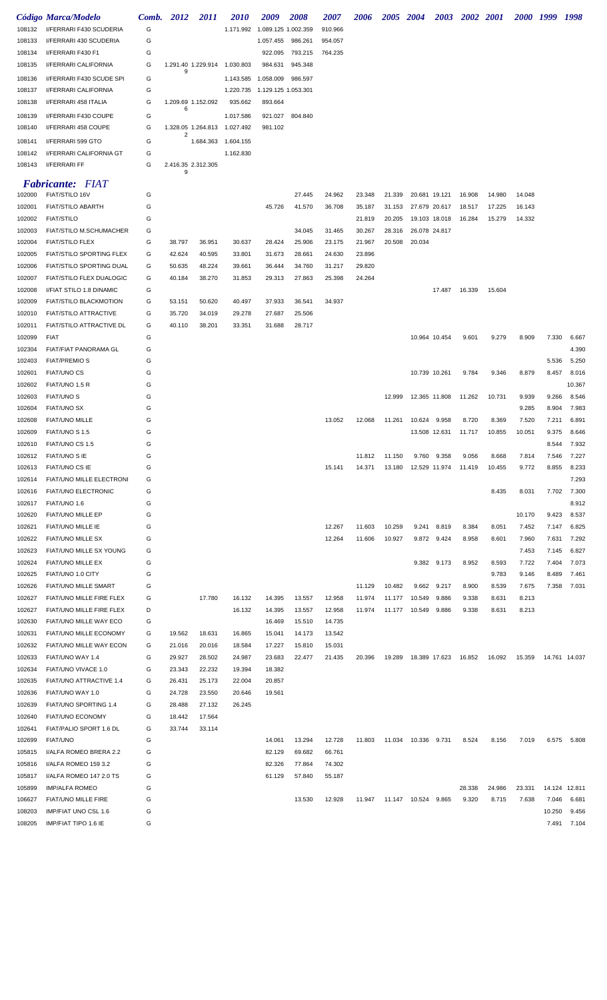|        | Código Marca/Modelo             | Comb. | 2012   | <i>2011</i>                  | <i>2010</i> | 2009                            | <b>2008</b> | <i><b>2007</b></i> | 2006   | 2005 2004 |                       |               | 2003 2002 2001 |        | 2000 1999 |        | 1998          |
|--------|---------------------------------|-------|--------|------------------------------|-------------|---------------------------------|-------------|--------------------|--------|-----------|-----------------------|---------------|----------------|--------|-----------|--------|---------------|
| 108132 | I/FERRARI F430 SCUDERIA         | G     |        |                              |             | 1.171.992  1.089.125  1.002.359 |             | 910.966            |        |           |                       |               |                |        |           |        |               |
| 108133 | I/FERRARI 430 SCUDERIA          | G     |        |                              |             | 1.057.455                       | 986.261     | 954.057            |        |           |                       |               |                |        |           |        |               |
| 108134 | I/FERRARI F430 F1               | G     |        |                              |             | 922.095                         | 793.215     | 764.235            |        |           |                       |               |                |        |           |        |               |
| 108135 | I/FERRARI CALIFORNIA            | G     | 9      | 1.291.40 1.229.914 1.030.803 |             | 984.631                         | 945.348     |                    |        |           |                       |               |                |        |           |        |               |
| 108136 | I/FERRARI F430 SCUDE SPI        | G     |        |                              |             | 1.143.585 1.058.009             | 986.597     |                    |        |           |                       |               |                |        |           |        |               |
| 108137 | I/FERRARI CALIFORNIA            | G     |        |                              |             |                                 |             |                    |        |           |                       |               |                |        |           |        |               |
| 108138 | I/FERRARI 458 ITALIA            | G     |        | 1.209.69 1.152.092           | 935.662     | 893.664                         |             |                    |        |           |                       |               |                |        |           |        |               |
| 108139 | I/FERRARI F430 COUPE            | G     | 6      |                              | 1.017.586   | 921.027                         | 804.840     |                    |        |           |                       |               |                |        |           |        |               |
| 108140 | I/FERRARI 458 COUPE             | G     |        | 1.328.05 1.264.813 1.027.492 |             | 981.102                         |             |                    |        |           |                       |               |                |        |           |        |               |
|        | I/FERRARI 599 GTO               | G     | 2      | 1.684.363 1.604.155          |             |                                 |             |                    |        |           |                       |               |                |        |           |        |               |
| 108141 |                                 |       |        |                              |             |                                 |             |                    |        |           |                       |               |                |        |           |        |               |
| 108142 | I/FERRARI CALIFORNIA GT         | G     |        |                              | 1.162.830   |                                 |             |                    |        |           |                       |               |                |        |           |        |               |
| 108143 | I/FERRARI FF                    | G     | 9      | 2.416.35 2.312.305           |             |                                 |             |                    |        |           |                       |               |                |        |           |        |               |
|        | <b>Fabricante: FIAT</b>         |       |        |                              |             |                                 |             |                    |        |           |                       |               |                |        |           |        |               |
| 102000 | FIAT/STILO 16V                  | G     |        |                              |             |                                 | 27.445      | 24.962             | 23.348 | 21.339    |                       | 20.681 19.121 | 16.908         | 14.980 | 14.048    |        |               |
| 102001 | <b>FIAT/STILO ABARTH</b>        | G     |        |                              |             | 45.726                          | 41.570      | 36.708             | 35.187 | 31.153    |                       | 27.679 20.617 | 18.517         | 17.225 | 16.143    |        |               |
| 102002 | <b>FIAT/STILO</b>               | G     |        |                              |             |                                 |             |                    | 21.819 | 20.205    |                       | 19.103 18.018 | 16.284         | 15.279 | 14.332    |        |               |
| 102003 | FIAT/STILO M.SCHUMACHER         | G     |        |                              |             |                                 | 34.045      | 31.465             | 30.267 | 28.316    | 26.078 24.817         |               |                |        |           |        |               |
| 102004 | <b>FIAT/STILO FLEX</b>          | G     | 38.797 | 36.951                       | 30.637      | 28.424                          | 25.906      | 23.175             | 21.967 | 20.508    | 20.034                |               |                |        |           |        |               |
| 102005 | FIAT/STILO SPORTING FLEX        | G     | 42.624 | 40.595                       | 33.801      | 31.673                          | 28.661      | 24.630             | 23.896 |           |                       |               |                |        |           |        |               |
| 102006 | FIAT/STILO SPORTING DUAL        | G     | 50.635 | 48.224                       | 39.661      | 36.444                          | 34.760      | 31.217             | 29.820 |           |                       |               |                |        |           |        |               |
|        |                                 | G     | 40.184 |                              | 31.853      | 29.313                          |             | 25.398             | 24.264 |           |                       |               |                |        |           |        |               |
| 102007 | <b>FIAT/STILO FLEX DUALOGIC</b> |       |        | 38.270                       |             |                                 | 27.863      |                    |        |           |                       |               |                |        |           |        |               |
| 102008 | I/FIAT STILO 1.8 DINAMIC        | G     |        |                              |             |                                 |             |                    |        |           |                       | 17.487        | 16.339         | 15.604 |           |        |               |
| 102009 | <b>FIAT/STILO BLACKMOTION</b>   | G     | 53.151 | 50.620                       | 40.497      | 37.933                          | 36.541      | 34.937             |        |           |                       |               |                |        |           |        |               |
| 102010 | <b>FIAT/STILO ATTRACTIVE</b>    | G     | 35.720 | 34.019                       | 29.278      | 27.687                          | 25.506      |                    |        |           |                       |               |                |        |           |        |               |
| 102011 | FIAT/STILO ATTRACTIVE DL        | G     | 40.110 | 38.201                       | 33.351      | 31.688                          | 28.717      |                    |        |           |                       |               |                |        |           |        |               |
| 102099 | <b>FIAT</b>                     | G     |        |                              |             |                                 |             |                    |        |           |                       | 10.964 10.454 | 9.601          | 9.279  | 8.909     | 7.330  | 6.667         |
| 102304 | FIAT/FIAT PANORAMA GL           | G     |        |                              |             |                                 |             |                    |        |           |                       |               |                |        |           |        | 4.390         |
| 102403 | <b>FIAT/PREMIO S</b>            | G     |        |                              |             |                                 |             |                    |        |           |                       |               |                |        |           | 5.536  | 5.250         |
| 102601 | <b>FIAT/UNO CS</b>              | G     |        |                              |             |                                 |             |                    |        |           | 10.739 10.261         |               | 9.784          | 9.346  | 8.879     | 8.457  | 8.016         |
| 102602 | FIAT/UNO 1.5 R                  | G     |        |                              |             |                                 |             |                    |        |           |                       |               |                |        |           |        | 10.367        |
| 102603 | <b>FIAT/UNO S</b>               | G     |        |                              |             |                                 |             |                    |        | 12.999    |                       | 12.365 11.808 | 11.262         | 10.731 | 9.939     | 9.266  | 8.546         |
| 102604 | <b>FIAT/UNO SX</b>              | G     |        |                              |             |                                 |             |                    |        |           |                       |               |                |        | 9.285     | 8.904  | 7.983         |
| 102608 | <b>FIAT/UNO MILLE</b>           | G     |        |                              |             |                                 |             | 13.052             | 12.068 | 11.261    | 10.624                | 9.958         | 8.720          | 8.369  | 7.520     | 7.211  | 6.891         |
| 102609 | FIAT/UNO S 1.5                  | G     |        |                              |             |                                 |             |                    |        |           |                       | 13.508 12.631 | 11.717         | 10.855 | 10.051    | 9.375  | 8.646         |
| 102610 | FIAT/UNO CS 1.5                 | G     |        |                              |             |                                 |             |                    |        |           |                       |               |                |        |           | 8.544  | 7.932         |
| 102612 | FIAT/UNO S IE                   | G     |        |                              |             |                                 |             |                    | 11.812 | 11.150    | 9.760                 | 9.358         | 9.056          | 8.668  | 7.814     | 7.546  | 7.227         |
| 102613 | <b>FIAT/UNO CS IE</b>           | G     |        |                              |             |                                 |             | 15.141             | 14.371 | 13.180    |                       | 12.529 11.974 | 11.419         | 10.455 | 9.772     | 8.855  | 8.233         |
| 102614 | FIAT/UNO MILLE ELECTRONI        | G     |        |                              |             |                                 |             |                    |        |           |                       |               |                |        |           |        | 7.293         |
| 102616 | FIAT/UNO ELECTRONIC             | G     |        |                              |             |                                 |             |                    |        |           |                       |               |                | 8.435  | 8.031     | 7.702  | 7.300         |
| 102617 | FIAT/UNO 1.6                    | G     |        |                              |             |                                 |             |                    |        |           |                       |               |                |        |           |        | 8.912         |
| 102620 | FIAT/UNO MILLE EP               | G     |        |                              |             |                                 |             |                    |        |           |                       |               |                |        | 10.170    | 9.423  | 8.537         |
| 102621 | FIAT/UNO MILLE IE               | G     |        |                              |             |                                 |             | 12.267             | 11.603 | 10.259    | 9.241                 | 8.819         | 8.384          | 8.051  | 7.452     | 7.147  | 6.825         |
| 102622 | FIAT/UNO MILLE SX               | G     |        |                              |             |                                 |             | 12.264             | 11.606 | 10.927    |                       | 9.872 9.424   | 8.958          | 8.601  | 7.960     | 7.631  | 7.292         |
|        |                                 | G     |        |                              |             |                                 |             |                    |        |           |                       |               |                |        |           |        |               |
| 102623 | FIAT/UNO MILLE SX YOUNG         |       |        |                              |             |                                 |             |                    |        |           |                       |               |                |        | 7.453     | 7.145  | 6.827         |
| 102624 | FIAT/UNO MILLE EX               | G     |        |                              |             |                                 |             |                    |        |           |                       | 9.382 9.173   | 8.952          | 8.593  | 7.722     | 7.404  | 7.073         |
| 102625 | FIAT/UNO 1.0 CITY               | G     |        |                              |             |                                 |             |                    |        |           |                       |               |                | 9.783  | 9.146     | 8.489  | 7.461         |
| 102626 | FIAT/UNO MILLE SMART            | G     |        |                              |             |                                 |             |                    | 11.129 | 10.482    |                       | 9.662 9.217   | 8.900          | 8.539  | 7.675     | 7.358  | 7.031         |
| 102627 | FIAT/UNO MILLE FIRE FLEX        | G     |        | 17.780                       | 16.132      | 14.395                          | 13.557      | 12.958             | 11.974 |           | 11.177 10.549         | 9.886         | 9.338          | 8.631  | 8.213     |        |               |
| 102627 | FIAT/UNO MILLE FIRE FLEX        | D     |        |                              | 16.132      | 14.395                          | 13.557      | 12.958             | 11.974 |           |                       | 9.886         | 9.338          | 8.631  | 8.213     |        |               |
| 102630 | FIAT/UNO MILLE WAY ECO          | G     |        |                              |             | 16.469                          | 15.510      | 14.735             |        |           |                       |               |                |        |           |        |               |
| 102631 | FIAT/UNO MILLE ECONOMY          | G     | 19.562 | 18.631                       | 16.865      | 15.041                          | 14.173      | 13.542             |        |           |                       |               |                |        |           |        |               |
| 102632 | FIAT/UNO MILLE WAY ECON         | G     | 21.016 | 20.016                       | 18.584      | 17.227                          | 15.810      | 15.031             |        |           |                       |               |                |        |           |        |               |
| 102633 | FIAT/UNO WAY 1.4                | G     | 29.927 | 28.502                       | 24.987      | 23.683                          | 22.477      | 21.435             | 20.396 | 19.289    |                       | 18.389 17.623 | 16.852         | 16.092 | 15.359    |        | 14.761 14.037 |
| 102634 | FIAT/UNO VIVACE 1.0             | G     | 23.343 | 22.232                       | 19.394      | 18.382                          |             |                    |        |           |                       |               |                |        |           |        |               |
| 102635 | FIAT/UNO ATTRACTIVE 1.4         | G     | 26.431 | 25.173                       | 22.004      | 20.857                          |             |                    |        |           |                       |               |                |        |           |        |               |
| 102636 | FIAT/UNO WAY 1.0                | G     | 24.728 | 23.550                       | 20.646      | 19.561                          |             |                    |        |           |                       |               |                |        |           |        |               |
| 102639 | FIAT/UNO SPORTING 1.4           | G     | 28.488 | 27.132                       | 26.245      |                                 |             |                    |        |           |                       |               |                |        |           |        |               |
| 102640 | FIAT/UNO ECONOMY                | G     | 18.442 | 17.564                       |             |                                 |             |                    |        |           |                       |               |                |        |           |        |               |
| 102641 | FIAT/PALIO SPORT 1.6 DL         | G     | 33.744 | 33.114                       |             |                                 |             |                    |        |           |                       |               |                |        |           |        |               |
| 102699 | <b>FIAT/UNO</b>                 | G     |        |                              |             | 14.061                          | 13.294      | 12.728             | 11.803 |           | 11.034 10.336 9.731   |               | 8.524          | 8.156  | 7.019     | 6.575  | 5.808         |
| 105815 | I/ALFA ROMEO BRERA 2.2          | G     |        |                              |             | 82.129                          | 69.682      | 66.761             |        |           |                       |               |                |        |           |        |               |
| 105816 | I/ALFA ROMEO 159 3.2            | G     |        |                              |             | 82.326                          | 77.864      | 74.302             |        |           |                       |               |                |        |           |        |               |
| 105817 | I/ALFA ROMEO 147 2.0 TS         | G     |        |                              |             | 61.129                          | 57.840      | 55.187             |        |           |                       |               |                |        |           |        |               |
| 105899 | <b>IMP/ALFA ROMEO</b>           | G     |        |                              |             |                                 |             |                    |        |           |                       |               | 28.338         | 24.986 | 23.331    |        | 14.124 12.811 |
| 106627 | FIAT/UNO MILLE FIRE             | G     |        |                              |             |                                 | 13.530      | 12.928             | 11.947 |           | 11.147  10.524  9.865 |               | 9.320          | 8.715  | 7.638     | 7.046  | 6.681         |
| 108203 | IMP/FIAT UNO CSL 1.6            | G     |        |                              |             |                                 |             |                    |        |           |                       |               |                |        |           | 10.250 | 9.456         |
| 108205 | IMP/FIAT TIPO 1.6 IE            | G     |        |                              |             |                                 |             |                    |        |           |                       |               |                |        |           | 7.491  | 7.104         |
|        |                                 |       |        |                              |             |                                 |             |                    |        |           |                       |               |                |        |           |        |               |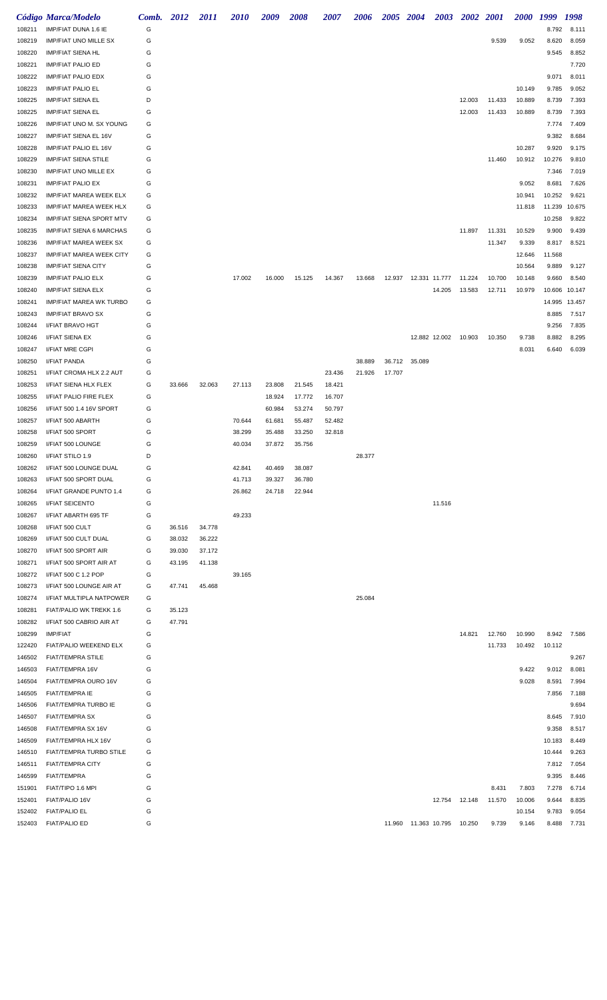|        | <b>Código Marca/Modelo</b>      | Comb. | 2012   | <b>2011</b> | <i>2010</i> | 2009   | 2008   | 2007   | 2006   | 2005 2004 |                                |               | 2003 2002 2001 |        | 2000 1999 |        | 1998   |
|--------|---------------------------------|-------|--------|-------------|-------------|--------|--------|--------|--------|-----------|--------------------------------|---------------|----------------|--------|-----------|--------|--------|
| 108211 | IMP/FIAT DUNA 1.6 IE            | G     |        |             |             |        |        |        |        |           |                                |               |                |        |           | 8.792  | 8.111  |
| 108219 | <b>IMP/FIAT UNO MILLE SX</b>    | G     |        |             |             |        |        |        |        |           |                                |               |                | 9.539  | 9.052     | 8.620  | 8.059  |
| 108220 | <b>IMP/FIAT SIENA HL</b>        | G     |        |             |             |        |        |        |        |           |                                |               |                |        |           | 9.545  | 8.852  |
| 108221 | <b>IMP/FIAT PALIO ED</b>        | G     |        |             |             |        |        |        |        |           |                                |               |                |        |           |        | 7.720  |
| 108222 | <b>IMP/FIAT PALIO EDX</b>       | G     |        |             |             |        |        |        |        |           |                                |               |                |        |           | 9.071  | 8.011  |
| 108223 | <b>IMP/FIAT PALIO EL</b>        | G     |        |             |             |        |        |        |        |           |                                |               |                |        | 10.149    | 9.785  | 9.052  |
| 108225 | <b>IMP/FIAT SIENA EL</b>        | D     |        |             |             |        |        |        |        |           |                                |               | 12.003         | 11.433 | 10.889    | 8.739  | 7.393  |
| 108225 | <b>IMP/FIAT SIENA EL</b>        | G     |        |             |             |        |        |        |        |           |                                |               | 12.003         | 11.433 | 10.889    | 8.739  | 7.393  |
| 108226 | IMP/FIAT UNO M. SX YOUNG        | G     |        |             |             |        |        |        |        |           |                                |               |                |        |           | 7.774  | 7.409  |
| 108227 | <b>IMP/FIAT SIENA EL 16V</b>    | G     |        |             |             |        |        |        |        |           |                                |               |                |        |           | 9.382  | 8.684  |
| 108228 | IMP/FIAT PALIO EL 16V           | G     |        |             |             |        |        |        |        |           |                                |               |                |        | 10.287    | 9.920  | 9.175  |
| 108229 | <b>IMP/FIAT SIENA STILE</b>     | G     |        |             |             |        |        |        |        |           |                                |               |                | 11.460 | 10.912    | 10.276 | 9.810  |
| 108230 | <b>IMP/FIAT UNO MILLE EX</b>    | G     |        |             |             |        |        |        |        |           |                                |               |                |        |           | 7.346  | 7.019  |
| 108231 | <b>IMP/FIAT PALIO EX</b>        | G     |        |             |             |        |        |        |        |           |                                |               |                |        | 9.052     | 8.681  | 7.626  |
| 108232 | <b>IMP/FIAT MAREA WEEK ELX</b>  | G     |        |             |             |        |        |        |        |           |                                |               |                |        | 10.941    | 10.252 | 9.621  |
| 108233 | IMP/FIAT MAREA WEEK HLX         | G     |        |             |             |        |        |        |        |           |                                |               |                |        | 11.818    | 11.239 | 10.675 |
| 108234 | <b>IMP/FIAT SIENA SPORT MTV</b> | G     |        |             |             |        |        |        |        |           |                                |               |                |        |           | 10.258 | 9.822  |
| 108235 | <b>IMP/FIAT SIENA 6 MARCHAS</b> | G     |        |             |             |        |        |        |        |           |                                |               | 11.897         | 11.331 | 10.529    | 9.900  | 9.439  |
| 108236 | <b>IMP/FIAT MAREA WEEK SX</b>   | G     |        |             |             |        |        |        |        |           |                                |               |                | 11.347 | 9.339     | 8.817  | 8.521  |
| 108237 | <b>IMP/FIAT MAREA WEEK CITY</b> | G     |        |             |             |        |        |        |        |           |                                |               |                |        | 12.646    | 11.568 |        |
| 108238 | <b>IMP/FIAT SIENA CITY</b>      | G     |        |             |             |        |        |        |        |           |                                |               |                |        | 10.564    | 9.889  | 9.127  |
| 108239 | <b>IMP/FIAT PALIO ELX</b>       | G     |        |             | 17.002      | 16.000 | 15.125 | 14.367 | 13.668 | 12.937    |                                | 12.331 11.777 | 11.224         | 10.700 | 10.148    | 9.660  | 8.540  |
| 108240 | <b>IMP/FIAT SIENA ELX</b>       | G     |        |             |             |        |        |        |        |           |                                | 14.205        | 13.583         | 12.711 | 10.979    | 10.606 | 10.147 |
| 108241 | <b>IMP/FIAT MAREA WK TURBO</b>  | G     |        |             |             |        |        |        |        |           |                                |               |                |        |           | 14.995 | 13.457 |
| 108243 | <b>IMP/FIAT BRAVO SX</b>        | G     |        |             |             |        |        |        |        |           |                                |               |                |        |           | 8.885  | 7.517  |
| 108244 | I/FIAT BRAVO HGT                | G     |        |             |             |        |        |        |        |           |                                |               |                |        |           | 9.256  | 7.835  |
| 108246 | I/FIAT SIENA EX                 | G     |        |             |             |        |        |        |        |           |                                | 12.882 12.002 | 10.903         | 10.350 | 9.738     | 8.882  | 8.295  |
| 108247 | <b>I/FIAT MRE CGPI</b>          | G     |        |             |             |        |        |        |        |           |                                |               |                |        | 8.031     | 6.640  | 6.039  |
| 108250 | I/FIAT PANDA                    | G     |        |             |             |        |        |        | 38.889 | 36.712    | 35.089                         |               |                |        |           |        |        |
| 108251 | I/FIAT CROMA HLX 2.2 AUT        | G     |        |             |             |        |        | 23.436 | 21.926 | 17.707    |                                |               |                |        |           |        |        |
| 108253 | I/FIAT SIENA HLX FLEX           | G     | 33.666 | 32.063      | 27.113      | 23.808 | 21.545 | 18.421 |        |           |                                |               |                |        |           |        |        |
|        | I/FIAT PALIO FIRE FLEX          | G     |        |             |             | 18.924 | 17.772 | 16.707 |        |           |                                |               |                |        |           |        |        |
| 108255 |                                 | G     |        |             |             |        |        |        |        |           |                                |               |                |        |           |        |        |
| 108256 | I/FIAT 500 1.4 16V SPORT        |       |        |             |             | 60.984 | 53.274 | 50.797 |        |           |                                |               |                |        |           |        |        |
| 108257 | I/FIAT 500 ABARTH               | G     |        |             | 70.644      | 61.681 | 55.487 | 52.482 |        |           |                                |               |                |        |           |        |        |
| 108258 | I/FIAT 500 SPORT                | G     |        |             | 38.299      | 35.488 | 33.250 | 32.818 |        |           |                                |               |                |        |           |        |        |
| 108259 | I/FIAT 500 LOUNGE               | G     |        |             | 40.034      | 37.872 | 35.756 |        |        |           |                                |               |                |        |           |        |        |
| 108260 | I/FIAT STILO 1.9                |       |        |             |             |        |        |        | 28.377 |           |                                |               |                |        |           |        |        |
| 108262 | I/FIAT 500 LOUNGE DUAL          | G     |        |             | 42.841      | 40.469 | 38.087 |        |        |           |                                |               |                |        |           |        |        |
| 108263 | I/FIAT 500 SPORT DUAL           | G     |        |             | 41.713      | 39.327 | 36.780 |        |        |           |                                |               |                |        |           |        |        |
| 108264 | I/FIAT GRANDE PUNTO 1.4         | G     |        |             | 26.862      | 24.718 | 22.944 |        |        |           |                                |               |                |        |           |        |        |
| 108265 | I/FIAT SEICENTO                 | G     |        |             |             |        |        |        |        |           |                                | 11.516        |                |        |           |        |        |
| 108267 | I/FIAT ABARTH 695 TF            | G     |        |             | 49.233      |        |        |        |        |           |                                |               |                |        |           |        |        |
| 108268 | I/FIAT 500 CULT                 | G     | 36.516 | 34.778      |             |        |        |        |        |           |                                |               |                |        |           |        |        |
| 108269 | I/FIAT 500 CULT DUAL            | G     | 38.032 | 36.222      |             |        |        |        |        |           |                                |               |                |        |           |        |        |
| 108270 | I/FIAT 500 SPORT AIR            | G     | 39.030 | 37.172      |             |        |        |        |        |           |                                |               |                |        |           |        |        |
| 108271 | I/FIAT 500 SPORT AIR AT         | G     | 43.195 | 41.138      |             |        |        |        |        |           |                                |               |                |        |           |        |        |
| 108272 | I/FIAT 500 C 1.2 POP            | G     |        |             | 39.165      |        |        |        |        |           |                                |               |                |        |           |        |        |
| 108273 | I/FIAT 500 LOUNGE AIR AT        | G     | 47.741 | 45.468      |             |        |        |        |        |           |                                |               |                |        |           |        |        |
| 108274 | I/FIAT MULTIPLA NATPOWER        | G     |        |             |             |        |        |        | 25.084 |           |                                |               |                |        |           |        |        |
| 108281 | FIAT/PALIO WK TREKK 1.6         | G     | 35.123 |             |             |        |        |        |        |           |                                |               |                |        |           |        |        |
| 108282 | I/FIAT 500 CABRIO AIR AT        | G     | 47.791 |             |             |        |        |        |        |           |                                |               |                |        |           |        |        |
| 108299 | <b>IMP/FIAT</b>                 | G     |        |             |             |        |        |        |        |           |                                |               | 14.821         | 12.760 | 10.990    | 8.942  | 7.586  |
| 122420 | FIAT/PALIO WEEKEND ELX          | G     |        |             |             |        |        |        |        |           |                                |               |                | 11.733 | 10.492    | 10.112 |        |
| 146502 | <b>FIAT/TEMPRA STILE</b>        | G     |        |             |             |        |        |        |        |           |                                |               |                |        |           |        | 9.267  |
| 146503 | FIAT/TEMPRA 16V                 | G     |        |             |             |        |        |        |        |           |                                |               |                |        | 9.422     | 9.012  | 8.081  |
| 146504 | FIAT/TEMPRA OURO 16V            | G     |        |             |             |        |        |        |        |           |                                |               |                |        | 9.028     | 8.591  | 7.994  |
| 146505 | FIAT/TEMPRA IE                  | G     |        |             |             |        |        |        |        |           |                                |               |                |        |           | 7.856  | 7.188  |
| 146506 | FIAT/TEMPRA TURBO IE            | G     |        |             |             |        |        |        |        |           |                                |               |                |        |           |        | 9.694  |
| 146507 | <b>FIAT/TEMPRA SX</b>           | G     |        |             |             |        |        |        |        |           |                                |               |                |        |           | 8.645  | 7.910  |
| 146508 | FIAT/TEMPRA SX 16V              | G     |        |             |             |        |        |        |        |           |                                |               |                |        |           | 9.358  | 8.517  |
| 146509 | FIAT/TEMPRA HLX 16V             | G     |        |             |             |        |        |        |        |           |                                |               |                |        |           | 10.183 | 8.449  |
| 146510 | FIAT/TEMPRA TURBO STILE         | G     |        |             |             |        |        |        |        |           |                                |               |                |        |           | 10.444 | 9.263  |
| 146511 | <b>FIAT/TEMPRA CITY</b>         | G     |        |             |             |        |        |        |        |           |                                |               |                |        |           | 7.812  | 7.054  |
| 146599 | <b>FIAT/TEMPRA</b>              | G     |        |             |             |        |        |        |        |           |                                |               |                |        |           | 9.395  | 8.446  |
| 151901 | FIAT/TIPO 1.6 MPI               | G     |        |             |             |        |        |        |        |           |                                |               |                | 8.431  | 7.803     | 7.278  | 6.714  |
| 152401 | FIAT/PALIO 16V                  | G     |        |             |             |        |        |        |        |           |                                | 12.754        | 12.148         | 11.570 | 10.006    | 9.644  | 8.835  |
| 152402 | <b>FIAT/PALIO EL</b>            | G     |        |             |             |        |        |        |        |           |                                |               |                |        | 10.154    | 9.783  | 9.054  |
| 152403 | <b>FIAT/PALIO ED</b>            | G     |        |             |             |        |        |        |        |           | 11.960  11.363  10.795  10.250 |               |                | 9.739  | 9.146     | 8.488  | 7.731  |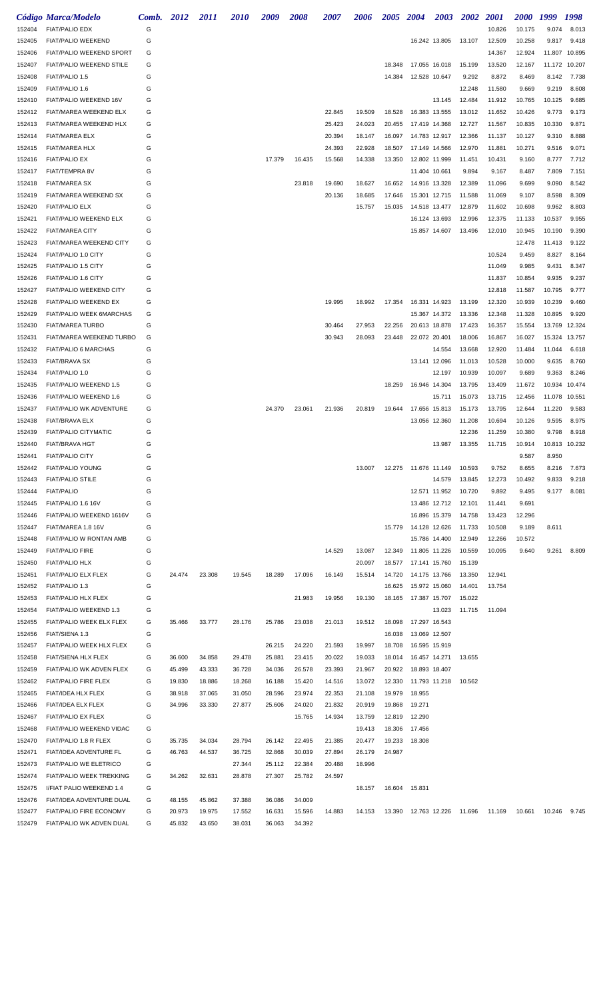|                  | Código Marca/Modelo                                 | Comb.  | 2012             | 2011             | <i>2010</i>      | 2009   | 2008   | 2007   | 2006   | 2005   | <b>2004</b>                        | 2003          | <b>2002</b> | <i>2001</i> | <i><b>2000</b></i> | 1999         | 1998   |
|------------------|-----------------------------------------------------|--------|------------------|------------------|------------------|--------|--------|--------|--------|--------|------------------------------------|---------------|-------------|-------------|--------------------|--------------|--------|
| 152404           | <b>FIAT/PALIO EDX</b>                               | G      |                  |                  |                  |        |        |        |        |        |                                    |               |             | 10.826      | 10.175             | 9.074        | 8.013  |
| 152405           | <b>FIAT/PALIO WEEKEND</b>                           | G      |                  |                  |                  |        |        |        |        |        |                                    | 16.242 13.805 | 13.107      | 12.509      | 10.258             | 9.817        | 9.418  |
| 152406           | <b>FIAT/PALIO WEEKEND SPORT</b>                     | G      |                  |                  |                  |        |        |        |        |        |                                    |               |             | 14.367      | 12.924             | 11.807       | 10.895 |
| 152407           | FIAT/PALIO WEEKEND STILE                            | G      |                  |                  |                  |        |        |        |        | 18.348 | 17.055 16.018                      |               | 15.199      | 13.520      | 12.167             | 11.172       | 10.207 |
| 152408           | FIAT/PALIO 1.5                                      | G      |                  |                  |                  |        |        |        |        | 14.384 | 12.528 10.647                      |               | 9.292       | 8.872       | 8.469              | 8.142        | 7.738  |
| 152409           | FIAT/PALIO 1.6                                      | G      |                  |                  |                  |        |        |        |        |        |                                    |               | 12.248      | 11.580      | 9.669              | 9.219        | 8.608  |
| 152410           | FIAT/PALIO WEEKEND 16V                              | G      |                  |                  |                  |        |        |        |        |        |                                    | 13.145        | 12.484      | 11.912      | 10.765             | 10.125       | 9.685  |
| 152412           | FIAT/MAREA WEEKEND ELX                              | G      |                  |                  |                  |        |        | 22.845 | 19.509 | 18.528 |                                    | 16.383 13.555 | 13.012      | 11.652      | 10.426             | 9.773        | 9.173  |
| 152413           | FIAT/MAREA WEEKEND HLX                              | G      |                  |                  |                  |        |        | 25.423 | 24.023 | 20.455 | 17.419 14.368                      |               | 12.727      | 11.567      | 10.835             | 10.330       | 9.871  |
| 152414           | <b>FIAT/MAREA ELX</b>                               | G      |                  |                  |                  |        |        | 20.394 | 18.147 | 16.097 | 14.783 12.917                      |               | 12.366      | 11.137      | 10.127             | 9.310        | 8.888  |
| 152415           | <b>FIAT/MAREA HLX</b>                               | G      |                  |                  |                  |        |        | 24.393 | 22.928 | 18.507 |                                    | 17.149 14.566 | 12.970      | 11.881      | 10.271             | 9.516        | 9.071  |
| 152416           | <b>FIAT/PALIO EX</b>                                | G      |                  |                  |                  | 17.379 | 16.435 | 15.568 | 14.338 | 13.350 |                                    | 12.802 11.999 | 11.451      | 10.431      | 9.160              | 8.777        | 7.712  |
| 152417           | FIAT/TEMPRA 8V                                      | G      |                  |                  |                  |        |        |        |        |        | 11.404 10.661                      |               | 9.894       | 9.167       | 8.487              | 7.809        | 7.151  |
| 152418           | <b>FIAT/MAREA SX</b>                                | G      |                  |                  |                  |        | 23.818 | 19.690 | 18.627 | 16.652 |                                    | 14.916 13.328 | 12.389      | 11.096      | 9.699              | 9.090        | 8.542  |
| 152419           | FIAT/MAREA WEEKEND SX                               | G      |                  |                  |                  |        |        | 20.136 | 18.685 | 17.646 |                                    | 15.301 12.715 | 11.588      | 11.069      | 9.107              | 8.598        | 8.309  |
| 152420           | <b>FIAT/PALIO ELX</b>                               | G      |                  |                  |                  |        |        |        | 15.757 | 15.035 | 14.518 13.477                      |               | 12.879      | 11.602      | 10.698             | 9.962        | 8.803  |
| 152421           | FIAT/PALIO WEEKEND ELX                              | G      |                  |                  |                  |        |        |        |        |        |                                    | 16.124 13.693 | 12.996      | 12.375      | 11.133             | 10.537       | 9.955  |
| 152422           | <b>FIAT/MAREA CITY</b>                              | G      |                  |                  |                  |        |        |        |        |        |                                    | 15.857 14.607 | 13.496      | 12.010      | 10.945             | 10.190       | 9.390  |
| 152423           | FIAT/MAREA WEEKEND CITY                             | G      |                  |                  |                  |        |        |        |        |        |                                    |               |             |             | 12.478             | 11.413       | 9.122  |
| 152424           | FIAT/PALIO 1.0 CITY                                 | G      |                  |                  |                  |        |        |        |        |        |                                    |               |             | 10.524      | 9.459              | 8.827        | 8.164  |
| 152425           | FIAT/PALIO 1.5 CITY                                 | G      |                  |                  |                  |        |        |        |        |        |                                    |               |             | 11.049      | 9.985              | 9.431        | 8.347  |
| 152426           | FIAT/PALIO 1.6 CITY                                 | G      |                  |                  |                  |        |        |        |        |        |                                    |               |             | 11.837      | 10.854             | 9.935        | 9.237  |
| 152427           | FIAT/PALIO WEEKEND CITY                             | G      |                  |                  |                  |        |        |        |        |        |                                    |               |             | 12.818      | 11.587             | 10.795       | 9.777  |
| 152428           | FIAT/PALIO WEEKEND EX                               | G      |                  |                  |                  |        |        | 19.995 | 18.992 | 17.354 | 16.331 14.923                      |               | 13.199      | 12.320      | 10.939             | 10.239       | 9.460  |
| 152429           | FIAT/PALIO WEEK 6MARCHAS                            | G      |                  |                  |                  |        |        |        |        |        |                                    | 15.367 14.372 | 13.336      | 12.348      | 11.328             | 10.895       | 9.920  |
| 152430           | FIAT/MAREA TURBO                                    | G      |                  |                  |                  |        |        | 30.464 | 27.953 | 22.256 | 20.613 18.878                      |               | 17.423      | 16.357      | 15.554             | 13.769       | 12.324 |
| 152431           | FIAT/MAREA WEEKEND TURBO                            | G      |                  |                  |                  |        |        | 30.943 | 28.093 | 23.448 | 22.072 20.401                      |               | 18.006      | 16.867      | 16.027             | 15.324       | 13.757 |
| 152432           | FIAT/PALIO 6 MARCHAS                                | G      |                  |                  |                  |        |        |        |        |        |                                    | 14.554        | 13.668      | 12.920      | 11.484             | 11.044       | 6.618  |
| 152433           | FIAT/BRAVA SX                                       | G      |                  |                  |                  |        |        |        |        |        |                                    | 13.141 12.096 | 11.013      | 10.528      | 10.000             | 9.635        | 8.760  |
| 152434           | FIAT/PALIO 1.0                                      | G      |                  |                  |                  |        |        |        |        |        |                                    | 12.197        | 10.939      | 10.097      | 9.689              | 9.363        | 8.246  |
| 152435           | FIAT/PALIO WEEKEND 1.5                              | G      |                  |                  |                  |        |        |        |        | 18.259 | 16.946 14.304                      |               | 13.795      | 13.409      | 11.672             | 10.934       | 10.474 |
| 152436           | FIAT/PALIO WEEKEND 1.6                              | G      |                  |                  |                  |        |        |        |        |        |                                    | 15.711        | 15.073      | 13.715      | 12.456             | 11.078       | 10.551 |
| 152437           | FIAT/PALIO WK ADVENTURE                             | G      |                  |                  |                  | 24.370 | 23.061 | 21.936 | 20.819 | 19.644 | 17.656 15.813                      |               | 15.173      | 13.795      | 12.644             | 11.220       | 9.583  |
| 152438           | FIAT/BRAVA ELX                                      | G      |                  |                  |                  |        |        |        |        |        |                                    | 13.056 12.360 | 11.208      | 10.694      | 10.126             | 9.595        | 8.975  |
| 152439           | <b>FIAT/PALIO CITYMATIC</b>                         | G      |                  |                  |                  |        |        |        |        |        |                                    |               | 12.236      | 11.259      | 10.380             | 9.798        | 8.918  |
| 152440           | <b>FIAT/BRAVA HGT</b>                               | G      |                  |                  |                  |        |        |        |        |        |                                    | 13.987        | 13.355      | 11.715      | 10.914             | 10.813       | 10.232 |
| 152441           | FIAT/PALIO CITY                                     | G      |                  |                  |                  |        |        |        |        |        |                                    |               |             |             | 9.587              | 8.950        |        |
| 152442           | <b>FIAT/PALIO YOUNG</b>                             | G      |                  |                  |                  |        |        |        | 13.007 |        | 12.275 11.676 11.149               |               | 10.593      | 9.752       | 8.655              | 8.216        | 7.673  |
| 152443           | <b>FIAT/PALIO STILE</b>                             | G      |                  |                  |                  |        |        |        |        |        |                                    | 14.579        | 13.845      | 12.273      | 10.492             | 9.833        | 9.218  |
| 152444           | <b>FIAT/PALIO</b>                                   | G      |                  |                  |                  |        |        |        |        |        |                                    | 12.571 11.952 | 10.720      | 9.892       | 9.495              | 9.177        | 8.081  |
| 152445           | FIAT/PALIO 1.6 16V                                  | G      |                  |                  |                  |        |        |        |        |        |                                    | 13.486 12.712 | 12.101      | 11.441      | 9.691              |              |        |
| 152446           | FIAT/PALIO WEEKEND 1616V                            | G      |                  |                  |                  |        |        |        |        |        |                                    | 16.896 15.379 | 14.758      | 13.423      | 12.296             |              |        |
| 152447           | FIAT/MAREA 1.8 16V                                  | G      |                  |                  |                  |        |        |        |        | 15.779 | 14.128 12.626                      |               | 11.733      | 10.508      | 9.189              | 8.611        |        |
| 152448           | FIAT/PALIO W RONTAN AMB                             | G      |                  |                  |                  |        |        |        |        |        |                                    | 15.786 14.400 | 12.949      | 12.266      | 10.572             |              |        |
| 152449           | <b>FIAT/PALIO FIRE</b>                              | G      |                  |                  |                  |        |        | 14.529 | 13.087 | 12.349 | 11.805 11.226                      |               | 10.559      | 10.095      | 9.640              | 9.261        | 8.809  |
| 152450           | FIAT/PALIO HLX                                      | G      |                  |                  |                  |        |        |        | 20.097 | 18.577 | 17.141 15.760                      |               | 15.139      |             |                    |              |        |
| 152451           | FIAT/PALIO ELX FLEX                                 | G      | 24.474           | 23.308           | 19.545           | 18.289 | 17.096 | 16.149 | 15.514 | 14.720 | 14.175 13.766                      |               | 13.350      | 12.941      |                    |              |        |
| 152452           | FIAT/PALIO 1.3                                      | G      |                  |                  |                  |        |        |        |        | 16.625 | 15.972 15.060                      |               | 14.401      | 13.754      |                    |              |        |
| 152453           | <b>FIAT/PALIO HLX FLEX</b>                          | G      |                  |                  |                  |        | 21.983 | 19.956 | 19.130 | 18.165 | 17.387 15.707                      |               | 15.022      |             |                    |              |        |
| 152454           | FIAT/PALIO WEEKEND 1.3                              | G      |                  |                  |                  |        |        |        |        |        |                                    | 13.023        | 11.715      | 11.094      |                    |              |        |
| 152455           | FIAT/PALIO WEEK ELX FLEX                            | G      | 35.466           | 33.777           | 28.176           | 25.786 | 23.038 | 21.013 | 19.512 | 18.098 | 17.297 16.543                      |               |             |             |                    |              |        |
| 152456           | FIAT/SIENA 1.3                                      | G      |                  |                  |                  |        |        |        |        | 16.038 | 13.069 12.507                      |               |             |             |                    |              |        |
| 152457           | FIAT/PALIO WEEK HLX FLEX                            | G      |                  |                  |                  | 26.215 | 24.220 | 21.593 | 19.997 | 18.708 | 16.595 15.919                      |               |             |             |                    |              |        |
| 152458           | <b>FIAT/SIENA HLX FLEX</b>                          | G      | 36.600           | 34.858           | 29.478           | 25.881 | 23.415 | 20.022 | 19.033 | 18.014 | 16.457 14.271                      |               | 13.655      |             |                    |              |        |
| 152459           | FIAT/PALIO WK ADVEN FLEX                            | G      | 45.499           | 43.333           | 36.728           | 34.036 | 26.578 | 23.393 | 21.967 | 20.922 | 18.893 18.407                      |               |             |             |                    |              |        |
| 152462           | FIAT/PALIO FIRE FLEX                                | G      | 19.830           | 18.886           | 18.268           | 16.188 | 15.420 | 14.516 | 13.072 | 12.330 | 11.793 11.218                      |               | 10.562      |             |                    |              |        |
| 152465           | FIAT/IDEA HLX FLEX                                  | G      | 38.918           | 37.065           | 31.050           | 28.596 | 23.974 | 22.353 | 21.108 | 19.979 | 18.955                             |               |             |             |                    |              |        |
| 152466           | FIAT/IDEA ELX FLEX                                  | G      | 34.996           | 33.330           | 27.877           | 25.606 | 24.020 | 21.832 | 20.919 | 19.868 | 19.271                             |               |             |             |                    |              |        |
| 152467           | FIAT/PALIO EX FLEX                                  | G      |                  |                  |                  |        | 15.765 | 14.934 | 13.759 | 12.819 | 12.290                             |               |             |             |                    |              |        |
| 152468           | FIAT/PALIO WEEKEND VIDAC                            | G      |                  |                  |                  |        |        |        | 19.413 | 18.306 | 17.456                             |               |             |             |                    |              |        |
| 152470           | FIAT/PALIO 1.8 R FLEX                               | G      | 35.735           | 34.034           | 28.794           | 26.142 | 22.495 | 21.385 | 20.477 | 19.233 | 18.308                             |               |             |             |                    |              |        |
| 152471           | FIAT/IDEA ADVENTURE FL                              | G      | 46.763           | 44.537           | 36.725           | 32.868 | 30.039 | 27.894 | 26.179 | 24.987 |                                    |               |             |             |                    |              |        |
| 152473           | FIAT/PALIO WE ELETRICO                              | G      |                  |                  | 27.344           | 25.112 | 22.384 | 20.488 | 18.996 |        |                                    |               |             |             |                    |              |        |
| 152474           | FIAT/PALIO WEEK TREKKING                            | G      | 34.262           | 32.631           | 28.878           | 27.307 | 25.782 | 24.597 |        |        |                                    |               |             |             |                    |              |        |
| 152475           | I/FIAT PALIO WEEKEND 1.4                            | G<br>G |                  |                  |                  | 36.086 | 34.009 |        | 18.157 |        | 16.604 15.831                      |               |             |             |                    |              |        |
| 152476<br>152477 | FIAT/IDEA ADVENTURE DUAL<br>FIAT/PALIO FIRE ECONOMY | G      | 48.155<br>20.973 | 45.862<br>19.975 | 37.388<br>17.552 | 16.631 | 15.596 | 14.883 | 14.153 |        | 13.390 12.763 12.226 11.696 11.169 |               |             |             | 10.661             | 10.246 9.745 |        |
| 152479           | FIAT/PALIO WK ADVEN DUAL                            | G      | 45.832           | 43.650           | 38.031           | 36.063 | 34.392 |        |        |        |                                    |               |             |             |                    |              |        |
|                  |                                                     |        |                  |                  |                  |        |        |        |        |        |                                    |               |             |             |                    |              |        |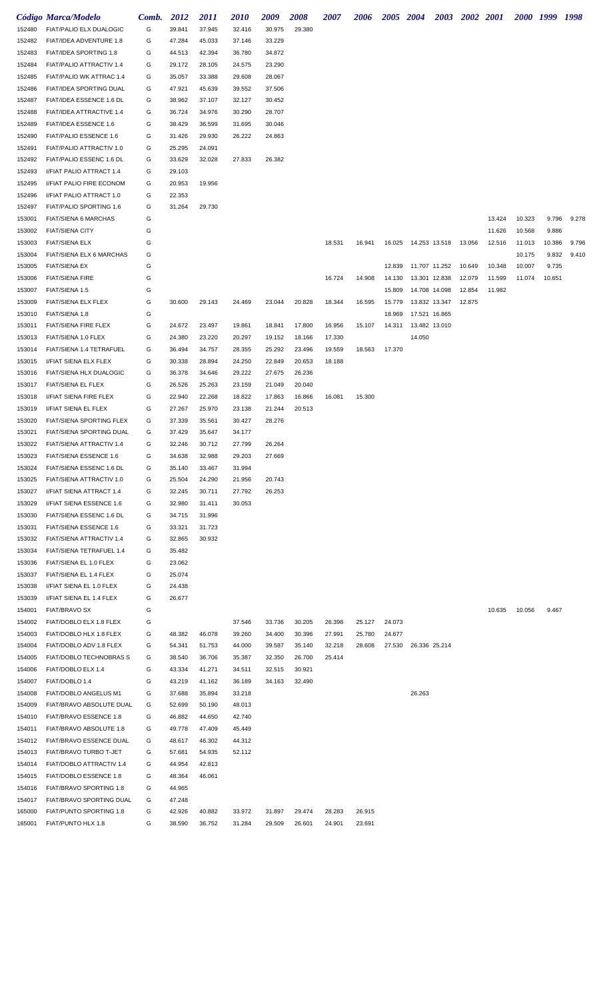|        | Código Marca/Modelo           | Comb. | 2012   | <i>2011</i> | <i>2010</i> | 2009   | 2008   | 2007   | 2006   |        | 2005 2004              | 2003 2002 2001 |        |        | 2000 1999 | 1998  |
|--------|-------------------------------|-------|--------|-------------|-------------|--------|--------|--------|--------|--------|------------------------|----------------|--------|--------|-----------|-------|
| 152480 | FIAT/PALIO ELX DUALOGIC       | G     | 39.841 | 37.945      | 32.416      | 30.975 | 29.380 |        |        |        |                        |                |        |        |           |       |
| 152482 | FIAT/IDEA ADVENTURE 1.8       | G     | 47.284 | 45.033      | 37.146      | 33.229 |        |        |        |        |                        |                |        |        |           |       |
| 152483 | FIAT/IDEA SPORTING 1.8        | G     | 44.513 | 42.394      | 36.780      | 34.872 |        |        |        |        |                        |                |        |        |           |       |
| 152484 | FIAT/PALIO ATTRACTIV 1.4      | G     | 29.172 | 28.105      | 24.575      | 23.290 |        |        |        |        |                        |                |        |        |           |       |
| 152485 | FIAT/PALIO WK ATTRAC 1.4      | G     | 35.057 | 33.388      | 29.608      | 28.067 |        |        |        |        |                        |                |        |        |           |       |
| 152486 | FIAT/IDEA SPORTING DUAL       | G     | 47.921 | 45.639      | 39.552      | 37.506 |        |        |        |        |                        |                |        |        |           |       |
| 152487 | FIAT/IDEA ESSENCE 1.6 DL      | G     | 38.962 | 37.107      | 32.127      | 30.452 |        |        |        |        |                        |                |        |        |           |       |
| 152488 | FIAT/IDEA ATTRACTIVE 1.4      | G     | 36.724 | 34.976      | 30.290      | 28.707 |        |        |        |        |                        |                |        |        |           |       |
| 152489 | FIAT/IDEA ESSENCE 1.6         | G     | 38.429 | 36.599      | 31.695      | 30.046 |        |        |        |        |                        |                |        |        |           |       |
| 152490 | <b>FIAT/PALIO ESSENCE 1.6</b> | G     | 31.426 | 29.930      | 26.222      | 24.863 |        |        |        |        |                        |                |        |        |           |       |
| 152491 | FIAT/PALIO ATTRACTIV 1.0      | G     | 25.295 | 24.091      |             |        |        |        |        |        |                        |                |        |        |           |       |
| 152492 | FIAT/PALIO ESSENC 1.6 DL      | G     | 33.629 | 32.028      | 27.833      | 26.382 |        |        |        |        |                        |                |        |        |           |       |
| 152493 | I/FIAT PALIO ATTRACT 1.4      | G     | 29.103 |             |             |        |        |        |        |        |                        |                |        |        |           |       |
| 152495 | I/FIAT PALIO FIRE ECONOM      | G     | 20.953 | 19.956      |             |        |        |        |        |        |                        |                |        |        |           |       |
| 152496 | I/FIAT PALIO ATTRACT 1.0      | G     | 22.353 |             |             |        |        |        |        |        |                        |                |        |        |           |       |
| 152497 | FIAT/PALIO SPORTING 1.6       | G     | 31.264 | 29.730      |             |        |        |        |        |        |                        |                |        |        |           |       |
| 153001 | FIAT/SIENA 6 MARCHAS          | G     |        |             |             |        |        |        |        |        |                        |                | 13.424 | 10.323 | 9.796     | 9.278 |
| 153002 | <b>FIAT/SIENA CITY</b>        | G     |        |             |             |        |        |        |        |        |                        |                | 11.626 | 10.568 | 9.886     |       |
| 153003 | <b>FIAT/SIENA ELX</b>         | G     |        |             |             |        |        | 18.531 | 16.941 |        | 16.025  14.253  13.518 | 13.056         | 12.516 | 11.013 | 10.386    | 9.796 |
| 153004 | FIAT/SIENA ELX 6 MARCHAS      | G     |        |             |             |        |        |        |        |        |                        |                |        | 10.175 | 9.832     | 9.410 |
| 153005 | <b>FIAT/SIENA EX</b>          | G     |        |             |             |        |        |        |        | 12.839 | 11.707 11.252          | 10.649         | 10.348 | 10.007 | 9.735     |       |
| 153006 | <b>FIAT/SIENA FIRE</b>        | G     |        |             |             |        |        | 16.724 | 14.908 | 14.130 | 13.301 12.838          | 12.079         | 11.599 | 11.074 | 10.651    |       |
| 153007 | FIAT/SIENA 1.5                | G     |        |             |             |        |        |        |        | 15.809 | 14.708 14.098          | 12.854         | 11.982 |        |           |       |
| 153009 | FIAT/SIENA ELX FLEX           | G     | 30.600 | 29.143      | 24.469      | 23.044 | 20.828 | 18.344 | 16.595 | 15.779 | 13.832 13.347          | 12.875         |        |        |           |       |
| 153010 | FIAT/SIENA 1.8                | G     |        |             |             |        |        |        |        | 18.969 | 17.521 16.865          |                |        |        |           |       |
| 153011 | FIAT/SIENA FIRE FLEX          | G     | 24.672 | 23.497      | 19.861      | 18.841 | 17.800 | 16.956 | 15.107 | 14.311 | 13.482 13.010          |                |        |        |           |       |
| 153013 | FIAT/SIENA 1.0 FLEX           | G     | 24.380 | 23.220      | 20.297      | 19.152 | 18.166 | 17.330 |        |        | 14.050                 |                |        |        |           |       |
| 153014 | FIAT/SIENA 1.4 TETRAFUEL      | G     | 36.494 | 34.757      | 28.355      | 25.292 | 23.496 | 19.559 | 18.563 | 17.370 |                        |                |        |        |           |       |
| 153015 | I/FIAT SIENA ELX FLEX         | G     | 30.338 | 28.894      | 24.250      | 22.849 | 20.653 | 18.188 |        |        |                        |                |        |        |           |       |
| 153016 | FIAT/SIENA HLX DUALOGIC       | G     | 36.378 | 34.646      | 29.222      | 27.675 | 26.236 |        |        |        |                        |                |        |        |           |       |
| 153017 | FIAT/SIENA EL FLEX            | G     | 26.526 | 25.263      | 23.159      | 21.049 | 20.040 |        |        |        |                        |                |        |        |           |       |
| 153018 | I/FIAT SIENA FIRE FLEX        | G     | 22.940 | 22.268      | 18.822      | 17.863 | 16.866 | 16.081 | 15.300 |        |                        |                |        |        |           |       |
| 153019 | I/FIAT SIENA EL FLEX          | G     | 27.267 | 25.970      | 23.138      | 21.244 | 20.513 |        |        |        |                        |                |        |        |           |       |
| 153020 | FIAT/SIENA SPORTING FLEX      | G     | 37.339 | 35.561      | 30.427      | 28.276 |        |        |        |        |                        |                |        |        |           |       |
| 153021 | FIAT/SIENA SPORTING DUAL      | G     | 37.429 | 35.647      | 34.177      |        |        |        |        |        |                        |                |        |        |           |       |
| 153022 | FIAT/SIENA ATTRACTIV 1.4      | G     | 32.246 | 30.712      | 27.799      | 26.264 |        |        |        |        |                        |                |        |        |           |       |
| 153023 | FIAT/SIENA ESSENCE 1.6        | G     | 34.638 | 32.988      | 29.203      | 27.669 |        |        |        |        |                        |                |        |        |           |       |
| 153024 | FIAT/SIENA ESSENC 1.6 DL      | G     | 35.140 | 33.467      | 31.994      |        |        |        |        |        |                        |                |        |        |           |       |
| 153025 | FIAT/SIENA ATTRACTIV 1.0      | G     | 25.504 | 24.290      | 21.956      | 20.743 |        |        |        |        |                        |                |        |        |           |       |
| 153027 | I/FIAT SIENA ATTRACT 1.4      | G     | 32.245 | 30.711      | 27.792      | 26.253 |        |        |        |        |                        |                |        |        |           |       |
| 153029 | I/FIAT SIENA ESSENCE 1.6      | G     | 32.980 | 31.411      | 30.053      |        |        |        |        |        |                        |                |        |        |           |       |
| 153030 | FIAT/SIENA ESSENC 1.6 DL      | G     | 34.715 | 31.996      |             |        |        |        |        |        |                        |                |        |        |           |       |
| 153031 | FIAT/SIENA ESSENCE 1.6        | G     | 33.321 | 31.723      |             |        |        |        |        |        |                        |                |        |        |           |       |
| 153032 | FIAT/SIENA ATTRACTIV 1.4      | G     | 32.865 | 30.932      |             |        |        |        |        |        |                        |                |        |        |           |       |
| 153034 | FIAT/SIENA TETRAFUEL 1.4      | G     | 35.482 |             |             |        |        |        |        |        |                        |                |        |        |           |       |
| 153036 | FIAT/SIENA EL 1.0 FLEX        | G     | 23.062 |             |             |        |        |        |        |        |                        |                |        |        |           |       |
| 153037 | FIAT/SIENA EL 1.4 FLEX        | G     | 25.074 |             |             |        |        |        |        |        |                        |                |        |        |           |       |
| 153038 | I/FIAT SIENA EL 1.0 FLEX      | G     | 24.438 |             |             |        |        |        |        |        |                        |                |        |        |           |       |
| 153039 | I/FIAT SIENA EL 1.4 FLEX      | G     | 26.677 |             |             |        |        |        |        |        |                        |                |        |        |           |       |
| 154001 | <b>FIAT/BRAVO SX</b>          | G     |        |             |             |        |        |        |        |        |                        |                | 10.635 | 10.056 | 9.467     |       |
| 154002 | FIAT/DOBLO ELX 1.8 FLEX       | G     |        |             | 37.546      | 33.736 | 30.205 | 26.398 | 25.127 | 24.073 |                        |                |        |        |           |       |
| 154003 | FIAT/DOBLO HLX 1.8 FLEX       | G     | 48.382 | 46.078      | 39.260      | 34.400 | 30.396 | 27.991 | 25.780 | 24.677 |                        |                |        |        |           |       |
| 154004 | FIAT/DOBLO ADV 1.8 FLEX       | G     | 54.341 | 51.753      | 44.000      | 39.587 | 35.140 | 32.218 | 28.608 | 27.530 | 26.336 25.214          |                |        |        |           |       |
| 154005 | FIAT/DOBLO TECHNOBRAS S       | G     | 38.540 | 36.706      | 35.387      | 32.350 | 26.700 | 25.414 |        |        |                        |                |        |        |           |       |
| 154006 | FIAT/DOBLO ELX 1.4            | G     | 43.334 | 41.271      | 34.511      | 32.515 | 30.921 |        |        |        |                        |                |        |        |           |       |
| 154007 | FIAT/DOBLO 1.4                | G     | 43.219 | 41.162      | 36.189      | 34.163 | 32.490 |        |        |        |                        |                |        |        |           |       |
| 154008 | FIAT/DOBLO ANGELUS M1         | G     | 37.688 | 35.894      | 33.218      |        |        |        |        |        | 26.263                 |                |        |        |           |       |
| 154009 | FIAT/BRAVO ABSOLUTE DUAL      | G     | 52.699 | 50.190      | 48.013      |        |        |        |        |        |                        |                |        |        |           |       |
| 154010 | FIAT/BRAVO ESSENCE 1.8        | G     | 46.882 | 44.650      | 42.740      |        |        |        |        |        |                        |                |        |        |           |       |
| 154011 | FIAT/BRAVO ABSOLUTE 1.8       | G     | 49.778 | 47.409      | 45.449      |        |        |        |        |        |                        |                |        |        |           |       |
| 154012 | FIAT/BRAVO ESSENCE DUAL       | G     | 48.617 | 46.302      | 44.312      |        |        |        |        |        |                        |                |        |        |           |       |
| 154013 | FIAT/BRAVO TURBO T-JET        | G     | 57.681 | 54.935      | 52.112      |        |        |        |        |        |                        |                |        |        |           |       |
| 154014 | FIAT/DOBLO ATTRACTIV 1.4      | G     | 44.954 | 42.813      |             |        |        |        |        |        |                        |                |        |        |           |       |
| 154015 | FIAT/DOBLO ESSENCE 1.8        | G     | 48.364 | 46.061      |             |        |        |        |        |        |                        |                |        |        |           |       |
| 154016 | FIAT/BRAVO SPORTING 1.8       | G     | 44.965 |             |             |        |        |        |        |        |                        |                |        |        |           |       |
| 154017 | FIAT/BRAVO SPORTING DUAL      | G     | 47.248 |             |             |        |        |        |        |        |                        |                |        |        |           |       |
| 165000 | FIAT/PUNTO SPORTING 1.8       | G     | 42.926 | 40.882      | 33.972      | 31.897 | 29.474 | 28.283 | 26.915 |        |                        |                |        |        |           |       |
| 165001 | FIAT/PUNTO HLX 1.8            | G     | 38.590 | 36.752      | 31.284      | 29.509 | 26.601 | 24.901 | 23.691 |        |                        |                |        |        |           |       |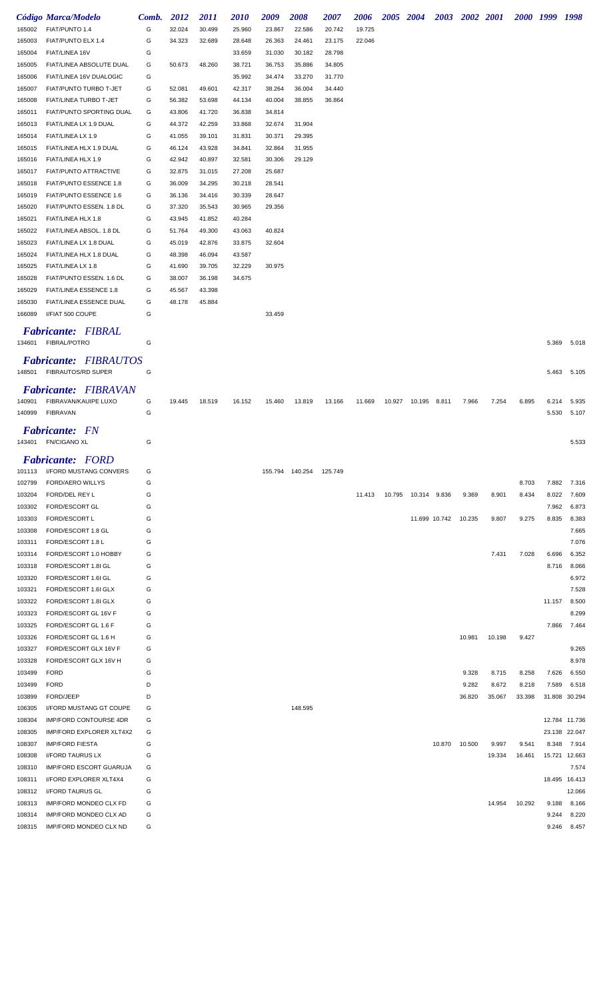|                  | Código Marca/Modelo                                       | Comb.  | 2012             | <i>2011</i>      | <i>2010</i>      | 2009             | 2008    | 2007    | 2006   |        | 2005 2004    |               | 2003 2002 2001 |        | 2000 1999 |        | 1998           |
|------------------|-----------------------------------------------------------|--------|------------------|------------------|------------------|------------------|---------|---------|--------|--------|--------------|---------------|----------------|--------|-----------|--------|----------------|
| 165002           | FIAT/PUNTO 1.4                                            | G      | 32.024           | 30.499           | 25.960           | 23.867           | 22.586  | 20.742  | 19.725 |        |              |               |                |        |           |        |                |
| 165003           | FIAT/PUNTO ELX 1.4                                        | G      | 34.323           | 32.689           | 28.648           | 26.363           | 24.461  | 23.175  | 22.046 |        |              |               |                |        |           |        |                |
| 165004           | FIAT/LINEA 16V                                            | G      |                  |                  | 33.659           | 31.030           | 30.182  | 28.798  |        |        |              |               |                |        |           |        |                |
| 165005           | FIAT/LINEA ABSOLUTE DUAL                                  | G      | 50.673           | 48.260           | 38.721           | 36.753           | 35.886  | 34.805  |        |        |              |               |                |        |           |        |                |
| 165006           | FIAT/LINEA 16V DUALOGIC                                   | G      |                  |                  | 35.992           | 34.474           | 33.270  | 31.770  |        |        |              |               |                |        |           |        |                |
| 165007           | FIAT/PUNTO TURBO T-JET                                    | G      | 52.081           | 49.601           | 42.317           | 38.264           | 36.004  | 34.440  |        |        |              |               |                |        |           |        |                |
| 165008           | FIAT/LINEA TURBO T-JET                                    | G      | 56.382           | 53.698           | 44.134           | 40.004           | 38.855  | 36.864  |        |        |              |               |                |        |           |        |                |
| 165011           | FIAT/PUNTO SPORTING DUAL                                  | G      | 43.806           | 41.720           | 36.838           | 34.814           |         |         |        |        |              |               |                |        |           |        |                |
| 165013           | FIAT/LINEA LX 1.9 DUAL                                    | G      | 44.372           | 42.259           | 33.868           | 32.674           | 31.904  |         |        |        |              |               |                |        |           |        |                |
| 165014           | FIAT/LINEA LX 1.9                                         | G      | 41.055           | 39.101           | 31.831           | 30.371           | 29.395  |         |        |        |              |               |                |        |           |        |                |
| 165015           | FIAT/LINEA HLX 1.9 DUAL                                   | G      | 46.124           | 43.928           | 34.841           | 32.864           | 31.955  |         |        |        |              |               |                |        |           |        |                |
| 165016           | FIAT/LINEA HLX 1.9                                        | G<br>G | 42.942           | 40.897<br>31.015 | 32.581<br>27.208 | 30.306<br>25.687 | 29.129  |         |        |        |              |               |                |        |           |        |                |
| 165017<br>165018 | FIAT/PUNTO ATTRACTIVE<br>FIAT/PUNTO ESSENCE 1.8           | G      | 32.875<br>36.009 | 34.295           | 30.218           | 28.541           |         |         |        |        |              |               |                |        |           |        |                |
| 165019           | FIAT/PUNTO ESSENCE 1.6                                    | G      | 36.136           | 34.416           | 30.339           | 28.647           |         |         |        |        |              |               |                |        |           |        |                |
| 165020           | FIAT/PUNTO ESSEN. 1.8 DL                                  | G      | 37.320           | 35.543           | 30.965           | 29.356           |         |         |        |        |              |               |                |        |           |        |                |
| 165021           | FIAT/LINEA HLX 1.8                                        | G      | 43.945           | 41.852           | 40.284           |                  |         |         |        |        |              |               |                |        |           |        |                |
| 165022           | FIAT/LINEA ABSOL. 1.8 DL                                  | G      | 51.764           | 49.300           | 43.063           | 40.824           |         |         |        |        |              |               |                |        |           |        |                |
| 165023           | FIAT/LINEA LX 1.8 DUAL                                    | G      | 45.019           | 42.876           | 33.875           | 32.604           |         |         |        |        |              |               |                |        |           |        |                |
| 165024           | FIAT/LINEA HLX 1.8 DUAL                                   | G      | 48.398           | 46.094           | 43.587           |                  |         |         |        |        |              |               |                |        |           |        |                |
| 165025           | FIAT/LINEA LX 1.8                                         | G      | 41.690           | 39.705           | 32.229           | 30.975           |         |         |        |        |              |               |                |        |           |        |                |
| 165028           | FIAT/PUNTO ESSEN. 1.6 DL                                  | G      | 38.007           | 36.198           | 34.675           |                  |         |         |        |        |              |               |                |        |           |        |                |
| 165029           | FIAT/LINEA ESSENCE 1.8                                    | G      | 45.567           | 43.398           |                  |                  |         |         |        |        |              |               |                |        |           |        |                |
| 165030           | FIAT/LINEA ESSENCE DUAL                                   | G      | 48.178           | 45.884           |                  |                  |         |         |        |        |              |               |                |        |           |        |                |
| 166089           | I/FIAT 500 COUPE                                          | G      |                  |                  |                  | 33.459           |         |         |        |        |              |               |                |        |           |        |                |
|                  | <b>Fabricante:</b> FIBRAL                                 |        |                  |                  |                  |                  |         |         |        |        |              |               |                |        |           |        |                |
|                  | 134601 FIBRAL/POTRO                                       | G      |                  |                  |                  |                  |         |         |        |        |              |               |                |        |           | 5.369  | 5.018          |
|                  |                                                           |        |                  |                  |                  |                  |         |         |        |        |              |               |                |        |           |        |                |
|                  | <b>Fabricante:</b> FIBRAUTOS<br>148501 FIBRAUTOS/RD SUPER | G      |                  |                  |                  |                  |         |         |        |        |              |               |                |        |           | 5.463  | 5.105          |
|                  | <b>Fabricante:</b> FIBRAVAN                               |        |                  |                  |                  |                  |         |         |        |        |              |               |                |        |           |        |                |
| 140901           | FIBRAVAN/KAUIPE LUXO                                      | G      | 19.445           | 18.519           | 16.152           | 15.460           | 13.819  | 13.166  | 11.669 | 10.927 | 10.195       | 8.811         | 7.966          | 7.254  | 6.895     | 6.214  | 5.935          |
| 140999           | <b>FIBRAVAN</b>                                           | G      |                  |                  |                  |                  |         |         |        |        |              |               |                |        |           | 5.530  | 5.107          |
| 143401           | <b>Fabricante:</b> FN<br><b>FN/CIGANO XL</b>              | G      |                  |                  |                  |                  |         |         |        |        |              |               |                |        |           |        | 5.533          |
|                  | <b>Fabricante: FORD</b>                                   |        |                  |                  |                  |                  |         |         |        |        |              |               |                |        |           |        |                |
| 101113           | <b>I/FORD MUSTANG CONVERS</b>                             | G      |                  |                  |                  | 155.794          | 140.254 | 125.749 |        |        |              |               |                |        |           |        |                |
| 102799           | FORD/AERO WILLYS                                          | G      |                  |                  |                  |                  |         |         |        |        |              |               |                |        | 8.703     | 7.882  | 7.316          |
| 103204           | FORD/DEL REY L                                            | G      |                  |                  |                  |                  |         |         | 11.413 | 10.795 | 10.314 9.836 |               | 9.369          | 8.901  | 8.434     | 8.022  | 7.609          |
| 103302           | FORD/ESCORT GL                                            | G      |                  |                  |                  |                  |         |         |        |        |              |               |                |        |           | 7.962  | 6.873          |
| 103303           | FORD/ESCORT L                                             | G      |                  |                  |                  |                  |         |         |        |        |              | 11.699 10.742 | 10.235         | 9.807  | 9.275     | 8.835  | 8.383          |
| 103308           | FORD/ESCORT 1.8 GL                                        | G      |                  |                  |                  |                  |         |         |        |        |              |               |                |        |           |        | 7.665          |
| 103311           | FORD/ESCORT 1.8 L                                         | G      |                  |                  |                  |                  |         |         |        |        |              |               |                |        |           |        | 7.076          |
| 103314           | FORD/ESCORT 1.0 HOBBY                                     | G      |                  |                  |                  |                  |         |         |        |        |              |               |                | 7.431  | 7.028     | 6.696  | 6.352          |
| 103318           | FORD/ESCORT 1.8I GL                                       | G      |                  |                  |                  |                  |         |         |        |        |              |               |                |        |           | 8.716  | 8.066          |
| 103320           | FORD/ESCORT 1.6I GL                                       | G      |                  |                  |                  |                  |         |         |        |        |              |               |                |        |           |        | 6.972          |
| 103321           | FORD/ESCORT 1.6I GLX                                      | G      |                  |                  |                  |                  |         |         |        |        |              |               |                |        |           |        | 7.528          |
| 103322           | FORD/ESCORT 1.8I GLX                                      | G      |                  |                  |                  |                  |         |         |        |        |              |               |                |        |           | 11.157 | 8.500          |
| 103323           | FORD/ESCORT GL 16V F                                      | G      |                  |                  |                  |                  |         |         |        |        |              |               |                |        |           |        | 8.299          |
| 103325           | FORD/ESCORT GL 1.6 F                                      | G      |                  |                  |                  |                  |         |         |        |        |              |               |                |        |           | 7.866  | 7.464          |
| 103326           | FORD/ESCORT GL 1.6 H                                      | G      |                  |                  |                  |                  |         |         |        |        |              |               | 10.981         | 10.198 | 9.427     |        |                |
| 103327<br>103328 | FORD/ESCORT GLX 16V F<br>FORD/ESCORT GLX 16V H            | G<br>G |                  |                  |                  |                  |         |         |        |        |              |               |                |        |           |        | 9.265<br>8.978 |
| 103499           | <b>FORD</b>                                               | G      |                  |                  |                  |                  |         |         |        |        |              |               | 9.328          | 8.715  | 8.258     | 7.626  | 6.550          |
| 103499           | <b>FORD</b>                                               | D      |                  |                  |                  |                  |         |         |        |        |              |               | 9.282          | 8.672  | 8.218     | 7.589  | 6.518          |
| 103899           | FORD/JEEP                                                 | D      |                  |                  |                  |                  |         |         |        |        |              |               | 36.820         | 35.067 | 33.398    |        | 31.808 30.294  |
| 106305           | I/FORD MUSTANG GT COUPE                                   | G      |                  |                  |                  |                  | 148.595 |         |        |        |              |               |                |        |           |        |                |
| 108304           | IMP/FORD CONTOURSE 4DR                                    | G      |                  |                  |                  |                  |         |         |        |        |              |               |                |        |           |        | 12.784 11.736  |
| 108305           | IMP/FORD EXPLORER XLT4X2                                  | G      |                  |                  |                  |                  |         |         |        |        |              |               |                |        |           |        | 23.138 22.047  |
| 108307           | <b>IMP/FORD FIESTA</b>                                    | G      |                  |                  |                  |                  |         |         |        |        |              | 10.870        | 10.500         | 9.997  | 9.541     | 8.348  | 7.914          |
| 108308           | I/FORD TAURUS LX                                          | G      |                  |                  |                  |                  |         |         |        |        |              |               |                | 19.334 | 16.461    |        | 15.721 12.663  |
| 108310           | <b>IMP/FORD ESCORT GUARUJA</b>                            | G      |                  |                  |                  |                  |         |         |        |        |              |               |                |        |           |        | 7.574          |
| 108311           | I/FORD EXPLORER XLT4X4                                    | G      |                  |                  |                  |                  |         |         |        |        |              |               |                |        |           |        | 18.495 16.413  |
| 108312           | I/FORD TAURUS GL                                          | G      |                  |                  |                  |                  |         |         |        |        |              |               |                |        |           |        | 12.066         |
| 108313           | <b>IMP/FORD MONDEO CLX FD</b>                             | G      |                  |                  |                  |                  |         |         |        |        |              |               |                | 14.954 | 10.292    | 9.188  | 8.166          |
| 108314           | IMP/FORD MONDEO CLX AD                                    | G      |                  |                  |                  |                  |         |         |        |        |              |               |                |        |           | 9.244  | 8.220          |
| 108315           | IMP/FORD MONDEO CLX ND                                    | G      |                  |                  |                  |                  |         |         |        |        |              |               |                |        |           | 9.246  | 8.457          |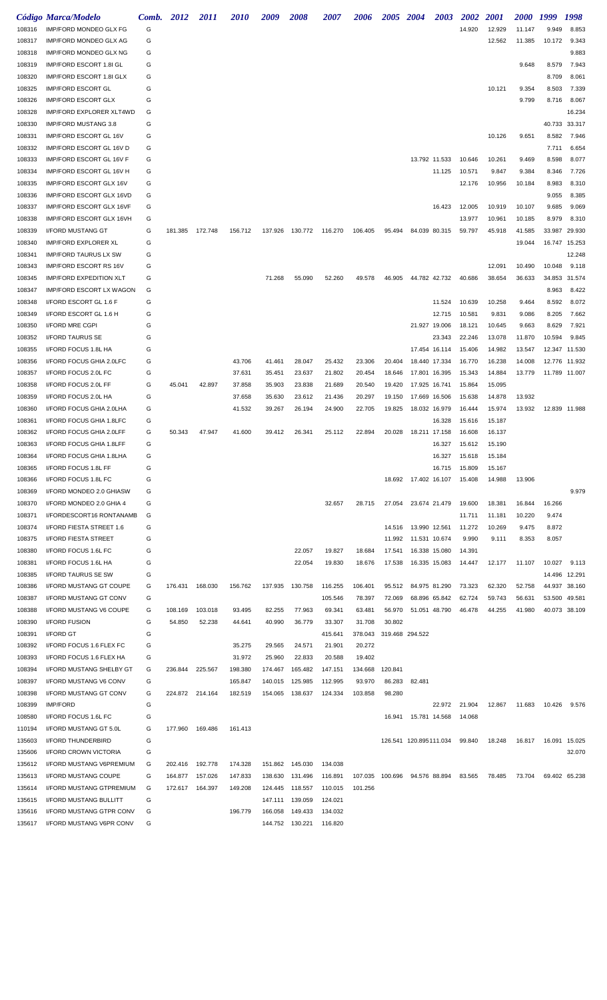|                  | Código Marca/Modelo                                   | Comb.  | 2012            | <i>2011</i> | <i><b>2010</b></i> | 2009             | <i><b>2008</b></i>         | <i><b>2007</b></i> | 2006              | <i><b>2005</b></i> | 2004                           | 2003          | <i><b>2002</b></i> | 2001             | <i><b>2000</b></i> | 1999             | 1998             |
|------------------|-------------------------------------------------------|--------|-----------------|-------------|--------------------|------------------|----------------------------|--------------------|-------------------|--------------------|--------------------------------|---------------|--------------------|------------------|--------------------|------------------|------------------|
| 108316           | IMP/FORD MONDEO GLX FG                                | G      |                 |             |                    |                  |                            |                    |                   |                    |                                |               | 14.920             | 12.929           | 11.147             | 9.949            | 8.853            |
| 108317           | IMP/FORD MONDEO GLX AG                                | G      |                 |             |                    |                  |                            |                    |                   |                    |                                |               |                    | 12.562           | 11.385             | 10.172           | 9.343            |
| 108318           | IMP/FORD MONDEO GLX NG                                | G      |                 |             |                    |                  |                            |                    |                   |                    |                                |               |                    |                  |                    |                  | 9.883            |
| 108319           | IMP/FORD ESCORT 1.8I GL                               | G      |                 |             |                    |                  |                            |                    |                   |                    |                                |               |                    |                  | 9.648              | 8.579            | 7.943            |
| 108320           | IMP/FORD ESCORT 1.8I GLX                              | G      |                 |             |                    |                  |                            |                    |                   |                    |                                |               |                    |                  |                    | 8.709            | 8.061            |
| 108325           | IMP/FORD ESCORT GL                                    | G      |                 |             |                    |                  |                            |                    |                   |                    |                                |               |                    | 10.121           | 9.354              | 8.503            | 7.339            |
| 108326           | <b>IMP/FORD ESCORT GLX</b>                            | G      |                 |             |                    |                  |                            |                    |                   |                    |                                |               |                    |                  | 9.799              | 8.716            | 8.067            |
| 108328           | IMP/FORD EXPLORER XLT4WD                              | G      |                 |             |                    |                  |                            |                    |                   |                    |                                |               |                    |                  |                    |                  | 16.234           |
| 108330           | <b>IMP/FORD MUSTANG 3.8</b><br>IMP/FORD ESCORT GL 16V | G      |                 |             |                    |                  |                            |                    |                   |                    |                                |               |                    |                  |                    | 40.733           | 33.317           |
| 108331<br>108332 | IMP/FORD ESCORT GL 16V D                              | G<br>G |                 |             |                    |                  |                            |                    |                   |                    |                                |               |                    | 10.126           | 9.651              | 8.582<br>7.711   | 7.946<br>6.654   |
| 108333           | IMP/FORD ESCORT GL 16V F                              | G      |                 |             |                    |                  |                            |                    |                   |                    |                                | 13.792 11.533 | 10.646             | 10.261           | 9.469              | 8.598            | 8.077            |
| 108334           | IMP/FORD ESCORT GL 16V H                              | G      |                 |             |                    |                  |                            |                    |                   |                    |                                | 11.125        | 10.571             | 9.847            | 9.384              | 8.346            | 7.726            |
| 108335           | IMP/FORD ESCORT GLX 16V                               | G      |                 |             |                    |                  |                            |                    |                   |                    |                                |               | 12.176             | 10.956           | 10.184             | 8.983            | 8.310            |
| 108336           | IMP/FORD ESCORT GLX 16VD                              | G      |                 |             |                    |                  |                            |                    |                   |                    |                                |               |                    |                  |                    | 9.055            | 8.385            |
| 108337           | <b>IMP/FORD ESCORT GLX 16VF</b>                       | G      |                 |             |                    |                  |                            |                    |                   |                    |                                | 16.423        | 12.005             | 10.919           | 10.107             | 9.685            | 9.069            |
| 108338           | IMP/FORD ESCORT GLX 16VH                              | G      |                 |             |                    |                  |                            |                    |                   |                    |                                |               | 13.977             | 10.961           | 10.185             | 8.979            | 8.310            |
| 108339           | I/FORD MUSTANG GT                                     | G      | 181.385         | 172.748     | 156.712            | 137.926          | 130.772                    | 116.270            | 106.405           | 95.494             |                                | 84.039 80.315 | 59.797             | 45.918           | 41.585             | 33.987           | 29.930           |
| 108340           | <b>IMP/FORD EXPLORER XL</b>                           | G      |                 |             |                    |                  |                            |                    |                   |                    |                                |               |                    |                  | 19.044             | 16.747           | 15.253           |
| 108341           | <b>IMP/FORD TAURUS LX SW</b>                          | G      |                 |             |                    |                  |                            |                    |                   |                    |                                |               |                    |                  |                    |                  | 12.248           |
| 108343           | IMP/FORD ESCORT RS 16V                                | G      |                 |             |                    |                  |                            |                    |                   |                    |                                |               |                    | 12.091           | 10.490             | 10.048           | 9.118            |
| 108345           | <b>IMP/FORD EXPEDITION XLT</b>                        | G      |                 |             |                    | 71.268           | 55.090                     | 52.260             | 49.578            | 46.905             | 44.782 42.732                  |               | 40.686             | 38.654           | 36.633             | 34.853           | 31.574           |
| 108347           | IMP/FORD ESCORT LX WAGON                              | G      |                 |             |                    |                  |                            |                    |                   |                    |                                |               |                    |                  |                    | 8.963            | 8.422            |
| 108348           | I/FORD ESCORT GL 1.6 F                                | G      |                 |             |                    |                  |                            |                    |                   |                    |                                | 11.524        | 10.639             | 10.258           | 9.464              | 8.592            | 8.072            |
| 108349           | I/FORD ESCORT GL 1.6 H                                | G      |                 |             |                    |                  |                            |                    |                   |                    |                                | 12.715        | 10.581             | 9.831            | 9.086              | 8.205            | 7.662            |
| 108350           | I/FORD MRE CGPI                                       | G      |                 |             |                    |                  |                            |                    |                   |                    | 21.927 19.006                  |               | 18.121             | 10.645           | 9.663              | 8.629            | 7.921            |
| 108352           | <b>I/FORD TAURUS SE</b>                               | G      |                 |             |                    |                  |                            |                    |                   |                    |                                | 23.343        | 22.246             | 13.078           | 11.870             | 10.594           | 9.845            |
| 108355           | I/FORD FOCUS 1.8L HA                                  | G      |                 |             |                    |                  |                            |                    |                   |                    | 17.454 16.114                  |               | 15.406             | 14.982           | 13.547             | 12.347           | 11.530           |
| 108356           | I/FORD FOCUS GHIA 2.0LFC                              | G      |                 |             | 43.706             | 41.461           | 28.047                     | 25.432             | 23.306            | 20.404             | 18.440 17.334                  |               | 16.770             | 16.238           | 14.008             | 12.776           | 11.932           |
| 108357<br>108358 | I/FORD FOCUS 2.0L FC<br>I/FORD FOCUS 2.0L FF          | G<br>G | 45.041          | 42.897      | 37.631<br>37.858   | 35.451<br>35.903 | 23.637<br>23.838           | 21.802<br>21.689   | 20.454<br>20.540  | 18.646<br>19.420   | 17.801 16.395<br>17.925 16.741 |               | 15.343<br>15.864   | 14.884<br>15.095 | 13.779             | 11.789           | 11.007           |
| 108359           | I/FORD FOCUS 2.0L HA                                  | G      |                 |             | 37.658             | 35.630           | 23.612                     | 21.436             | 20.297            | 19.150             | 17.669 16.506                  |               | 15.638             | 14.878           | 13.932             |                  |                  |
| 108360           | I/FORD FOCUS GHIA 2.0LHA                              | G      |                 |             | 41.532             | 39.267           | 26.194                     | 24.900             | 22.705            | 19.825             | 18.032 16.979                  |               | 16.444             | 15.974           | 13.932             |                  | 12.839 11.988    |
| 108361           | I/FORD FOCUS GHIA 1.8LFC                              | G      |                 |             |                    |                  |                            |                    |                   |                    |                                | 16.328        | 15.616             | 15.187           |                    |                  |                  |
| 108362           | I/FORD FOCUS GHIA 2.0LFF                              | G      | 50.343          | 47.947      | 41.600             | 39.412           | 26.341                     | 25.112             | 22.894            | 20.028             | 18.211 17.158                  |               | 16.608             | 16.137           |                    |                  |                  |
| 108363           | I/FORD FOCUS GHIA 1.8LFF                              | G      |                 |             |                    |                  |                            |                    |                   |                    |                                | 16.327        | 15.612             | 15.190           |                    |                  |                  |
| 108364           | I/FORD FOCUS GHIA 1.8LHA                              | G      |                 |             |                    |                  |                            |                    |                   |                    |                                | 16.327        | 15.618             | 15.184           |                    |                  |                  |
| 108365           | I/FORD FOCUS 1.8L FF                                  | G      |                 |             |                    |                  |                            |                    |                   |                    |                                | 16.715        | 15.809             | 15.167           |                    |                  |                  |
| 108366           | <b>I/FORD FOCUS 1.8L FC</b>                           | G      |                 |             |                    |                  |                            |                    |                   |                    | 18.692  17.402  16.107         |               | 15.408             | 14.988           | 13.906             |                  |                  |
| 108369           | I/FORD MONDEO 2.0 GHIASW                              | G      |                 |             |                    |                  |                            |                    |                   |                    |                                |               |                    |                  |                    |                  | 9.979            |
| 108370           | I/FORD MONDEO 2.0 GHIA 4                              | G      |                 |             |                    |                  |                            | 32.657             | 28.715            |                    | 27.054 23.674 21.479           |               | 19.600             | 18.381           | 16.844             | 16.266           |                  |
| 108371           | I/FORDESCORT16 RONTANAMB                              | G      |                 |             |                    |                  |                            |                    |                   |                    |                                |               | 11.711             | 11.181           | 10.220             | 9.474            |                  |
| 108374           | I/FORD FIESTA STREET 1.6                              | G      |                 |             |                    |                  |                            |                    |                   | 14.516             | 13.990 12.561                  |               | 11.272             | 10.269           | 9.475              | 8.872            |                  |
| 108375           | I/FORD FIESTA STREET                                  | G      |                 |             |                    |                  |                            |                    |                   | 11.992             | 11.531 10.674                  |               | 9.990              | 9.111            | 8.353              | 8.057            |                  |
| 108380           | I/FORD FOCUS 1.6L FC                                  | G      |                 |             |                    |                  | 22.057                     | 19.827             | 18.684            | 17.541             | 16.338 15.080                  |               | 14.391             |                  |                    |                  |                  |
| 108381           | I/FORD FOCUS 1.6L HA                                  | G      |                 |             |                    |                  | 22.054                     | 19.830             | 18.676            | 17.538             |                                | 16.335 15.083 | 14.447             | 12.177           | 11.107             | 10.027           | 9.113            |
| 108385           | I/FORD TAURUS SE SW                                   | G      |                 |             |                    |                  |                            |                    |                   |                    |                                |               |                    |                  |                    | 14.496           | 12.291           |
| 108386           | I/FORD MUSTANG GT COUPE<br>I/FORD MUSTANG GT CONV     | G<br>G | 176.431         | 168.030     | 156.762            | 137.935          | 130.758                    | 116.255            | 106.401<br>78.397 | 95.512<br>72.069   | 84.975 81.290                  | 68.896 65.842 | 73.323<br>62.724   | 62.320<br>59.743 | 52.758<br>56.631   | 44.937           | 38.160<br>49.581 |
| 108387<br>108388 | I/FORD MUSTANG V6 COUPE                               | G      | 108.169         | 103.018     | 93.495             | 82.255           | 77.963                     | 105.546<br>69.341  | 63.481            | 56.970             | 51.051 48.790                  |               | 46.478             | 44.255           | 41.980             | 53.500<br>40.073 | 38.109           |
| 108390           | <b>I/FORD FUSION</b>                                  | G      | 54.850          | 52.238      | 44.641             | 40.990           | 36.779                     | 33.307             | 31.708            | 30.802             |                                |               |                    |                  |                    |                  |                  |
| 108391           | I/FORD GT                                             | G      |                 |             |                    |                  |                            | 415.641            | 378.043           |                    | 319.468 294.522                |               |                    |                  |                    |                  |                  |
| 108392           | I/FORD FOCUS 1.6 FLEX FC                              | G      |                 |             | 35.275             | 29.565           | 24.571                     | 21.901             | 20.272            |                    |                                |               |                    |                  |                    |                  |                  |
| 108393           | I/FORD FOCUS 1.6 FLEX HA                              | G      |                 |             | 31.972             | 25.960           | 22.833                     | 20.588             | 19.402            |                    |                                |               |                    |                  |                    |                  |                  |
| 108394           | I/FORD MUSTANG SHELBY GT                              | G      | 236.844         | 225.567     | 198.380            | 174.467          | 165.482                    | 147.151            | 134.668           | 120.841            |                                |               |                    |                  |                    |                  |                  |
| 108397           | I/FORD MUSTANG V6 CONV                                | G      |                 |             | 165.847            | 140.015          | 125.985                    | 112.995            | 93.970            | 86.283             | 82.481                         |               |                    |                  |                    |                  |                  |
| 108398           | I/FORD MUSTANG GT CONV                                | G      | 224.872 214.164 |             | 182.519            | 154.065          | 138.637                    | 124.334            | 103.858           | 98.280             |                                |               |                    |                  |                    |                  |                  |
| 108399           | <b>IMP/FORD</b>                                       | G      |                 |             |                    |                  |                            |                    |                   |                    |                                | 22.972        | 21.904             | 12.867           | 11.683             | 10.426           | 9.576            |
| 108580           | I/FORD FOCUS 1.6L FC                                  | G      |                 |             |                    |                  |                            |                    |                   | 16.941             | 15.781 14.568                  |               | 14.068             |                  |                    |                  |                  |
| 110194           | I/FORD MUSTANG GT 5.0L                                | G      | 177.960         | 169.486     | 161.413            |                  |                            |                    |                   |                    |                                |               |                    |                  |                    |                  |                  |
| 135603           | I/FORD THUNDERBIRD                                    | G      |                 |             |                    |                  |                            |                    |                   |                    | 126.541 120.895111.034         |               | 99.840             | 18.248           | 16.817             | 16.091           | 15.025           |
| 135606           | I/FORD CROWN VICTORIA                                 | G      |                 |             |                    |                  |                            |                    |                   |                    |                                |               |                    |                  |                    |                  | 32.070           |
| 135612           | I/FORD MUSTANG V6PREMIUM                              | G      | 202.416         | 192.778     | 174.328            | 151.862          | 145.030                    | 134.038            |                   |                    |                                |               |                    |                  |                    |                  |                  |
| 135613           | <b>I/FORD MUSTANG COUPE</b>                           | G      | 164.877         | 157.026     | 147.833            | 138.630          | 131.496                    | 116.891            | 107.035           | 100.696            | 94.576 88.894                  |               | 83.565             | 78.485           | 73.704             | 69.402           | 65.238           |
| 135614           | I/FORD MUSTANG GTPREMIUM                              | G      | 172.617         | 164.397     | 149.208            | 124.445          | 118.557                    | 110.015            | 101.256           |                    |                                |               |                    |                  |                    |                  |                  |
| 135615           | <b>I/FORD MUSTANG BULLITT</b>                         | G      |                 |             |                    | 147.111          | 139.059                    | 124.021            |                   |                    |                                |               |                    |                  |                    |                  |                  |
| 135616<br>135617 | I/FORD MUSTANG GTPR CONV<br>I/FORD MUSTANG V6PR CONV  | G<br>G |                 |             | 196.779            | 166.058          | 149.433<br>144.752 130.221 | 134.032<br>116.820 |                   |                    |                                |               |                    |                  |                    |                  |                  |
|                  |                                                       |        |                 |             |                    |                  |                            |                    |                   |                    |                                |               |                    |                  |                    |                  |                  |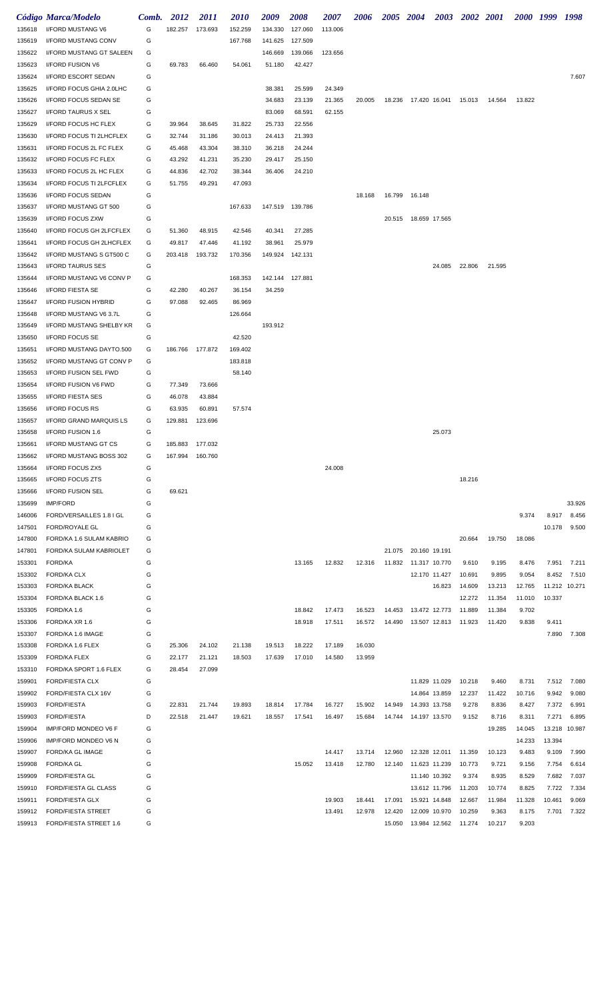|                  | Código Marca/Modelo                                | Comb.  | 2012            | <i>2011</i>     | <i>2010</i> | 2009    | 2008            | <i><b>2007</b></i> | <b>2006</b> |        | 2005 2004 2003 2002 2001    |               |        |        |        | 2000 1999 | 1998          |
|------------------|----------------------------------------------------|--------|-----------------|-----------------|-------------|---------|-----------------|--------------------|-------------|--------|-----------------------------|---------------|--------|--------|--------|-----------|---------------|
| 135618           | I/FORD MUSTANG V6                                  | G      | 182.257         | 173.693         | 152.259     | 134.330 | 127.060         | 113.006            |             |        |                             |               |        |        |        |           |               |
| 135619           | I/FORD MUSTANG CONV                                | G      |                 |                 | 167.768     | 141.625 | 127.509         |                    |             |        |                             |               |        |        |        |           |               |
| 135622           | I/FORD MUSTANG GT SALEEN                           | G      |                 |                 |             | 146.669 | 139.066         | 123.656            |             |        |                             |               |        |        |        |           |               |
| 135623           | I/FORD FUSION V6                                   | G      | 69.783          | 66.460          | 54.061      | 51.180  | 42.427          |                    |             |        |                             |               |        |        |        |           |               |
| 135624           | I/FORD ESCORT SEDAN                                | G      |                 |                 |             |         |                 |                    |             |        |                             |               |        |        |        |           | 7.607         |
| 135625           | I/FORD FOCUS GHIA 2.0LHC                           | G      |                 |                 |             | 38.381  | 25.599          | 24.349             |             |        |                             |               |        |        |        |           |               |
| 135626           | I/FORD FOCUS SEDAN SE                              | G      |                 |                 |             | 34.683  | 23.139          | 21.365             | 20.005      |        | 18.236 17.420 16.041 15.013 |               |        | 14.564 | 13.822 |           |               |
| 135627           | I/FORD TAURUS X SEL                                | G      |                 |                 |             | 83.069  | 68.591          | 62.155             |             |        |                             |               |        |        |        |           |               |
| 135629           | I/FORD FOCUS HC FLEX                               | G      | 39.964          | 38.645          | 31.822      | 25.733  | 22.556          |                    |             |        |                             |               |        |        |        |           |               |
| 135630           | I/FORD FOCUS TI 2LHCFLEX                           | G      | 32.744          | 31.186          | 30.013      | 24.413  | 21.393          |                    |             |        |                             |               |        |        |        |           |               |
| 135631           | I/FORD FOCUS 2L FC FLEX                            | G      | 45.468          | 43.304          | 38.310      | 36.218  | 24.244          |                    |             |        |                             |               |        |        |        |           |               |
| 135632           | I/FORD FOCUS FC FLEX                               | G      | 43.292          | 41.231          | 35.230      | 29.417  | 25.150          |                    |             |        |                             |               |        |        |        |           |               |
| 135633           | I/FORD FOCUS 2L HC FLEX                            | G      | 44.836          | 42.702          | 38.344      | 36.406  | 24.210          |                    |             |        |                             |               |        |        |        |           |               |
| 135634           | I/FORD FOCUS TI 2LFCFLEX                           | G      | 51.755          | 49.291          | 47.093      |         |                 |                    |             |        |                             |               |        |        |        |           |               |
| 135636           | I/FORD FOCUS SEDAN                                 | G      |                 |                 |             |         |                 |                    | 18.168      | 16.799 | 16.148                      |               |        |        |        |           |               |
| 135637           | I/FORD MUSTANG GT 500                              | G      |                 |                 | 167.633     |         | 147.519 139.786 |                    |             |        |                             |               |        |        |        |           |               |
| 135639           | I/FORD FOCUS ZXW                                   | G      |                 |                 |             |         |                 |                    |             |        | 20.515 18.659 17.565        |               |        |        |        |           |               |
| 135640           | I/FORD FOCUS GH 2LFCFLEX                           | G      | 51.360          | 48.915          | 42.546      | 40.341  | 27.285          |                    |             |        |                             |               |        |        |        |           |               |
| 135641           | I/FORD FOCUS GH 2LHCFLEX                           | G      | 49.817          | 47.446          | 41.192      | 38.961  | 25.979          |                    |             |        |                             |               |        |        |        |           |               |
| 135642           | I/FORD MUSTANG S GT500 C                           | G      | 203.418         | 193.732         | 170.356     | 149.924 | 142.131         |                    |             |        |                             |               |        |        |        |           |               |
| 135643           | <b>I/FORD TAURUS SES</b>                           | G      |                 |                 |             |         |                 |                    |             |        |                             | 24.085        | 22.806 | 21.595 |        |           |               |
| 135644           | I/FORD MUSTANG V6 CONV P                           | G      |                 |                 | 168.353     | 142.144 | 127.881         |                    |             |        |                             |               |        |        |        |           |               |
| 135646           | I/FORD FIESTA SE                                   | G      | 42.280          | 40.267          | 36.154      | 34.259  |                 |                    |             |        |                             |               |        |        |        |           |               |
| 135647           | I/FORD FUSION HYBRID                               | G      | 97.088          | 92.465          | 86.969      |         |                 |                    |             |        |                             |               |        |        |        |           |               |
| 135648           | I/FORD MUSTANG V6 3.7L                             | G      |                 |                 | 126.664     |         |                 |                    |             |        |                             |               |        |        |        |           |               |
| 135649           | I/FORD MUSTANG SHELBY KR                           | G      |                 |                 |             | 193.912 |                 |                    |             |        |                             |               |        |        |        |           |               |
| 135650           | I/FORD FOCUS SE                                    | G      |                 |                 | 42.520      |         |                 |                    |             |        |                             |               |        |        |        |           |               |
|                  |                                                    | G      |                 |                 |             |         |                 |                    |             |        |                             |               |        |        |        |           |               |
| 135651           | I/FORD MUSTANG DAYTO.500                           | G      |                 | 186.766 177.872 | 169.402     |         |                 |                    |             |        |                             |               |        |        |        |           |               |
| 135652           | I/FORD MUSTANG GT CONV P                           | G      |                 |                 | 183.818     |         |                 |                    |             |        |                             |               |        |        |        |           |               |
| 135653           | I/FORD FUSION SEL FWD<br>I/FORD FUSION V6 FWD      | G      | 77.349          | 73.666          | 58.140      |         |                 |                    |             |        |                             |               |        |        |        |           |               |
| 135654           | <b>I/FORD FIESTA SES</b>                           | G      | 46.078          | 43.884          |             |         |                 |                    |             |        |                             |               |        |        |        |           |               |
| 135655           | I/FORD FOCUS RS                                    | G      | 63.935          | 60.891          | 57.574      |         |                 |                    |             |        |                             |               |        |        |        |           |               |
| 135656           |                                                    |        |                 |                 |             |         |                 |                    |             |        |                             |               |        |        |        |           |               |
| 135657           | I/FORD GRAND MARQUIS LS                            | G      | 129.881         | 123.696         |             |         |                 |                    |             |        |                             |               |        |        |        |           |               |
| 135658           | I/FORD FUSION 1.6<br><b>I/FORD MUSTANG GT CS</b>   | G<br>G |                 |                 |             |         |                 |                    |             |        |                             | 25.073        |        |        |        |           |               |
| 135661           |                                                    |        |                 | 185.883 177.032 |             |         |                 |                    |             |        |                             |               |        |        |        |           |               |
| 135662<br>135664 | I/FORD MUSTANG BOSS 302<br><b>I/FORD FOCUS ZX5</b> | G<br>G | 167.994 160.760 |                 |             |         |                 | 24.008             |             |        |                             |               |        |        |        |           |               |
| 135665           | I/FORD FOCUS ZTS                                   | G      |                 |                 |             |         |                 |                    |             |        |                             |               | 18.216 |        |        |           |               |
| 135666           | I/FORD FUSION SEL                                  | G      | 69.621          |                 |             |         |                 |                    |             |        |                             |               |        |        |        |           |               |
| 135699           | <b>IMP/FORD</b>                                    | G      |                 |                 |             |         |                 |                    |             |        |                             |               |        |        |        |           | 33.926        |
| 146006           | FORD/VERSAILLES 1.8 I GL                           | G      |                 |                 |             |         |                 |                    |             |        |                             |               |        |        | 9.374  | 8.917     | 8.456         |
| 147501           | FORD/ROYALE GL                                     | G      |                 |                 |             |         |                 |                    |             |        |                             |               |        |        |        | 10.178    | 9.500         |
| 147800           | FORD/KA 1.6 SULAM KABRIO                           | G      |                 |                 |             |         |                 |                    |             |        |                             |               | 20.664 | 19.750 | 18.086 |           |               |
| 147801           | FORD/KA SULAM KABRIOLET                            | G      |                 |                 |             |         |                 |                    |             | 21.075 | 20.160 19.191               |               |        |        |        |           |               |
| 153301           | <b>FORD/KA</b>                                     | G      |                 |                 |             |         | 13.165          | 12.832             | 12.316      | 11.832 | 11.317 10.770               |               | 9.610  | 9.195  | 8.476  | 7.951     | 7.211         |
| 153302           | FORD/KA CLX                                        | G      |                 |                 |             |         |                 |                    |             |        |                             | 12.170 11.427 | 10.691 | 9.895  | 9.054  | 8.452     | 7.510         |
| 153303           | <b>FORD/KA BLACK</b>                               | G      |                 |                 |             |         |                 |                    |             |        |                             | 16.823        | 14.609 | 13.213 | 12.765 |           | 11.212 10.271 |
| 153304           | FORD/KA BLACK 1.6                                  | G      |                 |                 |             |         |                 |                    |             |        |                             |               | 12.272 | 11.354 | 11.010 | 10.337    |               |
| 153305           | FORD/KA 1.6                                        | G      |                 |                 |             |         | 18.842          | 17.473             | 16.523      | 14.453 | 13.472 12.773               |               | 11.889 | 11.384 | 9.702  |           |               |
| 153306           | FORD/KA XR 1.6                                     | G      |                 |                 |             |         | 18.918          | 17.511             | 16.572      |        | 14.490  13.507  12.813      |               | 11.923 | 11.420 | 9.838  | 9.411     |               |
| 153307           | FORD/KA 1.6 IMAGE                                  | G      |                 |                 |             |         |                 |                    |             |        |                             |               |        |        |        | 7.890     | 7.308         |
| 153308           | FORD/KA 1.6 FLEX                                   | G      | 25.306          | 24.102          | 21.138      | 19.513  | 18.222          | 17.189             | 16.030      |        |                             |               |        |        |        |           |               |
| 153309           | FORD/KA FLEX                                       | G      | 22.177          | 21.121          | 18.503      | 17.639  | 17.010          | 14.580             | 13.959      |        |                             |               |        |        |        |           |               |
| 153310           | FORD/KA SPORT 1.6 FLEX                             | G      | 28.454          | 27.099          |             |         |                 |                    |             |        |                             |               |        |        |        |           |               |
| 159901           | <b>FORD/FIESTA CLX</b>                             | G      |                 |                 |             |         |                 |                    |             |        |                             | 11.829 11.029 | 10.218 | 9.460  | 8.731  | 7.512     | 7.080         |
| 159902           | FORD/FIESTA CLX 16V                                | G      |                 |                 |             |         |                 |                    |             |        |                             | 14.864 13.859 | 12.237 | 11.422 | 10.716 | 9.942     | 9.080         |
| 159903           | <b>FORD/FIESTA</b>                                 | G      | 22.831          | 21.744          | 19.893      | 18.814  | 17.784          | 16.727             | 15.902      | 14.949 |                             | 14.393 13.758 | 9.278  | 8.836  | 8.427  | 7.372     | 6.991         |
| 159903           | <b>FORD/FIESTA</b>                                 | D      | 22.518          | 21.447          | 19.621      | 18.557  | 17.541          | 16.497             | 15.684      | 14.744 | 14.197 13.570               |               | 9.152  | 8.716  | 8.311  | 7.271     | 6.895         |
| 159904           | IMP/FORD MONDEO V6 F                               | G      |                 |                 |             |         |                 |                    |             |        |                             |               |        | 19.285 | 14.045 | 13.218    | 10.987        |
| 159906           | IMP/FORD MONDEO V6 N                               | G      |                 |                 |             |         |                 |                    |             |        |                             |               |        |        | 14.233 | 13.394    |               |
| 159907           | FORD/KA GL IMAGE                                   | G      |                 |                 |             |         |                 | 14.417             | 13.714      | 12.960 | 12.328 12.011               |               | 11.359 | 10.123 | 9.483  | 9.109     | 7.990         |
| 159908           | <b>FORD/KA GL</b>                                  | G      |                 |                 |             |         | 15.052          | 13.418             | 12.780      | 12.140 | 11.623 11.239               |               | 10.773 | 9.721  | 9.156  | 7.754     | 6.614         |
| 159909           | <b>FORD/FIESTA GL</b>                              | G      |                 |                 |             |         |                 |                    |             |        |                             | 11.140 10.392 | 9.374  | 8.935  | 8.529  | 7.682     | 7.037         |
| 159910           | FORD/FIESTA GL CLASS                               | G      |                 |                 |             |         |                 |                    |             |        |                             | 13.612 11.796 | 11.203 | 10.774 | 8.825  | 7.722     | 7.334         |
| 159911           | <b>FORD/FIESTA GLX</b>                             | G      |                 |                 |             |         |                 | 19.903             | 18.441      | 17.091 |                             | 15.921 14.848 | 12.667 | 11.984 | 11.328 | 10.461    | 9.069         |
| 159912           | <b>FORD/FIESTA STREET</b>                          | G      |                 |                 |             |         |                 | 13.491             | 12.978      | 12.420 |                             | 12.009 10.970 | 10.259 | 9.363  | 8.175  | 7.701     | 7.322         |
| 159913           | FORD/FIESTA STREET 1.6                             | G      |                 |                 |             |         |                 |                    |             | 15.050 | 13.984 12.562               |               | 11.274 | 10.217 | 9.203  |           |               |
|                  |                                                    |        |                 |                 |             |         |                 |                    |             |        |                             |               |        |        |        |           |               |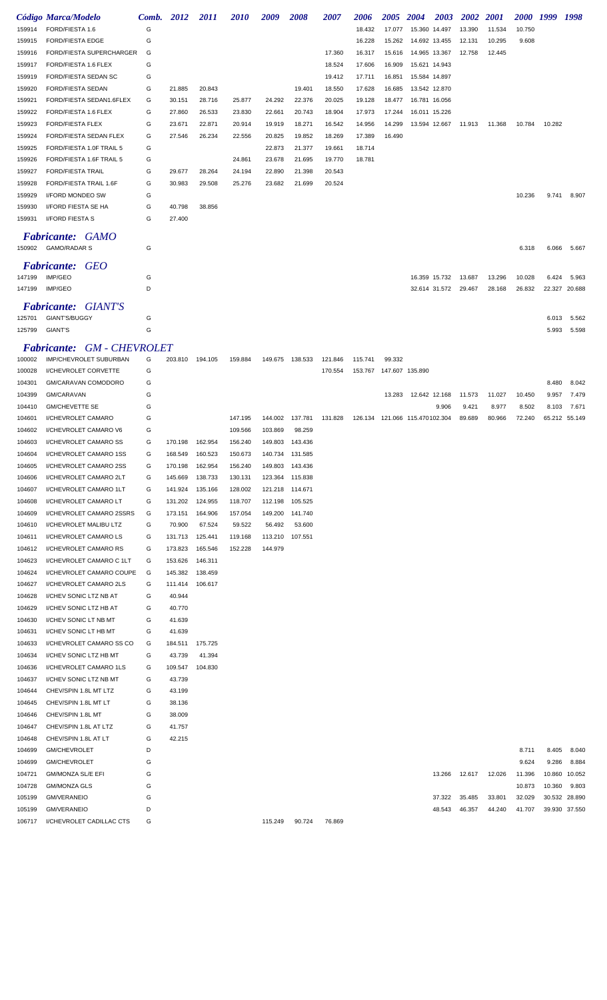|                  | <b>Código Marca/Modelo</b>                         | Comb. 2012 |                    | <b>2011</b>        | <i>2010</i>        | 2009             | 2008                       | 2007             | 2006             | <i><b>2005</b></i>        | <b>2004</b>                      | <b>2003</b>   | <b>2002</b> | 2001   | 2000 1999 |        | 1998          |
|------------------|----------------------------------------------------|------------|--------------------|--------------------|--------------------|------------------|----------------------------|------------------|------------------|---------------------------|----------------------------------|---------------|-------------|--------|-----------|--------|---------------|
| 159914           | FORD/FIESTA 1.6                                    | G          |                    |                    |                    |                  |                            |                  | 18.432           | 17.077                    | 15.360 14.497                    |               | 13.390      | 11.534 | 10.750    |        |               |
| 159915           | <b>FORD/FIESTA EDGE</b>                            | G          |                    |                    |                    |                  |                            |                  | 16.228           | 15.262                    | 14.692 13.455                    |               | 12.131      | 10.295 | 9.608     |        |               |
| 159916           | FORD/FIESTA SUPERCHARGER                           | G          |                    |                    |                    |                  |                            | 17.360           | 16.317           | 15.616                    | 14.965 13.367                    |               | 12.758      | 12.445 |           |        |               |
| 159917           | FORD/FIESTA 1.6 FLEX                               | G          |                    |                    |                    |                  |                            | 18.524           | 17.606           | 16.909                    | 15.621 14.943                    |               |             |        |           |        |               |
| 159919           | FORD/FIESTA SEDAN SC                               | G          |                    |                    |                    |                  |                            | 19.412           | 17.711           | 16.851                    | 15.584 14.897                    |               |             |        |           |        |               |
| 159920           | <b>FORD/FIESTA SEDAN</b>                           | G          | 21.885             | 20.843             |                    |                  | 19.401                     | 18.550           | 17.628           | 16.685                    | 13.542 12.870                    |               |             |        |           |        |               |
| 159921           | FORD/FIESTA SEDAN1.6FLEX                           | G          | 30.151             | 28.716             | 25.877             | 24.292           | 22.376                     | 20.025           | 19.128           | 18.477                    | 16.781 16.056                    |               |             |        |           |        |               |
| 159922<br>159923 | FORD/FIESTA 1.6 FLEX<br>FORD/FIESTA FLEX           | G<br>G     | 27.860<br>23.671   | 26.533<br>22.871   | 23.830<br>20.914   | 22.661<br>19.919 | 20.743<br>18.271           | 18.904<br>16.542 | 17.973<br>14.956 | 17.244<br>14.299          | 16.011 15.226<br>13.594 12.667   |               | 11.913      | 11.368 | 10.784    | 10.282 |               |
| 159924           | FORD/FIESTA SEDAN FLEX                             | G          | 27.546             | 26.234             | 22.556             | 20.825           | 19.852                     | 18.269           | 17.389           | 16.490                    |                                  |               |             |        |           |        |               |
| 159925           | FORD/FIESTA 1.0F TRAIL 5                           | G          |                    |                    |                    | 22.873           | 21.377                     | 19.661           | 18.714           |                           |                                  |               |             |        |           |        |               |
| 159926           | FORD/FIESTA 1.6F TRAIL 5                           | G          |                    |                    | 24.861             | 23.678           | 21.695                     | 19.770           | 18.781           |                           |                                  |               |             |        |           |        |               |
| 159927           | <b>FORD/FIESTA TRAIL</b>                           | G          | 29.677             | 28.264             | 24.194             | 22.890           | 21.398                     | 20.543           |                  |                           |                                  |               |             |        |           |        |               |
| 159928           | FORD/FIESTA TRAIL 1.6F                             | G          | 30.983             | 29.508             | 25.276             | 23.682           | 21.699                     | 20.524           |                  |                           |                                  |               |             |        |           |        |               |
| 159929           | I/FORD MONDEO SW                                   | G          |                    |                    |                    |                  |                            |                  |                  |                           |                                  |               |             |        | 10.236    | 9.741  | 8.907         |
| 159930           | I/FORD FIESTA SE HA                                | G          | 40.798             | 38.856             |                    |                  |                            |                  |                  |                           |                                  |               |             |        |           |        |               |
| 159931           | <b>I/FORD FIESTA S</b>                             | G          | 27.400             |                    |                    |                  |                            |                  |                  |                           |                                  |               |             |        |           |        |               |
|                  | <b>Fabricante: GAMO</b>                            |            |                    |                    |                    |                  |                            |                  |                  |                           |                                  |               |             |        |           |        |               |
|                  | 150902 GAMO/RADAR S                                | G          |                    |                    |                    |                  |                            |                  |                  |                           |                                  |               |             |        | 6.318     | 6.066  | 5.667         |
|                  |                                                    |            |                    |                    |                    |                  |                            |                  |                  |                           |                                  |               |             |        |           |        |               |
| 147199           | <b>Fabricante:</b><br><b>GEO</b><br><b>IMP/GEO</b> | G          |                    |                    |                    |                  |                            |                  |                  |                           | 16.359 15.732                    |               | 13.687      | 13.296 | 10.028    | 6.424  | 5.963         |
| 147199           | IMP/GEO                                            | D          |                    |                    |                    |                  |                            |                  |                  |                           | 32.614 31.572                    |               | 29.467      | 28.168 | 26.832    |        | 22.327 20.688 |
|                  |                                                    |            |                    |                    |                    |                  |                            |                  |                  |                           |                                  |               |             |        |           |        |               |
|                  | <i>Fabricante:</i><br><i>GIANT'S</i>               |            |                    |                    |                    |                  |                            |                  |                  |                           |                                  |               |             |        |           |        |               |
| 125701           | GIANT'S/BUGGY                                      | G          |                    |                    |                    |                  |                            |                  |                  |                           |                                  |               |             |        |           | 6.013  | 5.562         |
| 125799           | GIANT'S                                            | G          |                    |                    |                    |                  |                            |                  |                  |                           |                                  |               |             |        |           | 5.993  | 5.598         |
|                  | <b>Fabricante: GM - CHEVROLET</b>                  |            |                    |                    |                    |                  |                            |                  |                  |                           |                                  |               |             |        |           |        |               |
| 100002           | IMP/CHEVROLET SUBURBAN                             | G          | 203.810            | 194.105            | 159.884            | 149.675          | 138.533                    | 121.846          | 115.741          | 99.332                    |                                  |               |             |        |           |        |               |
| 100028           | I/CHEVROLET CORVETTE                               | G          |                    |                    |                    |                  |                            | 170.554          |                  | 153.767  147.607  135.890 |                                  |               |             |        |           |        |               |
| 104301           | GM/CARAVAN COMODORO                                | G          |                    |                    |                    |                  |                            |                  |                  |                           |                                  |               |             |        |           | 8.480  | 8.042         |
| 104399           | GM/CARAVAN                                         | G          |                    |                    |                    |                  |                            |                  |                  | 13.283                    | 12.642 12.168                    |               | 11.573      | 11.027 | 10.450    | 9.957  | 7.479         |
| 104410           | <b>GM/CHEVETTE SE</b>                              | G          |                    |                    |                    |                  |                            |                  |                  |                           |                                  | 9.906         | 9.421       | 8.977  | 8.502     | 8.103  | 7.671         |
| 104601           | I/CHEVROLET CAMARO                                 | G          |                    |                    | 147.195            | 144.002          | 137.781                    | 131.828          |                  |                           | 126.134  121.066  115.470102.304 |               | 89.689      | 80.966 | 72.240    |        | 65.212 55.149 |
| 104602           | I/CHEVROLET CAMARO V6                              | G          |                    |                    | 109.566            | 103.869          | 98.259                     |                  |                  |                           |                                  |               |             |        |           |        |               |
| 104603<br>104604 | I/CHEVROLET CAMARO SS<br>I/CHEVROLET CAMARO 1SS    | G<br>G     | 170.198<br>168.549 | 162.954<br>160.523 | 156.240<br>150.673 | 149.803          | 143.436<br>140.734 131.585 |                  |                  |                           |                                  |               |             |        |           |        |               |
| 104605           | I/CHEVROLET CAMARO 2SS                             | G          | 170.198            | 162.954            | 156.240            |                  | 149.803 143.436            |                  |                  |                           |                                  |               |             |        |           |        |               |
| 104606           | I/CHEVROLET CAMARO 2LT                             | G          | 145.669            | 138.733            | 130.131            |                  | 123.364 115.838            |                  |                  |                           |                                  |               |             |        |           |        |               |
| 104607           | I/CHEVROLET CAMARO 1LT                             | G          | 141.924            | 135.166            | 128.002            |                  | 121.218 114.671            |                  |                  |                           |                                  |               |             |        |           |        |               |
| 104608           | I/CHEVROLET CAMARO LT                              | G          | 131.202            | 124.955            | 118.707            |                  | 112.198 105.525            |                  |                  |                           |                                  |               |             |        |           |        |               |
| 104609           | I/CHEVROLET CAMARO 2SSRS                           | G          | 173.151            | 164.906            | 157.054            |                  | 149.200 141.740            |                  |                  |                           |                                  |               |             |        |           |        |               |
| 104610           | I/CHEVROLET MALIBU LTZ                             | G          | 70.900             | 67.524             | 59.522             | 56.492           | 53.600                     |                  |                  |                           |                                  |               |             |        |           |        |               |
| 104611           | I/CHEVROLET CAMARO LS                              | G          | 131.713            | 125.441            | 119.168            |                  | 113.210 107.551            |                  |                  |                           |                                  |               |             |        |           |        |               |
| 104612           | I/CHEVROLET CAMARO RS                              | G          | 173.823            | 165.546            | 152.228            | 144.979          |                            |                  |                  |                           |                                  |               |             |        |           |        |               |
| 104623           | I/CHEVROLET CAMARO C 1LT                           | G          | 153.626            | 146.311            |                    |                  |                            |                  |                  |                           |                                  |               |             |        |           |        |               |
| 104624           | I/CHEVROLET CAMARO COUPE                           | G          | 145.382            | 138.459            |                    |                  |                            |                  |                  |                           |                                  |               |             |        |           |        |               |
| 104627           | I/CHEVROLET CAMARO 2LS                             | G          | 111.414            | 106.617            |                    |                  |                            |                  |                  |                           |                                  |               |             |        |           |        |               |
| 104628           | I/CHEV SONIC LTZ NB AT                             | G          | 40.944             |                    |                    |                  |                            |                  |                  |                           |                                  |               |             |        |           |        |               |
| 104629           | I/CHEV SONIC LTZ HB AT                             | G          | 40.770             |                    |                    |                  |                            |                  |                  |                           |                                  |               |             |        |           |        |               |
| 104630<br>104631 | I/CHEV SONIC LT NB MT<br>I/CHEV SONIC LT HB MT     | G<br>G     | 41.639<br>41.639   |                    |                    |                  |                            |                  |                  |                           |                                  |               |             |        |           |        |               |
| 104633           | I/CHEVROLET CAMARO SS CO                           | G          | 184.511 175.725    |                    |                    |                  |                            |                  |                  |                           |                                  |               |             |        |           |        |               |
| 104634           | I/CHEV SONIC LTZ HB MT                             | G          | 43.739             | 41.394             |                    |                  |                            |                  |                  |                           |                                  |               |             |        |           |        |               |
| 104636           | I/CHEVROLET CAMARO 1LS                             | G          | 109.547            | 104.830            |                    |                  |                            |                  |                  |                           |                                  |               |             |        |           |        |               |
| 104637           | I/CHEV SONIC LTZ NB MT                             | G          | 43.739             |                    |                    |                  |                            |                  |                  |                           |                                  |               |             |        |           |        |               |
| 104644           | CHEV/SPIN 1.8L MT LTZ                              | G          | 43.199             |                    |                    |                  |                            |                  |                  |                           |                                  |               |             |        |           |        |               |
| 104645           | CHEV/SPIN 1.8L MT LT                               | G          | 38.136             |                    |                    |                  |                            |                  |                  |                           |                                  |               |             |        |           |        |               |
| 104646           | CHEV/SPIN 1.8L MT                                  | G          | 38.009             |                    |                    |                  |                            |                  |                  |                           |                                  |               |             |        |           |        |               |
| 104647           | CHEV/SPIN 1.8L AT LTZ                              | G          | 41.757             |                    |                    |                  |                            |                  |                  |                           |                                  |               |             |        |           |        |               |
| 104648           | CHEV/SPIN 1.8L AT LT                               | G          | 42.215             |                    |                    |                  |                            |                  |                  |                           |                                  |               |             |        |           |        |               |
| 104699           | GM/CHEVROLET                                       | D          |                    |                    |                    |                  |                            |                  |                  |                           |                                  |               |             |        | 8.711     | 8.405  | 8.040         |
| 104699           | <b>GM/CHEVROLET</b>                                | G          |                    |                    |                    |                  |                            |                  |                  |                           |                                  |               |             |        | 9.624     | 9.286  | 8.884         |
| 104721           | GM/MONZA SL/E EFI                                  | G          |                    |                    |                    |                  |                            |                  |                  |                           |                                  | 13.266 12.617 |             | 12.026 | 11.396    | 10.860 | 10.052        |
| 104728           | <b>GM/MONZA GLS</b>                                | G          |                    |                    |                    |                  |                            |                  |                  |                           |                                  |               |             |        | 10.873    | 10.360 | 9.803         |
| 105199           | <b>GM/VERANEIO</b>                                 | G          |                    |                    |                    |                  |                            |                  |                  |                           |                                  | 37.322        | 35.485      | 33.801 | 32.029    |        | 30.532 28.890 |
| 105199           | <b>GM/VERANEIO</b>                                 | D          |                    |                    |                    |                  |                            |                  |                  |                           |                                  | 48.543        | 46.357      | 44.240 | 41.707    |        | 39.930 37.550 |
| 106717           | I/CHEVROLET CADILLAC CTS                           | G          |                    |                    |                    | 115.249          | 90.724                     | 76.869           |                  |                           |                                  |               |             |        |           |        |               |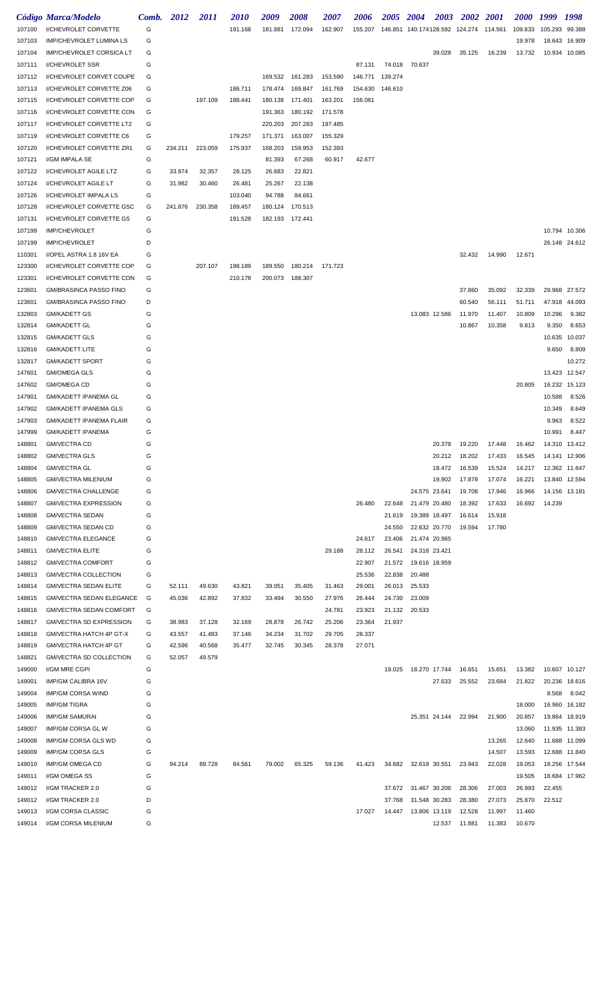|                  | Código Marca/Modelo                                      | Comb.  | 2012             | <i>2011</i>      | <i><b>2010</b></i> | 2009    | <i><b>2008</b></i> | 2007             | 2006             | <b>2005</b>      | <b>2004</b>            | <b>2003</b>   | <b>2002</b>                            | <b>2001</b> | <i><b>2000</b></i> | 1999    | 1998                           |
|------------------|----------------------------------------------------------|--------|------------------|------------------|--------------------|---------|--------------------|------------------|------------------|------------------|------------------------|---------------|----------------------------------------|-------------|--------------------|---------|--------------------------------|
| 107100           | I/CHEVROLET CORVETTE                                     | G      |                  |                  | 191.168            | 181.881 | 172.094            | 162.907          | 155.207          |                  |                        |               | 146.851 140.174128.592 124.274 114.561 |             | 109.833            | 105.293 | 99.388                         |
| 107103           | <b>IMP/CHEVROLET LUMINA LS</b>                           | G      |                  |                  |                    |         |                    |                  |                  |                  |                        |               |                                        |             | 19.978             |         | 18.643 16.909                  |
| 107104           | IMP/CHEVROLET CORSICA LT                                 | G      |                  |                  |                    |         |                    |                  |                  |                  |                        | 39.028        | 35.125                                 | 16.239      | 13.732             |         | 10.934 10.085                  |
| 107111           | I/CHEVROLET SSR                                          | G      |                  |                  |                    |         |                    |                  | 87.131           | 74.018           | 70.637                 |               |                                        |             |                    |         |                                |
| 107112           | I/CHEVROLET CORVET COUPE                                 | G      |                  |                  |                    | 169.532 | 161.283            | 153.590          | 146.771          | 139.274          |                        |               |                                        |             |                    |         |                                |
| 107113           | I/CHEVROLET CORVETTE Z06                                 | G      |                  |                  | 186.711            | 178.474 | 169.847            | 161.769          | 154.630          | 146.610          |                        |               |                                        |             |                    |         |                                |
| 107115           | I/CHEVROLET CORVETTE COP                                 | G      |                  | 197.109          | 188.441            | 180.138 | 171.401            | 163.201          | 156.061          |                  |                        |               |                                        |             |                    |         |                                |
| 107116           | I/CHEVROLET CORVETTE CON                                 | G      |                  |                  |                    | 191.363 | 180.192            | 171.578          |                  |                  |                        |               |                                        |             |                    |         |                                |
| 107117           | I/CHEVROLET CORVETTE LT2                                 | G      |                  |                  |                    | 220.203 | 207.283            | 197.485          |                  |                  |                        |               |                                        |             |                    |         |                                |
| 107119           | I/CHEVROLET CORVETTE C6                                  | G      |                  |                  | 179.257            | 171.371 | 163.007            | 155.329          |                  |                  |                        |               |                                        |             |                    |         |                                |
| 107120           | I/CHEVROLET CORVETTE ZR1                                 | G      | 234.211          | 223.059          | 175.937            | 168.203 | 159.953            | 152.393          |                  |                  |                        |               |                                        |             |                    |         |                                |
| 107121           | I/GM IMPALA SE                                           | G      |                  |                  |                    | 81.393  | 67.268             | 60.917           | 42.677           |                  |                        |               |                                        |             |                    |         |                                |
| 107122           | I/CHEVROLET AGILE LTZ                                    | G      | 33.974           | 32.357           | 28.125             | 26.683  | 22.821             |                  |                  |                  |                        |               |                                        |             |                    |         |                                |
| 107124           | I/CHEVROLET AGILE LT                                     | G      | 31.982           | 30.460           | 26.481             | 25.267  | 22.138             |                  |                  |                  |                        |               |                                        |             |                    |         |                                |
| 107126           | I/CHEVROLET IMPALA LS                                    | G      |                  |                  | 103.040            | 94.788  | 84.661             |                  |                  |                  |                        |               |                                        |             |                    |         |                                |
| 107128           | I/CHEVROLET CORVETTE GSC                                 | G      | 241.876          | 230.358          | 189.457            |         | 180.124 170.513    |                  |                  |                  |                        |               |                                        |             |                    |         |                                |
| 107131           | I/CHEVROLET CORVETTE GS                                  | G      |                  |                  | 191.528            |         | 182.193 172.441    |                  |                  |                  |                        |               |                                        |             |                    |         |                                |
| 107199           | <b>IMP/CHEVROLET</b>                                     | G<br>D |                  |                  |                    |         |                    |                  |                  |                  |                        |               |                                        |             |                    |         | 10.794 10.306<br>26.148 24.612 |
| 107199<br>110301 | <b>IMP/CHEVROLET</b><br>I/OPEL ASTRA 1.8 16V EA          | G      |                  |                  |                    |         |                    |                  |                  |                  |                        |               | 32.432                                 | 14.990      | 12.671             |         |                                |
| 123300           | I/CHEVROLET CORVETTE COP                                 | G      |                  | 207.107          | 198.189            | 189.550 | 180.214            | 171.723          |                  |                  |                        |               |                                        |             |                    |         |                                |
| 123301           | I/CHEVROLET CORVETTE CON                                 | G      |                  |                  | 210.178            | 200.073 | 188.307            |                  |                  |                  |                        |               |                                        |             |                    |         |                                |
| 123601           | <b>GM/BRASINCA PASSO FINO</b>                            | G      |                  |                  |                    |         |                    |                  |                  |                  |                        |               | 37.860                                 | 35.092      | 32.339             | 29.968  | 27.572                         |
| 123601           | <b>GM/BRASINCA PASSO FINO</b>                            | D      |                  |                  |                    |         |                    |                  |                  |                  |                        |               | 60.540                                 | 56.111      | 51.711             |         | 47.918 44.093                  |
| 132803           | <b>GM/KADETT GS</b>                                      | G      |                  |                  |                    |         |                    |                  |                  |                  |                        | 13.083 12.586 | 11.970                                 | 11.407      | 10.809             | 10.296  | 9.382                          |
| 132814           | <b>GM/KADETT GL</b>                                      | G      |                  |                  |                    |         |                    |                  |                  |                  |                        |               | 10.867                                 | 10.358      | 9.813              | 9.350   | 8.653                          |
| 132815           | <b>GM/KADETT GLS</b>                                     | G      |                  |                  |                    |         |                    |                  |                  |                  |                        |               |                                        |             |                    | 10.635  | 10.037                         |
| 132816           | <b>GM/KADETT LITE</b>                                    | G      |                  |                  |                    |         |                    |                  |                  |                  |                        |               |                                        |             |                    | 9.650   | 8.809                          |
| 132817           | <b>GM/KADETT SPORT</b>                                   | G      |                  |                  |                    |         |                    |                  |                  |                  |                        |               |                                        |             |                    |         | 10.272                         |
| 147601           | <b>GM/OMEGA GLS</b>                                      | G      |                  |                  |                    |         |                    |                  |                  |                  |                        |               |                                        |             |                    | 13.423  | 12.547                         |
| 147602           | GM/OMEGA CD                                              | G      |                  |                  |                    |         |                    |                  |                  |                  |                        |               |                                        |             | 20.805             | 16.232  | 15.123                         |
| 147901           | <b>GM/KADETT IPANEMA GL</b>                              | G      |                  |                  |                    |         |                    |                  |                  |                  |                        |               |                                        |             |                    | 10.588  | 8.526                          |
| 147902           | <b>GM/KADETT IPANEMA GLS</b>                             | G      |                  |                  |                    |         |                    |                  |                  |                  |                        |               |                                        |             |                    | 10.349  | 8.649                          |
| 147903           | <b>GM/KADETT IPANEMA FLAIR</b>                           | G      |                  |                  |                    |         |                    |                  |                  |                  |                        |               |                                        |             |                    | 9.963   | 8.522                          |
| 147999           | <b>GM/KADETT IPANEMA</b>                                 | G      |                  |                  |                    |         |                    |                  |                  |                  |                        |               |                                        |             |                    | 10.991  | 8.447                          |
| 148801           | <b>GM/VECTRA CD</b>                                      | G      |                  |                  |                    |         |                    |                  |                  |                  |                        | 20.378        | 19.220                                 | 17.448      | 16.462             |         | 14.310 13.412                  |
| 148802           | <b>GM/VECTRA GLS</b>                                     | G      |                  |                  |                    |         |                    |                  |                  |                  |                        | 20.212        | 18.202                                 | 17.433      | 16.545             | 14.141  | 12.906                         |
| 148804           | <b>GM/VECTRA GL</b>                                      | G      |                  |                  |                    |         |                    |                  |                  |                  |                        | 18.472        | 16.539                                 | 15.524      | 14.217             |         | 12.362 11.647                  |
| 148805           | <b>GM/VECTRA MILENIUM</b>                                | G      |                  |                  |                    |         |                    |                  |                  |                  |                        | 19.902        | 17.878                                 | 17.074      | 16.221             |         | 13.840 12.594                  |
| 148806           | <b>GM/VECTRA CHALLENGE</b>                               | G      |                  |                  |                    |         |                    |                  |                  |                  |                        | 24.575 23.641 | 19.708                                 | 17.946      | 16.966             |         | 14.156 13.181                  |
| 148807           | <b>GM/VECTRA EXPRESSION</b>                              | G      |                  |                  |                    |         |                    |                  | 26.480           | 22.648           |                        | 21.479 20.480 | 18.392                                 | 17.633      | 16.692             | 14.239  |                                |
| 148808           | <b>GM/VECTRA SEDAN</b>                                   | G      |                  |                  |                    |         |                    |                  |                  | 21.619           |                        | 19.389 18.497 | 16.614                                 | 15.918      |                    |         |                                |
| 148809           | <b>GM/VECTRA SEDAN CD</b>                                | G      |                  |                  |                    |         |                    |                  |                  | 24.550           |                        | 22.632 20.770 | 19.594                                 | 17.780      |                    |         |                                |
| 148810           | <b>GM/VECTRA ELEGANCE</b>                                | G      |                  |                  |                    |         |                    |                  | 24.617           | 23.406           |                        | 21.474 20.965 |                                        |             |                    |         |                                |
| 148811           | <b>GM/VECTRA ELITE</b>                                   | G      |                  |                  |                    |         |                    | 29.188           | 28.112           | 26.541           |                        | 24.318 23.421 |                                        |             |                    |         |                                |
| 148812           | <b>GM/VECTRA COMFORT</b>                                 | G      |                  |                  |                    |         |                    |                  | 22.907           | 21.572           |                        | 19.616 18.959 |                                        |             |                    |         |                                |
| 148813           | GM/VECTRA COLLECTION                                     | G      |                  |                  |                    |         |                    |                  | 25.536           | 22.838           | 20.488                 |               |                                        |             |                    |         |                                |
| 148814           | <b>GM/VECTRA SEDAN ELITE</b><br>GM/VECTRA SEDAN ELEGANCE | G<br>G | 52.111<br>45.036 | 49.630<br>42.892 | 43.821<br>37.832   | 39.051  | 35.405<br>30.550   | 31.463<br>27.976 | 29.001<br>26.444 | 26.013           | 25.533<br>23.009       |               |                                        |             |                    |         |                                |
| 148815<br>148816 | <b>GM/VECTRA SEDAN COMFORT</b>                           | G      |                  |                  |                    | 33.494  |                    | 24.781           | 23.923           | 24.730<br>21.132 | 20.533                 |               |                                        |             |                    |         |                                |
| 148817           | GM/VECTRA SD EXPRESSION                                  | G      | 38.983           | 37.128           | 32.169             | 28.878  | 26.742             | 25.206           | 23.364           | 21.937           |                        |               |                                        |             |                    |         |                                |
| 148818           | GM/VECTRA HATCH 4P GT-X                                  | G      | 43.557           | 41.483           | 37.146             | 34.234  | 31.702             | 29.705           | 28.337           |                  |                        |               |                                        |             |                    |         |                                |
| 148819           | GM/VECTRA HATCH 4P GT                                    | G      | 42.596           | 40.568           | 35.477             | 32.745  | 30.345             | 28.378           | 27.071           |                  |                        |               |                                        |             |                    |         |                                |
| 148821           | GM/VECTRA SD COLLECTION                                  | G      | 52.057           | 49.579           |                    |         |                    |                  |                  |                  |                        |               |                                        |             |                    |         |                                |
| 149000           | I/GM MRE CGPI                                            | G      |                  |                  |                    |         |                    |                  |                  | 19.025           | 18.270 17.744          |               | 16.651                                 | 15.651      | 13.382             |         | 10.607 10.127                  |
| 149001           | <b>IMP/GM CALIBRA 16V</b>                                | G      |                  |                  |                    |         |                    |                  |                  |                  |                        | 27.633        | 25.552                                 | 23.684      | 21.822             | 20.236  | 18.616                         |
| 149004           | <b>IMP/GM CORSA WIND</b>                                 | G      |                  |                  |                    |         |                    |                  |                  |                  |                        |               |                                        |             |                    | 8.568   | 8.042                          |
| 149005           | <b>IMP/GM TIGRA</b>                                      | G      |                  |                  |                    |         |                    |                  |                  |                  |                        |               |                                        |             | 18.000             | 16.960  | 16.182                         |
| 149006           | <b>IMP/GM SAMURAI</b>                                    | G      |                  |                  |                    |         |                    |                  |                  |                  |                        | 25.351 24.144 | 22.994                                 | 21.900      | 20.857             |         | 19.864 18.919                  |
| 149007           | IMP/GM CORSA GL W                                        | G      |                  |                  |                    |         |                    |                  |                  |                  |                        |               |                                        |             | 13.060             |         | 11.935 11.383                  |
| 149008           | IMP/GM CORSA GLS WD                                      | G      |                  |                  |                    |         |                    |                  |                  |                  |                        |               |                                        | 13.265      | 12.640             |         | 11.688 11.099                  |
| 149009           | <b>IMP/GM CORSA GLS</b>                                  | G      |                  |                  |                    |         |                    |                  |                  |                  |                        |               |                                        | 14.507      | 13.593             |         | 12.688 11.840                  |
| 149010           | IMP/GM OMEGA CD                                          | G      | 94.214           | 89.728           | 84.561             | 79.002  | 65.325             | 59.136           | 41.423           | 34.682           |                        | 32.619 30.551 | 23.943                                 | 22.028      | 19.053             |         | 18.256 17.544                  |
| 149011           | I/GM OMEGA SS                                            | G      |                  |                  |                    |         |                    |                  |                  |                  |                        |               |                                        |             | 19.505             |         | 18.684 17.962                  |
| 149012           | I/GM TRACKER 2.0                                         | G      |                  |                  |                    |         |                    |                  |                  | 37.672           |                        | 31.467 30.206 | 28.306                                 | 27.003      | 26.993             | 22.455  |                                |
| 149012           | I/GM TRACKER 2.0                                         | D      |                  |                  |                    |         |                    |                  |                  | 37.768           |                        | 31.548 30.283 | 28.380                                 | 27.073      | 25.870             | 22.512  |                                |
| 149013           | I/GM CORSA CLASSIC                                       | G      |                  |                  |                    |         |                    |                  | 17.027           |                  | 14.447  13.806  13.119 |               | 12.528                                 | 11.997      | 11.460             |         |                                |
| 149014           | I/GM CORSA MILENIUM                                      | G      |                  |                  |                    |         |                    |                  |                  |                  |                        | 12.537        | 11.881                                 | 11.383      | 10.670             |         |                                |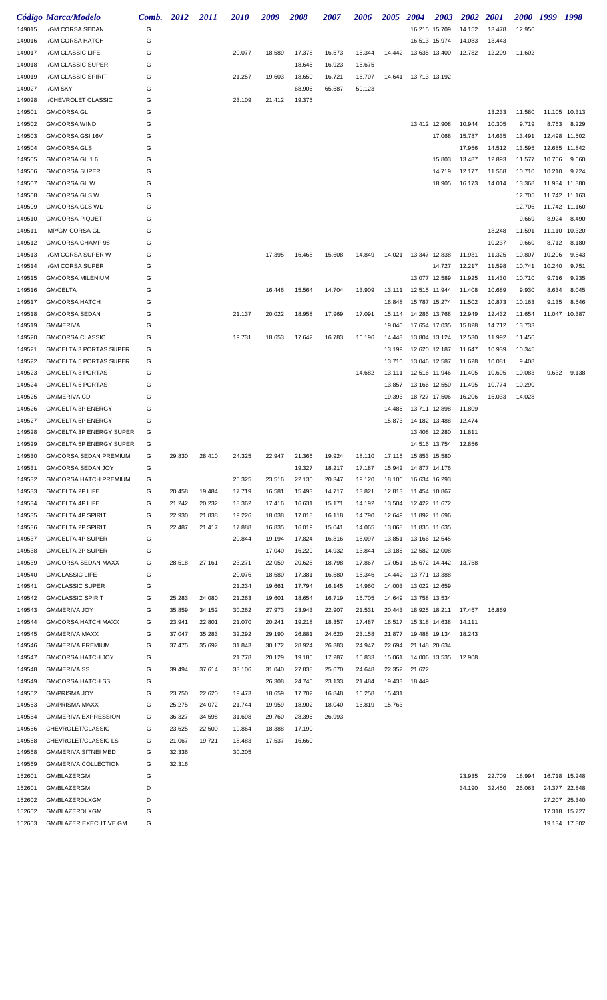|        | Código Marca/Modelo             | Comb. | 2012   | <i>2011</i> | <i>2010</i> | 2009   | 2008   | <i><b>2007</b></i> | 2006   | <i><b>2005</b></i> | 2004                   | 2003          | 2002   | <i>2001</i> | <i><b>2000</b></i> | 1999   | 1998          |
|--------|---------------------------------|-------|--------|-------------|-------------|--------|--------|--------------------|--------|--------------------|------------------------|---------------|--------|-------------|--------------------|--------|---------------|
| 149015 | I/GM CORSA SEDAN                | G     |        |             |             |        |        |                    |        |                    | 16.215 15.709          |               | 14.152 | 13.478      | 12.956             |        |               |
| 149016 | I/GM CORSA HATCH                | G     |        |             |             |        |        |                    |        |                    | 16.513 15.974          |               | 14.083 | 13.443      |                    |        |               |
|        |                                 |       |        |             |             |        |        |                    |        |                    |                        |               |        |             |                    |        |               |
| 149017 | I/GM CLASSIC LIFE               | G     |        |             | 20.077      | 18.589 | 17.378 | 16.573             | 15.344 | 14.442             | 13.635 13.400          |               | 12.782 | 12.209      | 11.602             |        |               |
| 149018 | I/GM CLASSIC SUPER              | G     |        |             |             |        | 18.645 | 16.923             | 15.675 |                    |                        |               |        |             |                    |        |               |
| 149019 | I/GM CLASSIC SPIRIT             | G     |        |             | 21.257      | 19.603 | 18.650 | 16.721             | 15.707 | 14.641             | 13.713 13.192          |               |        |             |                    |        |               |
| 149027 | I/GM SKY                        | G     |        |             |             |        | 68.905 | 65.687             | 59.123 |                    |                        |               |        |             |                    |        |               |
| 149028 | I/CHEVROLET CLASSIC             | G     |        |             | 23.109      | 21.412 | 19.375 |                    |        |                    |                        |               |        |             |                    |        |               |
| 149501 | <b>GM/CORSA GL</b>              | G     |        |             |             |        |        |                    |        |                    |                        |               |        | 13.233      | 11.580             |        | 11.105 10.313 |
| 149502 | <b>GM/CORSA WIND</b>            | G     |        |             |             |        |        |                    |        |                    |                        | 13.412 12.908 | 10.944 | 10.305      | 9.719              | 8.763  | 8.229         |
| 149503 | GM/CORSA GSI 16V                | G     |        |             |             |        |        |                    |        |                    |                        | 17.068        | 15.787 | 14.635      | 13.491             | 12.498 | 11.502        |
| 149504 | <b>GM/CORSA GLS</b>             | G     |        |             |             |        |        |                    |        |                    |                        |               | 17.956 | 14.512      | 13.595             | 12.685 | 11.842        |
| 149505 | GM/CORSA GL 1.6                 | G     |        |             |             |        |        |                    |        |                    |                        | 15.803        | 13.487 | 12.893      | 11.577             | 10.766 | 9.660         |
| 149506 | <b>GM/CORSA SUPER</b>           | G     |        |             |             |        |        |                    |        |                    |                        | 14.719        | 12.177 | 11.568      | 10.710             | 10.210 | 9.724         |
| 149507 | GM/CORSA GL W                   | G     |        |             |             |        |        |                    |        |                    |                        | 18.905        | 16.173 | 14.014      | 13.368             | 11.934 | 11.380        |
| 149508 | GM/CORSA GLS W                  | G     |        |             |             |        |        |                    |        |                    |                        |               |        |             | 12.705             | 11.742 | 11.163        |
| 149509 | GM/CORSA GLS WD                 | G     |        |             |             |        |        |                    |        |                    |                        |               |        |             | 12.706             | 11.742 | 11.160        |
|        | <b>GM/CORSA PIQUET</b>          | G     |        |             |             |        |        |                    |        |                    |                        |               |        |             | 9.669              | 8.924  | 8.490         |
| 149510 |                                 |       |        |             |             |        |        |                    |        |                    |                        |               |        |             |                    |        |               |
| 149511 | IMP/GM CORSA GL                 | G     |        |             |             |        |        |                    |        |                    |                        |               |        | 13.248      | 11.591             | 11.110 | 10.320        |
| 149512 | GM/CORSA CHAMP 98               | G     |        |             |             |        |        |                    |        |                    |                        |               |        | 10.237      | 9.660              | 8.712  | 8.180         |
| 149513 | I/GM CORSA SUPER W              | G     |        |             |             | 17.395 | 16.468 | 15.608             | 14.849 | 14.021             | 13.347 12.838          |               | 11.931 | 11.325      | 10.807             | 10.206 | 9.543         |
| 149514 | I/GM CORSA SUPER                | G     |        |             |             |        |        |                    |        |                    |                        | 14.727        | 12.217 | 11.598      | 10.741             | 10.240 | 9.751         |
| 149515 | <b>GM/CORSA MILENIUM</b>        | G     |        |             |             |        |        |                    |        |                    | 13.077 12.589          |               | 11.925 | 11.430      | 10.710             | 9.716  | 9.235         |
| 149516 | GM/CELTA                        | G     |        |             |             | 16.446 | 15.564 | 14.704             | 13.909 | 13.111             | 12.515 11.944          |               | 11.408 | 10.689      | 9.930              | 8.634  | 8.045         |
| 149517 | <b>GM/CORSA HATCH</b>           | G     |        |             |             |        |        |                    |        | 16.848             | 15.787 15.274          |               | 11.502 | 10.873      | 10.163             | 9.135  | 8.546         |
| 149518 | <b>GM/CORSA SEDAN</b>           | G     |        |             | 21.137      | 20.022 | 18.958 | 17.969             | 17.091 | 15.114             | 14.286 13.768          |               | 12.949 | 12.432      | 11.654             | 11.047 | 10.387        |
| 149519 | <b>GM/MERIVA</b>                | G     |        |             |             |        |        |                    |        | 19.040             | 17.654 17.035          |               | 15.828 | 14.712      | 13.733             |        |               |
| 149520 | <b>GM/CORSA CLASSIC</b>         | G     |        |             | 19.731      | 18.653 | 17.642 | 16.783             | 16.196 | 14.443             | 13.804 13.124          |               | 12.530 | 11.992      | 11.456             |        |               |
| 149521 | GM/CELTA 3 PORTAS SUPER         | G     |        |             |             |        |        |                    |        | 13.199             | 12.620 12.187          |               | 11.647 | 10.939      | 10.345             |        |               |
| 149522 | GM/CELTA 5 PORTAS SUPER         | G     |        |             |             |        |        |                    |        | 13.710             | 13.046 12.587          |               | 11.628 | 10.081      | 9.408              |        |               |
|        | <b>GM/CELTA 3 PORTAS</b>        | G     |        |             |             |        |        |                    |        |                    |                        |               |        |             | 10.083             |        |               |
| 149523 |                                 |       |        |             |             |        |        |                    | 14.682 | 13.111             | 12.516 11.946          |               | 11.405 | 10.695      |                    | 9.632  | 9.138         |
| 149524 | <b>GM/CELTA 5 PORTAS</b>        | G     |        |             |             |        |        |                    |        | 13.857             | 13.166 12.550          |               | 11.495 | 10.774      | 10.290             |        |               |
| 149525 | <b>GM/MERIVA CD</b>             | G     |        |             |             |        |        |                    |        | 19.393             | 18.727 17.506          |               | 16.206 | 15.033      | 14.028             |        |               |
| 149526 | <b>GM/CELTA 3P ENERGY</b>       | G     |        |             |             |        |        |                    |        | 14.485             | 13.711 12.898          |               | 11.809 |             |                    |        |               |
| 149527 | <b>GM/CELTA 5P ENERGY</b>       | G     |        |             |             |        |        |                    |        | 15.873             | 14.182 13.488          |               | 12.474 |             |                    |        |               |
| 149528 | GM/CELTA 3P ENERGY SUPER        | G     |        |             |             |        |        |                    |        |                    | 13.408 12.280          |               | 11.811 |             |                    |        |               |
| 149529 | <b>GM/CELTA 5P ENERGY SUPER</b> | G     |        |             |             |        |        |                    |        |                    |                        | 14.516 13.754 | 12.856 |             |                    |        |               |
| 149530 | GM/CORSA SEDAN PREMIUM          | G     | 29.830 | 28.410      | 24.325      | 22.947 | 21.365 | 19.924             | 18.110 | 17.115             | 15.853 15.580          |               |        |             |                    |        |               |
| 149531 | GM/CORSA SEDAN JOY              | G     |        |             |             |        | 19.327 | 18.217             | 17.187 |                    | 15.942  14.877  14.176 |               |        |             |                    |        |               |
| 149532 | <b>GM/CORSA HATCH PREMIUM</b>   | G     |        |             | 25.325      | 23.516 | 22.130 | 20.347             | 19.120 | 18.106             | 16.634 16.293          |               |        |             |                    |        |               |
| 149533 | GM/CELTA 2P LIFE                | G     | 20.458 | 19.484      | 17.719      | 16.581 | 15.493 | 14.717             | 13.821 |                    | 12.813  11.454  10.867 |               |        |             |                    |        |               |
| 149534 | GM/CELTA 4P LIFE                | G     | 21.242 | 20.232      | 18.362      | 17.416 | 16.631 | 15.171             | 14.192 | 13.504             | 12.422 11.672          |               |        |             |                    |        |               |
| 149535 | <b>GM/CELTA 4P SPIRIT</b>       | G     | 22.930 | 21.838      | 19.226      | 18.038 | 17.018 | 16.118             | 14.790 | 12.649             | 11.892 11.696          |               |        |             |                    |        |               |
| 149536 | <b>GM/CELTA 2P SPIRIT</b>       | G     | 22.487 | 21.417      | 17.888      | 16.835 | 16.019 | 15.041             | 14.065 | 13.068             | 11.835 11.635          |               |        |             |                    |        |               |
| 149537 | GM/CELTA 4P SUPER               | G     |        |             | 20.844      | 19.194 | 17.824 | 16.816             | 15.097 | 13.851             | 13.166 12.545          |               |        |             |                    |        |               |
| 149538 | GM/CELTA 2P SUPER               | G     |        |             |             | 17.040 | 16.229 | 14.932             | 13.844 | 13.185             | 12.582 12.008          |               |        |             |                    |        |               |
| 149539 | <b>GM/CORSA SEDAN MAXX</b>      | G     | 28.518 | 27.161      | 23.271      | 22.059 | 20.628 | 18.798             | 17.867 | 17.051             | 15.672 14.442          |               | 13.758 |             |                    |        |               |
| 149540 | <b>GM/CLASSIC LIFE</b>          | G     |        |             | 20.076      | 18.580 | 17.381 | 16.580             | 15.346 | 14.442             | 13.771 13.388          |               |        |             |                    |        |               |
|        |                                 |       |        |             |             |        |        |                    |        |                    |                        |               |        |             |                    |        |               |
| 149541 | <b>GM/CLASSIC SUPER</b>         | G     |        |             | 21.234      | 19.661 | 17.794 | 16.145             | 14.960 | 14.003             | 13.022 12.659          |               |        |             |                    |        |               |
| 149542 | <b>GM/CLASSIC SPIRIT</b>        | G     | 25.283 | 24.080      | 21.263      | 19.601 | 18.654 | 16.719             | 15.705 | 14.649             | 13.758 13.534          |               |        |             |                    |        |               |
| 149543 | <b>GM/MERIVA JOY</b>            | G     | 35.859 | 34.152      | 30.262      | 27.973 | 23.943 | 22.907             | 21.531 | 20.443             | 18.925 18.211          |               | 17.457 | 16.869      |                    |        |               |
| 149544 | <b>GM/CORSA HATCH MAXX</b>      | G     | 23.941 | 22.801      | 21.070      | 20.241 | 19.218 | 18.357             | 17.487 | 16.517             | 15.318 14.638          |               | 14.111 |             |                    |        |               |
| 149545 | <b>GM/MERIVA MAXX</b>           | G     | 37.047 | 35.283      | 32.292      | 29.190 | 26.881 | 24.620             | 23.158 | 21.877             | 19.488 19.134          |               | 18.243 |             |                    |        |               |
| 149546 | <b>GM/MERIVA PREMIUM</b>        | G     | 37.475 | 35.692      | 31.843      | 30.172 | 28.924 | 26.383             | 24.947 | 22.694             | 21.148 20.634          |               |        |             |                    |        |               |
| 149547 | <b>GM/CORSA HATCH JOY</b>       | G     |        |             | 21.778      | 20.129 | 19.185 | 17.287             | 15.833 | 15.061             | 14.006 13.535          |               | 12.908 |             |                    |        |               |
| 149548 | <b>GM/MERIVA SS</b>             | G     | 39.494 | 37.614      | 33.106      | 31.040 | 27.838 | 25.670             | 24.648 | 22.352             | 21.622                 |               |        |             |                    |        |               |
| 149549 | GM/CORSA HATCH SS               | G     |        |             |             | 26.308 | 24.745 | 23.133             | 21.484 | 19.433             | 18.449                 |               |        |             |                    |        |               |
| 149552 | <b>GM/PRISMA JOY</b>            | G     | 23.750 | 22.620      | 19.473      | 18.659 | 17.702 | 16.848             | 16.258 | 15.431             |                        |               |        |             |                    |        |               |
| 149553 | <b>GM/PRISMA MAXX</b>           | G     | 25.275 | 24.072      | 21.744      | 19.959 | 18.902 | 18.040             | 16.819 | 15.763             |                        |               |        |             |                    |        |               |
| 149554 | GM/MERIVA EXPRESSION            | G     | 36.327 | 34.598      | 31.698      | 29.760 | 28.395 | 26.993             |        |                    |                        |               |        |             |                    |        |               |
| 149556 | CHEVROLET/CLASSIC               | G     | 23.625 | 22.500      | 19.864      | 18.388 | 17.190 |                    |        |                    |                        |               |        |             |                    |        |               |
| 149558 | CHEVROLET/CLASSIC LS            | G     | 21.067 | 19.721      | 18.483      | 17.537 | 16.660 |                    |        |                    |                        |               |        |             |                    |        |               |
| 149568 | <b>GM/MERIVA SITNEI MED</b>     | G     | 32.336 |             | 30.205      |        |        |                    |        |                    |                        |               |        |             |                    |        |               |
| 149569 | <b>GM/MERIVA COLLECTION</b>     | G     | 32.316 |             |             |        |        |                    |        |                    |                        |               |        |             |                    |        |               |
|        |                                 |       |        |             |             |        |        |                    |        |                    |                        |               |        |             |                    |        |               |
| 152601 | GM/BLAZERGM                     | G     |        |             |             |        |        |                    |        |                    |                        |               | 23.935 | 22.709      | 18.994             |        | 16.718 15.248 |
| 152601 | GM/BLAZERGM                     | D     |        |             |             |        |        |                    |        |                    |                        |               | 34.190 | 32.450      | 26.063             |        | 24.377 22.848 |
| 152602 | GM/BLAZERDLXGM                  | D     |        |             |             |        |        |                    |        |                    |                        |               |        |             |                    |        | 27.207 25.340 |
| 152602 | GM/BLAZERDLXGM                  | G     |        |             |             |        |        |                    |        |                    |                        |               |        |             |                    |        | 17.318 15.727 |
| 152603 | <b>GM/BLAZER EXECUTIVE GM</b>   | G     |        |             |             |        |        |                    |        |                    |                        |               |        |             |                    |        | 19.134 17.802 |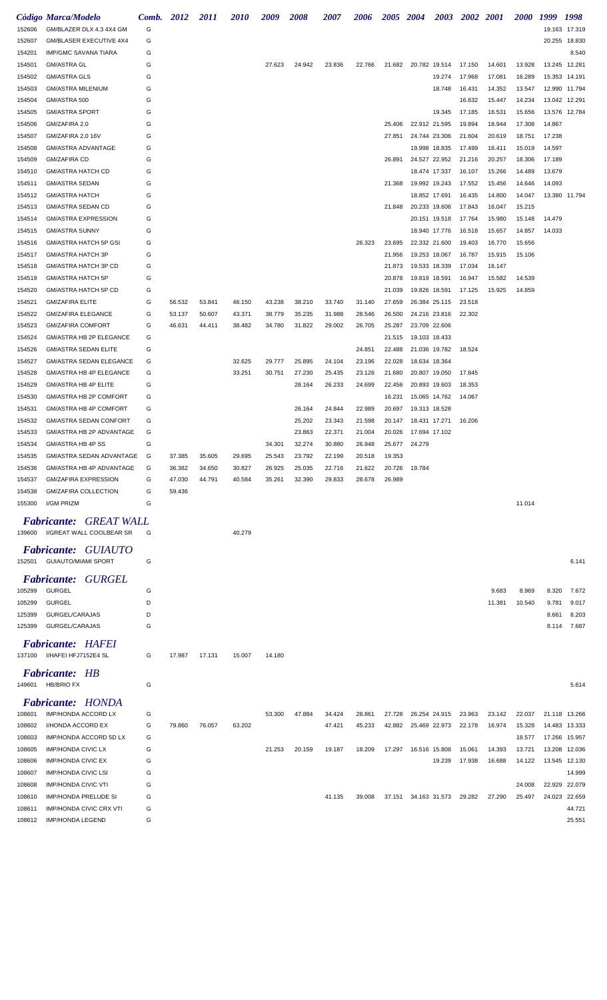|        | Código Marca/Modelo                 | Comb. 2012 |        | 2011          | <i>2010</i> | 2009   | <i><b>2008</b></i> | <i><b>2007</b></i> | 2006   | 2005 2004 |                      | <b>2003</b> | 2002 2001 |        | <i>2000</i> | 1999   | 1998          |
|--------|-------------------------------------|------------|--------|---------------|-------------|--------|--------------------|--------------------|--------|-----------|----------------------|-------------|-----------|--------|-------------|--------|---------------|
| 152606 | GM/BLAZER DLX 4.3 4X4 GM            | G          |        |               |             |        |                    |                    |        |           |                      |             |           |        |             | 19.163 | 17.319        |
| 152607 | <b>GM/BLASER EXECUTIVE 4X4</b>      | G          |        |               |             |        |                    |                    |        |           |                      |             |           |        |             | 20.255 | 18.830        |
| 154201 | <b>IMP/GMC SAVANA TIARA</b>         | G          |        |               |             |        |                    |                    |        |           |                      |             |           |        |             |        | 8.540         |
| 154501 | <b>GM/ASTRA GL</b>                  | G          |        |               |             | 27.623 | 24.942             | 23.836             | 22.766 | 21.682    | 20.782 19.514        |             | 17.150    | 14.601 | 13.928      | 13.245 | 12.281        |
| 154502 | <b>GM/ASTRA GLS</b>                 | G          |        |               |             |        |                    |                    |        |           |                      | 19.274      | 17.968    | 17.081 | 16.289      | 15.353 | 14.191        |
| 154503 | <b>GM/ASTRA MILENIUM</b>            | G          |        |               |             |        |                    |                    |        |           |                      | 18.748      | 16.431    | 14.352 | 13.547      | 12.990 | 11.794        |
| 154504 | GM/ASTRA 500                        | G          |        |               |             |        |                    |                    |        |           |                      |             | 16.632    | 15.447 | 14.234      | 13.042 | 12.291        |
| 154505 | <b>GM/ASTRA SPORT</b>               | G          |        |               |             |        |                    |                    |        |           |                      | 19.345      | 17.185    | 16.531 | 15.656      |        | 13.576 12.784 |
| 154506 | GM/ZAFIRA 2.0                       | G          |        |               |             |        |                    |                    |        | 25.406    | 22.912 21.595        |             | 19.894    | 18.944 | 17.308      | 14.867 |               |
| 154507 | GM/ZAFIRA 2.0 16V                   | G          |        |               |             |        |                    |                    |        | 27.851    | 24.744 23.306        |             | 21.604    | 20.619 | 18.751      | 17.238 |               |
| 154508 | <b>GM/ASTRA ADVANTAGE</b>           | G          |        |               |             |        |                    |                    |        |           | 19.998 18.835        |             | 17.499    | 16.411 | 15.019      | 14.597 |               |
| 154509 | <b>GM/ZAFIRA CD</b>                 | G          |        |               |             |        |                    |                    |        | 26.891    | 24.527 22.952        |             | 21.216    | 20.257 | 18.306      | 17.189 |               |
| 154510 | <b>GM/ASTRA HATCH CD</b>            | G          |        |               |             |        |                    |                    |        |           | 18.474 17.337        |             | 16.107    | 15.266 | 14.489      | 13.679 |               |
| 154511 | <b>GM/ASTRA SEDAN</b>               | G          |        |               |             |        |                    |                    |        | 21.368    | 19.992 19.243        |             | 17.552    | 15.456 | 14.646      | 14.093 |               |
| 154512 | <b>GM/ASTRA HATCH</b>               | G          |        |               |             |        |                    |                    |        |           | 18.852 17.691        |             | 16.435    | 14.800 | 14.047      |        | 13.380 11.794 |
| 154513 | <b>GM/ASTRA SEDAN CD</b>            | G          |        |               |             |        |                    |                    |        | 21.848    | 20.233 19.606        |             | 17.843    | 16.047 | 15.215      |        |               |
| 154514 | <b>GM/ASTRA EXPRESSION</b>          | G          |        |               |             |        |                    |                    |        |           | 20.151 19.518        |             | 17.764    | 15.980 | 15.148      | 14.479 |               |
| 154515 | <b>GM/ASTRA SUNNY</b>               | G          |        |               |             |        |                    |                    |        |           | 18.940 17.776        |             | 16.518    | 15.657 | 14.857      | 14.033 |               |
| 154516 | <b>GM/ASTRA HATCH 5P GSI</b>        | G          |        |               |             |        |                    |                    | 26.323 | 23.695    | 22.332 21.600        |             | 19.403    | 16.770 | 15.656      |        |               |
| 154517 | GM/ASTRA HATCH 3P                   | G          |        |               |             |        |                    |                    |        | 21.956    | 19.253 18.067        |             | 16.787    | 15.915 | 15.106      |        |               |
| 154518 | GM/ASTRA HATCH 3P CD                | G          |        |               |             |        |                    |                    |        | 21.873    | 19.533 18.339        |             | 17.034    | 16.147 |             |        |               |
| 154519 | <b>GM/ASTRA HATCH 5P</b>            | G          |        |               |             |        |                    |                    |        | 20.878    | 19.819 18.591        |             | 16.947    | 15.582 | 14.539      |        |               |
| 154520 | GM/ASTRA HATCH 5P CD                | G          |        |               |             |        |                    |                    |        | 21.039    | 19.826 18.591        |             | 17.125    | 15.925 | 14.859      |        |               |
| 154521 | <b>GM/ZAFIRA ELITE</b>              | G          | 56.532 | 53.841        | 46.150      | 43.238 | 38.210             | 33.740             | 31.140 | 27.659    | 26.384 25.115        |             | 23.518    |        |             |        |               |
| 154522 | <b>GM/ZAFIRA ELEGANCE</b>           | G          | 53.137 | 50.607        | 43.371      | 38.779 | 35.235             | 31.988             | 28.546 | 26.500    | 24.216 23.816        |             | 22.302    |        |             |        |               |
| 154523 | <b>GM/ZAFIRA COMFORT</b>            | G          | 46.631 | 44.411        | 38.482      | 34.780 | 31.822             | 29.002             | 26.705 | 25.287    | 23.709 22.606        |             |           |        |             |        |               |
| 154524 | GM/ASTRA HB 2P ELEGANCE             | G          |        |               |             |        |                    |                    |        | 21.515    | 19.103 18.433        |             |           |        |             |        |               |
| 154526 | <b>GM/ASTRA SEDAN ELITE</b>         | G          |        |               |             |        |                    |                    | 24.851 | 22.488    | 21.036 19.782        |             | 18.524    |        |             |        |               |
| 154527 | <b>GM/ASTRA SEDAN ELEGANCE</b>      | G          |        |               | 32.625      | 29.777 | 25.895             | 24.104             | 23.196 | 22.028    | 18.634 18.364        |             |           |        |             |        |               |
| 154528 | GM/ASTRA HB 4P ELEGANCE             | G          |        |               | 33.251      | 30.751 | 27.230             | 25.435             | 23.126 | 21.680    | 20.807 19.050        |             | 17.845    |        |             |        |               |
| 154529 | <b>GM/ASTRA HB 4P ELITE</b>         | G          |        |               |             |        | 28.164             | 26.233             | 24.699 | 22.456    | 20.893 19.603        |             | 18.353    |        |             |        |               |
| 154530 | GM/ASTRA HB 2P COMFORT              | G          |        |               |             |        |                    |                    |        | 16.231    | 15.065 14.762        |             | 14.067    |        |             |        |               |
| 154531 | GM/ASTRA HB 4P COMFORT              | G          |        |               |             |        | 26.164             | 24.844             | 22.989 | 20.697    | 19.313 18.528        |             |           |        |             |        |               |
| 154532 | <b>GM/ASTRA SEDAN CONFORT</b>       | G          |        |               |             |        | 25.202             | 23.343             | 21.598 | 20.147    | 18.431 17.271        |             | 16.206    |        |             |        |               |
| 154533 | GM/ASTRA HB 2P ADVANTAGE            | G          |        |               |             |        | 23.863             | 22.371             | 21.004 | 20.026    | 17.694 17.102        |             |           |        |             |        |               |
| 154534 | GM/ASTRA HB 4P SS                   | G          |        |               |             | 34.301 | 32.274             | 30.880             | 26.948 | 25.677    | 24.279               |             |           |        |             |        |               |
| 154535 | GM/ASTRA SEDAN ADVANTAGE            | G          |        | 37.385 35.605 | 29.695      | 25.543 | 23.792             | 22.199             | 20.518 | 19.353    |                      |             |           |        |             |        |               |
| 154536 | GM/ASTRA HB 4P ADVANTAGE            | G          | 36.382 | 34.650        | 30.827      | 26.925 | 25.035             | 22.716             | 21.622 | 20.726    | 19.784               |             |           |        |             |        |               |
| 154537 | <b>GM/ZAFIRA EXPRESSION</b>         | G          | 47.030 | 44.791        | 40.584      | 35.261 | 32.390             | 29.833             | 28.678 | 26.989    |                      |             |           |        |             |        |               |
| 154538 | <b>GM/ZAFIRA COLLECTION</b>         | G          | 59.436 |               |             |        |                    |                    |        |           |                      |             |           |        |             |        |               |
| 155300 | I/GM PRIZM                          | G          |        |               |             |        |                    |                    |        |           |                      |             |           |        | 11.014      |        |               |
|        |                                     |            |        |               |             |        |                    |                    |        |           |                      |             |           |        |             |        |               |
|        | <b>Fabricante: GREAT WALL</b>       |            |        |               |             |        |                    |                    |        |           |                      |             |           |        |             |        |               |
|        | 139600 I/GREAT WALL COOLBEAR SR     | G          |        |               | 40.279      |        |                    |                    |        |           |                      |             |           |        |             |        |               |
|        | <b>Fabricante: GUIAUTO</b>          |            |        |               |             |        |                    |                    |        |           |                      |             |           |        |             |        |               |
|        | 152501 GUIAUTO/MIAMI SPORT          | G          |        |               |             |        |                    |                    |        |           |                      |             |           |        |             |        | 6.141         |
|        |                                     |            |        |               |             |        |                    |                    |        |           |                      |             |           |        |             |        |               |
|        | <b>Fabricante:</b><br><i>GURGEL</i> |            |        |               |             |        |                    |                    |        |           |                      |             |           |        |             |        |               |
| 105299 | <b>GURGEL</b>                       | G          |        |               |             |        |                    |                    |        |           |                      |             |           | 9.683  | 8.969       | 8.320  | 7.672         |
| 105299 | <b>GURGEL</b>                       | D          |        |               |             |        |                    |                    |        |           |                      |             |           | 11.381 | 10.540      | 9.781  | 9.017         |
| 125399 | GURGEL/CARAJAS                      | D          |        |               |             |        |                    |                    |        |           |                      |             |           |        |             | 8.661  | 8.203         |
| 125399 | GURGEL/CARAJAS                      | G          |        |               |             |        |                    |                    |        |           |                      |             |           |        |             | 8.114  | 7.687         |
|        | <b>Fabricante: HAFEI</b>            |            |        |               |             |        |                    |                    |        |           |                      |             |           |        |             |        |               |
|        | 137100 I/HAFEI HFJ7152E4 SL         | G          | 17.987 | 17.131        | 15.007      | 14.180 |                    |                    |        |           |                      |             |           |        |             |        |               |
|        |                                     |            |        |               |             |        |                    |                    |        |           |                      |             |           |        |             |        |               |
|        | <b>Fabricante: HB</b>               |            |        |               |             |        |                    |                    |        |           |                      |             |           |        |             |        |               |
|        | 149601 HB/BRIO FX                   | G          |        |               |             |        |                    |                    |        |           |                      |             |           |        |             |        | 5.614         |
|        | <b>Fabricante: HONDA</b>            |            |        |               |             |        |                    |                    |        |           |                      |             |           |        |             |        |               |
| 108601 | IMP/HONDA ACCORD LX                 | G          |        |               |             | 53.300 | 47.884             | 34.424             | 28.861 | 27.728    | 26.254 24.915        |             | 23.963    | 23.142 | 22.037      |        | 21.118 13.266 |
| 108602 | I/HONDA ACCORD EX                   | G          | 79.860 | 76.057        | 63.202      |        |                    | 47.421             | 45.233 | 42.882    | 25.469 22.973        |             | 22.178    | 16.974 | 15.328      | 14.483 | 13.333        |
| 108603 | IMP/HONDA ACCORD 5D LX              | G          |        |               |             |        |                    |                    |        |           |                      |             |           |        | 18.577      | 17.266 | 15.957        |
| 108605 | <b>IMP/HONDA CIVIC LX</b>           | G          |        |               |             | 21.253 | 20.159             | 19.187             | 18.209 | 17.297    | 16.516 15.808        |             | 15.061    | 14.393 | 13.721      | 13.208 | 12.036        |
| 108606 | <b>IMP/HONDA CIVIC EX</b>           | G          |        |               |             |        |                    |                    |        |           |                      | 19.239      | 17.938    | 16.688 | 14.122      |        | 13.545 12.130 |
| 108607 | <b>IMP/HONDA CIVIC LSI</b>          | G          |        |               |             |        |                    |                    |        |           |                      |             |           |        |             |        | 14.999        |
| 108608 | <b>IMP/HONDA CIVIC VTI</b>          | G          |        |               |             |        |                    |                    |        |           |                      |             |           |        | 24.008      | 22.929 | 22.079        |
| 108610 | IMP/HONDA PRELUDE SI                | G          |        |               |             |        |                    | 41.135             | 39.008 |           | 37.151 34.163 31.573 |             | 29.282    | 27.290 | 25.497      |        | 24.023 22.659 |
| 108611 | <b>IMP/HONDA CIVIC CRX VTI</b>      | G          |        |               |             |        |                    |                    |        |           |                      |             |           |        |             |        | 44.721        |
| 108612 | <b>IMP/HONDA LEGEND</b>             | G          |        |               |             |        |                    |                    |        |           |                      |             |           |        |             |        | 25.551        |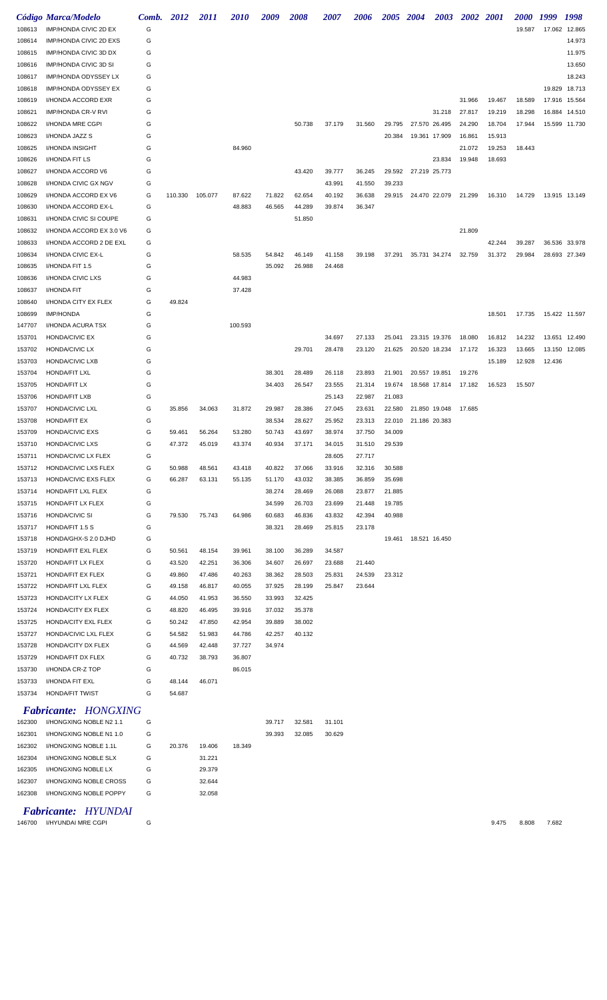|        | <b>Código Marca/Modelo</b>  | Comb. 2012 |         | 2011    | <i>2010</i> | 2009   | <i><b>2008</b></i> | 2007   | 2006   | 2005   | 2004                   | <b>2003</b> | <b>2002</b> | <b>2001</b> | <i>2000</i> | 1999          | 1998          |
|--------|-----------------------------|------------|---------|---------|-------------|--------|--------------------|--------|--------|--------|------------------------|-------------|-------------|-------------|-------------|---------------|---------------|
| 108613 | IMP/HONDA CIVIC 2D EX       | G          |         |         |             |        |                    |        |        |        |                        |             |             |             | 19.587      | 17.062        | 12.865        |
| 108614 | IMP/HONDA CIVIC 2D EXS      | G          |         |         |             |        |                    |        |        |        |                        |             |             |             |             |               | 14.973        |
| 108615 | IMP/HONDA CIVIC 3D DX       | G          |         |         |             |        |                    |        |        |        |                        |             |             |             |             |               | 11.975        |
| 108616 | IMP/HONDA CIVIC 3D SI       | G          |         |         |             |        |                    |        |        |        |                        |             |             |             |             |               | 13.650        |
| 108617 | IMP/HONDA ODYSSEY LX        | G          |         |         |             |        |                    |        |        |        |                        |             |             |             |             |               | 18.243        |
| 108618 | IMP/HONDA ODYSSEY EX        | G          |         |         |             |        |                    |        |        |        |                        |             |             |             |             | 19.829 18.713 |               |
| 108619 | I/HONDA ACCORD EXR          | G          |         |         |             |        |                    |        |        |        |                        |             | 31.966      | 19.467      | 18.589      | 17.916        | 15.564        |
| 108621 | IMP/HONDA CR-V RVI          | G          |         |         |             |        |                    |        |        |        |                        | 31.218      | 27.817      | 19.219      | 18.298      | 16.884        | 14.510        |
| 108622 | I/HONDA MRE CGPI            | G          |         |         |             |        | 50.738             | 37.179 | 31.560 | 29.795 | 27.570 26.495          |             | 24.290      | 18.704      | 17.944      | 15.599 11.730 |               |
| 108623 | I/HONDA JAZZ S              | G          |         |         |             |        |                    |        |        | 20.384 | 19.361 17.909          |             | 16.861      | 15.913      |             |               |               |
| 108625 | I/HONDA INSIGHT             | G          |         |         | 84.960      |        |                    |        |        |        |                        |             | 21.072      | 19.253      | 18.443      |               |               |
| 108626 | I/HONDA FIT LS              | G          |         |         |             |        |                    |        |        |        |                        | 23.834      | 19.948      | 18.693      |             |               |               |
| 108627 | I/HONDA ACCORD V6           | G          |         |         |             |        | 43.420             | 39.777 | 36.245 | 29.592 | 27.219 25.773          |             |             |             |             |               |               |
| 108628 | I/HONDA CIVIC GX NGV        | G          |         |         |             |        |                    | 43.991 | 41.550 | 39.233 |                        |             |             |             |             |               |               |
| 108629 | I/HONDA ACCORD EX V6        | G          | 110.330 | 105.077 | 87.622      | 71.822 | 62.654             | 40.192 | 36.638 | 29.915 | 24.470 22.079          |             | 21.299      | 16.310      | 14.729      | 13.915 13.149 |               |
| 108630 | I/HONDA ACCORD EX-L         | G          |         |         | 48.883      | 46.565 | 44.289             | 39.874 | 36.347 |        |                        |             |             |             |             |               |               |
| 108631 | I/HONDA CIVIC SI COUPE      | G          |         |         |             |        | 51.850             |        |        |        |                        |             |             |             |             |               |               |
| 108632 | I/HONDA ACCORD EX 3.0 V6    | G          |         |         |             |        |                    |        |        |        |                        |             | 21.809      |             |             |               |               |
| 108633 | I/HONDA ACCORD 2 DE EXL     | G          |         |         |             |        |                    |        |        |        |                        |             |             | 42.244      | 39.287      |               | 36.536 33.978 |
| 108634 | I/HONDA CIVIC EX-L          | G          |         |         | 58.535      | 54.842 | 46.149             | 41.158 | 39.198 | 37.291 | 35.731 34.274          |             | 32.759      | 31.372      | 29.984      |               | 28.693 27.349 |
| 108635 | I/HONDA FIT 1.5             | G          |         |         |             | 35.092 | 26.988             | 24.468 |        |        |                        |             |             |             |             |               |               |
| 108636 | I/HONDA CIVIC LXS           | G          |         |         | 44.983      |        |                    |        |        |        |                        |             |             |             |             |               |               |
| 108637 | <b>I/HONDA FIT</b>          | G          |         |         | 37.428      |        |                    |        |        |        |                        |             |             |             |             |               |               |
| 108640 | I/HONDA CITY EX FLEX        | G          | 49.824  |         |             |        |                    |        |        |        |                        |             |             |             |             |               |               |
| 108699 | <b>IMP/HONDA</b>            | G          |         |         |             |        |                    |        |        |        |                        |             |             | 18.501      | 17.735      | 15.422 11.597 |               |
| 147707 | I/HONDA ACURA TSX           | G          |         |         | 100.593     |        |                    |        |        |        |                        |             |             |             |             |               |               |
| 153701 | <b>HONDA/CIVIC EX</b>       | G          |         |         |             |        |                    | 34.697 | 27.133 | 25.041 | 23.315 19.376          |             | 18.080      | 16.812      | 14.232      | 13.651 12.490 |               |
| 153702 | <b>HONDA/CIVIC LX</b>       | G          |         |         |             |        | 29.701             | 28.478 | 23.120 | 21.625 | 20.520 18.234          |             | 17.172      | 16.323      | 13.665      |               | 13.150 12.085 |
| 153703 | <b>HONDA/CIVIC LXB</b>      | G          |         |         |             |        |                    |        |        |        |                        |             |             | 15.189      | 12.928      | 12.436        |               |
| 153704 | <b>HONDA/FIT LXL</b>        | G          |         |         |             | 38.301 | 28.489             | 26.118 | 23.893 | 21.901 | 20.557 19.851          |             | 19.276      |             |             |               |               |
| 153705 | <b>HONDA/FIT LX</b>         | G          |         |         |             | 34.403 | 26.547             | 23.555 | 21.314 | 19.674 | 18.568 17.814          |             | 17.182      | 16.523      | 15.507      |               |               |
| 153706 | <b>HONDA/FIT LXB</b>        | G          |         |         |             |        |                    | 25.143 | 22.987 | 21.083 |                        |             |             |             |             |               |               |
| 153707 | HONDA/CIVIC LXL             | G          | 35.856  | 34.063  | 31.872      | 29.987 | 28.386             | 27.045 | 23.631 | 22.580 | 21.850 19.048          |             | 17.685      |             |             |               |               |
| 153708 | <b>HONDA/FIT EX</b>         | G          |         |         |             | 38.534 | 28.627             | 25.952 | 23.313 | 22.010 | 21.186 20.383          |             |             |             |             |               |               |
| 153709 | <b>HONDA/CIVIC EXS</b>      | G          | 59.461  | 56.264  | 53.280      | 50.743 | 43.697             | 38.974 | 37.750 | 34.009 |                        |             |             |             |             |               |               |
| 153710 | HONDA/CIVIC LXS             | G          | 47.372  | 45.019  | 43.374      | 40.934 | 37.171             | 34.015 | 31.510 | 29.539 |                        |             |             |             |             |               |               |
| 153711 | HONDA/CIVIC LX FLEX         | G          |         |         |             |        |                    | 28.605 | 27.717 |        |                        |             |             |             |             |               |               |
| 153712 | HONDA/CIVIC LXS FLEX        | G          | 50.988  | 48.561  | 43.418      | 40.822 | 37.066             | 33.916 | 32.316 | 30.588 |                        |             |             |             |             |               |               |
| 153713 | HONDA/CIVIC EXS FLEX        | G          | 66.287  | 63.131  | 55.135      | 51.170 | 43.032             | 38.385 | 36.859 | 35.698 |                        |             |             |             |             |               |               |
| 153714 | HONDA/FIT LXL FLEX          | G          |         |         |             | 38.274 | 28.469             | 26.088 | 23.877 | 21.885 |                        |             |             |             |             |               |               |
| 153715 | HONDA/FIT LX FLEX           | G          |         |         |             | 34.599 | 26.703             | 23.699 | 21.448 | 19.785 |                        |             |             |             |             |               |               |
| 153716 | HONDA/CIVIC SI              | G          | 79.530  | 75.743  | 64.986      | 60.683 | 46.836             | 43.832 | 42.394 | 40.988 |                        |             |             |             |             |               |               |
| 153717 | HONDA/FIT 1.5 S             | G          |         |         |             | 38.321 | 28.469             | 25.815 | 23.178 |        |                        |             |             |             |             |               |               |
| 153718 | HONDA/GHX-S 2.0 DJHD        | G          |         |         |             |        |                    |        |        |        | 19.461  18.521  16.450 |             |             |             |             |               |               |
| 153719 | HONDA/FIT EXL FLEX          | G          | 50.561  | 48.154  | 39.961      | 38.100 | 36.289             | 34.587 |        |        |                        |             |             |             |             |               |               |
| 153720 | HONDA/FIT LX FLEX           | G          | 43.520  | 42.251  | 36.306      | 34.607 | 26.697             | 23.688 | 21.440 |        |                        |             |             |             |             |               |               |
| 153721 | HONDA/FIT EX FLEX           | G          | 49.860  | 47.486  | 40.263      | 38.362 | 28.503             | 25.831 | 24.539 | 23.312 |                        |             |             |             |             |               |               |
| 153722 | HONDA/FIT LXL FLEX          | G          | 49.158  | 46.817  | 40.055      | 37.925 | 28.199             | 25.847 | 23.644 |        |                        |             |             |             |             |               |               |
| 153723 | HONDA/CITY LX FLEX          | G          | 44.050  | 41.953  | 36.550      | 33.993 | 32.425             |        |        |        |                        |             |             |             |             |               |               |
| 153724 | HONDA/CITY EX FLEX          | G          | 48.820  | 46.495  | 39.916      | 37.032 | 35.378             |        |        |        |                        |             |             |             |             |               |               |
| 153725 | HONDA/CITY EXL FLEX         | G          | 50.242  | 47.850  | 42.954      | 39.889 | 38.002             |        |        |        |                        |             |             |             |             |               |               |
| 153727 | HONDA/CIVIC LXL FLEX        | G          | 54.582  | 51.983  | 44.786      | 42.257 | 40.132             |        |        |        |                        |             |             |             |             |               |               |
| 153728 | HONDA/CITY DX FLEX          | G          | 44.569  | 42.448  | 37.727      | 34.974 |                    |        |        |        |                        |             |             |             |             |               |               |
| 153729 | HONDA/FIT DX FLEX           | G          | 40.732  | 38.793  | 36.807      |        |                    |        |        |        |                        |             |             |             |             |               |               |
| 153730 | I/HONDA CR-Z TOP            | G          |         |         | 86.015      |        |                    |        |        |        |                        |             |             |             |             |               |               |
| 153733 | I/HONDA FIT EXL             | G          | 48.144  | 46.071  |             |        |                    |        |        |        |                        |             |             |             |             |               |               |
| 153734 | HONDA/FIT TWIST             | G          | 54.687  |         |             |        |                    |        |        |        |                        |             |             |             |             |               |               |
|        |                             |            |         |         |             |        |                    |        |        |        |                        |             |             |             |             |               |               |
|        | <b>Fabricante: HONGXING</b> |            |         |         |             |        |                    |        |        |        |                        |             |             |             |             |               |               |
| 162300 | I/HONGXING NOBLE N2 1.1     | G          |         |         |             | 39.717 | 32.581             | 31.101 |        |        |                        |             |             |             |             |               |               |
| 162301 | I/HONGXING NOBLE N1 1.0     | G          |         |         |             | 39.393 | 32.085             | 30.629 |        |        |                        |             |             |             |             |               |               |
| 162302 | I/HONGXING NOBLE 1.1L       | G          | 20.376  | 19.406  | 18.349      |        |                    |        |        |        |                        |             |             |             |             |               |               |
| 162304 | I/HONGXING NOBLE SLX        | G          |         | 31.221  |             |        |                    |        |        |        |                        |             |             |             |             |               |               |
| 162305 | I/HONGXING NOBLE LX         | G          |         | 29.379  |             |        |                    |        |        |        |                        |             |             |             |             |               |               |
| 162307 | I/HONGXING NOBLE CROSS      | G          |         | 32.644  |             |        |                    |        |        |        |                        |             |             |             |             |               |               |
| 162308 | I/HONGXING NOBLE POPPY      | G          |         | 32.058  |             |        |                    |        |        |        |                        |             |             |             |             |               |               |
|        | Fabricante: HYUNDAI         |            |         |         |             |        |                    |        |        |        |                        |             |             |             |             |               |               |

I/HYUNDAI MRE CGPI G 9.475 8.808 7.682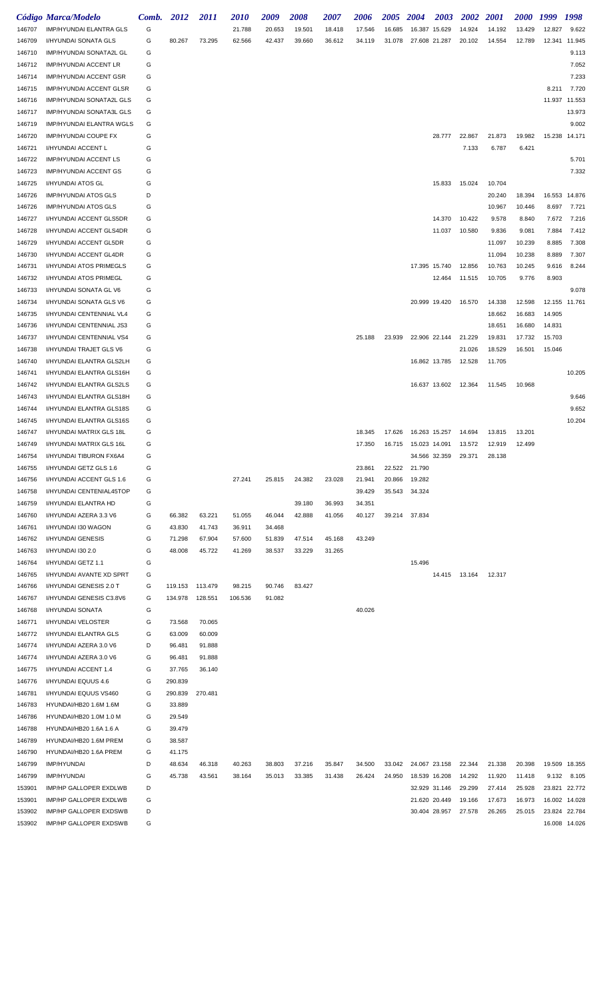|        | Código Marca/Modelo            | Comb. | 2012    | 2011    | <i>2010</i> | 2009   | 2008   | <i><b>2007</b></i> | 2006   | <i><b>2005</b></i> | <b>2004</b>            | 2003                 | <i><b>2002</b></i> | <b>2001</b> | <i><b>2000</b></i> | 1999   | 1998          |
|--------|--------------------------------|-------|---------|---------|-------------|--------|--------|--------------------|--------|--------------------|------------------------|----------------------|--------------------|-------------|--------------------|--------|---------------|
| 146707 | <b>IMP/HYUNDAI ELANTRA GLS</b> | G     |         |         | 21.788      | 20.653 | 19.501 | 18.418             | 17.546 | 16.685             |                        | 16.387 15.629        | 14.924             | 14.192      | 13.429             | 12.827 | 9.622         |
| 146709 | I/HYUNDAI SONATA GLS           | G     | 80.267  | 73.295  | 62.566      | 42.437 | 39.660 | 36.612             | 34.119 | 31.078             | 27.608 21.287          |                      | 20.102             | 14.554      | 12.789             | 12.341 | 11.945        |
|        | IMP/HYUNDAI SONATA2L GL        | G     |         |         |             |        |        |                    |        |                    |                        |                      |                    |             |                    |        | 9.113         |
| 146710 | <b>IMP/HYUNDAI ACCENT LR</b>   |       |         |         |             |        |        |                    |        |                    |                        |                      |                    |             |                    |        |               |
| 146712 |                                | G     |         |         |             |        |        |                    |        |                    |                        |                      |                    |             |                    |        | 7.052         |
| 146714 | <b>IMP/HYUNDAI ACCENT GSR</b>  | G     |         |         |             |        |        |                    |        |                    |                        |                      |                    |             |                    |        | 7.233         |
| 146715 | IMP/HYUNDAI ACCENT GLSR        | G     |         |         |             |        |        |                    |        |                    |                        |                      |                    |             |                    | 8.211  | 7.720         |
| 146716 | IMP/HYUNDAI SONATA2L GLS       | G     |         |         |             |        |        |                    |        |                    |                        |                      |                    |             |                    | 11.937 | 11.553        |
| 146717 | IMP/HYUNDAI SONATA3L GLS       | G     |         |         |             |        |        |                    |        |                    |                        |                      |                    |             |                    |        | 13.973        |
| 146719 | IMP/HYUNDAI ELANTRA WGLS       | G     |         |         |             |        |        |                    |        |                    |                        |                      |                    |             |                    |        | 9.002         |
| 146720 | IMP/HYUNDAI COUPE FX           | G     |         |         |             |        |        |                    |        |                    |                        | 28.777               | 22.867             | 21.873      | 19.982             | 15.238 | 14.171        |
| 146721 | I/HYUNDAI ACCENT L             | G     |         |         |             |        |        |                    |        |                    |                        |                      | 7.133              | 6.787       | 6.421              |        |               |
| 146722 | <b>IMP/HYUNDAI ACCENT LS</b>   | G     |         |         |             |        |        |                    |        |                    |                        |                      |                    |             |                    |        | 5.701         |
| 146723 | <b>IMP/HYUNDAI ACCENT GS</b>   | G     |         |         |             |        |        |                    |        |                    |                        |                      |                    |             |                    |        | 7.332         |
| 146725 | I/HYUNDAI ATOS GL              | G     |         |         |             |        |        |                    |        |                    |                        | 15.833               | 15.024             | 10.704      |                    |        |               |
| 146726 | <b>IMP/HYUNDAI ATOS GLS</b>    | D     |         |         |             |        |        |                    |        |                    |                        |                      |                    | 20.240      | 18.394             | 16.553 | 14.876        |
| 146726 | <b>IMP/HYUNDAI ATOS GLS</b>    | G     |         |         |             |        |        |                    |        |                    |                        |                      |                    | 10.967      | 10.446             | 8.697  | 7.721         |
| 146727 | I/HYUNDAI ACCENT GLS5DR        | G     |         |         |             |        |        |                    |        |                    |                        | 14.370               | 10.422             | 9.578       | 8.840              | 7.672  | 7.216         |
| 146728 | I/HYUNDAI ACCENT GLS4DR        | G     |         |         |             |        |        |                    |        |                    |                        | 11.037               | 10.580             | 9.836       | 9.081              | 7.884  | 7.412         |
| 146729 | I/HYUNDAI ACCENT GL5DR         | G     |         |         |             |        |        |                    |        |                    |                        |                      |                    | 11.097      | 10.239             | 8.885  | 7.308         |
| 146730 | I/HYUNDAI ACCENT GL4DR         | G     |         |         |             |        |        |                    |        |                    |                        |                      |                    | 11.094      | 10.238             | 8.889  | 7.307         |
| 146731 | I/HYUNDAI ATOS PRIMEGLS        | G     |         |         |             |        |        |                    |        |                    |                        | 17.395 15.740        | 12.856             | 10.763      | 10.245             | 9.616  | 8.244         |
|        |                                |       |         |         |             |        |        |                    |        |                    |                        |                      |                    |             |                    |        |               |
| 146732 | I/HYUNDAI ATOS PRIMEGL         | G     |         |         |             |        |        |                    |        |                    |                        | 12.464               | 11.515             | 10.705      | 9.776              | 8.903  |               |
| 146733 | I/HYUNDAI SONATA GL V6         | G     |         |         |             |        |        |                    |        |                    |                        |                      |                    |             |                    |        | 9.078         |
| 146734 | I/HYUNDAI SONATA GLS V6        | G     |         |         |             |        |        |                    |        |                    |                        | 20.999 19.420        | 16.570             | 14.338      | 12.598             |        | 12.155 11.761 |
| 146735 | I/HYUNDAI CENTENNIAL VL4       | G     |         |         |             |        |        |                    |        |                    |                        |                      |                    | 18.662      | 16.683             | 14.905 |               |
| 146736 | I/HYUNDAI CENTENNIAL JS3       | G     |         |         |             |        |        |                    |        |                    |                        |                      |                    | 18.651      | 16.680             | 14.831 |               |
| 146737 | I/HYUNDAI CENTENNIAL VS4       | G     |         |         |             |        |        |                    | 25.188 | 23.939             |                        | 22.906 22.144        | 21.229             | 19.831      | 17.732             | 15.703 |               |
| 146738 | I/HYUNDAI TRAJET GLS V6        | G     |         |         |             |        |        |                    |        |                    |                        |                      | 21.026             | 18.529      | 16.501             | 15.046 |               |
| 146740 | I/HYUNDAI ELANTRA GLS2LH       | G     |         |         |             |        |        |                    |        |                    |                        | 16.862 13.785        | 12.528             | 11.705      |                    |        |               |
| 146741 | I/HYUNDAI ELANTRA GLS16H       | G     |         |         |             |        |        |                    |        |                    |                        |                      |                    |             |                    |        | 10.205        |
| 146742 | I/HYUNDAI ELANTRA GLS2LS       | G     |         |         |             |        |        |                    |        |                    |                        | 16.637 13.602 12.364 |                    | 11.545      | 10.968             |        |               |
| 146743 | I/HYUNDAI ELANTRA GLS18H       | G     |         |         |             |        |        |                    |        |                    |                        |                      |                    |             |                    |        | 9.646         |
| 146744 | I/HYUNDAI ELANTRA GLS18S       | G     |         |         |             |        |        |                    |        |                    |                        |                      |                    |             |                    |        | 9.652         |
| 146745 | I/HYUNDAI ELANTRA GLS16S       | G     |         |         |             |        |        |                    |        |                    |                        |                      |                    |             |                    |        | 10.204        |
| 146747 | I/HYUNDAI MATRIX GLS 18L       | G     |         |         |             |        |        |                    | 18.345 | 17.626             |                        | 16.263 15.257        | 14.694             | 13.815      | 13.201             |        |               |
| 146749 | I/HYUNDAI MATRIX GLS 16L       | G     |         |         |             |        |        |                    | 17.350 |                    | 16.715  15.023  14.091 |                      | 13.572             | 12.919      | 12.499             |        |               |
| 146754 | I/HYUNDAI TIBURON FX6A4        | G     |         |         |             |        |        |                    |        |                    |                        | 34.566 32.359        | 29.371             | 28.138      |                    |        |               |
| 146755 | I/HYUNDAI GETZ GLS 1.6         | G     |         |         |             |        |        |                    | 23.861 | 22.522             | 21.790                 |                      |                    |             |                    |        |               |
|        | I/HYUNDAI ACCENT GLS 1.6       | G     |         |         | 27.241      |        |        | 23.028             |        |                    | 19.282                 |                      |                    |             |                    |        |               |
| 146756 |                                |       |         |         |             | 25.815 | 24.382 |                    | 21.941 | 20.866             |                        |                      |                    |             |                    |        |               |
| 146758 | I/HYUNDAI CENTENIAL45TOP       | G     |         |         |             |        |        |                    | 39.429 | 35.543             | 34.324                 |                      |                    |             |                    |        |               |
| 146759 | I/HYUNDAI ELANTRA HD           | G     |         |         |             |        | 39.180 | 36.993             | 34.351 |                    |                        |                      |                    |             |                    |        |               |
| 146760 | I/HYUNDAI AZERA 3.3 V6         | G     | 66.382  | 63.221  | 51.055      | 46.044 | 42.888 | 41.056             | 40.127 | 39.214             | 37.834                 |                      |                    |             |                    |        |               |
| 146761 | I/HYUNDAI I30 WAGON            | G     | 43.830  | 41.743  | 36.911      | 34.468 |        |                    |        |                    |                        |                      |                    |             |                    |        |               |
| 146762 | I/HYUNDAI GENESIS              | G     | 71.298  | 67.904  | 57.600      | 51.839 | 47.514 | 45.168             | 43.249 |                    |                        |                      |                    |             |                    |        |               |
| 146763 | I/HYUNDAI I30 2.0              | G     | 48.008  | 45.722  | 41.269      | 38.537 | 33.229 | 31.265             |        |                    |                        |                      |                    |             |                    |        |               |
| 146764 | I/HYUNDAI GETZ 1.1             | G     |         |         |             |        |        |                    |        |                    | 15.496                 |                      |                    |             |                    |        |               |
| 146765 | I/HYUNDAI AVANTE XD SPRT       | G     |         |         |             |        |        |                    |        |                    |                        | 14.415 13.164        |                    | 12.317      |                    |        |               |
| 146766 | I/HYUNDAI GENESIS 2.0 T        | G     | 119.153 | 113.479 | 98.215      | 90.746 | 83.427 |                    |        |                    |                        |                      |                    |             |                    |        |               |
| 146767 | I/HYUNDAI GENESIS C3.8V6       | G     | 134.978 | 128.551 | 106.536     | 91.082 |        |                    |        |                    |                        |                      |                    |             |                    |        |               |
| 146768 | I/HYUNDAI SONATA               | G     |         |         |             |        |        |                    | 40.026 |                    |                        |                      |                    |             |                    |        |               |
| 146771 | I/HYUNDAI VELOSTER             | G     | 73.568  | 70.065  |             |        |        |                    |        |                    |                        |                      |                    |             |                    |        |               |
| 146772 | I/HYUNDAI ELANTRA GLS          | G     | 63.009  | 60.009  |             |        |        |                    |        |                    |                        |                      |                    |             |                    |        |               |
| 146774 | I/HYUNDAI AZERA 3.0 V6         | D     | 96.481  | 91.888  |             |        |        |                    |        |                    |                        |                      |                    |             |                    |        |               |
| 146774 | I/HYUNDAI AZERA 3.0 V6         | G     | 96.481  | 91.888  |             |        |        |                    |        |                    |                        |                      |                    |             |                    |        |               |
| 146775 | I/HYUNDAI ACCENT 1.4           | G     | 37.765  | 36.140  |             |        |        |                    |        |                    |                        |                      |                    |             |                    |        |               |
|        | I/HYUNDAI EQUUS 4.6            | G     | 290.839 |         |             |        |        |                    |        |                    |                        |                      |                    |             |                    |        |               |
| 146776 |                                |       |         |         |             |        |        |                    |        |                    |                        |                      |                    |             |                    |        |               |
| 146781 | I/HYUNDAI EQUUS VS460          | G     | 290.839 | 270.481 |             |        |        |                    |        |                    |                        |                      |                    |             |                    |        |               |
| 146783 | HYUNDAI/HB20 1.6M 1.6M         | G     | 33.889  |         |             |        |        |                    |        |                    |                        |                      |                    |             |                    |        |               |
| 146786 | HYUNDAI/HB20 1.0M 1.0 M        | G     | 29.549  |         |             |        |        |                    |        |                    |                        |                      |                    |             |                    |        |               |
| 146788 | HYUNDAI/HB20 1.6A 1.6 A        | G     | 39.479  |         |             |        |        |                    |        |                    |                        |                      |                    |             |                    |        |               |
| 146789 | HYUNDAI/HB20 1.6M PREM         | G     | 38.587  |         |             |        |        |                    |        |                    |                        |                      |                    |             |                    |        |               |
| 146790 | HYUNDAI/HB20 1.6A PREM         | G     | 41.175  |         |             |        |        |                    |        |                    |                        |                      |                    |             |                    |        |               |
| 146799 | IMP/HYUNDAI                    | D     | 48.634  | 46.318  | 40.263      | 38.803 | 37.216 | 35.847             | 34.500 | 33.042             |                        | 24.067 23.158        | 22.344             | 21.338      | 20.398             | 19.509 | 18.355        |
| 146799 | IMP/HYUNDAI                    | G     | 45.738  | 43.561  | 38.164      | 35.013 | 33.385 | 31.438             | 26.424 | 24.950             |                        | 18.539 16.208        | 14.292             | 11.920      | 11.418             | 9.132  | 8.105         |
| 153901 | IMP/HP GALLOPER EXDLWB         | D     |         |         |             |        |        |                    |        |                    |                        | 32.929 31.146        | 29.299             | 27.414      | 25.928             | 23.821 | 22.772        |
| 153901 | IMP/HP GALLOPER EXDLWB         | G     |         |         |             |        |        |                    |        |                    |                        | 21.620 20.449        | 19.166             | 17.673      | 16.973             |        | 16.002 14.028 |
| 153902 | IMP/HP GALLOPER EXDSWB         | D     |         |         |             |        |        |                    |        |                    |                        | 30.404 28.957        | 27.578             | 26.265      | 25.015             | 23.824 | 22.784        |
| 153902 | IMP/HP GALLOPER EXDSWB         | G     |         |         |             |        |        |                    |        |                    |                        |                      |                    |             |                    |        | 16.008 14.026 |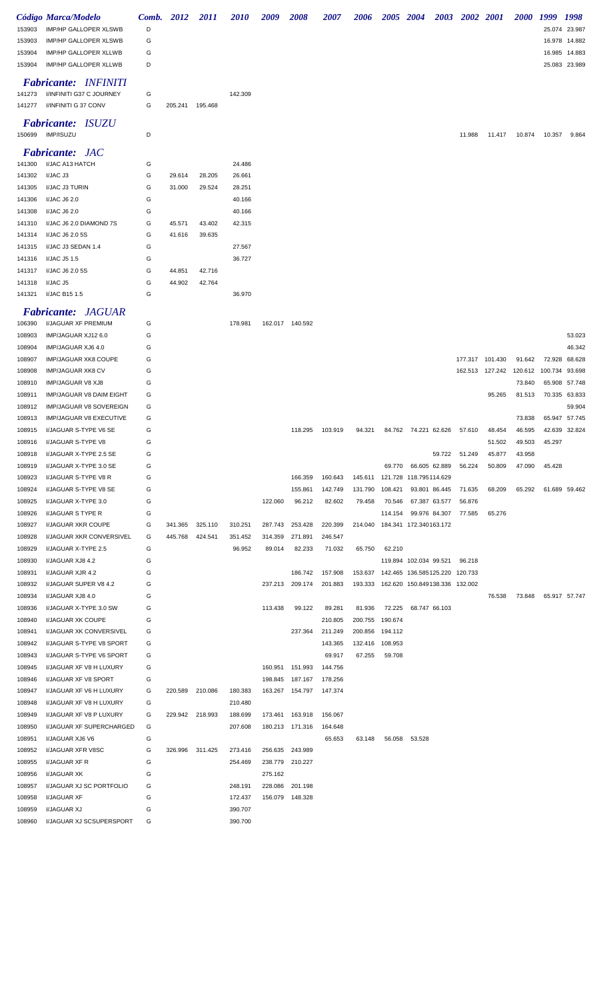|                  | Código Marca/Modelo                         | Comb.    | 2012            | <i>2011</i> | <i>2010</i>      | 2009    | 2008             | 2007    | 2006    | 2005 2004 | 2003                                      |         | 2002 2001       | <i>2000</i>      | 1999             | 1998             |
|------------------|---------------------------------------------|----------|-----------------|-------------|------------------|---------|------------------|---------|---------|-----------|-------------------------------------------|---------|-----------------|------------------|------------------|------------------|
| 153903           | IMP/HP GALLOPER XLSWB                       | D        |                 |             |                  |         |                  |         |         |           |                                           |         |                 |                  |                  | 25.074 23.987    |
| 153903           | IMP/HP GALLOPER XLSWB                       | G        |                 |             |                  |         |                  |         |         |           |                                           |         |                 |                  | 16.978           | 14.882           |
| 153904           | IMP/HP GALLOPER XLLWB                       | G        |                 |             |                  |         |                  |         |         |           |                                           |         |                 |                  |                  | 16.985 14.883    |
| 153904           | IMP/HP GALLOPER XLLWB                       | D        |                 |             |                  |         |                  |         |         |           |                                           |         |                 |                  |                  | 25.083 23.989    |
|                  | <b>Fabricante: INFINITI</b>                 |          |                 |             |                  |         |                  |         |         |           |                                           |         |                 |                  |                  |                  |
| 141273           | I/INFINITI G37 C JOURNEY                    | G        |                 |             | 142.309          |         |                  |         |         |           |                                           |         |                 |                  |                  |                  |
| 141277           | I/INFINITI G 37 CONV                        | G        | 205.241         | 195.468     |                  |         |                  |         |         |           |                                           |         |                 |                  |                  |                  |
|                  | <i>Fabricante:</i><br><i>ISUZU</i>          |          |                 |             |                  |         |                  |         |         |           |                                           |         |                 |                  |                  |                  |
| 150699           | IMP/ISUZU                                   | D        |                 |             |                  |         |                  |         |         |           |                                           | 11.988  | 11.417          | 10.874           | 10.357           | 9.864            |
|                  |                                             |          |                 |             |                  |         |                  |         |         |           |                                           |         |                 |                  |                  |                  |
|                  | <b>Fabricante: JAC</b>                      |          |                 |             |                  |         |                  |         |         |           |                                           |         |                 |                  |                  |                  |
| 141300<br>141302 | I/JAC A13 HATCH<br>I/JAC J3                 | G<br>G   | 29.614          | 28.205      | 24.486<br>26.661 |         |                  |         |         |           |                                           |         |                 |                  |                  |                  |
| 141305           | I/JAC J3 TURIN                              | G        | 31.000          | 29.524      | 28.251           |         |                  |         |         |           |                                           |         |                 |                  |                  |                  |
| 141306           | I/JAC J6 2.0                                | G        |                 |             | 40.166           |         |                  |         |         |           |                                           |         |                 |                  |                  |                  |
| 141308           | I/JAC J6 2.0                                | G        |                 |             | 40.166           |         |                  |         |         |           |                                           |         |                 |                  |                  |                  |
| 141310           | I/JAC J6 2.0 DIAMOND 7S                     | G        | 45.571          | 43.402      | 42.315           |         |                  |         |         |           |                                           |         |                 |                  |                  |                  |
| 141314           | I/JAC J6 2.0 5S                             | G        | 41.616          | 39.635      |                  |         |                  |         |         |           |                                           |         |                 |                  |                  |                  |
| 141315           | I/JAC J3 SEDAN 1.4                          | G        |                 |             | 27.567           |         |                  |         |         |           |                                           |         |                 |                  |                  |                  |
| 141316           | I/JAC J5 1.5                                | G        |                 |             | 36.727           |         |                  |         |         |           |                                           |         |                 |                  |                  |                  |
| 141317           | I/JAC J6 2.0 5S                             | G        | 44.851          | 42.716      |                  |         |                  |         |         |           |                                           |         |                 |                  |                  |                  |
| 141318           | I/JAC J5                                    | G        | 44.902          | 42.764      |                  |         |                  |         |         |           |                                           |         |                 |                  |                  |                  |
| 141321           | I/JAC B15 1.5                               | G        |                 |             | 36.970           |         |                  |         |         |           |                                           |         |                 |                  |                  |                  |
|                  | <b>Fabricante: JAGUAR</b>                   |          |                 |             |                  |         |                  |         |         |           |                                           |         |                 |                  |                  |                  |
| 106390           | I/JAGUAR XF PREMIUM                         | G        |                 |             | 178.981          |         | 162.017 140.592  |         |         |           |                                           |         |                 |                  |                  |                  |
| 108903           | IMP/JAGUAR XJ12 6.0                         | G        |                 |             |                  |         |                  |         |         |           |                                           |         |                 |                  |                  | 53.023           |
| 108904           | IMP/JAGUAR XJ6 4.0                          | G        |                 |             |                  |         |                  |         |         |           |                                           |         |                 |                  |                  | 46.342           |
| 108907           | <b>IMP/JAGUAR XK8 COUPE</b>                 | G        |                 |             |                  |         |                  |         |         |           |                                           |         | 177.317 101.430 | 91.642           | 72.928           | 68.628           |
| 108908           | IMP/JAGUAR XK8 CV                           | G        |                 |             |                  |         |                  |         |         |           |                                           | 162.513 | 127.242         | 120.612          | 100.734          | 93.698           |
| 108910           | <b>IMP/JAGUAR V8 XJ8</b>                    | G        |                 |             |                  |         |                  |         |         |           |                                           |         |                 | 73.840           | 65.908           | 57.748           |
| 108911           | IMP/JAGUAR V8 DAIM EIGHT                    | G        |                 |             |                  |         |                  |         |         |           |                                           |         | 95.265          | 81.513           | 70.335           | 63.833           |
| 108912           | IMP/JAGUAR V8 SOVEREIGN                     | G        |                 |             |                  |         |                  |         |         |           |                                           |         |                 |                  |                  | 59.904           |
| 108913           | IMP/JAGUAR V8 EXECUTIVE                     | G<br>G   |                 |             |                  |         |                  | 103.919 |         |           |                                           |         | 48.454          | 73.838           | 65.947<br>42.639 | 57.745<br>32.824 |
| 108915<br>108916 | I/JAGUAR S-TYPE V6 SE<br>I/JAGUAR S-TYPE V8 | G        |                 |             |                  |         | 118.295          |         | 94.321  |           | 84.762 74.221 62.626                      | 57.610  | 51.502          | 46.595<br>49.503 | 45.297           |                  |
|                  | 108918 I/JAGUAR X-TYPE 2.5 SE               | $\Omega$ |                 |             |                  |         |                  |         |         |           | 59.722                                    | 51.249  | 45.877          | 43.958           |                  |                  |
| 108919           | I/JAGUAR X-TYPE 3.0 SE                      | G        |                 |             |                  |         |                  |         |         | 69.770    | 66.605 62.889                             | 56.224  | 50.809          | 47.090           | 45.428           |                  |
| 108923           | I/JAGUAR S-TYPE V8 R                        | G        |                 |             |                  |         | 166.359          | 160.643 |         |           | 145.611  121.728  118.795114.629          |         |                 |                  |                  |                  |
| 108924           | I/JAGUAR S-TYPE V8 SE                       | G        |                 |             |                  |         | 155.861          | 142.749 | 131.790 | 108.421   | 93.801 86.445                             | 71.635  | 68.209          | 65.292           |                  | 61.689 59.462    |
| 108925           | I/JAGUAR X-TYPE 3.0                         | G        |                 |             |                  | 122.060 | 96.212           | 82.602  | 79.458  | 70.546    | 67.387 63.577                             | 56.876  |                 |                  |                  |                  |
| 108926           | I/JAGUAR S TYPE R                           | G        |                 |             |                  |         |                  |         |         | 114.154   | 99.976 84.307                             | 77.585  | 65.276          |                  |                  |                  |
| 108927           | I/JAGUAR XKR COUPE                          | G        | 341.365         | 325.110     | 310.251          | 287.743 | 253.428          | 220.399 |         |           | 214.040  184.341  172.340163.172          |         |                 |                  |                  |                  |
| 108928           | I/JAGUAR XKR CONVERSIVEL                    | G        | 445.768         | 424.541     | 351.452          | 314.359 | 271.891          | 246.547 |         |           |                                           |         |                 |                  |                  |                  |
| 108929           | I/JAGUAR X-TYPE 2.5                         | G        |                 |             | 96.952           | 89.014  | 82.233           | 71.032  | 65.750  | 62.210    |                                           |         |                 |                  |                  |                  |
| 108930           | I/JAGUAR XJ8 4.2                            | G        |                 |             |                  |         |                  |         |         |           | 119.894 102.034 99.521                    | 96.218  |                 |                  |                  |                  |
| 108931           | I/JAGUAR XJR 4.2                            | G        |                 |             |                  |         | 186.742          | 157.908 |         |           | 153.637  142.465  136.585125.220  120.733 |         |                 |                  |                  |                  |
| 108932           | I/JAGUAR SUPER V8 4.2                       | G        |                 |             |                  | 237.213 | 209.174          | 201.883 |         |           | 193.333  162.620  150.849138.336  132.002 |         |                 |                  |                  |                  |
| 108934<br>108936 | I/JAGUAR XJ8 4.0<br>I/JAGUAR X-TYPE 3.0 SW  | G<br>G   |                 |             |                  | 113.438 | 99.122           | 89.281  | 81.936  |           | 72.225 68.747 66.103                      |         | 76.538          | 73.848           |                  | 65.917 57.747    |
| 108940           | I/JAGUAR XK COUPE                           | G        |                 |             |                  |         |                  | 210.805 | 200.755 | 190.674   |                                           |         |                 |                  |                  |                  |
| 108941           | I/JAGUAR XK CONVERSIVEL                     | G        |                 |             |                  |         | 237.364          | 211.249 | 200.856 | 194.112   |                                           |         |                 |                  |                  |                  |
| 108942           | I/JAGUAR S-TYPE V8 SPORT                    | G        |                 |             |                  |         |                  | 143.365 | 132.416 | 108.953   |                                           |         |                 |                  |                  |                  |
| 108943           | I/JAGUAR S-TYPE V6 SPORT                    | G        |                 |             |                  |         |                  | 69.917  | 67.255  | 59.708    |                                           |         |                 |                  |                  |                  |
| 108945           | I/JAGUAR XF V8 H LUXURY                     | G        |                 |             |                  | 160.951 | 151.993          | 144.756 |         |           |                                           |         |                 |                  |                  |                  |
| 108946           | I/JAGUAR XF V8 SPORT                        | G        |                 |             |                  | 198.845 | 187.167          | 178.256 |         |           |                                           |         |                 |                  |                  |                  |
| 108947           | I/JAGUAR XF V6 H LUXURY                     | G        | 220.589         | 210.086     | 180.383          | 163.267 | 154.797          | 147.374 |         |           |                                           |         |                 |                  |                  |                  |
| 108948           | I/JAGUAR XF V8 H LUXURY                     | G        |                 |             | 210.480          |         |                  |         |         |           |                                           |         |                 |                  |                  |                  |
| 108949           | I/JAGUAR XF V8 P LUXURY                     | G        | 229.942 218.993 |             | 188.699          |         | 173.461  163.918 | 156.067 |         |           |                                           |         |                 |                  |                  |                  |
| 108950           | I/JAGUAR XF SUPERCHARGED                    | G        |                 |             | 207.608          |         | 180.213 171.316  | 164.648 |         |           |                                           |         |                 |                  |                  |                  |
| 108951           | I/JAGUAR XJ6 V6                             | G        |                 |             |                  |         |                  | 65.653  | 63.148  |           | 56.058 53.528                             |         |                 |                  |                  |                  |
| 108952           | I/JAGUAR XFR V8SC                           | G        | 326.996         | 311.425     | 273.416          |         | 256.635 243.989  |         |         |           |                                           |         |                 |                  |                  |                  |
| 108955<br>108956 | I/JAGUAR XF R<br>I/JAGUAR XK                | G<br>G   |                 |             | 254.469          | 275.162 | 238.779 210.227  |         |         |           |                                           |         |                 |                  |                  |                  |
| 108957           | I/JAGUAR XJ SC PORTFOLIO                    | G        |                 |             | 248.191          | 228.086 | 201.198          |         |         |           |                                           |         |                 |                  |                  |                  |
| 108958           | I/JAGUAR XF                                 | G        |                 |             | 172.437          |         | 156.079 148.328  |         |         |           |                                           |         |                 |                  |                  |                  |
| 108959           | I/JAGUAR XJ                                 | G        |                 |             | 390.707          |         |                  |         |         |           |                                           |         |                 |                  |                  |                  |
| 108960           | I/JAGUAR XJ SCSUPERSPORT                    | G        |                 |             | 390.700          |         |                  |         |         |           |                                           |         |                 |                  |                  |                  |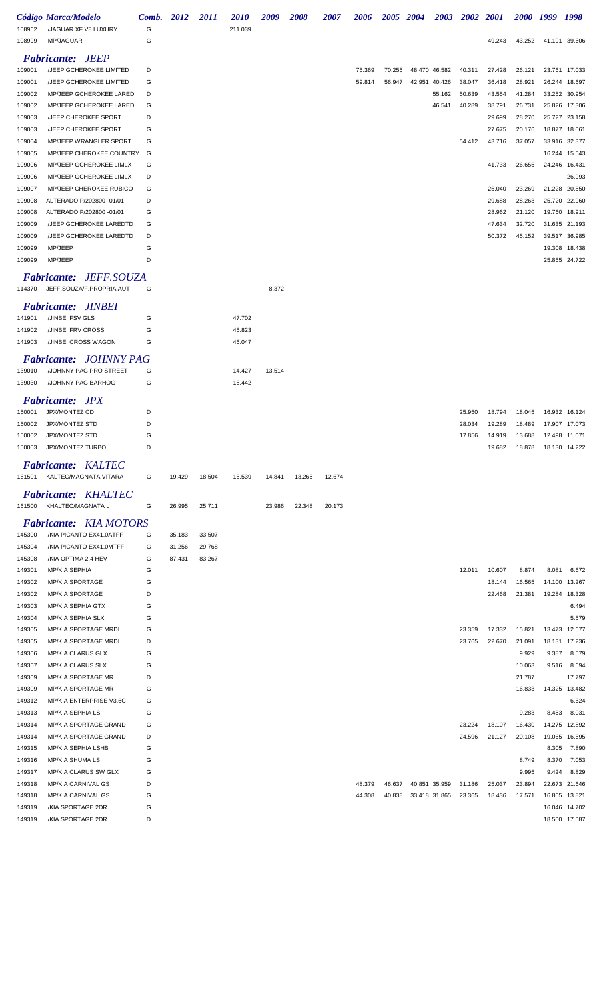|                  | Código Marca/Modelo                                | Comb.  | 2012   | <i>2011</i> | <i>2010</i> | 2009   | 2008   | <i><b>2007</b></i> | 2006   | 2005 2004 |               | <b>2003</b>   | <b>2002</b> 2001 |        | 2000 1999        |               | 1998                   |
|------------------|----------------------------------------------------|--------|--------|-------------|-------------|--------|--------|--------------------|--------|-----------|---------------|---------------|------------------|--------|------------------|---------------|------------------------|
| 108962           | I/JAGUAR XF V8 LUXURY                              | G      |        |             | 211.039     |        |        |                    |        |           |               |               |                  |        |                  |               |                        |
| 108999           | <b>IMP/JAGUAR</b>                                  | G      |        |             |             |        |        |                    |        |           |               |               |                  | 49.243 | 43.252           | 41.191 39.606 |                        |
|                  | <b>Fabricante: JEEP</b>                            |        |        |             |             |        |        |                    |        |           |               |               |                  |        |                  |               |                        |
| 109001           | I/JEEP GCHEROKEE LIMITED                           | D      |        |             |             |        |        |                    | 75.369 | 70.255    | 48.470 46.582 |               | 40.311           | 27.428 | 26.121           | 23.761 17.033 |                        |
| 109001           | I/JEEP GCHEROKEE LIMITED                           | G      |        |             |             |        |        |                    | 59.814 | 56.947    |               | 42.951 40.426 | 38.047           | 36.418 | 28.921           |               | 26.244 18.697          |
| 109002           | IMP/JEEP GCHEROKEE LARED                           | D      |        |             |             |        |        |                    |        |           |               | 55.162        | 50.639           | 43.554 | 41.284           |               | 33.252 30.954          |
| 109002           | IMP/JEEP GCHEROKEE LARED                           | G      |        |             |             |        |        |                    |        |           |               | 46.541        | 40.289           | 38.791 | 26.731           |               | 25.826 17.306          |
| 109003           | I/JEEP CHEROKEE SPORT                              | D      |        |             |             |        |        |                    |        |           |               |               |                  | 29.699 | 28.270           | 25.727 23.158 |                        |
| 109003           | I/JEEP CHEROKEE SPORT                              | G      |        |             |             |        |        |                    |        |           |               |               |                  | 27.675 | 20.176           | 18.877 18.061 |                        |
| 109004           | <b>IMP/JEEP WRANGLER SPORT</b>                     | G      |        |             |             |        |        |                    |        |           |               |               | 54.412           | 43.716 | 37.057           |               | 33.916 32.377          |
| 109005           | IMP/JEEP CHEROKEE COUNTRY                          | G      |        |             |             |        |        |                    |        |           |               |               |                  |        |                  |               | 16.244 15.543          |
| 109006           | IMP/JEEP GCHEROKEE LIMLX                           | G      |        |             |             |        |        |                    |        |           |               |               |                  | 41.733 | 26.655           | 24.246 16.431 |                        |
| 109006           | IMP/JEEP GCHEROKEE LIMLX                           | D      |        |             |             |        |        |                    |        |           |               |               |                  |        |                  |               | 26.993                 |
| 109007           | IMP/JEEP CHEROKEE RUBICO                           | G      |        |             |             |        |        |                    |        |           |               |               |                  | 25.040 | 23.269           | 21.228 20.550 |                        |
| 109008           | ALTERADO P/202800 -01/01                           | D      |        |             |             |        |        |                    |        |           |               |               |                  | 29.688 | 28.263           |               | 25.720 22.960          |
| 109008           | ALTERADO P/202800 -01/01                           | G      |        |             |             |        |        |                    |        |           |               |               |                  | 28.962 | 21.120           |               | 19.760 18.911          |
| 109009           | I/JEEP GCHEROKEE LAREDTD                           | G      |        |             |             |        |        |                    |        |           |               |               |                  | 47.634 | 32.720           | 31.635 21.193 |                        |
| 109009           | I/JEEP GCHEROKEE LAREDTD                           | D      |        |             |             |        |        |                    |        |           |               |               |                  | 50.372 | 45.152           | 39.517 36.985 |                        |
| 109099           | IMP/JEEP                                           | G      |        |             |             |        |        |                    |        |           |               |               |                  |        |                  |               | 19.308 18.438          |
| 109099           | IMP/JEEP                                           | D      |        |             |             |        |        |                    |        |           |               |               |                  |        |                  |               | 25.855 24.722          |
|                  | <b>Fabricante: JEFF.SOUZA</b>                      |        |        |             |             |        |        |                    |        |           |               |               |                  |        |                  |               |                        |
| 114370           | JEFF.SOUZA/F.PROPRIA AUT                           | G      |        |             |             | 8.372  |        |                    |        |           |               |               |                  |        |                  |               |                        |
|                  | <b>Fabricante: JINBEI</b>                          |        |        |             |             |        |        |                    |        |           |               |               |                  |        |                  |               |                        |
| 141901           | I/JINBEI FSV GLS                                   | G      |        |             | 47.702      |        |        |                    |        |           |               |               |                  |        |                  |               |                        |
| 141902           | I/JINBEI FRV CROSS                                 | G      |        |             | 45.823      |        |        |                    |        |           |               |               |                  |        |                  |               |                        |
| 141903           | I/JINBEI CROSS WAGON                               | G      |        |             | 46.047      |        |        |                    |        |           |               |               |                  |        |                  |               |                        |
|                  |                                                    |        |        |             |             |        |        |                    |        |           |               |               |                  |        |                  |               |                        |
|                  | <b>Fabricante: JOHNNY PAG</b>                      |        |        |             |             |        |        |                    |        |           |               |               |                  |        |                  |               |                        |
| 139010           | I/JOHNNY PAG PRO STREET                            | G      |        |             | 14.427      | 13.514 |        |                    |        |           |               |               |                  |        |                  |               |                        |
| 139030           | I/JOHNNY PAG BARHOG                                | G      |        |             | 15.442      |        |        |                    |        |           |               |               |                  |        |                  |               |                        |
|                  | <b>Fabricante: JPX</b>                             |        |        |             |             |        |        |                    |        |           |               |               |                  |        |                  |               |                        |
| 150001           | JPX/MONTEZ CD                                      | D      |        |             |             |        |        |                    |        |           |               |               | 25.950           | 18.794 | 18.045           |               | 16.932 16.124          |
| 150002           | JPX/MONTEZ STD                                     | D      |        |             |             |        |        |                    |        |           |               |               | 28.034           | 19.289 | 18.489           | 17.907 17.073 |                        |
| 150002           | JPX/MONTEZ STD                                     | G      |        |             |             |        |        |                    |        |           |               |               | 17.856           | 14.919 | 13.688           |               | 12.498 11.071          |
| 150003           | JPX/MONTEZ TURBO                                   | D      |        |             |             |        |        |                    |        |           |               |               |                  | 19.682 | 18.878           | 18.130 14.222 |                        |
|                  | <b>Fabricante: KALTEC</b>                          |        |        |             |             |        |        |                    |        |           |               |               |                  |        |                  |               |                        |
| 161501           | KALTEC/MAGNATA VITARA                              | G      | 19.429 | 18.504      | 15.539      | 14.841 | 13.265 | 12.674             |        |           |               |               |                  |        |                  |               |                        |
|                  |                                                    |        |        |             |             |        |        |                    |        |           |               |               |                  |        |                  |               |                        |
|                  | <b>Fabricante: KHALTEC</b>                         |        |        |             |             |        |        |                    |        |           |               |               |                  |        |                  |               |                        |
| 161500           | KHALTEC/MAGNATA L                                  | G      | 26.995 | 25.711      |             | 23.986 | 22.348 | 20.173             |        |           |               |               |                  |        |                  |               |                        |
|                  | <b>Fabricante:</b> KIA MOTORS                      |        |        |             |             |        |        |                    |        |           |               |               |                  |        |                  |               |                        |
| 145300           | I/KIA PICANTO EX41.0ATFF                           | G      | 35.183 | 33.507      |             |        |        |                    |        |           |               |               |                  |        |                  |               |                        |
| 145304           | I/KIA PICANTO EX41.0MTFF                           | G      | 31.256 | 29.768      |             |        |        |                    |        |           |               |               |                  |        |                  |               |                        |
| 145308           | I/KIA OPTIMA 2.4 HEV                               | G      | 87.431 | 83.267      |             |        |        |                    |        |           |               |               |                  |        |                  |               |                        |
| 149301           | <b>IMP/KIA SEPHIA</b>                              | G      |        |             |             |        |        |                    |        |           |               |               | 12.011           | 10.607 | 8.874            | 8.081         | 6.672                  |
| 149302           | <b>IMP/KIA SPORTAGE</b>                            | G      |        |             |             |        |        |                    |        |           |               |               |                  | 18.144 | 16.565           | 14.100        | 13.267                 |
| 149302           | <b>IMP/KIA SPORTAGE</b>                            | D      |        |             |             |        |        |                    |        |           |               |               |                  | 22.468 | 21.381           |               | 19.284 18.328          |
| 149303           | <b>IMP/KIA SEPHIA GTX</b>                          | G      |        |             |             |        |        |                    |        |           |               |               |                  |        |                  |               | 6.494                  |
| 149304           | IMP/KIA SEPHIA SLX                                 | G      |        |             |             |        |        |                    |        |           |               |               |                  |        |                  |               | 5.579                  |
| 149305           | <b>IMP/KIA SPORTAGE MRDI</b>                       | G      |        |             |             |        |        |                    |        |           |               |               | 23.359           | 17.332 | 15.821           |               | 13.473 12.677          |
| 149305           | <b>IMP/KIA SPORTAGE MRDI</b>                       | D      |        |             |             |        |        |                    |        |           |               |               | 23.765           | 22.670 | 21.091           |               | 18.131 17.236          |
| 149306           | <b>IMP/KIA CLARUS GLX</b>                          | G      |        |             |             |        |        |                    |        |           |               |               |                  |        | 9.929            | 9.387         | 8.579                  |
| 149307           | <b>IMP/KIA CLARUS SLX</b>                          | G      |        |             |             |        |        |                    |        |           |               |               |                  |        | 10.063           | 9.516         | 8.694                  |
| 149309           | <b>IMP/KIA SPORTAGE MR</b>                         | D      |        |             |             |        |        |                    |        |           |               |               |                  |        | 21.787           |               | 17.797                 |
| 149309           | <b>IMP/KIA SPORTAGE MR</b>                         | G      |        |             |             |        |        |                    |        |           |               |               |                  |        | 16.833           |               | 14.325 13.482          |
| 149312           | IMP/KIA ENTERPRISE V3.6C                           | G      |        |             |             |        |        |                    |        |           |               |               |                  |        |                  |               | 6.624                  |
| 149313           | <b>IMP/KIA SEPHIA LS</b><br>IMP/KIA SPORTAGE GRAND | G<br>G |        |             |             |        |        |                    |        |           |               |               | 23.224           | 18.107 | 9.283            | 8.453         | 8.031<br>14.275 12.892 |
| 149314<br>149314 | IMP/KIA SPORTAGE GRAND                             | D      |        |             |             |        |        |                    |        |           |               |               | 24.596           | 21.127 | 16.430<br>20.108 |               | 19.065 16.695          |
| 149315           | IMP/KIA SEPHIA LSHB                                | G      |        |             |             |        |        |                    |        |           |               |               |                  |        |                  | 8.305         | 7.890                  |
| 149316           | <b>IMP/KIA SHUMA LS</b>                            | G      |        |             |             |        |        |                    |        |           |               |               |                  |        | 8.749            | 8.370         | 7.053                  |
| 149317           | IMP/KIA CLARUS SW GLX                              | G      |        |             |             |        |        |                    |        |           |               |               |                  |        | 9.995            | 9.424         | 8.829                  |
| 149318           | IMP/KIA CARNIVAL GS                                | D      |        |             |             |        |        |                    | 48.379 | 46.637    |               | 40.851 35.959 | 31.186           | 25.037 | 23.894           |               | 22.673 21.646          |
| 149318           | <b>IMP/KIA CARNIVAL GS</b>                         | G      |        |             |             |        |        |                    | 44.308 | 40.838    |               | 33.418 31.865 | 23.365           | 18.436 | 17.571           |               | 16.805 13.821          |
| 149319           | I/KIA SPORTAGE 2DR                                 | G      |        |             |             |        |        |                    |        |           |               |               |                  |        |                  |               | 16.046 14.702          |
| 149319           | I/KIA SPORTAGE 2DR                                 | D      |        |             |             |        |        |                    |        |           |               |               |                  |        |                  |               | 18.500 17.587          |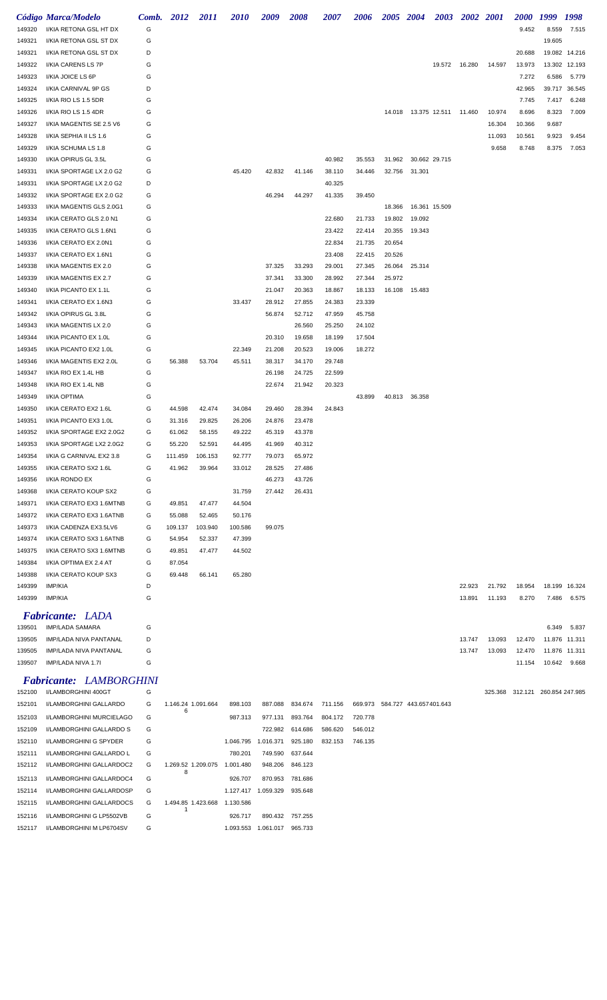|        | Código Marca/Modelo            | Comb. | 2012               | <i>2011</i> | <b>2010</b>         | 2009                   | <b>2008</b> | 2007    | 2006    | <b>2005</b> | <b>2004</b>                    | <b>2003</b> | 2002 2001 |        | <i>2000</i>                     | 1999          | 1998   |
|--------|--------------------------------|-------|--------------------|-------------|---------------------|------------------------|-------------|---------|---------|-------------|--------------------------------|-------------|-----------|--------|---------------------------------|---------------|--------|
| 149320 | I/KIA RETONA GSL HT DX         | G     |                    |             |                     |                        |             |         |         |             |                                |             |           |        | 9.452                           | 8.559         | 7.515  |
| 149321 | I/KIA RETONA GSL ST DX         | G     |                    |             |                     |                        |             |         |         |             |                                |             |           |        |                                 | 19.605        |        |
| 149321 | I/KIA RETONA GSL ST DX         | D     |                    |             |                     |                        |             |         |         |             |                                |             |           |        | 20.688                          | 19.082 14.216 |        |
| 149322 | I/KIA CARENS LS 7P             | G     |                    |             |                     |                        |             |         |         |             |                                | 19.572      | 16.280    | 14.597 | 13.973                          | 13.302 12.193 |        |
| 149323 | I/KIA JOICE LS 6P              | G     |                    |             |                     |                        |             |         |         |             |                                |             |           |        | 7.272                           | 6.586         | 5.779  |
| 149324 | I/KIA CARNIVAL 9P GS           | D     |                    |             |                     |                        |             |         |         |             |                                |             |           |        | 42.965                          | 39.717        | 36.545 |
| 149325 | I/KIA RIO LS 1.5 5DR           | G     |                    |             |                     |                        |             |         |         |             |                                |             |           |        | 7.745                           | 7.417         | 6.248  |
| 149326 | I/KIA RIO LS 1.5 4DR           | G     |                    |             |                     |                        |             |         |         | 14.018      | 13.375 12.511                  |             | 11.460    | 10.974 | 8.696                           | 8.323         | 7.009  |
| 149327 | I/KIA MAGENTIS SE 2.5 V6       | G     |                    |             |                     |                        |             |         |         |             |                                |             |           | 16.304 | 10.366                          | 9.687         |        |
| 149328 | I/KIA SEPHIA II LS 1.6         | G     |                    |             |                     |                        |             |         |         |             |                                |             |           | 11.093 | 10.561                          | 9.923         | 9.454  |
| 149329 | I/KIA SCHUMA LS 1.8            | G     |                    |             |                     |                        |             |         |         |             |                                |             |           | 9.658  | 8.748                           | 8.375         | 7.053  |
| 149330 | I/KIA OPIRUS GL 3.5L           | G     |                    |             |                     |                        |             | 40.982  | 35.553  | 31.962      | 30.662 29.715                  |             |           |        |                                 |               |        |
| 149331 | I/KIA SPORTAGE LX 2.0 G2       | G     |                    |             | 45.420              | 42.832                 | 41.146      | 38.110  | 34.446  | 32.756      | 31.301                         |             |           |        |                                 |               |        |
| 149331 | I/KIA SPORTAGE LX 2.0 G2       | D     |                    |             |                     |                        |             | 40.325  |         |             |                                |             |           |        |                                 |               |        |
|        | I/KIA SPORTAGE EX 2.0 G2       | G     |                    |             |                     | 46.294                 | 44.297      | 41.335  | 39.450  |             |                                |             |           |        |                                 |               |        |
| 149332 |                                |       |                    |             |                     |                        |             |         |         |             |                                |             |           |        |                                 |               |        |
| 149333 | I/KIA MAGENTIS GLS 2.0G1       | G     |                    |             |                     |                        |             |         |         | 18.366      | 16.361 15.509                  |             |           |        |                                 |               |        |
| 149334 | I/KIA CERATO GLS 2.0 N1        | G     |                    |             |                     |                        |             | 22.680  | 21.733  | 19.802      | 19.092                         |             |           |        |                                 |               |        |
| 149335 | I/KIA CERATO GLS 1.6N1         | G     |                    |             |                     |                        |             | 23.422  | 22.414  | 20.355      | 19.343                         |             |           |        |                                 |               |        |
| 149336 | I/KIA CERATO EX 2.0N1          | G     |                    |             |                     |                        |             | 22.834  | 21.735  | 20.654      |                                |             |           |        |                                 |               |        |
| 149337 | I/KIA CERATO EX 1.6N1          | G     |                    |             |                     |                        |             | 23.408  | 22.415  | 20.526      |                                |             |           |        |                                 |               |        |
| 149338 | I/KIA MAGENTIS EX 2.0          | G     |                    |             |                     | 37.325                 | 33.293      | 29.001  | 27.345  | 26.064      | 25.314                         |             |           |        |                                 |               |        |
| 149339 | I/KIA MAGENTIS EX 2.7          | G     |                    |             |                     | 37.341                 | 33.300      | 28.992  | 27.344  | 25.972      |                                |             |           |        |                                 |               |        |
| 149340 | I/KIA PICANTO EX 1.1L          | G     |                    |             |                     | 21.047                 | 20.363      | 18.867  | 18.133  |             | 16.108 15.483                  |             |           |        |                                 |               |        |
| 149341 | I/KIA CERATO EX 1.6N3          | G     |                    |             | 33.437              | 28.912                 | 27.855      | 24.383  | 23.339  |             |                                |             |           |        |                                 |               |        |
| 149342 | I/KIA OPIRUS GL 3.8L           | G     |                    |             |                     | 56.874                 | 52.712      | 47.959  | 45.758  |             |                                |             |           |        |                                 |               |        |
| 149343 | I/KIA MAGENTIS LX 2.0          | G     |                    |             |                     |                        | 26.560      | 25.250  | 24.102  |             |                                |             |           |        |                                 |               |        |
| 149344 | I/KIA PICANTO EX 1.0L          | G     |                    |             |                     | 20.310                 | 19.658      | 18.199  | 17.504  |             |                                |             |           |        |                                 |               |        |
| 149345 | I/KIA PICANTO EX2 1.0L         | G     |                    |             | 22.349              | 21.208                 | 20.523      | 19.006  | 18.272  |             |                                |             |           |        |                                 |               |        |
| 149346 | I/KIA MAGENTIS EX2 2.0L        | G     | 56.388             | 53.704      | 45.511              | 38.317                 | 34.170      | 29.748  |         |             |                                |             |           |        |                                 |               |        |
| 149347 | I/KIA RIO EX 1.4L HB           | G     |                    |             |                     | 26.198                 | 24.725      | 22.599  |         |             |                                |             |           |        |                                 |               |        |
| 149348 | I/KIA RIO EX 1.4L NB           | G     |                    |             |                     | 22.674                 | 21.942      | 20.323  |         |             |                                |             |           |        |                                 |               |        |
|        | I/KIA OPTIMA                   | G     |                    |             |                     |                        |             |         | 43.899  | 40.813      | 36.358                         |             |           |        |                                 |               |        |
| 149349 |                                |       |                    |             |                     |                        |             |         |         |             |                                |             |           |        |                                 |               |        |
| 149350 | I/KIA CERATO EX2 1.6L          | G     | 44.598             | 42.474      | 34.084              | 29.460                 | 28.394      | 24.843  |         |             |                                |             |           |        |                                 |               |        |
| 149351 | I/KIA PICANTO EX3 1.0L         | G     | 31.316             | 29.825      | 26.206              | 24.876                 | 23.478      |         |         |             |                                |             |           |        |                                 |               |        |
| 149352 | I/KIA SPORTAGE EX2 2.0G2       | G     | 61.062             | 58.155      | 49.222              | 45.319                 | 43.378      |         |         |             |                                |             |           |        |                                 |               |        |
| 149353 | I/KIA SPORTAGE LX2 2.0G2       | G     | 55.220             | 52.591      | 44.495              | 41.969                 | 40.312      |         |         |             |                                |             |           |        |                                 |               |        |
| 149354 | I/KIA G CARNIVAL EX2 3.8       | G     | 111.459            | 106.153     | 92.777              | 79.073                 | 65.972      |         |         |             |                                |             |           |        |                                 |               |        |
| 149355 | I/KIA CERATO SX2 1.6L          | G     | 41.962             | 39.964      | 33.012              | 28.525                 | 27.486      |         |         |             |                                |             |           |        |                                 |               |        |
| 149356 | I/KIA RONDO EX                 | G     |                    |             |                     | 46.273                 | 43.726      |         |         |             |                                |             |           |        |                                 |               |        |
| 149368 | I/KIA CERATO KOUP SX2          | G     |                    |             | 31.759              | 27.442                 | 26.431      |         |         |             |                                |             |           |        |                                 |               |        |
| 149371 | I/KIA CERATO EX3 1.6MTNB       | G     | 49.851             | 47.477      | 44.504              |                        |             |         |         |             |                                |             |           |        |                                 |               |        |
| 149372 | I/KIA CERATO EX3 1.6ATNB       | G     | 55.088             | 52.465      | 50.176              |                        |             |         |         |             |                                |             |           |        |                                 |               |        |
| 149373 | I/KIA CADENZA EX3.5LV6         | G     | 109.137            | 103.940     | 100.586             | 99.075                 |             |         |         |             |                                |             |           |        |                                 |               |        |
| 149374 | I/KIA CERATO SX3 1.6ATNB       | G     | 54.954             | 52.337      | 47.399              |                        |             |         |         |             |                                |             |           |        |                                 |               |        |
| 149375 | I/KIA CERATO SX3 1.6MTNB       | G     | 49.851             | 47.477      | 44.502              |                        |             |         |         |             |                                |             |           |        |                                 |               |        |
| 149384 | I/KIA OPTIMA EX 2.4 AT         | G     | 87.054             |             |                     |                        |             |         |         |             |                                |             |           |        |                                 |               |        |
| 149388 | I/KIA CERATO KOUP SX3          | G     | 69.448             | 66.141      | 65.280              |                        |             |         |         |             |                                |             |           |        |                                 |               |        |
| 149399 | IMP/KIA                        | D     |                    |             |                     |                        |             |         |         |             |                                |             | 22.923    | 21.792 | 18.954                          | 18.199        | 16.324 |
| 149399 | IMP/KIA                        | G     |                    |             |                     |                        |             |         |         |             |                                |             | 13.891    | 11.193 | 8.270                           | 7.486         | 6.575  |
|        |                                |       |                    |             |                     |                        |             |         |         |             |                                |             |           |        |                                 |               |        |
|        | <b>Fabricante: LADA</b>        |       |                    |             |                     |                        |             |         |         |             |                                |             |           |        |                                 |               |        |
| 139501 | <b>IMP/LADA SAMARA</b>         | G     |                    |             |                     |                        |             |         |         |             |                                |             |           |        |                                 | 6.349         | 5.837  |
| 139505 | IMP/LADA NIVA PANTANAL         | D     |                    |             |                     |                        |             |         |         |             |                                |             | 13.747    | 13.093 | 12.470                          | 11.876 11.311 |        |
| 139505 | IMP/LADA NIVA PANTANAL         | G     |                    |             |                     |                        |             |         |         |             |                                |             | 13.747    | 13.093 | 12.470                          | 11.876 11.311 |        |
| 139507 | IMP/LADA NIVA 1.7I             | G     |                    |             |                     |                        |             |         |         |             |                                |             |           |        | 11.154                          | 10.642        | 9.668  |
|        | <b>Fabricante: LAMBORGHINI</b> |       |                    |             |                     |                        |             |         |         |             |                                |             |           |        |                                 |               |        |
| 152100 | I/LAMBORGHINI 400GT            | G     |                    |             |                     |                        |             |         |         |             |                                |             |           |        | 325.368 312.121 260.854 247.985 |               |        |
| 152101 | I/LAMBORGHINI GALLARDO         | G     | 1.146.24 1.091.664 |             | 898.103             | 887.088                | 834.674     | 711.156 |         |             | 669.973 584.727 443.657401.643 |             |           |        |                                 |               |        |
|        |                                |       | 6                  |             |                     |                        |             |         |         |             |                                |             |           |        |                                 |               |        |
| 152103 | I/LAMBORGHINI MURCIELAGO       | G     |                    |             | 987.313             | 977.131                | 893.764     | 804.172 | 720.778 |             |                                |             |           |        |                                 |               |        |
| 152109 | I/LAMBORGHINI GALLARDO S       | G     |                    |             |                     | 722.982                | 614.686     | 586.620 | 546.012 |             |                                |             |           |        |                                 |               |        |
| 152110 | I/LAMBORGHINI G SPYDER         | G     |                    |             | 1.046.795           | 1.016.371              | 925.180     | 832.153 | 746.135 |             |                                |             |           |        |                                 |               |        |
| 152111 | I/LAMBORGHINI GALLARDO L       | G     |                    |             | 780.201             | 749.590                | 637.644     |         |         |             |                                |             |           |        |                                 |               |        |
| 152112 | I/LAMBORGHINI GALLARDOC2       | G     | 1.269.52 1.209.075 |             | 1.001.480           | 948.206                | 846.123     |         |         |             |                                |             |           |        |                                 |               |        |
| 152113 | I/LAMBORGHINI GALLARDOC4       | G     | 8                  |             | 926.707             | 870.953                | 781.686     |         |         |             |                                |             |           |        |                                 |               |        |
| 152114 | I/LAMBORGHINI GALLARDOSP       | G     |                    |             | 1.127.417 1.059.329 |                        | 935.648     |         |         |             |                                |             |           |        |                                 |               |        |
| 152115 | I/LAMBORGHINI GALLARDOCS       | G     | 1.494.85 1.423.668 |             | 1.130.586           |                        |             |         |         |             |                                |             |           |        |                                 |               |        |
| 152116 | I/LAMBORGHINI G LP5502VB       | G     | -1                 |             | 926.717             | 890.432                | 757.255     |         |         |             |                                |             |           |        |                                 |               |        |
| 152117 | I/LAMBORGHINI M LP6704SV       | G     |                    |             |                     | 1.093.553    1.061.017 | 965.733     |         |         |             |                                |             |           |        |                                 |               |        |
|        |                                |       |                    |             |                     |                        |             |         |         |             |                                |             |           |        |                                 |               |        |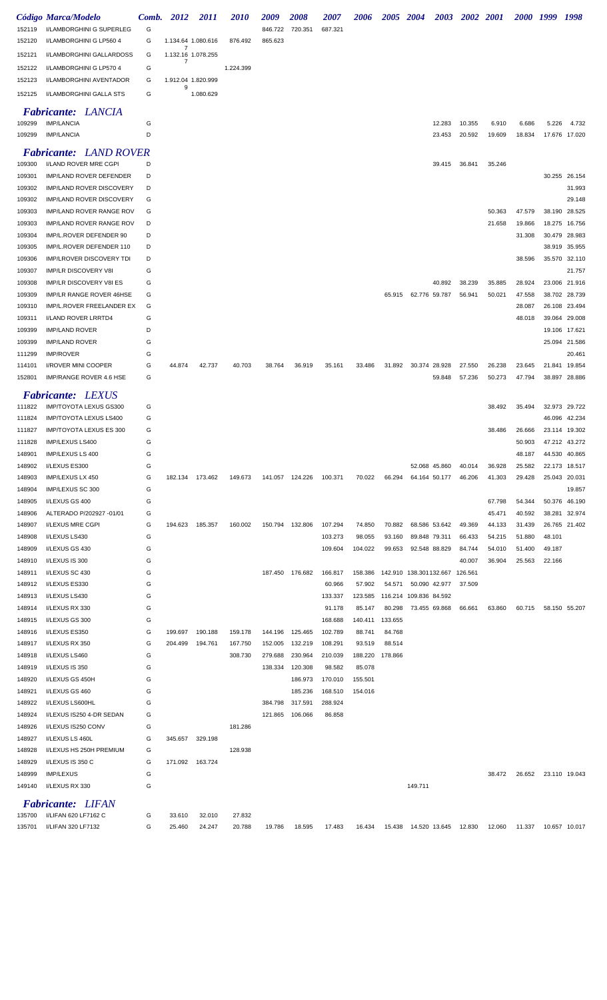|                  | Código Marca/Modelo                                         | Comb.  | 2012    | <i>2011</i>        | <i>2010</i> | 2009    | <i><b>2008</b></i> | <i><b>2007</b></i> | 2006              | <b>2005</b>     | <b>2004</b>                    | <b>2003</b>             | <b>2002</b> 2001 |                  | 2000 1999        |                      | 1998                    |
|------------------|-------------------------------------------------------------|--------|---------|--------------------|-------------|---------|--------------------|--------------------|-------------------|-----------------|--------------------------------|-------------------------|------------------|------------------|------------------|----------------------|-------------------------|
| 152119           | I/LAMBORGHINI G SUPERLEG                                    | G      |         |                    |             | 846.722 | 720.351            | 687.321            |                   |                 |                                |                         |                  |                  |                  |                      |                         |
| 152120           | I/LAMBORGHINI G LP560 4                                     | G      |         | 1.134.64 1.080.616 | 876.492     | 865.623 |                    |                    |                   |                 |                                |                         |                  |                  |                  |                      |                         |
| 152121           | I/LAMBORGHINI GALLARDOSS                                    | G      |         | 1.132.16 1.078.255 |             |         |                    |                    |                   |                 |                                |                         |                  |                  |                  |                      |                         |
| 152122           | I/LAMBORGHINI G LP570 4                                     | G      | 7       |                    | 1.224.399   |         |                    |                    |                   |                 |                                |                         |                  |                  |                  |                      |                         |
| 152123           | I/LAMBORGHINI AVENTADOR                                     | G      |         | 1.912.04 1.820.999 |             |         |                    |                    |                   |                 |                                |                         |                  |                  |                  |                      |                         |
| 152125           | I/LAMBORGHINI GALLA STS                                     | G      | 9       | 1.080.629          |             |         |                    |                    |                   |                 |                                |                         |                  |                  |                  |                      |                         |
|                  |                                                             |        |         |                    |             |         |                    |                    |                   |                 |                                |                         |                  |                  |                  |                      |                         |
|                  | <b>Fabricante: LANCIA</b>                                   |        |         |                    |             |         |                    |                    |                   |                 |                                |                         |                  |                  |                  |                      |                         |
| 109299           | <b>IMP/LANCIA</b>                                           | G<br>D |         |                    |             |         |                    |                    |                   |                 |                                | 12.283                  | 10.355           | 6.910            | 6.686            | 5.226                | 4.732                   |
| 109299           | <b>IMP/LANCIA</b>                                           |        |         |                    |             |         |                    |                    |                   |                 |                                | 23.453                  | 20.592           | 19.609           | 18.834           | 17.676               | 17.020                  |
|                  | <b>Fabricante:</b> LAND ROVER                               |        |         |                    |             |         |                    |                    |                   |                 |                                |                         |                  |                  |                  |                      |                         |
| 109300           | I/LAND ROVER MRE CGPI                                       | D      |         |                    |             |         |                    |                    |                   |                 |                                | 39.415                  | 36.841           | 35.246           |                  |                      |                         |
| 109301           | IMP/LAND ROVER DEFENDER                                     | D      |         |                    |             |         |                    |                    |                   |                 |                                |                         |                  |                  |                  |                      | 30.255 26.154           |
| 109302           | <b>IMP/LAND ROVER DISCOVERY</b>                             | D<br>G |         |                    |             |         |                    |                    |                   |                 |                                |                         |                  |                  |                  |                      | 31.993<br>29.148        |
| 109302<br>109303 | <b>IMP/LAND ROVER DISCOVERY</b><br>IMP/LAND ROVER RANGE ROV | G      |         |                    |             |         |                    |                    |                   |                 |                                |                         |                  | 50.363           | 47.579           | 38.190               | 28.525                  |
| 109303           | IMP/LAND ROVER RANGE ROV                                    | D      |         |                    |             |         |                    |                    |                   |                 |                                |                         |                  | 21.658           | 19.866           | 18.275               | 16.756                  |
| 109304           | IMP/L.ROVER DEFENDER 90                                     | D      |         |                    |             |         |                    |                    |                   |                 |                                |                         |                  |                  | 31.308           | 30.479               | 28.983                  |
| 109305           | IMP/L.ROVER DEFENDER 110                                    | D      |         |                    |             |         |                    |                    |                   |                 |                                |                         |                  |                  |                  | 38.919               | 35.955                  |
| 109306           | IMP/LROVER DISCOVERY TDI                                    | D      |         |                    |             |         |                    |                    |                   |                 |                                |                         |                  |                  | 38.596           | 35.570               | 32.110                  |
| 109307           | <b>IMP/LR DISCOVERY V8I</b>                                 | G      |         |                    |             |         |                    |                    |                   |                 |                                |                         |                  |                  |                  |                      | 21.757                  |
| 109308           | IMP/LR DISCOVERY V8I ES                                     | G      |         |                    |             |         |                    |                    |                   |                 |                                | 40.892                  | 38.239           | 35.885           | 28.924           | 23.006               | 21.916                  |
| 109309           | IMP/LR RANGE ROVER 46HSE                                    | G      |         |                    |             |         |                    |                    |                   | 65.915          |                                | 62.776 59.787           | 56.941           | 50.021           | 47.558           | 38.702               | 28.739                  |
| 109310           | IMP/L.ROVER FREELANDER EX                                   | G      |         |                    |             |         |                    |                    |                   |                 |                                |                         |                  |                  | 28.087           | 26.108               | 23.494                  |
| 109311           | I/LAND ROVER LRRTD4                                         | G      |         |                    |             |         |                    |                    |                   |                 |                                |                         |                  |                  | 48.018           | 39.064               | 29.008                  |
| 109399           | <b>IMP/LAND ROVER</b>                                       | D      |         |                    |             |         |                    |                    |                   |                 |                                |                         |                  |                  |                  | 19.106               | 17.621                  |
| 109399           | <b>IMP/LAND ROVER</b>                                       | G      |         |                    |             |         |                    |                    |                   |                 |                                |                         |                  |                  |                  |                      | 25.094 21.586           |
| 111299           | <b>IMP/ROVER</b>                                            | G      |         |                    |             |         |                    |                    |                   |                 |                                |                         |                  |                  |                  |                      | 20.461                  |
| 114101<br>152801 | I/ROVER MINI COOPER<br>IMP/RANGE ROVER 4.6 HSE              | G<br>G | 44.874  | 42.737             | 40.703      | 38.764  | 36.919             | 35.161             | 33.486            | 31.892          |                                | 30.374 28.928<br>59.848 | 27.550<br>57.236 | 26.238<br>50.273 | 23.645<br>47.794 | 21.841<br>38.897     | 19.854<br>28.886        |
|                  |                                                             |        |         |                    |             |         |                    |                    |                   |                 |                                |                         |                  |                  |                  |                      |                         |
|                  | <b>Fabricante: LEXUS</b>                                    |        |         |                    |             |         |                    |                    |                   |                 |                                |                         |                  |                  |                  |                      |                         |
| 111822           | <b>IMP/TOYOTA LEXUS GS300</b>                               | G      |         |                    |             |         |                    |                    |                   |                 |                                |                         |                  | 38.492           | 35.494           |                      | 32.973 29.722           |
| 111824           | <b>IMP/TOYOTA LEXUS LS400</b>                               | G      |         |                    |             |         |                    |                    |                   |                 |                                |                         |                  |                  |                  | 46.096               | 42.234                  |
| 111827<br>111828 | <b>IMP/TOYOTA LEXUS ES 300</b><br>IMP/LEXUS LS400           | G<br>G |         |                    |             |         |                    |                    |                   |                 |                                |                         |                  | 38.486           | 26.666<br>50.903 | 23.114               | 19.302<br>47.212 43.272 |
| 148901           | IMP/LEXUS LS 400                                            | G      |         |                    |             |         |                    |                    |                   |                 |                                |                         |                  |                  | 48.187           |                      | 44.530 40.865           |
| 148902           | I/LEXUS ES300                                               | G      |         |                    |             |         |                    |                    |                   |                 |                                | 52.068 45.860           | 40.014           | 36.928           | 25.582           |                      | 22.173 18.517           |
| 148903           | IMP/LEXUS LX 450                                            | G      | 182.134 | 173.462            | 149.673     |         | 141.057 124.226    | 100.371            | 70.022            | 66.294          |                                | 64.164 50.177           | 46.206           | 41.303           | 29.428           |                      | 25.043 20.031           |
| 148904           | IMP/LEXUS SC 300                                            | G      |         |                    |             |         |                    |                    |                   |                 |                                |                         |                  |                  |                  |                      | 19.857                  |
| 148905           | I/LEXUS GS 400                                              | G      |         |                    |             |         |                    |                    |                   |                 |                                |                         |                  | 67.798           | 54.344           | 50.376               | 46.190                  |
| 148906           | ALTERADO P/202927 -01/01                                    | G      |         |                    |             |         |                    |                    |                   |                 |                                |                         |                  | 45.471           | 40.592           | 38.281               | 32.974                  |
| 148907           | I/LEXUS MRE CGPI                                            | G      | 194.623 | 185.357            | 160.002     |         | 150.794 132.806    | 107.294            | 74.850            | 70.882          |                                | 68.586 53.642           | 49.369           | 44.133           | 31.439           |                      | 26.765 21.402           |
| 148908           | I/LEXUS LS430                                               | G      |         |                    |             |         |                    | 103.273            | 98.055            | 93.160          |                                | 89.848 79.311           | 66.433           | 54.215           | 51.880           | 48.101               |                         |
| 148909           | I/LEXUS GS 430                                              | G      |         |                    |             |         |                    | 109.604            | 104.022           | 99.653          |                                | 92.548 88.829           | 84.744           | 54.010           | 51.400           | 49.187               |                         |
| 148910           | I/LEXUS IS 300                                              | G      |         |                    |             |         |                    |                    |                   |                 |                                |                         | 40.007           | 36.904           | 25.563           | 22.166               |                         |
| 148911<br>148912 | I/LEXUS SC 430<br>I/LEXUS ES330                             | G<br>G |         |                    |             |         | 187.450 176.682    | 166.817<br>60.966  | 158.386<br>57.902 | 54.571          | 142.910 138.301132.667 126.561 | 50.090 42.977           | 37.509           |                  |                  |                      |                         |
| 148913           | I/LEXUS LS430                                               | G      |         |                    |             |         |                    | 133.337            | 123.585           |                 | 116.214 109.836 84.592         |                         |                  |                  |                  |                      |                         |
| 148914           | I/LEXUS RX 330                                              | G      |         |                    |             |         |                    | 91.178             | 85.147            | 80.298          |                                | 73.455 69.868           | 66.661           | 63.860           | 60.715           |                      | 58.150 55.207           |
| 148915           | I/LEXUS GS 300                                              | G      |         |                    |             |         |                    | 168.688            |                   | 140.411 133.655 |                                |                         |                  |                  |                  |                      |                         |
| 148916           | I/LEXUS ES350                                               | G      | 199.697 | 190.188            | 159.178     | 144.196 | 125.465            | 102.789            | 88.741            | 84.768          |                                |                         |                  |                  |                  |                      |                         |
| 148917           | I/LEXUS RX 350                                              | G      | 204.499 | 194.761            | 167.750     | 152.005 | 132.219            | 108.291            | 93.519            | 88.514          |                                |                         |                  |                  |                  |                      |                         |
| 148918           | I/LEXUS LS460                                               | G      |         |                    | 308.730     | 279.688 | 230.964            | 210.039            | 188.220           | 178.866         |                                |                         |                  |                  |                  |                      |                         |
| 148919           | I/LEXUS IS 350                                              | G      |         |                    |             | 138.334 | 120.308            | 98.582             | 85.078            |                 |                                |                         |                  |                  |                  |                      |                         |
| 148920           | I/LEXUS GS 450H                                             | G      |         |                    |             |         | 186.973            | 170.010            | 155.501           |                 |                                |                         |                  |                  |                  |                      |                         |
| 148921           | I/LEXUS GS 460                                              | G      |         |                    |             |         | 185.236            | 168.510            | 154.016           |                 |                                |                         |                  |                  |                  |                      |                         |
| 148922           | I/LEXUS LS600HL                                             | G      |         |                    |             | 384.798 | 317.591            | 288.924            |                   |                 |                                |                         |                  |                  |                  |                      |                         |
| 148924           | I/LEXUS IS250 4-DR SEDAN                                    | G      |         |                    |             | 121.865 | 106.066            | 86.858             |                   |                 |                                |                         |                  |                  |                  |                      |                         |
| 148926           | I/LEXUS IS250 CONV<br>I/LEXUS LS 460L                       | G<br>G | 345.657 | 329.198            | 181.286     |         |                    |                    |                   |                 |                                |                         |                  |                  |                  |                      |                         |
| 148927<br>148928 | I/LEXUS HS 250H PREMIUM                                     | G      |         |                    | 128.938     |         |                    |                    |                   |                 |                                |                         |                  |                  |                  |                      |                         |
| 148929           | I/LEXUS IS 350 C                                            | G      |         | 171.092 163.724    |             |         |                    |                    |                   |                 |                                |                         |                  |                  |                  |                      |                         |
| 148999           | <b>IMP/LEXUS</b>                                            | G      |         |                    |             |         |                    |                    |                   |                 |                                |                         |                  | 38.472           |                  | 26.652 23.110 19.043 |                         |
| 149140           | I/LEXUS RX 330                                              | G      |         |                    |             |         |                    |                    |                   |                 | 149.711                        |                         |                  |                  |                  |                      |                         |
|                  |                                                             |        |         |                    |             |         |                    |                    |                   |                 |                                |                         |                  |                  |                  |                      |                         |
| 135700           | <b>Fabricante: LIFAN</b><br>I/LIFAN 620 LF7162 C            | G      | 33.610  | 32.010             | 27.832      |         |                    |                    |                   |                 |                                |                         |                  |                  |                  |                      |                         |
| 135701           | I/LIFAN 320 LF7132                                          | G      | 25.460  | 24.247             | 20.788      | 19.786  | 18.595             | 17.483             | 16.434            |                 | 15.438  14.520  13.645  12.830 |                         |                  | 12.060           |                  |                      |                         |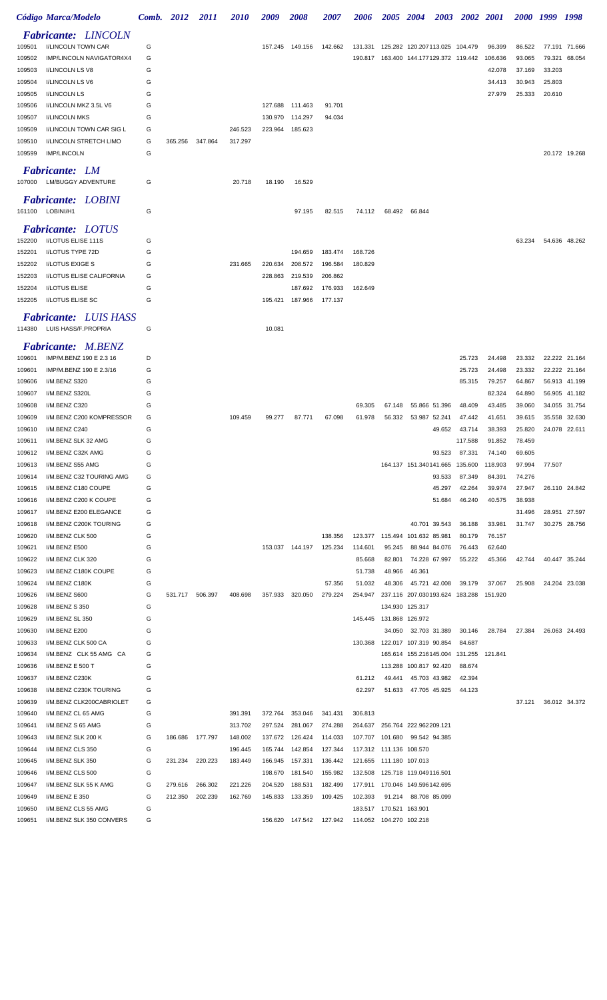|                  | Código Marca/Modelo                                 |        | Comb. 2012      | <i>2011</i>     | <i>2010</i> | 2009    | 2008                      | <i><b>2007</b></i> | 2006                      | 2005 2004 |                                           | <b>2003</b> | 2002 2001         |                  |                  | 2000 1999 | 1998          |
|------------------|-----------------------------------------------------|--------|-----------------|-----------------|-------------|---------|---------------------------|--------------------|---------------------------|-----------|-------------------------------------------|-------------|-------------------|------------------|------------------|-----------|---------------|
|                  | <b>Fabricante: LINCOLN</b>                          |        |                 |                 |             |         |                           |                    |                           |           |                                           |             |                   |                  |                  |           |               |
| 109501           | I/LINCOLN TOWN CAR                                  | G      |                 |                 |             | 157.245 | 149.156                   | 142.662            | 131.331                   |           | 125.282 120.207113.025 104.479            |             |                   | 96.399           | 86.522           |           | 77.191 71.666 |
| 109502           | IMP/LINCOLN NAVIGATOR4X4                            | G      |                 |                 |             |         |                           |                    |                           |           | 190.817  163.400  144.177129.372  119.442 |             |                   | 106.636          | 93.065           | 79.321    | 68.054        |
| 109503           | I/LINCOLN LS V8                                     | G      |                 |                 |             |         |                           |                    |                           |           |                                           |             |                   | 42.078           | 37.169           | 33.203    |               |
| 109504           | I/LINCOLN LS V6                                     | G      |                 |                 |             |         |                           |                    |                           |           |                                           |             |                   | 34.413           | 30.943           | 25.803    |               |
| 109505           | I/LINCOLN LS                                        | G      |                 |                 |             |         |                           |                    |                           |           |                                           |             |                   | 27.979           | 25.333           | 20.610    |               |
| 109506           | I/LINCOLN MKZ 3.5L V6                               | G      |                 |                 |             | 127.688 | 111.463                   | 91.701             |                           |           |                                           |             |                   |                  |                  |           |               |
| 109507           | <b>I/LINCOLN MKS</b>                                | G      |                 |                 |             | 130.970 | 114.297                   | 94.034             |                           |           |                                           |             |                   |                  |                  |           |               |
| 109509           | I/LINCOLN TOWN CAR SIG L                            | G      |                 |                 | 246.523     | 223.964 | 185.623                   |                    |                           |           |                                           |             |                   |                  |                  |           |               |
| 109510           | I/LINCOLN STRETCH LIMO                              | G<br>G | 365.256         | 347.864         | 317.297     |         |                           |                    |                           |           |                                           |             |                   |                  |                  |           | 20.172 19.268 |
| 109599           | <b>IMP/LINCOLN</b>                                  |        |                 |                 |             |         |                           |                    |                           |           |                                           |             |                   |                  |                  |           |               |
|                  | <b>Fabricante:</b> LM                               |        |                 |                 |             |         |                           |                    |                           |           |                                           |             |                   |                  |                  |           |               |
| 107000           | <b>LM/BUGGY ADVENTURE</b>                           | G      |                 |                 | 20.718      | 18.190  | 16.529                    |                    |                           |           |                                           |             |                   |                  |                  |           |               |
| 161100           | <b>Fabricante: LOBINI</b><br>LOBINI/H1              | G      |                 |                 |             |         | 97.195                    | 82.515             | 74.112                    | 68.492    | 66.844                                    |             |                   |                  |                  |           |               |
|                  |                                                     |        |                 |                 |             |         |                           |                    |                           |           |                                           |             |                   |                  |                  |           |               |
| 152200           | <b>Fabricante: LOTUS</b><br>I/LOTUS ELISE 111S      | G      |                 |                 |             |         |                           |                    |                           |           |                                           |             |                   |                  | 63.234           |           | 54.636 48.262 |
| 152201           | I/LOTUS TYPE 72D                                    | G      |                 |                 |             |         | 194.659                   | 183.474            | 168.726                   |           |                                           |             |                   |                  |                  |           |               |
| 152202           | I/LOTUS EXIGE S                                     | G      |                 |                 | 231.665     | 220.634 | 208.572                   | 196.584            | 180.829                   |           |                                           |             |                   |                  |                  |           |               |
| 152203           | I/LOTUS ELISE CALIFORNIA                            | G      |                 |                 |             | 228.863 | 219.539                   | 206.862            |                           |           |                                           |             |                   |                  |                  |           |               |
| 152204           | <b>I/LOTUS ELISE</b>                                | G      |                 |                 |             |         | 187.692                   | 176.933            | 162.649                   |           |                                           |             |                   |                  |                  |           |               |
| 152205           | I/LOTUS ELISE SC                                    | G      |                 |                 |             | 195.421 | 187.966                   | 177.137            |                           |           |                                           |             |                   |                  |                  |           |               |
|                  |                                                     |        |                 |                 |             |         |                           |                    |                           |           |                                           |             |                   |                  |                  |           |               |
| 114380           | <b>Fabricante:</b> LUIS HASS<br>LUIS HASS/F.PROPRIA | G      |                 |                 |             |         |                           |                    |                           |           |                                           |             |                   |                  |                  |           |               |
|                  |                                                     |        |                 |                 |             | 10.081  |                           |                    |                           |           |                                           |             |                   |                  |                  |           |               |
|                  | <b>Fabricante: M.BENZ</b>                           |        |                 |                 |             |         |                           |                    |                           |           |                                           |             |                   |                  |                  |           |               |
| 109601           | IMP/M.BENZ 190 E 2.3 16                             | D      |                 |                 |             |         |                           |                    |                           |           |                                           |             | 25.723            | 24.498           | 23.332           |           | 22.222 21.164 |
| 109601           | IMP/M.BENZ 190 E 2.3/16                             | G      |                 |                 |             |         |                           |                    |                           |           |                                           |             | 25.723            | 24.498           | 23.332           |           | 22.222 21.164 |
| 109606           | I/M.BENZ S320                                       | G      |                 |                 |             |         |                           |                    |                           |           |                                           |             | 85.315            | 79.257           | 64.867           |           | 56.913 41.199 |
| 109607           | I/M.BENZ S320L                                      | G      |                 |                 |             |         |                           |                    |                           |           |                                           |             |                   | 82.324           | 64.890           |           | 56.905 41.182 |
| 109608           | I/M.BENZ C320                                       | G      |                 |                 |             |         |                           |                    | 69.305                    | 67.148    | 55.866 51.396                             |             | 48.409            | 43.485           | 39.060           | 34.055    | 31.754        |
| 109609           | I/M.BENZ C200 KOMPRESSOR                            | G      |                 |                 | 109.459     | 99.277  | 87.771                    | 67.098             | 61.978                    | 56.332    | 53.987 52.241                             |             | 47.442            | 41.651           | 39.615           | 35.558    | 32.630        |
| 109610           | I/M.BENZ C240<br>I/M.BENZ SLK 32 AMG                | G<br>G |                 |                 |             |         |                           |                    |                           |           |                                           | 49.652      | 43.714<br>117.588 | 38.393<br>91.852 | 25.820<br>78.459 |           | 24.078 22.611 |
| 109611<br>109612 | I/M.BENZ C32K AMG                                   | G      |                 |                 |             |         |                           |                    |                           |           |                                           | 93.523      | 87.331            | 74.140           | 69.605           |           |               |
| 109613           | I/M.BENZ S55 AMG                                    | G      |                 |                 |             |         |                           |                    |                           |           | 164.137 151.340141.665 135.600            |             |                   | 118.903          | 97.994           | 77.507    |               |
| 109614           | I/M.BENZ C32 TOURING AMG                            | G      |                 |                 |             |         |                           |                    |                           |           |                                           | 93.533      | 87.349            | 84.391           | 74.276           |           |               |
| 109615           | I/M.BENZ C180 COUPE                                 | G      |                 |                 |             |         |                           |                    |                           |           |                                           | 45.297      | 42.264            | 39.974           | 27.947           |           | 26.110 24.842 |
| 109616           | I/M.BENZ C200 K COUPE                               | G      |                 |                 |             |         |                           |                    |                           |           |                                           | 51.684      | 46.240            | 40.575           | 38.938           |           |               |
| 109617           | I/M.BENZ E200 ELEGANCE                              | G      |                 |                 |             |         |                           |                    |                           |           |                                           |             |                   |                  | 31.496           |           | 28.951 27.597 |
| 109618           | I/M.BENZ C200K TOURING                              | G      |                 |                 |             |         |                           |                    |                           |           | 40.701 39.543                             |             | 36.188            | 33.981           | 31.747           |           | 30.275 28.756 |
| 109620           | I/M.BENZ CLK 500                                    | G      |                 |                 |             |         |                           | 138.356            |                           |           | 123.377 115.494 101.632 85.981            |             | 80.179            | 76.157           |                  |           |               |
| 109621           | I/M.BENZ E500                                       | G      |                 |                 |             |         | 153.037 144.197           | 125.234            | 114.601                   | 95.245    | 88.944 84.076                             |             | 76.443            | 62.640           |                  |           |               |
| 109622           | I/M.BENZ CLK 320                                    | G      |                 |                 |             |         |                           |                    | 85.668                    | 82.801    | 74.228 67.997                             |             | 55.222            | 45.366           | 42.744           |           | 40.447 35.244 |
| 109623           | I/M.BENZ C180K COUPE                                | G      |                 |                 |             |         |                           |                    | 51.738                    | 48.966    | 46.361                                    |             |                   |                  |                  |           |               |
| 109624           | I/M.BENZ C180K                                      | G      |                 |                 |             |         |                           | 57.356             | 51.032                    | 48.306    | 45.721 42.008                             |             | 39.179            | 37.067           | 25.908           |           | 24.204 23.038 |
| 109626           | I/M.BENZ S600                                       | G      | 531.717 506.397 |                 | 408.698     | 357.933 | 320.050                   | 279.224            | 254.947                   |           | 237.116 207.030193.624 183.288            |             |                   | 151.920          |                  |           |               |
| 109628           | I/M.BENZ S 350                                      | G      |                 |                 |             |         |                           |                    |                           |           | 134.930 125.317                           |             |                   |                  |                  |           |               |
| 109629           | I/M.BENZ SL 350                                     | G      |                 |                 |             |         |                           |                    | 145.445  131.868  126.972 |           |                                           |             |                   |                  |                  |           |               |
| 109630           | I/M.BENZ E200                                       | G      |                 |                 |             |         |                           |                    |                           |           | 34.050 32.703 31.389                      |             | 30.146            | 28.784           | 27.384           |           | 26.063 24.493 |
| 109633           | I/M.BENZ CLK 500 CA                                 | G      |                 |                 |             |         |                           |                    | 130.368                   |           | 122.017 107.319 90.854                    |             | 84.687            |                  |                  |           |               |
| 109634           | I/M.BENZ CLK 55 AMG CA                              | G      |                 |                 |             |         |                           |                    |                           |           | 165.614 155.216145.004 131.255 121.841    |             |                   |                  |                  |           |               |
| 109636           | I/M.BENZ E 500 T                                    | G      |                 |                 |             |         |                           |                    |                           |           | 113.288 100.817 92.420                    |             | 88.674            |                  |                  |           |               |
| 109637           | I/M.BENZ C230K                                      | G<br>G |                 |                 |             |         |                           |                    | 61.212<br>62.297          | 49.441    | 45.703 43.982                             |             | 42.394<br>44.123  |                  |                  |           |               |
| 109638<br>109639 | I/M.BENZ C230K TOURING<br>I/M.BENZ CLK200CABRIOLET  | G      |                 |                 |             |         |                           |                    |                           |           | 51.633 47.705 45.925                      |             |                   |                  | 37.121           |           | 36.012 34.372 |
| 109640           | I/M.BENZ CL 65 AMG                                  | G      |                 |                 | 391.391     | 372.764 | 353.046                   | 341.431            | 306.813                   |           |                                           |             |                   |                  |                  |           |               |
| 109641           | I/M.BENZ S 65 AMG                                   | G      |                 |                 | 313.702     | 297.524 | 281.067                   | 274.288            |                           |           | 264.637 256.764 222.962209.121            |             |                   |                  |                  |           |               |
| 109643           | I/M.BENZ SLK 200 K                                  | G      |                 | 186.686 177.797 | 148.002     |         | 137.672 126.424           | 114.033            |                           |           | 107.707 101.680 99.542 94.385             |             |                   |                  |                  |           |               |
| 109644           | I/M.BENZ CLS 350                                    | G      |                 |                 | 196.445     | 165.744 | 142.854                   | 127.344            | 117.312 111.136 108.570   |           |                                           |             |                   |                  |                  |           |               |
| 109645           | I/M.BENZ SLK 350                                    | G      | 231.234         | 220.223         | 183.449     | 166.945 | 157.331                   | 136.442            | 121.655 111.180 107.013   |           |                                           |             |                   |                  |                  |           |               |
| 109646           | I/M.BENZ CLS 500                                    | G      |                 |                 |             | 198.670 | 181.540                   | 155.982            | 132.508                   |           | 125.718 119.049116.501                    |             |                   |                  |                  |           |               |
| 109647           | I/M.BENZ SLK 55 K AMG                               | G      | 279.616         | 266.302         | 221.226     | 204.520 | 188.531                   | 182.499            |                           |           | 177.911 170.046 149.596142.695            |             |                   |                  |                  |           |               |
| 109649           | I/M.BENZ E 350                                      | G      | 212.350         | 202.239         | 162.769     | 145.833 | 133.359                   | 109.425            | 102.393                   |           | 91.214 88.708 85.099                      |             |                   |                  |                  |           |               |
| 109650           | I/M.BENZ CLS 55 AMG                                 | G      |                 |                 |             |         |                           |                    | 183.517 170.521 163.901   |           |                                           |             |                   |                  |                  |           |               |
| 109651           | I/M.BENZ SLK 350 CONVERS                            | G      |                 |                 |             |         | 156.620  147.542  127.942 |                    | 114.052 104.270 102.218   |           |                                           |             |                   |                  |                  |           |               |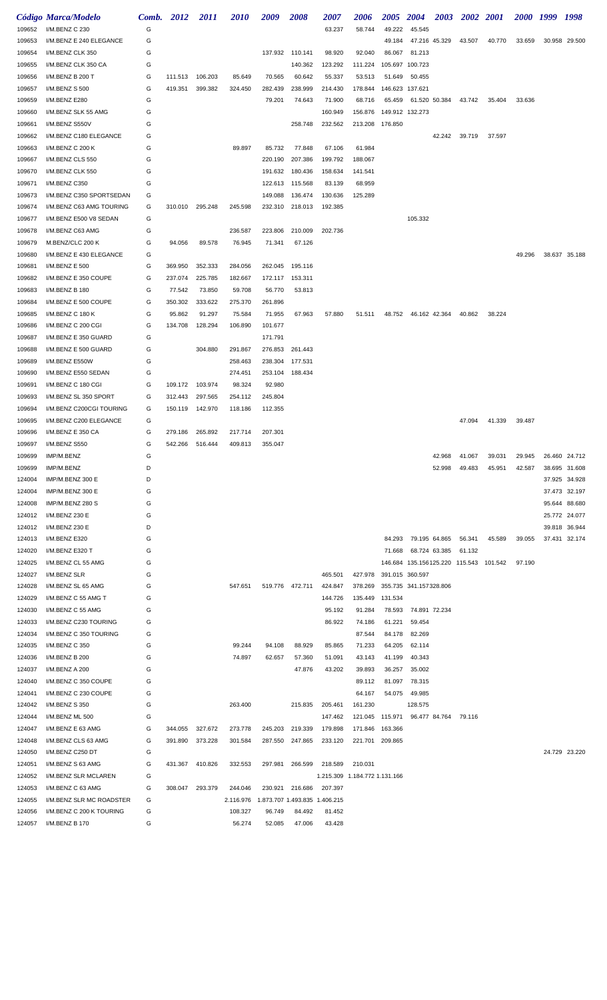|        | Código Marca/Modelo      |   | Comb. 2012 | <i>2011</i> | <i><b>2010</b></i>                         | 2009    | 2008            | 2007    | 2006                          | <b>2005</b>     | <b>2004</b>                              | <b>2003</b>   | <b>2002</b> 2001                       |        | <i>2000</i> | 1999 | 1998          |
|--------|--------------------------|---|------------|-------------|--------------------------------------------|---------|-----------------|---------|-------------------------------|-----------------|------------------------------------------|---------------|----------------------------------------|--------|-------------|------|---------------|
| 109652 | I/M.BENZ C 230           | G |            |             |                                            |         |                 | 63.237  | 58.744                        | 49.222          | 45.545                                   |               |                                        |        |             |      |               |
| 109653 | I/M.BENZ E 240 ELEGANCE  | G |            |             |                                            |         |                 |         |                               | 49.184          |                                          | 47.216 45.329 | 43.507                                 | 40.770 | 33.659      |      | 30.958 29.500 |
| 109654 | I/M.BENZ CLK 350         | G |            |             |                                            |         | 137.932 110.141 | 98.920  | 92.040                        | 86.067          | 81.213                                   |               |                                        |        |             |      |               |
| 109655 | I/M.BENZ CLK 350 CA      | G |            |             |                                            |         | 140.362         | 123.292 | 111.224                       |                 | 105.697 100.723                          |               |                                        |        |             |      |               |
| 109656 | I/M.BENZ B 200 T         | G | 111.513    | 106.203     | 85.649                                     | 70.565  | 60.642          | 55.337  | 53.513                        | 51.649          | 50.455                                   |               |                                        |        |             |      |               |
| 109657 | I/M.BENZ S 500           | G | 419.351    | 399.382     | 324.450                                    | 282.439 | 238.999         | 214.430 | 178.844                       | 146.623 137.621 |                                          |               |                                        |        |             |      |               |
| 109659 | I/M.BENZ E280            | G |            |             |                                            | 79.201  | 74.643          | 71.900  | 68.716                        | 65.459          | 61.520 50.384                            |               | 43.742                                 | 35.404 | 33.636      |      |               |
| 109660 | I/M.BENZ SLK 55 AMG      | G |            |             |                                            |         |                 | 160.949 | 156.876                       |                 | 149.912 132.273                          |               |                                        |        |             |      |               |
| 109661 | I/M.BENZ S550V           | G |            |             |                                            |         | 258.748         | 232.562 | 213.208 176.850               |                 |                                          |               |                                        |        |             |      |               |
| 109662 | I/M.BENZ C180 ELEGANCE   | G |            |             |                                            |         |                 |         |                               |                 |                                          | 42.242        | 39.719                                 | 37.597 |             |      |               |
| 109663 | I/M.BENZ C 200 K         | G |            |             | 89.897                                     | 85.732  | 77.848          | 67.106  | 61.984                        |                 |                                          |               |                                        |        |             |      |               |
| 109667 | I/M.BENZ CLS 550         | G |            |             |                                            | 220.190 | 207.386         | 199.792 | 188.067                       |                 |                                          |               |                                        |        |             |      |               |
| 109670 | I/M.BENZ CLK 550         | G |            |             |                                            | 191.632 | 180.436         | 158.634 | 141.541                       |                 |                                          |               |                                        |        |             |      |               |
| 109671 | I/M.BENZ C350            | G |            |             |                                            | 122.613 | 115.568         | 83.139  | 68.959                        |                 |                                          |               |                                        |        |             |      |               |
| 109673 | I/M.BENZ C350 SPORTSEDAN | G |            |             |                                            | 149.088 | 136.474         | 130.636 | 125.289                       |                 |                                          |               |                                        |        |             |      |               |
| 109674 | I/M.BENZ C63 AMG TOURING | G | 310.010    | 295.248     | 245.598                                    | 232.310 | 218.013         | 192.385 |                               |                 |                                          |               |                                        |        |             |      |               |
| 109677 | I/M.BENZ E500 V8 SEDAN   | G |            |             |                                            |         |                 |         |                               |                 | 105.332                                  |               |                                        |        |             |      |               |
| 109678 | I/M.BENZ C63 AMG         | G |            |             | 236.587                                    | 223.806 | 210.009         | 202.736 |                               |                 |                                          |               |                                        |        |             |      |               |
| 109679 | M.BENZ/CLC 200 K         | G | 94.056     | 89.578      | 76.945                                     | 71.341  | 67.126          |         |                               |                 |                                          |               |                                        |        |             |      |               |
| 109680 | I/M.BENZ E 430 ELEGANCE  | G |            |             |                                            |         |                 |         |                               |                 |                                          |               |                                        |        | 49.296      |      | 38.637 35.188 |
| 109681 | <b>I/M.BENZ E 500</b>    | G | 369.950    | 352.333     | 284.056                                    |         | 262.045 195.116 |         |                               |                 |                                          |               |                                        |        |             |      |               |
| 109682 | I/M.BENZ E 350 COUPE     | G | 237.074    | 225.785     | 182.667                                    |         | 172.117 153.311 |         |                               |                 |                                          |               |                                        |        |             |      |               |
| 109683 | I/M.BENZ B 180           | G | 77.542     | 73.850      | 59.708                                     | 56.770  | 53.813          |         |                               |                 |                                          |               |                                        |        |             |      |               |
| 109684 | I/M.BENZ E 500 COUPE     | G | 350.302    | 333.622     | 275.370                                    | 261.896 |                 |         |                               |                 |                                          |               |                                        |        |             |      |               |
| 109685 | I/M.BENZ C 180 K         | G | 95.862     | 91.297      | 75.584                                     | 71.955  | 67.963          | 57.880  | 51.511                        |                 | 48.752 46.162 42.364                     |               | 40.862                                 | 38.224 |             |      |               |
| 109686 | I/M.BENZ C 200 CGI       | G | 134.708    | 128.294     | 106.890                                    | 101.677 |                 |         |                               |                 |                                          |               |                                        |        |             |      |               |
| 109687 | I/M.BENZ E 350 GUARD     | G |            |             |                                            | 171.791 |                 |         |                               |                 |                                          |               |                                        |        |             |      |               |
| 109688 | I/M.BENZ E 500 GUARD     | G |            | 304.880     | 291.867                                    | 276.853 | 261.443         |         |                               |                 |                                          |               |                                        |        |             |      |               |
| 109689 | I/M.BENZ E550W           | G |            |             | 258.463                                    | 238.304 | 177.531         |         |                               |                 |                                          |               |                                        |        |             |      |               |
| 109690 | I/M.BENZ E550 SEDAN      | G |            |             | 274.451                                    | 253.104 | 188.434         |         |                               |                 |                                          |               |                                        |        |             |      |               |
| 109691 | I/M.BENZ C 180 CGI       | G | 109.172    | 103.974     | 98.324                                     | 92.980  |                 |         |                               |                 |                                          |               |                                        |        |             |      |               |
| 109693 | I/M.BENZ SL 350 SPORT    | G | 312.443    | 297.565     | 254.112                                    | 245.804 |                 |         |                               |                 |                                          |               |                                        |        |             |      |               |
| 109694 | I/M.BENZ C200CGI TOURING | G | 150.119    | 142.970     | 118.186                                    | 112.355 |                 |         |                               |                 |                                          |               |                                        |        |             |      |               |
| 109695 | I/M.BENZ C200 ELEGANCE   | G |            |             |                                            |         |                 |         |                               |                 |                                          |               | 47.094                                 | 41.339 | 39.487      |      |               |
| 109696 | I/M.BENZ E 350 CA        | G | 279.186    | 265.892     | 217.714                                    | 207.301 |                 |         |                               |                 |                                          |               |                                        |        |             |      |               |
| 109697 | I/M.BENZ S550            | G | 542.266    | 516.444     | 409.813                                    | 355.047 |                 |         |                               |                 |                                          |               |                                        |        |             |      |               |
| 109699 | IMP/M.BENZ               | G |            |             |                                            |         |                 |         |                               |                 |                                          | 42.968        | 41.067                                 | 39.031 | 29.945      |      | 26.460 24.712 |
| 109699 | IMP/M.BENZ               | D |            |             |                                            |         |                 |         |                               |                 |                                          | 52.998        | 49.483                                 | 45.951 | 42.587      |      | 38.695 31.608 |
| 124004 | IMP/M.BENZ 300 E         | D |            |             |                                            |         |                 |         |                               |                 |                                          |               |                                        |        |             |      | 37.925 34.928 |
| 124004 | IMP/M.BENZ 300 E         | G |            |             |                                            |         |                 |         |                               |                 |                                          |               |                                        |        |             |      | 37.473 32.197 |
| 124008 | IMP/M.BENZ 280 S         | G |            |             |                                            |         |                 |         |                               |                 |                                          |               |                                        |        |             |      | 95.644 88.680 |
| 124012 | I/M.BENZ 230 E           | G |            |             |                                            |         |                 |         |                               |                 |                                          |               |                                        |        |             |      | 25.772 24.077 |
| 124012 | I/M.BENZ 230 E           | D |            |             |                                            |         |                 |         |                               |                 |                                          |               |                                        |        |             |      | 39.818 36.944 |
| 124013 | I/M.BENZ E320            | G |            |             |                                            |         |                 |         |                               |                 | 84.293 79.195 64.865                     |               | 56.341                                 | 45.589 | 39.055      |      | 37.431 32.174 |
| 124020 | I/M.BENZ E320 T          | G |            |             |                                            |         |                 |         |                               | 71.668          |                                          | 68.724 63.385 | 61.132                                 |        |             |      |               |
| 124025 | I/M.BENZ CL 55 AMG       | G |            |             |                                            |         |                 |         |                               |                 |                                          |               | 146.684 135.156125.220 115.543 101.542 |        | 97.190      |      |               |
| 124027 | I/M.BENZ SLR             | G |            |             |                                            |         |                 | 465.501 | 427.978                       |                 | 391.015 360.597                          |               |                                        |        |             |      |               |
| 124028 | I/M.BENZ SL 65 AMG       | G |            |             | 547.651                                    |         | 519.776 472.711 | 424.847 | 378.269                       |                 | 355.735 341.157328.806                   |               |                                        |        |             |      |               |
| 124029 | I/M.BENZ C 55 AMG T      | G |            |             |                                            |         |                 | 144.726 | 135.449                       | 131.534         |                                          |               |                                        |        |             |      |               |
| 124030 | I/M.BENZ C 55 AMG        | G |            |             |                                            |         |                 | 95.192  | 91.284                        |                 | 78.593 74.891 72.234                     |               |                                        |        |             |      |               |
| 124033 | I/M.BENZ C230 TOURING    | G |            |             |                                            |         |                 | 86.922  | 74.186                        | 61.221          | 59.454                                   |               |                                        |        |             |      |               |
| 124034 | I/M.BENZ C 350 TOURING   | G |            |             |                                            |         |                 |         | 87.544                        | 84.178          | 82.269                                   |               |                                        |        |             |      |               |
| 124035 | I/M.BENZ C 350           | G |            |             | 99.244                                     | 94.108  | 88.929          | 85.865  | 71.233                        | 64.205          | 62.114                                   |               |                                        |        |             |      |               |
| 124036 | I/M.BENZ B 200           | G |            |             | 74.897                                     | 62.657  | 57.360          | 51.091  | 43.143                        | 41.199          | 40.343                                   |               |                                        |        |             |      |               |
| 124037 | I/M.BENZ A 200           | G |            |             |                                            |         | 47.876          | 43.202  | 39.893                        | 36.257          | 35.002                                   |               |                                        |        |             |      |               |
| 124040 | I/M.BENZ C 350 COUPE     | G |            |             |                                            |         |                 |         | 89.112                        | 81.097          | 78.315                                   |               |                                        |        |             |      |               |
| 124041 | I/M.BENZ C 230 COUPE     | G |            |             |                                            |         |                 |         | 64.167                        | 54.075          | 49.985                                   |               |                                        |        |             |      |               |
| 124042 | I/M.BENZ S 350           | G |            |             | 263.400                                    |         | 215.835         | 205.461 | 161.230                       |                 | 128.575                                  |               |                                        |        |             |      |               |
| 124044 | I/M.BENZ ML 500          | G |            |             |                                            |         |                 | 147.462 |                               |                 | 121.045  115.971  96.477  84.764  79.116 |               |                                        |        |             |      |               |
| 124047 | I/M.BENZ E 63 AMG        | G | 344.055    | 327.672     | 273.778                                    | 245.203 | 219.339         | 179.898 | 171.846                       | 163.366         |                                          |               |                                        |        |             |      |               |
| 124048 | I/M.BENZ CLS 63 AMG      | G | 391.890    | 373.228     | 301.584                                    | 287.550 | 247.865         | 233.120 |                               | 221.701 209.865 |                                          |               |                                        |        |             |      |               |
| 124050 | I/M.BENZ C250 DT         | G |            |             |                                            |         |                 |         |                               |                 |                                          |               |                                        |        |             |      | 24.729 23.220 |
| 124051 | I/M.BENZ S 63 AMG        | G | 431.367    | 410.826     | 332.553                                    | 297.981 | 266.599         | 218.589 | 210.031                       |                 |                                          |               |                                        |        |             |      |               |
| 124052 | I/M.BENZ SLR MCLAREN     | G |            |             |                                            |         |                 |         | 1.215.309 1.184.772 1.131.166 |                 |                                          |               |                                        |        |             |      |               |
| 124053 | I/M.BENZ C 63 AMG        | G | 308.047    | 293.379     | 244.046                                    | 230.921 | 216.686         | 207.397 |                               |                 |                                          |               |                                        |        |             |      |               |
| 124055 | I/M.BENZ SLR MC ROADSTER | G |            |             | 2.116.976  1.873.707  1.493.835  1.406.215 |         |                 |         |                               |                 |                                          |               |                                        |        |             |      |               |
| 124056 | I/M.BENZ C 200 K TOURING | G |            |             | 108.327                                    | 96.749  | 84.492          | 81.452  |                               |                 |                                          |               |                                        |        |             |      |               |
| 124057 | I/M.BENZ B 170           | G |            |             | 56.274                                     | 52.085  | 47.006          | 43.428  |                               |                 |                                          |               |                                        |        |             |      |               |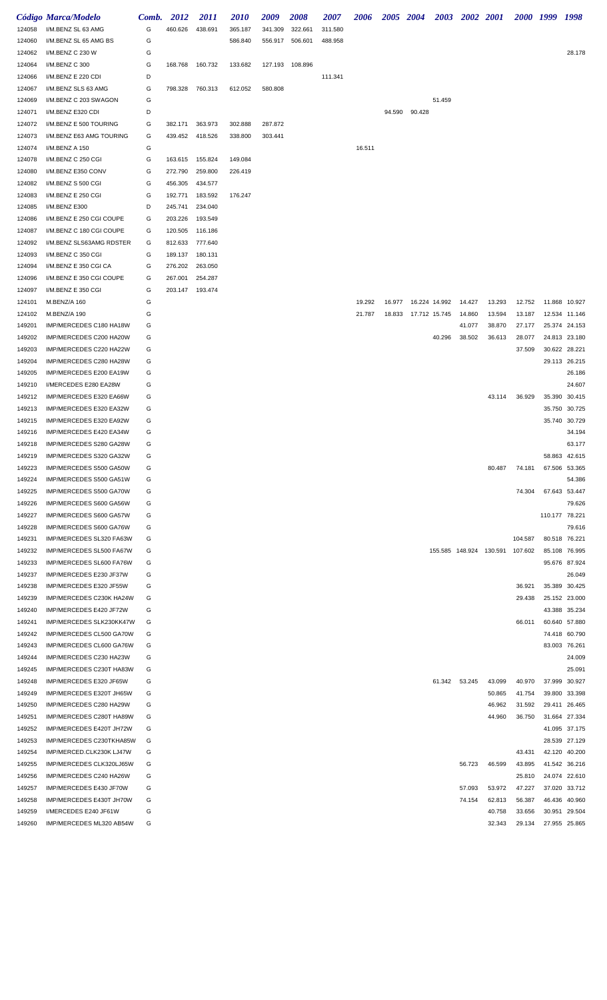|                  | Código Marca/Modelo                                  | Comb.  | 2012               | <i>2011</i>        | <i>2010</i> | 2009    | <b>2008</b>     | <i><b>2007</b></i> | 2006   |        | 2005 2004            | <b>2003</b> | 2002 2001 |                                 | 2000 1999 |                | 1998                    |
|------------------|------------------------------------------------------|--------|--------------------|--------------------|-------------|---------|-----------------|--------------------|--------|--------|----------------------|-------------|-----------|---------------------------------|-----------|----------------|-------------------------|
| 124058           | I/M.BENZ SL 63 AMG                                   | G      | 460.626            | 438.691            | 365.187     | 341.309 | 322.661         | 311.580            |        |        |                      |             |           |                                 |           |                |                         |
| 124060           | I/M.BENZ SL 65 AMG BS                                | G      |                    |                    | 586.840     | 556.917 | 506.601         | 488.958            |        |        |                      |             |           |                                 |           |                |                         |
| 124062           | I/M.BENZ C 230 W                                     | G      |                    |                    |             |         |                 |                    |        |        |                      |             |           |                                 |           |                | 28.178                  |
| 124064           | I/M.BENZ C 300                                       | G      | 168.768            | 160.732            | 133.682     |         | 127.193 108.896 |                    |        |        |                      |             |           |                                 |           |                |                         |
| 124066           | I/M.BENZ E 220 CDI                                   | D      |                    |                    |             |         |                 | 111.341            |        |        |                      |             |           |                                 |           |                |                         |
| 124067           | I/M.BENZ SLS 63 AMG                                  | G      | 798.328            | 760.313            | 612.052     | 580.808 |                 |                    |        |        |                      |             |           |                                 |           |                |                         |
| 124069           | I/M.BENZ C 203 SWAGON                                | G      |                    |                    |             |         |                 |                    |        |        |                      | 51.459      |           |                                 |           |                |                         |
| 124071           | I/M.BENZ E320 CDI                                    | D      |                    |                    |             |         |                 |                    |        | 94.590 | 90.428               |             |           |                                 |           |                |                         |
| 124072           | I/M.BENZ E 500 TOURING                               | G      | 382.171            | 363.973            | 302.888     | 287.872 |                 |                    |        |        |                      |             |           |                                 |           |                |                         |
| 124073           | I/M.BENZ E63 AMG TOURING                             | G      | 439.452 418.526    |                    | 338.800     | 303.441 |                 |                    |        |        |                      |             |           |                                 |           |                |                         |
| 124074           | I/M.BENZ A 150                                       | G      |                    |                    |             |         |                 |                    | 16.511 |        |                      |             |           |                                 |           |                |                         |
| 124078           | I/M.BENZ C 250 CGI                                   | G      | 163.615            | 155.824            | 149.084     |         |                 |                    |        |        |                      |             |           |                                 |           |                |                         |
| 124080           | I/M.BENZ E350 CONV                                   | G      | 272.790            | 259.800            | 226.419     |         |                 |                    |        |        |                      |             |           |                                 |           |                |                         |
| 124082           | I/M.BENZ S 500 CGI                                   | G      | 456.305            | 434.577            |             |         |                 |                    |        |        |                      |             |           |                                 |           |                |                         |
| 124083           | I/M.BENZ E 250 CGI                                   | G      | 192.771            | 183.592            | 176.247     |         |                 |                    |        |        |                      |             |           |                                 |           |                |                         |
| 124085           | I/M.BENZ E300                                        | D      | 245.741            | 234.040            |             |         |                 |                    |        |        |                      |             |           |                                 |           |                |                         |
| 124086           | I/M.BENZ E 250 CGI COUPE<br>I/M.BENZ C 180 CGI COUPE | G<br>G | 203.226            | 193.549            |             |         |                 |                    |        |        |                      |             |           |                                 |           |                |                         |
| 124087<br>124092 | I/M.BENZ SLS63AMG RDSTER                             | G      | 120.505<br>812.633 | 116.186<br>777.640 |             |         |                 |                    |        |        |                      |             |           |                                 |           |                |                         |
| 124093           | I/M.BENZ C 350 CGI                                   | G      | 189.137            | 180.131            |             |         |                 |                    |        |        |                      |             |           |                                 |           |                |                         |
| 124094           | I/M.BENZ E 350 CGI CA                                | G      | 276.202            | 263.050            |             |         |                 |                    |        |        |                      |             |           |                                 |           |                |                         |
| 124096           | I/M.BENZ E 350 CGI COUPE                             | G      | 267.001            | 254.287            |             |         |                 |                    |        |        |                      |             |           |                                 |           |                |                         |
| 124097           | I/M.BENZ E 350 CGI                                   | G      | 203.147            | 193.474            |             |         |                 |                    |        |        |                      |             |           |                                 |           |                |                         |
| 124101           | M.BENZ/A 160                                         | G      |                    |                    |             |         |                 |                    | 19.292 | 16.977 | 16.224 14.992        |             | 14.427    | 13.293                          | 12.752    | 11.868         | 10.927                  |
| 124102           | M.BENZ/A 190                                         | G      |                    |                    |             |         |                 |                    | 21.787 |        | 18.833 17.712 15.745 |             | 14.860    | 13.594                          | 13.187    |                | 12.534 11.146           |
| 149201           | IMP/MERCEDES C180 HA18W                              | G      |                    |                    |             |         |                 |                    |        |        |                      |             | 41.077    | 38.870                          | 27.177    | 25.374         | 24.153                  |
| 149202           | IMP/MERCEDES C200 HA20W                              | G      |                    |                    |             |         |                 |                    |        |        |                      | 40.296      | 38.502    | 36.613                          | 28.077    |                | 24.813 23.180           |
| 149203           | IMP/MERCEDES C220 HA22W                              | G      |                    |                    |             |         |                 |                    |        |        |                      |             |           |                                 | 37.509    |                | 30.622 28.221           |
| 149204           | IMP/MERCEDES C280 HA28W                              | G      |                    |                    |             |         |                 |                    |        |        |                      |             |           |                                 |           |                | 29.113 26.215           |
| 149205           | IMP/MERCEDES E200 EA19W                              | G      |                    |                    |             |         |                 |                    |        |        |                      |             |           |                                 |           |                | 26.186                  |
| 149210           | I/MERCEDES E280 EA28W                                | G      |                    |                    |             |         |                 |                    |        |        |                      |             |           |                                 |           |                | 24.607                  |
| 149212           | IMP/MERCEDES E320 EA66W                              | G      |                    |                    |             |         |                 |                    |        |        |                      |             |           | 43.114                          | 36.929    | 35.390         | 30.415                  |
| 149213           | IMP/MERCEDES E320 EA32W                              | G      |                    |                    |             |         |                 |                    |        |        |                      |             |           |                                 |           | 35.750         | 30.725                  |
| 149215           | IMP/MERCEDES E320 EA92W                              | G      |                    |                    |             |         |                 |                    |        |        |                      |             |           |                                 |           |                | 35.740 30.729           |
| 149216           | IMP/MERCEDES E420 EA34W                              | G      |                    |                    |             |         |                 |                    |        |        |                      |             |           |                                 |           |                | 34.194                  |
| 149218           | IMP/MERCEDES S280 GA28W                              | G      |                    |                    |             |         |                 |                    |        |        |                      |             |           |                                 |           |                | 63.177                  |
| 149219           | IMP/MERCEDES S320 GA32W                              | G      |                    |                    |             |         |                 |                    |        |        |                      |             |           |                                 |           | 58.863         | 42.615                  |
| 149223           | IMP/MERCEDES S500 GA50W                              | G      |                    |                    |             |         |                 |                    |        |        |                      |             |           | 80.487                          | 74.181    |                | 67.506 53.365           |
| 149224           | IMP/MERCEDES S500 GA51W                              | G      |                    |                    |             |         |                 |                    |        |        |                      |             |           |                                 |           |                | 54.386                  |
| 149225           | IMP/MERCEDES S500 GA70W                              | G      |                    |                    |             |         |                 |                    |        |        |                      |             |           |                                 | 74.304    |                | 67.643 53.447           |
| 149226           | IMP/MERCEDES S600 GA56W                              | G      |                    |                    |             |         |                 |                    |        |        |                      |             |           |                                 |           |                | 79.626                  |
| 149227           | IMP/MERCEDES S600 GA57W                              | G      |                    |                    |             |         |                 |                    |        |        |                      |             |           |                                 |           | 110.177 78.221 |                         |
| 149228           | IMP/MERCEDES S600 GA76W                              | G      |                    |                    |             |         |                 |                    |        |        |                      |             |           |                                 |           |                | 79.616                  |
| 149231           | IMP/MERCEDES SL320 FA63W                             | G      |                    |                    |             |         |                 |                    |        |        |                      |             |           |                                 | 104.587   |                | 80.518 76.221           |
| 149232           | IMP/MERCEDES SL500 FA67W                             | G      |                    |                    |             |         |                 |                    |        |        |                      |             |           | 155.585 148.924 130.591 107.602 |           |                | 85.108 76.995           |
| 149233           | IMP/MERCEDES SL600 FA76W                             | G      |                    |                    |             |         |                 |                    |        |        |                      |             |           |                                 |           |                | 95.676 87.924           |
| 149237           | IMP/MERCEDES E230 JF37W                              | G<br>G |                    |                    |             |         |                 |                    |        |        |                      |             |           |                                 | 36.921    |                | 26.049<br>35.389 30.425 |
| 149238<br>149239 | IMP/MERCEDES E320 JF55W<br>IMP/MERCEDES C230K HA24W  | G      |                    |                    |             |         |                 |                    |        |        |                      |             |           |                                 | 29.438    |                | 25.152 23.000           |
| 149240           | IMP/MERCEDES E420 JF72W                              | G      |                    |                    |             |         |                 |                    |        |        |                      |             |           |                                 |           |                | 43.388 35.234           |
| 149241           | IMP/MERCEDES SLK230KK47W                             | G      |                    |                    |             |         |                 |                    |        |        |                      |             |           |                                 | 66.011    |                | 60.640 57.880           |
| 149242           | IMP/MERCEDES CL500 GA70W                             | G      |                    |                    |             |         |                 |                    |        |        |                      |             |           |                                 |           |                | 74.418 60.790           |
| 149243           | IMP/MERCEDES CL600 GA76W                             | G      |                    |                    |             |         |                 |                    |        |        |                      |             |           |                                 |           |                | 83.003 76.261           |
| 149244           | IMP/MERCEDES C230 HA23W                              | G      |                    |                    |             |         |                 |                    |        |        |                      |             |           |                                 |           |                | 24.009                  |
| 149245           | IMP/MERCEDES C230T HA83W                             | G      |                    |                    |             |         |                 |                    |        |        |                      |             |           |                                 |           |                | 25.091                  |
| 149248           | IMP/MERCEDES E320 JF65W                              | G      |                    |                    |             |         |                 |                    |        |        |                      | 61.342      | 53.245    | 43.099                          | 40.970    |                | 37.999 30.927           |
| 149249           | IMP/MERCEDES E320T JH65W                             | G      |                    |                    |             |         |                 |                    |        |        |                      |             |           | 50.865                          | 41.754    |                | 39.800 33.398           |
| 149250           | IMP/MERCEDES C280 HA29W                              | G      |                    |                    |             |         |                 |                    |        |        |                      |             |           | 46.962                          | 31.592    |                | 29.411 26.465           |
| 149251           | IMP/MERCEDES C280T HA89W                             | G      |                    |                    |             |         |                 |                    |        |        |                      |             |           | 44.960                          | 36.750    |                | 31.664 27.334           |
| 149252           | IMP/MERCEDES E420T JH72W                             | G      |                    |                    |             |         |                 |                    |        |        |                      |             |           |                                 |           |                | 41.095 37.175           |
| 149253           | IMP/MERCEDES C230TKHA85W                             | G      |                    |                    |             |         |                 |                    |        |        |                      |             |           |                                 |           |                | 28.539 27.129           |
| 149254           | IMP/MERCED.CLK230K LJ47W                             | G      |                    |                    |             |         |                 |                    |        |        |                      |             |           |                                 | 43.431    |                | 42.120 40.200           |
| 149255           | IMP/MERCEDES CLK320LJ65W                             | G      |                    |                    |             |         |                 |                    |        |        |                      |             | 56.723    | 46.599                          | 43.895    |                | 41.542 36.216           |
| 149256           | IMP/MERCEDES C240 HA26W                              | G      |                    |                    |             |         |                 |                    |        |        |                      |             |           |                                 | 25.810    |                | 24.074 22.610           |
| 149257           | IMP/MERCEDES E430 JF70W                              | G      |                    |                    |             |         |                 |                    |        |        |                      |             | 57.093    | 53.972                          | 47.227    |                | 37.020 33.712           |
| 149258           | IMP/MERCEDES E430T JH70W                             | G      |                    |                    |             |         |                 |                    |        |        |                      |             | 74.154    | 62.813                          | 56.387    |                | 46.436 40.960           |
| 149259           | I/MERCEDES E240 JF61W                                | G      |                    |                    |             |         |                 |                    |        |        |                      |             |           | 40.758                          | 33.656    |                | 30.951 29.504           |
| 149260           | IMP/MERCEDES ML320 AB54W                             | G      |                    |                    |             |         |                 |                    |        |        |                      |             |           | 32.343                          | 29.134    |                | 27.955 25.865           |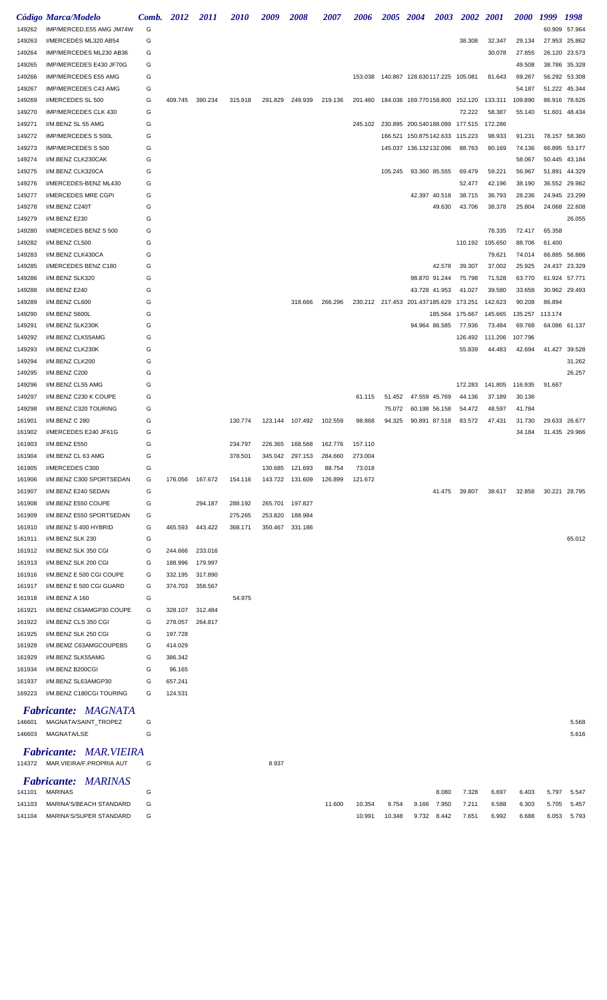|        | Código Marca/Modelo                                               | Comb. | 2012    | <i>2011</i> | <i>2010</i> | 2009    | 2008            | 2007    | 2006    | 2005 2004 |                                           | <b>2003</b> | <b>2002</b> | <b>2001</b>     | <i>2000</i> | 1999    | 1998          |
|--------|-------------------------------------------------------------------|-------|---------|-------------|-------------|---------|-----------------|---------|---------|-----------|-------------------------------------------|-------------|-------------|-----------------|-------------|---------|---------------|
| 149262 | IMP/MERCED.E55 AMG JM74W                                          | G     |         |             |             |         |                 |         |         |           |                                           |             |             |                 |             | 60.909  | 57.964        |
| 149263 | I/MERCEDES ML320 AB54                                             | G     |         |             |             |         |                 |         |         |           |                                           |             | 38.308      | 32.347          | 29.134      |         | 27.953 25.862 |
| 149264 | IMP/MERCEDES ML230 AB36                                           | G     |         |             |             |         |                 |         |         |           |                                           |             |             | 30.078          | 27.855      | 26.120  | 23.573        |
| 149265 | IMP/MERCEDES E430 JF70G                                           | G     |         |             |             |         |                 |         |         |           |                                           |             |             |                 | 49.508      | 38.786  | 35.328        |
| 149266 | IMP/MERCEDES E55 AMG                                              | G     |         |             |             |         |                 |         |         |           | 153.038  140.867  128.630117.225  105.081 |             |             | 81.643          | 69.267      | 56.292  | 53.308        |
| 149267 | IMP/MERCEDES C43 AMG                                              | G     |         |             |             |         |                 |         |         |           |                                           |             |             |                 | 54.187      | 51.222  | 45.344        |
| 149269 | I/MERCEDES SL 500                                                 | G     | 409.745 | 390.234     | 315.918     | 291.829 | 249.939         | 219.136 | 201.460 |           | 184.036 169.770158.800 152.120            |             |             | 133.311         | 109.890     | 86.916  | 78.626        |
| 149270 | IMP/MERCEDES CLK 430                                              | G     |         |             |             |         |                 |         |         |           |                                           |             | 72.222      | 58.387          | 55.140      |         | 51.601 48.434 |
| 149271 | I/M.BENZ SL 55 AMG                                                | G     |         |             |             |         |                 |         |         |           | 245.102 230.895 200.540188.099 177.515    |             |             | 172.286         |             |         |               |
| 149272 | IMP/MERCEDES S 500L                                               | G     |         |             |             |         |                 |         |         |           | 166.521 150.875142.633 115.223            |             |             | 98.933          | 91.231      |         | 78.157 58.360 |
| 149273 | IMP/MERCEDES S 500                                                | G     |         |             |             |         |                 |         |         |           | 145.037 136.132132.096                    |             | 88.763      | 80.169          | 74.136      | 66.895  | 53.177        |
| 149274 | I/M.BENZ CLK230CAK                                                | G     |         |             |             |         |                 |         |         |           |                                           |             |             |                 | 58.067      | 50.445  | 43.184        |
| 149275 | I/M.BENZ CLK320CA                                                 | G     |         |             |             |         |                 |         |         | 105.245   | 93.360 85.555                             |             | 69.479      | 59.221          | 56.967      | 51.891  | 44.329        |
| 149276 | I/MERCEDES-BENZ ML430                                             | G     |         |             |             |         |                 |         |         |           |                                           |             | 52.477      | 42.196          | 38.190      |         | 36.552 29.982 |
| 149277 | I/MERCEDES MRE CGPI                                               | G     |         |             |             |         |                 |         |         |           | 42.397 40.518                             |             | 38.715      | 36.793          | 28.236      | 24.945  | 23.299        |
| 149278 | I/M.BENZ C240T                                                    | G     |         |             |             |         |                 |         |         |           |                                           | 49.630      | 43.706      | 38.378          | 25.804      |         | 24.068 22.608 |
| 149279 | I/M.BENZ E230                                                     | G     |         |             |             |         |                 |         |         |           |                                           |             |             |                 |             |         | 26.055        |
| 149280 | I/MERCEDES BENZ S 500                                             | G     |         |             |             |         |                 |         |         |           |                                           |             |             | 78.335          | 72.417      | 65.358  |               |
| 149282 | I/M.BENZ CL500                                                    | G     |         |             |             |         |                 |         |         |           |                                           |             | 110.192     | 105.650         | 88.706      | 61.400  |               |
| 149283 | I/M.BENZ CLK430CA                                                 | G     |         |             |             |         |                 |         |         |           |                                           |             |             | 79.621          | 74.014      | 66.885  | 56.886        |
| 149285 | I/MERCEDES BENZ C180                                              | G     |         |             |             |         |                 |         |         |           |                                           | 42.578      | 39.307      | 37.002          | 25.925      | 24.437  | 23.329        |
| 149286 | I/M.BENZ SLK320                                                   | G     |         |             |             |         |                 |         |         |           | 98.870 91.244                             |             | 75.798      | 71.528          | 63.770      | 61.924  | 57.771        |
| 149288 | I/M.BENZ E240                                                     | G     |         |             |             |         |                 |         |         |           | 43.728 41.953                             |             | 41.027      | 39.580          | 33.658      |         | 30.962 29.493 |
| 149289 | I/M.BENZ CL600                                                    | G     |         |             |             |         | 318.666         | 266.296 |         |           | 230.212 217.453 201.437185.629            |             | 173.251     | 142.623         | 90.208      | 86.894  |               |
| 149290 | I/M.BENZ S600L                                                    | G     |         |             |             |         |                 |         |         |           |                                           | 185.564     | 175.667     | 145.665         | 135.257     | 113.174 |               |
| 149291 | I/M.BENZ SLK230K                                                  | G     |         |             |             |         |                 |         |         |           | 94.964 86.585                             |             | 77.936      | 73.484          | 69.768      |         | 64.086 61.137 |
| 149292 | I/M.BENZ CLK55AMG                                                 | G     |         |             |             |         |                 |         |         |           |                                           |             | 126.492     | 111.206         | 107.796     |         |               |
| 149293 | I/M.BENZ CLK230K                                                  | G     |         |             |             |         |                 |         |         |           |                                           |             | 55.839      | 44.483          | 42.694      | 41.427  | 39.528        |
|        |                                                                   |       |         |             |             |         |                 |         |         |           |                                           |             |             |                 |             |         |               |
| 149294 | I/M.BENZ CLK200                                                   | G     |         |             |             |         |                 |         |         |           |                                           |             |             |                 |             |         | 31.262        |
| 149295 | I/M.BENZ C200                                                     | G     |         |             |             |         |                 |         |         |           |                                           |             |             |                 |             |         | 26.257        |
| 149296 | I/M.BENZ CL55 AMG                                                 | G     |         |             |             |         |                 |         |         |           |                                           |             | 172.283     | 141.805 116.935 |             | 91.667  |               |
| 149297 | I/M.BENZ C230 K COUPE                                             | G     |         |             |             |         |                 |         | 61.115  | 51.452    | 47.559 45.769                             |             | 44.136      | 37.189          | 30.136      |         |               |
| 149298 | I/M.BENZ C320 TOURING                                             | G     |         |             |             |         |                 |         |         | 75.072    | 60.198 56.158                             |             | 54.472      | 48.597          | 41.784      |         |               |
| 161901 | I/M.BENZ C 280                                                    | G     |         |             | 130.774     | 123.144 | 107.492         | 102.559 | 98.868  | 94.325    | 90.891 87.518                             |             | 83.572      | 47.431          | 31.730      |         | 29.633 26.677 |
| 161902 | I/MERCEDES E240 JF61G                                             | G     |         |             |             |         |                 |         |         |           |                                           |             |             |                 | 34.184      |         | 31.435 29.966 |
| 161903 | I/M.BENZ E550                                                     | G     |         |             | 234.797     | 226.365 | 168.568         | 162.776 | 157.110 |           |                                           |             |             |                 |             |         |               |
| 161904 | I/M.BENZ CL 63 AMG                                                | G     |         |             | 378.501     | 345.042 | 297.153         | 284.660 | 273.004 |           |                                           |             |             |                 |             |         |               |
| 161905 | I/MERCEDES C300                                                   | G     |         |             |             | 130.685 | 121.693         | 88.754  | 73.018  |           |                                           |             |             |                 |             |         |               |
| 161906 | I/M.BENZ C300 SPORTSEDAN                                          | G     | 176.056 | 167.672     | 154.116     |         | 143.722 131.609 | 126.899 | 121.672 |           |                                           |             |             |                 |             |         |               |
| 161907 | I/M.BENZ E240 SEDAN                                               | G     |         |             |             |         |                 |         |         |           |                                           | 41.475      | 39.807      | 38.617          | 32.858      |         | 30.221 28.795 |
| 161908 | I/M.BENZ E550 COUPE                                               | G     |         | 294.187     | 288.192     | 265.701 | 197.827         |         |         |           |                                           |             |             |                 |             |         |               |
| 161909 | I/M.BENZ E550 SPORTSEDAN                                          | G     |         |             | 275.265     | 253.820 | 188.984         |         |         |           |                                           |             |             |                 |             |         |               |
| 161910 | I/M.BENZ S 400 HYBRID                                             | G     | 465.593 | 443.422     | 368.171     | 350.467 | 331.186         |         |         |           |                                           |             |             |                 |             |         |               |
| 161911 | I/M.BENZ SLK 230                                                  | G     |         |             |             |         |                 |         |         |           |                                           |             |             |                 |             |         | 65.012        |
| 161912 | I/M.BENZ SLK 350 CGI                                              | G     | 244.666 | 233.016     |             |         |                 |         |         |           |                                           |             |             |                 |             |         |               |
| 161913 | I/M.BENZ SLK 200 CGI                                              | G     | 188.996 | 179.997     |             |         |                 |         |         |           |                                           |             |             |                 |             |         |               |
| 161916 | I/M.BENZ E 500 CGI COUPE                                          | G     | 332.195 | 317.890     |             |         |                 |         |         |           |                                           |             |             |                 |             |         |               |
| 161917 | I/M.BENZ E 500 CGI GUARD                                          | G     | 374.703 | 358.567     |             |         |                 |         |         |           |                                           |             |             |                 |             |         |               |
| 161918 | I/M.BENZ A 160                                                    | G     |         |             | 54.975      |         |                 |         |         |           |                                           |             |             |                 |             |         |               |
| 161921 | I/M.BENZ C63AMGP30 COUPE                                          | G     | 328.107 | 312.484     |             |         |                 |         |         |           |                                           |             |             |                 |             |         |               |
| 161922 | I/M.BENZ CLS 350 CGI                                              | G     | 278.057 | 264.817     |             |         |                 |         |         |           |                                           |             |             |                 |             |         |               |
| 161925 | I/M.BENZ SLK 250 CGI                                              | G     | 197.728 |             |             |         |                 |         |         |           |                                           |             |             |                 |             |         |               |
| 161928 | I/M.BEMZ C63AMGCOUPEBS                                            | G     | 414.029 |             |             |         |                 |         |         |           |                                           |             |             |                 |             |         |               |
| 161929 | I/M.BENZ SLK55AMG                                                 | G     | 386.342 |             |             |         |                 |         |         |           |                                           |             |             |                 |             |         |               |
| 161934 | I/M.BENZ B200CGI                                                  | G     | 96.165  |             |             |         |                 |         |         |           |                                           |             |             |                 |             |         |               |
| 161937 | I/M.BENZ SL63AMGP30                                               | G     | 657.241 |             |             |         |                 |         |         |           |                                           |             |             |                 |             |         |               |
| 169223 | I/M.BENZ C180CGI TOURING                                          | G     | 124.531 |             |             |         |                 |         |         |           |                                           |             |             |                 |             |         |               |
|        | <b>Fabricante: MAGNATA</b>                                        |       |         |             |             |         |                 |         |         |           |                                           |             |             |                 |             |         |               |
| 146601 | MAGNATA/SAINT_TROPEZ                                              | G     |         |             |             |         |                 |         |         |           |                                           |             |             |                 |             |         | 5.568         |
| 146603 | MAGNATA/LSE                                                       | G     |         |             |             |         |                 |         |         |           |                                           |             |             |                 |             |         | 5.616         |
|        |                                                                   |       |         |             |             |         |                 |         |         |           |                                           |             |             |                 |             |         |               |
|        | <b>Fabricante: MAR. VIEIRA</b><br>114372 MAR.VIEIRA/F.PROPRIA AUT | G     |         |             |             | 8.937   |                 |         |         |           |                                           |             |             |                 |             |         |               |
|        | <b>Fabricante: MARINAS</b>                                        |       |         |             |             |         |                 |         |         |           |                                           |             |             |                 |             |         |               |
| 141101 | <b>MARINAS</b>                                                    | G     |         |             |             |         |                 |         |         |           |                                           | 8.080       | 7.328       | 6.697           | 6.403       | 5.797   | 5.547         |
| 141103 | MARINA'S/BEACH STANDARD                                           | G     |         |             |             |         |                 | 11.600  | 10.354  | 9.754     | 9.166                                     | 7.950       | 7.211       | 6.588           | 6.303       | 5.705   | 5.457         |
| 141104 | MARINA'S/SUPER STANDARD                                           | G     |         |             |             |         |                 |         | 10.991  | 10.348    |                                           | 9.732 8.442 | 7.651       | 6.992           | 6.688       | 6.053   | 5.793         |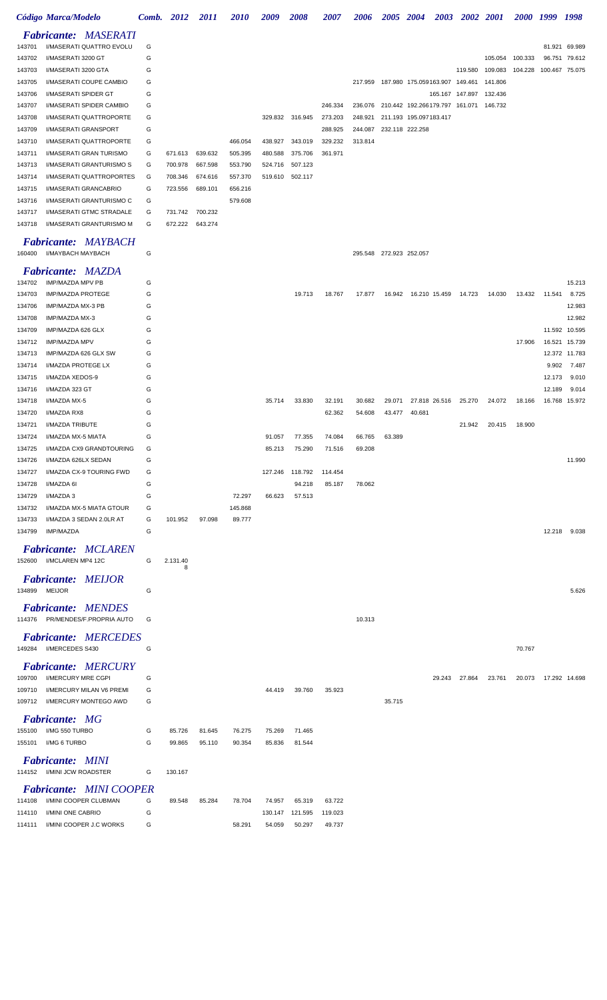|                  | Código Marca/Modelo                                  |        | Comb. 2012         | <i>2011</i>        | <i>2010</i>        | 2009               | 2008                      | <i><b>2007</b></i> | 2006    |                 | 2005 2004                      |               | 2003 2002 2001  |         |         | 2000 1999 1998  |                         |
|------------------|------------------------------------------------------|--------|--------------------|--------------------|--------------------|--------------------|---------------------------|--------------------|---------|-----------------|--------------------------------|---------------|-----------------|---------|---------|-----------------|-------------------------|
|                  | <b>Fabricante: MASERATI</b>                          |        |                    |                    |                    |                    |                           |                    |         |                 |                                |               |                 |         |         |                 |                         |
| 143701<br>143702 | I/MASERATI QUATTRO EVOLU<br>I/MASERATI 3200 GT       | G<br>G |                    |                    |                    |                    |                           |                    |         |                 |                                |               |                 | 105.054 | 100.333 | 96.751          | 81.921 69.989<br>79.612 |
| 143703           | I/MASERATI 3200 GTA                                  | G      |                    |                    |                    |                    |                           |                    |         |                 |                                |               | 119.580         | 109.083 | 104.228 | 100.467 75.075  |                         |
| 143705           | I/MASERATI COUPE CAMBIO                              | G      |                    |                    |                    |                    |                           |                    | 217.959 |                 | 187.980 175.059163.907 149.461 |               |                 | 141.806 |         |                 |                         |
| 143706           | I/MASERATI SPIDER GT                                 | G      |                    |                    |                    |                    |                           |                    |         |                 |                                |               | 165.167 147.897 | 132.436 |         |                 |                         |
| 143707           | I/MASERATI SPIDER CAMBIO                             | G      |                    |                    |                    |                    |                           | 246.334            | 236.076 |                 | 210.442 192.266179.797 161.071 |               |                 | 146.732 |         |                 |                         |
| 143708           | I/MASERATI QUATTROPORTE                              | G      |                    |                    |                    |                    | 329.832 316.945           | 273.203            | 248.921 |                 | 211.193 195.097183.417         |               |                 |         |         |                 |                         |
| 143709           | I/MASERATI GRANSPORT                                 | G      |                    |                    |                    |                    |                           | 288.925            | 244.087 |                 | 232.118 222.258                |               |                 |         |         |                 |                         |
| 143710           | I/MASERATI QUATTROPORTE                              | G      |                    |                    | 466.054            | 438.927            | 343.019                   | 329.232            | 313.814 |                 |                                |               |                 |         |         |                 |                         |
| 143711<br>143713 | I/MASERATI GRAN TURISMO                              | G<br>G | 671.613<br>700.978 | 639.632<br>667.598 | 505.395<br>553.790 | 480.588            | 375.706<br>507.123        | 361.971            |         |                 |                                |               |                 |         |         |                 |                         |
| 143714           | I/MASERATI GRANTURISMO S<br>I/MASERATI QUATTROPORTES | G      | 708.346            | 674.616            | 557.370            | 524.716<br>519.610 | 502.117                   |                    |         |                 |                                |               |                 |         |         |                 |                         |
| 143715           | I/MASERATI GRANCABRIO                                | G      | 723.556            | 689.101            | 656.216            |                    |                           |                    |         |                 |                                |               |                 |         |         |                 |                         |
| 143716           | I/MASERATI GRANTURISMO C                             | G      |                    |                    | 579.608            |                    |                           |                    |         |                 |                                |               |                 |         |         |                 |                         |
| 143717           | I/MASERATI GTMC STRADALE                             | G      | 731.742            | 700.232            |                    |                    |                           |                    |         |                 |                                |               |                 |         |         |                 |                         |
| 143718           | I/MASERATI GRANTURISMO M                             | G      | 672.222            | 643.274            |                    |                    |                           |                    |         |                 |                                |               |                 |         |         |                 |                         |
|                  | <b>Fabricante: MAYBACH</b>                           |        |                    |                    |                    |                    |                           |                    |         |                 |                                |               |                 |         |         |                 |                         |
| 160400           | I/MAYBACH MAYBACH                                    | G      |                    |                    |                    |                    |                           |                    | 295.548 | 272.923 252.057 |                                |               |                 |         |         |                 |                         |
|                  | <b>Fabricante: MAZDA</b>                             |        |                    |                    |                    |                    |                           |                    |         |                 |                                |               |                 |         |         |                 |                         |
| 134702           | IMP/MAZDA MPV PB                                     | G      |                    |                    |                    |                    |                           |                    |         |                 |                                |               |                 |         |         |                 | 15.213                  |
| 134703           | IMP/MAZDA PROTEGE                                    | G      |                    |                    |                    |                    | 19.713                    | 18.767             | 17.877  |                 | 16.942  16.210  15.459         |               | 14.723          | 14.030  | 13.432  | 11.541          | 8.725                   |
| 134706           | IMP/MAZDA MX-3 PB                                    | G      |                    |                    |                    |                    |                           |                    |         |                 |                                |               |                 |         |         |                 | 12.983                  |
| 134708           | IMP/MAZDA MX-3                                       | G      |                    |                    |                    |                    |                           |                    |         |                 |                                |               |                 |         |         |                 | 12.982                  |
| 134709           | IMP/MAZDA 626 GLX                                    | G      |                    |                    |                    |                    |                           |                    |         |                 |                                |               |                 |         |         | 11.592          | 10.595                  |
| 134712           | <b>IMP/MAZDA MPV</b>                                 | G      |                    |                    |                    |                    |                           |                    |         |                 |                                |               |                 |         | 17.906  | 16.521          | 15.739                  |
| 134713           | IMP/MAZDA 626 GLX SW                                 | G      |                    |                    |                    |                    |                           |                    |         |                 |                                |               |                 |         |         |                 | 12.372 11.783           |
| 134714<br>134715 | I/MAZDA PROTEGE LX<br>I/MAZDA XEDOS-9                | G<br>G |                    |                    |                    |                    |                           |                    |         |                 |                                |               |                 |         |         | 9.902<br>12.173 | 7.487<br>9.010          |
| 134716           | I/MAZDA 323 GT                                       | G      |                    |                    |                    |                    |                           |                    |         |                 |                                |               |                 |         |         | 12.189          | 9.014                   |
| 134718           | I/MAZDA MX-5                                         | G      |                    |                    |                    | 35.714             | 33.830                    | 32.191             | 30.682  | 29.071          |                                | 27.818 26.516 | 25.270          | 24.072  | 18.166  | 16.768          | 15.972                  |
| 134720           | I/MAZDA RX8                                          | G      |                    |                    |                    |                    |                           | 62.362             | 54.608  | 43.477          | 40.681                         |               |                 |         |         |                 |                         |
| 134721           | I/MAZDA TRIBUTE                                      | G      |                    |                    |                    |                    |                           |                    |         |                 |                                |               | 21.942          | 20.415  | 18.900  |                 |                         |
| 134724           | I/MAZDA MX-5 MIATA                                   | G      |                    |                    |                    | 91.057             | 77.355                    | 74.084             | 66.765  | 63.389          |                                |               |                 |         |         |                 |                         |
| 134725           | I/MAZDA CX9 GRANDTOURING                             | G      |                    |                    |                    | 85.213             | 75.290                    | 71.516             | 69.208  |                 |                                |               |                 |         |         |                 |                         |
| 134726           | I/MAZDA 626LX SEDAN                                  | G      |                    |                    |                    |                    |                           |                    |         |                 |                                |               |                 |         |         |                 | 11.990                  |
| 134727<br>134728 | I/MAZDA CX-9 TOURING FWD<br>I/MAZDA 6I               | G<br>G |                    |                    |                    |                    | 127.246 118.792<br>94.218 | 114.454<br>85.187  | 78.062  |                 |                                |               |                 |         |         |                 |                         |
| 134729           | I/MAZDA 3                                            | G      |                    |                    | 72.297             | 66.623             | 57.513                    |                    |         |                 |                                |               |                 |         |         |                 |                         |
| 134732           | I/MAZDA MX-5 MIATA GTOUR                             | G      |                    |                    | 145.868            |                    |                           |                    |         |                 |                                |               |                 |         |         |                 |                         |
| 134733           | I/MAZDA 3 SEDAN 2.0LR AT                             | G      | 101.952            | 97.098             | 89.777             |                    |                           |                    |         |                 |                                |               |                 |         |         |                 |                         |
| 134799           | IMP/MAZDA                                            | G      |                    |                    |                    |                    |                           |                    |         |                 |                                |               |                 |         |         | 12.218          | 9.038                   |
|                  | <b>Fabricante: MCLAREN</b>                           |        |                    |                    |                    |                    |                           |                    |         |                 |                                |               |                 |         |         |                 |                         |
| 152600           | I/MCLAREN MP4 12C                                    | G      | 2.131.40           |                    |                    |                    |                           |                    |         |                 |                                |               |                 |         |         |                 |                         |
|                  |                                                      |        | 8                  |                    |                    |                    |                           |                    |         |                 |                                |               |                 |         |         |                 |                         |
| 134899 MEIJOR    | <b>Fabricante: MEIJOR</b>                            | G      |                    |                    |                    |                    |                           |                    |         |                 |                                |               |                 |         |         |                 | 5.626                   |
|                  |                                                      |        |                    |                    |                    |                    |                           |                    |         |                 |                                |               |                 |         |         |                 |                         |
|                  | <b>Fabricante: MENDES</b>                            |        |                    |                    |                    |                    |                           |                    |         |                 |                                |               |                 |         |         |                 |                         |
| 114376           | PR/MENDES/F.PROPRIA AUTO                             | G      |                    |                    |                    |                    |                           |                    | 10.313  |                 |                                |               |                 |         |         |                 |                         |
|                  | <b>Fabricante: MERCEDES</b>                          |        |                    |                    |                    |                    |                           |                    |         |                 |                                |               |                 |         |         |                 |                         |
|                  | 149284 I/MERCEDES S430                               | G      |                    |                    |                    |                    |                           |                    |         |                 |                                |               |                 |         | 70.767  |                 |                         |
|                  | <b>Fabricante: MERCURY</b>                           |        |                    |                    |                    |                    |                           |                    |         |                 |                                |               |                 |         |         |                 |                         |
| 109700           | I/MERCURY MRE CGPI                                   | G      |                    |                    |                    |                    |                           |                    |         |                 |                                | 29.243        | 27.864          | 23.761  | 20.073  |                 | 17.292 14.698           |
| 109710           | I/MERCURY MILAN V6 PREMI                             | G      |                    |                    |                    | 44.419             | 39.760                    | 35.923             |         |                 |                                |               |                 |         |         |                 |                         |
| 109712           | I/MERCURY MONTEGO AWD                                | G      |                    |                    |                    |                    |                           |                    |         | 35.715          |                                |               |                 |         |         |                 |                         |
|                  | <b>Fabricante: MG</b>                                |        |                    |                    |                    |                    |                           |                    |         |                 |                                |               |                 |         |         |                 |                         |
| 155100           | I/MG 550 TURBO                                       | G      | 85.726             | 81.645             | 76.275             | 75.269             | 71.465                    |                    |         |                 |                                |               |                 |         |         |                 |                         |
| 155101           | I/MG 6 TURBO                                         | G      | 99.865             | 95.110             | 90.354             | 85.836             | 81.544                    |                    |         |                 |                                |               |                 |         |         |                 |                         |
|                  | <b>Fabricante: MINI</b>                              |        |                    |                    |                    |                    |                           |                    |         |                 |                                |               |                 |         |         |                 |                         |
|                  | 114152 I/MINI JCW ROADSTER                           | G      | 130.167            |                    |                    |                    |                           |                    |         |                 |                                |               |                 |         |         |                 |                         |
|                  | <b>Fabricante: MINI COOPER</b>                       |        |                    |                    |                    |                    |                           |                    |         |                 |                                |               |                 |         |         |                 |                         |
| 114108           | I/MINI COOPER CLUBMAN                                | G      | 89.548             | 85.284             | 78.704             | 74.957             | 65.319                    | 63.722             |         |                 |                                |               |                 |         |         |                 |                         |
| 114110           | I/MINI ONE CABRIO                                    | G      |                    |                    |                    | 130.147            | 121.595                   | 119.023            |         |                 |                                |               |                 |         |         |                 |                         |
| 114111           | I/MINI COOPER J.C WORKS                              | G      |                    |                    | 58.291             | 54.059             | 50.297                    | 49.737             |         |                 |                                |               |                 |         |         |                 |                         |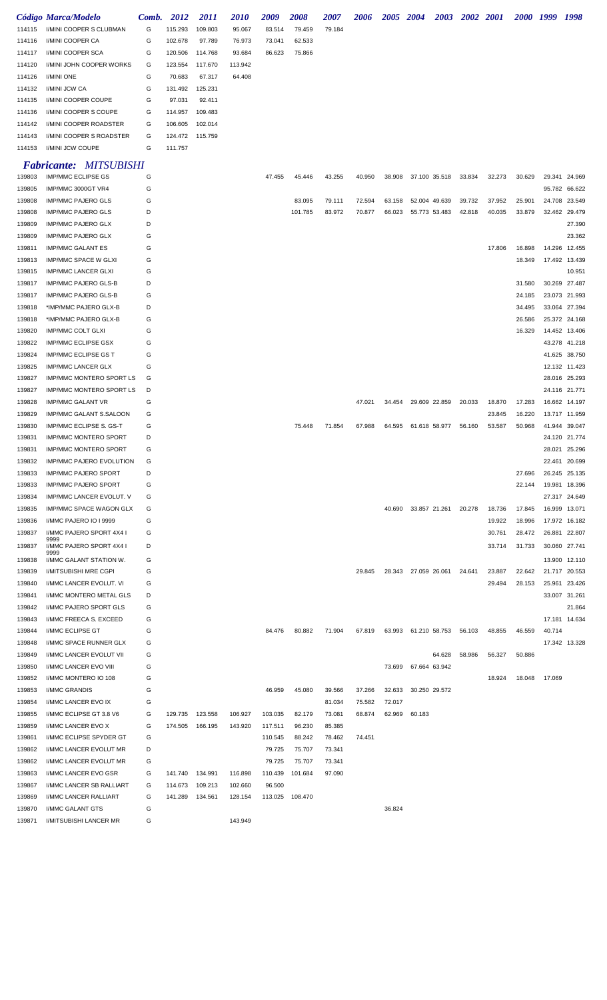|        | Código Marca/Modelo           | Comb. | 2012    | <b>2011</b> | <b>2010</b> | 2009   | 2008   | 2007   | 2006 | <b>2005</b> | <b>2004</b> | 2003 | <b>2002</b> | <b>2001</b> | 2000 1999 | 1998 |
|--------|-------------------------------|-------|---------|-------------|-------------|--------|--------|--------|------|-------------|-------------|------|-------------|-------------|-----------|------|
| 114115 | I/MINI COOPER S CLUBMAN       | G     | 115.293 | 109.803     | 95.067      | 83.514 | 79.459 | 79.184 |      |             |             |      |             |             |           |      |
| 114116 | I/MINI COOPER CA              | G     | 102.678 | 97.789      | 76.973      | 73.041 | 62.533 |        |      |             |             |      |             |             |           |      |
| 114117 | I/MINI COOPER SCA             | G     | 120.506 | 114.768     | 93.684      | 86.623 | 75.866 |        |      |             |             |      |             |             |           |      |
| 114120 | I/MINI JOHN COOPER WORKS      | G     | 123.554 | 117.670     | 113.942     |        |        |        |      |             |             |      |             |             |           |      |
| 114126 | I/MINI ONE                    | G     | 70.683  | 67.317      | 64.408      |        |        |        |      |             |             |      |             |             |           |      |
| 114132 | I/MINI JCW CA                 | G     | 131.492 | 125.231     |             |        |        |        |      |             |             |      |             |             |           |      |
| 114135 | I/MINI COOPER COUPE           | G     | 97.031  | 92.411      |             |        |        |        |      |             |             |      |             |             |           |      |
| 114136 | I/MINI COOPER S COUPE         | G     | 114.957 | 109.483     |             |        |        |        |      |             |             |      |             |             |           |      |
| 114142 | I/MINI COOPER ROADSTER        | G     | 106.605 | 102.014     |             |        |        |        |      |             |             |      |             |             |           |      |
| 114143 | I/MINI COOPER S ROADSTER      | G     | 124.472 | 115.759     |             |        |        |        |      |             |             |      |             |             |           |      |
| 114153 | I/MINI JCW COUPE              | G     | 111.757 |             |             |        |        |        |      |             |             |      |             |             |           |      |
|        | <b>Fabricante: MITSUBISHI</b> |       |         |             |             |        |        |        |      |             |             |      |             |             |           |      |

| 139803 | <b>IMP/MMC ECLIPSE GS</b>        | G |                 |                 |         | 47.455  | 45.446          | 43.255 | 40.950 |        | 38.908 37.100 35.518 | 33.834 | 32.273 | 30.629 |               | 29.341 24.969 |
|--------|----------------------------------|---|-----------------|-----------------|---------|---------|-----------------|--------|--------|--------|----------------------|--------|--------|--------|---------------|---------------|
| 139805 | IMP/MMC 3000GT VR4               | G |                 |                 |         |         |                 |        |        |        |                      |        |        |        |               | 95.782 66.622 |
| 139808 | <b>IMP/MMC PAJERO GLS</b>        | G |                 |                 |         |         | 83.095          | 79.111 | 72.594 | 63.158 | 52.004 49.639        | 39.732 | 37.952 | 25.901 | 24.708 23.549 |               |
| 139808 | <b>IMP/MMC PAJERO GLS</b>        | D |                 |                 |         |         | 101.785         | 83.972 | 70.877 | 66.023 | 55.773 53.483        | 42.818 | 40.035 | 33.879 |               | 32.462 29.479 |
| 139809 | IMP/MMC PAJERO GLX               | D |                 |                 |         |         |                 |        |        |        |                      |        |        |        |               | 27.390        |
| 139809 | IMP/MMC PAJERO GLX               | G |                 |                 |         |         |                 |        |        |        |                      |        |        |        |               | 23.362        |
| 139811 | <b>IMP/MMC GALANT ES</b>         | G |                 |                 |         |         |                 |        |        |        |                      |        | 17.806 | 16.898 |               | 14.296 12.455 |
| 139813 | IMP/MMC SPACE W GLXI             | G |                 |                 |         |         |                 |        |        |        |                      |        |        | 18.349 | 17.492 13.439 |               |
| 139815 | <b>IMP/MMC LANCER GLXI</b>       | G |                 |                 |         |         |                 |        |        |        |                      |        |        |        |               | 10.951        |
| 139817 | <b>IMP/MMC PAJERO GLS-B</b>      | D |                 |                 |         |         |                 |        |        |        |                      |        |        | 31.580 | 30.269 27.487 |               |
| 139817 | <b>IMP/MMC PAJERO GLS-B</b>      | G |                 |                 |         |         |                 |        |        |        |                      |        |        | 24.185 | 23.073 21.993 |               |
|        |                                  | D |                 |                 |         |         |                 |        |        |        |                      |        |        |        |               |               |
| 139818 | *IMP/MMC PAJERO GLX-B            |   |                 |                 |         |         |                 |        |        |        |                      |        |        | 34.495 | 33.064 27.394 |               |
| 139818 | *IMP/MMC PAJERO GLX-B            | G |                 |                 |         |         |                 |        |        |        |                      |        |        | 26.586 | 25.372 24.168 |               |
| 139820 | <b>IMP/MMC COLT GLXI</b>         | G |                 |                 |         |         |                 |        |        |        |                      |        |        | 16.329 |               | 14.452 13.406 |
| 139822 | <b>IMP/MMC ECLIPSE GSX</b>       | G |                 |                 |         |         |                 |        |        |        |                      |        |        |        |               | 43.278 41.218 |
| 139824 | <b>IMP/MMC ECLIPSE GS T</b>      | G |                 |                 |         |         |                 |        |        |        |                      |        |        |        |               | 41.625 38.750 |
| 139825 | <b>IMP/MMC LANCER GLX</b>        | G |                 |                 |         |         |                 |        |        |        |                      |        |        |        |               | 12.132 11.423 |
| 139827 | IMP/MMC MONTERO SPORT LS         | G |                 |                 |         |         |                 |        |        |        |                      |        |        |        |               | 28.016 25.293 |
| 139827 | IMP/MMC MONTERO SPORT LS         | D |                 |                 |         |         |                 |        |        |        |                      |        |        |        |               | 24.116 21.771 |
| 139828 | <b>IMP/MMC GALANT VR</b>         | G |                 |                 |         |         |                 |        | 47.021 |        | 34.454 29.609 22.859 | 20.033 | 18.870 | 17.283 |               | 16.662 14.197 |
| 139829 | IMP/MMC GALANT S.SALOON          | G |                 |                 |         |         |                 |        |        |        |                      |        | 23.845 | 16.220 |               | 13.717 11.959 |
| 139830 | IMP/MMC ECLIPSE S. GS-T          | G |                 |                 |         |         | 75.448          | 71.854 | 67.988 |        | 64.595 61.618 58.977 | 56.160 | 53.587 | 50.968 | 41.944 39.047 |               |
| 139831 | <b>IMP/MMC MONTERO SPORT</b>     | D |                 |                 |         |         |                 |        |        |        |                      |        |        |        |               | 24.120 21.774 |
| 139831 | <b>IMP/MMC MONTERO SPORT</b>     | G |                 |                 |         |         |                 |        |        |        |                      |        |        |        |               | 28.021 25.296 |
| 139832 | <b>IMP/MMC PAJERO EVOLUTION</b>  | G |                 |                 |         |         |                 |        |        |        |                      |        |        |        |               | 22.461 20.699 |
| 139833 | <b>IMP/MMC PAJERO SPORT</b>      | D |                 |                 |         |         |                 |        |        |        |                      |        |        | 27.696 | 26.245 25.135 |               |
| 139833 | <b>IMP/MMC PAJERO SPORT</b>      | G |                 |                 |         |         |                 |        |        |        |                      |        |        | 22.144 |               | 19.981 18.396 |
| 139834 | <b>IMP/MMC LANCER EVOLUT. V</b>  | G |                 |                 |         |         |                 |        |        |        |                      |        |        |        |               | 27.317 24.649 |
| 139835 | <b>IMP/MMC SPACE WAGON GLX</b>   | G |                 |                 |         |         |                 |        |        | 40.690 | 33.857 21.261        | 20.278 | 18.736 | 17.845 |               | 16.999 13.071 |
| 139836 | I/MMC PAJERO IO I 9999           | G |                 |                 |         |         |                 |        |        |        |                      |        | 19.922 | 18.996 |               | 17.972 16.182 |
| 139837 | I/MMC PAJERO SPORT 4X4 I         | G |                 |                 |         |         |                 |        |        |        |                      |        | 30.761 | 28.472 | 26.881 22.807 |               |
| 139837 | 9999<br>I/MMC PAJERO SPORT 4X4 I | D |                 |                 |         |         |                 |        |        |        |                      |        | 33.714 | 31.733 | 30.060 27.741 |               |
| 139838 | 9999<br>I/MMC GALANT STATION W.  | G |                 |                 |         |         |                 |        |        |        |                      |        |        |        |               | 13.900 12.110 |
| 139839 | <b>I/MITSUBISHI MRE CGPI</b>     | G |                 |                 |         |         |                 |        | 29.845 |        | 28.343 27.059 26.061 | 24.641 | 23.887 | 22.642 | 21.717 20.553 |               |
| 139840 | I/MMC LANCER EVOLUT. VI          | G |                 |                 |         |         |                 |        |        |        |                      |        | 29.494 | 28.153 | 25.961 23.426 |               |
| 139841 | I/MMC MONTERO METAL GLS          | D |                 |                 |         |         |                 |        |        |        |                      |        |        |        |               | 33.007 31.261 |
|        |                                  | G |                 |                 |         |         |                 |        |        |        |                      |        |        |        |               |               |
| 139842 | I/MMC PAJERO SPORT GLS           | G |                 |                 |         |         |                 |        |        |        |                      |        |        |        |               | 21.864        |
| 139843 | I/MMC FREECA S. EXCEED           |   |                 |                 |         |         |                 |        |        |        |                      |        |        |        |               | 17.181 14.634 |
| 139844 | I/MMC ECLIPSE GT                 | G |                 |                 |         | 84.476  | 80.882          | 71.904 | 67.819 |        | 63.993 61.210 58.753 | 56.103 | 48.855 | 46.559 | 40.714        |               |
| 139848 | I/MMC SPACE RUNNER GLX           | G |                 |                 |         |         |                 |        |        |        |                      |        |        |        |               | 17.342 13.328 |
| 139849 | I/MMC LANCER EVOLUT VII          | G |                 |                 |         |         |                 |        |        |        | 64.628               | 58.986 | 56.327 | 50.886 |               |               |
| 139850 | I/MMC LANCER EVO VIII            | G |                 |                 |         |         |                 |        |        | 73.699 | 67.664 63.942        |        |        |        |               |               |
| 139852 | I/MMC MONTERO IO 108             | G |                 |                 |         |         |                 |        |        |        |                      |        | 18.924 | 18.048 | 17.069        |               |
| 139853 | I/MMC GRANDIS                    | G |                 |                 |         | 46.959  | 45.080          | 39.566 | 37.266 | 32.633 | 30.250 29.572        |        |        |        |               |               |
| 139854 | I/MMC LANCER EVO IX              | G |                 |                 |         |         |                 | 81.034 | 75.582 | 72.017 |                      |        |        |        |               |               |
| 139855 | I/MMC ECLIPSE GT 3.8 V6          | G |                 | 129.735 123.558 | 106.927 | 103.035 | 82.179          | 73.081 | 68.874 | 62.969 | 60.183               |        |        |        |               |               |
| 139859 | I/MMC LANCER EVO X               | G |                 | 174.505 166.195 | 143.920 | 117.511 | 96.230          | 85.385 |        |        |                      |        |        |        |               |               |
| 139861 | I/MMC ECLIPSE SPYDER GT          | G |                 |                 |         | 110.545 | 88.242          | 78.462 | 74.451 |        |                      |        |        |        |               |               |
| 139862 | I/MMC LANCER EVOLUT MR           | D |                 |                 |         | 79.725  | 75.707          | 73.341 |        |        |                      |        |        |        |               |               |
| 139862 | I/MMC LANCER EVOLUT MR           | G |                 |                 |         | 79.725  | 75.707          | 73.341 |        |        |                      |        |        |        |               |               |
| 139863 | I/MMC LANCER EVO GSR             | G | 141.740 134.991 |                 | 116.898 | 110.439 | 101.684         | 97.090 |        |        |                      |        |        |        |               |               |
| 139867 | I/MMC LANCER SB RALLIART         | G | 114.673         | 109.213         | 102.660 | 96.500  |                 |        |        |        |                      |        |        |        |               |               |
| 139869 | I/MMC LANCER RALLIART            | G | 141.289         | 134.561         | 128.154 |         | 113.025 108.470 |        |        |        |                      |        |        |        |               |               |
| 139870 | I/MMC GALANT GTS                 | G |                 |                 |         |         |                 |        |        | 36.824 |                      |        |        |        |               |               |
| 139871 | I/MITSUBISHI LANCER MR           | G |                 |                 | 143.949 |         |                 |        |        |        |                      |        |        |        |               |               |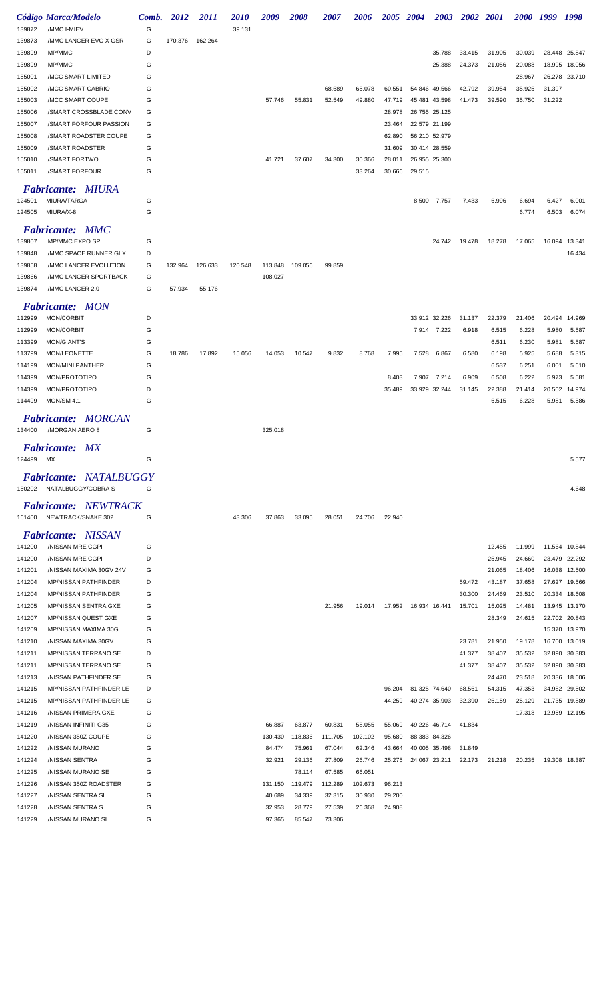|                  | Código Marca/Modelo                                        | Comb.  | 2012    | <i>2011</i> | <i>2010</i> | 2009    | <i><b>2008</b></i> | <i><b>2007</b></i> | 2006    | 2005             | <b>2004</b>                    | <b>2003</b>   | 2002 2001 |        | 2000 1999 |        | 1998          |
|------------------|------------------------------------------------------------|--------|---------|-------------|-------------|---------|--------------------|--------------------|---------|------------------|--------------------------------|---------------|-----------|--------|-----------|--------|---------------|
| 139872           | I/MMC I-MIEV                                               | G      |         |             | 39.131      |         |                    |                    |         |                  |                                |               |           |        |           |        |               |
| 139873           | I/MMC LANCER EVO X GSR                                     | G      | 170.376 | 162.264     |             |         |                    |                    |         |                  |                                |               |           |        |           |        |               |
| 139899           | IMP/MMC                                                    | D      |         |             |             |         |                    |                    |         |                  |                                | 35.788        | 33.415    | 31.905 | 30.039    |        | 28.448 25.847 |
| 139899           | IMP/MMC                                                    | G      |         |             |             |         |                    |                    |         |                  |                                | 25.388        | 24.373    | 21.056 | 20.088    | 18.995 | 18.056        |
| 155001           | I/MCC SMART LIMITED                                        | G      |         |             |             |         |                    |                    |         |                  |                                |               |           |        | 28.967    |        | 26.278 23.710 |
| 155002           | I/MCC SMART CABRIO                                         | G      |         |             |             |         |                    | 68.689             | 65.078  | 60.551           |                                | 54.846 49.566 | 42.792    | 39.954 | 35.925    | 31.397 |               |
| 155003           | I/MCC SMART COUPE                                          | G<br>G |         |             |             | 57.746  | 55.831             | 52.549             | 49.880  | 47.719           |                                | 45.481 43.598 | 41.473    | 39.590 | 35.750    | 31.222 |               |
| 155006<br>155007 | I/SMART CROSSBLADE CONV<br>I/SMART FORFOUR PASSION         | G      |         |             |             |         |                    |                    |         | 28.978<br>23.464 | 26.755 25.125<br>22.579 21.199 |               |           |        |           |        |               |
| 155008           | I/SMART ROADSTER COUPE                                     | G      |         |             |             |         |                    |                    |         | 62.890           | 56.210 52.979                  |               |           |        |           |        |               |
| 155009           | I/SMART ROADSTER                                           | G      |         |             |             |         |                    |                    |         | 31.609           | 30.414 28.559                  |               |           |        |           |        |               |
| 155010           | I/SMART FORTWO                                             | G      |         |             |             | 41.721  | 37.607             | 34.300             | 30.366  | 28.011           | 26.955 25.300                  |               |           |        |           |        |               |
| 155011           | I/SMART FORFOUR                                            | G      |         |             |             |         |                    |                    | 33.264  | 30.666           | 29.515                         |               |           |        |           |        |               |
|                  | <b>Fabricante: MIURA</b>                                   |        |         |             |             |         |                    |                    |         |                  |                                |               |           |        |           |        |               |
| 124501           | MIURA/TARGA                                                | G      |         |             |             |         |                    |                    |         |                  |                                | 8.500 7.757   | 7.433     | 6.996  | 6.694     | 6.427  | 6.001         |
| 124505           | MIURA/X-8                                                  | G      |         |             |             |         |                    |                    |         |                  |                                |               |           |        | 6.774     | 6.503  | 6.074         |
|                  |                                                            |        |         |             |             |         |                    |                    |         |                  |                                |               |           |        |           |        |               |
| 139807           | <b>Fabricante: MMC</b><br><b>IMP/MMC EXPO SP</b>           | G      |         |             |             |         |                    |                    |         |                  |                                | 24.742        | 19.478    | 18.278 | 17.065    | 16.094 | 13.341        |
| 139848           | I/MMC SPACE RUNNER GLX                                     | D      |         |             |             |         |                    |                    |         |                  |                                |               |           |        |           |        | 16.434        |
| 139858           | I/MMC LANCER EVOLUTION                                     | G      | 132.964 | 126.633     | 120.548     | 113.848 | 109.056            | 99.859             |         |                  |                                |               |           |        |           |        |               |
| 139866           | I/MMC LANCER SPORTBACK                                     | G      |         |             |             | 108.027 |                    |                    |         |                  |                                |               |           |        |           |        |               |
| 139874           | I/MMC LANCER 2.0                                           | G      | 57.934  | 55.176      |             |         |                    |                    |         |                  |                                |               |           |        |           |        |               |
|                  | <b>Fabricante: MON</b>                                     |        |         |             |             |         |                    |                    |         |                  |                                |               |           |        |           |        |               |
| 112999           | MON/CORBIT                                                 | D      |         |             |             |         |                    |                    |         |                  |                                | 33.912 32.226 | 31.137    | 22.379 | 21.406    | 20.494 | 14.969        |
| 112999           | MON/CORBIT                                                 | G      |         |             |             |         |                    |                    |         |                  |                                | 7.914 7.222   | 6.918     | 6.515  | 6.228     | 5.980  | 5.587         |
| 113399           | MON/GIANT'S                                                | G      |         |             |             |         |                    |                    |         |                  |                                |               |           | 6.511  | 6.230     | 5.981  | 5.587         |
| 113799           | MON/LEONETTE                                               | G      | 18.786  | 17.892      | 15.056      | 14.053  | 10.547             | 9.832              | 8.768   | 7.995            | 7.528                          | 6.867         | 6.580     | 6.198  | 5.925     | 5.688  | 5.315         |
| 114199           | <b>MON/MINI PANTHER</b>                                    | G      |         |             |             |         |                    |                    |         |                  |                                |               |           | 6.537  | 6.251     | 6.001  | 5.610         |
| 114399           | MON/PROTOTIPO                                              | G      |         |             |             |         |                    |                    |         | 8.403            |                                | 7.907 7.214   | 6.909     | 6.508  | 6.222     | 5.973  | 5.581         |
| 114399           | MON/PROTOTIPO                                              | D      |         |             |             |         |                    |                    |         | 35.489           |                                | 33.929 32.244 | 31.145    | 22.388 | 21.414    | 20.502 | 14.974        |
| 114499           | MON/SM 4.1                                                 | G      |         |             |             |         |                    |                    |         |                  |                                |               |           | 6.515  | 6.228     | 5.981  | 5.586         |
| 134400           | <b>Fabricante: MORGAN</b><br>I/MORGAN AERO 8               | G      |         |             |             | 325.018 |                    |                    |         |                  |                                |               |           |        |           |        |               |
|                  |                                                            |        |         |             |             |         |                    |                    |         |                  |                                |               |           |        |           |        |               |
| 124499           | <b>Fabricante: MX</b><br>МX                                | G      |         |             |             |         |                    |                    |         |                  |                                |               |           |        |           |        | 5.577         |
|                  |                                                            |        |         |             |             |         |                    |                    |         |                  |                                |               |           |        |           |        |               |
|                  | <b>Fabricante: NATALBUGGY</b><br>150202 NATALBUGGY/COBRA S | G      |         |             |             |         |                    |                    |         |                  |                                |               |           |        |           |        | 4.648         |
|                  | <b>Fabricante: NEWTRACK</b>                                |        |         |             |             |         |                    |                    |         |                  |                                |               |           |        |           |        |               |
| 161400           | NEWTRACK/SNAKE 302                                         | G      |         |             | 43.306      | 37.863  | 33.095             | 28.051             | 24.706  | 22.940           |                                |               |           |        |           |        |               |
|                  | <b>Fabricante: NISSAN</b>                                  |        |         |             |             |         |                    |                    |         |                  |                                |               |           |        |           |        |               |
| 141200           | I/NISSAN MRE CGPI                                          | G      |         |             |             |         |                    |                    |         |                  |                                |               |           | 12.455 | 11.999    |        | 11.564 10.844 |
| 141200           | I/NISSAN MRE CGPI                                          | D      |         |             |             |         |                    |                    |         |                  |                                |               |           | 25.945 | 24.660    |        | 23.479 22.292 |
| 141201           | I/NISSAN MAXIMA 30GV 24V                                   | G      |         |             |             |         |                    |                    |         |                  |                                |               |           | 21.065 | 18.406    | 16.038 | 12.500        |
| 141204           | <b>IMP/NISSAN PATHFINDER</b>                               | D      |         |             |             |         |                    |                    |         |                  |                                |               | 59.472    | 43.187 | 37.658    | 27.627 | 19.566        |
| 141204           | <b>IMP/NISSAN PATHFINDER</b>                               | G      |         |             |             |         |                    |                    |         |                  |                                |               | 30.300    | 24.469 | 23.510    | 20.334 | 18.608        |
| 141205           | IMP/NISSAN SENTRA GXE                                      | G      |         |             |             |         |                    | 21.956             | 19.014  |                  | 17.952  16.934  16.441         |               | 15.701    | 15.025 | 14.481    | 13.945 | 13.170        |
| 141207           | IMP/NISSAN QUEST GXE                                       | G      |         |             |             |         |                    |                    |         |                  |                                |               |           | 28.349 | 24.615    |        | 22.702 20.843 |
| 141209           | <b>IMP/NISSAN MAXIMA 30G</b>                               | G      |         |             |             |         |                    |                    |         |                  |                                |               |           |        |           |        | 15.370 13.970 |
| 141210           | I/NISSAN MAXIMA 30GV                                       | G      |         |             |             |         |                    |                    |         |                  |                                |               | 23.781    | 21.950 | 19.178    |        | 16.700 13.019 |
| 141211           | <b>IMP/NISSAN TERRANO SE</b>                               | D      |         |             |             |         |                    |                    |         |                  |                                |               | 41.377    | 38.407 | 35.532    | 32.890 | 30.383        |
| 141211           | <b>IMP/NISSAN TERRANO SE</b>                               | G      |         |             |             |         |                    |                    |         |                  |                                |               | 41.377    | 38.407 | 35.532    | 32.890 | 30.383        |
| 141213           | I/NISSAN PATHFINDER SE                                     | G      |         |             |             |         |                    |                    |         |                  |                                |               |           | 24.470 | 23.518    |        | 20.336 18.606 |
| 141215           | <b>IMP/NISSAN PATHFINDER LE</b>                            | D      |         |             |             |         |                    |                    |         | 96.204           | 81.325 74.640                  |               | 68.561    | 54.315 | 47.353    |        | 34.982 29.502 |
| 141215           | <b>IMP/NISSAN PATHFINDER LE</b>                            | G      |         |             |             |         |                    |                    |         | 44.259           | 40.274 35.903                  |               | 32.390    | 26.159 | 25.129    |        | 21.735 19.889 |
| 141216<br>141219 | I/NISSAN PRIMERA GXE<br>I/NISSAN INFINITI G35              | G<br>G |         |             |             | 66.887  | 63.877             | 60.831             | 58.055  | 55.069           |                                | 49.226 46.714 | 41.834    |        | 17.318    |        | 12.959 12.195 |
| 141220           | I/NISSAN 350Z COUPE                                        | G      |         |             |             | 130.430 | 118.836            | 111.705            | 102.102 | 95.680           |                                | 88.383 84.326 |           |        |           |        |               |
| 141222           | I/NISSAN MURANO                                            | G      |         |             |             | 84.474  | 75.961             | 67.044             | 62.346  | 43.664           |                                | 40.005 35.498 | 31.849    |        |           |        |               |
| 141224           | I/NISSAN SENTRA                                            | G      |         |             |             | 32.921  | 29.136             | 27.809             | 26.746  | 25.275           |                                | 24.067 23.211 | 22.173    | 21.218 | 20.235    |        | 19.308 18.387 |
| 141225           | I/NISSAN MURANO SE                                         | G      |         |             |             |         | 78.114             | 67.585             | 66.051  |                  |                                |               |           |        |           |        |               |
| 141226           | I/NISSAN 350Z ROADSTER                                     | G      |         |             |             | 131.150 | 119.479            | 112.289            | 102.673 | 96.213           |                                |               |           |        |           |        |               |
| 141227           | I/NISSAN SENTRA SL                                         | G      |         |             |             | 40.689  | 34.339             | 32.315             | 30.930  | 29.200           |                                |               |           |        |           |        |               |
| 141228           | I/NISSAN SENTRA S                                          | G      |         |             |             | 32.953  | 28.779             | 27.539             | 26.368  | 24.908           |                                |               |           |        |           |        |               |
| 141229           | I/NISSAN MURANO SL                                         | G      |         |             |             | 97.365  | 85.547             | 73.306             |         |                  |                                |               |           |        |           |        |               |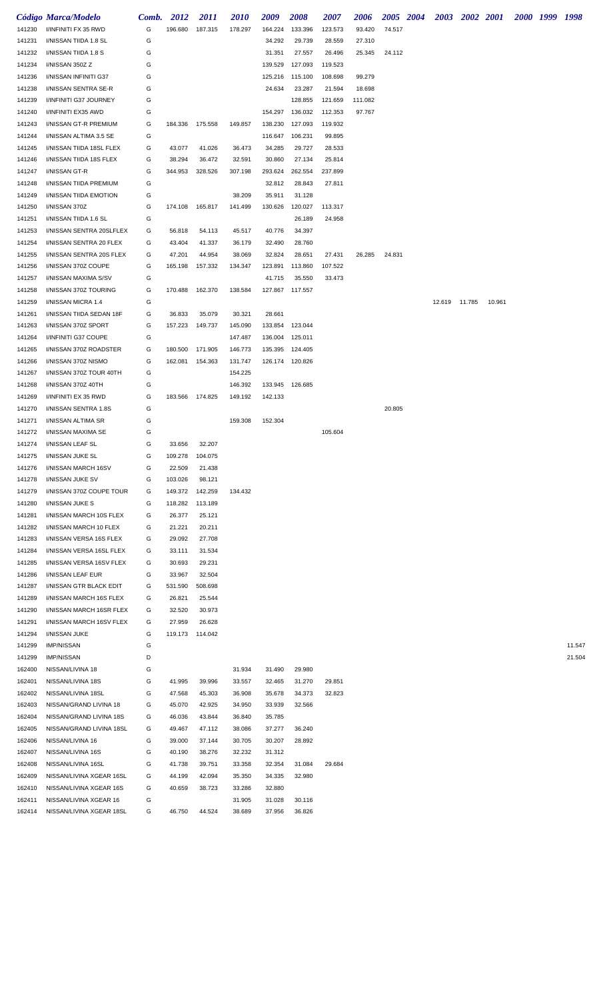|        | Código Marca/Modelo      | Comb. | <b>2012</b>     | <i>2011</i>     | <i>2010</i> | 2009    | 2008            | <i><b>2007</b></i> | 2006    |        | 2005 2004 |               | 2003 2002 2001 |        | 2000 1999 | 1998   |
|--------|--------------------------|-------|-----------------|-----------------|-------------|---------|-----------------|--------------------|---------|--------|-----------|---------------|----------------|--------|-----------|--------|
| 141230 | I/INFINITI FX 35 RWD     | G     | 196.680         | 187.315         | 178.297     | 164.224 | 133.396         | 123.573            | 93.420  | 74.517 |           |               |                |        |           |        |
| 141231 | I/NISSAN TIIDA 1.8 SL    | G     |                 |                 |             | 34.292  | 29.739          | 28.559             | 27.310  |        |           |               |                |        |           |        |
| 141232 | I/NISSAN TIIDA 1.8 S     | G     |                 |                 |             | 31.351  | 27.557          | 26.496             | 25.345  | 24.112 |           |               |                |        |           |        |
| 141234 | I/NISSAN 350Z Z          | G     |                 |                 |             | 139.529 | 127.093         | 119.523            |         |        |           |               |                |        |           |        |
| 141236 | I/NISSAN INFINITI G37    | G     |                 |                 |             | 125.216 | 115.100         | 108.698            | 99.279  |        |           |               |                |        |           |        |
| 141238 | I/NISSAN SENTRA SE-R     | G     |                 |                 |             | 24.634  | 23.287          | 21.594             | 18.698  |        |           |               |                |        |           |        |
| 141239 | I/INFINITI G37 JOURNEY   | G     |                 |                 |             |         | 128.855         | 121.659            | 111.082 |        |           |               |                |        |           |        |
| 141240 | I/INFINITI EX35 AWD      | G     |                 |                 |             | 154.297 | 136.032         | 112.353            | 97.767  |        |           |               |                |        |           |        |
| 141243 | I/NISSAN GT-R PREMIUM    | G     |                 | 184.336 175.558 | 149.857     | 138.230 | 127.093         | 119.932            |         |        |           |               |                |        |           |        |
| 141244 | I/NISSAN ALTIMA 3.5 SE   | G     |                 |                 |             | 116.647 | 106.231         | 99.895             |         |        |           |               |                |        |           |        |
| 141245 | I/NISSAN TIIDA 18SL FLEX | G     | 43.077          | 41.026          | 36.473      | 34.285  | 29.727          | 28.533             |         |        |           |               |                |        |           |        |
| 141246 | I/NISSAN TIIDA 18S FLEX  | G     | 38.294          | 36.472          | 32.591      | 30.860  | 27.134          | 25.814             |         |        |           |               |                |        |           |        |
| 141247 | I/NISSAN GT-R            | G     | 344.953         | 328.526         | 307.198     | 293.624 | 262.554         | 237.899            |         |        |           |               |                |        |           |        |
| 141248 | I/NISSAN TIIDA PREMIUM   | G     |                 |                 |             | 32.812  | 28.843          | 27.811             |         |        |           |               |                |        |           |        |
| 141249 | I/NISSAN TIIDA EMOTION   | G     |                 |                 | 38.209      | 35.911  | 31.128          |                    |         |        |           |               |                |        |           |        |
| 141250 | I/NISSAN 370Z            | G     | 174.108         | 165.817         | 141.499     | 130.626 | 120.027         | 113.317            |         |        |           |               |                |        |           |        |
| 141251 | I/NISSAN TIIDA 1.6 SL    | G     |                 |                 |             |         | 26.189          | 24.958             |         |        |           |               |                |        |           |        |
| 141253 | I/NISSAN SENTRA 20SLFLEX | G     | 56.818          | 54.113          | 45.517      | 40.776  | 34.397          |                    |         |        |           |               |                |        |           |        |
| 141254 | I/NISSAN SENTRA 20 FLEX  | G     | 43.404          | 41.337          | 36.179      | 32.490  | 28.760          |                    |         |        |           |               |                |        |           |        |
| 141255 | I/NISSAN SENTRA 20S FLEX | G     | 47.201          | 44.954          | 38.069      | 32.824  | 28.651          | 27.431             | 26.285  | 24.831 |           |               |                |        |           |        |
| 141256 | I/NISSAN 370Z COUPE      | G     | 165.198         | 157.332         | 134.347     | 123.891 | 113.860         | 107.522            |         |        |           |               |                |        |           |        |
| 141257 | I/NISSAN MAXIMA S/SV     | G     |                 |                 |             | 41.715  | 35.550          | 33.473             |         |        |           |               |                |        |           |        |
| 141258 | I/NISSAN 370Z TOURING    | G     | 170.488         | 162.370         | 138.584     |         | 127.867 117.557 |                    |         |        |           |               |                |        |           |        |
| 141259 | I/NISSAN MICRA 1.4       | G     |                 |                 |             |         |                 |                    |         |        |           | 12.619 11.785 |                | 10.961 |           |        |
| 141261 | I/NISSAN TIIDA SEDAN 18F | G     | 36.833          | 35.079          | 30.321      | 28.661  |                 |                    |         |        |           |               |                |        |           |        |
| 141263 | I/NISSAN 370Z SPORT      | G     | 157.223         | 149.737         | 145.090     |         | 133.854 123.044 |                    |         |        |           |               |                |        |           |        |
| 141264 | I/INFINITI G37 COUPE     | G     |                 |                 | 147.487     |         | 136.004 125.011 |                    |         |        |           |               |                |        |           |        |
| 141265 | I/NISSAN 370Z ROADSTER   | G     | 180.500         | 171.905         | 146.773     |         | 135.395 124.405 |                    |         |        |           |               |                |        |           |        |
| 141266 | I/NISSAN 370Z NISMO      | G     | 162.081         | 154.363         | 131.747     |         | 126.174 120.826 |                    |         |        |           |               |                |        |           |        |
| 141267 | I/NISSAN 370Z TOUR 40TH  | G     |                 |                 | 154.225     |         |                 |                    |         |        |           |               |                |        |           |        |
| 141268 | I/NISSAN 370Z 40TH       | G     |                 |                 | 146.392     |         | 133.945 126.685 |                    |         |        |           |               |                |        |           |        |
| 141269 | I/INFINITI EX 35 RWD     | G     | 183.566         | 174.825         | 149.192     | 142.133 |                 |                    |         |        |           |               |                |        |           |        |
| 141270 | I/NISSAN SENTRA 1.8S     | G     |                 |                 |             |         |                 |                    |         | 20.805 |           |               |                |        |           |        |
| 141271 | I/NISSAN ALTIMA SR       | G     |                 |                 | 159.308     | 152.304 |                 |                    |         |        |           |               |                |        |           |        |
| 141272 | I/NISSAN MAXIMA SE       | G     |                 |                 |             |         |                 | 105.604            |         |        |           |               |                |        |           |        |
| 141274 | I/NISSAN LEAF SL         | G     | 33.656          | 32.207          |             |         |                 |                    |         |        |           |               |                |        |           |        |
| 141275 | I/NISSAN JUKE SL         | G     | 109.278         | 104.075         |             |         |                 |                    |         |        |           |               |                |        |           |        |
| 141276 | I/NISSAN MARCH 16SV      | G     | 22.509          | 21.438          |             |         |                 |                    |         |        |           |               |                |        |           |        |
| 141278 | I/NISSAN JUKE SV         | G     | 103.026         | 98.121          |             |         |                 |                    |         |        |           |               |                |        |           |        |
| 141279 | I/NISSAN 370Z COUPE TOUR | G     | 149.372         | 142.259         | 134.432     |         |                 |                    |         |        |           |               |                |        |           |        |
| 141280 | I/NISSAN JUKE S          | G     | 118.282         | 113.189         |             |         |                 |                    |         |        |           |               |                |        |           |        |
| 141281 | I/NISSAN MARCH 10S FLEX  | G     | 26.377          | 25.121          |             |         |                 |                    |         |        |           |               |                |        |           |        |
| 141282 | I/NISSAN MARCH 10 FLEX   | G     | 21.221          | 20.211          |             |         |                 |                    |         |        |           |               |                |        |           |        |
| 141283 | I/NISSAN VERSA 16S FLEX  | G     | 29.092          | 27.708          |             |         |                 |                    |         |        |           |               |                |        |           |        |
| 141284 | I/NISSAN VERSA 16SL FLEX | G     | 33.111          | 31.534          |             |         |                 |                    |         |        |           |               |                |        |           |        |
| 141285 | I/NISSAN VERSA 16SV FLEX | G     | 30.693          | 29.231          |             |         |                 |                    |         |        |           |               |                |        |           |        |
| 141286 | I/NISSAN LEAF EUR        | G     | 33.967          | 32.504          |             |         |                 |                    |         |        |           |               |                |        |           |        |
| 141287 | I/NISSAN GTR BLACK EDIT  | G     | 531.590         | 508.698         |             |         |                 |                    |         |        |           |               |                |        |           |        |
| 141289 | I/NISSAN MARCH 16S FLEX  | G     | 26.821          | 25.544          |             |         |                 |                    |         |        |           |               |                |        |           |        |
| 141290 | I/NISSAN MARCH 16SR FLEX | G     | 32.520          | 30.973          |             |         |                 |                    |         |        |           |               |                |        |           |        |
| 141291 | I/NISSAN MARCH 16SV FLEX | G     | 27.959          | 26.628          |             |         |                 |                    |         |        |           |               |                |        |           |        |
| 141294 | I/NISSAN JUKE            | G     | 119.173 114.042 |                 |             |         |                 |                    |         |        |           |               |                |        |           |        |
| 141299 | <b>IMP/NISSAN</b>        | G     |                 |                 |             |         |                 |                    |         |        |           |               |                |        |           | 11.547 |
| 141299 | <b>IMP/NISSAN</b>        | D     |                 |                 |             |         |                 |                    |         |        |           |               |                |        |           | 21.504 |
| 162400 | NISSAN/LIVINA 18         | G     |                 |                 | 31.934      | 31.490  | 29.980          |                    |         |        |           |               |                |        |           |        |
| 162401 | NISSAN/LIVINA 18S        | G     | 41.995          | 39.996          | 33.557      | 32.465  | 31.270          | 29.851             |         |        |           |               |                |        |           |        |
| 162402 | NISSAN/LIVINA 18SL       | G     | 47.568          | 45.303          | 36.908      | 35.678  | 34.373          | 32.823             |         |        |           |               |                |        |           |        |
| 162403 | NISSAN/GRAND LIVINA 18   | G     | 45.070          | 42.925          | 34.950      | 33.939  | 32.566          |                    |         |        |           |               |                |        |           |        |
| 162404 | NISSAN/GRAND LIVINA 18S  | G     | 46.036          | 43.844          | 36.840      | 35.785  |                 |                    |         |        |           |               |                |        |           |        |
| 162405 | NISSAN/GRAND LIVINA 18SL | G     | 49.467          | 47.112          | 38.086      | 37.277  | 36.240          |                    |         |        |           |               |                |        |           |        |
| 162406 | NISSAN/LIVINA 16         | G     | 39.000          | 37.144          | 30.705      | 30.207  | 28.892          |                    |         |        |           |               |                |        |           |        |
| 162407 | NISSAN/LIVINA 16S        | G     | 40.190          | 38.276          | 32.232      | 31.312  |                 |                    |         |        |           |               |                |        |           |        |
| 162408 | NISSAN/LIVINA 16SL       | G     | 41.738          | 39.751          | 33.358      | 32.354  | 31.084          | 29.684             |         |        |           |               |                |        |           |        |
| 162409 | NISSAN/LIVINA XGEAR 16SL | G     | 44.199          | 42.094          | 35.350      | 34.335  | 32.980          |                    |         |        |           |               |                |        |           |        |
| 162410 | NISSAN/LIVINA XGEAR 16S  | G     | 40.659          | 38.723          | 33.286      | 32.880  |                 |                    |         |        |           |               |                |        |           |        |
| 162411 | NISSAN/LIVINA XGEAR 16   | G     |                 |                 | 31.905      | 31.028  | 30.116          |                    |         |        |           |               |                |        |           |        |
| 162414 | NISSAN/LIVINA XGEAR 18SL | G     | 46.750          | 44.524          | 38.689      | 37.956  | 36.826          |                    |         |        |           |               |                |        |           |        |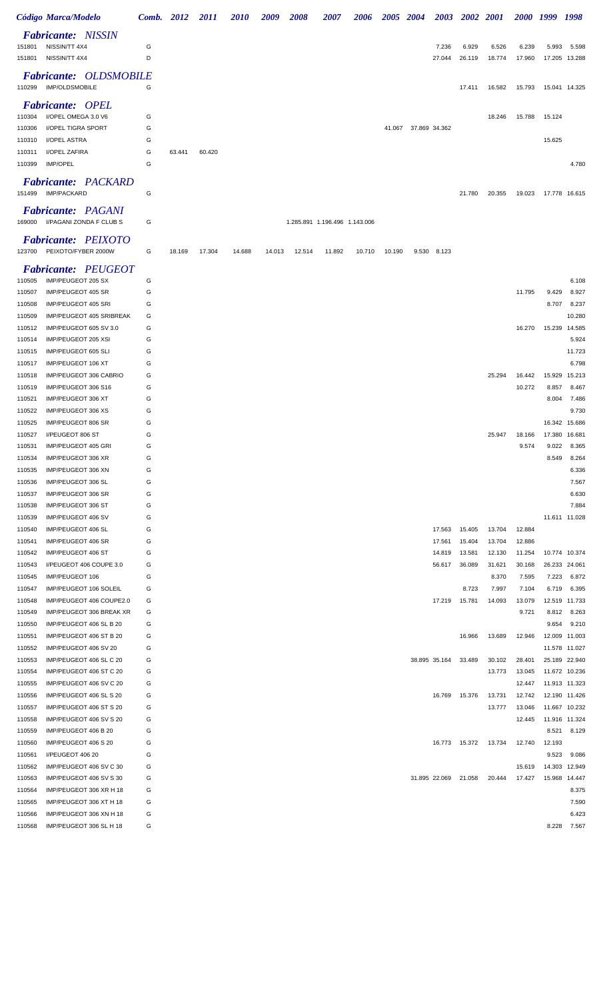|                  | Código Marca/Modelo                               | Comb. 2012 |        | <i>2011</i> | <i><b>2010</b></i> |        | 2008   | <i><b>2007</b></i>            | 2006   | <i><b>2005</b></i> | <b>2004</b>   | <b>2003</b>      | <b>2002</b>      | - 2001           | <i><b>2000</b></i> | 1999            | 1998                           |
|------------------|---------------------------------------------------|------------|--------|-------------|--------------------|--------|--------|-------------------------------|--------|--------------------|---------------|------------------|------------------|------------------|--------------------|-----------------|--------------------------------|
|                  | <b>Fabricante: NISSIN</b>                         |            |        |             |                    |        |        |                               |        |                    |               |                  |                  |                  |                    |                 |                                |
| 151801           | NISSIN/TT 4X4                                     | G          |        |             |                    |        |        |                               |        |                    |               | 7.236            | 6.929            | 6.526            | 6.239              | 5.993           | 5.598                          |
| 151801           | NISSIN/TT 4X4                                     | D          |        |             |                    |        |        |                               |        |                    |               | 27.044           | 26.119           | 18.774           | 17.960             | 17.205          | 13.288                         |
| 110299           | <b>Fabricante: OLDSMOBILE</b><br>IMP/OLDSMOBILE   | G          |        |             |                    |        |        |                               |        |                    |               |                  | 17.411           | 16.582           | 15.793             |                 | 15.041 14.325                  |
|                  | <b>Fabricante: OPEL</b>                           |            |        |             |                    |        |        |                               |        |                    |               |                  |                  |                  |                    |                 |                                |
| 110304           | I/OPEL OMEGA 3.0 V6                               | G          |        |             |                    |        |        |                               |        |                    |               |                  |                  | 18.246           | 15.788             | 15.124          |                                |
| 110306           | I/OPEL TIGRA SPORT                                | G          |        |             |                    |        |        |                               |        | 41.067             | 37.869 34.362 |                  |                  |                  |                    |                 |                                |
| 110310<br>110311 | I/OPEL ASTRA<br>I/OPEL ZAFIRA                     | G<br>G     | 63.441 | 60.420      |                    |        |        |                               |        |                    |               |                  |                  |                  |                    | 15.625          |                                |
| 110399           | IMP/OPEL                                          | G          |        |             |                    |        |        |                               |        |                    |               |                  |                  |                  |                    |                 | 4.780                          |
| 151499           | <b>Fabricante: PACKARD</b><br>IMP/PACKARD         | G          |        |             |                    |        |        |                               |        |                    |               |                  | 21.780           | 20.355           | 19.023             |                 | 17.778 16.615                  |
|                  | <b>Fabricante: PAGANI</b>                         |            |        |             |                    |        |        |                               |        |                    |               |                  |                  |                  |                    |                 |                                |
| 169000           | I/PAGANI ZONDA F CLUB S                           | G          |        |             |                    |        |        | 1.285.891 1.196.496 1.143.006 |        |                    |               |                  |                  |                  |                    |                 |                                |
| 123700           | <b>Fabricante: PEIXOTO</b><br>PEIXOTO/FYBER 2000W | G          | 18.169 | 17.304      | 14.688             | 14.013 | 12.514 | 11.892                        | 10.710 | 10.190             | 9.530         | 8.123            |                  |                  |                    |                 |                                |
|                  | <b>Fabricante: PEUGEOT</b>                        |            |        |             |                    |        |        |                               |        |                    |               |                  |                  |                  |                    |                 |                                |
| 110505           | IMP/PEUGEOT 205 SX                                | G          |        |             |                    |        |        |                               |        |                    |               |                  |                  |                  |                    |                 | 6.108                          |
| 110507<br>110508 | IMP/PEUGEOT 405 SR<br>IMP/PEUGEOT 405 SRI         | G<br>G     |        |             |                    |        |        |                               |        |                    |               |                  |                  |                  | 11.795             | 9.429           | 8.927<br>8.237                 |
| 110509           | IMP/PEUGEOT 405 SRIBREAK                          | G          |        |             |                    |        |        |                               |        |                    |               |                  |                  |                  |                    | 8.707           | 10.280                         |
| 110512           | IMP/PEUGEOT 605 SV 3.0                            | G          |        |             |                    |        |        |                               |        |                    |               |                  |                  |                  | 16.270             | 15.239          | 14.585                         |
| 110514           | IMP/PEUGEOT 205 XSI                               | G          |        |             |                    |        |        |                               |        |                    |               |                  |                  |                  |                    |                 | 5.924                          |
| 110515           | IMP/PEUGEOT 605 SLI                               | G          |        |             |                    |        |        |                               |        |                    |               |                  |                  |                  |                    |                 | 11.723                         |
| 110517           | IMP/PEUGEOT 106 XT                                | G          |        |             |                    |        |        |                               |        |                    |               |                  |                  |                  |                    |                 | 6.798                          |
| 110518<br>110519 | IMP/PEUGEOT 306 CABRIO<br>IMP/PEUGEOT 306 S16     | G<br>G     |        |             |                    |        |        |                               |        |                    |               |                  |                  | 25.294           | 16.442<br>10.272   | 15.929<br>8.857 | 15.213<br>8.467                |
| 110521           | IMP/PEUGEOT 306 XT                                | G          |        |             |                    |        |        |                               |        |                    |               |                  |                  |                  |                    | 8.004           | 7.486                          |
| 110522           | IMP/PEUGEOT 306 XS                                | G          |        |             |                    |        |        |                               |        |                    |               |                  |                  |                  |                    |                 | 9.730                          |
| 110525           | IMP/PEUGEOT 806 SR                                | G          |        |             |                    |        |        |                               |        |                    |               |                  |                  |                  |                    | 16.342          | 15.686                         |
| 110527           | I/PEUGEOT 806 ST                                  | G          |        |             |                    |        |        |                               |        |                    |               |                  |                  | 25.947           | 18.166             | 17.380          | 16.681                         |
| 110531           | IMP/PEUGEOT 405 GRI                               | G          |        |             |                    |        |        |                               |        |                    |               |                  |                  |                  | 9.574              | 9.022           | 8.365                          |
| 110534<br>110535 | IMP/PEUGEOT 306 XR<br>IMP/PEUGEOT 306 XN          | G<br>G     |        |             |                    |        |        |                               |        |                    |               |                  |                  |                  |                    | 8.549           | 8.264<br>6.336                 |
| 110536           | IMP/PEUGEOT 306 SL                                | G          |        |             |                    |        |        |                               |        |                    |               |                  |                  |                  |                    |                 | 7.567                          |
| 110537           | IMP/PEUGEOT 306 SR                                | G          |        |             |                    |        |        |                               |        |                    |               |                  |                  |                  |                    |                 | 6.630                          |
| 110538           | IMP/PEUGEOT 306 ST                                | G          |        |             |                    |        |        |                               |        |                    |               |                  |                  |                  |                    |                 | 7.884                          |
| 110539           | IMP/PEUGEOT 406 SV                                | G          |        |             |                    |        |        |                               |        |                    |               |                  |                  |                  |                    |                 | 11.611 11.028                  |
| 110540           | IMP/PEUGEOT 406 SL                                | G          |        |             |                    |        |        |                               |        |                    |               | 17.563           | 15.405           | 13.704           | 12.884             |                 |                                |
| 110541           | IMP/PEUGEOT 406 SR                                | G<br>G     |        |             |                    |        |        |                               |        |                    |               | 17.561           | 15.404           | 13.704           | 12.886             |                 |                                |
| 110542<br>110543 | IMP/PEUGEOT 406 ST<br>I/PEUGEOT 406 COUPE 3.0     | G          |        |             |                    |        |        |                               |        |                    |               | 14.819<br>56.617 | 13.581<br>36.089 | 12.130<br>31.621 | 11.254<br>30.168   |                 | 10.774 10.374<br>26.233 24.061 |
| 110545           | IMP/PEUGEOT 106                                   | G          |        |             |                    |        |        |                               |        |                    |               |                  |                  | 8.370            | 7.595              | 7.223           | 6.872                          |
| 110547           | IMP/PEUGEOT 106 SOLEIL                            | G          |        |             |                    |        |        |                               |        |                    |               |                  | 8.723            | 7.997            | 7.104              | 6.719           | 6.395                          |
| 110548           | IMP/PEUGEOT 406 COUPE2.0                          | G          |        |             |                    |        |        |                               |        |                    |               | 17.219           | 15.781           | 14.093           | 13.079             |                 | 12.519 11.733                  |
| 110549           | IMP/PEUGEOT 306 BREAK XR                          | G          |        |             |                    |        |        |                               |        |                    |               |                  |                  |                  | 9.721              | 8.812           | 8.263                          |
| 110550           | IMP/PEUGEOT 406 SL B 20                           | G          |        |             |                    |        |        |                               |        |                    |               |                  |                  |                  |                    | 9.654           | 9.210                          |
| 110551<br>110552 | IMP/PEUGEOT 406 ST B 20<br>IMP/PEUGEOT 406 SV 20  | G<br>G     |        |             |                    |        |        |                               |        |                    |               |                  | 16.966           | 13.689           | 12.946             |                 | 12.009 11.003<br>11.578 11.027 |
| 110553           | IMP/PEUGEOT 406 SL C 20                           | G          |        |             |                    |        |        |                               |        |                    |               | 38.895 35.164    | 33.489           | 30.102           | 28.401             |                 | 25.189 22.940                  |
| 110554           | IMP/PEUGEOT 406 ST C 20                           | G          |        |             |                    |        |        |                               |        |                    |               |                  |                  | 13.773           | 13.045             |                 | 11.672 10.236                  |
| 110555           | IMP/PEUGEOT 406 SV C 20                           | G          |        |             |                    |        |        |                               |        |                    |               |                  |                  |                  | 12.447             |                 | 11.913 11.323                  |
| 110556           | IMP/PEUGEOT 406 SL S 20                           | G          |        |             |                    |        |        |                               |        |                    |               | 16.769           | 15.376           | 13.731           | 12.742             |                 | 12.190 11.426                  |
| 110557           | IMP/PEUGEOT 406 ST S 20                           | G          |        |             |                    |        |        |                               |        |                    |               |                  |                  | 13.777           | 13.046             |                 | 11.667 10.232                  |
| 110558           | IMP/PEUGEOT 406 SV S 20                           | G          |        |             |                    |        |        |                               |        |                    |               |                  |                  |                  | 12.445             |                 | 11.916 11.324                  |
| 110559           | IMP/PEUGEOT 406 B 20                              | G          |        |             |                    |        |        |                               |        |                    |               |                  |                  |                  |                    | 8.521           | 8.129                          |
| 110560<br>110561 | IMP/PEUGEOT 406 S 20<br>I/PEUGEOT 406 20          | G<br>G     |        |             |                    |        |        |                               |        |                    |               | 16.773           | 15.372           | 13.734           | 12.740             | 12.193<br>9.523 | 9.086                          |
| 110562           | IMP/PEUGEOT 406 SV C 30                           | G          |        |             |                    |        |        |                               |        |                    |               |                  |                  |                  | 15.619             |                 | 14.303 12.949                  |
| 110563           | IMP/PEUGEOT 406 SV S 30                           | G          |        |             |                    |        |        |                               |        |                    |               | 31.895 22.069    | 21.058           | 20.444           | 17.427             |                 | 15.968 14.447                  |
| 110564           | IMP/PEUGEOT 306 XR H 18                           | G          |        |             |                    |        |        |                               |        |                    |               |                  |                  |                  |                    |                 | 8.375                          |
| 110565           | IMP/PEUGEOT 306 XT H 18                           | G          |        |             |                    |        |        |                               |        |                    |               |                  |                  |                  |                    |                 | 7.590                          |
| 110566           | IMP/PEUGEOT 306 XN H 18                           | G          |        |             |                    |        |        |                               |        |                    |               |                  |                  |                  |                    |                 | 6.423                          |
| 110568           | IMP/PEUGEOT 306 SL H 18                           | G          |        |             |                    |        |        |                               |        |                    |               |                  |                  |                  |                    | 8.228           | 7.567                          |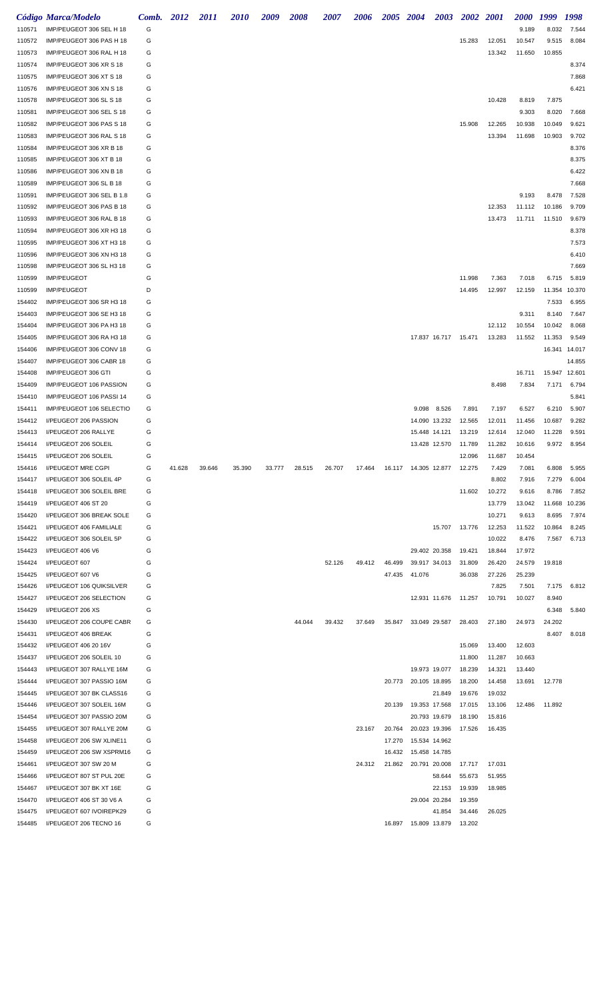|                  | Código Marca/Modelo       | Comb. | 2012   | <i>2011</i> | <i>2010</i> | 2009   | 2008   | <i><b>2007</b></i> | 2006   | 2005 2004 |                        | 2003                 | <b>2002</b> | <b>2001</b> | <i><b>2000</b></i> | 1999   | 1998   |
|------------------|---------------------------|-------|--------|-------------|-------------|--------|--------|--------------------|--------|-----------|------------------------|----------------------|-------------|-------------|--------------------|--------|--------|
| 110571           | IMP/PEUGEOT 306 SEL H 18  | G     |        |             |             |        |        |                    |        |           |                        |                      |             |             | 9.189              | 8.032  | 7.544  |
| 110572           | IMP/PEUGEOT 306 PAS H 18  | G     |        |             |             |        |        |                    |        |           |                        |                      | 15.283      | 12.051      | 10.547             | 9.515  | 8.084  |
| 110573           | IMP/PEUGEOT 306 RAL H 18  | G     |        |             |             |        |        |                    |        |           |                        |                      |             | 13.342      | 11.650             | 10.855 |        |
| 110574           | IMP/PEUGEOT 306 XR S 18   | G     |        |             |             |        |        |                    |        |           |                        |                      |             |             |                    |        | 8.374  |
| 110575           | IMP/PEUGEOT 306 XT S 18   | G     |        |             |             |        |        |                    |        |           |                        |                      |             |             |                    |        | 7.868  |
| 110576           | IMP/PEUGEOT 306 XN S 18   | G     |        |             |             |        |        |                    |        |           |                        |                      |             |             |                    |        | 6.421  |
| 110578           | IMP/PEUGEOT 306 SL S 18   | G     |        |             |             |        |        |                    |        |           |                        |                      |             | 10.428      | 8.819              | 7.875  |        |
| 110581           | IMP/PEUGEOT 306 SEL S 18  | G     |        |             |             |        |        |                    |        |           |                        |                      |             |             | 9.303              | 8.020  | 7.668  |
| 110582           | IMP/PEUGEOT 306 PAS S 18  | G     |        |             |             |        |        |                    |        |           |                        |                      | 15.908      | 12.265      | 10.938             | 10.049 | 9.621  |
| 110583           | IMP/PEUGEOT 306 RAL S 18  | G     |        |             |             |        |        |                    |        |           |                        |                      |             | 13.394      | 11.698             | 10.903 | 9.702  |
| 110584           | IMP/PEUGEOT 306 XR B 18   | G     |        |             |             |        |        |                    |        |           |                        |                      |             |             |                    |        | 8.376  |
| 110585           | IMP/PEUGEOT 306 XT B 18   | G     |        |             |             |        |        |                    |        |           |                        |                      |             |             |                    |        | 8.375  |
| 110586           | IMP/PEUGEOT 306 XN B 18   | G     |        |             |             |        |        |                    |        |           |                        |                      |             |             |                    |        | 6.422  |
| 110589           | IMP/PEUGEOT 306 SL B 18   | G     |        |             |             |        |        |                    |        |           |                        |                      |             |             |                    |        | 7.668  |
| 110591           | IMP/PEUGEOT 306 SEL B 1.8 | G     |        |             |             |        |        |                    |        |           |                        |                      |             |             | 9.193              | 8.478  | 7.528  |
| 110592           | IMP/PEUGEOT 306 PAS B 18  | G     |        |             |             |        |        |                    |        |           |                        |                      |             | 12.353      | 11.112             | 10.186 | 9.709  |
| 110593           | IMP/PEUGEOT 306 RAL B 18  | G     |        |             |             |        |        |                    |        |           |                        |                      |             | 13.473      | 11.711             | 11.510 | 9.679  |
| 110594           | IMP/PEUGEOT 306 XR H3 18  | G     |        |             |             |        |        |                    |        |           |                        |                      |             |             |                    |        | 8.378  |
| 110595           | IMP/PEUGEOT 306 XT H3 18  | G     |        |             |             |        |        |                    |        |           |                        |                      |             |             |                    |        | 7.573  |
| 110596           | IMP/PEUGEOT 306 XN H3 18  | G     |        |             |             |        |        |                    |        |           |                        |                      |             |             |                    |        | 6.410  |
| 110598           | IMP/PEUGEOT 306 SL H3 18  | G     |        |             |             |        |        |                    |        |           |                        |                      |             |             |                    |        | 7.669  |
| 110599           | <b>IMP/PEUGEOT</b>        | G     |        |             |             |        |        |                    |        |           |                        |                      | 11.998      | 7.363       | 7.018              | 6.715  | 5.819  |
| 110599           | <b>IMP/PEUGEOT</b>        | D     |        |             |             |        |        |                    |        |           |                        |                      | 14.495      | 12.997      | 12.159             | 11.354 | 10.370 |
| 154402           | IMP/PEUGEOT 306 SR H3 18  | G     |        |             |             |        |        |                    |        |           |                        |                      |             |             |                    | 7.533  | 6.955  |
| 154403           | IMP/PEUGEOT 306 SE H3 18  | G     |        |             |             |        |        |                    |        |           |                        |                      |             |             | 9.311              | 8.140  | 7.647  |
| 154404           | IMP/PEUGEOT 306 PA H3 18  | G     |        |             |             |        |        |                    |        |           |                        |                      |             | 12.112      | 10.554             | 10.042 | 8.068  |
| 154405           | IMP/PEUGEOT 306 RA H3 18  | G     |        |             |             |        |        |                    |        |           |                        | 17.837 16.717 15.471 |             | 13.283      | 11.552             | 11.353 | 9.549  |
| 154406           | IMP/PEUGEOT 306 CONV 18   | G     |        |             |             |        |        |                    |        |           |                        |                      |             |             |                    | 16.341 | 14.017 |
|                  | IMP/PEUGEOT 306 CABR 18   | G     |        |             |             |        |        |                    |        |           |                        |                      |             |             |                    |        | 14.855 |
| 154407           | IMP/PEUGEOT 306 GTI       | G     |        |             |             |        |        |                    |        |           |                        |                      |             |             | 16.711             | 15.947 | 12.601 |
| 154408<br>154409 | IMP/PEUGEOT 106 PASSION   | G     |        |             |             |        |        |                    |        |           |                        |                      |             | 8.498       | 7.834              | 7.171  | 6.794  |
|                  | IMP/PEUGEOT 106 PASSI 14  | G     |        |             |             |        |        |                    |        |           |                        |                      |             |             |                    |        | 5.841  |
| 154410           | IMP/PEUGEOT 106 SELECTIO  | G     |        |             |             |        |        |                    |        |           |                        | 8.526                | 7.891       | 7.197       |                    |        |        |
| 154411           |                           |       |        |             |             |        |        |                    |        |           | 9.098                  |                      |             |             | 6.527              | 6.210  | 5.907  |
| 154412           | I/PEUGEOT 206 PASSION     | G     |        |             |             |        |        |                    |        |           |                        | 14.090 13.232        | 12.565      | 12.011      | 11.456             | 10.687 | 9.282  |
| 154413           | I/PEUGEOT 206 RALLYE      | G     |        |             |             |        |        |                    |        |           | 15.448 14.121          |                      | 13.219      | 12.614      | 12.040             | 11.228 | 9.591  |
| 154414           | I/PEUGEOT 206 SOLEIL      | G     |        |             |             |        |        |                    |        |           |                        | 13.428 12.570        | 11.789      | 11.282      | 10.616             | 9.972  | 8.954  |
| 154415           | I/PEUGEOT 206 SOLEIL      | G     |        |             |             |        |        |                    |        |           |                        |                      | 12.096      | 11.687      | 10.454             |        |        |
| 154416           | <b>I/PEUGEOT MRE CGPI</b> | G     | 41.628 | 39.646      | 35.390      | 33.777 | 28.515 | 26.707             | 17.464 |           | 16.117  14.305  12.877 |                      | 12.275      | 7.429       | 7.081              | 6.808  | 5.955  |
| 154417           | I/PEUGEOT 306 SOLEIL 4P   | G     |        |             |             |        |        |                    |        |           |                        |                      |             | 8.802       | 7.916              | 7.279  | 6.004  |
| 154418           | I/PEUGEOT 306 SOLEIL BRE  | G     |        |             |             |        |        |                    |        |           |                        |                      | 11.602      | 10.272      | 9.616              | 8.786  | 7.852  |
| 154419           | I/PEUGEOT 406 ST 20       | G     |        |             |             |        |        |                    |        |           |                        |                      |             | 13.779      | 13.042             | 11.668 | 10.236 |
| 154420           | I/PEUGEOT 306 BREAK SOLE  | G     |        |             |             |        |        |                    |        |           |                        |                      |             | 10.271      | 9.613              | 8.695  | 7.974  |
| 154421           | I/PEUGEOT 406 FAMILIALE   | G     |        |             |             |        |        |                    |        |           |                        | 15.707               | 13.776      | 12.253      | 11.522             | 10.864 | 8.245  |
| 154422           | I/PEUGEOT 306 SOLEIL 5P   | G     |        |             |             |        |        |                    |        |           |                        |                      |             | 10.022      | 8.476              | 7.567  | 6.713  |
| 154423           | I/PEUGEOT 406 V6          | G     |        |             |             |        |        |                    |        |           | 29.402 20.358          |                      | 19.421      | 18.844      | 17.972             |        |        |
| 154424           | I/PEUGEOT 607             | G     |        |             |             |        |        | 52.126             | 49.412 | 46.499    | 39.917 34.013          |                      | 31.809      | 26.420      | 24.579             | 19.818 |        |
| 154425           | I/PEUGEOT 607 V6          | G     |        |             |             |        |        |                    |        | 47.435    | 41.076                 |                      | 36.038      | 27.226      | 25.239             |        |        |
| 154426           | I/PEUGEOT 106 QUIKSILVER  | G     |        |             |             |        |        |                    |        |           |                        |                      |             | 7.825       | 7.501              | 7.175  | 6.812  |
| 154427           | I/PEUGEOT 206 SELECTION   | G     |        |             |             |        |        |                    |        |           |                        | 12.931 11.676        | 11.257      | 10.791      | 10.027             | 8.940  |        |
| 154429           | I/PEUGEOT 206 XS          | G     |        |             |             |        |        |                    |        |           |                        |                      |             |             |                    | 6.348  | 5.840  |
| 154430           | I/PEUGEOT 206 COUPE CABR  | G     |        |             |             |        | 44.044 | 39.432             | 37.649 | 35.847    | 33.049 29.587          |                      | 28.403      | 27.180      | 24.973             | 24.202 |        |
| 154431           | I/PEUGEOT 406 BREAK       | G     |        |             |             |        |        |                    |        |           |                        |                      |             |             |                    | 8.407  | 8.018  |
| 154432           | I/PEUGEOT 406 20 16V      | G     |        |             |             |        |        |                    |        |           |                        |                      | 15.069      | 13.400      | 12.603             |        |        |
| 154437           | I/PEUGEOT 206 SOLEIL 10   | G     |        |             |             |        |        |                    |        |           |                        |                      | 11.800      | 11.287      | 10.663             |        |        |
| 154443           | I/PEUGEOT 307 RALLYE 16M  | G     |        |             |             |        |        |                    |        |           | 19.973 19.077          |                      | 18.239      | 14.321      | 13.440             |        |        |
| 154444           | I/PEUGEOT 307 PASSIO 16M  | G     |        |             |             |        |        |                    |        | 20.773    | 20.105 18.895          |                      | 18.200      | 14.458      | 13.691             | 12.778 |        |
| 154445           | I/PEUGEOT 307 BK CLASS16  | G     |        |             |             |        |        |                    |        |           |                        | 21.849               | 19.676      | 19.032      |                    |        |        |
| 154446           | I/PEUGEOT 307 SOLEIL 16M  | G     |        |             |             |        |        |                    |        | 20.139    | 19.353 17.568          |                      | 17.015      | 13.106      | 12.486             | 11.892 |        |
| 154454           | I/PEUGEOT 307 PASSIO 20M  | G     |        |             |             |        |        |                    |        |           | 20.793 19.679          |                      | 18.190      | 15.816      |                    |        |        |
| 154455           | I/PEUGEOT 307 RALLYE 20M  | G     |        |             |             |        |        |                    | 23.167 | 20.764    | 20.023 19.396          |                      | 17.526      | 16.435      |                    |        |        |
| 154458           | I/PEUGEOT 206 SW XLINE11  | G     |        |             |             |        |        |                    |        | 17.270    | 15.534 14.962          |                      |             |             |                    |        |        |
| 154459           | I/PEUGEOT 206 SW XSPRM16  | G     |        |             |             |        |        |                    |        | 16.432    | 15.458 14.785          |                      |             |             |                    |        |        |
| 154461           | I/PEUGEOT 307 SW 20 M     | G     |        |             |             |        |        |                    | 24.312 |           | 21.862 20.791 20.008   |                      | 17.717      | 17.031      |                    |        |        |
| 154466           | I/PEUGEOT 807 ST PUL 20E  | G     |        |             |             |        |        |                    |        |           |                        | 58.644               | 55.673      | 51.955      |                    |        |        |
| 154467           | I/PEUGEOT 307 BK XT 16E   | G     |        |             |             |        |        |                    |        |           |                        | 22.153               | 19.939      | 18.985      |                    |        |        |
| 154470           | I/PEUGEOT 406 ST 30 V6 A  | G     |        |             |             |        |        |                    |        |           | 29.004 20.284          |                      | 19.359      |             |                    |        |        |
| 154475           | I/PEUGEOT 607 IVOIREPK29  | G     |        |             |             |        |        |                    |        |           |                        | 41.854               | 34.446      | 26.025      |                    |        |        |
| 154485           | I/PEUGEOT 206 TECNO 16    | G     |        |             |             |        |        |                    |        |           | 16.897  15.809  13.879 |                      | 13.202      |             |                    |        |        |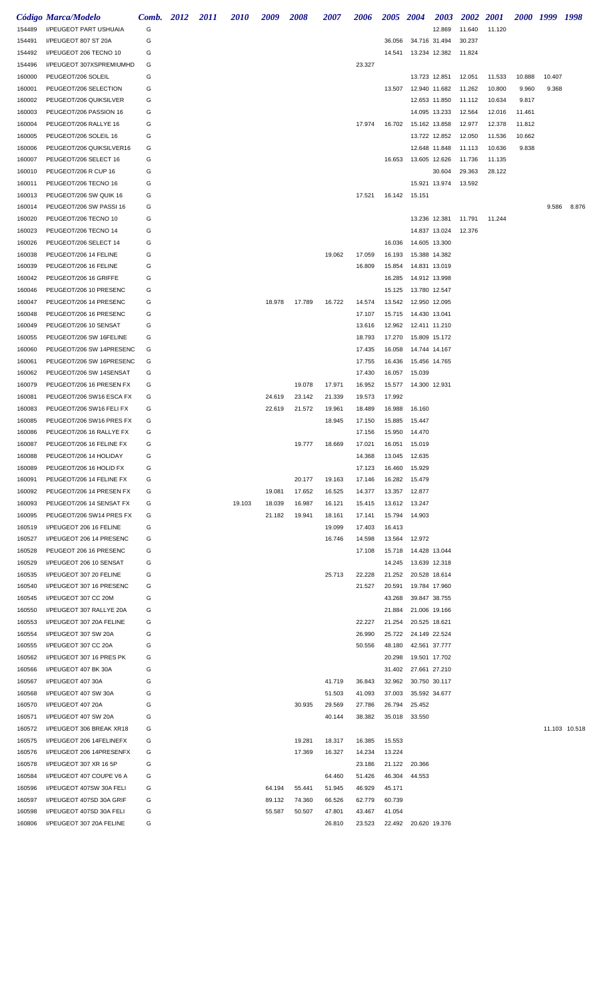|                  | Código Marca/Modelo                                  | Comb.  | <b>2012</b> | <i>2011</i> | <i>2010</i> | 2009   | <b>2008</b> | 2007   | 2006             | 2005 2004 |                                | <b>2003</b>   | 2002 2001 |        |        | 2000 1999 1998 |               |
|------------------|------------------------------------------------------|--------|-------------|-------------|-------------|--------|-------------|--------|------------------|-----------|--------------------------------|---------------|-----------|--------|--------|----------------|---------------|
| 154489           | I/PEUGEOT PART USHUAIA                               | G      |             |             |             |        |             |        |                  |           |                                | 12.869        | 11.640    | 11.120 |        |                |               |
| 154491           | I/PEUGEOT 807 ST 20A                                 | G      |             |             |             |        |             |        |                  | 36.056    | 34.716 31.494                  |               | 30.237    |        |        |                |               |
| 154492           | I/PEUGEOT 206 TECNO 10                               | G      |             |             |             |        |             |        |                  | 14.541    | 13.234 12.382                  |               | 11.824    |        |        |                |               |
| 154496           | I/PEUGEOT 307XSPREMIUMHD                             | G      |             |             |             |        |             |        | 23.327           |           |                                |               |           |        |        |                |               |
| 160000           | PEUGEOT/206 SOLEIL                                   | G      |             |             |             |        |             |        |                  |           | 13.723 12.851                  |               | 12.051    | 11.533 | 10.888 | 10.407         |               |
| 160001           | PEUGEOT/206 SELECTION                                | G      |             |             |             |        |             |        |                  | 13.507    | 12.940 11.682                  |               | 11.262    | 10.800 | 9.960  | 9.368          |               |
| 160002           | PEUGEOT/206 QUIKSILVER                               | G      |             |             |             |        |             |        |                  |           |                                | 12.653 11.850 | 11.112    | 10.634 | 9.817  |                |               |
| 160003           | PEUGEOT/206 PASSION 16                               | G      |             |             |             |        |             |        |                  |           |                                | 14.095 13.233 | 12.564    | 12.016 | 11.461 |                |               |
| 160004           | PEUGEOT/206 RALLYE 16                                | G      |             |             |             |        |             |        | 17.974           | 16.702    | 15.162 13.858                  |               | 12.977    | 12.378 | 11.812 |                |               |
| 160005           | PEUGEOT/206 SOLEIL 16                                | G      |             |             |             |        |             |        |                  |           |                                | 13.722 12.852 | 12.050    | 11.536 | 10.662 |                |               |
| 160006           | PEUGEOT/206 QUIKSILVER16                             | G      |             |             |             |        |             |        |                  |           |                                | 12.648 11.848 | 11.113    | 10.636 | 9.838  |                |               |
| 160007           | PEUGEOT/206 SELECT 16                                | G      |             |             |             |        |             |        |                  | 16.653    | 13.605 12.626                  |               | 11.736    | 11.135 |        |                |               |
| 160010           | PEUGEOT/206 R CUP 16                                 | G      |             |             |             |        |             |        |                  |           |                                | 30.604        | 29.363    | 28.122 |        |                |               |
| 160011           | PEUGEOT/206 TECNO 16                                 | G      |             |             |             |        |             |        |                  |           |                                | 15.921 13.974 | 13.592    |        |        |                |               |
| 160013           | PEUGEOT/206 SW QUIK 16                               | G      |             |             |             |        |             |        | 17.521           | 16.142    | 15.151                         |               |           |        |        |                |               |
| 160014           | PEUGEOT/206 SW PASSI 16                              | G      |             |             |             |        |             |        |                  |           |                                |               |           |        |        | 9.586          | 8.876         |
| 160020           | PEUGEOT/206 TECNO 10                                 | G      |             |             |             |        |             |        |                  |           |                                | 13.236 12.381 | 11.791    | 11.244 |        |                |               |
| 160023           | PEUGEOT/206 TECNO 14                                 | G      |             |             |             |        |             |        |                  |           |                                | 14.837 13.024 | 12.376    |        |        |                |               |
| 160026           | PEUGEOT/206 SELECT 14                                | G      |             |             |             |        |             |        |                  | 16.036    | 14.605 13.300                  |               |           |        |        |                |               |
| 160038           | PEUGEOT/206 14 FELINE                                | G      |             |             |             |        |             | 19.062 | 17.059           | 16.193    | 15.388 14.382                  |               |           |        |        |                |               |
| 160039           | PEUGEOT/206 16 FELINE                                | G      |             |             |             |        |             |        | 16.809           | 15.854    | 14.831 13.019                  |               |           |        |        |                |               |
| 160042           | PEUGEOT/206 16 GRIFFE                                | G      |             |             |             |        |             |        |                  | 16.285    | 14.912 13.998                  |               |           |        |        |                |               |
| 160046           | PEUGEOT/206 10 PRESENC                               | G      |             |             |             |        |             |        |                  | 15.125    | 13.780 12.547                  |               |           |        |        |                |               |
| 160047           | PEUGEOT/206 14 PRESENC                               | G      |             |             |             | 18.978 | 17.789      | 16.722 | 14.574           | 13.542    | 12.950 12.095                  |               |           |        |        |                |               |
| 160048           | PEUGEOT/206 16 PRESENC                               | G      |             |             |             |        |             |        | 17.107           | 15.715    | 14.430 13.041                  |               |           |        |        |                |               |
| 160049           | PEUGEOT/206 10 SENSAT                                | G      |             |             |             |        |             |        | 13.616           | 12.962    | 12.411 11.210                  |               |           |        |        |                |               |
| 160055           | PEUGEOT/206 SW 16FELINE                              | G      |             |             |             |        |             |        | 18.793           | 17.270    | 15.809 15.172                  |               |           |        |        |                |               |
| 160060           | PEUGEOT/206 SW 14PRESENC                             | G      |             |             |             |        |             |        | 17.435           | 16.058    | 14.744 14.167                  |               |           |        |        |                |               |
| 160061           | PEUGEOT/206 SW 16PRESENC                             | G      |             |             |             |        |             |        | 17.755           | 16.436    | 15.456 14.765                  |               |           |        |        |                |               |
| 160062           | PEUGEOT/206 SW 14SENSAT                              | G      |             |             |             |        |             |        | 17.430           | 16.057    | 15.039                         |               |           |        |        |                |               |
| 160079           | PEUGEOT/206 16 PRESEN FX<br>PEUGEOT/206 SW16 ESCA FX | G      |             |             |             |        | 19.078      | 17.971 | 16.952           | 15.577    | 14.300 12.931                  |               |           |        |        |                |               |
| 160081           | PEUGEOT/206 SW16 FELI FX                             | G      |             |             |             | 24.619 | 23.142      | 21.339 | 19.573           | 17.992    |                                |               |           |        |        |                |               |
| 160083           |                                                      | G<br>G |             |             |             | 22.619 | 21.572      | 19.961 | 18.489           | 16.988    | 16.160                         |               |           |        |        |                |               |
| 160085           | PEUGEOT/206 SW16 PRES FX                             | G      |             |             |             |        |             | 18.945 | 17.150           | 15.885    | 15.447                         |               |           |        |        |                |               |
| 160086           | PEUGEOT/206 16 RALLYE FX                             | G      |             |             |             |        |             |        | 17.156           | 15.950    | 14.470                         |               |           |        |        |                |               |
| 160087           | PEUGEOT/206 16 FELINE FX                             |        |             |             |             |        | 19.777      | 18.669 | 17.021           |           | 16.051 15.019                  |               |           |        |        |                |               |
| 160088<br>160089 | PEUGEOT/206 14 HOLIDAY<br>PEUGEOT/206 16 HOLID FX    | G<br>G |             |             |             |        |             |        | 14.368<br>17.123 |           | 13.045 12.635<br>16.460 15.929 |               |           |        |        |                |               |
| 160091           | PEUGEOT/206 14 FELINE FX                             | G      |             |             |             |        | 20.177      | 19.163 | 17.146           |           | 16.282 15.479                  |               |           |        |        |                |               |
| 160092           | PEUGEOT/206 14 PRESEN FX                             | G      |             |             |             | 19.081 | 17.652      | 16.525 | 14.377           |           | 13.357 12.877                  |               |           |        |        |                |               |
| 160093           | PEUGEOT/206 14 SENSAT FX                             | G      |             |             | 19.103      | 18.039 | 16.987      | 16.121 | 15.415           |           | 13.612 13.247                  |               |           |        |        |                |               |
| 160095           | PEUGEOT/206 SW14 PRES FX                             | G      |             |             |             | 21.182 | 19.941      | 18.161 | 17.141           |           | 15.794 14.903                  |               |           |        |        |                |               |
| 160519           | I/PEUGEOT 206 16 FELINE                              | G      |             |             |             |        |             | 19.099 | 17.403           | 16.413    |                                |               |           |        |        |                |               |
| 160527           | I/PEUGEOT 206 14 PRESENC                             | G      |             |             |             |        |             | 16.746 | 14.598           |           | 13.564 12.972                  |               |           |        |        |                |               |
| 160528           | PEUGEOT 206 16 PRESENC                               | G      |             |             |             |        |             |        | 17.108           |           | 15.718  14.428  13.044         |               |           |        |        |                |               |
| 160529           | I/PEUGEOT 206 10 SENSAT                              | G      |             |             |             |        |             |        |                  |           | 14.245  13.639  12.318         |               |           |        |        |                |               |
| 160535           | I/PEUGEOT 307 20 FELINE                              | G      |             |             |             |        |             | 25.713 | 22.228           | 21.252    | 20.528 18.614                  |               |           |        |        |                |               |
| 160540           | I/PEUGEOT 307 16 PRESENC                             | G      |             |             |             |        |             |        | 21.527           | 20.591    | 19.784 17.960                  |               |           |        |        |                |               |
| 160545           | I/PEUGEOT 307 CC 20M                                 | G      |             |             |             |        |             |        |                  | 43.268    | 39.847 38.755                  |               |           |        |        |                |               |
| 160550           | I/PEUGEOT 307 RALLYE 20A                             | G      |             |             |             |        |             |        |                  | 21.884    | 21.006 19.166                  |               |           |        |        |                |               |
| 160553           | I/PEUGEOT 307 20A FELINE                             | G      |             |             |             |        |             |        | 22.227           | 21.254    | 20.525 18.621                  |               |           |        |        |                |               |
| 160554           | I/PEUGEOT 307 SW 20A                                 | G      |             |             |             |        |             |        | 26.990           | 25.722    | 24.149 22.524                  |               |           |        |        |                |               |
| 160555           | I/PEUGEOT 307 CC 20A                                 | G      |             |             |             |        |             |        | 50.556           | 48.180    | 42.561 37.777                  |               |           |        |        |                |               |
| 160562           | I/PEUGEOT 307 16 PRES PK                             | G      |             |             |             |        |             |        |                  | 20.298    | 19.501 17.702                  |               |           |        |        |                |               |
| 160566           | I/PEUGEOT 407 BK 30A                                 | G      |             |             |             |        |             |        |                  | 31.402    | 27.661 27.210                  |               |           |        |        |                |               |
| 160567           | I/PEUGEOT 407 30A                                    | G      |             |             |             |        |             | 41.719 | 36.843           | 32.962    | 30.750 30.117                  |               |           |        |        |                |               |
| 160568           | I/PEUGEOT 407 SW 30A                                 | G      |             |             |             |        |             | 51.503 | 41.093           | 37.003    | 35.592 34.677                  |               |           |        |        |                |               |
| 160570           | I/PEUGEOT 407 20A                                    | G      |             |             |             |        | 30.935      | 29.569 | 27.786           | 26.794    | 25.452                         |               |           |        |        |                |               |
| 160571           | I/PEUGEOT 407 SW 20A                                 | G      |             |             |             |        |             | 40.144 | 38.382           |           | 35.018 33.550                  |               |           |        |        |                |               |
| 160572           | I/PEUGEOT 306 BREAK XR18                             | G      |             |             |             |        |             |        |                  |           |                                |               |           |        |        |                | 11.103 10.518 |
| 160575           | I/PEUGEOT 206 14FELINEFX                             | G      |             |             |             |        | 19.281      | 18.317 | 16.385           | 15.553    |                                |               |           |        |        |                |               |
| 160576           | I/PEUGEOT 206 14PRESENFX                             | G      |             |             |             |        | 17.369      | 16.327 | 14.234           | 13.224    |                                |               |           |        |        |                |               |
| 160578           | I/PEUGEOT 307 XR 16 5P                               | G      |             |             |             |        |             |        | 23.186           | 21.122    | 20.366                         |               |           |        |        |                |               |
| 160584           | I/PEUGEOT 407 COUPE V6 A                             | G      |             |             |             |        |             | 64.460 | 51.426           | 46.304    | 44.553                         |               |           |        |        |                |               |
| 160596           | I/PEUGEOT 407SW 30A FELI                             | G      |             |             |             | 64.194 | 55.441      | 51.945 | 46.929           | 45.171    |                                |               |           |        |        |                |               |
| 160597           | I/PEUGEOT 407SD 30A GRIF                             | G      |             |             |             | 89.132 | 74.360      | 66.526 | 62.779           | 60.739    |                                |               |           |        |        |                |               |
| 160598           | I/PEUGEOT 407SD 30A FELI                             | G      |             |             |             | 55.587 | 50.507      | 47.801 | 43.467           | 41.054    |                                |               |           |        |        |                |               |
| 160806           | I/PEUGEOT 307 20A FELINE                             | G      |             |             |             |        |             | 26.810 | 23.523           |           | 22.492 20.620 19.376           |               |           |        |        |                |               |
|                  |                                                      |        |             |             |             |        |             |        |                  |           |                                |               |           |        |        |                |               |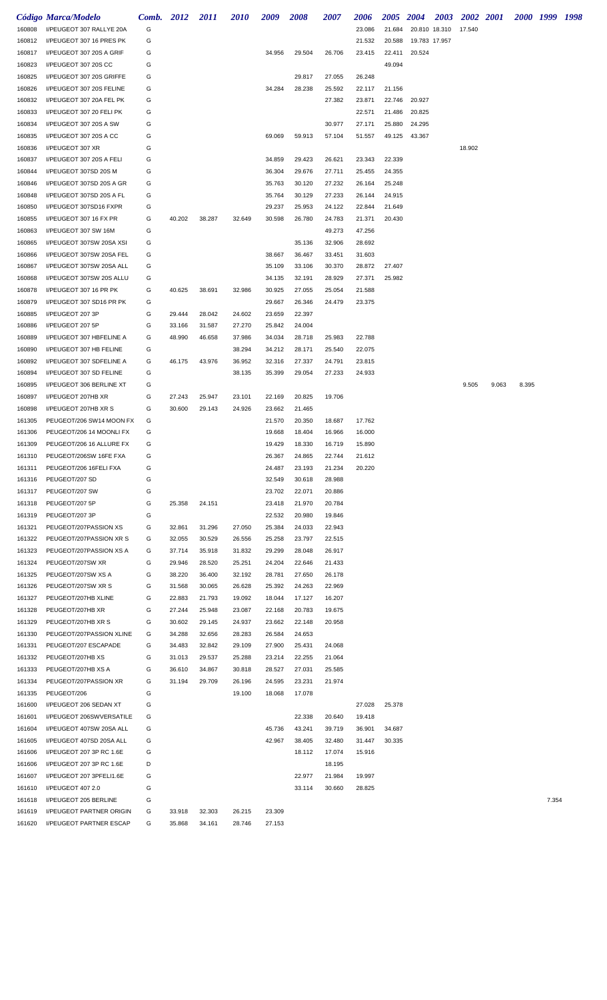|        | Código Marca/Modelo             | Comb. 2012 |        | 2011   | <i>2010</i> | 2009   | 2008   | 2007   | 2006   | <i><b>2005</b></i> | <b>2004</b>   | <b>2003</b> | 2002 2001 |       |       | 2000 1999 1998 |  |
|--------|---------------------------------|------------|--------|--------|-------------|--------|--------|--------|--------|--------------------|---------------|-------------|-----------|-------|-------|----------------|--|
| 160808 | I/PEUGEOT 307 RALLYE 20A        | G          |        |        |             |        |        |        | 23.086 | 21.684             | 20.810 18.310 |             | 17.540    |       |       |                |  |
| 160812 | I/PEUGEOT 307 16 PRES PK        | G          |        |        |             |        |        |        | 21.532 | 20.588             | 19.783 17.957 |             |           |       |       |                |  |
| 160817 | I/PEUGEOT 307 20S A GRIF        | G          |        |        |             | 34.956 | 29.504 | 26.706 | 23.415 | 22.411             | 20.524        |             |           |       |       |                |  |
| 160823 | I/PEUGEOT 307 20S CC            | G          |        |        |             |        |        |        |        | 49.094             |               |             |           |       |       |                |  |
| 160825 | I/PEUGEOT 307 20S GRIFFE        | G          |        |        |             |        | 29.817 | 27.055 | 26.248 |                    |               |             |           |       |       |                |  |
| 160826 | I/PEUGEOT 307 20S FELINE        | G          |        |        |             | 34.284 | 28.238 | 25.592 | 22.117 | 21.156             |               |             |           |       |       |                |  |
| 160832 | I/PEUGEOT 307 20A FEL PK        | G          |        |        |             |        |        | 27.382 | 23.871 | 22.746             | 20.927        |             |           |       |       |                |  |
| 160833 | I/PEUGEOT 307 20 FELI PK        | G          |        |        |             |        |        |        | 22.571 | 21.486             | 20.825        |             |           |       |       |                |  |
| 160834 | I/PEUGEOT 307 20S A SW          | G          |        |        |             |        |        | 30.977 | 27.171 | 25.880             | 24.295        |             |           |       |       |                |  |
| 160835 | I/PEUGEOT 307 20S A CC          | G          |        |        |             | 69.069 | 59.913 | 57.104 | 51.557 | 49.125             | 43.367        |             |           |       |       |                |  |
| 160836 | I/PEUGEOT 307 XR                | G          |        |        |             |        |        |        |        |                    |               |             | 18.902    |       |       |                |  |
| 160837 | I/PEUGEOT 307 20S A FELI        | G          |        |        |             | 34.859 | 29.423 | 26.621 | 23.343 | 22.339             |               |             |           |       |       |                |  |
| 160844 | I/PEUGEOT 307SD 20S M           | G          |        |        |             | 36.304 | 29.676 | 27.711 | 25.455 | 24.355             |               |             |           |       |       |                |  |
| 160846 | I/PEUGEOT 307SD 20S A GR        | G          |        |        |             | 35.763 | 30.120 | 27.232 | 26.164 | 25.248             |               |             |           |       |       |                |  |
| 160848 | I/PEUGEOT 307SD 20S A FL        | G          |        |        |             | 35.764 | 30.129 | 27.233 | 26.144 | 24.915             |               |             |           |       |       |                |  |
| 160850 | I/PEUGEOT 307SD16 FXPR          | G          |        |        |             | 29.237 | 25.953 | 24.122 | 22.844 | 21.649             |               |             |           |       |       |                |  |
| 160855 | I/PEUGEOT 307 16 FX PR          | G          | 40.202 | 38.287 | 32.649      | 30.598 | 26.780 | 24.783 | 21.371 | 20.430             |               |             |           |       |       |                |  |
| 160863 | I/PEUGEOT 307 SW 16M            | G          |        |        |             |        |        | 49.273 | 47.256 |                    |               |             |           |       |       |                |  |
| 160865 | I/PEUGEOT 307SW 20SA XSI        | G          |        |        |             |        | 35.136 | 32.906 | 28.692 |                    |               |             |           |       |       |                |  |
| 160866 | I/PEUGEOT 307SW 20SA FEL        | G          |        |        |             | 38.667 | 36.467 | 33.451 | 31.603 |                    |               |             |           |       |       |                |  |
| 160867 | I/PEUGEOT 307SW 20SA ALL        | G          |        |        |             | 35.109 | 33.106 | 30.370 | 28.872 | 27.407             |               |             |           |       |       |                |  |
| 160868 | I/PEUGEOT 307SW 20S ALLU        | G          |        |        |             | 34.135 | 32.191 | 28.929 | 27.371 | 25.982             |               |             |           |       |       |                |  |
| 160878 | I/PEUGEOT 307 16 PR PK          | G          | 40.625 | 38.691 | 32.986      | 30.925 | 27.055 | 25.054 | 21.588 |                    |               |             |           |       |       |                |  |
| 160879 | I/PEUGEOT 307 SD16 PR PK        | G          |        |        |             | 29.667 | 26.346 | 24.479 | 23.375 |                    |               |             |           |       |       |                |  |
| 160885 | I/PEUGEOT 207 3P                | G          | 29.444 | 28.042 | 24.602      | 23.659 | 22.397 |        |        |                    |               |             |           |       |       |                |  |
| 160886 | I/PEUGEOT 207 5P                | G          | 33.166 | 31.587 | 27.270      | 25.842 | 24.004 |        |        |                    |               |             |           |       |       |                |  |
| 160889 | I/PEUGEOT 307 HBFELINE A        | G          | 48.990 | 46.658 | 37.986      | 34.034 | 28.718 | 25.983 | 22.788 |                    |               |             |           |       |       |                |  |
| 160890 | I/PEUGEOT 307 HB FELINE         | G          |        |        | 38.294      | 34.212 | 28.171 | 25.540 | 22.075 |                    |               |             |           |       |       |                |  |
| 160892 | I/PEUGEOT 307 SDFELINE A        | G          | 46.175 | 43.976 | 36.952      | 32.316 | 27.337 | 24.791 | 23.815 |                    |               |             |           |       |       |                |  |
| 160894 | I/PEUGEOT 307 SD FELINE         | G          |        |        | 38.135      | 35.399 | 29.054 | 27.233 | 24.933 |                    |               |             |           |       |       |                |  |
| 160895 | I/PEUGEOT 306 BERLINE XT        | G          |        |        |             |        |        |        |        |                    |               |             | 9.505     | 9.063 | 8.395 |                |  |
| 160897 | I/PEUGEOT 207HB XR              | G          | 27.243 | 25.947 | 23.101      | 22.169 | 20.825 | 19.706 |        |                    |               |             |           |       |       |                |  |
| 160898 | I/PEUGEOT 207HB XR S            | G          | 30.600 | 29.143 | 24.926      | 23.662 | 21.465 |        |        |                    |               |             |           |       |       |                |  |
| 161305 | PEUGEOT/206 SW14 MOON FX        | G          |        |        |             | 21.570 | 20.350 | 18.687 | 17.762 |                    |               |             |           |       |       |                |  |
| 161306 | PEUGEOT/206 14 MOONLI FX        | G          |        |        |             | 19.668 | 18.404 | 16.966 | 16.000 |                    |               |             |           |       |       |                |  |
| 161309 | PEUGEOT/206 16 ALLURE FX        | G          |        |        |             | 19.429 | 18.330 | 16.719 | 15.890 |                    |               |             |           |       |       |                |  |
| 161310 | PEUGEOT/206SW 16FE FXA          | G          |        |        |             | 26.367 | 24.865 | 22.744 | 21.612 |                    |               |             |           |       |       |                |  |
| 161311 | PEUGEOT/206 16FELI FXA          | G          |        |        |             | 24.487 | 23.193 | 21.234 | 20.220 |                    |               |             |           |       |       |                |  |
| 161316 | PEUGEOT/207 SD                  | G          |        |        |             | 32.549 | 30.618 | 28.988 |        |                    |               |             |           |       |       |                |  |
| 161317 | PEUGEOT/207 SW                  | G          |        |        |             | 23.702 | 22.071 | 20.886 |        |                    |               |             |           |       |       |                |  |
| 161318 | PEUGEOT/207 5P                  | G          | 25.358 | 24.151 |             | 23.418 | 21.970 | 20.784 |        |                    |               |             |           |       |       |                |  |
| 161319 | PEUGEOT/207 3P                  | G          |        |        |             | 22.532 | 20.980 | 19.846 |        |                    |               |             |           |       |       |                |  |
| 161321 | PEUGEOT/207PASSION XS           | G          | 32.861 | 31.296 | 27.050      | 25.384 | 24.033 | 22.943 |        |                    |               |             |           |       |       |                |  |
| 161322 | PEUGEOT/207PASSION XR S         | G          | 32.055 | 30.529 | 26.556      | 25.258 | 23.797 | 22.515 |        |                    |               |             |           |       |       |                |  |
| 161323 | PEUGEOT/207PASSION XS A         | G          | 37.714 | 35.918 | 31.832      | 29.299 | 28.048 | 26.917 |        |                    |               |             |           |       |       |                |  |
| 161324 | PEUGEOT/207SW XR                | G          | 29.946 | 28.520 | 25.251      | 24.204 | 22.646 | 21.433 |        |                    |               |             |           |       |       |                |  |
| 161325 | PEUGEOT/207SW XS A              | G          | 38.220 | 36.400 | 32.192      | 28.781 | 27.650 | 26.178 |        |                    |               |             |           |       |       |                |  |
| 161326 | PEUGEOT/207SW XR S              | G          | 31.568 | 30.065 | 26.628      | 25.392 | 24.263 | 22.969 |        |                    |               |             |           |       |       |                |  |
| 161327 | PEUGEOT/207HB XLINE             | G          | 22.883 | 21.793 | 19.092      | 18.044 | 17.127 | 16.207 |        |                    |               |             |           |       |       |                |  |
| 161328 | PEUGEOT/207HB XR                | G          | 27.244 | 25.948 | 23.087      | 22.168 | 20.783 | 19.675 |        |                    |               |             |           |       |       |                |  |
| 161329 | PEUGEOT/207HB XR S              | G          | 30.602 | 29.145 | 24.937      | 23.662 | 22.148 | 20.958 |        |                    |               |             |           |       |       |                |  |
| 161330 | PEUGEOT/207PASSION XLINE        | G          | 34.288 | 32.656 | 28.283      | 26.584 | 24.653 |        |        |                    |               |             |           |       |       |                |  |
| 161331 | PEUGEOT/207 ESCAPADE            | G          | 34.483 | 32.842 | 29.109      | 27.900 | 25.431 | 24.068 |        |                    |               |             |           |       |       |                |  |
| 161332 | PEUGEOT/207HB XS                | G          | 31.013 | 29.537 | 25.288      | 23.214 | 22.255 | 21.064 |        |                    |               |             |           |       |       |                |  |
| 161333 | PEUGEOT/207HB XS A              | G          | 36.610 | 34.867 | 30.818      | 28.527 | 27.031 | 25.585 |        |                    |               |             |           |       |       |                |  |
| 161334 | PEUGEOT/207PASSION XR           | G          | 31.194 | 29.709 | 26.196      | 24.595 | 23.231 | 21.974 |        |                    |               |             |           |       |       |                |  |
| 161335 | PEUGEOT/206                     | G          |        |        | 19.100      | 18.068 | 17.078 |        |        |                    |               |             |           |       |       |                |  |
| 161600 | I/PEUGEOT 206 SEDAN XT          | G          |        |        |             |        |        |        | 27.028 | 25.378             |               |             |           |       |       |                |  |
| 161601 | I/PEUGEOT 206SWVERSATILE        | G          |        |        |             |        | 22.338 | 20.640 | 19.418 |                    |               |             |           |       |       |                |  |
| 161604 | I/PEUGEOT 407SW 20SA ALL        | G          |        |        |             | 45.736 | 43.241 | 39.719 | 36.901 | 34.687             |               |             |           |       |       |                |  |
| 161605 | I/PEUGEOT 407SD 20SA ALL        | G          |        |        |             | 42.967 | 38.405 | 32.480 | 31.447 | 30.335             |               |             |           |       |       |                |  |
| 161606 | I/PEUGEOT 207 3P RC 1.6E        | G          |        |        |             |        | 18.112 | 17.074 | 15.916 |                    |               |             |           |       |       |                |  |
| 161606 | I/PEUGEOT 207 3P RC 1.6E        | D          |        |        |             |        |        | 18.195 |        |                    |               |             |           |       |       |                |  |
| 161607 | I/PEUGEOT 207 3PFELI1.6E        | G          |        |        |             |        | 22.977 | 21.984 | 19.997 |                    |               |             |           |       |       |                |  |
| 161610 | I/PEUGEOT 407 2.0               | G          |        |        |             |        | 33.114 | 30.660 | 28.825 |                    |               |             |           |       |       |                |  |
| 161618 | I/PEUGEOT 205 BERLINE           | G          |        |        |             |        |        |        |        |                    |               |             |           |       |       | 7.354          |  |
| 161619 | <b>I/PEUGEOT PARTNER ORIGIN</b> | G          | 33.918 | 32.303 | 26.215      | 23.309 |        |        |        |                    |               |             |           |       |       |                |  |
| 161620 | I/PEUGEOT PARTNER ESCAP         | G          | 35.868 | 34.161 | 28.746      | 27.153 |        |        |        |                    |               |             |           |       |       |                |  |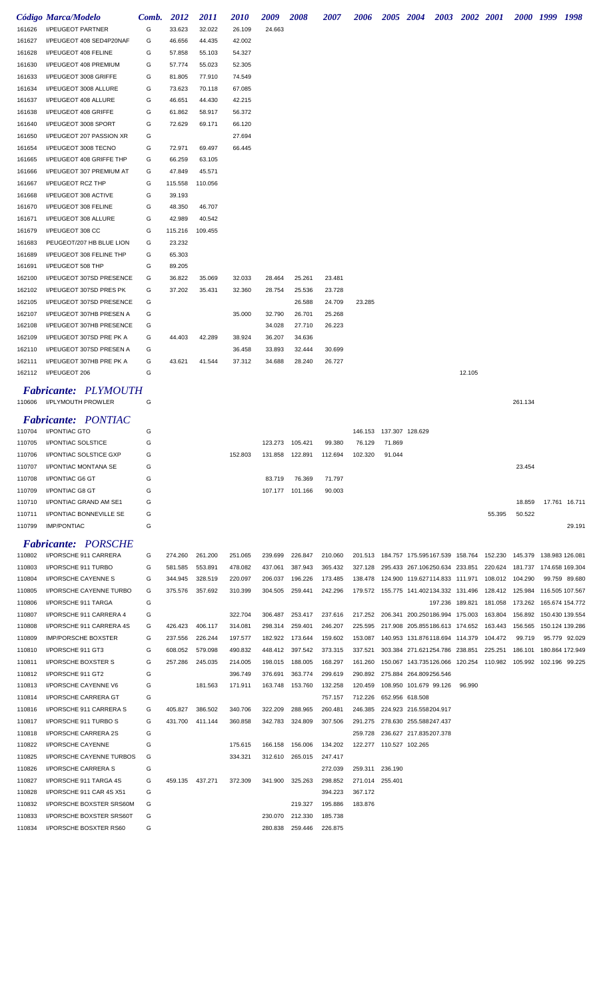|                  | Código Marca/Modelo                      | Comb.  | 2012              | 2011    | <i>2010</i> | 2009            | 2008            | <i><b>2007</b></i>                                  | 2006                      |                         | 2005 2004 2003 2002 2001                                                      |                 |                 | 2000 1999 1998                     |                 |
|------------------|------------------------------------------|--------|-------------------|---------|-------------|-----------------|-----------------|-----------------------------------------------------|---------------------------|-------------------------|-------------------------------------------------------------------------------|-----------------|-----------------|------------------------------------|-----------------|
| 161626           | <b>I/PEUGEOT PARTNER</b>                 | G      | 33.623            | 32.022  | 26.109      | 24.663          |                 |                                                     |                           |                         |                                                                               |                 |                 |                                    |                 |
| 161627           | I/PEUGEOT 408 SED4P20NAF                 | G      | 46.656            | 44.435  | 42.002      |                 |                 |                                                     |                           |                         |                                                                               |                 |                 |                                    |                 |
| 161628           | I/PEUGEOT 408 FELINE                     | G      | 57.858            | 55.103  | 54.327      |                 |                 |                                                     |                           |                         |                                                                               |                 |                 |                                    |                 |
| 161630           | I/PEUGEOT 408 PREMIUM                    | G      | 57.774            | 55.023  | 52.305      |                 |                 |                                                     |                           |                         |                                                                               |                 |                 |                                    |                 |
| 161633           | I/PEUGEOT 3008 GRIFFE                    | G      | 81.805            | 77.910  | 74.549      |                 |                 |                                                     |                           |                         |                                                                               |                 |                 |                                    |                 |
| 161634           | I/PEUGEOT 3008 ALLURE                    | G      | 73.623            | 70.118  | 67.085      |                 |                 |                                                     |                           |                         |                                                                               |                 |                 |                                    |                 |
| 161637           | I/PEUGEOT 408 ALLURE                     | G      | 46.651            | 44.430  | 42.215      |                 |                 |                                                     |                           |                         |                                                                               |                 |                 |                                    |                 |
| 161638           | I/PEUGEOT 408 GRIFFE                     | G      | 61.862            | 58.917  | 56.372      |                 |                 |                                                     |                           |                         |                                                                               |                 |                 |                                    |                 |
| 161640           | I/PEUGEOT 3008 SPORT                     | G      | 72.629            | 69.171  | 66.120      |                 |                 |                                                     |                           |                         |                                                                               |                 |                 |                                    |                 |
| 161650           | I/PEUGEOT 207 PASSION XR                 | G      |                   |         | 27.694      |                 |                 |                                                     |                           |                         |                                                                               |                 |                 |                                    |                 |
| 161654           | I/PEUGEOT 3008 TECNO                     | G      | 72.971            | 69.497  | 66.445      |                 |                 |                                                     |                           |                         |                                                                               |                 |                 |                                    |                 |
| 161665           | I/PEUGEOT 408 GRIFFE THP                 | G      | 66.259            | 63.105  |             |                 |                 |                                                     |                           |                         |                                                                               |                 |                 |                                    |                 |
| 161666           | I/PEUGEOT 307 PREMIUM AT                 | G      | 47.849            | 45.571  |             |                 |                 |                                                     |                           |                         |                                                                               |                 |                 |                                    |                 |
| 161667           | I/PEUGEOT RCZ THP                        | G      | 115.558           | 110.056 |             |                 |                 |                                                     |                           |                         |                                                                               |                 |                 |                                    |                 |
| 161668           | I/PEUGEOT 308 ACTIVE                     | G      | 39.193            |         |             |                 |                 |                                                     |                           |                         |                                                                               |                 |                 |                                    |                 |
| 161670           | I/PEUGEOT 308 FELINE                     | G      | 48.350            | 46.707  |             |                 |                 |                                                     |                           |                         |                                                                               |                 |                 |                                    |                 |
| 161671           | I/PEUGEOT 308 ALLURE<br>I/PEUGEOT 308 CC | G      | 42.989            | 40.542  |             |                 |                 |                                                     |                           |                         |                                                                               |                 |                 |                                    |                 |
| 161679<br>161683 | PEUGEOT/207 HB BLUE LION                 | G<br>G | 115.216<br>23.232 | 109.455 |             |                 |                 |                                                     |                           |                         |                                                                               |                 |                 |                                    |                 |
| 161689           | I/PEUGEOT 308 FELINE THP                 | G      | 65.303            |         |             |                 |                 |                                                     |                           |                         |                                                                               |                 |                 |                                    |                 |
| 161691           | I/PEUGEOT 508 THP                        | G      | 89.205            |         |             |                 |                 |                                                     |                           |                         |                                                                               |                 |                 |                                    |                 |
| 162100           | I/PEUGEOT 307SD PRESENCE                 | G      | 36.822            | 35.069  | 32.033      | 28.464          | 25.261          | 23.481                                              |                           |                         |                                                                               |                 |                 |                                    |                 |
| 162102           | I/PEUGEOT 307SD PRES PK                  | G      | 37.202            | 35.431  | 32.360      | 28.754          | 25.536          | 23.728                                              |                           |                         |                                                                               |                 |                 |                                    |                 |
| 162105           | I/PEUGEOT 307SD PRESENCE                 | G      |                   |         |             |                 | 26.588          | 24.709                                              | 23.285                    |                         |                                                                               |                 |                 |                                    |                 |
| 162107           | I/PEUGEOT 307HB PRESEN A                 | G      |                   |         | 35.000      | 32.790          | 26.701          | 25.268                                              |                           |                         |                                                                               |                 |                 |                                    |                 |
| 162108           | I/PEUGEOT 307HB PRESENCE                 | G      |                   |         |             | 34.028          | 27.710          | 26.223                                              |                           |                         |                                                                               |                 |                 |                                    |                 |
| 162109           | I/PEUGEOT 307SD PRE PK A                 | G      | 44.403            | 42.289  | 38.924      | 36.207          | 34.636          |                                                     |                           |                         |                                                                               |                 |                 |                                    |                 |
| 162110           | I/PEUGEOT 307SD PRESEN A                 | G      |                   |         | 36.458      | 33.893          | 32.444          | 30.699                                              |                           |                         |                                                                               |                 |                 |                                    |                 |
| 162111           | I/PEUGEOT 307HB PRE PK A                 | G      | 43.621            | 41.544  | 37.312      | 34.688          | 28.240          | 26.727                                              |                           |                         |                                                                               |                 |                 |                                    |                 |
| 162112           | I/PEUGEOT 206                            | G      |                   |         |             |                 |                 |                                                     |                           |                         |                                                                               | 12.105          |                 |                                    |                 |
|                  |                                          |        |                   |         |             |                 |                 |                                                     |                           |                         |                                                                               |                 |                 |                                    |                 |
|                  | <b>Fabricante: PLYMOUTH</b>              |        |                   |         |             |                 |                 |                                                     |                           |                         |                                                                               |                 |                 |                                    |                 |
|                  | 110606 I/PLYMOUTH PROWLER                | G      |                   |         |             |                 |                 |                                                     |                           |                         |                                                                               |                 |                 | 261.134                            |                 |
|                  | <b>Fabricante: PONTIAC</b>               |        |                   |         |             |                 |                 |                                                     |                           |                         |                                                                               |                 |                 |                                    |                 |
| 110704           | I/PONTIAC GTO                            | G      |                   |         |             |                 |                 |                                                     |                           | 146.153 137.307 128.629 |                                                                               |                 |                 |                                    |                 |
|                  | 110705 I/PONTIAC SOLSTICE                | G      |                   |         |             |                 | 123.273 105.421 | 99.380                                              | 76.129                    | 71.869                  |                                                                               |                 |                 |                                    |                 |
|                  | 110706 I/PONTIAC SOLSTICE GXP            | G      |                   |         |             |                 |                 | 152.803  131.858  122.891  112.694  102.320  91.044 |                           |                         |                                                                               |                 |                 |                                    |                 |
| 110707           | I/PONTIAC MONTANA SE                     | G      |                   |         |             |                 |                 |                                                     |                           |                         |                                                                               |                 |                 | 23.454                             |                 |
| 110708           | I/PONTIAC G6 GT                          | G      |                   |         |             | 83.719          | 76.369          | 71.797                                              |                           |                         |                                                                               |                 |                 |                                    |                 |
| 110709           | I/PONTIAC G8 GT                          | G      |                   |         |             |                 | 107.177 101.166 | 90.003                                              |                           |                         |                                                                               |                 |                 |                                    |                 |
| 110710           | I/PONTIAC GRAND AM SE1                   | G      |                   |         |             |                 |                 |                                                     |                           |                         |                                                                               |                 |                 | 18.859                             | 17.761 16.711   |
| 110711           | I/PONTIAC BONNEVILLE SE                  | G      |                   |         |             |                 |                 |                                                     |                           |                         |                                                                               |                 | 55.395          | 50.522                             |                 |
| 110799           | <b>IMP/PONTIAC</b>                       | G      |                   |         |             |                 |                 |                                                     |                           |                         |                                                                               |                 |                 |                                    | 29.191          |
|                  | <b>Fabricante: PORSCHE</b>               |        |                   |         |             |                 |                 |                                                     |                           |                         |                                                                               |                 |                 |                                    |                 |
| 110802           | I/PORSCHE 911 CARRERA                    | G      | 274.260           | 261.200 | 251.065     | 239.699         | 226.847         | 210.060                                             |                           |                         | 201.513  184.757  175.595167.539  158.764  152.230  145.379  138.983  126.081 |                 |                 |                                    |                 |
| 110803           | I/PORSCHE 911 TURBO                      | G      | 581.585           | 553.891 | 478.082     | 437.061         | 387.943         | 365.432                                             |                           |                         | 327.128 295.433 267.106250.634 233.851                                        |                 |                 | 220.624 181.737 174.658 169.304    |                 |
| 110804           | I/PORSCHE CAYENNE S                      | G      | 344.945           | 328.519 | 220.097     | 206.037         | 196.226         | 173.485                                             |                           |                         | 138.478  124.900  119.627114.833  111.971                                     |                 | 108.012 104.290 |                                    | 99.759 89.680   |
| 110805           | I/PORSCHE CAYENNE TURBO                  | G      | 375.576           | 357.692 | 310.399     | 304.505         | 259.441         | 242.296                                             |                           |                         | 179.572  155.775  141.402134.332  131.496                                     |                 |                 | 128.412  125.984  116.505  107.567 |                 |
| 110806           | I/PORSCHE 911 TARGA                      | G      |                   |         |             |                 |                 |                                                     |                           |                         |                                                                               | 197.236 189.821 | 181.058         | 173.262 165.674 154.772            |                 |
| 110807           | I/PORSCHE 911 CARRERA 4                  | G      |                   |         | 322.704     | 306.487         | 253.417         | 237.616                                             |                           |                         | 217.252 206.341 200.250186.994 175.003 163.804 156.892 150.430 139.554        |                 |                 |                                    |                 |
| 110808           | I/PORSCHE 911 CARRERA 4S                 | G      | 426.423           | 406.117 | 314.081     | 298.314         | 259.401         | 246.207                                             |                           |                         | 225.595 217.908 205.855186.613 174.652 163.443                                |                 |                 | 156.565                            | 150.124 139.286 |
| 110809           | <b>IMP/PORSCHE BOXSTER</b>               | G      | 237.556           | 226.244 | 197.577     | 182.922         | 173.644         | 159.602                                             |                           |                         | 153.087  140.953  131.876118.694  114.379  104.472                            |                 |                 | 99.719                             | 95.779 92.029   |
| 110810           | I/PORSCHE 911 GT3                        | G      | 608.052           | 579.098 | 490.832     | 448.412         | 397.542         | 373.315                                             | 337.521                   |                         | 303.384 271.621254.786 238.851                                                |                 | 225.251         | 186.101                            | 180.864 172.949 |
| 110811           | I/PORSCHE BOXSTER S                      | G      | 257.286           | 245.035 | 214.005     |                 | 198.015 188.005 | 168.297                                             | 161.260                   |                         | 150.067  143.735126.066  120.254  110.982  105.992  102.196  99.225           |                 |                 |                                    |                 |
| 110812           | I/PORSCHE 911 GT2                        | G      |                   |         | 396.749     | 376.691         | 363.774         | 299.619                                             |                           |                         | 290.892 275.884 264.809256.546                                                |                 |                 |                                    |                 |
| 110813           | I/PORSCHE CAYENNE V6                     | G      |                   | 181.563 | 171.911     | 163.748         | 153.760         | 132.258                                             | 120.459                   |                         | 108.950 101.679 99.126                                                        | 96.990          |                 |                                    |                 |
| 110814           | I/PORSCHE CARRERA GT                     | G      |                   |         |             |                 |                 | 757.157                                             | 712.226 652.956 618.508   |                         |                                                                               |                 |                 |                                    |                 |
| 110816           | I/PORSCHE 911 CARRERA S                  | G      | 405.827           | 386.502 | 340.706     | 322.209         | 288.965         | 260.481                                             |                           |                         | 246.385 224.923 216.558204.917                                                |                 |                 |                                    |                 |
| 110817           | I/PORSCHE 911 TURBO S                    | G      | 431.700           | 411.144 | 360.858     | 342.783         | 324.809         | 307.506                                             |                           |                         | 291.275 278.630 255.588247.437                                                |                 |                 |                                    |                 |
| 110818           | I/PORSCHE CARRERA 2S                     | G      |                   |         |             |                 |                 |                                                     |                           |                         | 259.728 236.627 217.835207.378                                                |                 |                 |                                    |                 |
| 110822           | I/PORSCHE CAYENNE                        | G      |                   |         | 175.615     |                 | 166.158 156.006 | 134.202                                             | 122.277  110.527  102.265 |                         |                                                                               |                 |                 |                                    |                 |
| 110825           |                                          |        |                   |         |             |                 |                 | 247.417                                             |                           |                         |                                                                               |                 |                 |                                    |                 |
|                  | I/PORSCHE CAYENNE TURBOS                 | G      |                   |         | 334.321     | 312.610 265.015 |                 |                                                     |                           |                         |                                                                               |                 |                 |                                    |                 |
| 110826           | I/PORSCHE CARRERA S                      | G      |                   |         |             |                 |                 | 272.039                                             | 259.311 236.190           |                         |                                                                               |                 |                 |                                    |                 |
| 110827           | I/PORSCHE 911 TARGA 4S                   | G      | 459.135 437.271   |         | 372.309     | 341.900         | 325.263         | 298.852                                             | 271.014 255.401           |                         |                                                                               |                 |                 |                                    |                 |
| 110828           | I/PORSCHE 911 CAR 4S X51                 | G      |                   |         |             |                 |                 | 394.223                                             | 367.172                   |                         |                                                                               |                 |                 |                                    |                 |
| 110832           | I/PORSCHE BOXSTER SRS60M                 | G      |                   |         |             |                 | 219.327         | 195.886                                             | 183.876                   |                         |                                                                               |                 |                 |                                    |                 |
| 110833           | I/PORSCHE BOXSTER SRS60T                 | G      |                   |         |             | 230.070         | 212.330         | 185.738                                             |                           |                         |                                                                               |                 |                 |                                    |                 |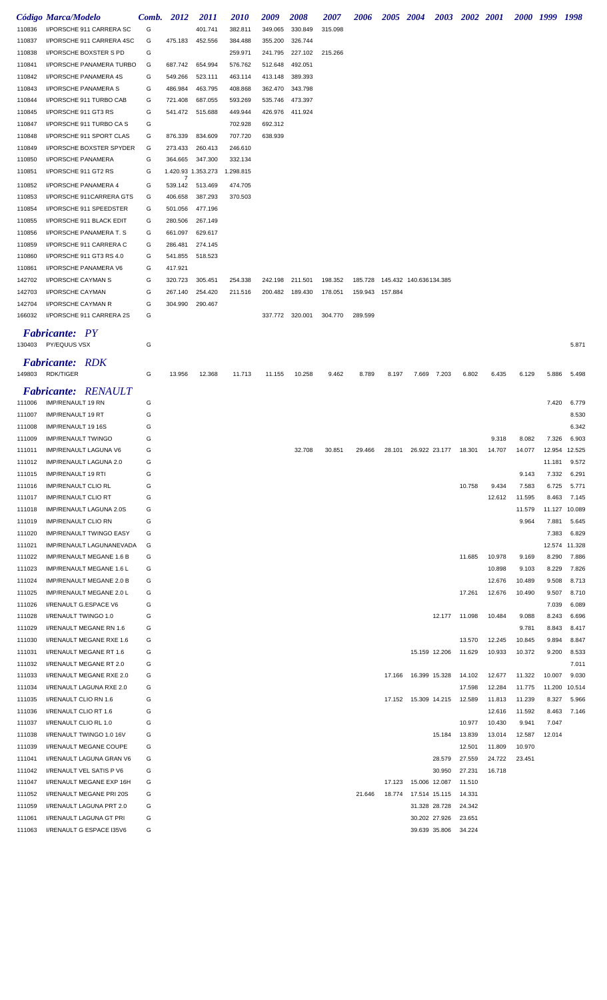|                  | Código Marca/Modelo                                | Comb.  | 2012               | <i>2011</i>        | <i>2010</i> | 2009    | 2008            | <i><b>2007</b></i> | 2006    |         | 2005 2004 2003 2002 2001       |               |                  |                  |                 | 2000 1999 1998  |               |
|------------------|----------------------------------------------------|--------|--------------------|--------------------|-------------|---------|-----------------|--------------------|---------|---------|--------------------------------|---------------|------------------|------------------|-----------------|-----------------|---------------|
| 110836           | I/PORSCHE 911 CARRERA SC                           | G      |                    | 401.741            | 382.811     | 349.065 | 330.849         | 315.098            |         |         |                                |               |                  |                  |                 |                 |               |
| 110837           | I/PORSCHE 911 CARRERA 4SC                          | G      | 475.183            | 452.556            | 384.488     | 355.200 | 326.744         |                    |         |         |                                |               |                  |                  |                 |                 |               |
| 110838           | I/PORSCHE BOXSTER S PD                             | G      |                    |                    | 259.971     | 241.795 | 227.102         | 215.266            |         |         |                                |               |                  |                  |                 |                 |               |
| 110841           | I/PORSCHE PANAMERA TURBO                           | G      | 687.742            | 654.994            | 576.762     | 512.648 | 492.051         |                    |         |         |                                |               |                  |                  |                 |                 |               |
| 110842           | I/PORSCHE PANAMERA 4S                              | G      | 549.266            | 523.111            | 463.114     | 413.148 | 389.393         |                    |         |         |                                |               |                  |                  |                 |                 |               |
| 110843           | I/PORSCHE PANAMERA S                               | G      | 486.984            | 463.795            | 408.868     | 362.470 | 343.798         |                    |         |         |                                |               |                  |                  |                 |                 |               |
| 110844           | I/PORSCHE 911 TURBO CAB                            | G      | 721.408            | 687.055            | 593.269     | 535.746 | 473.397         |                    |         |         |                                |               |                  |                  |                 |                 |               |
| 110845           | I/PORSCHE 911 GT3 RS                               | G      | 541.472            | 515.688            | 449.944     |         | 426.976 411.924 |                    |         |         |                                |               |                  |                  |                 |                 |               |
| 110847           | I/PORSCHE 911 TURBO CA S                           | G      |                    |                    | 702.928     | 692.312 |                 |                    |         |         |                                |               |                  |                  |                 |                 |               |
| 110848           | I/PORSCHE 911 SPORT CLAS                           | G      | 876.339            | 834.609            | 707.720     | 638.939 |                 |                    |         |         |                                |               |                  |                  |                 |                 |               |
| 110849           | I/PORSCHE BOXSTER SPYDER                           | G      | 273.433            | 260.413            | 246.610     |         |                 |                    |         |         |                                |               |                  |                  |                 |                 |               |
| 110850           | I/PORSCHE PANAMERA                                 | G      | 364.665            | 347.300            | 332.134     |         |                 |                    |         |         |                                |               |                  |                  |                 |                 |               |
| 110851           | I/PORSCHE 911 GT2 RS                               | G      | 1.420.93 1.353.273 |                    | 1.298.815   |         |                 |                    |         |         |                                |               |                  |                  |                 |                 |               |
| 110852           | I/PORSCHE PANAMERA 4                               | G      | 539.142            | 513.469            | 474.705     |         |                 |                    |         |         |                                |               |                  |                  |                 |                 |               |
| 110853           | I/PORSCHE 911CARRERA GTS                           | G      | 406.658            | 387.293            | 370.503     |         |                 |                    |         |         |                                |               |                  |                  |                 |                 |               |
| 110854           | I/PORSCHE 911 SPEEDSTER                            | G      | 501.056            | 477.196            |             |         |                 |                    |         |         |                                |               |                  |                  |                 |                 |               |
| 110855           | I/PORSCHE 911 BLACK EDIT                           | G      | 280.506<br>661.097 | 267.149            |             |         |                 |                    |         |         |                                |               |                  |                  |                 |                 |               |
| 110856           | I/PORSCHE PANAMERA T. S<br>I/PORSCHE 911 CARRERA C | G<br>G | 286.481            | 629.617<br>274.145 |             |         |                 |                    |         |         |                                |               |                  |                  |                 |                 |               |
| 110859<br>110860 | I/PORSCHE 911 GT3 RS 4.0                           | G      | 541.855            | 518.523            |             |         |                 |                    |         |         |                                |               |                  |                  |                 |                 |               |
| 110861           | I/PORSCHE PANAMERA V6                              | G      | 417.921            |                    |             |         |                 |                    |         |         |                                |               |                  |                  |                 |                 |               |
| 142702           | I/PORSCHE CAYMAN S                                 | G      | 320.723            | 305.451            | 254.338     | 242.198 | 211.501         | 198.352            | 185.728 |         | 145.432 140.636134.385         |               |                  |                  |                 |                 |               |
| 142703           | I/PORSCHE CAYMAN                                   | G      | 267.140            | 254.420            | 211.516     |         | 200.482 189.430 | 178.051            | 159.943 | 157.884 |                                |               |                  |                  |                 |                 |               |
| 142704           | I/PORSCHE CAYMAN R                                 | G      | 304.990            | 290.467            |             |         |                 |                    |         |         |                                |               |                  |                  |                 |                 |               |
| 166032           | I/PORSCHE 911 CARRERA 2S                           | G      |                    |                    |             |         | 337.772 320.001 | 304.770            | 289.599 |         |                                |               |                  |                  |                 |                 |               |
|                  |                                                    |        |                    |                    |             |         |                 |                    |         |         |                                |               |                  |                  |                 |                 |               |
|                  | <b>Fabricante:</b> PY                              |        |                    |                    |             |         |                 |                    |         |         |                                |               |                  |                  |                 |                 |               |
| 130403           | PY/EQUUS VSX                                       | G      |                    |                    |             |         |                 |                    |         |         |                                |               |                  |                  |                 |                 | 5.871         |
|                  | <i>Fabricante:</i><br>RDK                          |        |                    |                    |             |         |                 |                    |         |         |                                |               |                  |                  |                 |                 |               |
| 149803           | <b>RDK/TIGER</b>                                   | G      | 13.956             | 12.368             | 11.713      | 11.155  | 10.258          | 9.462              | 8.789   | 8.197   | 7.669                          | 7.203         | 6.802            | 6.435            | 6.129           | 5.886           | 5.498         |
|                  | <b>Fabricante: RENAULT</b>                         |        |                    |                    |             |         |                 |                    |         |         |                                |               |                  |                  |                 |                 |               |
| 111006           | IMP/RENAULT 19 RN                                  | G      |                    |                    |             |         |                 |                    |         |         |                                |               |                  |                  |                 | 7.420           | 6.779         |
| 111007           | IMP/RENAULT 19 RT                                  | G      |                    |                    |             |         |                 |                    |         |         |                                |               |                  |                  |                 |                 | 8.530         |
| 111008           | IMP/RENAULT 19 16S                                 | G      |                    |                    |             |         |                 |                    |         |         |                                |               |                  |                  |                 |                 | 6.342         |
| 111009           | <b>IMP/RENAULT TWINGO</b>                          | G      |                    |                    |             |         |                 |                    |         |         |                                |               |                  | 9.318            | 8.082           | 7.326           | 6.903         |
| 111011           | IMP/RENAULT LAGUNA V6                              | G      |                    |                    |             |         | 32.708          | 30.851             | 29.466  | 28.101  |                                | 26.922 23.177 | 18.301           | 14.707           | 14.077          |                 | 12.954 12.525 |
| 111012           | IMP/RENAULT LAGUNA 2.0                             | G      |                    |                    |             |         |                 |                    |         |         |                                |               |                  |                  |                 | 11.181          | 9.572         |
| 111015           | IMP/RENAULT 19 RTI                                 | G      |                    |                    |             |         |                 |                    |         |         |                                |               |                  |                  | 9.143           | 7.332           | 6.291         |
| 111016           | <b>IMP/RENAULT CLIO RL</b>                         | G      |                    |                    |             |         |                 |                    |         |         |                                |               | 10.758           | 9.434            | 7.583           | 6.725           | 5.771         |
| 111017           | <b>IMP/RENAULT CLIO RT</b>                         | G      |                    |                    |             |         |                 |                    |         |         |                                |               |                  | 12.612           | 11.595          | 8.463           | 7.145         |
| 111018           | IMP/RENAULT LAGUNA 2.0S                            | G      |                    |                    |             |         |                 |                    |         |         |                                |               |                  |                  | 11.579          | 11.127          | 10.089        |
| 111019           | <b>IMP/RENAULT CLIO RN</b>                         | G      |                    |                    |             |         |                 |                    |         |         |                                |               |                  |                  | 9.964           | 7.881           | 5.645         |
| 111020           | <b>IMP/RENAULT TWINGO EASY</b>                     | G      |                    |                    |             |         |                 |                    |         |         |                                |               |                  |                  |                 | 7.383           | 6.829         |
| 111021           | IMP/RENAULT LAGUNANEVADA                           | G      |                    |                    |             |         |                 |                    |         |         |                                |               |                  |                  |                 |                 | 12.574 11.328 |
| 111022           | IMP/RENAULT MEGANE 1.6 B                           | G      |                    |                    |             |         |                 |                    |         |         |                                |               | 11.685           | 10.978           | 9.169           | 8.290           | 7.886         |
| 111023           | IMP/RENAULT MEGANE 1.6 L                           | G      |                    |                    |             |         |                 |                    |         |         |                                |               |                  | 10.898           | 9.103           | 8.229           | 7.826         |
| 111024           | IMP/RENAULT MEGANE 2.0 B                           | G      |                    |                    |             |         |                 |                    |         |         |                                |               |                  | 12.676           | 10.489          | 9.508           | 8.713         |
| 111025           | IMP/RENAULT MEGANE 2.0 L                           | G      |                    |                    |             |         |                 |                    |         |         |                                |               | 17.261           | 12.676           | 10.490          | 9.507           | 8.710         |
| 111026           | I/RENAULT G.ESPACE V6                              | G      |                    |                    |             |         |                 |                    |         |         |                                |               |                  |                  |                 | 7.039           | 6.089         |
| 111028           | I/RENAULT TWINGO 1.0                               | G      |                    |                    |             |         |                 |                    |         |         |                                | 12.177 11.098 |                  | 10.484           | 9.088           | 8.243           | 6.696         |
| 111029           | I/RENAULT MEGANE RN 1.6                            | G      |                    |                    |             |         |                 |                    |         |         |                                |               |                  |                  | 9.781           | 8.843           | 8.417         |
| 111030           | I/RENAULT MEGANE RXE 1.6                           | G      |                    |                    |             |         |                 |                    |         |         |                                |               | 13.570           | 12.245           | 10.845          | 9.894           | 8.847         |
| 111031           | I/RENAULT MEGANE RT 1.6                            | G      |                    |                    |             |         |                 |                    |         |         | 15.159 12.206                  |               | 11.629           | 10.933           | 10.372          | 9.200           | 8.533         |
| 111032           | I/RENAULT MEGANE RT 2.0                            | G      |                    |                    |             |         |                 |                    |         |         |                                |               |                  |                  |                 |                 | 7.011         |
| 111033           | I/RENAULT MEGANE RXE 2.0                           | G      |                    |                    |             |         |                 |                    |         | 17.166  | 16.399 15.328                  |               | 14.102           | 12.677           | 11.322          | 10.007          | 9.030         |
| 111034           | I/RENAULT LAGUNA RXE 2.0                           | G      |                    |                    |             |         |                 |                    |         |         |                                |               | 17.598           | 12.284           | 11.775          | 11.200          | 10.514        |
| 111035           | I/RENAULT CLIO RN 1.6                              | G      |                    |                    |             |         |                 |                    |         |         | 17.152  15.309  14.215  12.589 |               |                  | 11.813           | 11.239          | 8.327           | 5.966         |
| 111036           | I/RENAULT CLIO RT 1.6                              | G      |                    |                    |             |         |                 |                    |         |         |                                |               |                  | 12.616           | 11.592          | 8.463           | 7.146         |
| 111037<br>111038 | I/RENAULT CLIO RL 1.0<br>I/RENAULT TWINGO 1.0 16V  | G<br>G |                    |                    |             |         |                 |                    |         |         |                                | 15.184        | 10.977<br>13.839 | 10.430<br>13.014 | 9.941<br>12.587 | 7.047<br>12.014 |               |
| 111039           | I/RENAULT MEGANE COUPE                             | G      |                    |                    |             |         |                 |                    |         |         |                                |               | 12.501           | 11.809           | 10.970          |                 |               |
| 111041           | I/RENAULT LAGUNA GRAN V6                           | G      |                    |                    |             |         |                 |                    |         |         |                                | 28.579        | 27.559           | 24.722           | 23.451          |                 |               |
| 111042           | I/RENAULT VEL SATIS P V6                           | G      |                    |                    |             |         |                 |                    |         |         |                                | 30.950        | 27.231           | 16.718           |                 |                 |               |
| 111047           | I/RENAULT MEGANE EXP 16H                           | G      |                    |                    |             |         |                 |                    |         | 17.123  | 15.006 12.087                  |               | 11.510           |                  |                 |                 |               |
| 111052           | I/RENAULT MEGANE PRI 20S                           | G      |                    |                    |             |         |                 |                    | 21.646  |         | 18.774 17.514 15.115           |               | 14.331           |                  |                 |                 |               |
| 111059           | I/RENAULT LAGUNA PRT 2.0                           | G      |                    |                    |             |         |                 |                    |         |         | 31.328 28.728                  |               | 24.342           |                  |                 |                 |               |
| 111061           | I/RENAULT LAGUNA GT PRI                            | G      |                    |                    |             |         |                 |                    |         |         | 30.202 27.926                  |               | 23.651           |                  |                 |                 |               |
| 111063           | I/RENAULT G ESPACE I35V6                           | G      |                    |                    |             |         |                 |                    |         |         | 39.639 35.806                  |               | 34.224           |                  |                 |                 |               |
|                  |                                                    |        |                    |                    |             |         |                 |                    |         |         |                                |               |                  |                  |                 |                 |               |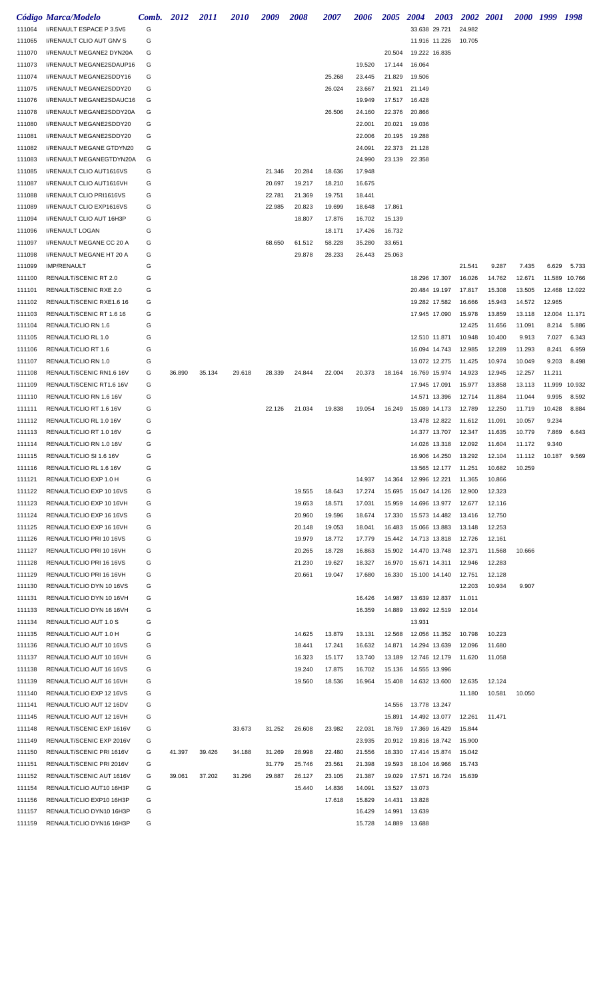|                  | Código Marca/Modelo                                | Comb.  | 2012   | 2011   | <i>2010</i> | 2009   | 2008   | 2007   | 2006   | <b>2005</b> | <b>2004</b>            | <b>2003</b>          | 2002 2001                   |                  |                  | 2000 1999 1998  |               |
|------------------|----------------------------------------------------|--------|--------|--------|-------------|--------|--------|--------|--------|-------------|------------------------|----------------------|-----------------------------|------------------|------------------|-----------------|---------------|
| 111064           | I/RENAULT ESPACE P 3.5V6                           | G      |        |        |             |        |        |        |        |             | 33.638 29.721          |                      | 24.982                      |                  |                  |                 |               |
| 111065           | I/RENAULT CLIO AUT GNV S                           | G      |        |        |             |        |        |        |        |             |                        | 11.916 11.226        | 10.705                      |                  |                  |                 |               |
| 111070           | I/RENAULT MEGANE2 DYN20A                           | G      |        |        |             |        |        |        |        | 20.504      | 19.222 16.835          |                      |                             |                  |                  |                 |               |
| 111073           | I/RENAULT MEGANE2SDAUP16                           | G      |        |        |             |        |        |        | 19.520 | 17.144      | 16.064                 |                      |                             |                  |                  |                 |               |
| 111074           | I/RENAULT MEGANE2SDDY16                            | G      |        |        |             |        |        | 25.268 | 23.445 | 21.829      | 19.506                 |                      |                             |                  |                  |                 |               |
| 111075           | I/RENAULT MEGANE2SDDY20                            | G      |        |        |             |        |        | 26.024 | 23.667 | 21.921      | 21.149                 |                      |                             |                  |                  |                 |               |
| 111076           | I/RENAULT MEGANE2SDAUC16                           | G      |        |        |             |        |        |        | 19.949 | 17.517      | 16.428                 |                      |                             |                  |                  |                 |               |
| 111078           | I/RENAULT MEGANE2SDDY20A                           | G      |        |        |             |        |        | 26.506 | 24.160 | 22.376      | 20.866                 |                      |                             |                  |                  |                 |               |
| 111080           | I/RENAULT MEGANE2SDDY20                            | G      |        |        |             |        |        |        | 22.001 | 20.021      | 19.036                 |                      |                             |                  |                  |                 |               |
| 111081           | I/RENAULT MEGANE2SDDY20                            | G      |        |        |             |        |        |        | 22.006 | 20.195      | 19.288                 |                      |                             |                  |                  |                 |               |
| 111082           | I/RENAULT MEGANE GTDYN20                           | G      |        |        |             |        |        |        | 24.091 | 22.373      | 21.128                 |                      |                             |                  |                  |                 |               |
| 111083           | I/RENAULT MEGANEGTDYN20A                           | G      |        |        |             |        |        |        | 24.990 | 23.139      | 22.358                 |                      |                             |                  |                  |                 |               |
| 111085           | I/RENAULT CLIO AUT1616VS                           | G      |        |        |             | 21.346 | 20.284 | 18.636 | 17.948 |             |                        |                      |                             |                  |                  |                 |               |
| 111087           | I/RENAULT CLIO AUT1616VH                           | G      |        |        |             | 20.697 | 19.217 | 18.210 | 16.675 |             |                        |                      |                             |                  |                  |                 |               |
| 111088           | I/RENAULT CLIO PRI1616VS                           | G      |        |        |             | 22.781 | 21.369 | 19.751 | 18.441 |             |                        |                      |                             |                  |                  |                 |               |
| 111089           | I/RENAULT CLIO EXP1616VS                           | G      |        |        |             | 22.985 | 20.823 | 19.699 | 18.648 | 17.861      |                        |                      |                             |                  |                  |                 |               |
| 111094           | I/RENAULT CLIO AUT 16H3P                           | G      |        |        |             |        | 18.807 | 17.876 | 16.702 | 15.139      |                        |                      |                             |                  |                  |                 |               |
| 111096           | I/RENAULT LOGAN                                    | G      |        |        |             |        |        | 18.171 | 17.426 | 16.732      |                        |                      |                             |                  |                  |                 |               |
| 111097           | I/RENAULT MEGANE CC 20 A                           | G      |        |        |             | 68.650 | 61.512 | 58.228 | 35.280 | 33.651      |                        |                      |                             |                  |                  |                 |               |
| 111098           | I/RENAULT MEGANE HT 20 A                           | G      |        |        |             |        | 29.878 | 28.233 | 26.443 | 25.063      |                        |                      |                             |                  |                  |                 |               |
| 111099           | <b>IMP/RENAULT</b>                                 | G      |        |        |             |        |        |        |        |             |                        |                      | 21.541                      | 9.287            | 7.435            | 6.629           | 5.733         |
| 111100           | RENAULT/SCENIC RT 2.0                              | G      |        |        |             |        |        |        |        |             | 18.296 17.307          |                      | 16.026                      | 14.762           | 12.671           |                 | 11.589 10.766 |
| 111101           | RENAULT/SCENIC RXE 2.0                             | G      |        |        |             |        |        |        |        |             | 20.484 19.197          |                      | 17.817                      | 15.308           | 13.505           |                 | 12.468 12.022 |
| 111102           | RENAULT/SCENIC RXE1.6 16                           | G      |        |        |             |        |        |        |        |             |                        | 19.282 17.582        | 16.666                      | 15.943           | 14.572           | 12.965          |               |
| 111103           | RENAULT/SCENIC RT 1.6 16                           | G      |        |        |             |        |        |        |        |             |                        | 17.945 17.090        | 15.978                      | 13.859           | 13.118           |                 | 12.004 11.171 |
| 111104           | RENAULT/CLIO RN 1.6                                | G      |        |        |             |        |        |        |        |             |                        |                      | 12.425                      | 11.656           | 11.091           | 8.214           | 5.886         |
| 111105           | RENAULT/CLIO RL 1.0                                | G      |        |        |             |        |        |        |        |             | 12.510 11.871          |                      | 10.948                      | 10.400           | 9.913            | 7.027           | 6.343         |
| 111106           | RENAULT/CLIO RT 1.6                                | G      |        |        |             |        |        |        |        |             |                        | 16.094 14.743        | 12.985                      | 12.289           | 11.293           | 8.241           | 6.959         |
| 111107           | RENAULT/CLIO RN 1.0                                | G      |        |        |             |        |        |        |        |             |                        | 13.072 12.275        | 11.425                      | 10.974           | 10.049           | 9.203           | 8.498         |
| 111108           | RENAULT/SCENIC RN1.6 16V                           | G      | 36.890 | 35.134 | 29.618      | 28.339 | 24.844 | 22.004 | 20.373 | 18.164      | 16.769 15.974          |                      | 14.923                      | 12.945           | 12.257           | 11.211          |               |
| 111109           | RENAULT/SCENIC RT1.6 16V                           | G      |        |        |             |        |        |        |        |             | 17.945 17.091          |                      | 15.977                      | 13.858           | 13.113           | 11.999          | 10.932        |
| 111110           | RENAULT/CLIO RN 1.6 16V                            | G      |        |        |             |        |        |        |        |             |                        | 14.571 13.396        | 12.714                      | 11.884           | 11.044           | 9.995           | 8.592         |
| 111111           | RENAULT/CLIO RT 1.6 16V<br>RENAULT/CLIO RL 1.0 16V | G<br>G |        |        |             | 22.126 | 21.034 | 19.838 | 19.054 | 16.249      | 15.089 14.173          |                      | 12.789<br>11.612            | 12.250<br>11.091 | 11.719           | 10.428<br>9.234 | 8.884         |
| 111112<br>111113 | RENAULT/CLIO RT 1.0 16V                            | G      |        |        |             |        |        |        |        |             | 14.377 13.707          | 13.478 12.822        | 12.347                      | 11.635           | 10.057<br>10.779 | 7.869           | 6.643         |
| 111114           | RENAULT/CLIO RN 1.0 16V                            | G      |        |        |             |        |        |        |        |             |                        | 14.026 13.318        | 12.092                      | 11.604           | 11.172           | 9.340           |               |
| 111115           | RENAULT/CLIO SI 1.6 16V                            | G      |        |        |             |        |        |        |        |             |                        |                      | 16.906 14.250 13.292 12.104 |                  | 11.112           |                 | 10.187 9.569  |
| 111116           | RENAULT/CLIO RL 1.6 16V                            | G      |        |        |             |        |        |        |        |             |                        | 13.565 12.177 11.251 |                             | 10.682           | 10.259           |                 |               |
| 111121           | RENAULT/CLIO EXP 1.0 H                             | G      |        |        |             |        |        |        | 14.937 | 14.364      | 12.996 12.221          |                      | 11.365                      | 10.866           |                  |                 |               |
| 111122           | RENAULT/CLIO EXP 10 16VS                           | G      |        |        |             |        | 19.555 | 18.643 | 17.274 | 15.695      | 15.047 14.126          |                      | 12.900                      | 12.323           |                  |                 |               |
| 111123           | RENAULT/CLIO EXP 10 16VH                           | G      |        |        |             |        | 19.653 | 18.571 | 17.031 | 15.959      | 14.696 13.977          |                      | 12.677                      | 12.116           |                  |                 |               |
| 111124           | RENAULT/CLIO EXP 16 16VS                           | G      |        |        |             |        | 20.960 | 19.596 | 18.674 | 17.330      | 15.573 14.482          |                      | 13.416                      | 12.750           |                  |                 |               |
| 111125           | RENAULT/CLIO EXP 16 16VH                           | G      |        |        |             |        | 20.148 | 19.053 | 18.041 | 16.483      | 15.066 13.883          |                      | 13.148                      | 12.253           |                  |                 |               |
| 111126           | RENAULT/CLIO PRI 10 16VS                           | G      |        |        |             |        | 19.979 | 18.772 | 17.779 | 15.442      | 14.713 13.818          |                      | 12.726                      | 12.161           |                  |                 |               |
| 111127           | RENAULT/CLIO PRI 10 16VH                           | G      |        |        |             |        | 20.265 | 18.728 | 16.863 | 15.902      | 14.470 13.748          |                      | 12.371                      | 11.568           | 10.666           |                 |               |
| 111128           | RENAULT/CLIO PRI 16 16VS                           | G      |        |        |             |        | 21.230 | 19.627 | 18.327 | 16.970      | 15.671 14.311          |                      | 12.946                      | 12.283           |                  |                 |               |
| 111129           | RENAULT/CLIO PRI 16 16VH                           | G      |        |        |             |        | 20.661 | 19.047 | 17.680 | 16.330      | 15.100 14.140          |                      | 12.751                      | 12.128           |                  |                 |               |
| 111130           | RENAULT/CLIO DYN 10 16VS                           | G      |        |        |             |        |        |        |        |             |                        |                      | 12.203                      | 10.934           | 9.907            |                 |               |
| 111131           | RENAULT/CLIO DYN 10 16VH                           | G      |        |        |             |        |        |        | 16.426 | 14.987      | 13.639 12.837          |                      | 11.011                      |                  |                  |                 |               |
| 111133           | RENAULT/CLIO DYN 16 16VH                           | G      |        |        |             |        |        |        | 16.359 | 14.889      | 13.692 12.519          |                      | 12.014                      |                  |                  |                 |               |
| 111134           | RENAULT/CLIO AUT 1.0 S                             | G      |        |        |             |        |        |        |        |             | 13.931                 |                      |                             |                  |                  |                 |               |
| 111135           | RENAULT/CLIO AUT 1.0 H                             | G      |        |        |             |        | 14.625 | 13.879 | 13.131 | 12.568      | 12.056 11.352          |                      | 10.798                      | 10.223           |                  |                 |               |
| 111136           | RENAULT/CLIO AUT 10 16VS                           | G      |        |        |             |        | 18.441 | 17.241 | 16.632 | 14.871      | 14.294 13.639          |                      | 12.096                      | 11.680           |                  |                 |               |
| 111137           | RENAULT/CLIO AUT 10 16VH                           | G      |        |        |             |        | 16.323 | 15.177 | 13.740 | 13.189      | 12.746 12.179          |                      | 11.620                      | 11.058           |                  |                 |               |
| 111138           | RENAULT/CLIO AUT 16 16VS                           | G      |        |        |             |        | 19.240 | 17.875 | 16.702 | 15.136      | 14.555 13.996          |                      |                             |                  |                  |                 |               |
| 111139           | RENAULT/CLIO AUT 16 16VH                           | G      |        |        |             |        | 19.560 | 18.536 | 16.964 |             | 15.408  14.632  13.600 |                      | 12.635                      | 12.124           |                  |                 |               |
| 111140           | RENAULT/CLIO EXP 12 16VS                           | G      |        |        |             |        |        |        |        |             |                        |                      | 11.180                      | 10.581           | 10.050           |                 |               |
| 111141           | RENAULT/CLIO AUT 12 16DV                           | G      |        |        |             |        |        |        |        |             | 14.556  13.778  13.247 |                      |                             |                  |                  |                 |               |
| 111145           | RENAULT/CLIO AUT 12 16VH                           | G      |        |        |             |        |        |        |        | 15.891      | 14.492 13.077          |                      | 12.261                      | 11.471           |                  |                 |               |
| 111148           | RENAULT/SCENIC EXP 1616V                           | G      |        |        | 33.673      | 31.252 | 26.608 | 23.982 | 22.031 | 18.769      | 17.369 16.429          |                      | 15.844                      |                  |                  |                 |               |
| 111149           | RENAULT/SCENIC EXP 2016V                           | G      |        |        |             |        |        |        | 23.935 | 20.912      | 19.816 18.742          |                      | 15.900                      |                  |                  |                 |               |
| 111150           | RENAULT/SCENIC PRI 1616V                           | G      | 41.397 | 39.426 | 34.188      | 31.269 | 28.998 | 22.480 | 21.556 | 18.330      | 17.414 15.874          |                      | 15.042                      |                  |                  |                 |               |
| 111151           | RENAULT/SCENIC PRI 2016V                           | G      |        |        |             | 31.779 | 25.746 | 23.561 | 21.398 | 19.593      | 18.104 16.966          |                      | 15.743                      |                  |                  |                 |               |
| 111152           | RENAULT/SCENIC AUT 1616V                           | G      | 39.061 | 37.202 | 31.296      | 29.887 | 26.127 | 23.105 | 21.387 | 19.029      | 17.571 16.724          |                      | 15.639                      |                  |                  |                 |               |
| 111154           | RENAULT/CLIO AUT10 16H3P                           | G      |        |        |             |        | 15.440 | 14.836 | 14.091 | 13.527      | 13.073                 |                      |                             |                  |                  |                 |               |
| 111156           | RENAULT/CLIO EXP10 16H3P                           | G      |        |        |             |        |        | 17.618 | 15.829 | 14.431      | 13.828                 |                      |                             |                  |                  |                 |               |
| 111157           | RENAULT/CLIO DYN10 16H3P                           | G      |        |        |             |        |        |        | 16.429 | 14.991      | 13.639                 |                      |                             |                  |                  |                 |               |
| 111159           | RENAULT/CLIO DYN16 16H3P                           | G      |        |        |             |        |        |        | 15.728 |             | 14.889 13.688          |                      |                             |                  |                  |                 |               |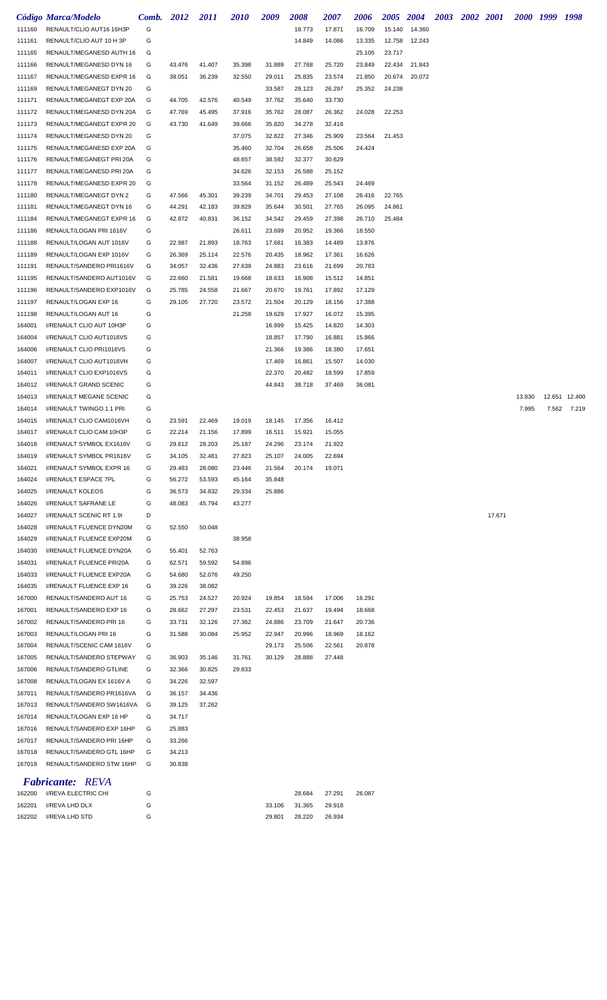|        | Código Marca/Modelo              | Comb.  | 2012   | <b>2011</b> | 2010   | 2009   | 2008   | 2007   | 2006   | <b>2005</b> | 2004   | <b>2003</b> | 2002 2001 |        |        | 2000 1999 1998 |        |
|--------|----------------------------------|--------|--------|-------------|--------|--------|--------|--------|--------|-------------|--------|-------------|-----------|--------|--------|----------------|--------|
| 111160 | RENAULT/CLIO AUT16 16H3P         | G      |        |             |        |        | 18.773 | 17.871 | 16.709 | 15.140      | 14.360 |             |           |        |        |                |        |
| 111161 | RENAULT/CLIO AUT 10 H 3P         | G      |        |             |        |        | 14.849 | 14.086 | 13.335 | 12.758      | 12.243 |             |           |        |        |                |        |
| 111165 | RENAULT/MEGANESD AUTH 16         | G      |        |             |        |        |        |        | 25.105 | 23.717      |        |             |           |        |        |                |        |
| 111166 | RENAULT/MEGANESD DYN 16          | G      | 43.476 | 41.407      | 35.398 | 31.889 | 27.768 | 25.720 | 23.849 | 22.434      | 21.843 |             |           |        |        |                |        |
| 111167 | RENAULT/MEGANESD EXPR 16         | G      | 38.051 | 36.239      | 32.550 | 29.011 | 25.835 | 23.574 | 21.850 | 20.674      | 20.072 |             |           |        |        |                |        |
| 111169 | RENAULT/MEGANEGT DYN 20          | G      |        |             |        | 33.587 | 29.123 | 26.297 | 25.352 | 24.238      |        |             |           |        |        |                |        |
| 111171 | RENAULT/MEGANEGT EXP 20A         | G      | 44.705 | 42.576      | 40.549 | 37.762 | 35.640 | 33.730 |        |             |        |             |           |        |        |                |        |
| 111172 | RENAULT/MEGANESD DYN 20A         | G      | 47.769 | 45.495      | 37.916 | 35.762 | 28.087 | 26.362 | 24.028 | 22.253      |        |             |           |        |        |                |        |
| 111173 | RENAULT/MEGANEGT EXPR 20         | G      | 43.730 | 41.649      | 39.666 | 35.820 | 34.278 | 32.416 |        |             |        |             |           |        |        |                |        |
| 111174 | RENAULT/MEGANESD DYN 20          | G      |        |             | 37.075 | 32.822 | 27.346 | 25.909 | 23.564 | 21.453      |        |             |           |        |        |                |        |
| 111175 | RENAULT/MEGANESD EXP 20A         | G      |        |             | 35.460 | 32.704 | 26.658 | 25.506 | 24.424 |             |        |             |           |        |        |                |        |
| 111176 | RENAULT/MEGANEGT PRI 20A         | G      |        |             | 48.657 | 38.592 | 32.377 | 30.629 |        |             |        |             |           |        |        |                |        |
| 111177 | RENAULT/MEGANESD PRI 20A         | G      |        |             | 34.626 | 32.153 | 26.588 | 25.152 |        |             |        |             |           |        |        |                |        |
| 111178 | RENAULT/MEGANESD EXPR 20         | G      |        |             | 33.564 | 31.152 | 26.489 | 25.543 | 24.469 |             |        |             |           |        |        |                |        |
| 111180 | RENAULT/MEGANEGT DYN 2           | G      | 47.566 | 45.301      | 39.239 | 34.701 | 29.453 | 27.108 | 26.416 | 22.765      |        |             |           |        |        |                |        |
| 111181 | RENAULT/MEGANEGT DYN 16          | G      | 44.291 | 42.183      | 39.829 | 35.644 | 30.501 | 27.765 | 26.095 | 24.861      |        |             |           |        |        |                |        |
| 111184 | RENAULT/MEGANEGT EXPR 16         | G      | 42.872 | 40.831      | 36.152 | 34.542 | 29.459 | 27.398 | 26.710 | 25.484      |        |             |           |        |        |                |        |
| 111186 | RENAULT/LOGAN PRI 1616V          | G      |        |             | 26.611 | 23.699 | 20.952 | 19.366 | 18.550 |             |        |             |           |        |        |                |        |
| 111188 | RENAULT/LOGAN AUT 1016V          | G      | 22.987 | 21.893      | 18.763 | 17.681 | 16.383 | 14.489 | 13.876 |             |        |             |           |        |        |                |        |
| 111189 | RENAULT/LOGAN EXP 1016V          | G      | 26.369 | 25.114      | 22.576 | 20.435 | 18.962 | 17.361 | 16.626 |             |        |             |           |        |        |                |        |
| 111191 | RENAULT/SANDERO PRI1616V         | G      | 34.057 | 32.436      | 27.639 | 24.883 | 23.616 | 21.699 | 20.783 |             |        |             |           |        |        |                |        |
| 111195 | RENAULT/SANDERO AUT1016V         | G      | 22.660 | 21.581      | 19.668 | 18.633 | 16.908 | 15.512 | 14.851 |             |        |             |           |        |        |                |        |
| 111196 | RENAULT/SANDERO EXP1016V         | G      | 25.785 | 24.558      | 21.667 | 20.670 | 19.761 | 17.892 | 17.129 |             |        |             |           |        |        |                |        |
| 111197 | RENAULT/LOGAN EXP 16             | G      | 29.105 | 27.720      | 23.572 | 21.504 | 20.129 | 18.156 | 17.388 |             |        |             |           |        |        |                |        |
| 111198 | RENAULT/LOGAN AUT 16             | G      |        |             | 21.258 | 19.629 | 17.927 | 16.072 | 15.395 |             |        |             |           |        |        |                |        |
| 164001 | I/RENAULT CLIO AUT 10H3P         | G      |        |             |        | 16.999 | 15.425 | 14.820 | 14.303 |             |        |             |           |        |        |                |        |
| 164004 | I/RENAULT CLIO AUT1016VS         | G      |        |             |        | 18.857 | 17.790 | 16.881 | 15.866 |             |        |             |           |        |        |                |        |
| 164006 | I/RENAULT CLIO PRI1016VS         | G      |        |             |        | 21.366 | 19.386 | 18.380 | 17.651 |             |        |             |           |        |        |                |        |
| 164007 | I/RENAULT CLIO AUT1016VH         | G      |        |             |        | 17.469 | 16.861 | 15.507 | 14.030 |             |        |             |           |        |        |                |        |
| 164011 | I/RENAULT CLIO EXP1016VS         | G      |        |             |        | 22.370 | 20.482 | 18.599 | 17.859 |             |        |             |           |        |        |                |        |
| 164012 | I/RENAULT GRAND SCENIC           | G      |        |             |        | 44.843 | 38.718 | 37.469 | 36.081 |             |        |             |           |        |        |                |        |
| 164013 | I/RENAULT MEGANE SCENIC          | G      |        |             |        |        |        |        |        |             |        |             |           |        | 13.830 | 12.651         | 12.400 |
| 164014 | I/RENAULT TWINGO 1.1 PRI         | G      |        |             |        |        |        |        |        |             |        |             |           |        | 7.995  | 7.562          | 7.219  |
| 164015 | I/RENAULT CLIO CAM1016VH         | G      | 23.591 | 22.469      | 19.019 | 18.145 | 17.356 | 16.412 |        |             |        |             |           |        |        |                |        |
| 164017 | I/RENAULT CLIO CAM 10H3P         | G      | 22.214 | 21.156      | 17.899 | 16.511 | 15.921 | 15.055 |        |             |        |             |           |        |        |                |        |
| 164018 | I/RENAULT SYMBOL EX1616V         | G      | 29.612 | 28.203      | 25.187 | 24.296 | 23.174 | 21.922 |        |             |        |             |           |        |        |                |        |
| 164019 | I/RENAULT SYMBOL PR1616V         | G      | 34.105 | 32.481      | 27.823 | 25.107 | 24.005 | 22.694 |        |             |        |             |           |        |        |                |        |
| 164021 | I/RENAULT SYMBOL EXPR 16         | G      | 29.483 | 28.080      | 23.446 | 21.564 | 20.174 | 19.071 |        |             |        |             |           |        |        |                |        |
| 164024 | <b>I/RENAULT ESPACE 7PL</b>      | G      | 56.272 | 53.593      | 45.164 | 35.848 |        |        |        |             |        |             |           |        |        |                |        |
| 164025 | <b>I/RENAULT KOLEOS</b>          | G      | 36.573 | 34.832      | 29.334 | 25.886 |        |        |        |             |        |             |           |        |        |                |        |
| 164026 | <b>I/RENAULT SAFRANE LE</b>      | G      | 48.083 | 45.794      | 43.277 |        |        |        |        |             |        |             |           |        |        |                |        |
| 164027 | I/RENAULT SCENIC RT 1.9I         | D      |        |             |        |        |        |        |        |             |        |             |           | 17.671 |        |                |        |
| 164028 | I/RENAULT FLUENCE DYN20M         | G      | 52.550 | 50.048      |        |        |        |        |        |             |        |             |           |        |        |                |        |
| 164029 | I/RENAULT FLUENCE EXP20M         | G      |        |             | 38.958 |        |        |        |        |             |        |             |           |        |        |                |        |
| 164030 | I/RENAULT FLUENCE DYN20A         | G      | 55.401 | 52.763      |        |        |        |        |        |             |        |             |           |        |        |                |        |
| 164031 | I/RENAULT FLUENCE PRI20A         | G      | 62.571 | 59.592      | 54.896 |        |        |        |        |             |        |             |           |        |        |                |        |
| 164033 | I/RENAULT FLUENCE EXP20A         | G      | 54.680 | 52.076      | 49.250 |        |        |        |        |             |        |             |           |        |        |                |        |
| 164035 | I/RENAULT FLUENCE EXP 16         | G      | 39.226 | 38.082      |        |        |        |        |        |             |        |             |           |        |        |                |        |
| 167000 | RENAULT/SANDERO AUT 16           | G      | 25.753 | 24.527      | 20.924 | 19.854 | 18.594 | 17.006 | 16.291 |             |        |             |           |        |        |                |        |
| 167001 | RENAULT/SANDERO EXP 16           | G      | 28.662 | 27.297      | 23.531 | 22.453 | 21.637 | 19.494 | 18.668 |             |        |             |           |        |        |                |        |
| 167002 | RENAULT/SANDERO PRI 16           | G      | 33.731 | 32.126      | 27.362 | 24.886 | 23.709 | 21.647 | 20.736 |             |        |             |           |        |        |                |        |
| 167003 | RENAULT/LOGAN PRI 16             | G      | 31.588 | 30.084      | 25.952 | 22.947 | 20.996 | 18.969 | 18.162 |             |        |             |           |        |        |                |        |
| 167004 | RENAULT/SCENIC CAM 1616V         | G      |        |             |        | 29.173 | 25.506 | 22.561 | 20.878 |             |        |             |           |        |        |                |        |
| 167005 | RENAULT/SANDERO STEPWAY          | G      | 36.903 | 35.146      | 31.761 | 30.129 | 28.888 | 27.448 |        |             |        |             |           |        |        |                |        |
| 167006 | RENAULT/SANDERO GTLINE           | G      | 32.366 | 30.825      | 29.833 |        |        |        |        |             |        |             |           |        |        |                |        |
| 167008 | RENAULT/LOGAN EX 1616V A         | G      | 34.226 | 32.597      |        |        |        |        |        |             |        |             |           |        |        |                |        |
| 167011 | RENAULT/SANDERO PR1616VA         | G      | 36.157 | 34.436      |        |        |        |        |        |             |        |             |           |        |        |                |        |
| 167013 | RENAULT/SANDERO SW1616VA         | G      | 39.125 | 37.262      |        |        |        |        |        |             |        |             |           |        |        |                |        |
| 167014 | RENAULT/LOGAN EXP 16 HP          | G      | 34.717 |             |        |        |        |        |        |             |        |             |           |        |        |                |        |
| 167016 | RENAULT/SANDERO EXP 16HP         | G      | 25.883 |             |        |        |        |        |        |             |        |             |           |        |        |                |        |
| 167017 | RENAULT/SANDERO PRI 16HP         | G      | 33.266 |             |        |        |        |        |        |             |        |             |           |        |        |                |        |
| 167018 | RENAULT/SANDERO GTL 16HP         | G      | 34.213 |             |        |        |        |        |        |             |        |             |           |        |        |                |        |
| 167019 | RENAULT/SANDERO STW 16HP         | G      | 30.838 |             |        |        |        |        |        |             |        |             |           |        |        |                |        |
|        |                                  |        |        |             |        |        |        |        |        |             |        |             |           |        |        |                |        |
|        | <b>Fabricante: REVA</b>          |        |        |             |        |        |        |        |        |             |        |             |           |        |        |                |        |
| 162200 | <b>I/REVA ELECTRIC CHI</b>       | G      |        |             |        |        | 28.684 | 27.291 | 26.087 |             |        |             |           |        |        |                |        |
| 162201 | I/REVA LHD DLX<br>I/REVA LHD STD | G<br>G |        |             |        | 33.106 | 31.365 | 29.918 |        |             |        |             |           |        |        |                |        |
| 162202 |                                  |        |        |             |        | 29.801 | 28.220 | 26.934 |        |             |        |             |           |        |        |                |        |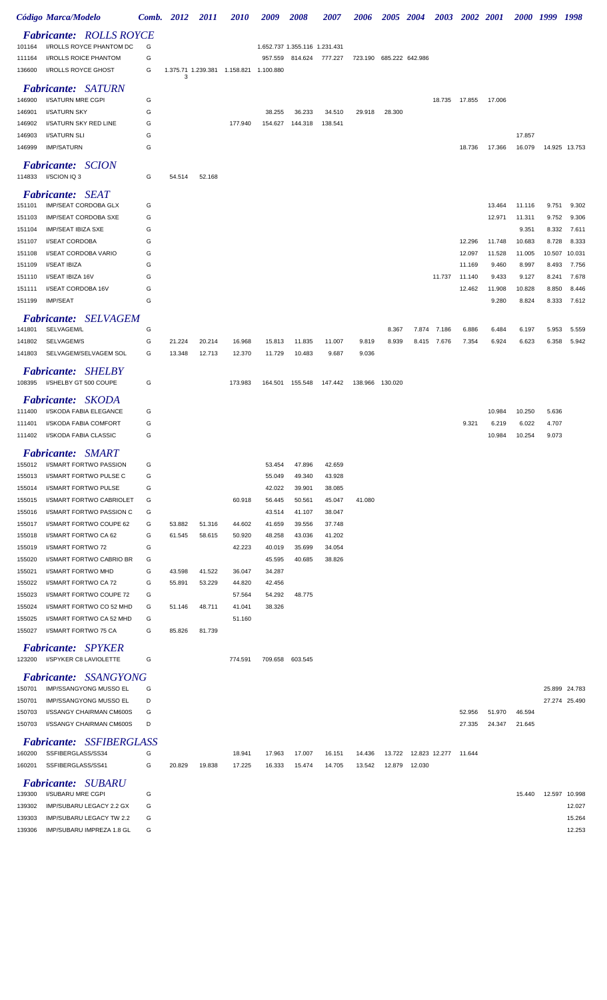|                  | Código Marca/Modelo                                   |        | Comb. 2012 | <i>2011</i> | <i>2010</i>                            | 2009                          | <i><b>2008</b></i> | 2007             | 2006    | 2005 2004       |               | <b>2003</b> | 2002 2001        |                  |                  | 2000 1999 1998  |                  |
|------------------|-------------------------------------------------------|--------|------------|-------------|----------------------------------------|-------------------------------|--------------------|------------------|---------|-----------------|---------------|-------------|------------------|------------------|------------------|-----------------|------------------|
|                  | <b>Fabricante: ROLLS ROYCE</b>                        |        |            |             |                                        |                               |                    |                  |         |                 |               |             |                  |                  |                  |                 |                  |
| 101164           | I/ROLLS ROYCE PHANTOM DC                              | G      |            |             |                                        | 1.652.737 1.355.116 1.231.431 |                    |                  |         |                 |               |             |                  |                  |                  |                 |                  |
| 111164           | <b>I/ROLLS ROICE PHANTOM</b>                          | G      |            |             |                                        | 957.559                       | 814.624            | 777.227          | 723.190 | 685.222 642.986 |               |             |                  |                  |                  |                 |                  |
| 136600           | <b>I/ROLLS ROYCE GHOST</b>                            | G      | 3          |             | 1.375.71 1.239.381 1.158.821 1.100.880 |                               |                    |                  |         |                 |               |             |                  |                  |                  |                 |                  |
|                  | <b>Fabricante:</b> SATURN                             |        |            |             |                                        |                               |                    |                  |         |                 |               |             |                  |                  |                  |                 |                  |
| 146900           | <b>I/SATURN MRE CGPI</b>                              | G      |            |             |                                        |                               |                    |                  |         |                 |               | 18.735      | 17.855           | 17.006           |                  |                 |                  |
| 146901           | <b>I/SATURN SKY</b>                                   | G      |            |             |                                        | 38.255                        | 36.233             | 34.510           | 29.918  | 28.300          |               |             |                  |                  |                  |                 |                  |
| 146902           | I/SATURN SKY RED LINE                                 | G      |            |             | 177.940                                | 154.627                       | 144.318            | 138.541          |         |                 |               |             |                  |                  |                  |                 |                  |
| 146903           | <b>I/SATURN SLI</b><br><b>IMP/SATURN</b>              | G<br>G |            |             |                                        |                               |                    |                  |         |                 |               |             |                  |                  | 17.857           |                 |                  |
| 146999           |                                                       |        |            |             |                                        |                               |                    |                  |         |                 |               |             | 18.736           | 17.366           | 16.079           |                 | 14.925 13.753    |
|                  | <b>Fabricante:</b> SCION                              |        |            |             |                                        |                               |                    |                  |         |                 |               |             |                  |                  |                  |                 |                  |
| 114833           | I/SCION IQ 3                                          | G      | 54.514     | 52.168      |                                        |                               |                    |                  |         |                 |               |             |                  |                  |                  |                 |                  |
|                  | <b>Fabricante: SEAT</b>                               |        |            |             |                                        |                               |                    |                  |         |                 |               |             |                  |                  |                  |                 |                  |
| 151101           | IMP/SEAT CORDOBA GLX                                  | G      |            |             |                                        |                               |                    |                  |         |                 |               |             |                  | 13.464           | 11.116           | 9.751           | 9.302            |
| 151103           | <b>IMP/SEAT CORDOBA SXE</b>                           | G      |            |             |                                        |                               |                    |                  |         |                 |               |             |                  | 12.971           | 11.311           | 9.752           | 9.306            |
| 151104           | <b>IMP/SEAT IBIZA SXE</b>                             | G      |            |             |                                        |                               |                    |                  |         |                 |               |             |                  |                  | 9.351            | 8.332           | 7.611            |
| 151107<br>151108 | <b>I/SEAT CORDOBA</b><br><b>I/SEAT CORDOBA VARIO</b>  | G<br>G |            |             |                                        |                               |                    |                  |         |                 |               |             | 12.296<br>12.097 | 11.748<br>11.528 | 10.683<br>11.005 | 8.728<br>10.507 | 8.333<br>10.031  |
| 151109           | I/SEAT IBIZA                                          | G      |            |             |                                        |                               |                    |                  |         |                 |               |             | 11.169           | 9.460            | 8.997            | 8.493           | 7.756            |
| 151110           | I/SEAT IBIZA 16V                                      | G      |            |             |                                        |                               |                    |                  |         |                 |               | 11.737      | 11.140           | 9.433            | 9.127            | 8.241           | 7.678            |
| 151111           | I/SEAT CORDOBA 16V                                    | G      |            |             |                                        |                               |                    |                  |         |                 |               |             | 12.462           | 11.908           | 10.828           | 8.850           | 8.446            |
| 151199           | <b>IMP/SEAT</b>                                       | G      |            |             |                                        |                               |                    |                  |         |                 |               |             |                  | 9.280            | 8.824            | 8.333           | 7.612            |
|                  |                                                       |        |            |             |                                        |                               |                    |                  |         |                 |               |             |                  |                  |                  |                 |                  |
| 141801           | <b>SELVAGEM</b><br><i>Fabricante:</i><br>SELVAGEM/L   | G      |            |             |                                        |                               |                    |                  |         | 8.367           | 7.874         | 7.186       | 6.886            | 6.484            | 6.197            | 5.953           | 5.559            |
| 141802           | SELVAGEM/S                                            | G      | 21.224     | 20.214      | 16.968                                 | 15.813                        | 11.835             | 11.007           | 9.819   | 8.939           | 8.415         | 7.676       | 7.354            | 6.924            | 6.623            | 6.358           | 5.942            |
| 141803           | SELVAGEM/SELVAGEM SOL                                 | G      | 13.348     | 12.713      | 12.370                                 | 11.729                        | 10.483             | 9.687            | 9.036   |                 |               |             |                  |                  |                  |                 |                  |
|                  |                                                       |        |            |             |                                        |                               |                    |                  |         |                 |               |             |                  |                  |                  |                 |                  |
| 108395           | <b>Fabricante: SHELBY</b><br>I/SHELBY GT 500 COUPE    | G      |            |             | 173.983                                | 164.501                       | 155.548            | 147.442          | 138.966 | 130.020         |               |             |                  |                  |                  |                 |                  |
|                  |                                                       |        |            |             |                                        |                               |                    |                  |         |                 |               |             |                  |                  |                  |                 |                  |
|                  | <b>Fabricante:</b> SKODA                              |        |            |             |                                        |                               |                    |                  |         |                 |               |             |                  |                  |                  |                 |                  |
| 111400           | I/SKODA FABIA ELEGANCE                                | G      |            |             |                                        |                               |                    |                  |         |                 |               |             |                  | 10.984           | 10.250           | 5.636           |                  |
| 111401<br>111402 | I/SKODA FABIA COMFORT<br>I/SKODA FABIA CLASSIC        | G<br>G |            |             |                                        |                               |                    |                  |         |                 |               |             | 9.321            | 6.219<br>10.984  | 6.022<br>10.254  | 4.707<br>9.073  |                  |
|                  |                                                       |        |            |             |                                        |                               |                    |                  |         |                 |               |             |                  |                  |                  |                 |                  |
|                  | <b>Fabricante: SMART</b>                              |        |            |             |                                        |                               |                    |                  |         |                 |               |             |                  |                  |                  |                 |                  |
| 155012           | I/SMART FORTWO PASSION                                | G      |            |             |                                        | 53.454                        | 47.896             | 42.659           |         |                 |               |             |                  |                  |                  |                 |                  |
| 155013<br>155014 | I/SMART FORTWO PULSE C<br>I/SMART FORTWO PULSE        | G<br>G |            |             |                                        | 55.049<br>42.022              | 49.340<br>39.901   | 43.928<br>38.085 |         |                 |               |             |                  |                  |                  |                 |                  |
| 155015           | I/SMART FORTWO CABRIOLET                              | G      |            |             | 60.918                                 | 56.445                        | 50.561             | 45.047           | 41.080  |                 |               |             |                  |                  |                  |                 |                  |
| 155016           | I/SMART FORTWO PASSION C                              | G      |            |             |                                        | 43.514                        | 41.107             | 38.047           |         |                 |               |             |                  |                  |                  |                 |                  |
| 155017           | I/SMART FORTWO COUPE 62                               | G      | 53.882     | 51.316      | 44.602                                 | 41.659                        | 39.556             | 37.748           |         |                 |               |             |                  |                  |                  |                 |                  |
| 155018           | I/SMART FORTWO CA 62                                  | G      | 61.545     | 58.615      | 50.920                                 | 48.258                        | 43.036             | 41.202           |         |                 |               |             |                  |                  |                  |                 |                  |
| 155019           | I/SMART FORTWO 72                                     | G      |            |             | 42.223                                 | 40.019                        | 35.699             | 34.054           |         |                 |               |             |                  |                  |                  |                 |                  |
| 155020           | I/SMART FORTWO CABRIO BR                              | G      |            |             |                                        | 45.595                        | 40.685             | 38.826           |         |                 |               |             |                  |                  |                  |                 |                  |
| 155021           | I/SMART FORTWO MHD                                    | G      | 43.598     | 41.522      | 36.047                                 | 34.287                        |                    |                  |         |                 |               |             |                  |                  |                  |                 |                  |
| 155022           | I/SMART FORTWO CA 72                                  | G      | 55.891     | 53.229      | 44.820                                 | 42.456                        |                    |                  |         |                 |               |             |                  |                  |                  |                 |                  |
| 155023           | I/SMART FORTWO COUPE 72                               | G      |            |             | 57.564                                 | 54.292                        | 48.775             |                  |         |                 |               |             |                  |                  |                  |                 |                  |
| 155024<br>155025 | I/SMART FORTWO CO 52 MHD<br>I/SMART FORTWO CA 52 MHD  | G<br>G | 51.146     | 48.711      | 41.041<br>51.160                       | 38.326                        |                    |                  |         |                 |               |             |                  |                  |                  |                 |                  |
| 155027           | I/SMART FORTWO 75 CA                                  | G      | 85.826     | 81.739      |                                        |                               |                    |                  |         |                 |               |             |                  |                  |                  |                 |                  |
|                  |                                                       |        |            |             |                                        |                               |                    |                  |         |                 |               |             |                  |                  |                  |                 |                  |
| 123200           | <b>Fabricante: SPYKER</b><br>I/SPYKER C8 LAVIOLETTE   |        |            |             |                                        |                               |                    |                  |         |                 |               |             |                  |                  |                  |                 |                  |
|                  |                                                       | G      |            |             | 774.591                                |                               | 709.658 603.545    |                  |         |                 |               |             |                  |                  |                  |                 |                  |
|                  | <b>Fabricante: SSANGYONG</b>                          |        |            |             |                                        |                               |                    |                  |         |                 |               |             |                  |                  |                  |                 |                  |
| 150701           | IMP/SSANGYONG MUSSO EL                                | G      |            |             |                                        |                               |                    |                  |         |                 |               |             |                  |                  |                  |                 | 25.899 24.783    |
| 150701           | IMP/SSANGYONG MUSSO EL                                | D<br>G |            |             |                                        |                               |                    |                  |         |                 |               |             |                  |                  |                  |                 | 27.274 25.490    |
| 150703<br>150703 | I/SSANGY CHAIRMAN CM600S<br>I/SSANGY CHAIRMAN CM600S  | D      |            |             |                                        |                               |                    |                  |         |                 |               |             | 52.956<br>27.335 | 51.970<br>24.347 | 46.594<br>21.645 |                 |                  |
|                  |                                                       |        |            |             |                                        |                               |                    |                  |         |                 |               |             |                  |                  |                  |                 |                  |
|                  | <b>Fabricante: SSFIBERGLASS</b>                       |        |            |             |                                        |                               |                    |                  |         |                 |               |             |                  |                  |                  |                 |                  |
| 160200           | SSFIBERGLASS/SS34                                     | G      |            |             | 18.941                                 | 17.963                        | 17.007             | 16.151           | 14.436  | 13.722          | 12.823 12.277 |             | 11.644           |                  |                  |                 |                  |
| 160201           | SSFIBERGLASS/SS41                                     | G      | 20.829     | 19.838      | 17.225                                 | 16.333                        | 15.474             | 14.705           | 13.542  | 12.879          | 12.030        |             |                  |                  |                  |                 |                  |
|                  | <b>Fabricante:</b> SUBARU                             |        |            |             |                                        |                               |                    |                  |         |                 |               |             |                  |                  |                  |                 |                  |
| 139300           | I/SUBARU MRE CGPI                                     | G      |            |             |                                        |                               |                    |                  |         |                 |               |             |                  |                  | 15.440           |                 | 12.597 10.998    |
| 139302           | IMP/SUBARU LEGACY 2.2 GX                              | G      |            |             |                                        |                               |                    |                  |         |                 |               |             |                  |                  |                  |                 | 12.027           |
| 139303<br>139306 | IMP/SUBARU LEGACY TW 2.2<br>IMP/SUBARU IMPREZA 1.8 GL | G<br>G |            |             |                                        |                               |                    |                  |         |                 |               |             |                  |                  |                  |                 | 15.264<br>12.253 |
|                  |                                                       |        |            |             |                                        |                               |                    |                  |         |                 |               |             |                  |                  |                  |                 |                  |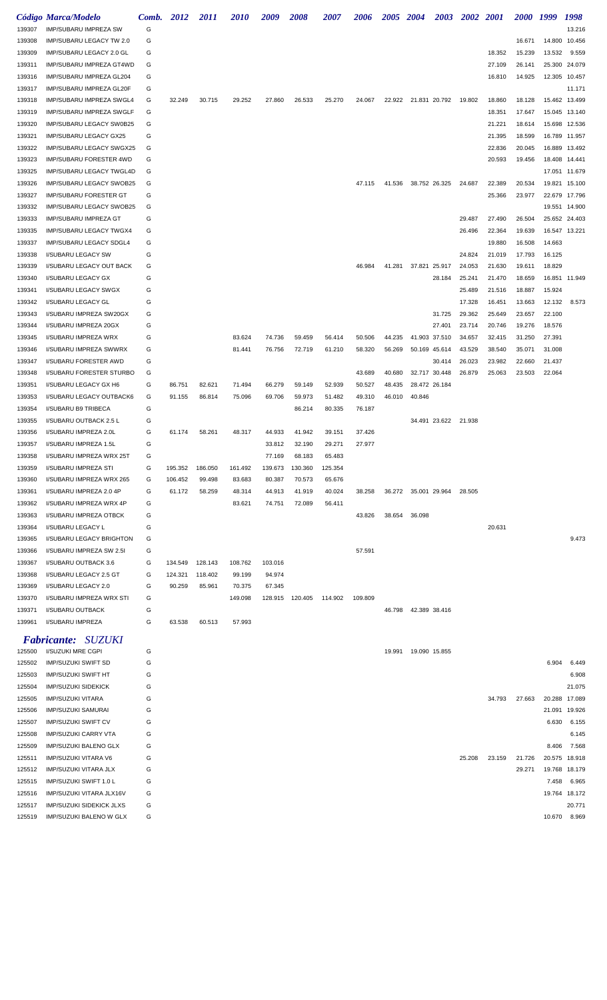|        | Código Marca/Modelo             | Comb. | 2012    | <i>2011</i> | <i>2010</i> | 2009    | 2008    | <i><b>2007</b></i> | 2006    | <i><b>2005</b></i> | 2004                 | 2003          | 2002   | <b>2001</b> | <i>2000</i> | 1999          | 1998          |
|--------|---------------------------------|-------|---------|-------------|-------------|---------|---------|--------------------|---------|--------------------|----------------------|---------------|--------|-------------|-------------|---------------|---------------|
| 139307 | IMP/SUBARU IMPREZA SW           | G     |         |             |             |         |         |                    |         |                    |                      |               |        |             |             |               | 13.216        |
| 139308 | IMP/SUBARU LEGACY TW 2.0        | G     |         |             |             |         |         |                    |         |                    |                      |               |        |             | 16.671      | 14.800 10.456 |               |
| 139309 | IMP/SUBARU LEGACY 2.0 GL        | G     |         |             |             |         |         |                    |         |                    |                      |               |        | 18.352      | 15.239      | 13.532        | 9.559         |
| 139311 | IMP/SUBARU IMPREZA GT4WD        | G     |         |             |             |         |         |                    |         |                    |                      |               |        | 27.109      | 26.141      | 25.300        | 24.079        |
| 139316 | IMP/SUBARU IMPREZA GL204        | G     |         |             |             |         |         |                    |         |                    |                      |               |        | 16.810      | 14.925      | 12.305 10.457 |               |
| 139317 | IMP/SUBARU IMPREZA GL20F        | G     |         |             |             |         |         |                    |         |                    |                      |               |        |             |             |               | 11.171        |
| 139318 | IMP/SUBARU IMPREZA SWGL4        | G     | 32.249  | 30.715      | 29.252      | 27.860  | 26.533  | 25.270             | 24.067  | 22.922             | 21.831 20.792        |               | 19.802 | 18.860      | 18.128      | 15.462 13.499 |               |
| 139319 | IMP/SUBARU IMPREZA SWGLF        | G     |         |             |             |         |         |                    |         |                    |                      |               |        | 18.351      | 17.647      | 15.045 13.140 |               |
| 139320 | IMP/SUBARU LEGACY SW0B25        | G     |         |             |             |         |         |                    |         |                    |                      |               |        | 21.221      | 18.614      | 15.698 12.536 |               |
| 139321 | IMP/SUBARU LEGACY GX25          | G     |         |             |             |         |         |                    |         |                    |                      |               |        | 21.395      | 18.599      | 16.789 11.957 |               |
| 139322 | IMP/SUBARU LEGACY SWGX25        | G     |         |             |             |         |         |                    |         |                    |                      |               |        | 22.836      | 20.045      | 16.889 13.492 |               |
| 139323 | IMP/SUBARU FORESTER 4WD         | G     |         |             |             |         |         |                    |         |                    |                      |               |        | 20.593      | 19.456      | 18.408 14.441 |               |
| 139325 | IMP/SUBARU LEGACY TWGL4D        | G     |         |             |             |         |         |                    |         |                    |                      |               |        |             |             | 17.051 11.679 |               |
| 139326 | IMP/SUBARU LEGACY SWOB25        | G     |         |             |             |         |         |                    | 47.115  | 41.536             | 38.752 26.325        |               | 24.687 | 22.389      | 20.534      | 19.821 15.100 |               |
| 139327 | <b>IMP/SUBARU FORESTER GT</b>   | G     |         |             |             |         |         |                    |         |                    |                      |               |        | 25.366      | 23.977      | 22.679 17.796 |               |
| 139332 | IMP/SUBARU LEGACY SWOB25        | G     |         |             |             |         |         |                    |         |                    |                      |               |        |             |             | 19.551 14.900 |               |
| 139333 | <b>IMP/SUBARU IMPREZA GT</b>    | G     |         |             |             |         |         |                    |         |                    |                      |               | 29.487 | 27.490      | 26.504      | 25.652 24.403 |               |
| 139335 | IMP/SUBARU LEGACY TWGX4         | G     |         |             |             |         |         |                    |         |                    |                      |               | 26.496 | 22.364      | 19.639      | 16.547 13.221 |               |
| 139337 | IMP/SUBARU LEGACY SDGL4         | G     |         |             |             |         |         |                    |         |                    |                      |               |        | 19.880      | 16.508      | 14.663        |               |
| 139338 | I/SUBARU LEGACY SW              | G     |         |             |             |         |         |                    |         |                    |                      |               | 24.824 | 21.019      | 17.793      | 16.125        |               |
| 139339 | I/SUBARU LEGACY OUT BACK        | G     |         |             |             |         |         |                    | 46.984  | 41.281             | 37.821 25.917        |               | 24.053 | 21.630      | 19.611      | 18.829        |               |
| 139340 | I/SUBARU LEGACY GX              | G     |         |             |             |         |         |                    |         |                    |                      | 28.184        | 25.241 | 21.470      | 18.659      | 16.851 11.949 |               |
| 139341 | I/SUBARU LEGACY SWGX            | G     |         |             |             |         |         |                    |         |                    |                      |               | 25.489 | 21.516      | 18.887      | 15.924        |               |
| 139342 | I/SUBARU LEGACY GL              | G     |         |             |             |         |         |                    |         |                    |                      |               | 17.328 | 16.451      | 13.663      | 12.132        | 8.573         |
| 139343 | I/SUBARU IMPREZA SW20GX         | G     |         |             |             |         |         |                    |         |                    |                      | 31.725        | 29.362 | 25.649      | 23.657      | 22.100        |               |
| 139344 | I/SUBARU IMPREZA 20GX           | G     |         |             |             |         |         |                    |         |                    |                      | 27.401        | 23.714 | 20.746      | 19.276      | 18.576        |               |
| 139345 | I/SUBARU IMPREZA WRX            | G     |         |             | 83.624      | 74.736  | 59.459  | 56.414             | 50.506  | 44.235             | 41.903 37.510        |               | 34.657 | 32.415      | 31.250      | 27.391        |               |
| 139346 | I/SUBARU IMPREZA SWWRX          | G     |         |             |             |         | 72.719  | 61.210             | 58.320  | 56.269             |                      |               | 43.529 | 38.540      | 35.071      | 31.008        |               |
|        |                                 | G     |         |             | 81.441      | 76.756  |         |                    |         |                    | 50.169 45.614        |               |        |             |             |               |               |
| 139347 | I/SUBARU FORESTER AWD           |       |         |             |             |         |         |                    |         |                    |                      | 30.414        | 26.023 | 23.982      | 22.660      | 21.437        |               |
| 139348 | I/SUBARU FORESTER STURBO        | G     |         |             |             |         |         |                    | 43.689  | 40.680             | 32.717 30.448        |               | 26.879 | 25.063      | 23.503      | 22.064        |               |
| 139351 | I/SUBARU LEGACY GX H6           | G     | 86.751  | 82.621      | 71.494      | 66.279  | 59.149  | 52.939             | 50.527  | 48.435             | 28.472 26.184        |               |        |             |             |               |               |
| 139353 | I/SUBARU LEGACY OUTBACK6        | G     | 91.155  | 86.814      | 75.096      | 69.706  | 59.973  | 51.482             | 49.310  | 46.010             | 40.846               |               |        |             |             |               |               |
| 139354 | I/SUBARU B9 TRIBECA             | G     |         |             |             |         | 86.214  | 80.335             | 76.187  |                    |                      |               |        |             |             |               |               |
| 139355 | I/SUBARU OUTBACK 2.5 L          | G     |         |             |             |         |         |                    |         |                    |                      | 34.491 23.622 | 21.938 |             |             |               |               |
| 139356 | I/SUBARU IMPREZA 2.0L           | G     | 61.174  | 58.261      | 48.317      | 44.933  | 41.942  | 39.151             | 37.426  |                    |                      |               |        |             |             |               |               |
| 139357 | I/SUBARU IMPREZA 1.5L           | G     |         |             |             | 33.812  | 32.190  | 29.271             | 27.977  |                    |                      |               |        |             |             |               |               |
| 139358 | I/SUBARU IMPREZA WRX 25T        | G     |         |             |             | 77.169  | 68.183  | 65.483             |         |                    |                      |               |        |             |             |               |               |
| 139359 | I/SUBARU IMPREZA STI            | G     | 195.352 | 186.050     | 161.492     | 139.673 | 130.360 | 125.354            |         |                    |                      |               |        |             |             |               |               |
| 139360 | I/SUBARU IMPREZA WRX 265        | G     | 106.452 | 99.498      | 83.683      | 80.387  | 70.573  | 65.676             |         |                    |                      |               |        |             |             |               |               |
| 139361 | I/SUBARU IMPREZA 2.0 4P         | G     | 61.172  | 58.259      | 48.314      | 44.913  | 41.919  | 40.024             | 38.258  |                    | 36.272 35.001 29.964 |               | 28.505 |             |             |               |               |
| 139362 | I/SUBARU IMPREZA WRX 4P         | G     |         |             | 83.621      | 74.751  | 72.089  | 56.411             |         |                    |                      |               |        |             |             |               |               |
| 139363 | I/SUBARU IMPREZA OTBCK          | G     |         |             |             |         |         |                    | 43.826  | 38.654             | 36.098               |               |        |             |             |               |               |
| 139364 | I/SUBARU LEGACY L               | G     |         |             |             |         |         |                    |         |                    |                      |               |        | 20.631      |             |               |               |
| 139365 | I/SUBARU LEGACY BRIGHTON        | G     |         |             |             |         |         |                    |         |                    |                      |               |        |             |             |               | 9.473         |
| 139366 | I/SUBARU IMPREZA SW 2.5I        | G     |         |             |             |         |         |                    | 57.591  |                    |                      |               |        |             |             |               |               |
| 139367 | I/SUBARU OUTBACK 3.6            | G     | 134.549 | 128.143     | 108.762     | 103.016 |         |                    |         |                    |                      |               |        |             |             |               |               |
| 139368 | I/SUBARU LEGACY 2.5 GT          | G     | 124.321 | 118.402     | 99.199      | 94.974  |         |                    |         |                    |                      |               |        |             |             |               |               |
| 139369 | I/SUBARU LEGACY 2.0             | G     | 90.259  | 85.961      | 70.375      | 67.345  |         |                    |         |                    |                      |               |        |             |             |               |               |
| 139370 | I/SUBARU IMPREZA WRX STI        | G     |         |             | 149.098     | 128.915 | 120.405 | 114.902            | 109.809 |                    |                      |               |        |             |             |               |               |
| 139371 | I/SUBARU OUTBACK                | G     |         |             |             |         |         |                    |         | 46.798             | 42.389 38.416        |               |        |             |             |               |               |
| 139961 | I/SUBARU IMPREZA                | G     | 63.538  | 60.513      | 57.993      |         |         |                    |         |                    |                      |               |        |             |             |               |               |
|        | Fabricante: SUZUKI              |       |         |             |             |         |         |                    |         |                    |                      |               |        |             |             |               |               |
| 125500 | I/SUZUKI MRE CGPI               | G     |         |             |             |         |         |                    |         | 19.991             | 19.090 15.855        |               |        |             |             |               |               |
| 125502 | <b>IMP/SUZUKI SWIFT SD</b>      | G     |         |             |             |         |         |                    |         |                    |                      |               |        |             |             | 6.904         | 6.449         |
| 125503 | <b>IMP/SUZUKI SWIFT HT</b>      | G     |         |             |             |         |         |                    |         |                    |                      |               |        |             |             |               | 6.908         |
| 125504 | <b>IMP/SUZUKI SIDEKICK</b>      | G     |         |             |             |         |         |                    |         |                    |                      |               |        |             |             |               | 21.075        |
| 125505 | <b>IMP/SUZUKI VITARA</b>        | G     |         |             |             |         |         |                    |         |                    |                      |               |        | 34.793      | 27.663      | 20.288 17.089 |               |
| 125506 | <b>IMP/SUZUKI SAMURAI</b>       | G     |         |             |             |         |         |                    |         |                    |                      |               |        |             |             | 21.091        | 19.926        |
| 125507 | <b>IMP/SUZUKI SWIFT CV</b>      | G     |         |             |             |         |         |                    |         |                    |                      |               |        |             |             | 6.630         | 6.155         |
| 125508 | <b>IMP/SUZUKI CARRY VTA</b>     | G     |         |             |             |         |         |                    |         |                    |                      |               |        |             |             |               | 6.145         |
| 125509 | <b>IMP/SUZUKI BALENO GLX</b>    | G     |         |             |             |         |         |                    |         |                    |                      |               |        |             |             | 8.406         | 7.568         |
| 125511 | IMP/SUZUKI VITARA V6            | G     |         |             |             |         |         |                    |         |                    |                      |               | 25.208 | 23.159      | 21.726      | 20.575 18.918 |               |
| 125512 | IMP/SUZUKI VITARA JLX           | G     |         |             |             |         |         |                    |         |                    |                      |               |        |             | 29.271      | 19.768 18.179 |               |
| 125515 | IMP/SUZUKI SWIFT 1.0 L          | G     |         |             |             |         |         |                    |         |                    |                      |               |        |             |             | 7.458         | 6.965         |
| 125516 | IMP/SUZUKI VITARA JLX16V        | G     |         |             |             |         |         |                    |         |                    |                      |               |        |             |             |               | 19.764 18.172 |
| 125517 | <b>IMP/SUZUKI SIDEKICK JLXS</b> | G     |         |             |             |         |         |                    |         |                    |                      |               |        |             |             |               | 20.771        |
| 125519 | IMP/SUZUKI BALENO W GLX         | G     |         |             |             |         |         |                    |         |                    |                      |               |        |             |             | 10.670        | 8.969         |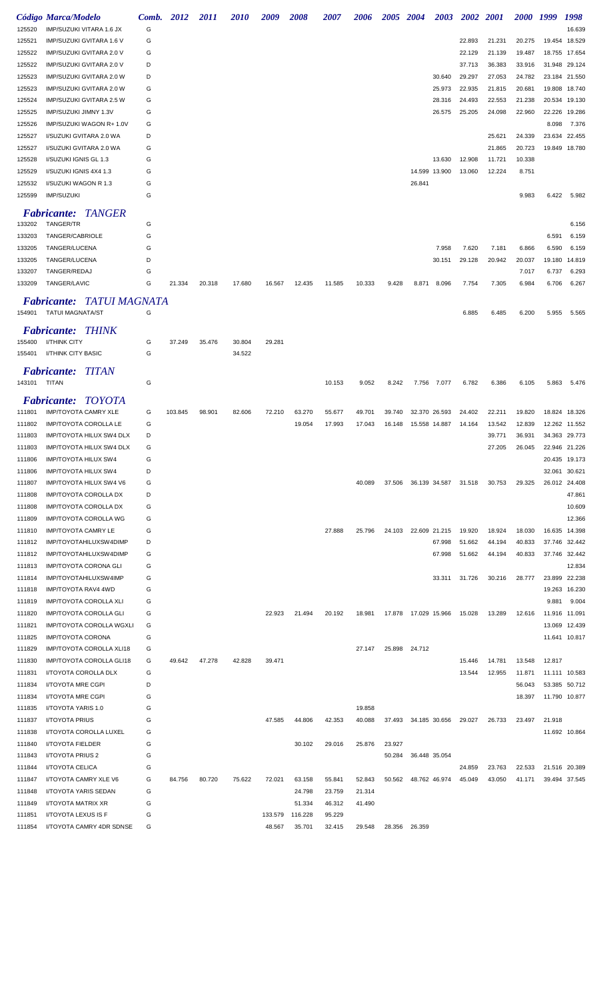|                  |                                                                       |            |         |             |             |         |                    |                    |        |        |                        |                      |                  |        | 2000 1999        |        | 1998                           |
|------------------|-----------------------------------------------------------------------|------------|---------|-------------|-------------|---------|--------------------|--------------------|--------|--------|------------------------|----------------------|------------------|--------|------------------|--------|--------------------------------|
| 125520           | Código Marca/Modelo<br>IMP/SUZUKI VITARA 1.6 JX                       | Comb.<br>G | 2012    | <i>2011</i> | <i>2010</i> | 2009    | <i><b>2008</b></i> | <i><b>2007</b></i> | 2006   |        | 2005 2004              | <b>2003</b>          | 2002 2001        |        |                  |        | 16.639                         |
|                  | IMP/SUZUKI GVITARA 1.6 V                                              | G          |         |             |             |         |                    |                    |        |        |                        |                      | 22.893           | 21.231 | 20.275           |        | 19.454 18.529                  |
| 125521<br>125522 | IMP/SUZUKI GVITARA 2.0 V                                              | G          |         |             |             |         |                    |                    |        |        |                        |                      | 22.129           | 21.139 | 19.487           |        | 18.755 17.654                  |
| 125522           | IMP/SUZUKI GVITARA 2.0 V                                              | D          |         |             |             |         |                    |                    |        |        |                        |                      | 37.713           | 36.383 | 33.916           |        | 31.948 29.124                  |
| 125523           | IMP/SUZUKI GVITARA 2.0 W                                              | D          |         |             |             |         |                    |                    |        |        |                        | 30.640               | 29.297           | 27.053 | 24.782           |        | 23.184 21.550                  |
| 125523           | IMP/SUZUKI GVITARA 2.0 W                                              | G          |         |             |             |         |                    |                    |        |        |                        | 25.973               | 22.935           | 21.815 | 20.681           | 19.808 | 18.740                         |
| 125524           | IMP/SUZUKI GVITARA 2.5 W                                              | G          |         |             |             |         |                    |                    |        |        |                        | 28.316               | 24.493           | 22.553 | 21.238           |        | 20.534 19.130                  |
| 125525           | IMP/SUZUKI JIMNY 1.3V                                                 | G          |         |             |             |         |                    |                    |        |        |                        | 26.575               | 25.205           | 24.098 | 22.960           | 22.226 | 19.286                         |
| 125526           | IMP/SUZUKI WAGON R+ 1.0V                                              | G          |         |             |             |         |                    |                    |        |        |                        |                      |                  |        |                  | 8.098  | 7.376                          |
| 125527           | I/SUZUKI GVITARA 2.0 WA                                               | D          |         |             |             |         |                    |                    |        |        |                        |                      |                  | 25.621 | 24.339           | 23.634 | 22.455                         |
| 125527           | I/SUZUKI GVITARA 2.0 WA                                               | G          |         |             |             |         |                    |                    |        |        |                        |                      |                  | 21.865 | 20.723           |        | 19.849 18.780                  |
| 125528           | I/SUZUKI IGNIS GL 1.3                                                 | G          |         |             |             |         |                    |                    |        |        |                        | 13.630               | 12.908           | 11.721 | 10.338           |        |                                |
| 125529           | I/SUZUKI IGNIS 4X4 1.3                                                | G          |         |             |             |         |                    |                    |        |        |                        | 14.599 13.900        | 13.060           | 12.224 | 8.751            |        |                                |
| 125532           | I/SUZUKI WAGON R 1.3                                                  | G          |         |             |             |         |                    |                    |        |        | 26.841                 |                      |                  |        |                  |        |                                |
| 125599           | <b>IMP/SUZUKI</b>                                                     | G          |         |             |             |         |                    |                    |        |        |                        |                      |                  |        | 9.983            | 6.422  | 5.982                          |
|                  | <b>Fabricante:</b><br><i>TANGER</i>                                   |            |         |             |             |         |                    |                    |        |        |                        |                      |                  |        |                  |        |                                |
| 133202           | TANGER/TR                                                             | G          |         |             |             |         |                    |                    |        |        |                        |                      |                  |        |                  |        | 6.156                          |
| 133203           | TANGER/CABRIOLE                                                       | G          |         |             |             |         |                    |                    |        |        |                        |                      |                  |        |                  | 6.591  | 6.159                          |
| 133205           | TANGER/LUCENA                                                         | G          |         |             |             |         |                    |                    |        |        |                        | 7.958                | 7.620            | 7.181  | 6.866            | 6.590  | 6.159                          |
| 133205           | TANGER/LUCENA                                                         | D          |         |             |             |         |                    |                    |        |        |                        | 30.151               | 29.128           | 20.942 | 20.037           | 19.180 | 14.819                         |
| 133207           | TANGER/REDAJ                                                          | G          |         |             |             |         |                    |                    |        |        |                        |                      |                  |        | 7.017            | 6.737  | 6.293                          |
| 133209           | TANGER/LAVIC                                                          | G          | 21.334  | 20.318      | 17.680      | 16.567  | 12.435             | 11.585             | 10.333 | 9.428  | 8.871                  | 8.096                | 7.754            | 7.305  | 6.984            | 6.706  | 6.267                          |
|                  | TATUI MAGNATA<br><i><b>Fabricante:</b></i><br>154901 TATUI MAGNATA/ST | G          |         |             |             |         |                    |                    |        |        |                        |                      | 6.885            | 6.485  | 6.200            | 5.955  | 5.565                          |
|                  | <b>Fabricante: THINK</b>                                              |            |         |             |             |         |                    |                    |        |        |                        |                      |                  |        |                  |        |                                |
| 155400           | <b>I/THINK CITY</b>                                                   | G          | 37.249  | 35.476      | 30.804      | 29.281  |                    |                    |        |        |                        |                      |                  |        |                  |        |                                |
| 155401           | I/THINK CITY BASIC                                                    | G          |         |             | 34.522      |         |                    |                    |        |        |                        |                      |                  |        |                  |        |                                |
|                  |                                                                       |            |         |             |             |         |                    |                    |        |        |                        |                      |                  |        |                  |        |                                |
| 143101 TITAN     | <i>Fabricante:</i><br>TITAN                                           | G          |         |             |             |         |                    | 10.153             | 9.052  | 8.242  |                        | 7.756 7.077          | 6.782            | 6.386  | 6.105            | 5.863  | 5.476                          |
|                  | <b>Fabricante: TOYOTA</b>                                             |            |         |             |             |         |                    |                    |        |        |                        |                      |                  |        |                  |        |                                |
| 111801           | <b>IMP/TOYOTA CAMRY XLE</b>                                           | G          | 103.845 | 98.901      | 82.606      | 72.210  | 63.270             | 55.677             | 49.701 | 39.740 |                        | 32.370 26.593        | 24.402           | 22.211 | 19.820           |        | 18.824 18.326                  |
| 111802           | <b>IMP/TOYOTA COROLLA LE</b>                                          | G          |         |             |             |         | 19.054             | 17.993             | 17.043 | 16.148 |                        | 15.558 14.887        | 14.164           | 13.542 | 12.839           |        | 12.262 11.552                  |
| 111803           | <b>IMP/TOYOTA HILUX SW4 DLX</b>                                       | D          |         |             |             |         |                    |                    |        |        |                        |                      |                  | 39.771 | 36.931           |        | 34.363 29.773                  |
| 111803           | <b>IMP/TOYOTA HILUX SW4 DLX</b>                                       | G          |         |             |             |         |                    |                    |        |        |                        |                      |                  | 27.205 | 26.045           |        | 22.946 21.226                  |
| 111806           | <b>IMP/TOYOTA HILUX SW4</b>                                           | G          |         |             |             |         |                    |                    |        |        |                        |                      |                  |        |                  |        | 20.435 19.173                  |
| 111806           | <b>IMP/TOYOTA HILUX SW4</b>                                           | D          |         |             |             |         |                    |                    |        |        |                        |                      |                  |        |                  | 32.061 | 30.621                         |
| 111807           | <b>IMP/TOYOTA HILUX SW4 V6</b>                                        | G          |         |             |             |         |                    |                    | 40.089 | 37.506 |                        | 36.139 34.587 31.518 |                  | 30.753 | 29.325           |        | 26.012 24.408                  |
| 111808           | <b>IMP/TOYOTA COROLLA DX</b>                                          | D          |         |             |             |         |                    |                    |        |        |                        |                      |                  |        |                  |        | 47.861                         |
| 111808           | <b>IMP/TOYOTA COROLLA DX</b>                                          | G          |         |             |             |         |                    |                    |        |        |                        |                      |                  |        |                  |        | 10.609                         |
| 111809           | <b>IMP/TOYOTA COROLLA WG</b>                                          | G          |         |             |             |         |                    |                    |        |        |                        |                      |                  |        |                  |        | 12.366                         |
| 111810           | <b>IMP/TOYOTA CAMRY LE</b>                                            | G          |         |             |             |         |                    | 27.888             | 25.796 |        | 24.103 22.609 21.215   |                      | 19.920           | 18.924 | 18.030           |        | 16.635 14.398                  |
| 111812           | IMP/TOYOTAHILUXSW4DIMP                                                | D          |         |             |             |         |                    |                    |        |        |                        | 67.998               | 51.662           | 44.194 | 40.833           | 37.746 | 32.442                         |
| 111812           | IMP/TOYOTAHILUXSW4DIMP                                                | G          |         |             |             |         |                    |                    |        |        |                        | 67.998               | 51.662           | 44.194 | 40.833           |        | 37.746 32.442                  |
| 111813           | <b>IMP/TOYOTA CORONA GLI</b>                                          | G          |         |             |             |         |                    |                    |        |        |                        |                      |                  |        |                  |        | 12.834                         |
| 111814           | IMP/TOYOTAHILUXSW4IMP                                                 | G          |         |             |             |         |                    |                    |        |        |                        | 33.311               | 31.726           | 30.216 | 28.777           |        | 23.899 22.238                  |
| 111818           | IMP/TOYOTA RAV4 4WD                                                   | G          |         |             |             |         |                    |                    |        |        |                        |                      |                  |        |                  |        | 19.263 16.230                  |
| 111819           | <b>IMP/TOYOTA COROLLA XLI</b>                                         | G          |         |             |             |         |                    |                    |        |        |                        |                      |                  |        |                  | 9.881  | 9.004                          |
| 111820           | <b>IMP/TOYOTA COROLLA GLI</b>                                         | G          |         |             |             | 22.923  | 21.494             | 20.192             | 18.981 |        | 17.878  17.029  15.966 |                      | 15.028           | 13.289 | 12.616           |        | 11.916 11.091                  |
| 111821           | <b>IMP/TOYOTA COROLLA WGXLI</b>                                       | G          |         |             |             |         |                    |                    |        |        |                        |                      |                  |        |                  |        | 13.069 12.439                  |
| 111825           | <b>IMP/TOYOTA CORONA</b>                                              | G          |         |             |             |         |                    |                    |        |        |                        |                      |                  |        |                  |        | 11.641 10.817                  |
| 111829           | IMP/TOYOTA COROLLA XLI18                                              | G          |         |             |             |         |                    |                    | 27.147 |        | 25.898 24.712          |                      |                  |        |                  |        |                                |
| 111830           | <b>IMP/TOYOTA COROLLA GLI18</b>                                       | G<br>G     | 49.642  | 47.278      | 42.828      | 39.471  |                    |                    |        |        |                        |                      | 15.446<br>13.544 | 14.781 | 13.548           | 12.817 |                                |
| 111831<br>111834 | I/TOYOTA COROLLA DLX<br><b>I/TOYOTA MRE CGPI</b>                      | D          |         |             |             |         |                    |                    |        |        |                        |                      |                  | 12.955 | 11.871<br>56.043 |        | 11.111 10.583<br>53.385 50.712 |
| 111834           | <b>I/TOYOTA MRE CGPI</b>                                              | G          |         |             |             |         |                    |                    |        |        |                        |                      |                  |        | 18.397           |        | 11.790 10.877                  |
| 111835           | I/TOYOTA YARIS 1.0                                                    | G          |         |             |             |         |                    |                    | 19.858 |        |                        |                      |                  |        |                  |        |                                |
| 111837           | <b>I/TOYOTA PRIUS</b>                                                 | G          |         |             |             | 47.585  | 44.806             | 42.353             | 40.088 |        | 37.493 34.185 30.656   |                      | 29.027           | 26.733 | 23.497           | 21.918 |                                |
| 111838           | I/TOYOTA COROLLA LUXEL                                                | G          |         |             |             |         |                    |                    |        |        |                        |                      |                  |        |                  |        | 11.692 10.864                  |
| 111840           | <b>I/TOYOTA FIELDER</b>                                               | G          |         |             |             |         | 30.102             | 29.016             | 25.876 | 23.927 |                        |                      |                  |        |                  |        |                                |
| 111843           | I/TOYOTA PRIUS 2                                                      | G          |         |             |             |         |                    |                    |        | 50.284 |                        | 36.448 35.054        |                  |        |                  |        |                                |
| 111844           | I/TOYOTA CELICA                                                       | G          |         |             |             |         |                    |                    |        |        |                        |                      | 24.859           | 23.763 | 22.533           |        | 21.516 20.389                  |
| 111847           | I/TOYOTA CAMRY XLE V6                                                 | G          | 84.756  | 80.720      | 75.622      | 72.021  | 63.158             | 55.841             | 52.843 | 50.562 |                        | 48.762 46.974        | 45.049           | 43.050 | 41.171           |        | 39.494 37.545                  |
| 111848           | I/TOYOTA YARIS SEDAN                                                  | G          |         |             |             |         | 24.798             | 23.759             | 21.314 |        |                        |                      |                  |        |                  |        |                                |
| 111849           | I/TOYOTA MATRIX XR                                                    | G          |         |             |             |         | 51.334             | 46.312             | 41.490 |        |                        |                      |                  |        |                  |        |                                |
| 111851           | I/TOYOTA LEXUS IS F                                                   | G          |         |             |             | 133.579 | 116.228            | 95.229             |        |        |                        |                      |                  |        |                  |        |                                |
| 111854           | I/TOYOTA CAMRY 4DR SDNSE                                              | G          |         |             |             | 48.567  | 35.701             | 32.415             | 29.548 |        | 28.356 26.359          |                      |                  |        |                  |        |                                |
|                  |                                                                       |            |         |             |             |         |                    |                    |        |        |                        |                      |                  |        |                  |        |                                |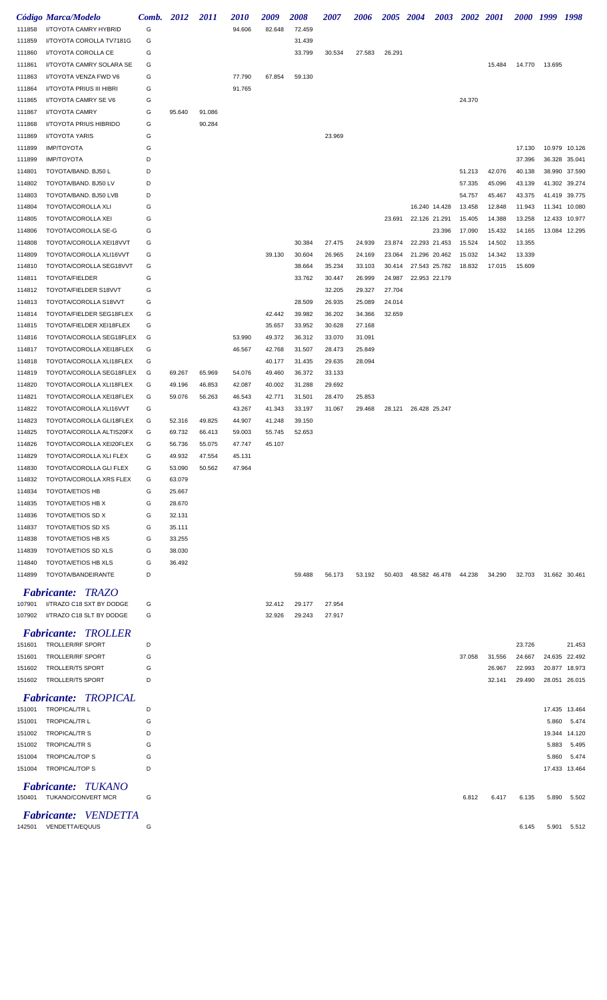|                  | Código Marca/Modelo                                    | Comb.  | <b>2012</b> | 2011   | 2010   | 2009   | 2008   | <i><b>2007</b></i> | 2006   | 2005 2004 |                      | 2003   | 2002 2001 |        | 2000 1999 |                 | 1998            |
|------------------|--------------------------------------------------------|--------|-------------|--------|--------|--------|--------|--------------------|--------|-----------|----------------------|--------|-----------|--------|-----------|-----------------|-----------------|
| 111858           | I/TOYOTA CAMRY HYBRID                                  | G      |             |        | 94.606 | 82.648 | 72.459 |                    |        |           |                      |        |           |        |           |                 |                 |
| 111859           | I/TOYOTA COROLLA TV7181G                               | G      |             |        |        |        | 31.439 |                    |        |           |                      |        |           |        |           |                 |                 |
| 111860           | I/TOYOTA COROLLA CE                                    | G      |             |        |        |        | 33.799 | 30.534             | 27.583 | 26.291    |                      |        |           |        |           |                 |                 |
| 111861           | I/TOYOTA CAMRY SOLARA SE                               | G      |             |        |        |        |        |                    |        |           |                      |        |           | 15.484 | 14.770    | 13.695          |                 |
| 111863           | I/TOYOTA VENZA FWD V6                                  | G      |             |        | 77.790 | 67.854 | 59.130 |                    |        |           |                      |        |           |        |           |                 |                 |
| 111864           | <b>I/TOYOTA PRIUS III HIBRI</b>                        | G      |             |        | 91.765 |        |        |                    |        |           |                      |        |           |        |           |                 |                 |
| 111865           | I/TOYOTA CAMRY SE V6                                   | G      |             |        |        |        |        |                    |        |           |                      |        | 24.370    |        |           |                 |                 |
| 111867           | I/TOYOTA CAMRY                                         | G      | 95.640      | 91.086 |        |        |        |                    |        |           |                      |        |           |        |           |                 |                 |
| 111868           | I/TOYOTA PRIUS HIBRIDO                                 | G      |             | 90.284 |        |        |        |                    |        |           |                      |        |           |        |           |                 |                 |
| 111869           | <b>I/TOYOTA YARIS</b>                                  | G      |             |        |        |        |        | 23.969             |        |           |                      |        |           |        |           |                 |                 |
| 111899           | <b>IMP/TOYOTA</b>                                      | G      |             |        |        |        |        |                    |        |           |                      |        |           |        | 17.130    | 10.979          | 10.126          |
| 111899           | <b>IMP/TOYOTA</b>                                      | D      |             |        |        |        |        |                    |        |           |                      |        |           |        | 37.396    |                 | 36.328 35.041   |
| 114801           | TOYOTA/BAND. BJ50 L                                    | D      |             |        |        |        |        |                    |        |           |                      |        | 51.213    | 42.076 | 40.138    | 38.990          | 37.590          |
| 114802           | TOYOTA/BAND. BJ50 LV                                   | D      |             |        |        |        |        |                    |        |           |                      |        | 57.335    | 45.096 | 43.139    | 41.302          | 39.274          |
| 114803           | TOYOTA/BAND. BJ50 LVB                                  | D      |             |        |        |        |        |                    |        |           |                      |        | 54.757    | 45.467 | 43.375    | 41.419          | 39.775          |
| 114804           | <b>TOYOTA/COROLLA XLI</b>                              | G      |             |        |        |        |        |                    |        |           | 16.240 14.428        |        | 13.458    | 12.848 | 11.943    | 11.341          | 10.080          |
| 114805           | TOYOTA/COROLLA XEI                                     | G      |             |        |        |        |        |                    |        | 23.691    | 22.126 21.291        |        | 15.405    | 14.388 | 13.258    | 12.433          | 10.977          |
| 114806           | TOYOTA/COROLLA SE-G                                    | G      |             |        |        |        |        |                    |        |           |                      | 23.396 | 17.090    | 15.432 | 14.165    |                 | 13.084 12.295   |
| 114808           | TOYOTA/COROLLA XEI18VVT                                | G      |             |        |        |        | 30.384 | 27.475             | 24.939 | 23.874    | 22.293 21.453        |        | 15.524    | 14.502 | 13.355    |                 |                 |
| 114809           | TOYOTA/COROLLA XLI16VVT                                | G      |             |        |        | 39.130 | 30.604 | 26.965             | 24.169 | 23.064    | 21.296 20.462        |        | 15.032    | 14.342 | 13.339    |                 |                 |
| 114810           | TOYOTA/COROLLA SEG18VVT                                | G      |             |        |        |        | 38.664 | 35.234             | 33.103 | 30.414    | 27.543 25.782        |        | 18.832    | 17.015 | 15.609    |                 |                 |
| 114811           | <b>TOYOTA/FIELDER</b>                                  | G      |             |        |        |        | 33.762 | 30.447             | 26.999 | 24.987    | 22.953 22.179        |        |           |        |           |                 |                 |
| 114812           | <b>TOYOTA/FIELDER S18VVT</b>                           | G      |             |        |        |        |        | 32.205             | 29.327 | 27.704    |                      |        |           |        |           |                 |                 |
| 114813           | TOYOTA/COROLLA S18VVT                                  | G      |             |        |        |        | 28.509 | 26.935             | 25.089 | 24.014    |                      |        |           |        |           |                 |                 |
| 114814           | TOYOTA/FIELDER SEG18FLEX                               | G      |             |        |        | 42.442 | 39.982 | 36.202             | 34.366 | 32.659    |                      |        |           |        |           |                 |                 |
| 114815           | TOYOTA/FIELDER XEI18FLEX                               | G      |             |        |        | 35.657 | 33.952 | 30.628             | 27.168 |           |                      |        |           |        |           |                 |                 |
| 114816           | TOYOTA/COROLLA SEG18FLEX                               | G      |             |        | 53.990 | 49.372 | 36.312 | 33.070             | 31.091 |           |                      |        |           |        |           |                 |                 |
| 114817           | TOYOTA/COROLLA XEI18FLEX                               | G      |             |        | 46.567 | 42.768 | 31.507 | 28.473             | 25.849 |           |                      |        |           |        |           |                 |                 |
| 114818           | TOYOTA/COROLLA XLI18FLEX                               | G      |             |        |        | 40.177 | 31.435 | 29.635             | 28.094 |           |                      |        |           |        |           |                 |                 |
| 114819           | TOYOTA/COROLLA SEG18FLEX                               | G      | 69.267      | 65.969 | 54.076 | 49.460 | 36.372 | 33.133             |        |           |                      |        |           |        |           |                 |                 |
| 114820           | TOYOTA/COROLLA XLI18FLEX                               | G      | 49.196      | 46.853 | 42.087 | 40.002 | 31.288 | 29.692             |        |           |                      |        |           |        |           |                 |                 |
| 114821           | TOYOTA/COROLLA XEI18FLEX                               | G      | 59.076      | 56.263 | 46.543 | 42.771 | 31.501 | 28.470             | 25.853 |           |                      |        |           |        |           |                 |                 |
| 114822           | TOYOTA/COROLLA XLI16VVT                                | G      |             |        | 43.267 | 41.343 | 33.197 | 31.067             | 29.468 | 28.121    | 26.428 25.247        |        |           |        |           |                 |                 |
| 114823           | TOYOTA/COROLLA GLI18FLEX                               | G      | 52.316      | 49.825 | 44.907 | 41.248 | 39.150 |                    |        |           |                      |        |           |        |           |                 |                 |
| 114825           | TOYOTA/COROLLA ALTIS20FX                               | G      | 69.732      | 66.413 | 59.003 | 55.745 | 52.653 |                    |        |           |                      |        |           |        |           |                 |                 |
| 114826           | TOYOTA/COROLLA XEI20FLEX                               | G      | 56.736      | 55.075 | 47.747 | 45.107 |        |                    |        |           |                      |        |           |        |           |                 |                 |
| 114829           | TOYOTA/COROLLA XLI FLEX                                | G      | 49.932      | 47.554 | 45.131 |        |        |                    |        |           |                      |        |           |        |           |                 |                 |
| 114830           | TOYOTA/COROLLA GLI FLEX                                | G      | 53.090      | 50.562 | 47.964 |        |        |                    |        |           |                      |        |           |        |           |                 |                 |
| 114832           | TOYOTA/COROLLA XRS FLEX                                | G      | 63.079      |        |        |        |        |                    |        |           |                      |        |           |        |           |                 |                 |
| 114834           | <b>TOYOTA/ETIOS HB</b>                                 | G      | 25.667      |        |        |        |        |                    |        |           |                      |        |           |        |           |                 |                 |
| 114835           | <b>TOYOTA/ETIOS HB X</b>                               | G      | 28.670      |        |        |        |        |                    |        |           |                      |        |           |        |           |                 |                 |
| 114836           | <b>TOYOTA/ETIOS SD X</b>                               | G      | 32.131      |        |        |        |        |                    |        |           |                      |        |           |        |           |                 |                 |
| 114837           | <b>TOYOTA/ETIOS SD XS</b>                              | G      | 35.111      |        |        |        |        |                    |        |           |                      |        |           |        |           |                 |                 |
| 114838           | <b>TOYOTA/ETIOS HB XS</b>                              | G      | 33.255      |        |        |        |        |                    |        |           |                      |        |           |        |           |                 |                 |
| 114839           | <b>TOYOTA/ETIOS SD XLS</b>                             | G      | 38.030      |        |        |        |        |                    |        |           |                      |        |           |        |           |                 |                 |
| 114840           | <b>TOYOTA/ETIOS HB XLS</b>                             | G      | 36.492      |        |        |        |        |                    |        |           |                      |        |           |        |           |                 |                 |
| 114899           | TOYOTA/BANDEIRANTE                                     | D      |             |        |        |        | 59.488 | 56.173             | 53.192 |           | 50.403 48.582 46.478 |        | 44.238    | 34.290 | 32.703    |                 | 31.662 30.461   |
|                  |                                                        |        |             |        |        |        |        |                    |        |           |                      |        |           |        |           |                 |                 |
|                  | <b>Fabricante: TRAZO</b>                               |        |             |        |        |        |        |                    |        |           |                      |        |           |        |           |                 |                 |
| 107901           | I/TRAZO C18 SXT BY DODGE                               | G      |             |        |        | 32.412 | 29.177 | 27.954             |        |           |                      |        |           |        |           |                 |                 |
| 107902           | I/TRAZO C18 SLT BY DODGE                               | G      |             |        |        | 32.926 | 29.243 | 27.917             |        |           |                      |        |           |        |           |                 |                 |
|                  | <b>Fabricante: TROLLER</b>                             |        |             |        |        |        |        |                    |        |           |                      |        |           |        |           |                 |                 |
| 151601           | TROLLER/RF SPORT                                       | D      |             |        |        |        |        |                    |        |           |                      |        |           |        | 23.726    |                 | 21.453          |
| 151601           | TROLLER/RF SPORT                                       | G      |             |        |        |        |        |                    |        |           |                      |        | 37.058    | 31.556 | 24.667    |                 | 24.635 22.492   |
| 151602           | <b>TROLLER/T5 SPORT</b>                                | G      |             |        |        |        |        |                    |        |           |                      |        |           | 26.967 | 22.993    |                 | 20.877 18.973   |
| 151602           | <b>TROLLER/T5 SPORT</b>                                | D      |             |        |        |        |        |                    |        |           |                      |        |           | 32.141 | 29.490    |                 | 28.051 26.015   |
|                  |                                                        |        |             |        |        |        |        |                    |        |           |                      |        |           |        |           |                 |                 |
| 151001           | <b>Fabricante: TROPICAL</b><br><b>TROPICAL/TR L</b>    | D      |             |        |        |        |        |                    |        |           |                      |        |           |        |           |                 |                 |
|                  |                                                        |        |             |        |        |        |        |                    |        |           |                      |        |           |        |           |                 | 17.435 13.464   |
| 151001           | <b>TROPICAL/TR L</b>                                   | G<br>D |             |        |        |        |        |                    |        |           |                      |        |           |        |           | 5.860           | 5.474           |
| 151002<br>151002 | <b>TROPICAL/TR S</b><br><b>TROPICAL/TR S</b>           | G      |             |        |        |        |        |                    |        |           |                      |        |           |        |           | 19.344<br>5.883 | 14.120<br>5.495 |
|                  |                                                        |        |             |        |        |        |        |                    |        |           |                      |        |           |        |           |                 |                 |
| 151004           | <b>TROPICAL/TOP S</b>                                  | G      |             |        |        |        |        |                    |        |           |                      |        |           |        |           | 5.860           | 5.474           |
| 151004           | <b>TROPICAL/TOP S</b>                                  | D      |             |        |        |        |        |                    |        |           |                      |        |           |        |           |                 | 17.433 13.464   |
|                  | <b>Fabricante: TUKANO</b><br>150401 TUKANO/CONVERT MCR | G      |             |        |        |        |        |                    |        |           |                      |        | 6.812     | 6.417  | 6.135     | 5.890           | 5.502           |
|                  |                                                        |        |             |        |        |        |        |                    |        |           |                      |        |           |        |           |                 |                 |
|                  | Fabricante: VENDETTA                                   |        |             |        |        |        |        |                    |        |           |                      |        |           |        |           |                 |                 |
| 142501           | <b>VENDETTA/EQUUS</b>                                  | G      |             |        |        |        |        |                    |        |           |                      |        |           |        | 6.145     | 5.901           | 5.512           |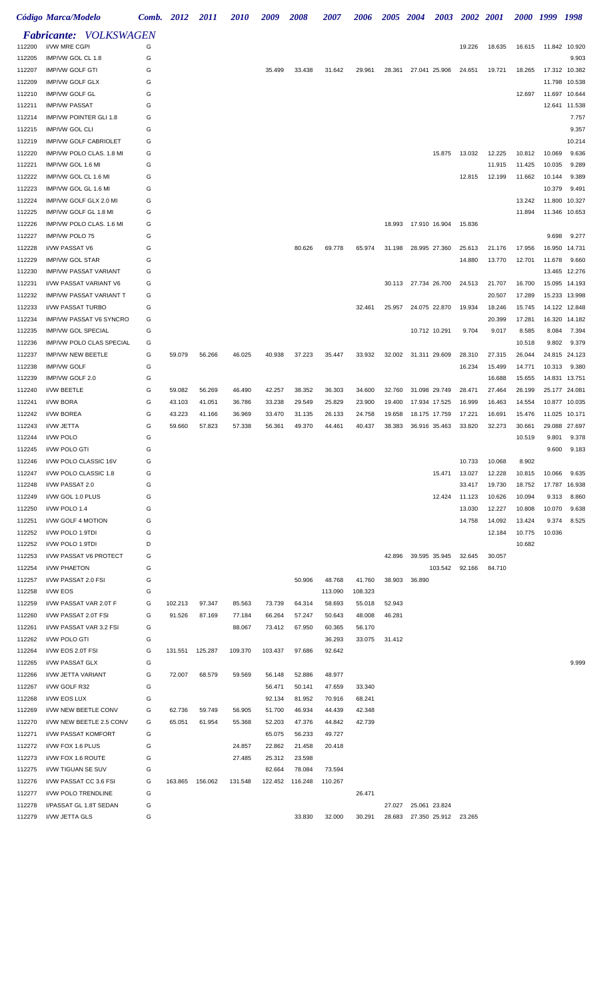|                  | Código Marca/Modelo                            |        | Comb. 2012 | 2011            | <i>2010</i> | 2009    | 2008    | <i><b>2007</b></i> | 2006              | 2005 2004 |                             |               | 2003 2002 2001 |                  |        | 2000 1999        | 1998           |
|------------------|------------------------------------------------|--------|------------|-----------------|-------------|---------|---------|--------------------|-------------------|-----------|-----------------------------|---------------|----------------|------------------|--------|------------------|----------------|
| 112200           | <b>Fabricante:</b> VOLKSWAGEN<br>I/VW MRE CGPI | G      |            |                 |             |         |         |                    |                   |           |                             |               | 19.226         | 18.635           | 16.615 |                  | 11.842 10.920  |
| 112205           | IMP/VW GOL CL 1.8                              | G      |            |                 |             |         |         |                    |                   |           |                             |               |                |                  |        |                  | 9.903          |
| 112207           | IMP/VW GOLF GTI                                | G      |            |                 |             | 35.499  | 33.438  | 31.642             | 29.961            | 28.361    |                             | 27.041 25.906 | 24.651         | 19.721           | 18.265 |                  | 17.312 10.382  |
| 112209           | <b>IMP/VW GOLF GLX</b>                         | G      |            |                 |             |         |         |                    |                   |           |                             |               |                |                  |        | 11.798           | 10.538         |
| 112210           | IMP/VW GOLF GL                                 | G      |            |                 |             |         |         |                    |                   |           |                             |               |                |                  | 12.697 |                  | 11.697 10.644  |
| 112211           | <b>IMP/VW PASSAT</b>                           | G      |            |                 |             |         |         |                    |                   |           |                             |               |                |                  |        |                  | 12.641 11.538  |
| 112214           | IMP/VW POINTER GLI 1.8                         | G      |            |                 |             |         |         |                    |                   |           |                             |               |                |                  |        |                  | 7.757          |
| 112215           | IMP/VW GOL CLI                                 | G      |            |                 |             |         |         |                    |                   |           |                             |               |                |                  |        |                  | 9.357          |
| 112219           | <b>IMP/VW GOLF CABRIOLET</b>                   | G      |            |                 |             |         |         |                    |                   |           |                             |               |                |                  |        |                  | 10.214         |
| 112220           | IMP/VW POLO CLAS. 1.8 MI                       | G      |            |                 |             |         |         |                    |                   |           |                             | 15.875        | 13.032         | 12.225           | 10.812 | 10.069           | 9.636          |
| 112221           | IMP/VW GOL 1.6 MI<br>IMP/VW GOL CL 1.6 MI      | G<br>G |            |                 |             |         |         |                    |                   |           |                             |               | 12.815         | 11.915<br>12.199 | 11.425 | 10.035           | 9.289<br>9.389 |
| 112222<br>112223 | IMP/VW GOL GL 1.6 MI                           | G      |            |                 |             |         |         |                    |                   |           |                             |               |                |                  | 11.662 | 10.144<br>10.379 | 9.491          |
| 112224           | IMP/VW GOLF GLX 2.0 MI                         | G      |            |                 |             |         |         |                    |                   |           |                             |               |                |                  | 13.242 | 11.800           | 10.327         |
| 112225           | IMP/VW GOLF GL 1.8 MI                          | G      |            |                 |             |         |         |                    |                   |           |                             |               |                |                  | 11.894 |                  | 11.346 10.653  |
| 112226           | IMP/VW POLO CLAS. 1.6 MI                       | G      |            |                 |             |         |         |                    |                   |           | 18.993 17.910 16.904        |               | 15.836         |                  |        |                  |                |
| 112227           | IMP/VW POLO 75                                 | G      |            |                 |             |         |         |                    |                   |           |                             |               |                |                  |        | 9.698            | 9.277          |
| 112228           | I/VW PASSAT V6                                 | G      |            |                 |             |         | 80.626  | 69.778             | 65.974            | 31.198    |                             | 28.995 27.360 | 25.613         | 21.176           | 17.956 | 16.950           | 14.731         |
| 112229           | <b>IMP/VW GOL STAR</b>                         | G      |            |                 |             |         |         |                    |                   |           |                             |               | 14.880         | 13.770           | 12.701 | 11.678           | 9.660          |
| 112230           | <b>IMP/VW PASSAT VARIANT</b>                   | G      |            |                 |             |         |         |                    |                   |           |                             |               |                |                  |        | 13.465           | 12.276         |
| 112231           | I/VW PASSAT VARIANT V6                         | G      |            |                 |             |         |         |                    |                   |           | 30.113 27.734 26.700        |               | 24.513         | 21.707           | 16.700 | 15.095           | 14.193         |
| 112232           | <b>IMP/VW PASSAT VARIANT T</b>                 | G      |            |                 |             |         |         |                    |                   |           |                             |               |                | 20.507           | 17.289 | 15.233           | 13.998         |
| 112233           | <b>I/VW PASSAT TURBO</b>                       | G      |            |                 |             |         |         |                    | 32.461            | 25.957    |                             | 24.075 22.870 | 19.934         | 18.246           | 15.745 | 14.122           | 12.848         |
| 112234           | <b>IMP/VW PASSAT V6 SYNCRO</b>                 | G      |            |                 |             |         |         |                    |                   |           |                             |               |                | 20.399           | 17.281 | 16.320           | 14.182         |
| 112235           | <b>IMP/VW GOL SPECIAL</b>                      | G      |            |                 |             |         |         |                    |                   |           |                             | 10.712 10.291 | 9.704          | 9.017            | 8.585  | 8.084            | 7.394          |
| 112236           | IMP/VW POLO CLAS SPECIAL                       | G      |            |                 |             |         |         |                    |                   |           |                             |               |                |                  | 10.518 | 9.802            | 9.379          |
| 112237           | IMP/VW NEW BEETLE                              | G      | 59.079     | 56.266          | 46.025      | 40.938  | 37.223  | 35.447             | 33.932            | 32.002    | 31.311 29.609               |               | 28.310         | 27.315           | 26.044 | 24.815           | 24.123         |
| 112238           | <b>IMP/VW GOLF</b>                             | G      |            |                 |             |         |         |                    |                   |           |                             |               | 16.234         | 15.499           | 14.771 | 10.313           | 9.380          |
| 112239           | IMP/VW GOLF 2.0                                | G      |            |                 |             |         |         |                    |                   |           |                             |               |                | 16.688           | 15.655 | 14.831           | 13.751         |
| 112240           | I/VW BEETLE                                    | G      | 59.082     | 56.269          | 46.490      | 42.257  | 38.352  | 36.303             | 34.600            | 32.760    |                             | 31.098 29.749 | 28.471         | 27.464           | 26.199 | 25.177           | 24.081         |
| 112241           | I/VW BORA                                      | G      | 43.103     | 41.051          | 36.786      | 33.238  | 29.549  | 25.829             | 23.900            | 19.400    |                             | 17.934 17.525 | 16.999         | 16.463           | 14.554 | 10.877           | 10.035         |
| 112242           | I/VW BOREA                                     | G      | 43.223     | 41.166          | 36.969      | 33.470  | 31.135  | 26.133             | 24.758            | 19.658    |                             | 18.175 17.759 | 17.221         | 16.691           | 15.476 | 11.025           | 10.171         |
| 112243           | I/VW JETTA                                     | G      | 59.660     | 57.823          | 57.338      | 56.361  | 49.370  | 44.461             | 40.437            | 38.383    |                             | 36.916 35.463 | 33.820         | 32.273           | 30.661 |                  | 29.088 27.697  |
| 112244           | I/VW POLO                                      | G      |            |                 |             |         |         |                    |                   |           |                             |               |                |                  | 10.519 | 9.801            | 9.378          |
| 112245           | I/VW POLO GTI                                  | G      |            |                 |             |         |         |                    |                   |           |                             |               |                |                  |        | 9.600            | 9.183          |
| 112246           | I/VW POLO CLASSIC 16V                          | G      |            |                 |             |         |         |                    |                   |           |                             |               | 10.733         | 10.068           | 8.902  |                  |                |
| 112247           | I/VW POLO CLASSIC 1.8                          | G      |            |                 |             |         |         |                    |                   |           |                             | 15.471        | 13.027         | 12.228           | 10.815 | 10.066           | 9.635          |
| 112248           | I/VW PASSAT 2.0                                | G      |            |                 |             |         |         |                    |                   |           |                             |               | 33.417         | 19.730           | 18.752 |                  | 17.787 16.938  |
| 112249           | I/VW GOL 1.0 PLUS                              | G      |            |                 |             |         |         |                    |                   |           |                             | 12.424        | 11.123         | 10.626           | 10.094 | 9.313            | 8.860          |
| 112250           | I/VW POLO 1.4                                  | G      |            |                 |             |         |         |                    |                   |           |                             |               | 13.030         | 12.227           | 10.808 | 10.070           | 9.638          |
| 112251           | I/VW GOLF 4 MOTION                             | G      |            |                 |             |         |         |                    |                   |           |                             |               | 14.758         | 14.092           | 13.424 | 9.374            | 8.525          |
| 112252           | I/VW POLO 1.9TDI                               | G      |            |                 |             |         |         |                    |                   |           |                             |               |                | 12.184           | 10.775 | 10.036           |                |
| 112252           | I/VW POLO 1.9TDI                               | D      |            |                 |             |         |         |                    |                   |           |                             |               |                |                  | 10.682 |                  |                |
| 112253           | <b>I/VW PASSAT V6 PROTECT</b>                  | G      |            |                 |             |         |         |                    |                   | 42.896    |                             | 39.595 35.945 | 32.645         | 30.057           |        |                  |                |
| 112254           | <b>I/VW PHAETON</b><br>I/VW PASSAT 2.0 FSI     | G      |            |                 |             |         |         |                    |                   |           |                             | 103.542       | 92.166         | 84.710           |        |                  |                |
| 112257<br>112258 | I/VW EOS                                       | G<br>G |            |                 |             |         | 50.906  | 48.768             | 41.760            | 38.903    | 36.890                      |               |                |                  |        |                  |                |
| 112259           | I/VW PASSAT VAR 2.0T F                         | G      | 102.213    | 97.347          | 85.563      | 73.739  | 64.314  | 113.090<br>58.693  | 108.323<br>55.018 | 52.943    |                             |               |                |                  |        |                  |                |
| 112260           | I/VW PASSAT 2.0T FSI                           | G      | 91.526     | 87.169          | 77.184      | 66.264  | 57.247  | 50.643             | 48.008            | 46.281    |                             |               |                |                  |        |                  |                |
| 112261           | I/VW PASSAT VAR 3.2 FSI                        | G      |            |                 | 88.067      | 73.412  | 67.950  | 60.365             | 56.170            |           |                             |               |                |                  |        |                  |                |
| 112262           | <b>I/VW POLO GTI</b>                           | G      |            |                 |             |         |         | 36.293             | 33.075            | 31.412    |                             |               |                |                  |        |                  |                |
| 112264           | I/VW EOS 2.0T FSI                              | G      | 131.551    | 125.287         | 109.370     | 103.437 | 97.686  | 92.642             |                   |           |                             |               |                |                  |        |                  |                |
| 112265           | <b>I/VW PASSAT GLX</b>                         | G      |            |                 |             |         |         |                    |                   |           |                             |               |                |                  |        |                  | 9.999          |
| 112266           | I/VW JETTA VARIANT                             | G      | 72.007     | 68.579          | 59.569      | 56.148  | 52.886  | 48.977             |                   |           |                             |               |                |                  |        |                  |                |
| 112267           | I/VW GOLF R32                                  | G      |            |                 |             | 56.471  | 50.141  | 47.659             | 33.340            |           |                             |               |                |                  |        |                  |                |
| 112268           | I/VW EOS LUX                                   | G      |            |                 |             | 92.134  | 81.952  | 70.916             | 68.241            |           |                             |               |                |                  |        |                  |                |
| 112269           | I/VW NEW BEETLE CONV                           | G      | 62.736     | 59.749          | 56.905      | 51.700  | 46.934  | 44.439             | 42.348            |           |                             |               |                |                  |        |                  |                |
| 112270           | I/VW NEW BEETLE 2.5 CONV                       | G      | 65.051     | 61.954          | 55.368      | 52.203  | 47.376  | 44.842             | 42.739            |           |                             |               |                |                  |        |                  |                |
| 112271           | <b>I/VW PASSAT KOMFORT</b>                     | G      |            |                 |             | 65.075  | 56.233  | 49.727             |                   |           |                             |               |                |                  |        |                  |                |
| 112272           | I/VW FOX 1.6 PLUS                              | G      |            |                 | 24.857      | 22.862  | 21.458  | 20.418             |                   |           |                             |               |                |                  |        |                  |                |
| 112273           | I/VW FOX 1.6 ROUTE                             | G      |            |                 | 27.485      | 25.312  | 23.598  |                    |                   |           |                             |               |                |                  |        |                  |                |
| 112275           | I/VW TIGUAN SE SUV                             | G      |            |                 |             | 82.664  | 78.084  | 73.594             |                   |           |                             |               |                |                  |        |                  |                |
| 112276           | I/VW PASSAT CC 3.6 FSI                         | G      |            | 163.865 156.062 | 131.548     | 122.452 | 116.248 | 110.267            |                   |           |                             |               |                |                  |        |                  |                |
| 112277           | I/VW POLO TRENDLINE                            | G      |            |                 |             |         |         |                    | 26.471            |           |                             |               |                |                  |        |                  |                |
| 112278           | I/PASSAT GL 1.8T SEDAN                         | G      |            |                 |             |         |         |                    |                   | 27.027    | 25.061 23.824               |               |                |                  |        |                  |                |
| 112279           | I/VW JETTA GLS                                 | G      |            |                 |             |         | 33.830  | 32.000             | 30.291            |           | 28.683 27.350 25.912 23.265 |               |                |                  |        |                  |                |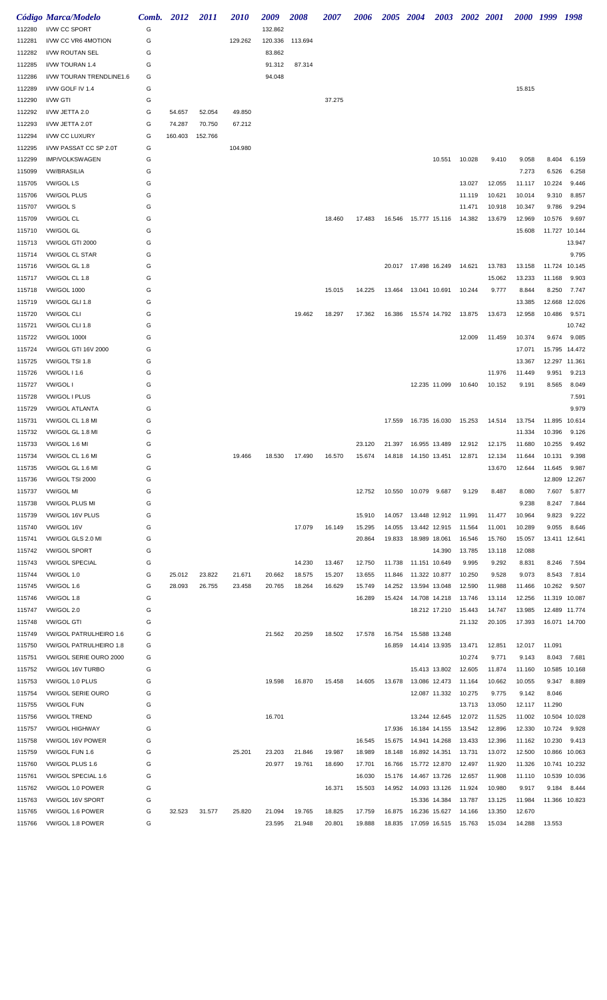|                  | Código Marca/Modelo                | Comb.  | 2012    | <i>2011</i> | <i>2010</i> | 2009    | 2008          | 2007   | 2006             |                  | 2005 2004            |               | 2003 2002 2001   |                  |                  | 2000 1999 1998   |                 |
|------------------|------------------------------------|--------|---------|-------------|-------------|---------|---------------|--------|------------------|------------------|----------------------|---------------|------------------|------------------|------------------|------------------|-----------------|
| 112280           | I/VW CC SPORT                      | G      |         |             |             | 132.862 |               |        |                  |                  |                      |               |                  |                  |                  |                  |                 |
| 112281           | I/VW CC VR6 4MOTION                | G      |         |             | 129.262     | 120.336 | 113.694       |        |                  |                  |                      |               |                  |                  |                  |                  |                 |
| 112282           | I/VW ROUTAN SEL                    | G      |         |             |             | 83.862  |               |        |                  |                  |                      |               |                  |                  |                  |                  |                 |
| 112285           | I/VW TOURAN 1.4                    | G      |         |             |             | 91.312  | 87.314        |        |                  |                  |                      |               |                  |                  |                  |                  |                 |
| 112286           | I/VW TOURAN TRENDLINE1.6           | G      |         |             |             | 94.048  |               |        |                  |                  |                      |               |                  |                  |                  |                  |                 |
| 112289           | I/VW GOLF IV 1.4                   | G      |         |             |             |         |               |        |                  |                  |                      |               |                  |                  | 15.815           |                  |                 |
| 112290           | I/VW GTI                           | G      |         |             |             |         |               | 37.275 |                  |                  |                      |               |                  |                  |                  |                  |                 |
| 112292           | I/VW JETTA 2.0                     | G      | 54.657  | 52.054      | 49.850      |         |               |        |                  |                  |                      |               |                  |                  |                  |                  |                 |
| 112293           | I/VW JETTA 2.0T                    | G      | 74.287  | 70.750      | 67.212      |         |               |        |                  |                  |                      |               |                  |                  |                  |                  |                 |
| 112294           | I/VW CC LUXURY                     | G      | 160.403 | 152.766     |             |         |               |        |                  |                  |                      |               |                  |                  |                  |                  |                 |
| 112295           | I/VW PASSAT CC SP 2.0T             | G      |         |             | 104.980     |         |               |        |                  |                  |                      |               |                  |                  |                  |                  |                 |
| 112299           | IMP/VOLKSWAGEN                     | G      |         |             |             |         |               |        |                  |                  |                      | 10.551        | 10.028           | 9.410            | 9.058            | 8.404            | 6.159           |
| 115099           | <b>VW/BRASILIA</b>                 | G      |         |             |             |         |               |        |                  |                  |                      |               |                  |                  | 7.273            | 6.526            | 6.258           |
| 115705           | <b>VW/GOL LS</b>                   | G      |         |             |             |         |               |        |                  |                  |                      |               | 13.027           | 12.055           | 11.117           | 10.224           | 9.446           |
| 115706           | <b>VW/GOL PLUS</b>                 | G      |         |             |             |         |               |        |                  |                  |                      |               | 11.119           | 10.621           | 10.014           | 9.310            | 8.857           |
| 115707           | <b>VW/GOLS</b>                     | G      |         |             |             |         |               |        |                  |                  |                      |               | 11.471           | 10.918           | 10.347           | 9.786            | 9.294           |
| 115709           | <b>VW/GOL CL</b>                   | G      |         |             |             |         |               | 18.460 | 17.483           | 16.546           | 15.777 15.116        |               | 14.382           | 13.679           | 12.969           | 10.576           | 9.697           |
| 115710           | <b>VW/GOL GL</b>                   | G      |         |             |             |         |               |        |                  |                  |                      |               |                  |                  | 15.608           | 11.727           | 10.144          |
| 115713           | VW/GOL GTI 2000                    | G      |         |             |             |         |               |        |                  |                  |                      |               |                  |                  |                  |                  | 13.947          |
| 115714           | <b>VW/GOL CL STAR</b>              | G      |         |             |             |         |               |        |                  |                  |                      |               |                  |                  |                  |                  | 9.795           |
| 115716           | VW/GOL GL 1.8                      | G      |         |             |             |         |               |        |                  |                  | 20.017 17.498 16.249 |               | 14.621           | 13.783           | 13.158           | 11.724           | 10.145          |
| 115717           | VW/GOL CL 1.8                      | G      |         |             |             |         |               |        |                  |                  |                      |               |                  | 15.062           | 13.233           | 11.168           | 9.903           |
| 115718           | <b>VW/GOL 1000</b>                 | G      |         |             |             |         |               | 15.015 | 14.225           | 13.464           | 13.041 10.691        |               | 10.244           | 9.777            | 8.844            | 8.250            | 7.747           |
| 115719           | VW/GOL GLI 1.8                     | G      |         |             |             |         |               |        |                  |                  |                      |               |                  |                  | 13.385           | 12.668           | 12.026          |
| 115720           | <b>VW/GOL CLI</b>                  | G      |         |             |             |         | 19.462        | 18.297 | 17.362           | 16.386           | 15.574 14.792        |               | 13.875           | 13.673           | 12.958           | 10.486           | 9.571           |
| 115721           | VW/GOL CLI 1.8                     | G      |         |             |             |         |               |        |                  |                  |                      |               |                  |                  |                  |                  | 10.742          |
| 115722           | <b>VW/GOL 1000I</b>                | G      |         |             |             |         |               |        |                  |                  |                      |               | 12.009           | 11.459           | 10.374           | 9.674            | 9.085           |
| 115724           | VW/GOL GTI 16V 2000                | G      |         |             |             |         |               |        |                  |                  |                      |               |                  |                  | 17.071           | 15.795           | 14.472          |
| 115725           | VW/GOL TSI 1.8                     | G      |         |             |             |         |               |        |                  |                  |                      |               |                  |                  | 13.367           | 12.297           | 11.361          |
| 115726           | <b>VW/GOL I 1.6</b>                | G      |         |             |             |         |               |        |                  |                  |                      |               |                  | 11.976           | 11.449           | 9.951            | 9.213           |
| 115727           | VW/GOL I                           | G      |         |             |             |         |               |        |                  |                  |                      | 12.235 11.099 | 10.640           | 10.152           | 9.191            | 8.565            | 8.049           |
| 115728           | <b>VW/GOL I PLUS</b>               | G      |         |             |             |         |               |        |                  |                  |                      |               |                  |                  |                  |                  | 7.591           |
| 115729           | <b>VW/GOL ATLANTA</b>              | G      |         |             |             |         |               |        |                  |                  |                      |               |                  |                  |                  |                  | 9.979           |
| 115731           | VW/GOL CL 1.8 MI                   | G      |         |             |             |         |               |        |                  | 17.559           |                      | 16.735 16.030 | 15.253           | 14.514           | 13.754           | 11.895           | 10.614          |
| 115732           | VW/GOL GL 1.8 MI                   | G      |         |             |             |         |               |        |                  |                  |                      |               |                  |                  | 11.334           | 10.396           | 9.126           |
| 115733           | VW/GOL 1.6 MI                      | G      |         |             |             |         |               |        | 23.120           |                  | 21.397 16.955 13.489 |               | 12.912           | 12.175           | 11.680           | 10.255           | 9.492           |
| 115734           | VW/GOL CL 1.6 MI                   | G      |         |             | 19.466      |         | 18.530 17.490 | 16.570 | 15.674           | 14.818           |                      | 14.150 13.451 | 12.871           | 12.134           | 11.644           | 10.131           | 9.398           |
| 115735           | VW/GOL GL 1.6 MI                   | G      |         |             |             |         |               |        |                  |                  |                      |               |                  | 13.670           | 12.644           | 11.645           | 9.987           |
| 115736           | VW/GOL TSI 2000                    | G      |         |             |             |         |               |        |                  |                  |                      |               |                  |                  |                  | 12.809           | 12.267          |
| 115737           | <b>VW/GOL MI</b>                   | G      |         |             |             |         |               |        | 12.752           | 10.550           | 10.079 9.687         |               | 9.129            | 8.487            | 8.080            | 7.607            | 5.877           |
| 115738           | <b>VW/GOL PLUS MI</b>              | G      |         |             |             |         |               |        |                  |                  |                      |               |                  |                  | 9.238            | 8.247            | 7.844           |
| 115739           | VW/GOL 16V PLUS                    | G      |         |             |             |         |               |        | 15.910           | 14.057           | 13.448 12.912        |               | 11.991           | 11.477           | 10.964           | 9.823            | 9.222           |
| 115740           | VW/GOL 16V                         | G      |         |             |             |         | 17.079        | 16.149 | 15.295           | 14.055           |                      | 13.442 12.915 | 11.564           | 11.001           | 10.289           | 9.055            | 8.646           |
| 115741           | VW/GOL GLS 2.0 MI                  | G      |         |             |             |         |               |        | 20.864           | 19.833           | 18.989 18.061        |               | 16.546           | 15.760           | 15.057           |                  | 13.411 12.641   |
| 115742           | <b>VW/GOL SPORT</b>                | G      |         |             |             |         |               |        |                  |                  |                      | 14.390        | 13.785           | 13.118           | 12.088           |                  |                 |
| 115743           | <b>VW/GOL SPECIAL</b>              | G      |         |             |             |         | 14.230        | 13.467 | 12.750           | 11.738           | 11.151 10.649        |               | 9.995            | 9.292            | 8.831            | 8.246            | 7.594           |
| 115744           | <b>VW/GOL 1.0</b>                  | G      | 25.012  | 23.822      | 21.671      | 20.662  | 18.575        | 15.207 | 13.655           | 11.846           |                      | 11.322 10.877 | 10.250           | 9.528            | 9.073            | 8.543            | 7.814           |
| 115745           | <b>VW/GOL 1.6</b>                  | G      | 28.093  | 26.755      | 23.458      | 20.765  | 18.264        | 16.629 | 15.749           | 14.252           |                      | 13.594 13.048 | 12.590           | 11.988           | 11.466           | 10.262           | 9.507           |
| 115746           | <b>VW/GOL 1.8</b>                  | G      |         |             |             |         |               |        | 16.289           | 15.424           |                      | 14.708 14.218 | 13.746           | 13.114           | 12.256           | 11.319           | 10.087          |
| 115747           | VW/GOL 2.0                         | G      |         |             |             |         |               |        |                  |                  |                      | 18.212 17.210 | 15.443           | 14.747           | 13.985           | 12.489           | 11.774          |
| 115748           | <b>VW/GOL GTI</b>                  | G      |         |             |             |         |               |        |                  |                  |                      |               | 21.132           | 20.105           | 17.393           |                  | 16.071 14.700   |
| 115749           | <b>VW/GOL PATRULHEIRO 1.6</b>      | G      |         |             |             | 21.562  | 20.259        | 18.502 | 17.578           | 16.754           |                      | 15.588 13.248 |                  |                  |                  |                  |                 |
| 115750           | <b>VW/GOL PATRULHEIRO 1.8</b>      | G      |         |             |             |         |               |        |                  | 16.859           |                      | 14.414 13.935 | 13.471           | 12.851           | 12.017           | 11.091           |                 |
| 115751           | VW/GOL SERIE OURO 2000             | G      |         |             |             |         |               |        |                  |                  |                      |               | 10.274           | 9.771            | 9.143            | 8.043            | 7.681           |
| 115752           | VW/GOL 16V TURBO                   | G      |         |             |             |         |               |        |                  |                  |                      | 15.413 13.802 | 12.605           | 11.874           | 11.160           | 10.585           | 10.168          |
| 115753           | VW/GOL 1.0 PLUS                    | G      |         |             |             | 19.598  | 16.870        | 15.458 | 14.605           | 13.678           | 13.086 12.473        |               | 11.164           | 10.662           | 10.055           | 9.347            | 8.889           |
| 115754           | <b>VW/GOL SERIE OURO</b>           | G      |         |             |             |         |               |        |                  |                  |                      | 12.087 11.332 | 10.275           | 9.775            | 9.142            | 8.046            |                 |
| 115755           | <b>VW/GOL FUN</b>                  | G<br>G |         |             |             |         |               |        |                  |                  |                      |               | 13.713           | 13.050           | 12.117           | 11.290           |                 |
| 115756           | <b>VW/GOL TREND</b>                |        |         |             |             | 16.701  |               |        |                  |                  |                      | 13.244 12.645 | 12.072           | 11.525           | 11.002           | 10.504           | 10.028          |
| 115757           | <b>VW/GOL HIGHWAY</b>              | G      |         |             |             |         |               |        |                  | 17.936           |                      | 16.184 14.155 | 13.542           | 12.896           | 12.330           | 10.724           | 9.928           |
| 115758<br>115759 | VW/GOL 16V POWER<br>VW/GOL FUN 1.6 | G<br>G |         |             | 25.201      | 23.203  | 21.846        | 19.987 | 16.545<br>18.989 | 15.675<br>18.148 | 16.892 14.351        | 14.941 14.268 | 13.433<br>13.731 | 12.396<br>13.072 | 11.162<br>12.500 | 10.230<br>10.866 | 9.413<br>10.063 |
| 115760           | VW/GOL PLUS 1.6                    | G      |         |             |             | 20.977  | 19.761        | 18.690 | 17.701           | 16.766           |                      | 15.772 12.870 | 12.497           | 11.920           | 11.326           | 10.741           | 10.232          |
| 115761           | <b>VW/GOL SPECIAL 1.6</b>          | G      |         |             |             |         |               |        | 16.030           | 15.176           |                      | 14.467 13.726 | 12.657           | 11.908           | 11.110           | 10.539           | 10.036          |
| 115762           | VW/GOL 1.0 POWER                   | G      |         |             |             |         |               | 16.371 | 15.503           | 14.952           | 14.093 13.126        |               | 11.924           | 10.980           | 9.917            | 9.184            | 8.444           |
| 115763           | VW/GOL 16V SPORT                   | G      |         |             |             |         |               |        |                  |                  |                      | 15.336 14.384 | 13.787           | 13.125           | 11.984           | 11.366           | 10.823          |
| 115765           | VW/GOL 1.6 POWER                   | G      | 32.523  | 31.577      | 25.820      | 21.094  | 19.765        | 18.825 | 17.759           | 16.875           | 16.236 15.627        |               | 14.166           | 13.350           | 12.670           |                  |                 |
| 115766           | VW/GOL 1.8 POWER                   | G      |         |             |             | 23.595  | 21.948        | 20.801 | 19.888           | 18.835           | 17.059 16.515        |               | 15.763           | 15.034           | 14.288           | 13.553           |                 |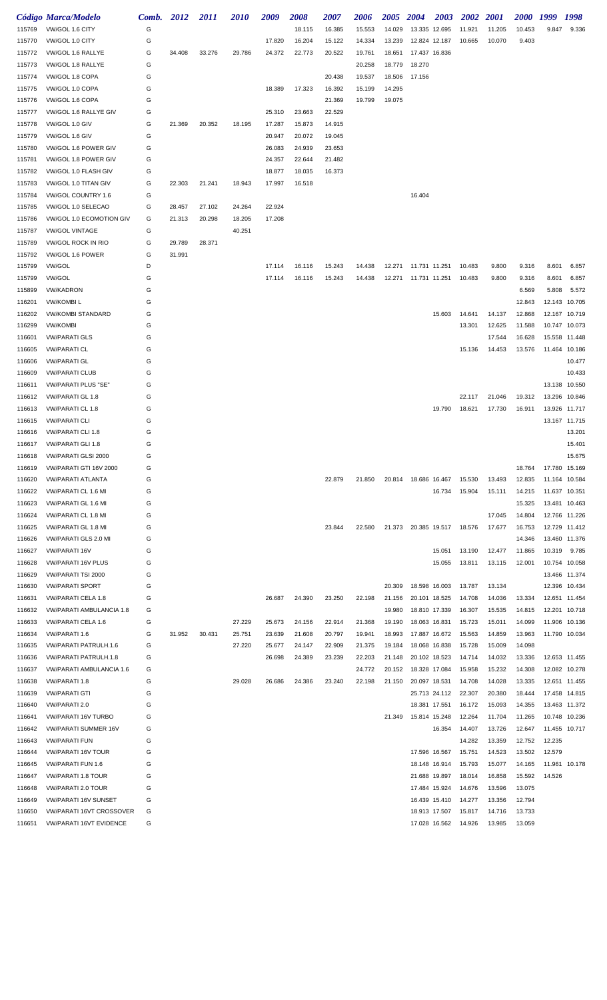|        | <b>Código Marca/Modelo</b>         | Comb. 2012 |        | <i>2011</i> | <i>2010</i> | 2009   | 2008   | 2007   | 2006   | <i><b>2005</b></i> | 2004                 | 2003          | <b>2002</b> | <i>2001</i> | <i><b>2000</b></i> | 1999   | 1998          |
|--------|------------------------------------|------------|--------|-------------|-------------|--------|--------|--------|--------|--------------------|----------------------|---------------|-------------|-------------|--------------------|--------|---------------|
| 115769 | VW/GOL 1.6 CITY                    | G          |        |             |             |        | 18.115 | 16.385 | 15.553 | 14.029             | 13.335 12.695        |               | 11.921      | 11.205      | 10.453             | 9.847  | 9.336         |
|        |                                    |            |        |             |             |        |        |        |        |                    |                      |               |             |             |                    |        |               |
| 115770 | VW/GOL 1.0 CITY                    | G          |        |             |             | 17.820 | 16.204 | 15.122 | 14.334 | 13.239             | 12.824 12.187        |               | 10.665      | 10.070      | 9.403              |        |               |
| 115772 | VW/GOL 1.6 RALLYE                  | G          | 34.408 | 33.276      | 29.786      | 24.372 | 22.773 | 20.522 | 19.761 | 18.651             | 17.437 16.836        |               |             |             |                    |        |               |
| 115773 | VW/GOL 1.8 RALLYE                  | G          |        |             |             |        |        |        | 20.258 | 18.779             | 18.270               |               |             |             |                    |        |               |
| 115774 | VW/GOL 1.8 COPA                    | G          |        |             |             |        |        | 20.438 | 19.537 | 18.506             | 17.156               |               |             |             |                    |        |               |
| 115775 | VW/GOL 1.0 COPA                    | G          |        |             |             | 18.389 | 17.323 | 16.392 | 15.199 | 14.295             |                      |               |             |             |                    |        |               |
| 115776 | VW/GOL 1.6 COPA                    | G          |        |             |             |        |        | 21.369 | 19.799 | 19.075             |                      |               |             |             |                    |        |               |
| 115777 | VW/GOL 1.6 RALLYE GIV              | G          |        |             |             | 25.310 | 23.663 | 22.529 |        |                    |                      |               |             |             |                    |        |               |
| 115778 | VW/GOL 1.0 GIV                     | G          | 21.369 | 20.352      | 18.195      | 17.287 | 15.873 | 14.915 |        |                    |                      |               |             |             |                    |        |               |
| 115779 | VW/GOL 1.6 GIV                     | G          |        |             |             | 20.947 | 20.072 | 19.045 |        |                    |                      |               |             |             |                    |        |               |
| 115780 | VW/GOL 1.6 POWER GIV               | G          |        |             |             | 26.083 | 24.939 | 23.653 |        |                    |                      |               |             |             |                    |        |               |
|        | VW/GOL 1.8 POWER GIV               | G          |        |             |             |        | 22.644 | 21.482 |        |                    |                      |               |             |             |                    |        |               |
| 115781 |                                    |            |        |             |             | 24.357 |        |        |        |                    |                      |               |             |             |                    |        |               |
| 115782 | VW/GOL 1.0 FLASH GIV               | G          |        |             |             | 18.877 | 18.035 | 16.373 |        |                    |                      |               |             |             |                    |        |               |
| 115783 | VW/GOL 1.0 TITAN GIV               | G          | 22.303 | 21.241      | 18.943      | 17.997 | 16.518 |        |        |                    |                      |               |             |             |                    |        |               |
| 115784 | VW/GOL COUNTRY 1.6                 | G          |        |             |             |        |        |        |        |                    | 16.404               |               |             |             |                    |        |               |
| 115785 | VW/GOL 1.0 SELECAO                 | G          | 28.457 | 27.102      | 24.264      | 22.924 |        |        |        |                    |                      |               |             |             |                    |        |               |
| 115786 | VW/GOL 1.0 ECOMOTION GIV           | G          | 21.313 | 20.298      | 18.205      | 17.208 |        |        |        |                    |                      |               |             |             |                    |        |               |
| 115787 | <b>VW/GOL VINTAGE</b>              | G          |        |             | 40.251      |        |        |        |        |                    |                      |               |             |             |                    |        |               |
| 115789 | <b>VW/GOL ROCK IN RIO</b>          | G          | 29.789 | 28.371      |             |        |        |        |        |                    |                      |               |             |             |                    |        |               |
| 115792 | VW/GOL 1.6 POWER                   | G          | 31.991 |             |             |        |        |        |        |                    |                      |               |             |             |                    |        |               |
| 115799 | <b>VW/GOL</b>                      | D          |        |             |             | 17.114 | 16.116 | 15.243 | 14.438 | 12.271             | 11.731 11.251        |               | 10.483      | 9.800       | 9.316              | 8.601  | 6.857         |
|        |                                    |            |        |             |             |        |        |        |        |                    |                      |               |             |             |                    |        |               |
| 115799 | <b>VW/GOL</b>                      | G          |        |             |             | 17.114 | 16.116 | 15.243 | 14.438 | 12.271             | 11.731 11.251        |               | 10.483      | 9.800       | 9.316              | 8.601  | 6.857         |
| 115899 | <b>VW/KADRON</b>                   | G          |        |             |             |        |        |        |        |                    |                      |               |             |             | 6.569              | 5.808  | 5.572         |
| 116201 | <b>VW/KOMBIL</b>                   | G          |        |             |             |        |        |        |        |                    |                      |               |             |             | 12.843             | 12.143 | 10.705        |
| 116202 | <b>VW/KOMBI STANDARD</b>           | G          |        |             |             |        |        |        |        |                    |                      | 15.603        | 14.641      | 14.137      | 12.868             | 12.167 | 10.719        |
| 116299 | <b>VW/KOMBI</b>                    | G          |        |             |             |        |        |        |        |                    |                      |               | 13.301      | 12.625      | 11.588             |        | 10.747 10.073 |
| 116601 | <b>VW/PARATI GLS</b>               | G          |        |             |             |        |        |        |        |                    |                      |               |             | 17.544      | 16.628             |        | 15.558 11.448 |
| 116605 | <b>VW/PARATI CL</b>                | G          |        |             |             |        |        |        |        |                    |                      |               | 15.136      | 14.453      | 13.576             |        | 11.464 10.186 |
| 116606 | <b>VW/PARATI GL</b>                | G          |        |             |             |        |        |        |        |                    |                      |               |             |             |                    |        | 10.477        |
| 116609 | <b>VW/PARATI CLUB</b>              | G          |        |             |             |        |        |        |        |                    |                      |               |             |             |                    |        | 10.433        |
|        |                                    | G          |        |             |             |        |        |        |        |                    |                      |               |             |             |                    |        |               |
| 116611 | VW/PARATI PLUS "SE"                |            |        |             |             |        |        |        |        |                    |                      |               |             |             |                    |        | 13.138 10.550 |
| 116612 | VW/PARATI GL 1.8                   | G          |        |             |             |        |        |        |        |                    |                      |               | 22.117      | 21.046      | 19.312             | 13.296 | 10.846        |
| 116613 | <b>VW/PARATI CL 1.8</b>            | G          |        |             |             |        |        |        |        |                    |                      | 19.790        | 18.621      | 17.730      | 16.911             |        | 13.926 11.717 |
| 116615 | <b>VW/PARATI CLI</b>               | G          |        |             |             |        |        |        |        |                    |                      |               |             |             |                    |        | 13.167 11.715 |
| 116616 | <b>VW/PARATI CLI 1.8</b>           | G          |        |             |             |        |        |        |        |                    |                      |               |             |             |                    |        | 13.201        |
| 116617 | VW/PARATI GLI 1.8                  | G          |        |             |             |        |        |        |        |                    |                      |               |             |             |                    |        | 15.401        |
| 116618 | <b>VW/PARATI GLSI 2000</b>         | G          |        |             |             |        |        |        |        |                    |                      |               |             |             |                    |        | 15.675        |
| 116619 | VW/PARATI GTI 16V 2000             | G          |        |             |             |        |        |        |        |                    |                      |               |             |             | 18.764             |        | 17.780 15.169 |
| 116620 | <b>VW/PARATI ATLANTA</b>           | G          |        |             |             |        |        | 22.879 | 21.850 |                    | 20.814 18.686 16.467 |               | 15.530      | 13.493      | 12.835             |        | 11.164 10.584 |
| 116622 | VW/PARATI CL 1.6 MI                | G          |        |             |             |        |        |        |        |                    |                      | 16.734        | 15.904      | 15.111      | 14.215             |        | 11.637 10.351 |
| 116623 | <b>VW/PARATI GL 1.6 MI</b>         | G          |        |             |             |        |        |        |        |                    |                      |               |             |             | 15.325             |        | 13.481 10.463 |
|        |                                    |            |        |             |             |        |        |        |        |                    |                      |               |             |             |                    |        |               |
| 116624 | VW/PARATI CL 1.8 MI                | G          |        |             |             |        |        |        |        |                    |                      |               |             | 17.045      | 14.804             |        | 12.766 11.226 |
| 116625 | <b>VW/PARATI GL 1.8 MI</b>         | G          |        |             |             |        |        | 23.844 | 22.580 |                    | 21.373 20.385 19.517 |               | 18.576      | 17.677      | 16.753             |        | 12.729 11.412 |
| 116626 | <b>VW/PARATI GLS 2.0 MI</b>        | G          |        |             |             |        |        |        |        |                    |                      |               |             |             | 14.346             |        | 13.460 11.376 |
| 116627 | <b>VW/PARATI 16V</b>               | G          |        |             |             |        |        |        |        |                    |                      | 15.051        | 13.190      | 12.477      | 11.865             | 10.319 | 9.785         |
| 116628 | <b>VW/PARATI 16V PLUS</b>          | G          |        |             |             |        |        |        |        |                    |                      | 15.055        | 13.811      | 13.115      | 12.001             |        | 10.754 10.058 |
| 116629 | <b>VW/PARATI TSI 2000</b>          | G          |        |             |             |        |        |        |        |                    |                      |               |             |             |                    |        | 13.466 11.374 |
| 116630 | <b>VW/PARATI SPORT</b>             | G          |        |             |             |        |        |        |        | 20.309             | 18.598 16.003        |               | 13.787      | 13.134      |                    | 12.396 | 10.434        |
| 116631 | <b>VW/PARATI CELA 1.8</b>          | G          |        |             |             | 26.687 | 24.390 | 23.250 | 22.198 | 21.156             | 20.101 18.525        |               | 14.708      | 14.036      | 13.334             |        | 12.651 11.454 |
| 116632 | <b>VW/PARATI AMBULANCIA 1.8</b>    | G          |        |             |             |        |        |        |        | 19.980             | 18.810 17.339        |               | 16.307      | 15.535      | 14.815             |        | 12.201 10.718 |
| 116633 | <b>VW/PARATI CELA 1.6</b>          | G          |        |             | 27.229      | 25.673 | 24.156 | 22.914 | 21.368 | 19.190             | 18.063 16.831        |               | 15.723      | 15.011      | 14.099             |        | 11.906 10.136 |
|        |                                    |            |        |             |             |        |        |        |        |                    |                      |               |             |             |                    |        |               |
| 116634 | <b>VW/PARATI 1.6</b>               | G          | 31.952 | 30.431      | 25.751      | 23.639 | 21.608 | 20.797 | 19.941 | 18.993             | 17.887 16.672        |               | 15.563      | 14.859      | 13.963             |        | 11.790 10.034 |
| 116635 | <b>VW/PARATI PATRULH.1.6</b>       | G          |        |             | 27.220      | 25.677 | 24.147 | 22.909 | 21.375 | 19.184             | 18.068 16.838        |               | 15.728      | 15.009      | 14.098             |        |               |
| 116636 | <b>VW/PARATI PATRULH.1.8</b>       | G          |        |             |             | 26.698 | 24.389 | 23.239 | 22.203 | 21.148             | 20.102 18.523        |               | 14.714      | 14.032      | 13.336             |        | 12.653 11.455 |
| 116637 | VW/PARATI AMBULANCIA 1.6           | G          |        |             |             |        |        |        | 24.772 | 20.152             | 18.328 17.084        |               | 15.958      | 15.232      | 14.308             |        | 12.082 10.278 |
| 116638 | VW/PARATI 1.8                      | G          |        |             | 29.028      | 26.686 | 24.386 | 23.240 | 22.198 | 21.150             | 20.097 18.531        |               | 14.708      | 14.028      | 13.335             |        | 12.651 11.455 |
| 116639 | <b>VW/PARATI GTI</b>               | G          |        |             |             |        |        |        |        |                    |                      | 25.713 24.112 | 22.307      | 20.380      | 18.444             |        | 17.458 14.815 |
| 116640 | VW/PARATI 2.0                      | G          |        |             |             |        |        |        |        |                    | 18.381 17.551        |               | 16.172      | 15.093      | 14.355             |        | 13.463 11.372 |
| 116641 | <b>VW/PARATI 16V TURBO</b>         | G          |        |             |             |        |        |        |        | 21.349             | 15.814 15.248        |               | 12.264      | 11.704      | 11.265             |        | 10.748 10.236 |
| 116642 | <b>VW/PARATI SUMMER 16V</b>        | G          |        |             |             |        |        |        |        |                    |                      | 16.354        | 14.407      | 13.726      | 12.647             |        | 11.455 10.717 |
| 116643 | <b>VW/PARATI FUN</b>               | G          |        |             |             |        |        |        |        |                    |                      |               | 14.282      | 13.359      | 12.752             | 12.235 |               |
|        |                                    |            |        |             |             |        |        |        |        |                    |                      |               |             |             |                    |        |               |
| 116644 | <b>VW/PARATI 16V TOUR</b>          | G          |        |             |             |        |        |        |        |                    | 17.596 16.567        |               | 15.751      | 14.523      | 13.502             | 12.579 |               |
| 116645 | VW/PARATI FUN 1.6                  | G          |        |             |             |        |        |        |        |                    | 18.148 16.914        |               | 15.793      | 15.077      | 14.165             |        | 11.961 10.178 |
| 116647 | <b>VW/PARATI 1.8 TOUR</b>          | G          |        |             |             |        |        |        |        |                    | 21.688 19.897        |               | 18.014      | 16.858      | 15.592             | 14.526 |               |
| 116648 | VW/PARATI 2.0 TOUR                 | G          |        |             |             |        |        |        |        |                    | 17.484 15.924        |               | 14.676      | 13.596      | 13.075             |        |               |
| 116649 | <b><i>VW/PARATI 16V SUNSET</i></b> | G          |        |             |             |        |        |        |        |                    |                      | 16.439 15.410 | 14.277      | 13.356      | 12.794             |        |               |
| 116650 | <b>VW/PARATI 16VT CROSSOVER</b>    | G          |        |             |             |        |        |        |        |                    | 18.913 17.507        |               | 15.817      | 14.716      | 13.733             |        |               |
| 116651 | <b>VW/PARATI 16VT EVIDENCE</b>     | G          |        |             |             |        |        |        |        |                    |                      | 17.028 16.562 | 14.926      | 13.985      | 13.059             |        |               |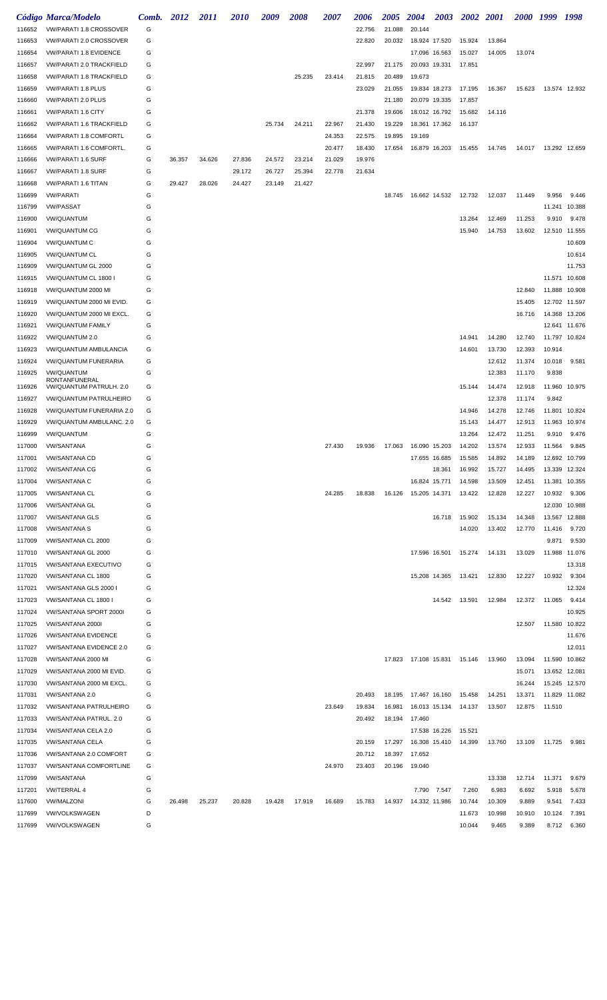|        | Código Marca/Modelo                      | Comb. | 2012   | <i>2011</i> | <i><b>2010</b></i> | 2009   | 2008   | 2007   | 2006   | <i><b>2005</b></i> | <b>2004</b>            | 2003          | 2002 2001 |        | <i>2000</i> | 1999          | 1998          |
|--------|------------------------------------------|-------|--------|-------------|--------------------|--------|--------|--------|--------|--------------------|------------------------|---------------|-----------|--------|-------------|---------------|---------------|
| 116652 | <b>VW/PARATI 1.8 CROSSOVER</b>           | G     |        |             |                    |        |        |        | 22.756 | 21.088             | 20.144                 |               |           |        |             |               |               |
| 116653 | VW/PARATI 2.0 CROSSOVER                  | G     |        |             |                    |        |        |        | 22.820 | 20.032             | 18.924 17.520          |               | 15.924    | 13.864 |             |               |               |
| 116654 | <b>VW/PARATI 1.8 EVIDENCE</b>            | G     |        |             |                    |        |        |        |        |                    | 17.096 16.563          |               | 15.027    | 14.005 | 13.074      |               |               |
| 116657 | <b>VW/PARATI 2.0 TRACKFIELD</b>          | G     |        |             |                    |        |        |        | 22.997 | 21.175             | 20.093 19.331          |               | 17.851    |        |             |               |               |
| 116658 | <b>VW/PARATI 1.8 TRACKFIELD</b>          | G     |        |             |                    |        | 25.235 | 23.414 | 21.815 | 20.489             | 19.673                 |               |           |        |             |               |               |
| 116659 | <b>VW/PARATI 1.8 PLUS</b>                | G     |        |             |                    |        |        |        | 23.029 | 21.055             | 19.834 18.273          |               | 17.195    | 16.367 | 15.623      |               | 13.574 12.932 |
| 116660 | <b>VW/PARATI 2.0 PLUS</b>                | G     |        |             |                    |        |        |        |        | 21.180             | 20.079 19.335          |               | 17.857    |        |             |               |               |
| 116661 | <b>VW/PARATI 1.6 CITY</b>                | G     |        |             |                    |        |        |        | 21.378 | 19.606             | 18.012 16.792          |               | 15.682    | 14.116 |             |               |               |
| 116662 | <b>VW/PARATI 1.6 TRACKFIELD</b>          | G     |        |             |                    | 25.734 | 24.211 | 22.967 | 21.430 | 19.229             | 18.361 17.362          |               | 16.137    |        |             |               |               |
| 116664 | <b>VW/PARATI 1.8 COMFORTL</b>            | G     |        |             |                    |        |        | 24.353 | 22.575 | 19.895             | 19.169                 |               |           |        |             |               |               |
| 116665 | VW/PARATI 1.6 COMFORTL.                  | G     |        |             |                    |        |        | 20.477 | 18.430 | 17.654             | 16.879 16.203          |               | 15.455    | 14.745 | 14.017      | 13.292 12.659 |               |
| 116666 | <b>VW/PARATI 1.6 SURF</b>                | G     | 36.357 | 34.626      | 27.836             | 24.572 | 23.214 | 21.029 | 19.976 |                    |                        |               |           |        |             |               |               |
| 116667 | <b>VW/PARATI 1.8 SURF</b>                | G     |        |             | 29.172             | 26.727 | 25.394 | 22.778 | 21.634 |                    |                        |               |           |        |             |               |               |
| 116668 | VW/PARATI 1.6 TITAN                      | G     | 29.427 | 28.026      | 24.427             | 23.149 | 21.427 |        |        |                    |                        |               |           |        |             |               |               |
| 116699 | <b>VW/PARATI</b>                         | G     |        |             |                    |        |        |        |        | 18.745             | 16.662 14.532          |               | 12.732    | 12.037 | 11.449      | 9.956         | 9.446         |
| 116799 | <b>VW/PASSAT</b>                         | G     |        |             |                    |        |        |        |        |                    |                        |               |           |        |             | 11.241        | 10.388        |
| 116900 | <b>VW/QUANTUM</b>                        | G     |        |             |                    |        |        |        |        |                    |                        |               | 13.264    | 12.469 | 11.253      | 9.910         | 9.478         |
| 116901 | <b>VW/QUANTUM CG</b>                     | G     |        |             |                    |        |        |        |        |                    |                        |               | 15.940    | 14.753 | 13.602      | 12.510        | 11.555        |
| 116904 | <b>VW/QUANTUM C</b>                      | G     |        |             |                    |        |        |        |        |                    |                        |               |           |        |             |               | 10.609        |
| 116905 | <b>VW/QUANTUM CL</b>                     | G     |        |             |                    |        |        |        |        |                    |                        |               |           |        |             |               | 10.614        |
| 116909 | VW/QUANTUM GL 2000                       | G     |        |             |                    |        |        |        |        |                    |                        |               |           |        |             |               | 11.753        |
| 116915 | VW/QUANTUM CL 1800                       | G     |        |             |                    |        |        |        |        |                    |                        |               |           |        |             |               | 11.571 10.608 |
| 116918 | VW/QUANTUM 2000 MI                       | G     |        |             |                    |        |        |        |        |                    |                        |               |           |        | 12.840      | 11.888        | 10.908        |
| 116919 | VW/QUANTUM 2000 MI EVID.                 | G     |        |             |                    |        |        |        |        |                    |                        |               |           |        | 15.405      | 12.702        | 11.597        |
| 116920 | VW/QUANTUM 2000 MI EXCL.                 | G     |        |             |                    |        |        |        |        |                    |                        |               |           |        | 16.716      | 14.368        | 13.206        |
| 116921 | <b>VW/QUANTUM FAMILY</b>                 | G     |        |             |                    |        |        |        |        |                    |                        |               |           |        |             | 12.641        | 11.676        |
| 116922 | VW/QUANTUM 2.0                           | G     |        |             |                    |        |        |        |        |                    |                        |               | 14.941    | 14.280 | 12.740      | 11.797        | 10.824        |
| 116923 | <b>VW/QUANTUM AMBULANCIA</b>             | G     |        |             |                    |        |        |        |        |                    |                        |               | 14.601    | 13.730 | 12.393      | 10.914        |               |
| 116924 | <b>VW/QUANTUM FUNERARIA</b>              | G     |        |             |                    |        |        |        |        |                    |                        |               |           | 12.612 | 11.374      | 10.018        | 9.581         |
| 116925 | <b>VW/QUANTUM</b>                        | G     |        |             |                    |        |        |        |        |                    |                        |               |           | 12.383 | 11.170      | 9.838         |               |
| 116926 | RONTANFUNERAL<br>VW/QUANTUM PATRULH. 2.0 | G     |        |             |                    |        |        |        |        |                    |                        |               | 15.144    | 14.474 | 12.918      | 11.960        | 10.975        |
| 116927 | <b>VW/QUANTUM PATRULHEIRO</b>            | G     |        |             |                    |        |        |        |        |                    |                        |               |           | 12.378 | 11.174      | 9.842         |               |
| 116928 | VW/QUANTUM FUNERARIA 2.0                 | G     |        |             |                    |        |        |        |        |                    |                        |               | 14.946    | 14.278 | 12.746      | 11.801        | 10.824        |
| 116929 | VW/QUANTUM AMBULANC. 2.0                 | G     |        |             |                    |        |        |        |        |                    |                        |               | 15.143    | 14.477 | 12.913      | 11.963        | 10.974        |
| 116999 | <b>VW/QUANTUM</b>                        | G     |        |             |                    |        |        |        |        |                    |                        |               | 13.264    | 12.472 | 11.251      | 9.910         | 9.476         |
| 117000 | <b>VW/SANTANA</b>                        | G     |        |             |                    |        |        | 27.430 | 19.936 | 17.063             | 16.090 15.203          |               | 14.202    | 13.574 | 12.933      | 11.564        | 9.845         |
| 117001 | <b>VW/SANTANA CD</b>                     | G     |        |             |                    |        |        |        |        |                    | 17.655 16.685          |               | 15.585    | 14.892 | 14.189      |               | 12.692 10.799 |
| 117002 | <b>VW/SANTANA CG</b>                     | G     |        |             |                    |        |        |        |        |                    |                        | 18.361        | 16.992    | 15.727 | 14.495      | 13.339        | 12.324        |
| 117004 | <b>VW/SANTANA C</b>                      | G     |        |             |                    |        |        |        |        |                    | 16.824 15.771          |               | 14.598    | 13.509 | 12.451      |               | 11.381 10.355 |
| 117005 | <b>VW/SANTANA CL</b>                     | G     |        |             |                    |        |        | 24.285 | 18.838 | 16.126             | 15.205 14.371          |               | 13.422    | 12.828 | 12.227      | 10.932        | 9.306         |
| 117006 | <b>VW/SANTANA GL</b>                     | G     |        |             |                    |        |        |        |        |                    |                        |               |           |        |             |               | 12.030 10.988 |
| 117007 | <b>VW/SANTANA GLS</b>                    | G     |        |             |                    |        |        |        |        |                    |                        | 16.718        | 15.902    | 15.134 | 14.348      |               | 13.567 12.888 |
| 117008 | <b>VW/SANTANA S</b>                      | G     |        |             |                    |        |        |        |        |                    |                        |               | 14.020    | 13.402 | 12.770      | 11.416        | 9.720         |
| 117009 | VW/SANTANA CL 2000                       | G     |        |             |                    |        |        |        |        |                    |                        |               |           |        |             | 9.871         | 9.530         |
| 117010 | VW/SANTANA GL 2000                       | G     |        |             |                    |        |        |        |        |                    | 17.596 16.501          |               | 15.274    | 14.131 | 13.029      |               | 11.988 11.076 |
| 117015 | <b>VW/SANTANA EXECUTIVO</b>              | G     |        |             |                    |        |        |        |        |                    |                        |               |           |        |             |               | 13.318        |
| 117020 | VW/SANTANA CL 1800                       | G     |        |             |                    |        |        |        |        |                    |                        | 15.208 14.365 | 13.421    | 12.830 | 12.227      | 10.932        | 9.304         |
| 117021 | VW/SANTANA GLS 2000 I                    | G     |        |             |                    |        |        |        |        |                    |                        |               |           |        |             |               | 12.324        |
| 117023 | VW/SANTANA CL 1800 I                     | G     |        |             |                    |        |        |        |        |                    |                        | 14.542        | 13.591    | 12.984 | 12.372      | 11.065        | 9.414         |
| 117024 | VW/SANTANA SPORT 2000I                   | G     |        |             |                    |        |        |        |        |                    |                        |               |           |        |             |               | 10.925        |
| 117025 | VW/SANTANA 2000I                         | G     |        |             |                    |        |        |        |        |                    |                        |               |           |        | 12.507      | 11.580        | 10.822        |
| 117026 | <b>VW/SANTANA EVIDENCE</b>               | G     |        |             |                    |        |        |        |        |                    |                        |               |           |        |             |               | 11.676        |
| 117027 | <b>VW/SANTANA EVIDENCE 2.0</b>           | G     |        |             |                    |        |        |        |        |                    |                        |               |           |        |             |               | 12.011        |
| 117028 |                                          | G     |        |             |                    |        |        |        |        |                    | 17.823  17.108  15.831 |               |           | 13.960 | 13.094      |               | 11.590 10.862 |
| 117029 | VW/SANTANA 2000 MI                       | G     |        |             |                    |        |        |        |        |                    |                        |               | 15.146    |        | 15.071      |               | 13.652 12.081 |
|        | VW/SANTANA 2000 MI EVID.                 |       |        |             |                    |        |        |        |        |                    |                        |               |           |        |             |               |               |
| 117030 | VW/SANTANA 2000 MI EXCL.                 | G     |        |             |                    |        |        |        |        |                    |                        |               |           |        | 16.244      |               | 15.245 12.570 |
| 117031 | VW/SANTANA 2.0                           | G     |        |             |                    |        |        |        | 20.493 | 18.195             | 17.467 16.160          |               | 15.458    | 14.251 | 13.371      |               | 11.829 11.082 |
| 117032 | <b>VW/SANTANA PATRULHEIRO</b>            | G     |        |             |                    |        |        | 23.649 | 19.834 | 16.981             | 16.013 15.134          |               | 14.137    | 13.507 | 12.875      | 11.510        |               |
| 117033 | VW/SANTANA PATRUL. 2.0                   | G     |        |             |                    |        |        |        | 20.492 | 18.194             | 17.460                 |               |           |        |             |               |               |
| 117034 | VW/SANTANA CELA 2.0                      | G     |        |             |                    |        |        |        |        |                    | 17.538 16.226          |               | 15.521    |        |             |               |               |
| 117035 | <b>VW/SANTANA CELA</b>                   | G     |        |             |                    |        |        |        | 20.159 | 17.297             | 16.308 15.410          |               | 14.399    | 13.760 | 13.109      | 11.725        | 9.981         |
| 117036 | VW/SANTANA 2.0 COMFORT                   | G     |        |             |                    |        |        |        | 20.712 | 18.397             | 17.652                 |               |           |        |             |               |               |
| 117037 | <b>VW/SANTANA COMFORTLINE</b>            | G     |        |             |                    |        |        | 24.970 | 23.403 | 20.196             | 19.040                 |               |           |        |             |               |               |
| 117099 | <b>VW/SANTANA</b>                        | G     |        |             |                    |        |        |        |        |                    |                        |               |           | 13.338 | 12.714      | 11.371        | 9.679         |
| 117201 | <b>VW/TERRAL 4</b>                       | G     |        |             |                    |        |        |        |        |                    | 7.790                  | 7.547         | 7.260     | 6.983  | 6.692       | 5.918         | 5.678         |
| 117600 | <b>VW/MALZONI</b>                        | G     | 26.498 | 25.237      | 20.828             | 19.428 | 17.919 | 16.689 | 15.783 | 14.937             | 14.332 11.986          |               | 10.744    | 10.309 | 9.889       | 9.541         | 7.433         |
| 117699 | <b>VW/VOLKSWAGEN</b>                     | D     |        |             |                    |        |        |        |        |                    |                        |               | 11.673    | 10.998 | 10.910      | 10.124        | 7.391         |
| 117699 | <b>VW/VOLKSWAGEN</b>                     | G     |        |             |                    |        |        |        |        |                    |                        |               | 10.044    | 9.465  | 9.389       | 8.712         | 6.360         |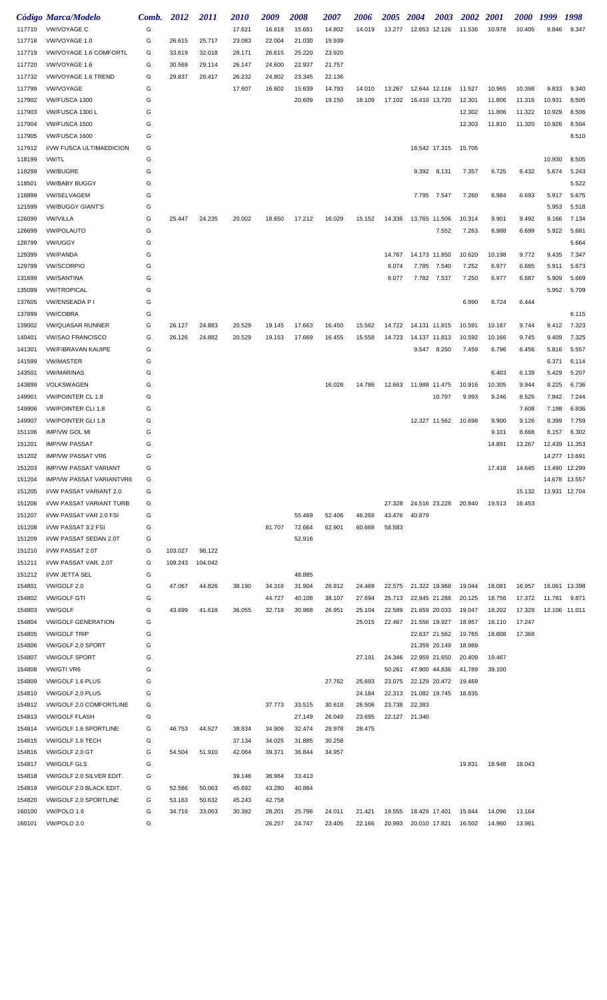|        | Código Marca/Modelo             | Comb. | 2012    | <i>2011</i> | <i>2010</i> | 2009   | 2008   | 2007   | 2006   | <i><b>2005</b></i> | 2004                        | 2003          | 2002   | <i>2001</i> | <i><b>2000</b></i> | 1999   | 1998          |
|--------|---------------------------------|-------|---------|-------------|-------------|--------|--------|--------|--------|--------------------|-----------------------------|---------------|--------|-------------|--------------------|--------|---------------|
| 117710 | <b>VW/VOYAGE C</b>              | G     |         |             | 17.621      | 16.618 | 15.651 | 14.802 | 14.019 | 13.277             | 12.653 12.126               |               | 11.536 | 10.978      | 10.405             | 9.846  | 9.347         |
| 117718 | VW/VOYAGE 1.0                   | G     | 26.615  | 25.717      | 23.083      | 22.004 | 21.030 | 19.939 |        |                    |                             |               |        |             |                    |        |               |
| 117719 | VW/VOYAGE 1.6 COMFORTL          | G     | 33.619  | 32.018      | 28.171      | 26.615 | 25.220 | 23.920 |        |                    |                             |               |        |             |                    |        |               |
| 117720 | VW/VOYAGE 1.6                   | G     | 30.569  | 29.114      | 26.147      | 24.600 | 22.937 | 21.757 |        |                    |                             |               |        |             |                    |        |               |
| 117732 | VW/VOYAGE 1.6 TREND             | G     | 29.837  | 28.417      | 26.232      | 24.802 | 23.345 | 22.136 |        |                    |                             |               |        |             |                    |        |               |
| 117799 | <b>VW/VOYAGE</b>                | G     |         |             | 17.607      | 16.602 | 15.639 | 14.793 | 14.010 | 13.267             |                             | 12.644 12.116 | 11.527 | 10.965      | 10.398             | 9.833  | 9.340         |
| 117902 | VW/FUSCA 1300                   | G     |         |             |             |        | 20.609 | 19.150 | 18.109 | 17.102             | 16.410 13.720               |               | 12.301 | 11.806      | 11.316             | 10.931 | 8.505         |
| 117903 | VW/FUSCA 1300 L                 | G     |         |             |             |        |        |        |        |                    |                             |               | 12.302 | 11.806      | 11.322             | 10.929 | 8.506         |
| 117904 | VW/FUSCA 1500                   | G     |         |             |             |        |        |        |        |                    |                             |               | 12.303 | 11.810      | 11.320             | 10.926 | 8.504         |
| 117905 | VW/FUSCA 1600                   | G     |         |             |             |        |        |        |        |                    |                             |               |        |             |                    |        | 8.510         |
| 117912 | I/VW FUSCA ULTIMAEDICION        | G     |         |             |             |        |        |        |        |                    |                             | 18.542 17.315 | 15.705 |             |                    |        |               |
| 118199 | <b>VW/TL</b>                    | G     |         |             |             |        |        |        |        |                    |                             |               |        |             |                    | 10.930 | 8.505         |
| 118299 | <b>VW/BUGRE</b>                 | G     |         |             |             |        |        |        |        |                    |                             | 9.392 8.131   | 7.357  | 6.725       | 6.432              | 5.674  | 5.243         |
| 118501 | <b>VW/BABY BUGGY</b>            | G     |         |             |             |        |        |        |        |                    |                             |               |        |             |                    |        | 5.522         |
| 118899 | <b>VW/SELVAGEM</b>              | G     |         |             |             |        |        |        |        |                    |                             | 7.795 7.547   | 7.260  | 6.984       | 6.693              | 5.917  | 5.675         |
| 121599 | <b>VW/BUGGY GIANT'S</b>         | G     |         |             |             |        |        |        |        |                    |                             |               |        |             |                    | 5.953  | 5.518         |
| 126099 | <b>VW/VILLA</b>                 | G     | 25.447  | 24.235      | 20.002      | 18.650 | 17.212 | 16.029 | 15.152 | 14.336             | 13.765 11.506               |               | 10.314 | 9.901       | 9.492              | 9.166  | 7.134         |
| 126699 | <b>VW/POLAUTO</b>               | G     |         |             |             |        |        |        |        |                    |                             | 7.552         | 7.263  | 6.988       | 6.699              | 5.922  | 5.681         |
| 128799 | <b>VW/UGGY</b>                  | G     |         |             |             |        |        |        |        |                    |                             |               |        |             |                    |        | 5.664         |
| 129399 | <b>VW/PANDA</b>                 | G     |         |             |             |        |        |        |        | 14.767             | 14.173 11.850               |               | 10.620 | 10.198      | 9.772              | 9.435  | 7.347         |
| 129799 | <b>VW/SCORPIO</b>               | G     |         |             |             |        |        |        |        | 8.074              |                             | 7.785 7.540   | 7.252  | 6.977       | 6.685              | 5.911  | 5.673         |
| 131699 | <b>VW/SANTINA</b>               | G     |         |             |             |        |        |        |        | 8.077              |                             | 7.782 7.537   | 7.250  | 6.977       | 6.687              | 5.909  | 5.669         |
| 135099 | <b>VW/TROPICAL</b>              | G     |         |             |             |        |        |        |        |                    |                             |               |        |             |                    | 5.952  | 5.709         |
| 137605 | <b>VW/ENSEADA PI</b>            | G     |         |             |             |        |        |        |        |                    |                             |               | 6.990  | 6.724       | 6.444              |        |               |
| 137899 | <b>VW/COBRA</b>                 | G     |         |             |             |        |        |        |        |                    |                             |               |        |             |                    |        | 6.115         |
| 139002 | <b>VW/QUASAR RUNNER</b>         | G     | 26.127  | 24.883      | 20.529      | 19.145 | 17.663 | 16.450 | 15.562 | 14.722             | 14.131 11.815               |               | 10.591 | 10.167      | 9.744              | 9.412  | 7.323         |
| 140401 | <b>VW/SAO FRANCISCO</b>         | G     | 26.126  | 24.882      | 20.529      | 19.153 | 17.669 | 16.455 | 15.558 | 14.723             | 14.137 11.813               |               | 10.592 | 10.166      | 9.745              | 9.409  | 7.325         |
| 141301 | <b>VW/FIBRAVAN KAUIPE</b>       | G     |         |             |             |        |        |        |        |                    |                             | 9.547 8.250   | 7.459  | 6.796       | 6.456              | 5.816  | 5.557         |
| 141599 | <b>VW/MASTER</b>                | G     |         |             |             |        |        |        |        |                    |                             |               |        |             |                    | 6.371  | 6.114         |
| 143501 | <b>VW/MARINAS</b>               | G     |         |             |             |        |        |        |        |                    |                             |               |        | 6.403       | 6.139              | 5.429  | 5.207         |
| 143899 | VOLKSWAGEN                      | G     |         |             |             |        |        | 16.028 | 14.786 | 12.663             | 11.988 11.475               |               | 10.916 | 10.305      | 9.944              | 9.225  | 6.736         |
| 149901 | <b>VW/POINTER CL 1.8</b>        | G     |         |             |             |        |        |        |        |                    |                             | 10.797        | 9.993  | 9.246       | 8.526              | 7.842  | 7.244         |
| 149906 | <b>VW/POINTER CLI 1.8</b>       | G     |         |             |             |        |        |        |        |                    |                             |               |        |             | 7.608              | 7.198  | 6.836         |
| 149907 | <b>VW/POINTER GLI 1.8</b>       | G     |         |             |             |        |        |        |        |                    |                             | 12.327 11.562 | 10.698 | 9.900       | 9.126              | 8.399  | 7.759         |
| 151106 | IMP/VW GOL MI                   | G     |         |             |             |        |        |        |        |                    |                             |               |        | 9.101       | 8.668              | 8.157  | 6.302         |
| 151201 | <b>IMP/VW PASSAT</b>            | G     |         |             |             |        |        |        |        |                    |                             |               |        | 14.891      | 13.267             |        | 12.439 11.353 |
| 151202 | <b>IMP/VW PASSAT VR6</b>        | G     |         |             |             |        |        |        |        |                    |                             |               |        |             |                    |        | 14.277 13.691 |
| 151203 | <b>IMP/VW PASSAT VARIANT</b>    | G     |         |             |             |        |        |        |        |                    |                             |               |        | 17.418      | 14.645             |        | 13.490 12.299 |
| 151204 | <b>IMP/VW PASSAT VARIANTVR6</b> | G     |         |             |             |        |        |        |        |                    |                             |               |        |             |                    |        | 14.678 13.557 |
| 151205 | I/VW PASSAT VARIANT 2.0         | G     |         |             |             |        |        |        |        |                    |                             |               |        |             | 15.132             |        | 13.931 12.704 |
| 151206 | I/VW PASSAT VARIANT TURB        | G     |         |             |             |        |        |        |        | 27.328             | 24.516 23.228               |               | 20.840 | 19.513      | 16.453             |        |               |
| 151207 | I/VW PASSAT VAR 2.0 FSI         | G     |         |             |             |        | 55.469 | 52.406 | 46.268 | 43.476             | 40.879                      |               |        |             |                    |        |               |
| 151208 | I/VW PASSAT 3.2 FSI             | G     |         |             |             | 81.707 | 72.664 | 62.901 | 60.668 | 58.583             |                             |               |        |             |                    |        |               |
| 151209 | I/VW PASSAT SEDAN 2.0T          | G     |         |             |             |        | 52.916 |        |        |                    |                             |               |        |             |                    |        |               |
| 151210 | I/VW PASSAT 2.0T                | G     | 103.027 | 98.122      |             |        |        |        |        |                    |                             |               |        |             |                    |        |               |
| 151211 | I/VW PASSAT VAR. 2.0T           | G     | 109.243 | 104.042     |             |        |        |        |        |                    |                             |               |        |             |                    |        |               |
| 151212 | I/VW JETTA SEL                  | G     |         |             |             |        | 48.885 |        |        |                    |                             |               |        |             |                    |        |               |
| 154801 | VW/GOLF 2.0                     | G     | 47.067  | 44.826      | 38.190      | 34.316 | 31.904 | 26.912 | 24.469 |                    | 22.575 21.322 19.968        |               | 19.044 | 18.081      | 16.957             |        | 16.061 13.398 |
| 154802 | <b>VW/GOLF GTI</b>              | G     |         |             |             | 44.727 | 40.108 | 38.107 | 27.694 | 25.713             | 22.945 21.288               |               | 20.125 | 18.756      | 17.372             | 11.781 | 9.871         |
| 154803 | <b>VW/GOLF</b>                  | G     | 43.699  | 41.618      | 36.055      | 32.718 | 30.968 | 26.951 | 25.104 | 22.589             | 21.659 20.033               |               | 19.047 | 18.202      | 17.328             |        | 12.106 11.011 |
| 154804 | <b>VW/GOLF GENERATION</b>       | G     |         |             |             |        |        |        | 25.015 | 22.467             | 21.556 19.927               |               | 18.957 | 18.110      | 17.247             |        |               |
| 154805 | <b>VW/GOLF TRIP</b>             | G     |         |             |             |        |        |        |        |                    |                             | 22.637 21.562 | 19.765 | 18.608      | 17.368             |        |               |
| 154806 | VW/GOLF 2.0 SPORT               | G     |         |             |             |        |        |        |        |                    |                             | 21.359 20.149 | 18.989 |             |                    |        |               |
| 154807 | <b>VW/GOLF SPORT</b>            | G     |         |             |             |        |        |        | 27.191 | 24.346             | 22.959 21.650               |               | 20.409 | 19.467      |                    |        |               |
| 154808 | <b>VW/GTI VR6</b>               | G     |         |             |             |        |        |        |        | 50.261             | 47.900 44.836               |               | 41.789 | 39.100      |                    |        |               |
| 154809 | VW/GOLF 1.6 PLUS                | G     |         |             |             |        |        | 27.762 | 25.693 | 23.075             | 22.129 20.472               |               | 19.469 |             |                    |        |               |
| 154810 | VW/GOLF 2.0 PLUS                | G     |         |             |             |        |        |        | 24.184 | 22.313             | 21.082 19.745               |               | 18.835 |             |                    |        |               |
| 154812 | VW/GOLF 2.0 COMFORTLINE         | G     |         |             |             | 37.773 | 33.515 | 30.618 | 26.506 | 23.738             | 22.383                      |               |        |             |                    |        |               |
| 154813 | <b>VW/GOLF FLASH</b>            | G     |         |             |             |        | 27.149 | 26.049 | 23.695 |                    | 22.127 21.340               |               |        |             |                    |        |               |
| 154814 | VW/GOLF 1.6 SPORTLINE           | G     | 46.753  | 44.527      | 38.834      | 34.906 | 32.474 | 29.978 | 28.475 |                    |                             |               |        |             |                    |        |               |
| 154815 | <b>VW/GOLF 1.6 TECH</b>         | G     |         |             | 37.134      | 34.025 | 31.885 | 30.258 |        |                    |                             |               |        |             |                    |        |               |
| 154816 | VW/GOLF 2.0 GT                  | G     | 54.504  | 51.910      | 42.064      | 39.371 | 36.844 | 34.957 |        |                    |                             |               |        |             |                    |        |               |
| 154817 | <b>VW/GOLF GLS</b>              | G     |         |             |             |        |        |        |        |                    |                             |               | 19.831 | 18.948      | 18.043             |        |               |
| 154818 | VW/GOLF 2.0 SILVER EDIT.        | G     |         |             | 39.146      | 36.964 | 33.413 |        |        |                    |                             |               |        |             |                    |        |               |
| 154819 | VW/GOLF 2.0 BLACK EDIT.         | G     | 52.566  | 50.063      | 45.692      | 43.280 | 40.884 |        |        |                    |                             |               |        |             |                    |        |               |
| 154820 | VW/GOLF 2.0 SPORTLINE           | G     | 53.163  | 50.632      | 45.243      | 42.758 |        |        |        |                    |                             |               |        |             |                    |        |               |
| 160100 | VW/POLO 1.6                     | G     | 34.716  | 33.063      | 30.392      | 28.201 | 25.796 | 24.011 | 21.421 | 19.555             | 18.429 17.401               |               | 15.844 | 14.096      | 13.164             |        |               |
| 160101 | VW/POLO 2.0                     | G     |         |             |             | 26.257 | 24.747 | 23.405 | 22.166 |                    | 20.993 20.010 17.821 16.502 |               |        | 14.960      | 13.961             |        |               |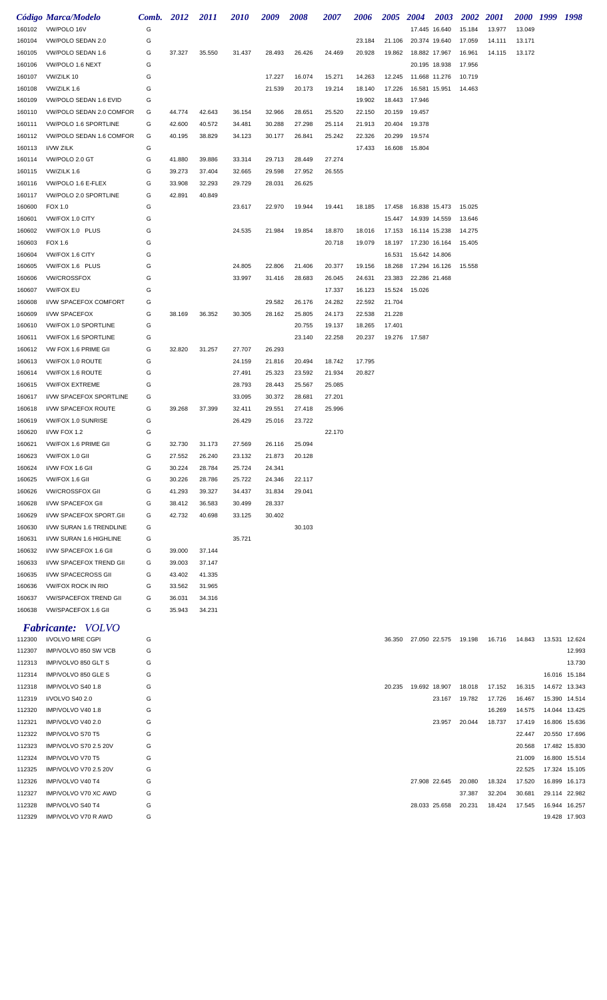|        | Código Marca/Modelo          | Comb. 2012 |        | <i>2011</i> | <i>2010</i> | 2009   | <b>2008</b> | 2007   | 2006   | <i><b>2005</b></i> | <b>2004</b>   | <b>2003</b>   | 2002   | <b>2001</b> | 2000 1999 | 1998          |
|--------|------------------------------|------------|--------|-------------|-------------|--------|-------------|--------|--------|--------------------|---------------|---------------|--------|-------------|-----------|---------------|
| 160102 | VW/POLO 16V                  | G          |        |             |             |        |             |        |        |                    | 17.445 16.640 |               | 15.184 | 13.977      | 13.049    |               |
| 160104 | VW/POLO SEDAN 2.0            | G          |        |             |             |        |             |        | 23.184 | 21.106             | 20.374 19.640 |               | 17.059 | 14.111      | 13.171    |               |
| 160105 | VW/POLO SEDAN 1.6            | G          | 37.327 | 35.550      | 31.437      | 28.493 | 26.426      | 24.469 | 20.928 | 19.862             | 18.882 17.967 |               | 16.961 | 14.115      | 13.172    |               |
| 160106 | VW/POLO 1.6 NEXT             | G          |        |             |             |        |             |        |        |                    | 20.195 18.938 |               | 17.956 |             |           |               |
| 160107 | VW/ZILK 10                   | G          |        |             |             | 17.227 | 16.074      | 15.271 | 14.263 | 12.245             | 11.668 11.276 |               | 10.719 |             |           |               |
| 160108 | VW/ZILK 1.6                  | G          |        |             |             | 21.539 | 20.173      | 19.214 | 18.140 | 17.226             | 16.581 15.951 |               | 14.463 |             |           |               |
| 160109 | VW/POLO SEDAN 1.6 EVID       | G          |        |             |             |        |             |        | 19.902 | 18.443             | 17.946        |               |        |             |           |               |
| 160110 | VW/POLO SEDAN 2.0 COMFOR     | G          | 44.774 | 42.643      | 36.154      | 32.966 | 28.651      | 25.520 | 22.150 | 20.159             | 19.457        |               |        |             |           |               |
| 160111 | VW/POLO 1.6 SPORTLINE        | G          | 42.600 | 40.572      | 34.481      | 30.288 | 27.298      | 25.114 | 21.913 | 20.404             | 19.378        |               |        |             |           |               |
| 160112 | VW/POLO SEDAN 1.6 COMFOR     | G          | 40.195 | 38.829      | 34.123      | 30.177 | 26.841      | 25.242 | 22.326 | 20.299             | 19.574        |               |        |             |           |               |
| 160113 | I/VW ZILK                    | G          |        |             |             |        |             |        | 17.433 | 16.608             | 15.804        |               |        |             |           |               |
| 160114 | VW/POLO 2.0 GT               | G          | 41.880 | 39.886      | 33.314      | 29.713 | 28.449      | 27.274 |        |                    |               |               |        |             |           |               |
| 160115 | VW/ZILK 1.6                  | G          | 39.273 | 37.404      | 32.665      | 29.598 | 27.952      | 26.555 |        |                    |               |               |        |             |           |               |
| 160116 | VW/POLO 1.6 E-FLEX           | G          | 33.908 | 32.293      | 29.729      | 28.031 | 26.625      |        |        |                    |               |               |        |             |           |               |
| 160117 | VW/POLO 2.0 SPORTLINE        | G          | 42.891 | 40.849      |             |        |             |        |        |                    |               |               |        |             |           |               |
| 160600 | FOX 1.0                      | G          |        |             | 23.617      | 22.970 | 19.944      | 19.441 | 18.185 | 17.458             | 16.838 15.473 |               | 15.025 |             |           |               |
| 160601 | VW/FOX 1.0 CITY              | G          |        |             |             |        |             |        |        | 15.447             | 14.939 14.559 |               | 13.646 |             |           |               |
| 160602 | VW/FOX 1.0 PLUS              | G          |        |             | 24.535      | 21.984 | 19.854      | 18.870 | 18.016 | 17.153             | 16.114 15.238 |               | 14.275 |             |           |               |
| 160603 | FOX 1.6                      | G          |        |             |             |        |             | 20.718 | 19.079 | 18.197             | 17.230 16.164 |               | 15.405 |             |           |               |
| 160604 | VW/FOX 1.6 CITY              | G          |        |             |             |        |             |        |        | 16.531             | 15.642 14.806 |               |        |             |           |               |
| 160605 | VW/FOX 1.6 PLUS              | G          |        |             | 24.805      | 22.806 | 21.406      | 20.377 | 19.156 | 18.268             | 17.294 16.126 |               | 15.558 |             |           |               |
| 160606 | <b>VW/CROSSFOX</b>           | G          |        |             | 33.997      | 31.416 | 28.683      | 26.045 | 24.631 | 23.383             | 22.286 21.468 |               |        |             |           |               |
| 160607 | <b>VW/FOX EU</b>             | G          |        |             |             |        |             | 17.337 | 16.123 | 15.524             | 15.026        |               |        |             |           |               |
| 160608 | I/VW SPACEFOX COMFORT        | G          |        |             |             | 29.582 | 26.176      | 24.282 | 22.592 | 21.704             |               |               |        |             |           |               |
| 160609 | I/VW SPACEFOX                | G          | 38.169 | 36.352      | 30.305      | 28.162 | 25.805      | 24.173 | 22.538 | 21.228             |               |               |        |             |           |               |
| 160610 | VW/FOX 1.0 SPORTLINE         | G          |        |             |             |        | 20.755      | 19.137 | 18.265 | 17.401             |               |               |        |             |           |               |
| 160611 | VW/FOX 1.6 SPORTLINE         | G          |        |             |             |        | 23.140      | 22.258 | 20.237 | 19.276             | 17.587        |               |        |             |           |               |
| 160612 | VW FOX 1.6 PRIME GII         | G          | 32.820 | 31.257      | 27.707      | 26.293 |             |        |        |                    |               |               |        |             |           |               |
| 160613 | VW/FOX 1.0 ROUTE             | G          |        |             | 24.159      | 21.816 | 20.494      | 18.742 | 17.795 |                    |               |               |        |             |           |               |
| 160614 | VW/FOX 1.6 ROUTE             | G          |        |             | 27.491      | 25.323 | 23.592      | 21.934 | 20.827 |                    |               |               |        |             |           |               |
| 160615 | <b>VW/FOX EXTREME</b>        | G          |        |             | 28.793      | 28.443 | 25.567      | 25.085 |        |                    |               |               |        |             |           |               |
| 160617 | I/VW SPACEFOX SPORTLINE      | G          |        |             | 33.095      | 30.372 | 28.681      | 27.201 |        |                    |               |               |        |             |           |               |
| 160618 | I/VW SPACEFOX ROUTE          | G          | 39.268 | 37.399      | 32.411      | 29.551 | 27.418      | 25.996 |        |                    |               |               |        |             |           |               |
| 160619 | <b>VW/FOX 1.0 SUNRISE</b>    | G          |        |             | 26.429      | 25.016 | 23.722      |        |        |                    |               |               |        |             |           |               |
| 160620 | I/VW FOX 1.2                 | G          |        |             |             |        |             | 22.170 |        |                    |               |               |        |             |           |               |
| 160621 | <b>VW/FOX 1.6 PRIME GII</b>  | G          | 32.730 | 31.173      | 27.569      | 26.116 | 25.094      |        |        |                    |               |               |        |             |           |               |
| 160623 | VW/FOX 1.0 GII               | G          | 27.552 | 26.240      | 23.132      | 21.873 | 20.128      |        |        |                    |               |               |        |             |           |               |
| 160624 | I/VW FOX 1.6 GII             | G          | 30.224 | 28.784      | 25.724      | 24.341 |             |        |        |                    |               |               |        |             |           |               |
| 160625 | VW/FOX 1.6 GII               | G          | 30.226 | 28.786      | 25.722      | 24.346 | 22.117      |        |        |                    |               |               |        |             |           |               |
| 160626 | <b>VW/CROSSFOX GII</b>       | G          | 41.293 | 39.327      | 34.437      | 31.834 | 29.041      |        |        |                    |               |               |        |             |           |               |
| 160628 | I/VW SPACEFOX GII            | G          | 38.412 | 36.583      | 30.499      | 28.337 |             |        |        |                    |               |               |        |             |           |               |
| 160629 | I/VW SPACEFOX SPORT.GII      | G          | 42.732 | 40.698      | 33.125      | 30.402 |             |        |        |                    |               |               |        |             |           |               |
| 160630 | I/VW SURAN 1.6 TRENDLINE     | G          |        |             |             |        | 30.103      |        |        |                    |               |               |        |             |           |               |
| 160631 | I/VW SURAN 1.6 HIGHLINE      | G          |        |             | 35.721      |        |             |        |        |                    |               |               |        |             |           |               |
| 160632 | I/VW SPACEFOX 1.6 GII        | G          | 39.000 | 37.144      |             |        |             |        |        |                    |               |               |        |             |           |               |
| 160633 | I/VW SPACEFOX TREND GII      | G          | 39.003 | 37.147      |             |        |             |        |        |                    |               |               |        |             |           |               |
| 160635 | <b>I/VW SPACECROSS GII</b>   | G          | 43.402 | 41.335      |             |        |             |        |        |                    |               |               |        |             |           |               |
| 160636 | <b>VW/FOX ROCK IN RIO</b>    | G          | 33.562 | 31.965      |             |        |             |        |        |                    |               |               |        |             |           |               |
| 160637 | <b>VW/SPACEFOX TREND GII</b> | G          | 36.031 | 34.316      |             |        |             |        |        |                    |               |               |        |             |           |               |
| 160638 | VW/SPACEFOX 1.6 GII          | G          | 35.943 | 34.231      |             |        |             |        |        |                    |               |               |        |             |           |               |
|        | <b>Fabricante:</b> VOLVO     |            |        |             |             |        |             |        |        |                    |               |               |        |             |           |               |
| 112300 | I/VOLVO MRE CGPI             | G          |        |             |             |        |             |        |        | 36.350             |               | 27.050 22.575 | 19.198 | 16.716      | 14.843    | 13.531 12.624 |
| 112307 | IMP/VOLVO 850 SW VCB         | G          |        |             |             |        |             |        |        |                    |               |               |        |             |           | 12.993        |
| 112313 | IMP/VOLVO 850 GLT S          | G          |        |             |             |        |             |        |        |                    |               |               |        |             |           | 13.730        |
| 112314 | IMP/VOLVO 850 GLE S          | G          |        |             |             |        |             |        |        |                    |               |               |        |             |           | 16.016 15.184 |
| 112318 | IMP/VOLVO S40 1.8            | G          |        |             |             |        |             |        |        | 20.235             | 19.692 18.907 |               | 18.018 | 17.152      | 16.315    | 14.672 13.343 |
| 112319 | I/VOLVO S40 2.0              | G          |        |             |             |        |             |        |        |                    |               | 23.167        | 19.782 | 17.726      | 16.467    | 15.390 14.514 |
| 112320 | IMP/VOLVO V40 1.8            | G          |        |             |             |        |             |        |        |                    |               |               |        | 16.269      | 14.575    | 14.044 13.425 |
| 112321 | IMP/VOLVO V40 2.0            | G          |        |             |             |        |             |        |        |                    |               | 23.957        | 20.044 | 18.737      | 17.419    | 16.806 15.636 |
| 112322 | IMP/VOLVO S70 T5             | G          |        |             |             |        |             |        |        |                    |               |               |        |             | 22.447    | 20.550 17.696 |

 IMP/VOLVO S70 2.5 20V G 20.568 17.482 15.830 IMP/VOLVO V70 T5 G 21.009 16.800 15.514 IMP/VOLVO V70 2.5 20V G 22.525 17.324 15.105 112326 IMP/VOLVO V40 T4 G<br>112327 IMP/VOLVO V70 XC AWD G<br>112327 IMP/VOLVO V70 XC AWD G 37.387 32.204 30.681 29.114 22.982<br>112328 IMP/VOLVO S40 T4 G 28.033 25.658 20.231 18.424 17.545 16.944 16.257 IMP/VOLVO V70 XC AWD G 37.387 32.204 30.681 29.114 22.982 IMP/VOLVO S40 T4 G 28.033 25.658 20.231 18.424 17.545 16.944 16.257 IMP/VOLVO V70 R AWD G 19.428 17.903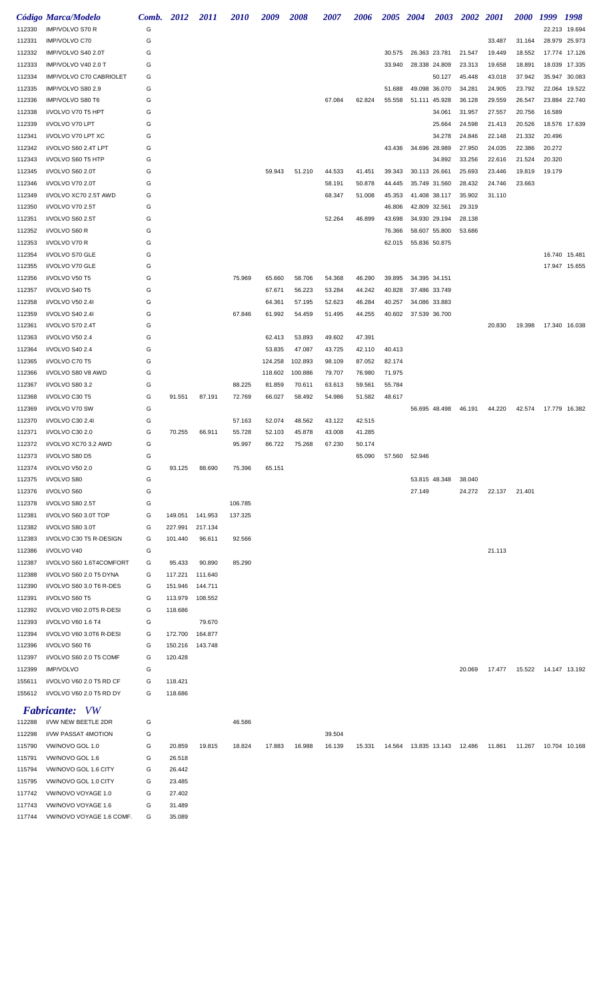|                  | Código Marca/Modelo             |   | Comb. 2012      | 2011    | 2010    | 2009    | 2008    | <i><b>2007</b></i> | 2006   | 2005   | 2004          | <b>2003</b> | <b>2002</b> | <b>2001</b>                    | <i>2000</i> | 1999          | 1998   |
|------------------|---------------------------------|---|-----------------|---------|---------|---------|---------|--------------------|--------|--------|---------------|-------------|-------------|--------------------------------|-------------|---------------|--------|
| 112330           | IMP/VOLVO S70 R                 | G |                 |         |         |         |         |                    |        |        |               |             |             |                                |             | 22.213 19.694 |        |
| 112331           | IMP/VOLVO C70                   | G |                 |         |         |         |         |                    |        |        |               |             |             | 33.487                         | 31.164      | 28.979        | 25.973 |
| 112332           | IMP/VOLVO S40 2.0T              | G |                 |         |         |         |         |                    |        | 30.575 | 26.363 23.781 |             | 21.547      | 19.449                         | 18.552      | 17.774 17.126 |        |
| 112333           | IMP/VOLVO V40 2.0 T             | G |                 |         |         |         |         |                    |        | 33.940 | 28.338 24.809 |             | 23.313      | 19.658                         | 18.891      | 18.039        | 17.335 |
| 112334           | IMP/VOLVO C70 CABRIOLET         | G |                 |         |         |         |         |                    |        |        |               | 50.127      | 45.448      | 43.018                         | 37.942      | 35.947        | 30.083 |
| 112335           | IMP/VOLVO S80 2.9               | G |                 |         |         |         |         |                    |        | 51.688 | 49.098 36.070 |             | 34.281      | 24.905                         | 23.792      | 22.064 19.522 |        |
| 112336           | IMP/VOLVO S80 T6                | G |                 |         |         |         |         | 67.084             | 62.824 | 55.558 | 51.111 45.928 |             | 36.128      | 29.559                         | 26.547      | 23.884 22.740 |        |
|                  | I/VOLVO V70 T5 HPT              | G |                 |         |         |         |         |                    |        |        |               | 34.061      | 31.957      | 27.557                         | 20.756      | 16.589        |        |
| 112338<br>112339 | I/VOLVO V70 LPT                 | G |                 |         |         |         |         |                    |        |        |               |             | 24.598      |                                | 20.526      | 18.576 17.639 |        |
|                  |                                 |   |                 |         |         |         |         |                    |        |        |               | 25.664      |             | 21.413                         |             |               |        |
| 112341           | I/VOLVO V70 LPT XC              | G |                 |         |         |         |         |                    |        |        |               | 34.278      | 24.846      | 22.148                         | 21.332      | 20.496        |        |
| 112342           | I/VOLVO S60 2.4T LPT            | G |                 |         |         |         |         |                    |        | 43.436 | 34.696 28.989 |             | 27.950      | 24.035                         | 22.386      | 20.272        |        |
| 112343           | I/VOLVO S60 T5 HTP              | G |                 |         |         |         |         |                    |        |        |               | 34.892      | 33.256      | 22.616                         | 21.524      | 20.320        |        |
| 112345           | I/VOLVO S60 2.0T                | G |                 |         |         | 59.943  | 51.210  | 44.533             | 41.451 | 39.343 | 30.113 26.661 |             | 25.693      | 23.446                         | 19.819      | 19.179        |        |
| 112346           | I/VOLVO V70 2.0T                | G |                 |         |         |         |         | 58.191             | 50.878 | 44.445 | 35.749 31.560 |             | 28.432      | 24.746                         | 23.663      |               |        |
| 112349           | I/VOLVO XC70 2.5T AWD           | G |                 |         |         |         |         | 68.347             | 51.008 | 45.353 | 41.408 38.117 |             | 35.902      | 31.110                         |             |               |        |
| 112350           | I/VOLVO V70 2.5T                | G |                 |         |         |         |         |                    |        | 46.806 | 42.809 32.561 |             | 29.319      |                                |             |               |        |
| 112351           | I/VOLVO S60 2.5T                | G |                 |         |         |         |         | 52.264             | 46.899 | 43.698 | 34.930 29.194 |             | 28.138      |                                |             |               |        |
| 112352           | I/VOLVO S60 R                   | G |                 |         |         |         |         |                    |        | 76.366 | 58.607 55.800 |             | 53.686      |                                |             |               |        |
| 112353           | I/VOLVO V70 R                   | G |                 |         |         |         |         |                    |        | 62.015 | 55.836 50.875 |             |             |                                |             |               |        |
| 112354           | I/VOLVO S70 GLE                 | G |                 |         |         |         |         |                    |        |        |               |             |             |                                |             | 16.740 15.481 |        |
| 112355           | I/VOLVO V70 GLE                 | G |                 |         |         |         |         |                    |        |        |               |             |             |                                |             | 17.947 15.655 |        |
| 112356           | I/VOLVO V50 T5                  | G |                 |         | 75.969  | 65.660  | 58.706  | 54.368             | 46.290 | 39.895 | 34.395 34.151 |             |             |                                |             |               |        |
| 112357           | I/VOLVO S40 T5                  | G |                 |         |         | 67.671  | 56.223  | 53.284             | 44.242 | 40.828 | 37.486 33.749 |             |             |                                |             |               |        |
| 112358           | I/VOLVO V50 2.41                | G |                 |         |         | 64.361  | 57.195  | 52.623             | 46.284 | 40.257 | 34.086 33.883 |             |             |                                |             |               |        |
| 112359           | I/VOLVO S40 2.41                | G |                 |         | 67.846  | 61.992  | 54.459  | 51.495             | 44.255 | 40.602 | 37.539 36.700 |             |             |                                |             |               |        |
| 112361           | I/VOLVO S70 2.4T                | G |                 |         |         |         |         |                    |        |        |               |             |             | 20.830                         | 19.398      | 17.340 16.038 |        |
| 112363           | I/VOLVO V50 2.4                 | G |                 |         |         | 62.413  | 53.893  | 49.602             | 47.391 |        |               |             |             |                                |             |               |        |
| 112364           | I/VOLVO S40 2.4                 | G |                 |         |         | 53.835  | 47.087  | 43.725             | 42.110 | 40.413 |               |             |             |                                |             |               |        |
| 112365           | I/VOLVO C70 T5                  | G |                 |         |         | 124.258 | 102.893 | 98.109             | 87.052 | 82.174 |               |             |             |                                |             |               |        |
|                  |                                 |   |                 |         |         |         |         |                    |        |        |               |             |             |                                |             |               |        |
| 112366           | I/VOLVO S80 V8 AWD              | G |                 |         |         | 118.602 | 100.886 | 79.707             | 76.980 | 71.975 |               |             |             |                                |             |               |        |
| 112367           | I/VOLVO S80 3.2                 | G |                 |         | 88.225  | 81.859  | 70.611  | 63.613             | 59.561 | 55.784 |               |             |             |                                |             |               |        |
| 112368           | I/VOLVO C30 T5                  | G | 91.551          | 87.191  | 72.769  | 66.027  | 58.492  | 54.986             | 51.582 | 48.617 |               |             |             |                                |             |               |        |
| 112369           | I/VOLVO V70 SW                  | G |                 |         |         |         |         |                    |        |        | 56.695 48.498 |             | 46.191      | 44.220                         | 42.574      | 17.779 16.382 |        |
| 112370           | I/VOLVO C30 2.4I                | G |                 |         | 57.163  | 52.074  | 48.562  | 43.122             | 42.515 |        |               |             |             |                                |             |               |        |
| 112371           | I/VOLVO C30 2.0                 | G | 70.255          | 66.911  | 55.728  | 52.103  | 45.878  | 43.008             | 41.285 |        |               |             |             |                                |             |               |        |
| 112372           | I/VOLVO XC70 3.2 AWD            | G |                 |         | 95.997  | 86.722  | 75.268  | 67.230             | 50.174 |        |               |             |             |                                |             |               |        |
| 112373           | I/VOLVO S80 D5                  | G |                 |         |         |         |         |                    | 65.090 |        | 57.560 52.946 |             |             |                                |             |               |        |
| 112374           | I/VOLVO V50 2.0                 | G | 93.125          | 88.690  | 75.396  | 65.151  |         |                    |        |        |               |             |             |                                |             |               |        |
| 112375           | I/VOLVO S80                     | G |                 |         |         |         |         |                    |        |        | 53.815 48.348 |             | 38.040      |                                |             |               |        |
| 112376           | I/VOLVO S60                     | G |                 |         |         |         |         |                    |        |        | 27.149        |             | 24.272      | 22.137                         | 21.401      |               |        |
| 112378           | I/VOLVO S80 2.5T                | G |                 |         | 106.785 |         |         |                    |        |        |               |             |             |                                |             |               |        |
| 112381           | I/VOLVO S60 3.0T TOP            | G | 149.051         | 141.953 | 137.325 |         |         |                    |        |        |               |             |             |                                |             |               |        |
| 112382           | I/VOLVO S80 3.0T                | G | 227.991         | 217.134 |         |         |         |                    |        |        |               |             |             |                                |             |               |        |
| 112383           | I/VOLVO C30 T5 R-DESIGN         | G | 101.440         | 96.611  | 92.566  |         |         |                    |        |        |               |             |             |                                |             |               |        |
| 112386           | I/VOLVO V40                     | G |                 |         |         |         |         |                    |        |        |               |             |             | 21.113                         |             |               |        |
| 112387           | I/VOLVO S60 1.6T4COMFORT        | G | 95.433          | 90.890  | 85.290  |         |         |                    |        |        |               |             |             |                                |             |               |        |
| 112388           | I/VOLVO S60 2.0 T5 DYNA         | G | 117.221         | 111.640 |         |         |         |                    |        |        |               |             |             |                                |             |               |        |
| 112390           | I/VOLVO S60 3.0 T6 R-DES        | G | 151.946         | 144.711 |         |         |         |                    |        |        |               |             |             |                                |             |               |        |
| 112391           | I/VOLVO S60 T5                  | G | 113.979         | 108.552 |         |         |         |                    |        |        |               |             |             |                                |             |               |        |
| 112392           | I/VOLVO V60 2.0T5 R-DESI        | G | 118.686         |         |         |         |         |                    |        |        |               |             |             |                                |             |               |        |
| 112393           | I/VOLVO V60 1.6 T4              | G |                 | 79.670  |         |         |         |                    |        |        |               |             |             |                                |             |               |        |
| 112394           | I/VOLVO V60 3.0T6 R-DESI        | G | 172.700         | 164.877 |         |         |         |                    |        |        |               |             |             |                                |             |               |        |
| 112396           | I/VOLVO S60 T6                  | G | 150.216 143.748 |         |         |         |         |                    |        |        |               |             |             |                                |             |               |        |
|                  | I/VOLVO S60 2.0 T5 COMF         |   | 120.428         |         |         |         |         |                    |        |        |               |             |             |                                |             |               |        |
| 112397           |                                 | G |                 |         |         |         |         |                    |        |        |               |             |             |                                |             |               |        |
| 112399           | <b>IMP/VOLVO</b>                | G |                 |         |         |         |         |                    |        |        |               |             | 20.069      | 17.477  15.522  14.147  13.192 |             |               |        |
| 155611           | I/VOLVO V60 2.0 T5 RD CF        | G | 118.421         |         |         |         |         |                    |        |        |               |             |             |                                |             |               |        |
| 155612           | I/VOLVO V60 2.0 T5 RD DY        | G | 118.686         |         |         |         |         |                    |        |        |               |             |             |                                |             |               |        |
|                  | <b>Fabricante:</b> VW           |   |                 |         |         |         |         |                    |        |        |               |             |             |                                |             |               |        |
| 112288           | I/VW NEW BEETLE 2DR             | G |                 |         | 46.586  |         |         |                    |        |        |               |             |             |                                |             |               |        |
| 112298           | I/VW PASSAT 4MOTION             | G |                 |         |         |         |         | 39.504             |        |        |               |             |             |                                |             |               |        |
| 115790           | VW/NOVO GOL 1.0                 | G | 20.859          | 19.815  | 18.824  | 17.883  | 16.988  | 16.139             | 15.331 |        |               |             |             | 11.861  11.267                 |             | 10.704 10.168 |        |
| 115791           | VW/NOVO GOL 1.6                 | G | 26.518          |         |         |         |         |                    |        |        |               |             |             |                                |             |               |        |
| 115794           | VW/NOVO GOL 1.6 CITY            | G | 26.442          |         |         |         |         |                    |        |        |               |             |             |                                |             |               |        |
| 115795           | VW/NOVO GOL 1.0 CITY            | G | 23.485          |         |         |         |         |                    |        |        |               |             |             |                                |             |               |        |
|                  |                                 |   |                 |         |         |         |         |                    |        |        |               |             |             |                                |             |               |        |
| 117742           | VW/NOVO VOYAGE 1.0              | G | 27.402          |         |         |         |         |                    |        |        |               |             |             |                                |             |               |        |
| 117743           | VW/NOVO VOYAGE 1.6              | G | 31.489          |         |         |         |         |                    |        |        |               |             |             |                                |             |               |        |
|                  | 117744 VW/NOVO VOYAGE 1.6 COMF. | G | 35.089          |         |         |         |         |                    |        |        |               |             |             |                                |             |               |        |